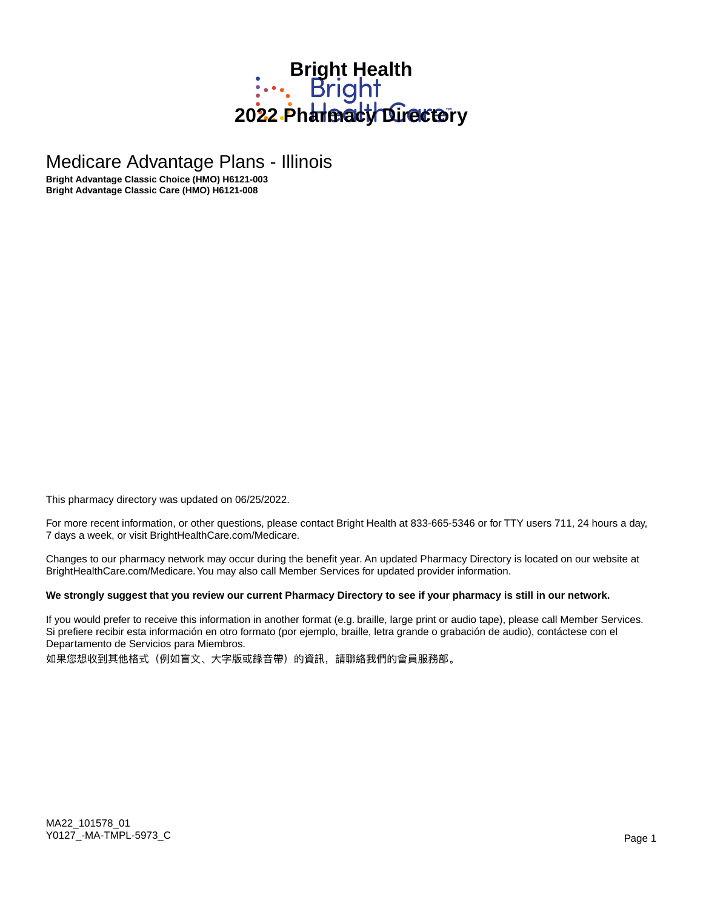# **Bright Health**<br> **Bright** 2022 Pharmacy Directory

Medicare Advantage Plans - Illinois

**Bright Advantage Classic Choice (HMO) H6121-003 Bright Advantage Classic Care (HMO) H6121-008**

This pharmacy directory was updated on 06/25/2022.

For more recent information, or other questions, please contact Bright Health at 833-665-5346 or for TTY users 711, 24 hours a day, 7 days a week, or visit BrightHealthCare.com/Medicare.

Changes to our pharmacy network may occur during the benefit year. An updated Pharmacy Directory is located on our website at BrightHealthCare.com/Medicare. You may also call Member Services for updated provider information.

### **We strongly suggest that you review our current Pharmacy Directory to see if your pharmacy is still in our network.**

If you would prefer to receive this information in another format (e.g. braille, large print or audio tape), please call Member Services. Si prefiere recibir esta información en otro formato (por ejemplo, braille, letra grande o grabación de audio), contáctese con el Departamento de Servicios para Miembros.

如果您想收到其他格式(例如盲文、大字版或錄音帶)的資訊,請聯絡我們的會員服務部。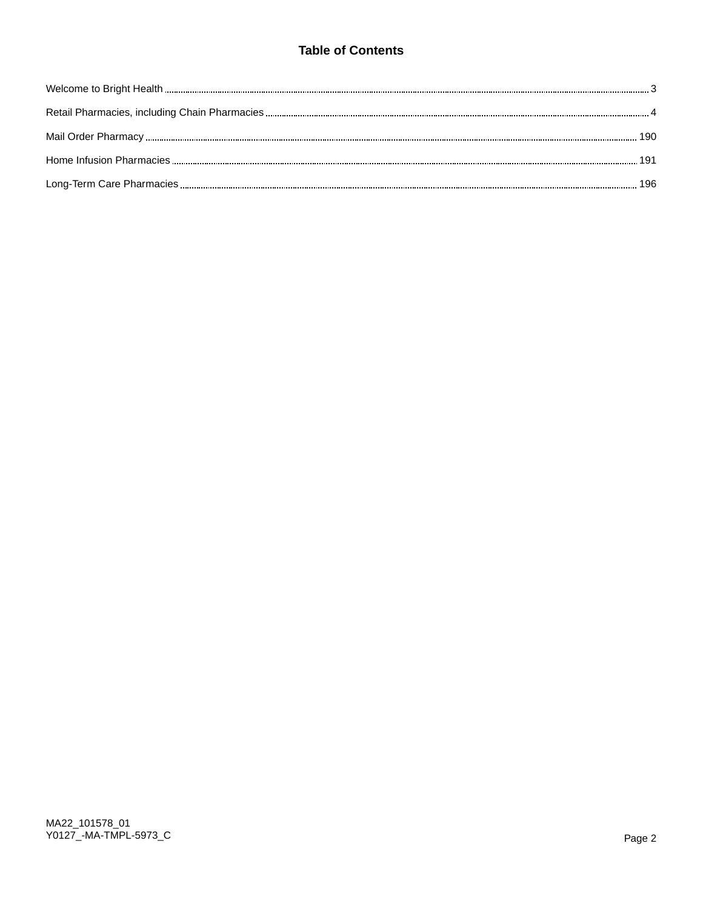# **Table of Contents**

| 190 |
|-----|
|     |
|     |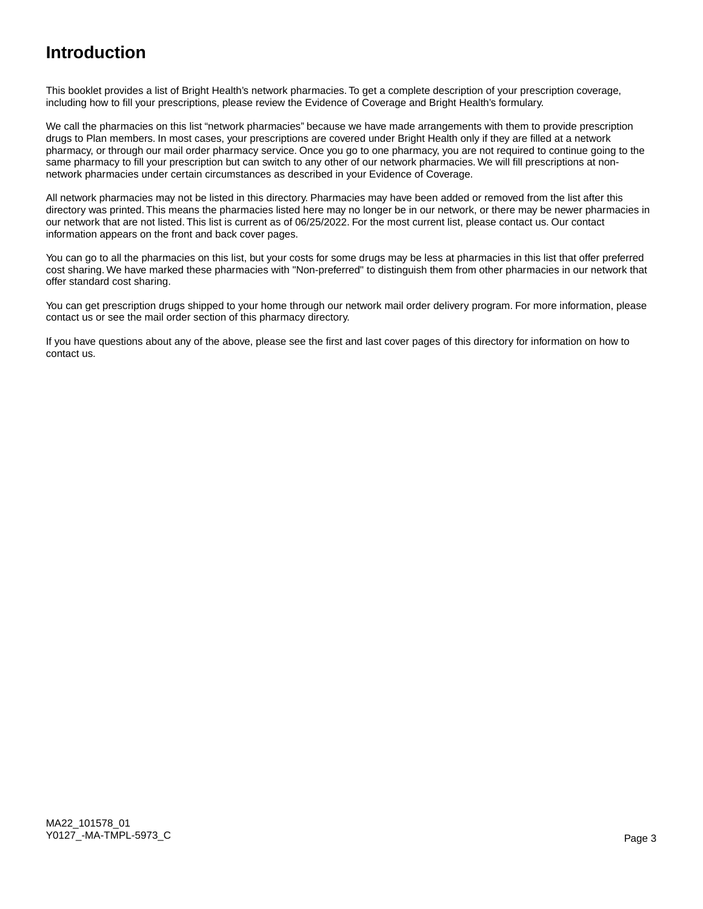# **Introduction**

This booklet provides a list of Bright Health's network pharmacies. To get a complete description of your prescription coverage, including how to fill your prescriptions, please review the Evidence of Coverage and Bright Health's formulary.

We call the pharmacies on this list "network pharmacies" because we have made arrangements with them to provide prescription drugs to Plan members. In most cases, your prescriptions are covered under Bright Health only if they are filled at a network pharmacy, or through our mail order pharmacy service. Once you go to one pharmacy, you are not required to continue going to the same pharmacy to fill your prescription but can switch to any other of our network pharmacies. We will fill prescriptions at nonnetwork pharmacies under certain circumstances as described in your Evidence of Coverage.

All network pharmacies may not be listed in this directory. Pharmacies may have been added or removed from the list after this directory was printed. This means the pharmacies listed here may no longer be in our network, or there may be newer pharmacies in our network that are not listed. This list is current as of 06/25/2022. For the most current list, please contact us. Our contact information appears on the front and back cover pages.

You can go to all the pharmacies on this list, but your costs for some drugs may be less at pharmacies in this list that offer preferred cost sharing. We have marked these pharmacies with "Non-preferred" to distinguish them from other pharmacies in our network that offer standard cost sharing.

You can get prescription drugs shipped to your home through our network mail order delivery program. For more information, please contact us or see the mail order section of this pharmacy directory.

If you have questions about any of the above, please see the first and last cover pages of this directory for information on how to contact us.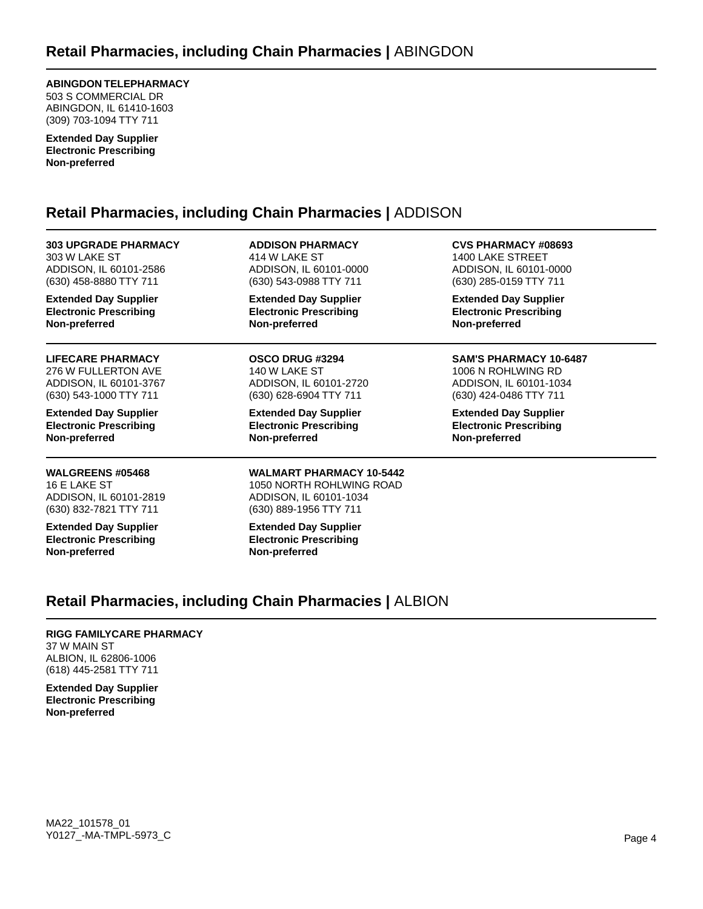### **ABINGDON TELEPHARMACY**

503 S COMMERCIAL DR ABINGDON, IL 61410-1603 (309) 703-1094 TTY 711

**Extended Day Supplier Electronic Prescribing Non-preferred**

# **Retail Pharmacies, including Chain Pharmacies |** ADDISON

**303 UPGRADE PHARMACY** 303 W LAKE ST ADDISON, IL 60101-2586 (630) 458-8880 TTY 711

**Extended Day Supplier Electronic Prescribing Non-preferred**

**LIFECARE PHARMACY** 276 W FULLERTON AVE ADDISON, IL 60101-3767 (630) 543-1000 TTY 711

**Extended Day Supplier Electronic Prescribing Non-preferred**

**WALGREENS #05468** 16 E LAKE ST ADDISON, IL 60101-2819 (630) 832-7821 TTY 711

**Extended Day Supplier Electronic Prescribing Non-preferred**

**ADDISON PHARMACY** 414 W LAKE ST ADDISON, IL 60101-0000 (630) 543-0988 TTY 711

**Extended Day Supplier Electronic Prescribing Non-preferred**

**OSCO DRUG #3294** 140 W LAKE ST ADDISON, IL 60101-2720 (630) 628-6904 TTY 711

**Extended Day Supplier Electronic Prescribing Non-preferred**

#### **WALMART PHARMACY 10-5442** 1050 NORTH ROHLWING ROAD ADDISON, IL 60101-1034 (630) 889-1956 TTY 711

**Extended Day Supplier Electronic Prescribing Non-preferred**

**CVS PHARMACY #08693** 1400 LAKE STREET ADDISON, IL 60101-0000 (630) 285-0159 TTY 711

**Extended Day Supplier Electronic Prescribing Non-preferred**

# **SAM'S PHARMACY 10-6487**

1006 N ROHLWING RD ADDISON, IL 60101-1034 (630) 424-0486 TTY 711

**Extended Day Supplier Electronic Prescribing Non-preferred**

# **Retail Pharmacies, including Chain Pharmacies |** ALBION

### **RIGG FAMILYCARE PHARMACY**

37 W MAIN ST ALBION, IL 62806-1006 (618) 445-2581 TTY 711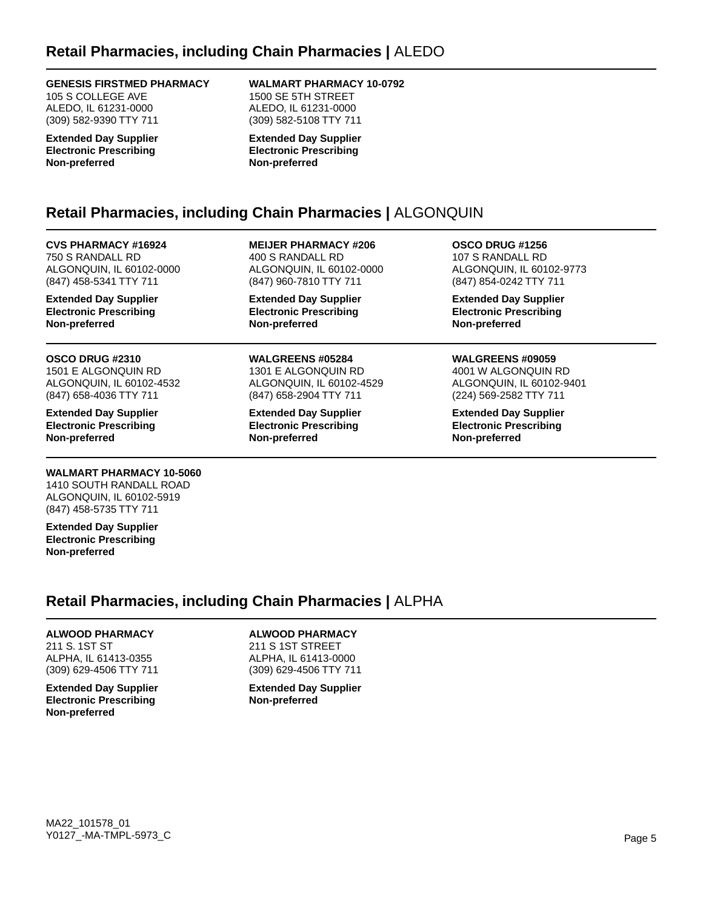### **GENESIS FIRSTMED PHARMACY**

105 S COLLEGE AVE ALEDO, IL 61231-0000 (309) 582-9390 TTY 711

**Extended Day Supplier Electronic Prescribing Non-preferred**

#### **WALMART PHARMACY 10-0792** 1500 SE 5TH STREET ALEDO, IL 61231-0000

(309) 582-5108 TTY 711 **Extended Day Supplier Electronic Prescribing Non-preferred**

**MEIJER PHARMACY #206** 400 S RANDALL RD

ALGONQUIN, IL 60102-0000 (847) 960-7810 TTY 711 **Extended Day Supplier Electronic Prescribing**

# **Retail Pharmacies, including Chain Pharmacies |** ALGONQUIN

**Non-preferred**

**Non-preferred**

**WALGREENS #05284** 1301 E ALGONQUIN RD ALGONQUIN, IL 60102-4529 (847) 658-2904 TTY 711 **Extended Day Supplier Electronic Prescribing**

**CVS PHARMACY #16924** 750 S RANDALL RD ALGONQUIN, IL 60102-0000 (847) 458-5341 TTY 711

**Extended Day Supplier Electronic Prescribing Non-preferred**

### **OSCO DRUG #2310**

1501 E ALGONQUIN RD ALGONQUIN, IL 60102-4532 (847) 658-4036 TTY 711

**Extended Day Supplier Electronic Prescribing Non-preferred**

### **WALMART PHARMACY 10-5060**

1410 SOUTH RANDALL ROAD ALGONQUIN, IL 60102-5919 (847) 458-5735 TTY 711

**Extended Day Supplier Electronic Prescribing Non-preferred**

# **Retail Pharmacies, including Chain Pharmacies |** ALPHA

### **ALWOOD PHARMACY**

211 S. 1ST ST ALPHA, IL 61413-0355 (309) 629-4506 TTY 711

**Extended Day Supplier Electronic Prescribing Non-preferred**

# **ALWOOD PHARMACY**

211 S 1ST STREET ALPHA, IL 61413-0000 (309) 629-4506 TTY 711

**Extended Day Supplier Non-preferred**

**OSCO DRUG #1256** 107 S RANDALL RD ALGONQUIN, IL 60102-9773 (847) 854-0242 TTY 711

**Extended Day Supplier Electronic Prescribing Non-preferred**

### **WALGREENS #09059**

4001 W ALGONQUIN RD ALGONQUIN, IL 60102-9401 (224) 569-2582 TTY 711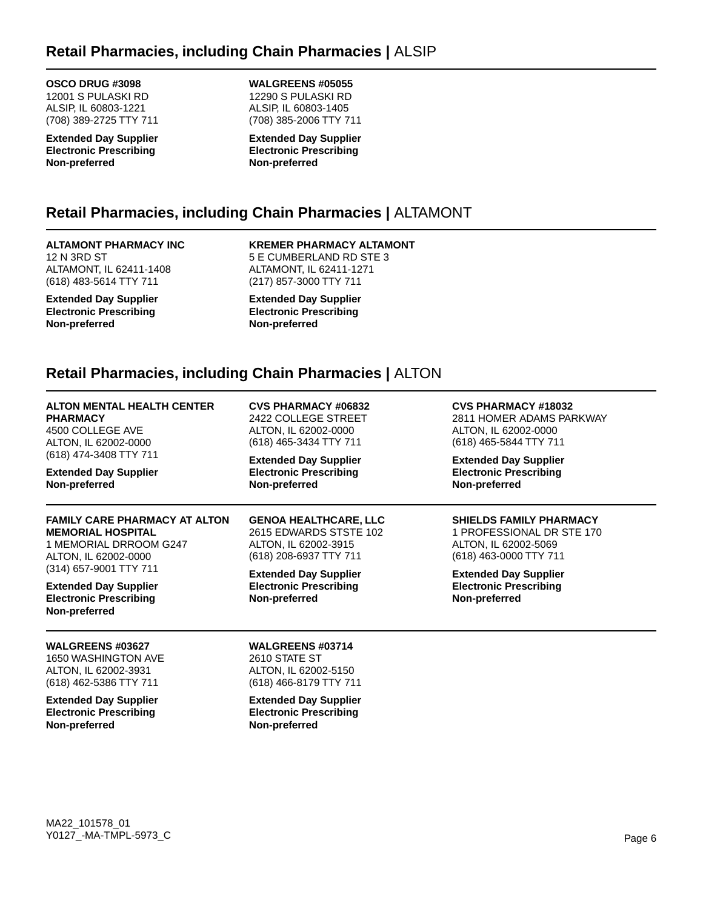# **Retail Pharmacies, including Chain Pharmacies |** ALSIP

### **OSCO DRUG #3098**

12001 S PULASKI RD ALSIP, IL 60803-1221 (708) 389-2725 TTY 711

**Extended Day Supplier Electronic Prescribing Non-preferred**

**WALGREENS #05055** 12290 S PULASKI RD ALSIP, IL 60803-1405 (708) 385-2006 TTY 711

**Extended Day Supplier Electronic Prescribing Non-preferred**

# **Retail Pharmacies, including Chain Pharmacies |** ALTAMONT

# **ALTAMONT PHARMACY INC**

12 N 3RD ST ALTAMONT, IL 62411-1408 (618) 483-5614 TTY 711

**Extended Day Supplier Electronic Prescribing Non-preferred**

**KREMER PHARMACY ALTAMONT** 5 E CUMBERLAND RD STE 3 ALTAMONT, IL 62411-1271 (217) 857-3000 TTY 711

**Extended Day Supplier Electronic Prescribing Non-preferred**

# **Retail Pharmacies, including Chain Pharmacies |** ALTON

| <b>ALTON MENTAL HEALTH CENTER</b>                                                                        | <b>CVS PHARMACY #06832</b>                                                                 | <b>CVS PHARMACY #18032</b>                                                     |
|----------------------------------------------------------------------------------------------------------|--------------------------------------------------------------------------------------------|--------------------------------------------------------------------------------|
| <b>PHARMACY</b>                                                                                          | 2422 COLLEGE STREET                                                                        | 2811 HOMER ADAMS PARKWAY                                                       |
| 4500 COLLEGE AVE                                                                                         | ALTON, IL 62002-0000                                                                       | ALTON, IL 62002-0000                                                           |
| ALTON, IL 62002-0000                                                                                     | (618) 465-3434 TTY 711                                                                     | (618) 465-5844 TTY 711                                                         |
| (618) 474-3408 TTY 711                                                                                   | <b>Extended Day Supplier</b>                                                               | <b>Extended Day Supplier</b>                                                   |
| <b>Extended Day Supplier</b>                                                                             | <b>Electronic Prescribing</b>                                                              | <b>Electronic Prescribing</b>                                                  |
| Non-preferred                                                                                            | Non-preferred                                                                              | Non-preferred                                                                  |
| <b>FAMILY CARE PHARMACY AT ALTON</b>                                                                     | <b>GENOA HEALTHCARE, LLC</b>                                                               | <b>SHIELDS FAMILY PHARMACY</b>                                                 |
| <b>MEMORIAL HOSPITAL</b>                                                                                 | 2615 EDWARDS STSTE 102                                                                     | 1 PROFESSIONAL DR STE 170                                                      |
| 1 MEMORIAL DRROOM G247                                                                                   | ALTON, IL 62002-3915                                                                       | ALTON, IL 62002-5069                                                           |
| ALTON, IL 62002-0000                                                                                     | (618) 208-6937 TTY 711                                                                     | (618) 463-0000 TTY 711                                                         |
| (314) 657-9001 TTY 711<br><b>Extended Day Supplier</b><br><b>Electronic Prescribing</b><br>Non-preferred | <b>Extended Day Supplier</b><br><b>Electronic Prescribing</b><br>Non-preferred             | <b>Extended Day Supplier</b><br><b>Electronic Prescribing</b><br>Non-preferred |
| <b>WALGREENS #03627</b><br>1650 WASHINGTON AVE<br>ALTON, IL 62002-3931<br>(618) 462-5386 TTY 711         | <b>WALGREENS #03714</b><br>2610 STATE ST<br>ALTON, IL 62002-5150<br>(618) 466-8179 TTY 711 |                                                                                |
| <b>Extended Day Supplier</b><br><b>Electronic Prescribing</b><br>Non-preferred                           | <b>Extended Day Supplier</b><br><b>Electronic Prescribing</b><br>Non-preferred             |                                                                                |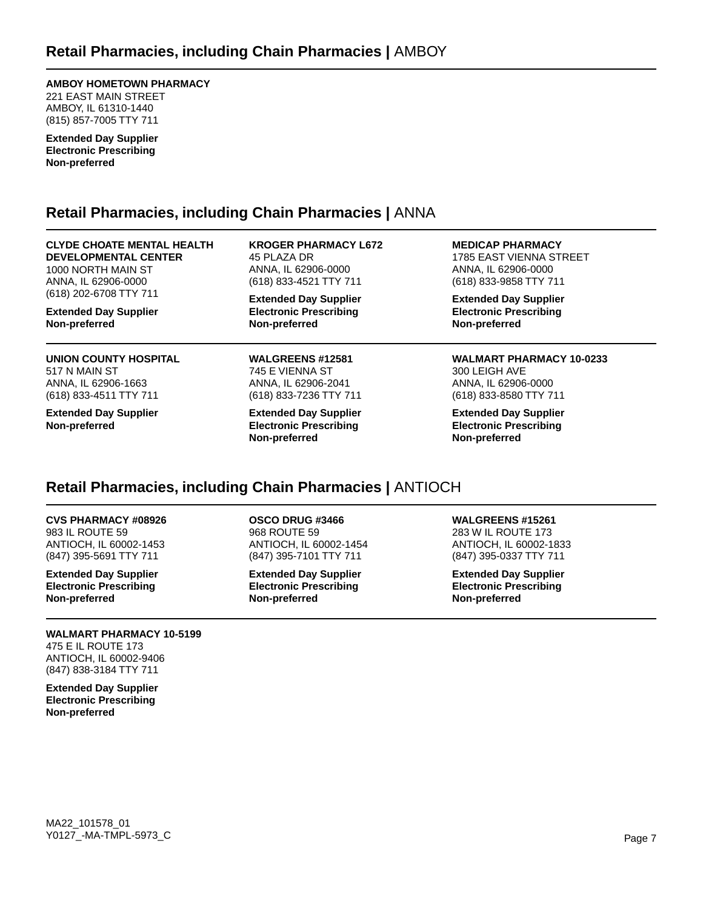### **AMBOY HOMETOWN PHARMACY**

221 EAST MAIN STREET AMBOY, IL 61310-1440 (815) 857-7005 TTY 711

**Extended Day Supplier Electronic Prescribing Non-preferred**

# **Retail Pharmacies, including Chain Pharmacies |** ANNA

**CLYDE CHOATE MENTAL HEALTH DEVELOPMENTAL CENTER** 1000 NORTH MAIN ST ANNA, IL 62906-0000 (618) 202-6708 TTY 711

**Extended Day Supplier Non-preferred**

#### **UNION COUNTY HOSPITAL** 517 N MAIN ST ANNA, IL 62906-1663

(618) 833-4511 TTY 711

**Extended Day Supplier Non-preferred**

**KROGER PHARMACY L672** 45 PLAZA DR ANNA, IL 62906-0000 (618) 833-4521 TTY 711

**Extended Day Supplier Electronic Prescribing Non-preferred**

**WALGREENS #12581** 745 E VIENNA ST ANNA, IL 62906-2041 (618) 833-7236 TTY 711

**Extended Day Supplier Electronic Prescribing Non-preferred**

**MEDICAP PHARMACY** 1785 EAST VIENNA STREET ANNA, IL 62906-0000 (618) 833-9858 TTY 711

**Extended Day Supplier Electronic Prescribing Non-preferred**

**WALMART PHARMACY 10-0233** 300 LEIGH AVE ANNA, IL 62906-0000 (618) 833-8580 TTY 711

**Extended Day Supplier Electronic Prescribing Non-preferred**

# **Retail Pharmacies, including Chain Pharmacies |** ANTIOCH

**CVS PHARMACY #08926** 983 IL ROUTE 59 ANTIOCH, IL 60002-1453 (847) 395-5691 TTY 711

**Extended Day Supplier Electronic Prescribing Non-preferred**

#### **WALMART PHARMACY 10-5199** 475 E IL ROUTE 173 ANTIOCH, IL 60002-9406 (847) 838-3184 TTY 711

**Extended Day Supplier Electronic Prescribing Non-preferred**

### **OSCO DRUG #3466**

968 ROUTE 59 ANTIOCH, IL 60002-1454 (847) 395-7101 TTY 711

**Extended Day Supplier Electronic Prescribing Non-preferred**

### **WALGREENS #15261**

283 W IL ROUTE 173 ANTIOCH, IL 60002-1833 (847) 395-0337 TTY 711

**Extended Day Supplier Electronic Prescribing Non-preferred**

MA22\_101578\_01 Y0127\_-MA-TMPL-5973\_C Page 7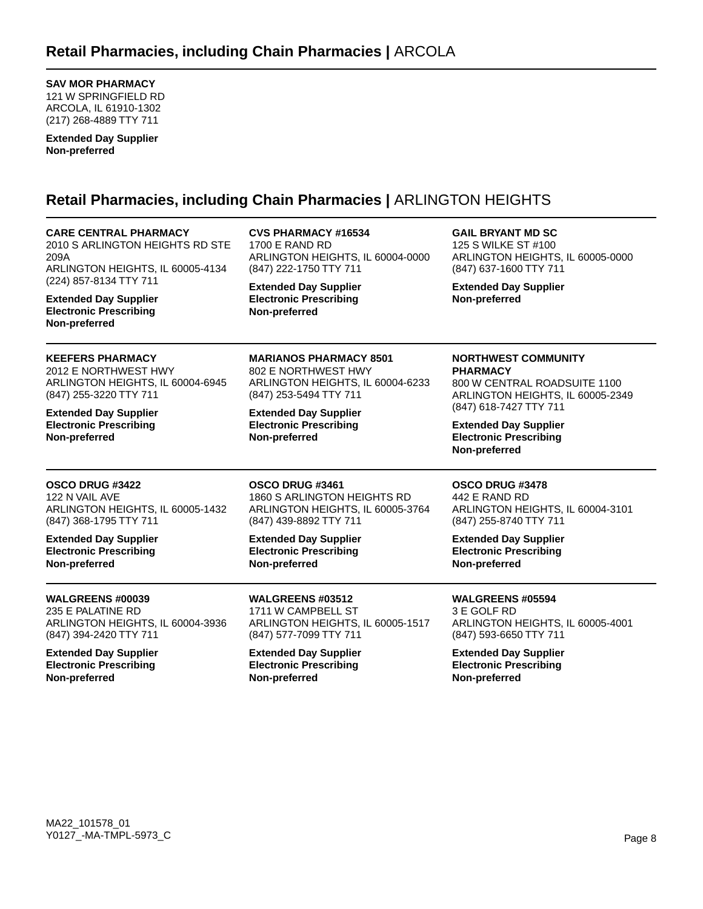**SAV MOR PHARMACY**

121 W SPRINGFIELD RD ARCOLA, IL 61910-1302 (217) 268-4889 TTY 711

**Extended Day Supplier Non-preferred**

# **Retail Pharmacies, including Chain Pharmacies |** ARLINGTON HEIGHTS

| <b>CARE CENTRAL PHARMACY</b><br>2010 S ARLINGTON HEIGHTS RD STE<br>209A<br>ARLINGTON HEIGHTS, IL 60005-4134<br>(224) 857-8134 TTY 711 | <b>CVS PHARMACY #16534</b><br><b>1700 E RAND RD</b><br>ARLINGTON HEIGHTS, IL 60004-0000<br>(847) 222-1750 TTY 711 | <b>GAIL BRYANT MD SC</b><br>125 S WILKE ST #100<br>ARLINGTON HEIGHTS, IL 60005-0000<br>(847) 637-1600 TTY 711 |
|---------------------------------------------------------------------------------------------------------------------------------------|-------------------------------------------------------------------------------------------------------------------|---------------------------------------------------------------------------------------------------------------|
| <b>Extended Day Supplier</b><br><b>Electronic Prescribing</b><br>Non-preferred                                                        | <b>Extended Day Supplier</b><br><b>Electronic Prescribing</b><br>Non-preferred                                    | <b>Extended Day Supplier</b><br>Non-preferred                                                                 |
| <b>KEEFERS PHARMACY</b>                                                                                                               | <b>MARIANOS PHARMACY 8501</b>                                                                                     | <b>NORTHWEST COMMUNITY</b>                                                                                    |
| 2012 E NORTHWEST HWY                                                                                                                  | 802 E NORTHWEST HWY                                                                                               | <b>PHARMACY</b>                                                                                               |
| ARLINGTON HEIGHTS, IL 60004-6945                                                                                                      | ARLINGTON HEIGHTS, IL 60004-6233                                                                                  | 800 W CENTRAL ROADSUITE 1100                                                                                  |
| (847) 255-3220 TTY 711                                                                                                                | (847) 253-5494 TTY 711                                                                                            | ARLINGTON HEIGHTS, IL 60005-2349                                                                              |
| <b>Extended Day Supplier</b><br><b>Electronic Prescribing</b><br>Non-preferred                                                        | <b>Extended Day Supplier</b><br><b>Electronic Prescribing</b><br>Non-preferred                                    | (847) 618-7427 TTY 711<br><b>Extended Day Supplier</b><br><b>Electronic Prescribing</b><br>Non-preferred      |
| OSCO DRUG #3422                                                                                                                       | OSCO DRUG #3461                                                                                                   | OSCO DRUG #3478                                                                                               |
| 122 N VAIL AVE                                                                                                                        | 1860 S ARLINGTON HEIGHTS RD                                                                                       | 442 E RAND RD                                                                                                 |
| ARLINGTON HEIGHTS, IL 60005-1432                                                                                                      | ARLINGTON HEIGHTS, IL 60005-3764                                                                                  | ARLINGTON HEIGHTS, IL 60004-3101                                                                              |
| (847) 368-1795 TTY 711                                                                                                                | (847) 439-8892 TTY 711                                                                                            | (847) 255-8740 TTY 711                                                                                        |
| <b>Extended Day Supplier</b>                                                                                                          | <b>Extended Day Supplier</b>                                                                                      | <b>Extended Day Supplier</b>                                                                                  |
| <b>Electronic Prescribing</b>                                                                                                         | <b>Electronic Prescribing</b>                                                                                     | <b>Electronic Prescribing</b>                                                                                 |
| Non-preferred                                                                                                                         | Non-preferred                                                                                                     | Non-preferred                                                                                                 |
| <b>WALGREENS #00039</b>                                                                                                               | WALGREENS #03512                                                                                                  | <b>WALGREENS #05594</b>                                                                                       |
| 235 E PALATINE RD                                                                                                                     | 1711 W CAMPBELL ST                                                                                                | 3 E GOLF RD                                                                                                   |
| ARLINGTON HEIGHTS, IL 60004-3936                                                                                                      | ARLINGTON HEIGHTS, IL 60005-1517                                                                                  | ARLINGTON HEIGHTS, IL 60005-4001                                                                              |
| (847) 394-2420 TTY 711                                                                                                                | (847) 577-7099 TTY 711                                                                                            | (847) 593-6650 TTY 711                                                                                        |
| <b>Extended Day Supplier</b>                                                                                                          | <b>Extended Day Supplier</b>                                                                                      | <b>Extended Day Supplier</b>                                                                                  |
| <b>Electronic Prescribing</b>                                                                                                         | <b>Electronic Prescribing</b>                                                                                     | <b>Electronic Prescribing</b>                                                                                 |
| Non-preferred                                                                                                                         | Non-preferred                                                                                                     | Non-preferred                                                                                                 |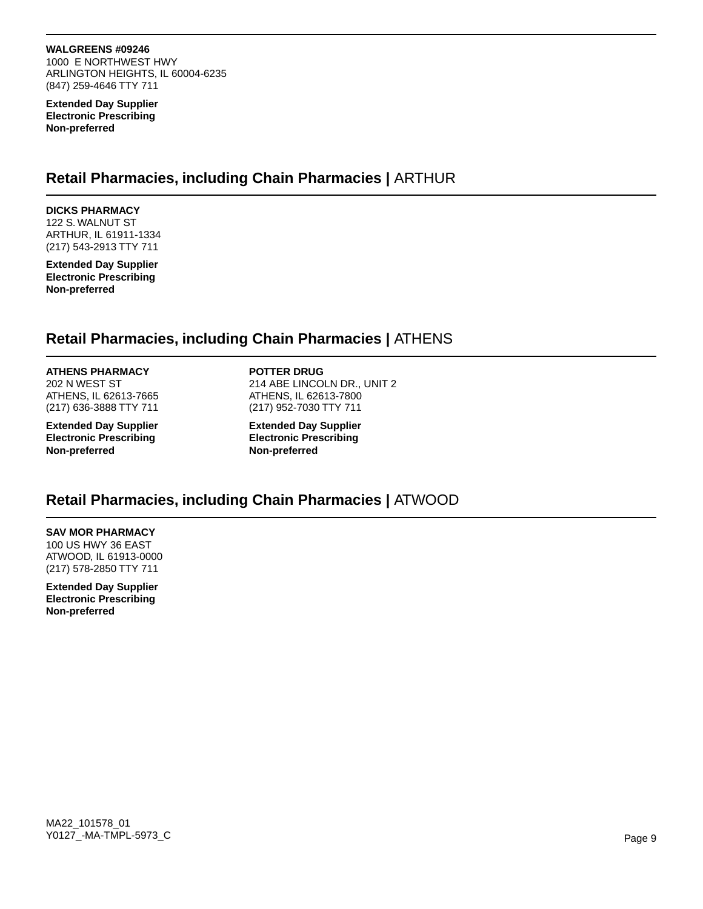#### **WALGREENS #09246**

1000 E NORTHWEST HWY ARLINGTON HEIGHTS, IL 60004-6235 (847) 259-4646 TTY 711

**Extended Day Supplier Electronic Prescribing Non-preferred**

# **Retail Pharmacies, including Chain Pharmacies |** ARTHUR

**DICKS PHARMACY** 122 S. WALNUT ST ARTHUR, IL 61911-1334 (217) 543-2913 TTY 711

**Extended Day Supplier Electronic Prescribing Non-preferred**

# **Retail Pharmacies, including Chain Pharmacies |** ATHENS

#### **ATHENS PHARMACY**

202 N WEST ST ATHENS, IL 62613-7665 (217) 636-3888 TTY 711

**Extended Day Supplier Electronic Prescribing Non-preferred**

**POTTER DRUG**

214 ABE LINCOLN DR., UNIT 2 ATHENS, IL 62613-7800 (217) 952-7030 TTY 711

**Extended Day Supplier Electronic Prescribing Non-preferred**

# **Retail Pharmacies, including Chain Pharmacies |** ATWOOD

# **SAV MOR PHARMACY**

100 US HWY 36 EAST ATWOOD, IL 61913-0000 (217) 578-2850 TTY 711

**Extended Day Supplier Electronic Prescribing Non-preferred**

MA22\_101578\_01 Y0127\_-MA-TMPL-5973\_C Page 9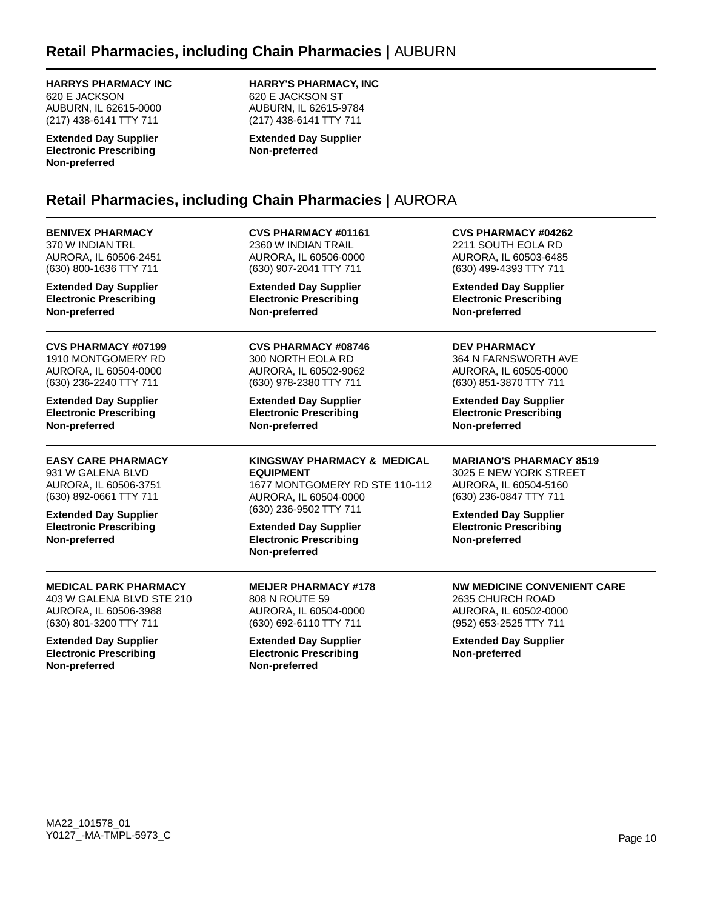### **HARRYS PHARMACY INC**

620 E JACKSON AUBURN, IL 62615-0000 (217) 438-6141 TTY 711

**Extended Day Supplier Electronic Prescribing Non-preferred**

**HARRY'S PHARMACY, INC** 620 E JACKSON ST

AUBURN, IL 62615-9784 (217) 438-6141 TTY 711

**Extended Day Supplier Non-preferred**

# **Retail Pharmacies, including Chain Pharmacies |** AURORA

**BENIVEX PHARMACY** 370 W INDIAN TRL AURORA, IL 60506-2451 (630) 800-1636 TTY 711 **Extended Day Supplier Electronic Prescribing Non-preferred CVS PHARMACY #01161** 2360 W INDIAN TRAIL AURORA, IL 60506-0000 (630) 907-2041 TTY 711 **Extended Day Supplier Electronic Prescribing Non-preferred CVS PHARMACY #04262** 2211 SOUTH EOLA RD AURORA, IL 60503-6485 (630) 499-4393 TTY 711 **Extended Day Supplier Electronic Prescribing Non-preferred CVS PHARMACY #07199** 1910 MONTGOMERY RD AURORA, IL 60504-0000 (630) 236-2240 TTY 711 **Extended Day Supplier Electronic Prescribing Non-preferred CVS PHARMACY #08746** 300 NORTH EOLA RD AURORA, IL 60502-9062 (630) 978-2380 TTY 711 **Extended Day Supplier Electronic Prescribing Non-preferred DEV PHARMACY** 364 N FARNSWORTH AVE AURORA, IL 60505-0000 (630) 851-3870 TTY 711 **Extended Day Supplier Electronic Prescribing Non-preferred EASY CARE PHARMACY** 931 W GALENA BLVD AURORA, IL 60506-3751 (630) 892-0661 TTY 711 **Extended Day Supplier Electronic Prescribing Non-preferred KINGSWAY PHARMACY & MEDICAL EQUIPMENT** 1677 MONTGOMERY RD STE 110-112 AURORA, IL 60504-0000 (630) 236-9502 TTY 711 **Extended Day Supplier Electronic Prescribing Non-preferred MARIANO'S PHARMACY 8519** 3025 E NEW YORK STREET AURORA, IL 60504-5160 (630) 236-0847 TTY 711 **Extended Day Supplier Electronic Prescribing Non-preferred MEDICAL PARK PHARMACY** 403 W GALENA BLVD STE 210 AURORA, IL 60506-3988 (630) 801-3200 TTY 711 **Extended Day Supplier Electronic Prescribing Non-preferred MEIJER PHARMACY #178** 808 N ROUTE 59 AURORA, IL 60504-0000 (630) 692-6110 TTY 711 **Extended Day Supplier Electronic Prescribing Non-preferred NW MEDICINE CONVENIENT CARE** 2635 CHURCH ROAD AURORA, IL 60502-0000 (952) 653-2525 TTY 711 **Extended Day Supplier Non-preferred**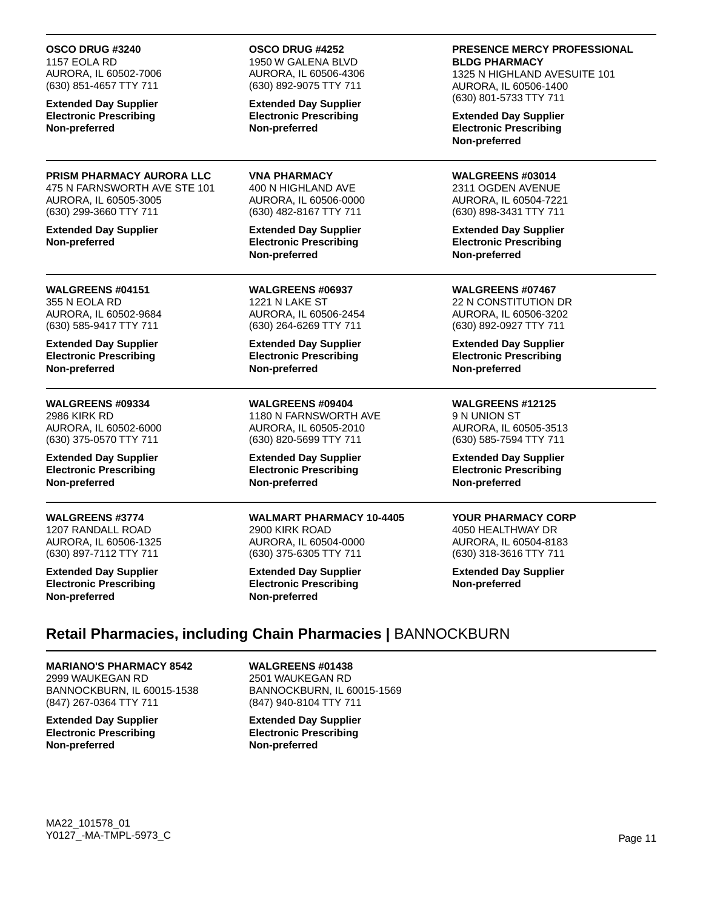**OSCO DRUG #3240** 1157 EOLA RD

AURORA, IL 60502-7006 (630) 851-4657 TTY 711

**Extended Day Supplier Electronic Prescribing Non-preferred**

#### **PRISM PHARMACY AURORA LLC** 475 N FARNSWORTH AVE STE 101 AURORA, IL 60505-3005 (630) 299-3660 TTY 711

**Extended Day Supplier Non-preferred**

#### **WALGREENS #04151** 355 N EOLA RD AURORA, IL 60502-9684 (630) 585-9417 TTY 711

**Extended Day Supplier Electronic Prescribing Non-preferred**

#### **WALGREENS #09334** 2986 KIRK RD AURORA, IL 60502-6000 (630) 375-0570 TTY 711

**Extended Day Supplier Electronic Prescribing Non-preferred**

**WALGREENS #3774** 1207 RANDALL ROAD AURORA, IL 60506-1325 (630) 897-7112 TTY 711

**Extended Day Supplier Electronic Prescribing Non-preferred**

### **OSCO DRUG #4252**

1950 W GALENA BLVD AURORA, IL 60506-4306 (630) 892-9075 TTY 711

**Extended Day Supplier Electronic Prescribing Non-preferred**

**VNA PHARMACY** 400 N HIGHLAND AVE AURORA, IL 60506-0000 (630) 482-8167 TTY 711

**Extended Day Supplier Electronic Prescribing Non-preferred**

**WALGREENS #06937** 1221 N LAKE ST AURORA, IL 60506-2454 (630) 264-6269 TTY 711

**Extended Day Supplier Electronic Prescribing Non-preferred**

**WALGREENS #09404** 1180 N FARNSWORTH AVE AURORA, IL 60505-2010 (630) 820-5699 TTY 711

**Extended Day Supplier Electronic Prescribing Non-preferred**

**WALMART PHARMACY 10-4405** 2900 KIRK ROAD AURORA, IL 60504-0000 (630) 375-6305 TTY 711

**Extended Day Supplier Electronic Prescribing Non-preferred**

**PRESENCE MERCY PROFESSIONAL BLDG PHARMACY**

1325 N HIGHLAND AVESUITE 101 AURORA, IL 60506-1400 (630) 801-5733 TTY 711

**Extended Day Supplier Electronic Prescribing Non-preferred**

**WALGREENS #03014** 2311 OGDEN AVENUE AURORA, IL 60504-7221 (630) 898-3431 TTY 711

**Extended Day Supplier Electronic Prescribing Non-preferred**

**WALGREENS #07467** 22 N CONSTITUTION DR AURORA, IL 60506-3202 (630) 892-0927 TTY 711

**Extended Day Supplier Electronic Prescribing Non-preferred**

# **WALGREENS #12125**

9 N UNION ST AURORA, IL 60505-3513 (630) 585-7594 TTY 711

**Extended Day Supplier Electronic Prescribing Non-preferred**

# **YOUR PHARMACY CORP**

4050 HEALTHWAY DR AURORA, IL 60504-8183 (630) 318-3616 TTY 711

**Extended Day Supplier Non-preferred**

# **Retail Pharmacies, including Chain Pharmacies |** BANNOCKBURN

**MARIANO'S PHARMACY 8542** 2999 WAUKEGAN RD BANNOCKBURN, IL 60015-1538 (847) 267-0364 TTY 711

**Extended Day Supplier Electronic Prescribing Non-preferred**

**WALGREENS #01438** 2501 WAUKEGAN RD BANNOCKBURN, IL 60015-1569 (847) 940-8104 TTY 711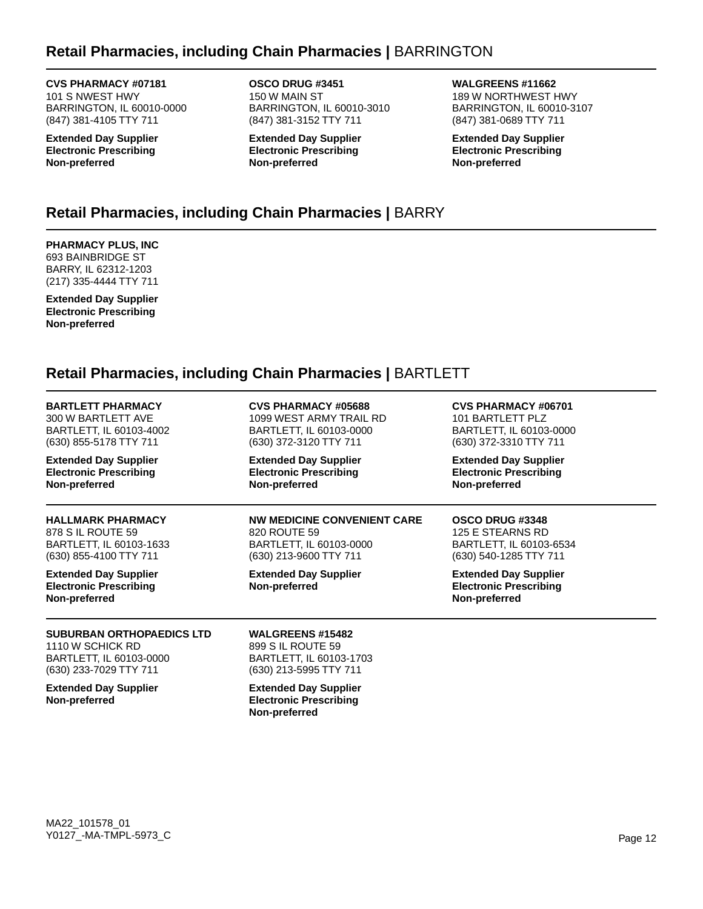# **Retail Pharmacies, including Chain Pharmacies |** BARRINGTON

**CVS PHARMACY #07181** 101 S NWEST HWY BARRINGTON, IL 60010-0000 (847) 381-4105 TTY 711

**Extended Day Supplier Electronic Prescribing Non-preferred**

**OSCO DRUG #3451** 150 W MAIN ST BARRINGTON, IL 60010-3010 (847) 381-3152 TTY 711

**Extended Day Supplier Electronic Prescribing Non-preferred**

**WALGREENS #11662** 189 W NORTHWEST HWY BARRINGTON, IL 60010-3107 (847) 381-0689 TTY 711

**Extended Day Supplier Electronic Prescribing Non-preferred**

# **Retail Pharmacies, including Chain Pharmacies |** BARRY

**PHARMACY PLUS, INC** 693 BAINBRIDGE ST BARRY, IL 62312-1203 (217) 335-4444 TTY 711

**Extended Day Supplier Electronic Prescribing Non-preferred**

# **Retail Pharmacies, including Chain Pharmacies |** BARTLETT

| BARTLETT PHARMACY  |  |
|--------------------|--|
| 300 W BARTLETT AVE |  |

BARTLETT, IL 60103-4002 (630) 855-5178 TTY 711

**Extended Day Supplier Electronic Prescribing Non-preferred**

# **HALLMARK PHARMACY** 878 S IL ROUTE 59

BARTLETT, IL 60103-1633 (630) 855-4100 TTY 711

**Extended Day Supplier Electronic Prescribing Non-preferred**

#### **SUBURBAN ORTHOPAEDICS LTD** 1110 W SCHICK RD BARTLETT, IL 60103-0000 (630) 233-7029 TTY 711

**Extended Day Supplier Non-preferred**

**CVS PHARMACY #05688** 1099 WEST ARMY TRAIL RD

BARTLETT, IL 60103-0000 (630) 372-3120 TTY 711

**Extended Day Supplier Electronic Prescribing Non-preferred**

### **NW MEDICINE CONVENIENT CARE** 820 ROUTE 59

BARTLETT, IL 60103-0000 (630) 213-9600 TTY 711

**Extended Day Supplier Non-preferred**

**WALGREENS #15482** 899 S IL ROUTE 59 BARTLETT, IL 60103-1703 (630) 213-5995 TTY 711 **Extended Day Supplier Electronic Prescribing**

**Non-preferred**

### **CVS PHARMACY #06701** 101 BARTLETT PLZ

BARTLETT, IL 60103-0000 (630) 372-3310 TTY 711

**Extended Day Supplier Electronic Prescribing Non-preferred**

### **OSCO DRUG #3348**

125 E STEARNS RD BARTLETT, IL 60103-6534 (630) 540-1285 TTY 711

**Extended Day Supplier Electronic Prescribing Non-preferred**

MA22\_101578\_01 Y0127\_-MA-TMPL-5973\_C Page 12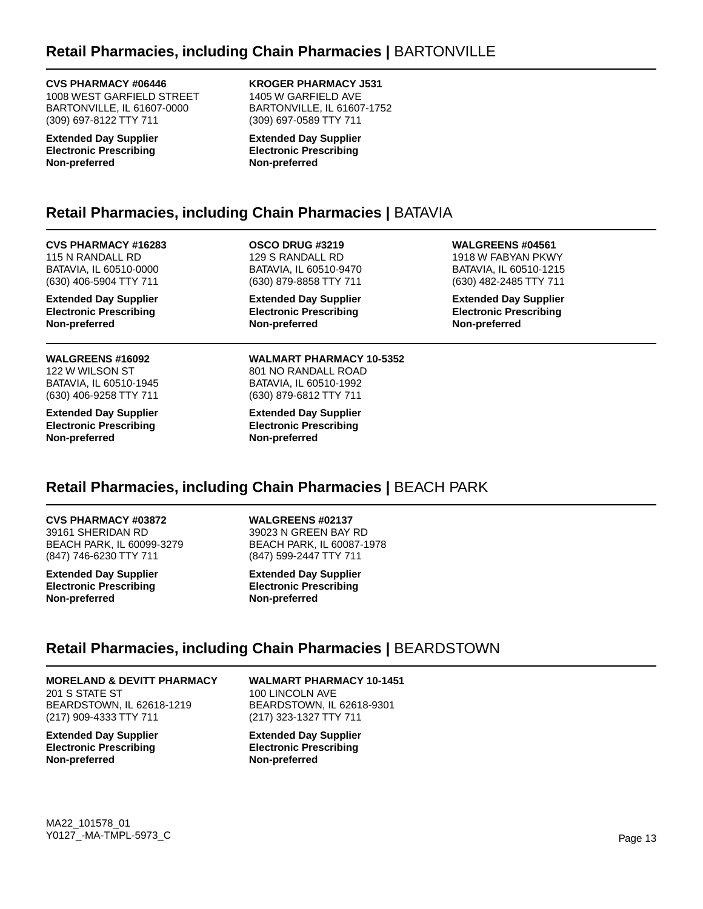### **CVS PHARMACY #06446**

1008 WEST GARFIELD STREET BARTONVILLE, IL 61607-0000 (309) 697-8122 TTY 711

**Extended Day Supplier Electronic Prescribing Non-preferred**

**KROGER PHARMACY J531** 1405 W GARFIELD AVE BARTONVILLE, IL 61607-1752 (309) 697-0589 TTY 711

**Extended Day Supplier Electronic Prescribing Non-preferred**

# **Retail Pharmacies, including Chain Pharmacies |** BATAVIA

**CVS PHARMACY #16283** 115 N RANDALL RD BATAVIA, IL 60510-0000 (630) 406-5904 TTY 711

**Extended Day Supplier Electronic Prescribing Non-preferred**

**WALGREENS #16092** 122 W WILSON ST BATAVIA, IL 60510-1945 (630) 406-9258 TTY 711

**Extended Day Supplier Electronic Prescribing Non-preferred**

**OSCO DRUG #3219** 129 S RANDALL RD BATAVIA, IL 60510-9470 (630) 879-8858 TTY 711

**Extended Day Supplier Electronic Prescribing Non-preferred**

**WALMART PHARMACY 10-5352** 801 NO RANDALL ROAD BATAVIA, IL 60510-1992 (630) 879-6812 TTY 711

**Extended Day Supplier Electronic Prescribing Non-preferred**

**WALGREENS #04561** 1918 W FABYAN PKWY BATAVIA, IL 60510-1215

(630) 482-2485 TTY 711

**Extended Day Supplier Electronic Prescribing Non-preferred**

# **Retail Pharmacies, including Chain Pharmacies |** BEACH PARK

**CVS PHARMACY #03872** 39161 SHERIDAN RD BEACH PARK, IL 60099-3279 (847) 746-6230 TTY 711

**Extended Day Supplier Electronic Prescribing Non-preferred**

**WALGREENS #02137** 39023 N GREEN BAY RD BEACH PARK, IL 60087-1978 (847) 599-2447 TTY 711

**Extended Day Supplier Electronic Prescribing Non-preferred**

# **Retail Pharmacies, including Chain Pharmacies |** BEARDSTOWN

### **MORELAND & DEVITT PHARMACY**

201 S STATE ST BEARDSTOWN, IL 62618-1219 (217) 909-4333 TTY 711

**Extended Day Supplier Electronic Prescribing Non-preferred**

**WALMART PHARMACY 10-1451** 100 LINCOLN AVE BEARDSTOWN, IL 62618-9301 (217) 323-1327 TTY 711

**Extended Day Supplier Electronic Prescribing Non-preferred**

MA22\_101578\_01 Y0127\_-MA-TMPL-5973\_C Page 13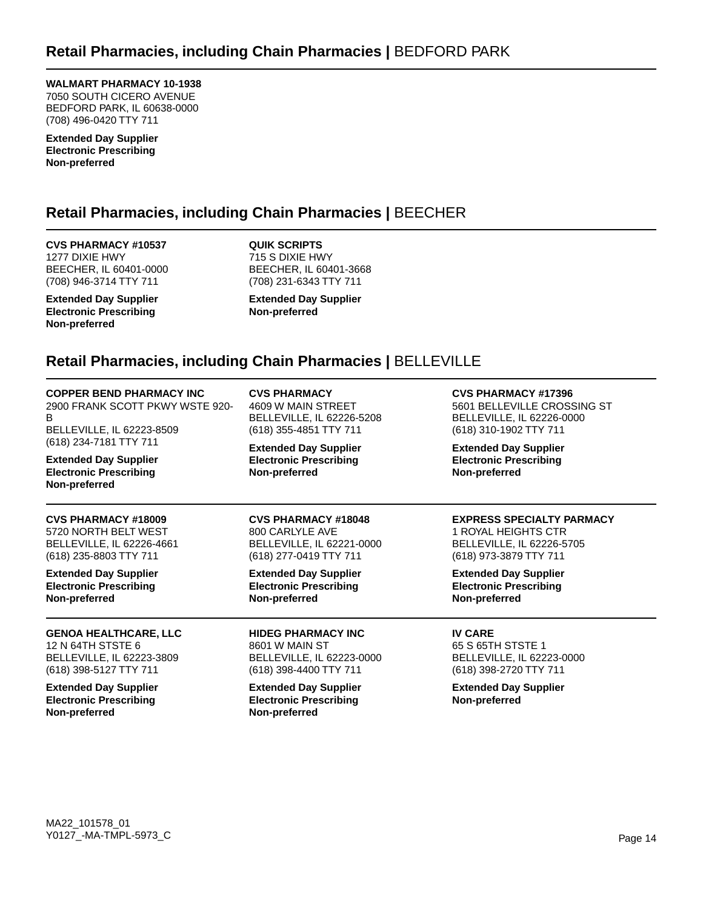**WALMART PHARMACY 10-1938** 7050 SOUTH CICERO AVENUE BEDFORD PARK, IL 60638-0000 (708) 496-0420 TTY 711

**Extended Day Supplier Electronic Prescribing Non-preferred**

# **Retail Pharmacies, including Chain Pharmacies |** BEECHER

**CVS PHARMACY #10537** 1277 DIXIE HWY BEECHER, IL 60401-0000 (708) 946-3714 TTY 711

**Extended Day Supplier Electronic Prescribing Non-preferred**

**QUIK SCRIPTS** 715 S DIXIE HWY BEECHER, IL 60401-3668 (708) 231-6343 TTY 711

**Extended Day Supplier Non-preferred**

# **Retail Pharmacies, including Chain Pharmacies |** BELLEVILLE

### **COPPER BEND PHARMACY INC**

2900 FRANK SCOTT PKWY WSTE 920- B BELLEVILLE, IL 62223-8509 (618) 234-7181 TTY 711

**Extended Day Supplier Electronic Prescribing Non-preferred**

#### **CVS PHARMACY #18009** 5720 NORTH BELT WEST BELLEVILLE, IL 62226-4661

(618) 235-8803 TTY 711 **Extended Day Supplier**

**Electronic Prescribing Non-preferred**

**GENOA HEALTHCARE, LLC** 12 N 64TH STSTE 6 BELLEVILLE, IL 62223-3809 (618) 398-5127 TTY 711

**Extended Day Supplier Electronic Prescribing Non-preferred**

**CVS PHARMACY** 4609 W MAIN STREET BELLEVILLE, IL 62226-5208 (618) 355-4851 TTY 711

**Extended Day Supplier Electronic Prescribing Non-preferred**

# **CVS PHARMACY #18048** 800 CARLYLE AVE

BELLEVILLE, IL 62221-0000 (618) 277-0419 TTY 711

**Extended Day Supplier Electronic Prescribing Non-preferred**

**HIDEG PHARMACY INC** 8601 W MAIN ST BELLEVILLE, IL 62223-0000 (618) 398-4400 TTY 711

**Extended Day Supplier Electronic Prescribing Non-preferred**

**CVS PHARMACY #17396**

5601 BELLEVILLE CROSSING ST BELLEVILLE, IL 62226-0000 (618) 310-1902 TTY 711

**Extended Day Supplier Electronic Prescribing Non-preferred**

# **EXPRESS SPECIALTY PARMACY**

1 ROYAL HEIGHTS CTR BELLEVILLE, IL 62226-5705 (618) 973-3879 TTY 711

**Extended Day Supplier Electronic Prescribing Non-preferred**

**IV CARE** 65 S 65TH STSTE 1 BELLEVILLE, IL 62223-0000 (618) 398-2720 TTY 711

**Extended Day Supplier Non-preferred**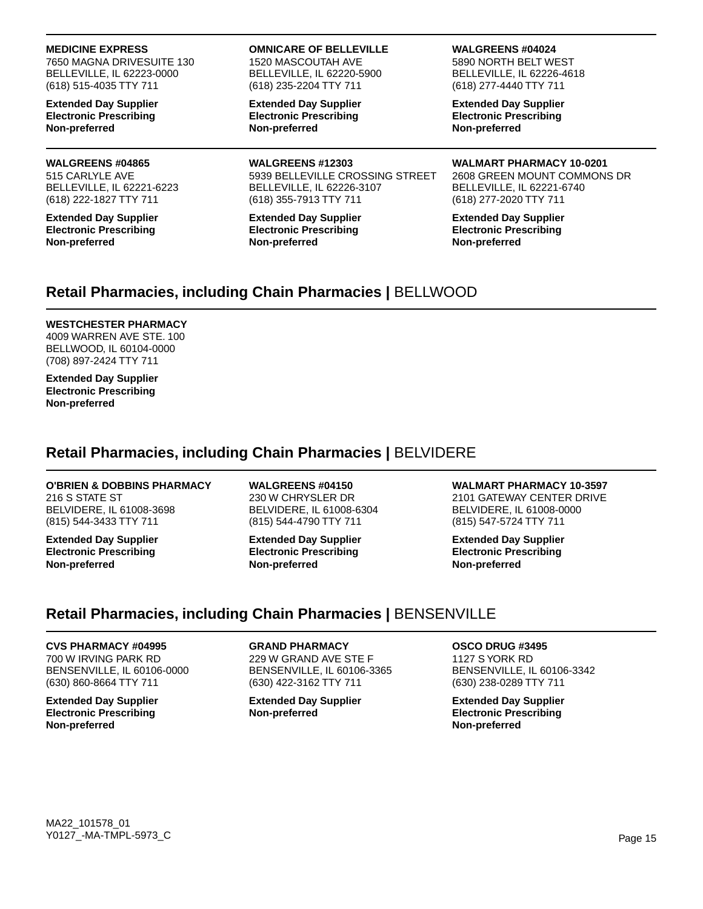#### **MEDICINE EXPRESS**

7650 MAGNA DRIVESUITE 130 BELLEVILLE, IL 62223-0000 (618) 515-4035 TTY 711

**Extended Day Supplier Electronic Prescribing Non-preferred**

# **WALGREENS #04865**

515 CARLYLE AVE BELLEVILLE, IL 62221-6223 (618) 222-1827 TTY 711

**Extended Day Supplier Electronic Prescribing Non-preferred**

#### **OMNICARE OF BELLEVILLE** 1520 MASCOUTAH AVE

BELLEVILLE, IL 62220-5900 (618) 235-2204 TTY 711

**Extended Day Supplier Electronic Prescribing Non-preferred**

**WALGREENS #12303** 5939 BELLEVILLE CROSSING STREET BELLEVILLE, IL 62226-3107 (618) 355-7913 TTY 711

**Extended Day Supplier Electronic Prescribing Non-preferred**

### **WALGREENS #04024**

5890 NORTH BELT WEST BELLEVILLE, IL 62226-4618 (618) 277-4440 TTY 711

**Extended Day Supplier Electronic Prescribing Non-preferred**

**WALMART PHARMACY 10-0201** 2608 GREEN MOUNT COMMONS DR BELLEVILLE, IL 62221-6740 (618) 277-2020 TTY 711

**Extended Day Supplier Electronic Prescribing Non-preferred**

# **Retail Pharmacies, including Chain Pharmacies |** BELLWOOD

### **WESTCHESTER PHARMACY**

4009 WARREN AVE STE. 100 BELLWOOD, IL 60104-0000 (708) 897-2424 TTY 711

**Extended Day Supplier Electronic Prescribing Non-preferred**

# **Retail Pharmacies, including Chain Pharmacies |** BELVIDERE

# **O'BRIEN & DOBBINS PHARMACY**

216 S STATE ST BELVIDERE, IL 61008-3698 (815) 544-3433 TTY 711

**Extended Day Supplier Electronic Prescribing Non-preferred**

**WALGREENS #04150** 230 W CHRYSLER DR BELVIDERE, IL 61008-6304 (815) 544-4790 TTY 711

**Extended Day Supplier Electronic Prescribing Non-preferred**

**WALMART PHARMACY 10-3597** 2101 GATEWAY CENTER DRIVE BELVIDERE, IL 61008-0000 (815) 547-5724 TTY 711

**Extended Day Supplier Electronic Prescribing Non-preferred**

# **Retail Pharmacies, including Chain Pharmacies |** BENSENVILLE

### **CVS PHARMACY #04995**

700 W IRVING PARK RD BENSENVILLE, IL 60106-0000 (630) 860-8664 TTY 711

**Extended Day Supplier Electronic Prescribing Non-preferred**

**GRAND PHARMACY** 229 W GRAND AVE STE F BENSENVILLE, IL 60106-3365 (630) 422-3162 TTY 711

**Extended Day Supplier Non-preferred**

**OSCO DRUG #3495** 1127 S YORK RD BENSENVILLE, IL 60106-3342 (630) 238-0289 TTY 711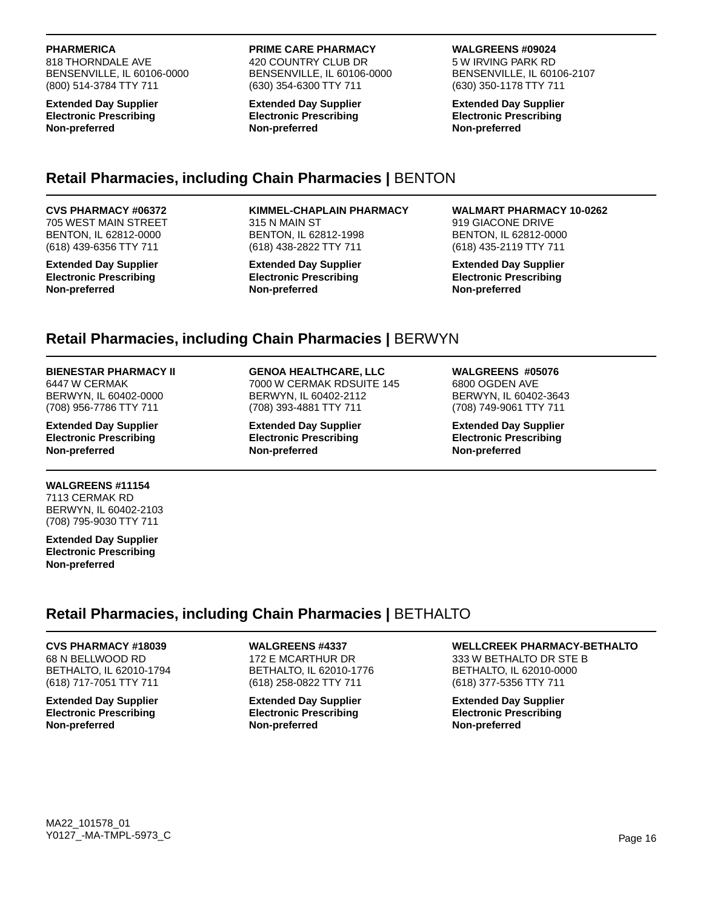### **PHARMERICA**

818 THORNDALE AVE BENSENVILLE, IL 60106-0000 (800) 514-3784 TTY 711

**Extended Day Supplier Electronic Prescribing Non-preferred**

#### **PRIME CARE PHARMACY**

420 COUNTRY CLUB DR BENSENVILLE, IL 60106-0000 (630) 354-6300 TTY 711

**Extended Day Supplier Electronic Prescribing Non-preferred**

**WALGREENS #09024** 5 W IRVING PARK RD BENSENVILLE, IL 60106-2107

**Extended Day Supplier Electronic Prescribing Non-preferred**

(630) 350-1178 TTY 711

# **Retail Pharmacies, including Chain Pharmacies |** BENTON

#### **CVS PHARMACY #06372** 705 WEST MAIN STREET BENTON, IL 62812-0000

(618) 439-6356 TTY 711 **Extended Day Supplier Electronic Prescribing**

**Non-preferred**

### **KIMMEL-CHAPLAIN PHARMACY**

315 N MAIN ST BENTON, IL 62812-1998 (618) 438-2822 TTY 711

**Extended Day Supplier Electronic Prescribing Non-preferred**

### **WALMART PHARMACY 10-0262** 919 GIACONE DRIVE

BENTON, IL 62812-0000 (618) 435-2119 TTY 711

**Extended Day Supplier Electronic Prescribing Non-preferred**

# **Retail Pharmacies, including Chain Pharmacies |** BERWYN

### **BIENESTAR PHARMACY II**

6447 W CERMAK BERWYN, IL 60402-0000 (708) 956-7786 TTY 711

**Extended Day Supplier Electronic Prescribing Non-preferred**

### **WALGREENS #11154**

7113 CERMAK RD BERWYN, IL 60402-2103 (708) 795-9030 TTY 711

**Extended Day Supplier Electronic Prescribing Non-preferred**

# **GENOA HEALTHCARE, LLC**

7000 W CERMAK RDSUITE 145 BERWYN, IL 60402-2112 (708) 393-4881 TTY 711

**Extended Day Supplier Electronic Prescribing Non-preferred**

#### **WALGREENS #05076** 6800 OGDEN AVE BERWYN, IL 60402-3643 (708) 749-9061 TTY 711

**Extended Day Supplier Electronic Prescribing Non-preferred**

**Retail Pharmacies, including Chain Pharmacies |** BETHALTO

# **CVS PHARMACY #18039**

68 N BELLWOOD RD BETHALTO, IL 62010-1794 (618) 717-7051 TTY 711

**Extended Day Supplier Electronic Prescribing Non-preferred**

### **WALGREENS #4337**

172 E MCARTHUR DR BETHALTO, IL 62010-1776 (618) 258-0822 TTY 711

**Extended Day Supplier Electronic Prescribing Non-preferred**

### **WELLCREEK PHARMACY-BETHALTO**

333 W BETHALTO DR STE B BETHALTO, IL 62010-0000 (618) 377-5356 TTY 711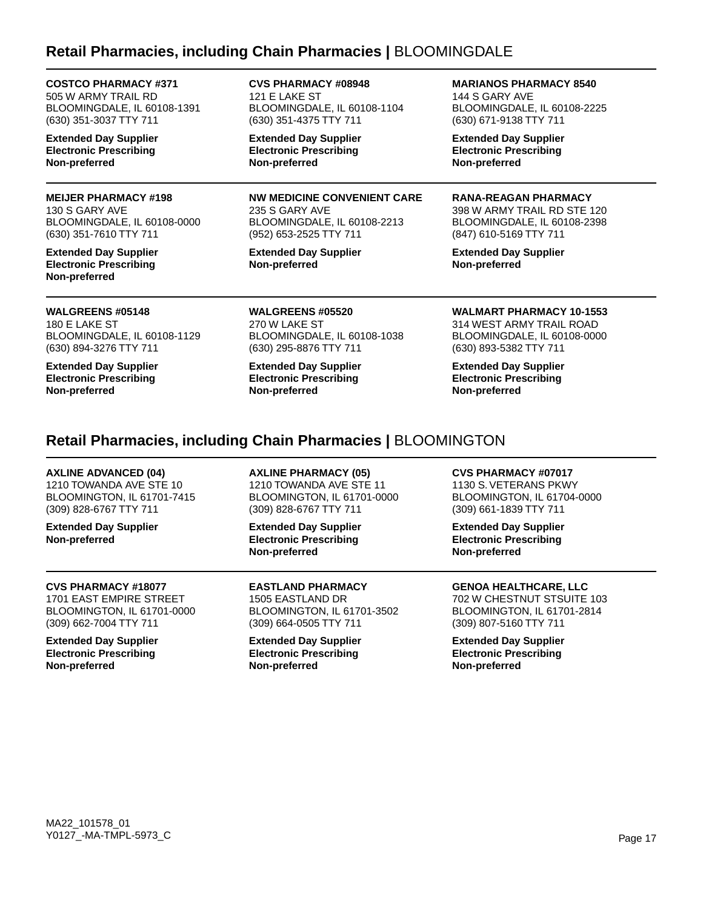# **Retail Pharmacies, including Chain Pharmacies |** BLOOMINGDALE

121 E LAKE ST

### **COSTCO PHARMACY #371**

505 W ARMY TRAIL RD BLOOMINGDALE, IL 60108-1391 (630) 351-3037 TTY 711

**Extended Day Supplier Electronic Prescribing Non-preferred**

### **MEIJER PHARMACY #198**

130 S GARY AVE BLOOMINGDALE, IL 60108-0000 (630) 351-7610 TTY 711

**Extended Day Supplier Electronic Prescribing Non-preferred**

**Extended Day Supplier Electronic Prescribing Non-preferred**

**CVS PHARMACY #08948**

(630) 351-4375 TTY 711

BLOOMINGDALE, IL 60108-1104

**NW MEDICINE CONVENIENT CARE** 235 S GARY AVE BLOOMINGDALE, IL 60108-2213 (952) 653-2525 TTY 711

**Extended Day Supplier Non-preferred**

**MARIANOS PHARMACY 8540**

144 S GARY AVE BLOOMINGDALE, IL 60108-2225 (630) 671-9138 TTY 711

**Extended Day Supplier Electronic Prescribing Non-preferred**

**RANA-REAGAN PHARMACY**

398 W ARMY TRAIL RD STE 120 BLOOMINGDALE, IL 60108-2398 (847) 610-5169 TTY 711

**Extended Day Supplier Non-preferred**

**WALGREENS #05148** 180 E LAKE ST

BLOOMINGDALE, IL 60108-1129 (630) 894-3276 TTY 711

**Extended Day Supplier Electronic Prescribing Non-preferred**

**WALGREENS #05520** 270 W LAKE ST BLOOMINGDALE, IL 60108-1038 (630) 295-8876 TTY 711

**Extended Day Supplier Electronic Prescribing Non-preferred**

**WALMART PHARMACY 10-1553** 314 WEST ARMY TRAIL ROAD BLOOMINGDALE, IL 60108-0000 (630) 893-5382 TTY 711

**Extended Day Supplier Electronic Prescribing Non-preferred**

# **Retail Pharmacies, including Chain Pharmacies |** BLOOMINGTON

### **AXLINE ADVANCED (04)**

1210 TOWANDA AVE STE 10 BLOOMINGTON, IL 61701-7415 (309) 828-6767 TTY 711

**Extended Day Supplier Non-preferred**

### **CVS PHARMACY #18077**

1701 EAST EMPIRE STREET BLOOMINGTON, IL 61701-0000 (309) 662-7004 TTY 711

**Extended Day Supplier Electronic Prescribing Non-preferred**

**AXLINE PHARMACY (05)** 1210 TOWANDA AVE STE 11 BLOOMINGTON, IL 61701-0000 (309) 828-6767 TTY 711

**Extended Day Supplier Electronic Prescribing Non-preferred**

**EASTLAND PHARMACY** 1505 EASTLAND DR BLOOMINGTON, IL 61701-3502 (309) 664-0505 TTY 711

**Extended Day Supplier Electronic Prescribing Non-preferred**

**CVS PHARMACY #07017**

1130 S. VETERANS PKWY BLOOMINGTON, IL 61704-0000 (309) 661-1839 TTY 711

**Extended Day Supplier Electronic Prescribing Non-preferred**

# **GENOA HEALTHCARE, LLC**

702 W CHESTNUT STSUITE 103 BLOOMINGTON, IL 61701-2814 (309) 807-5160 TTY 711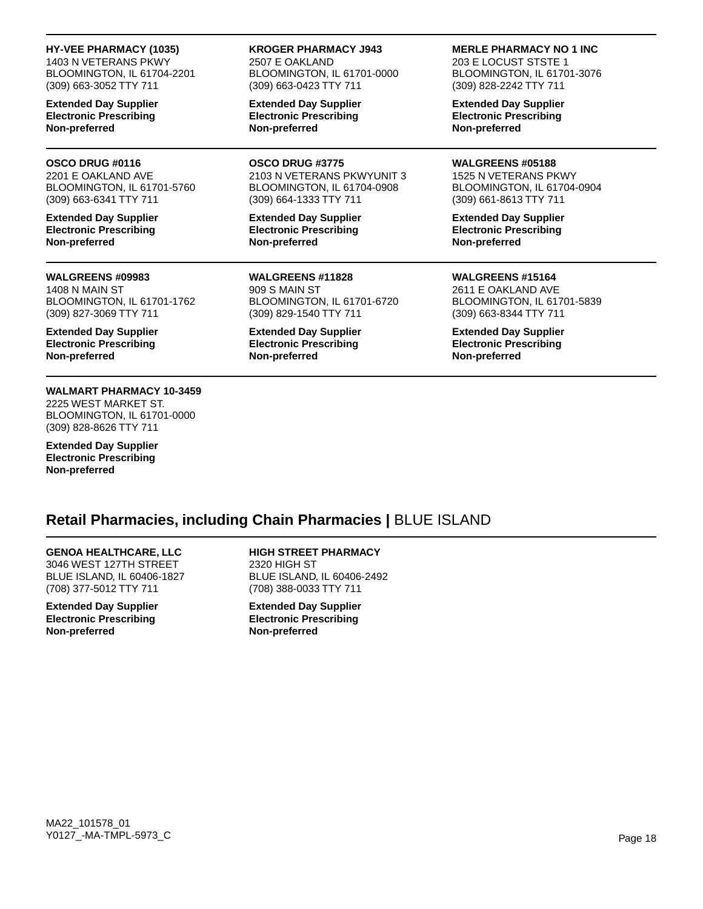#### **HY-VEE PHARMACY (1035)**

1403 N VETERANS PKWY BLOOMINGTON, IL 61704-2201 (309) 663-3052 TTY 711

**Extended Day Supplier Electronic Prescribing Non-preferred**

#### **OSCO DRUG #0116**

2201 E OAKLAND AVE BLOOMINGTON, IL 61701-5760 (309) 663-6341 TTY 711

**Extended Day Supplier Electronic Prescribing Non-preferred**

#### **WALGREENS #09983**

1408 N MAIN ST BLOOMINGTON, IL 61701-1762 (309) 827-3069 TTY 711

**Extended Day Supplier Electronic Prescribing Non-preferred**

### **WALMART PHARMACY 10-3459**

2225 WEST MARKET ST. BLOOMINGTON, IL 61701-0000 (309) 828-8626 TTY 711

**Extended Day Supplier Electronic Prescribing Non-preferred**

#### **KROGER PHARMACY J943** 2507 E OAKLAND BLOOMINGTON, IL 61701-0000 (309) 663-0423 TTY 711

**Extended Day Supplier Electronic Prescribing Non-preferred**

**OSCO DRUG #3775**

2103 N VETERANS PKWYUNIT 3 BLOOMINGTON, IL 61704-0908 (309) 664-1333 TTY 711

**Extended Day Supplier Electronic Prescribing Non-preferred**

**WALGREENS #11828** 909 S MAIN ST BLOOMINGTON, IL 61701-6720 (309) 829-1540 TTY 711

**Extended Day Supplier Electronic Prescribing Non-preferred**

### **MERLE PHARMACY NO 1 INC**

203 E LOCUST STSTE 1 BLOOMINGTON, IL 61701-3076 (309) 828-2242 TTY 711

**Extended Day Supplier Electronic Prescribing Non-preferred**

#### **WALGREENS #05188**

1525 N VETERANS PKWY BLOOMINGTON, IL 61704-0904 (309) 661-8613 TTY 711

**Extended Day Supplier Electronic Prescribing Non-preferred**

**WALGREENS #15164**

2611 E OAKLAND AVE BLOOMINGTON, IL 61701-5839 (309) 663-8344 TTY 711

**Extended Day Supplier Electronic Prescribing Non-preferred**

# **Retail Pharmacies, including Chain Pharmacies |** BLUE ISLAND

**GENOA HEALTHCARE, LLC** 3046 WEST 127TH STREET BLUE ISLAND, IL 60406-1827 (708) 377-5012 TTY 711

**Extended Day Supplier Electronic Prescribing Non-preferred**

**HIGH STREET PHARMACY** 2320 HIGH ST BLUE ISLAND, IL 60406-2492 (708) 388-0033 TTY 711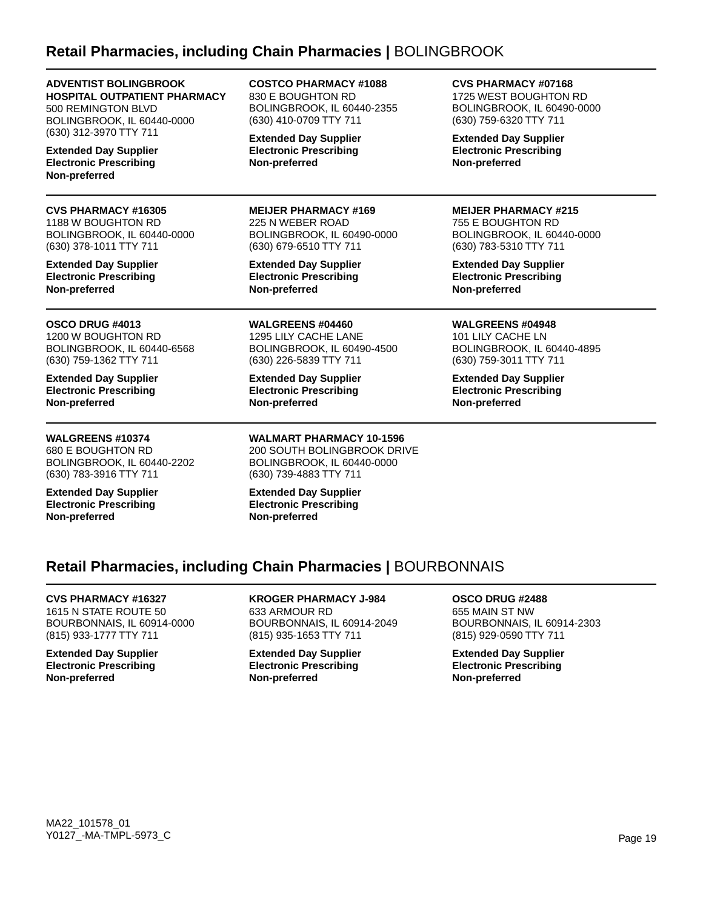# **Retail Pharmacies, including Chain Pharmacies |** BOLINGBROOK

**ADVENTIST BOLINGBROOK HOSPITAL OUTPATIENT PHARMACY** 500 REMINGTON BLVD BOLINGBROOK, IL 60440-0000 (630) 312-3970 TTY 711

**Extended Day Supplier Electronic Prescribing Non-preferred**

**CVS PHARMACY #16305** 1188 W BOUGHTON RD BOLINGBROOK, IL 60440-0000 (630) 378-1011 TTY 711

**Extended Day Supplier Electronic Prescribing Non-preferred**

**OSCO DRUG #4013** 1200 W BOUGHTON RD BOLINGBROOK, IL 60440-6568 (630) 759-1362 TTY 711

**Extended Day Supplier Electronic Prescribing Non-preferred**

### **WALGREENS #10374**

680 E BOUGHTON RD BOLINGBROOK, IL 60440-2202 (630) 783-3916 TTY 711

**Extended Day Supplier Electronic Prescribing Non-preferred**

**COSTCO PHARMACY #1088** 830 E BOUGHTON RD BOLINGBROOK, IL 60440-2355 (630) 410-0709 TTY 711

**Extended Day Supplier Electronic Prescribing Non-preferred**

### **MEIJER PHARMACY #169** 225 N WEBER ROAD

BOLINGBROOK, IL 60490-0000 (630) 679-6510 TTY 711

**Extended Day Supplier Electronic Prescribing Non-preferred**

**WALGREENS #04460** 1295 LILY CACHE LANE BOLINGBROOK, IL 60490-4500 (630) 226-5839 TTY 711

**Extended Day Supplier Electronic Prescribing Non-preferred**

**WALMART PHARMACY 10-1596** 200 SOUTH BOLINGBROOK DRIVE BOLINGBROOK, IL 60440-0000 (630) 739-4883 TTY 711

**Extended Day Supplier Electronic Prescribing Non-preferred**

**CVS PHARMACY #07168** 1725 WEST BOUGHTON RD BOLINGBROOK, IL 60490-0000 (630) 759-6320 TTY 711

**Extended Day Supplier Electronic Prescribing Non-preferred**

### **MEIJER PHARMACY #215**

755 E BOUGHTON RD BOLINGBROOK, IL 60440-0000 (630) 783-5310 TTY 711

**Extended Day Supplier Electronic Prescribing Non-preferred**

### **WALGREENS #04948**

101 LILY CACHE LN BOLINGBROOK, IL 60440-4895 (630) 759-3011 TTY 711

**Extended Day Supplier Electronic Prescribing Non-preferred**

# **Retail Pharmacies, including Chain Pharmacies |** BOURBONNAIS

# **CVS PHARMACY #16327**

1615 N STATE ROUTE 50 BOURBONNAIS, IL 60914-0000 (815) 933-1777 TTY 711

**Extended Day Supplier Electronic Prescribing Non-preferred**

**KROGER PHARMACY J-984** 633 ARMOUR RD BOURBONNAIS, IL 60914-2049 (815) 935-1653 TTY 711

**Extended Day Supplier Electronic Prescribing Non-preferred**

**OSCO DRUG #2488** 655 MAIN ST NW BOURBONNAIS, IL 60914-2303 (815) 929-0590 TTY 711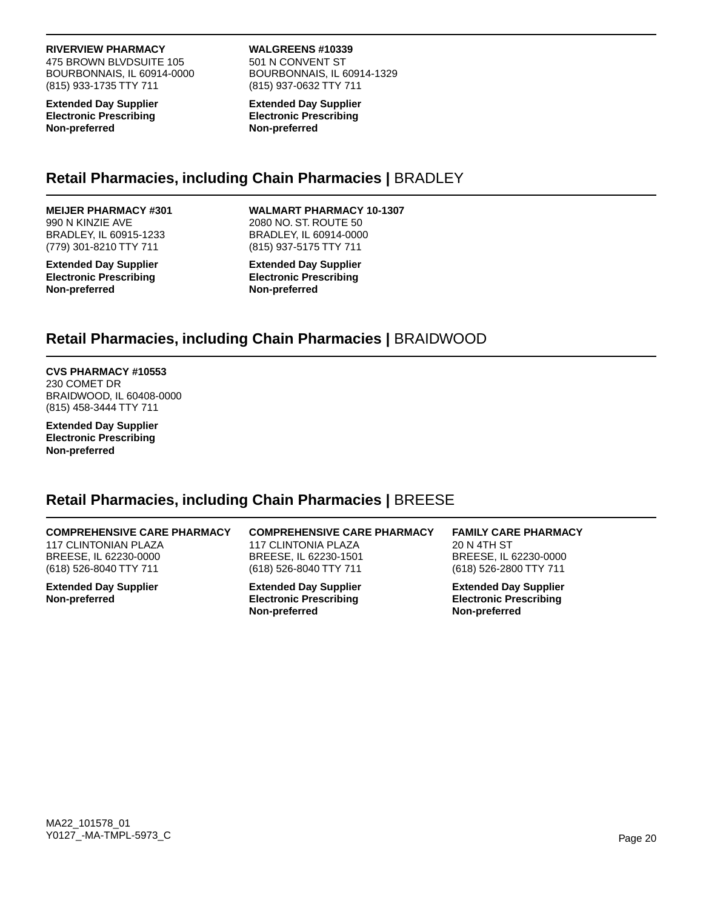#### **RIVERVIEW PHARMACY**

475 BROWN BLVDSUITE 105 BOURBONNAIS, IL 60914-0000 (815) 933-1735 TTY 711

**Extended Day Supplier Electronic Prescribing Non-preferred**

# **WALGREENS #10339**

501 N CONVENT ST BOURBONNAIS, IL 60914-1329 (815) 937-0632 TTY 711

**Extended Day Supplier Electronic Prescribing Non-preferred**

# **Retail Pharmacies, including Chain Pharmacies |** BRADLEY

### **MEIJER PHARMACY #301** 990 N KINZIE AVE BRADLEY, IL 60915-1233 (779) 301-8210 TTY 711

**Extended Day Supplier Electronic Prescribing Non-preferred**

### **WALMART PHARMACY 10-1307**

2080 NO. ST. ROUTE 50 BRADLEY, IL 60914-0000 (815) 937-5175 TTY 711

**Extended Day Supplier Electronic Prescribing Non-preferred**

# **Retail Pharmacies, including Chain Pharmacies |** BRAIDWOOD

#### **CVS PHARMACY #10553** 230 COMET DR BRAIDWOOD, IL 60408-0000 (815) 458-3444 TTY 711

**Extended Day Supplier Electronic Prescribing Non-preferred**

# **Retail Pharmacies, including Chain Pharmacies |** BREESE

# **COMPREHENSIVE CARE PHARMACY**

117 CLINTONIAN PLAZA BREESE, IL 62230-0000 (618) 526-8040 TTY 711

**Extended Day Supplier Non-preferred**

**COMPREHENSIVE CARE PHARMACY** 117 CLINTONIA PLAZA BREESE, IL 62230-1501 (618) 526-8040 TTY 711

**Extended Day Supplier Electronic Prescribing Non-preferred**

**FAMILY CARE PHARMACY** 20 N 4TH ST BREESE, IL 62230-0000 (618) 526-2800 TTY 711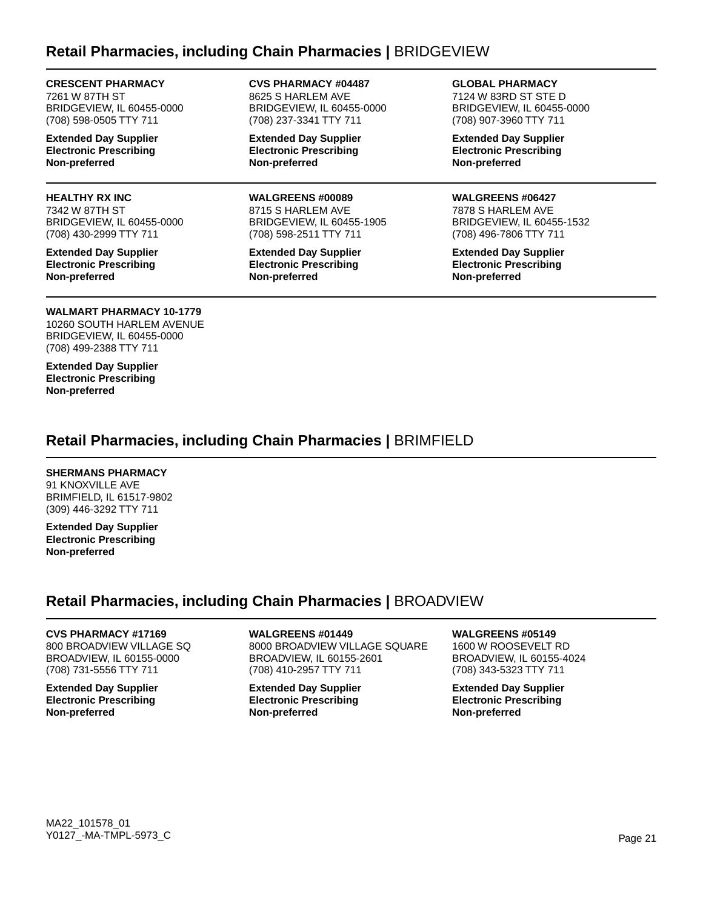# **Retail Pharmacies, including Chain Pharmacies |** BRIDGEVIEW

### **CRESCENT PHARMACY**

7261 W 87TH ST BRIDGEVIEW, IL 60455-0000 (708) 598-0505 TTY 711

**Extended Day Supplier Electronic Prescribing Non-preferred**

### **HEALTHY RX INC**

7342 W 87TH ST BRIDGEVIEW, IL 60455-0000 (708) 430-2999 TTY 711

**Extended Day Supplier Electronic Prescribing Non-preferred**

#### **CVS PHARMACY #04487** 8625 S HARLEM AVE BRIDGEVIEW, IL 60455-0000 (708) 237-3341 TTY 711

**Extended Day Supplier Electronic Prescribing Non-preferred**

# **WALGREENS #00089**

8715 S HARLEM AVE BRIDGEVIEW, IL 60455-1905 (708) 598-2511 TTY 711

**Extended Day Supplier Electronic Prescribing Non-preferred**

**GLOBAL PHARMACY** 7124 W 83RD ST STE D BRIDGEVIEW, IL 60455-0000

**Extended Day Supplier Electronic Prescribing Non-preferred**

(708) 907-3960 TTY 711

### **WALGREENS #06427**

7878 S HARLEM AVE BRIDGEVIEW, IL 60455-1532 (708) 496-7806 TTY 711

**Extended Day Supplier Electronic Prescribing Non-preferred**

# **WALMART PHARMACY 10-1779**

10260 SOUTH HARLEM AVENUE BRIDGEVIEW, IL 60455-0000 (708) 499-2388 TTY 711

**Extended Day Supplier Electronic Prescribing Non-preferred**

# **Retail Pharmacies, including Chain Pharmacies |** BRIMFIELD

### **SHERMANS PHARMACY**

91 KNOXVILLE AVE BRIMFIELD, IL 61517-9802 (309) 446-3292 TTY 711

**Extended Day Supplier Electronic Prescribing Non-preferred**

# **Retail Pharmacies, including Chain Pharmacies |** BROADVIEW

# **CVS PHARMACY #17169**

800 BROADVIEW VILLAGE SQ BROADVIEW, IL 60155-0000 (708) 731-5556 TTY 711

**Extended Day Supplier Electronic Prescribing Non-preferred**

**WALGREENS #01449**

8000 BROADVIEW VILLAGE SQUARE BROADVIEW, IL 60155-2601 (708) 410-2957 TTY 711

**Extended Day Supplier Electronic Prescribing Non-preferred**

### **WALGREENS #05149**

1600 W ROOSEVELT RD BROADVIEW, IL 60155-4024 (708) 343-5323 TTY 711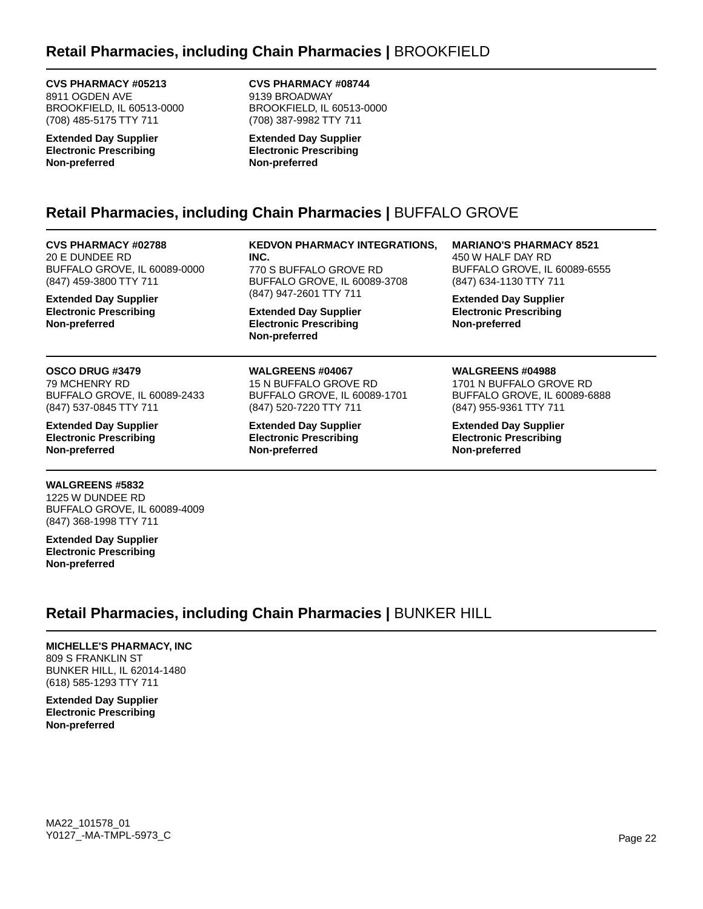### **CVS PHARMACY #05213**

8911 OGDEN AVE BROOKFIELD, IL 60513-0000 (708) 485-5175 TTY 711

**Extended Day Supplier Electronic Prescribing Non-preferred**

**CVS PHARMACY #08744** 9139 BROADWAY BROOKFIELD, IL 60513-0000 (708) 387-9982 TTY 711

**Extended Day Supplier Electronic Prescribing Non-preferred**

# **Retail Pharmacies, including Chain Pharmacies |** BUFFALO GROVE

**CVS PHARMACY #02788** 20 E DUNDEE RD BUFFALO GROVE, IL 60089-0000 (847) 459-3800 TTY 711

**Extended Day Supplier Electronic Prescribing Non-preferred**

# **OSCO DRUG #3479**

79 MCHENRY RD BUFFALO GROVE, IL 60089-2433 (847) 537-0845 TTY 711

**Extended Day Supplier Electronic Prescribing Non-preferred**

### **WALGREENS #5832**

1225 W DUNDEE RD BUFFALO GROVE, IL 60089-4009 (847) 368-1998 TTY 711

**Extended Day Supplier Electronic Prescribing Non-preferred**

#### **KEDVON PHARMACY INTEGRATIONS, INC.**

770 S BUFFALO GROVE RD BUFFALO GROVE, IL 60089-3708 (847) 947-2601 TTY 711

**Extended Day Supplier Electronic Prescribing Non-preferred**

### **WALGREENS #04067**

15 N BUFFALO GROVE RD BUFFALO GROVE, IL 60089-1701 (847) 520-7220 TTY 711

**Extended Day Supplier Electronic Prescribing Non-preferred**

**MARIANO'S PHARMACY 8521** 450 W HALF DAY RD BUFFALO GROVE, IL 60089-6555 (847) 634-1130 TTY 711

**Extended Day Supplier Electronic Prescribing Non-preferred**

### **WALGREENS #04988**

1701 N BUFFALO GROVE RD BUFFALO GROVE, IL 60089-6888 (847) 955-9361 TTY 711

**Extended Day Supplier Electronic Prescribing Non-preferred**

**Retail Pharmacies, including Chain Pharmacies |** BUNKER HILL

# **MICHELLE'S PHARMACY, INC**

809 S FRANKLIN ST BUNKER HILL, IL 62014-1480 (618) 585-1293 TTY 711

**Extended Day Supplier Electronic Prescribing Non-preferred**

MA22\_101578\_01 Y0127\_-MA-TMPL-5973\_C Page 22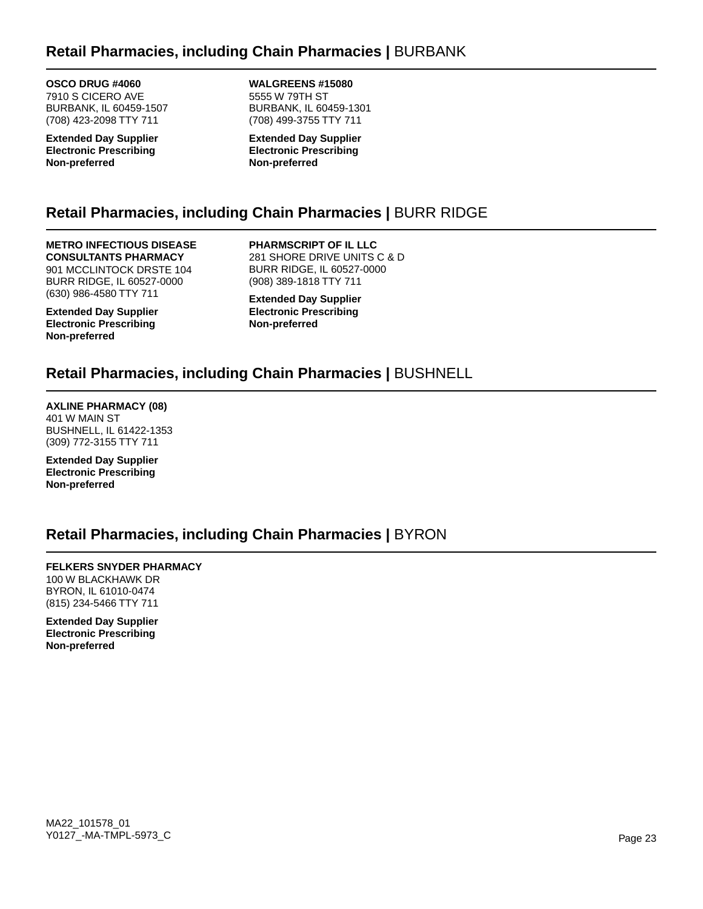# **Retail Pharmacies, including Chain Pharmacies |** BURBANK

**OSCO DRUG #4060** 7910 S CICERO AVE BURBANK, IL 60459-1507 (708) 423-2098 TTY 711

**Extended Day Supplier Electronic Prescribing Non-preferred**

**WALGREENS #15080** 5555 W 79TH ST BURBANK, IL 60459-1301 (708) 499-3755 TTY 711

**Extended Day Supplier Electronic Prescribing Non-preferred**

# **Retail Pharmacies, including Chain Pharmacies |** BURR RIDGE

### **METRO INFECTIOUS DISEASE**

**CONSULTANTS PHARMACY** 901 MCCLINTOCK DRSTE 104 BURR RIDGE, IL 60527-0000 (630) 986-4580 TTY 711

**Extended Day Supplier Electronic Prescribing Non-preferred**

**PHARMSCRIPT OF IL LLC** 281 SHORE DRIVE UNITS C & D BURR RIDGE, IL 60527-0000 (908) 389-1818 TTY 711

**Extended Day Supplier Electronic Prescribing Non-preferred**

# **Retail Pharmacies, including Chain Pharmacies |** BUSHNELL

**AXLINE PHARMACY (08)** 401 W MAIN ST BUSHNELL, IL 61422-1353 (309) 772-3155 TTY 711

**Extended Day Supplier Electronic Prescribing Non-preferred**

# **Retail Pharmacies, including Chain Pharmacies |** BYRON

**FELKERS SNYDER PHARMACY** 100 W BLACKHAWK DR BYRON, IL 61010-0474 (815) 234-5466 TTY 711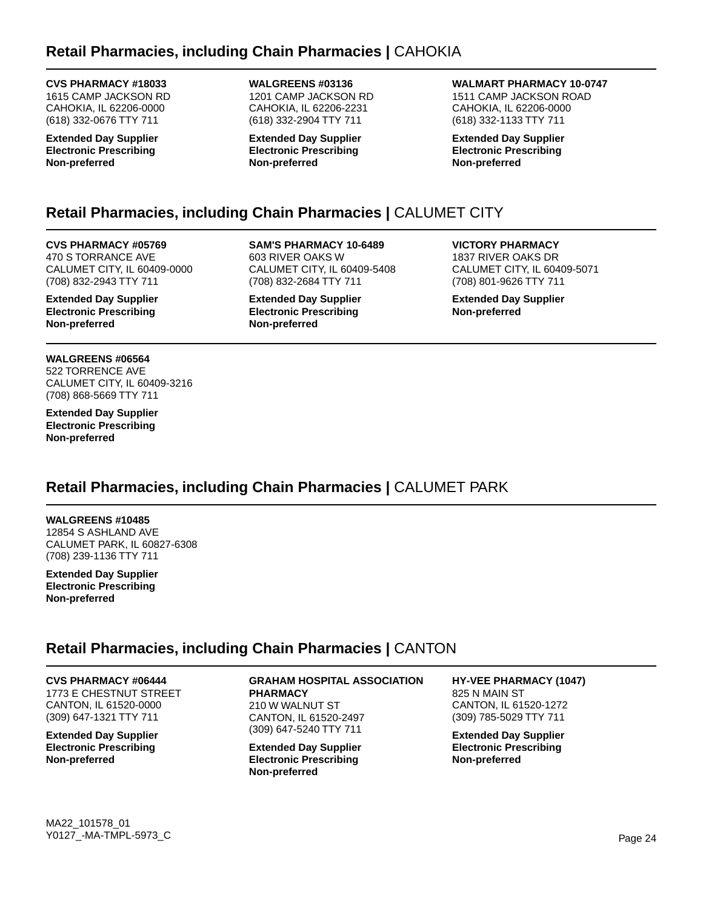### **CVS PHARMACY #18033**

1615 CAMP JACKSON RD CAHOKIA, IL 62206-0000 (618) 332-0676 TTY 711

**Extended Day Supplier Electronic Prescribing Non-preferred**

### **WALGREENS #03136** 1201 CAMP JACKSON RD CAHOKIA, IL 62206-2231 (618) 332-2904 TTY 711

**Extended Day Supplier Electronic Prescribing Non-preferred**

# **WALMART PHARMACY 10-0747**

1511 CAMP JACKSON ROAD CAHOKIA, IL 62206-0000 (618) 332-1133 TTY 711

**Extended Day Supplier Electronic Prescribing Non-preferred**

# **Retail Pharmacies, including Chain Pharmacies |** CALUMET CITY

**CVS PHARMACY #05769** 470 S TORRANCE AVE CALUMET CITY, IL 60409-0000 (708) 832-2943 TTY 711

**Extended Day Supplier Electronic Prescribing Non-preferred**

**WALGREENS #06564** 522 TORRENCE AVE CALUMET CITY, IL 60409-3216 (708) 868-5669 TTY 711

**Extended Day Supplier Electronic Prescribing Non-preferred**

**SAM'S PHARMACY 10-6489** 603 RIVER OAKS W CALUMET CITY, IL 60409-5408 (708) 832-2684 TTY 711

**Extended Day Supplier Electronic Prescribing Non-preferred**

**VICTORY PHARMACY** 1837 RIVER OAKS DR CALUMET CITY, IL 60409-5071 (708) 801-9626 TTY 711

**Extended Day Supplier Non-preferred**

# **Retail Pharmacies, including Chain Pharmacies |** CALUMET PARK

**WALGREENS #10485** 12854 S ASHLAND AVE CALUMET PARK, IL 60827-6308 (708) 239-1136 TTY 711

**Extended Day Supplier Electronic Prescribing Non-preferred**

# **Retail Pharmacies, including Chain Pharmacies |** CANTON

**CVS PHARMACY #06444**

1773 E CHESTNUT STREET CANTON, IL 61520-0000 (309) 647-1321 TTY 711

**Extended Day Supplier Electronic Prescribing Non-preferred**

**GRAHAM HOSPITAL ASSOCIATION PHARMACY** 210 W WALNUT ST CANTON, IL 61520-2497 (309) 647-5240 TTY 711

**Extended Day Supplier Electronic Prescribing Non-preferred**

**HY-VEE PHARMACY (1047)** 825 N MAIN ST CANTON, IL 61520-1272 (309) 785-5029 TTY 711

**Extended Day Supplier Electronic Prescribing Non-preferred**

MA22\_101578\_01 Y0127\_-MA-TMPL-5973\_C Page 24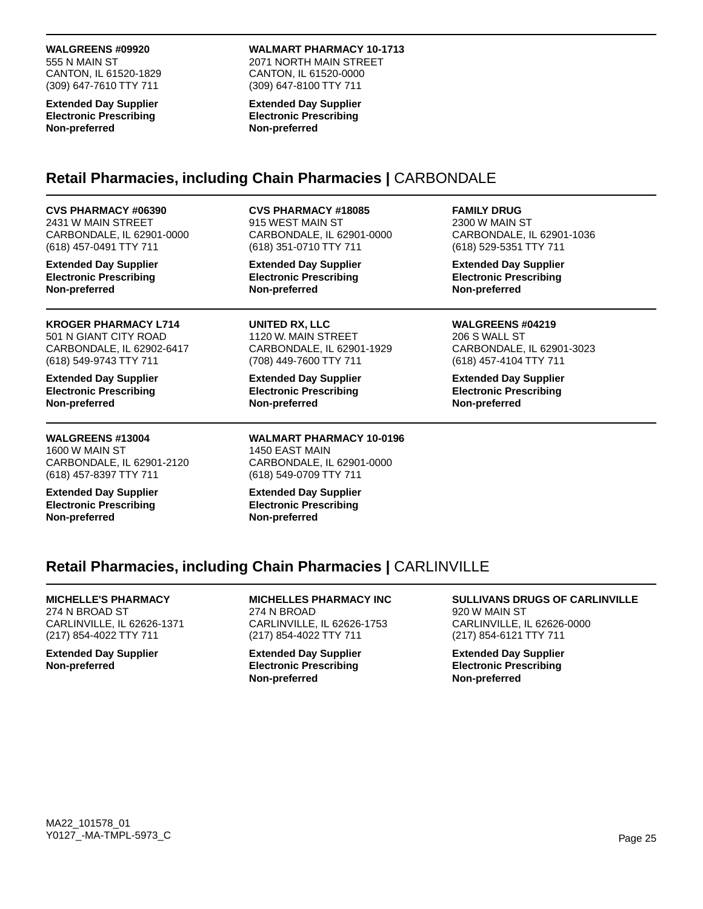### **WALGREENS #09920**

555 N MAIN ST CANTON, IL 61520-1829 (309) 647-7610 TTY 711

**Extended Day Supplier Electronic Prescribing Non-preferred**

### **WALMART PHARMACY 10-1713**

2071 NORTH MAIN STREET CANTON, IL 61520-0000 (309) 647-8100 TTY 711

#### **Extended Day Supplier Electronic Prescribing Non-preferred**

# **Retail Pharmacies, including Chain Pharmacies |** CARBONDALE

### **CVS PHARMACY #06390**

2431 W MAIN STREET CARBONDALE, IL 62901-0000 (618) 457-0491 TTY 711

**Extended Day Supplier Electronic Prescribing Non-preferred**

**KROGER PHARMACY L714** 501 N GIANT CITY ROAD CARBONDALE, IL 62902-6417 (618) 549-9743 TTY 711

**Extended Day Supplier Electronic Prescribing Non-preferred**

**WALGREENS #13004** 1600 W MAIN ST CARBONDALE, IL 62901-2120 (618) 457-8397 TTY 711

**Extended Day Supplier Electronic Prescribing Non-preferred**

### **CVS PHARMACY #18085**

915 WEST MAIN ST CARBONDALE, IL 62901-0000 (618) 351-0710 TTY 711

**Extended Day Supplier Electronic Prescribing Non-preferred**

**UNITED RX, LLC** 1120 W. MAIN STREET CARBONDALE, IL 62901-1929 (708) 449-7600 TTY 711

**Extended Day Supplier Electronic Prescribing Non-preferred**

**WALMART PHARMACY 10-0196** 1450 EAST MAIN CARBONDALE, IL 62901-0000 (618) 549-0709 TTY 711

**Extended Day Supplier Electronic Prescribing Non-preferred**

**FAMILY DRUG** 2300 W MAIN ST

CARBONDALE, IL 62901-1036 (618) 529-5351 TTY 711

**Extended Day Supplier Electronic Prescribing Non-preferred**

### **WALGREENS #04219** 206 S WALL ST

CARBONDALE, IL 62901-3023 (618) 457-4104 TTY 711

**Extended Day Supplier Electronic Prescribing Non-preferred**

# **Retail Pharmacies, including Chain Pharmacies |** CARLINVILLE

# **MICHELLE'S PHARMACY**

274 N BROAD ST CARLINVILLE, IL 62626-1371 (217) 854-4022 TTY 711

**Extended Day Supplier Non-preferred**

**MICHELLES PHARMACY INC** 274 N BROAD CARLINVILLE, IL 62626-1753 (217) 854-4022 TTY 711

**Extended Day Supplier Electronic Prescribing Non-preferred**

### **SULLIVANS DRUGS OF CARLINVILLE** 920 W MAIN ST

CARLINVILLE, IL 62626-0000 (217) 854-6121 TTY 711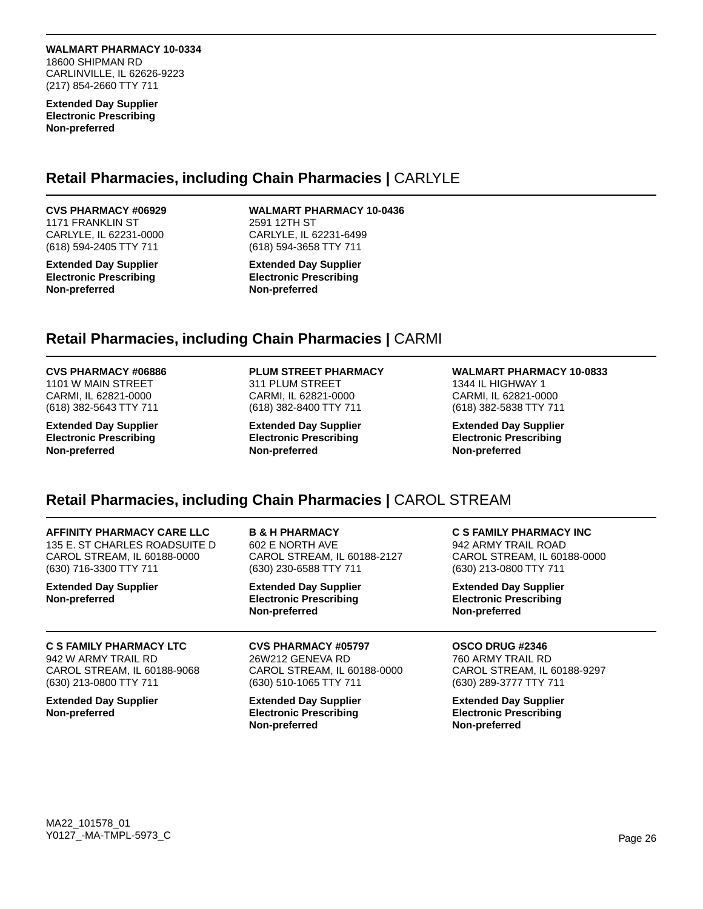**WALMART PHARMACY 10-0334** 18600 SHIPMAN RD CARLINVILLE, IL 62626-9223 (217) 854-2660 TTY 711

**Extended Day Supplier Electronic Prescribing Non-preferred**

# **Retail Pharmacies, including Chain Pharmacies |** CARLYLE

### **CVS PHARMACY #06929**

1171 FRANKLIN ST CARLYLE, IL 62231-0000 (618) 594-2405 TTY 711

**Extended Day Supplier Electronic Prescribing Non-preferred**

# **WALMART PHARMACY 10-0436**

2591 12TH ST CARLYLE, IL 62231-6499 (618) 594-3658 TTY 711

**Extended Day Supplier Electronic Prescribing Non-preferred**

# **Retail Pharmacies, including Chain Pharmacies |** CARMI

### **CVS PHARMACY #06886**

1101 W MAIN STREET CARMI, IL 62821-0000 (618) 382-5643 TTY 711

**Extended Day Supplier Electronic Prescribing Non-preferred**

### **PLUM STREET PHARMACY**

311 PLUM STREET CARMI, IL 62821-0000 (618) 382-8400 TTY 711

**Extended Day Supplier Electronic Prescribing Non-preferred**

#### **WALMART PHARMACY 10-0833** 1344 IL HIGHWAY 1 CARMI, IL 62821-0000 (618) 382-5838 TTY 711

**Extended Day Supplier Electronic Prescribing Non-preferred**

**Non-preferred**

# **Retail Pharmacies, including Chain Pharmacies |** CAROL STREAM

**Non-preferred**

| AFFINITY PHARMACY CARE LLC                    | <b>B &amp; H PHARMACY</b>                                                      | C S FAMILY PHARMACY INC                                                        |
|-----------------------------------------------|--------------------------------------------------------------------------------|--------------------------------------------------------------------------------|
| 135 E. ST CHARLES ROADSUITE D                 | 602 E NORTH AVE                                                                | 942 ARMY TRAIL ROAD                                                            |
| CAROL STREAM. IL 60188-0000                   | CAROL STREAM. IL 60188-2127                                                    | CAROL STREAM. IL 60188-0000                                                    |
| (630) 716-3300 TTY 711                        | (630) 230-6588 TTY 711                                                         | (630) 213-0800 TTY 711                                                         |
| <b>Extended Day Supplier</b><br>Non-preferred | <b>Extended Day Supplier</b><br><b>Electronic Prescribing</b><br>Non-preferred | <b>Extended Day Supplier</b><br><b>Electronic Prescribing</b><br>Non-preferred |
| <b>C S FAMILY PHARMACY LTC</b>                | <b>CVS PHARMACY #05797</b>                                                     | OSCO DRUG #2346                                                                |
| 942 W ARMY TRAIL RD                           | 26W212 GENEVA RD                                                               | 760 ARMY TRAIL RD                                                              |
| CAROL STREAM, IL 60188-9068                   | CAROL STREAM, IL 60188-0000                                                    | CAROL STREAM, IL 60188-9297                                                    |
| (630) 213-0800 TTY 711                        | (630) 510-1065 TTY 711                                                         | (630) 289-3777 TTY 711                                                         |
| <b>Extended Day Supplier</b>                  | <b>Extended Day Supplier</b>                                                   | <b>Extended Day Supplier</b>                                                   |
| Non-preferred                                 | <b>Electronic Prescribing</b>                                                  | <b>Electronic Prescribing</b>                                                  |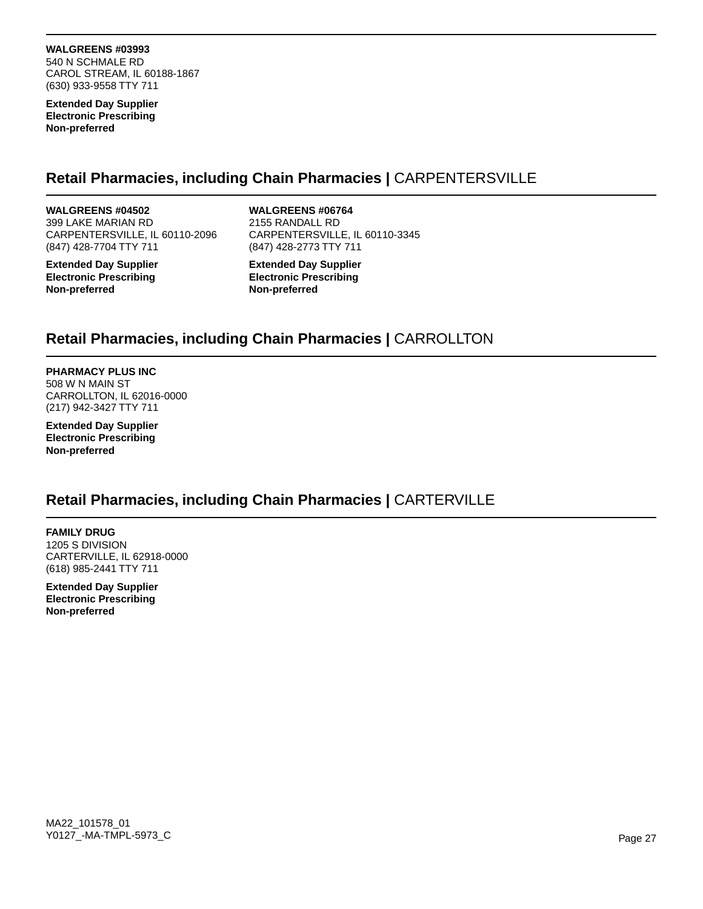**WALGREENS #03993** 540 N SCHMALE RD CAROL STREAM, IL 60188-1867 (630) 933-9558 TTY 711

**Extended Day Supplier Electronic Prescribing Non-preferred**

# **Retail Pharmacies, including Chain Pharmacies |** CARPENTERSVILLE

**WALGREENS #04502** 399 LAKE MARIAN RD CARPENTERSVILLE, IL 60110-2096 (847) 428-7704 TTY 711

**Extended Day Supplier Electronic Prescribing Non-preferred**

**WALGREENS #06764**

2155 RANDALL RD CARPENTERSVILLE, IL 60110-3345 (847) 428-2773 TTY 711

**Extended Day Supplier Electronic Prescribing Non-preferred**

# **Retail Pharmacies, including Chain Pharmacies |** CARROLLTON

**PHARMACY PLUS INC** 508 W N MAIN ST CARROLLTON, IL 62016-0000 (217) 942-3427 TTY 711

**Extended Day Supplier Electronic Prescribing Non-preferred**

# **Retail Pharmacies, including Chain Pharmacies |** CARTERVILLE

**FAMILY DRUG** 1205 S DIVISION CARTERVILLE, IL 62918-0000 (618) 985-2441 TTY 711

**Extended Day Supplier Electronic Prescribing Non-preferred**

MA22\_101578\_01 Y0127\_-MA-TMPL-5973\_C Page 27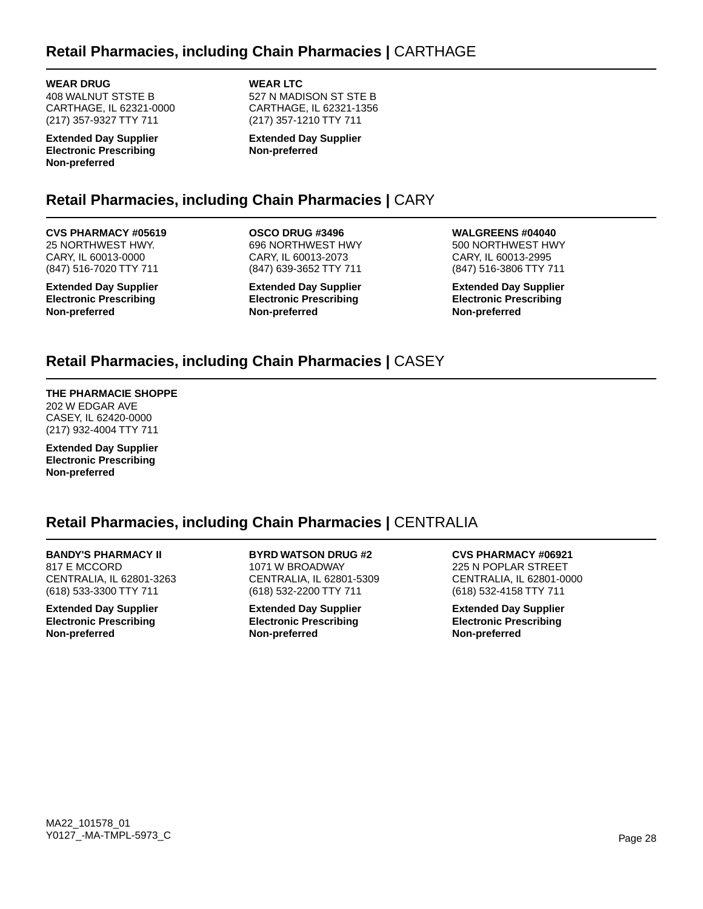# **Retail Pharmacies, including Chain Pharmacies |** CARTHAGE

**WEAR DRUG** 408 WALNUT STSTE B CARTHAGE, IL 62321-0000 (217) 357-9327 TTY 711

**Extended Day Supplier Electronic Prescribing Non-preferred**

**WEAR LTC** 527 N MADISON ST STE B CARTHAGE, IL 62321-1356 (217) 357-1210 TTY 711

**Extended Day Supplier Non-preferred**

# **Retail Pharmacies, including Chain Pharmacies |** CARY

# **CVS PHARMACY #05619**

25 NORTHWEST HWY. CARY, IL 60013-0000 (847) 516-7020 TTY 711

**Extended Day Supplier Electronic Prescribing Non-preferred**

**OSCO DRUG #3496** 696 NORTHWEST HWY CARY, IL 60013-2073 (847) 639-3652 TTY 711

**Extended Day Supplier Electronic Prescribing Non-preferred**

**WALGREENS #04040** 500 NORTHWEST HWY

CARY, IL 60013-2995 (847) 516-3806 TTY 711

**Extended Day Supplier Electronic Prescribing Non-preferred**

# **Retail Pharmacies, including Chain Pharmacies |** CASEY

# **THE PHARMACIE SHOPPE**

202 W EDGAR AVE CASEY, IL 62420-0000 (217) 932-4004 TTY 711

**Extended Day Supplier Electronic Prescribing Non-preferred**

# **Retail Pharmacies, including Chain Pharmacies |** CENTRALIA

### **BANDY'S PHARMACY II**

817 E MCCORD CENTRALIA, IL 62801-3263 (618) 533-3300 TTY 711

**Extended Day Supplier Electronic Prescribing Non-preferred**

**BYRD WATSON DRUG #2** 1071 W BROADWAY CENTRALIA, IL 62801-5309 (618) 532-2200 TTY 711

**Extended Day Supplier Electronic Prescribing Non-preferred**

**CVS PHARMACY #06921** 225 N POPLAR STREET CENTRALIA, IL 62801-0000 (618) 532-4158 TTY 711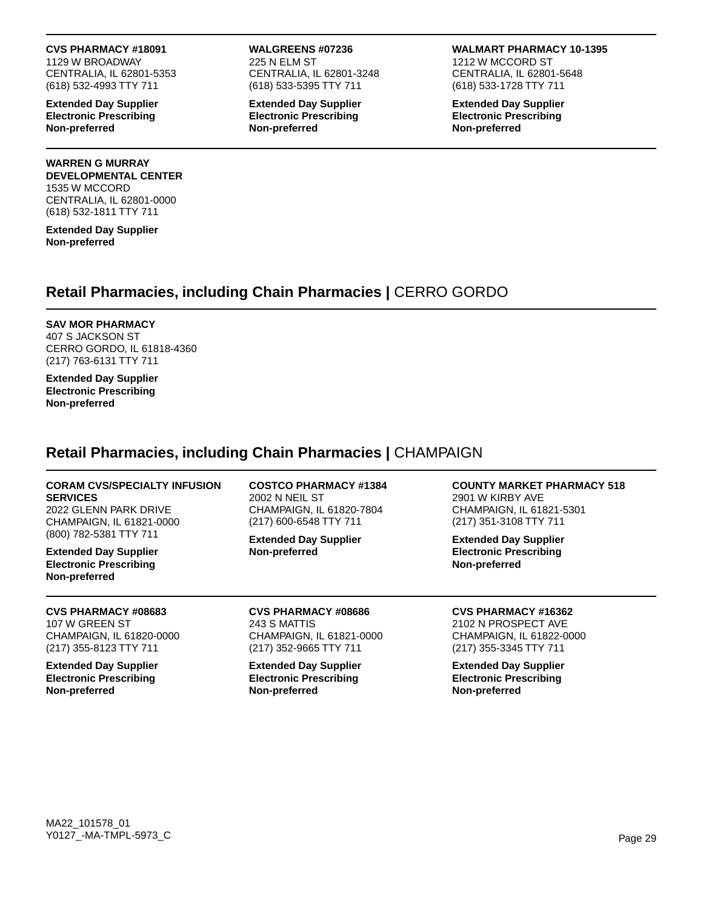**CVS PHARMACY #18091**

1129 W BROADWAY CENTRALIA, IL 62801-5353 (618) 532-4993 TTY 711

**Extended Day Supplier Electronic Prescribing Non-preferred**

### **WARREN G MURRAY DEVELOPMENTAL CENTER** 1535 W MCCORD CENTRALIA, IL 62801-0000 (618) 532-1811 TTY 711

**Extended Day Supplier Non-preferred**

### **WALGREENS #07236** 225 N ELM ST CENTRALIA, IL 62801-3248 (618) 533-5395 TTY 711

**Extended Day Supplier Electronic Prescribing Non-preferred**

### **WALMART PHARMACY 10-1395**

1212 W MCCORD ST CENTRALIA, IL 62801-5648 (618) 533-1728 TTY 711

**Extended Day Supplier Electronic Prescribing Non-preferred**

# **Retail Pharmacies, including Chain Pharmacies |** CERRO GORDO

# **SAV MOR PHARMACY**

407 S JACKSON ST CERRO GORDO, IL 61818-4360 (217) 763-6131 TTY 711

**Extended Day Supplier Electronic Prescribing Non-preferred**

# **Retail Pharmacies, including Chain Pharmacies |** CHAMPAIGN

### **CORAM CVS/SPECIALTY INFUSION SERVICES**

2022 GLENN PARK DRIVE CHAMPAIGN, IL 61821-0000 (800) 782-5381 TTY 711

**Extended Day Supplier Electronic Prescribing Non-preferred**

**CVS PHARMACY #08683** 107 W GREEN ST CHAMPAIGN, IL 61820-0000 (217) 355-8123 TTY 711

**Extended Day Supplier Electronic Prescribing Non-preferred**

**COSTCO PHARMACY #1384** 2002 N NEIL ST CHAMPAIGN, IL 61820-7804 (217) 600-6548 TTY 711

**Extended Day Supplier Non-preferred**

**CVS PHARMACY #08686** 243 S MATTIS CHAMPAIGN, IL 61821-0000 (217) 352-9665 TTY 711

**Extended Day Supplier Electronic Prescribing Non-preferred**

**COUNTY MARKET PHARMACY 518** 2901 W KIRBY AVE CHAMPAIGN, IL 61821-5301 (217) 351-3108 TTY 711

**Extended Day Supplier Electronic Prescribing Non-preferred**

**CVS PHARMACY #16362** 2102 N PROSPECT AVE CHAMPAIGN, IL 61822-0000 (217) 355-3345 TTY 711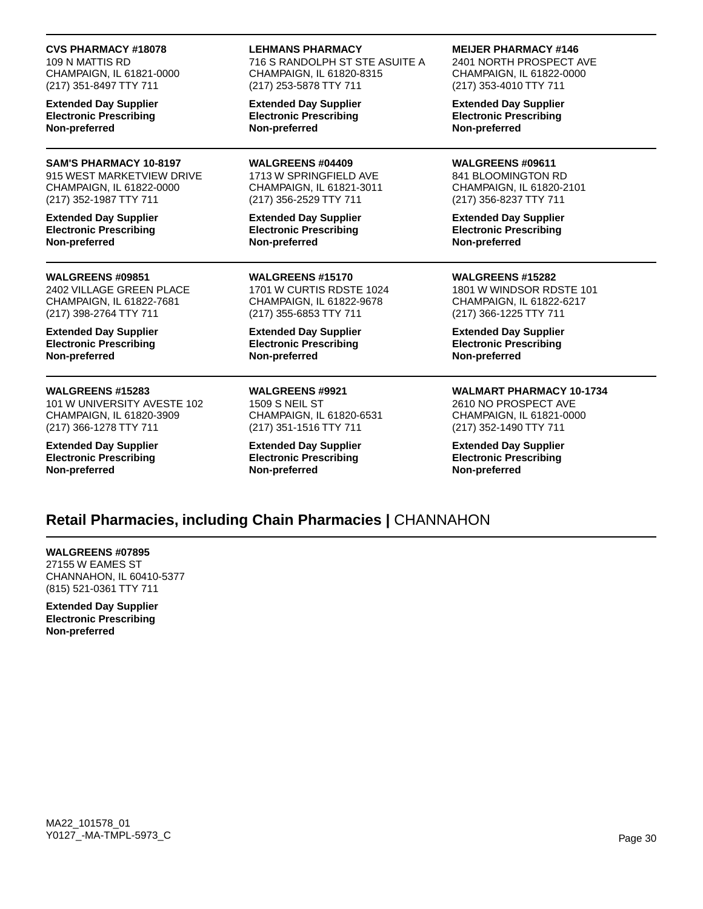### **CVS PHARMACY #18078**

109 N MATTIS RD CHAMPAIGN, IL 61821-0000 (217) 351-8497 TTY 711

**Extended Day Supplier Electronic Prescribing Non-preferred**

# **SAM'S PHARMACY 10-8197**

915 WEST MARKETVIEW DRIVE CHAMPAIGN, IL 61822-0000 (217) 352-1987 TTY 711

**Extended Day Supplier Electronic Prescribing Non-preferred**

#### **WALGREENS #09851**

2402 VILLAGE GREEN PLACE CHAMPAIGN, IL 61822-7681 (217) 398-2764 TTY 711

**Extended Day Supplier Electronic Prescribing Non-preferred**

### **WALGREENS #15283**

101 W UNIVERSITY AVESTE 102 CHAMPAIGN, IL 61820-3909 (217) 366-1278 TTY 711

**Extended Day Supplier Electronic Prescribing Non-preferred**

**LEHMANS PHARMACY**

716 S RANDOLPH ST STE ASUITE A CHAMPAIGN, IL 61820-8315 (217) 253-5878 TTY 711

**Extended Day Supplier Electronic Prescribing Non-preferred**

**WALGREENS #04409** 1713 W SPRINGFIELD AVE CHAMPAIGN, IL 61821-3011 (217) 356-2529 TTY 711

**Extended Day Supplier Electronic Prescribing Non-preferred**

**WALGREENS #15170** 1701 W CURTIS RDSTE 1024 CHAMPAIGN, IL 61822-9678 (217) 355-6853 TTY 711

**Extended Day Supplier Electronic Prescribing Non-preferred**

**WALGREENS #9921** 1509 S NEIL ST CHAMPAIGN, IL 61820-6531 (217) 351-1516 TTY 711

**Extended Day Supplier Electronic Prescribing Non-preferred**

**MEIJER PHARMACY #146**

2401 NORTH PROSPECT AVE CHAMPAIGN, IL 61822-0000 (217) 353-4010 TTY 711

**Extended Day Supplier Electronic Prescribing Non-preferred**

**WALGREENS #09611** 841 BLOOMINGTON RD CHAMPAIGN, IL 61820-2101 (217) 356-8237 TTY 711

**Extended Day Supplier Electronic Prescribing Non-preferred**

**WALGREENS #15282** 1801 W WINDSOR RDSTE 101 CHAMPAIGN, IL 61822-6217 (217) 366-1225 TTY 711

**Extended Day Supplier Electronic Prescribing Non-preferred**

### **WALMART PHARMACY 10-1734**

2610 NO PROSPECT AVE CHAMPAIGN, IL 61821-0000 (217) 352-1490 TTY 711

**Extended Day Supplier Electronic Prescribing Non-preferred**

# **Retail Pharmacies, including Chain Pharmacies |** CHANNAHON

**WALGREENS #07895** 27155 W EAMES ST CHANNAHON, IL 60410-5377 (815) 521-0361 TTY 711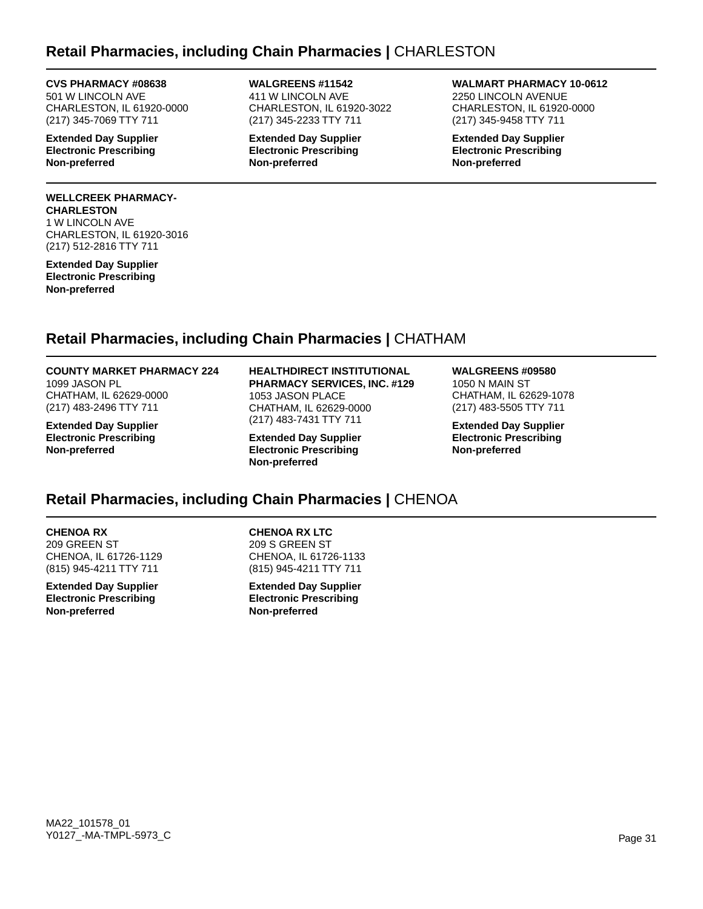# **Retail Pharmacies, including Chain Pharmacies |** CHARLESTON

### **CVS PHARMACY #08638**

501 W LINCOLN AVE CHARLESTON, IL 61920-0000 (217) 345-7069 TTY 711

**Extended Day Supplier Electronic Prescribing Non-preferred**

### **WELLCREEK PHARMACY-CHARLESTON**

1 W LINCOLN AVE CHARLESTON, IL 61920-3016 (217) 512-2816 TTY 711

**Extended Day Supplier Electronic Prescribing Non-preferred**

**WALGREENS #11542** 411 W LINCOLN AVE CHARLESTON, IL 61920-3022 (217) 345-2233 TTY 711

**Extended Day Supplier Electronic Prescribing Non-preferred**

**WALMART PHARMACY 10-0612** 2250 LINCOLN AVENUE CHARLESTON, IL 61920-0000

**Extended Day Supplier Electronic Prescribing Non-preferred**

(217) 345-9458 TTY 711

# **Retail Pharmacies, including Chain Pharmacies |** CHATHAM

# **COUNTY MARKET PHARMACY 224** 1099 JASON PL

CHATHAM, IL 62629-0000 (217) 483-2496 TTY 711

**Extended Day Supplier Electronic Prescribing Non-preferred**

#### **HEALTHDIRECT INSTITUTIONAL PHARMACY SERVICES, INC. #129** 1053 JASON PLACE

CHATHAM, IL 62629-0000 (217) 483-7431 TTY 711 **Extended Day Supplier**

**Electronic Prescribing Non-preferred**

# **WALGREENS #09580**

1050 N MAIN ST CHATHAM, IL 62629-1078 (217) 483-5505 TTY 711

**Extended Day Supplier Electronic Prescribing Non-preferred**

# **Retail Pharmacies, including Chain Pharmacies |** CHENOA

# **CHENOA RX**

209 GREEN ST CHENOA, IL 61726-1129 (815) 945-4211 TTY 711

**Extended Day Supplier Electronic Prescribing Non-preferred**

**CHENOA RX LTC** 209 S GREEN ST CHENOA, IL 61726-1133 (815) 945-4211 TTY 711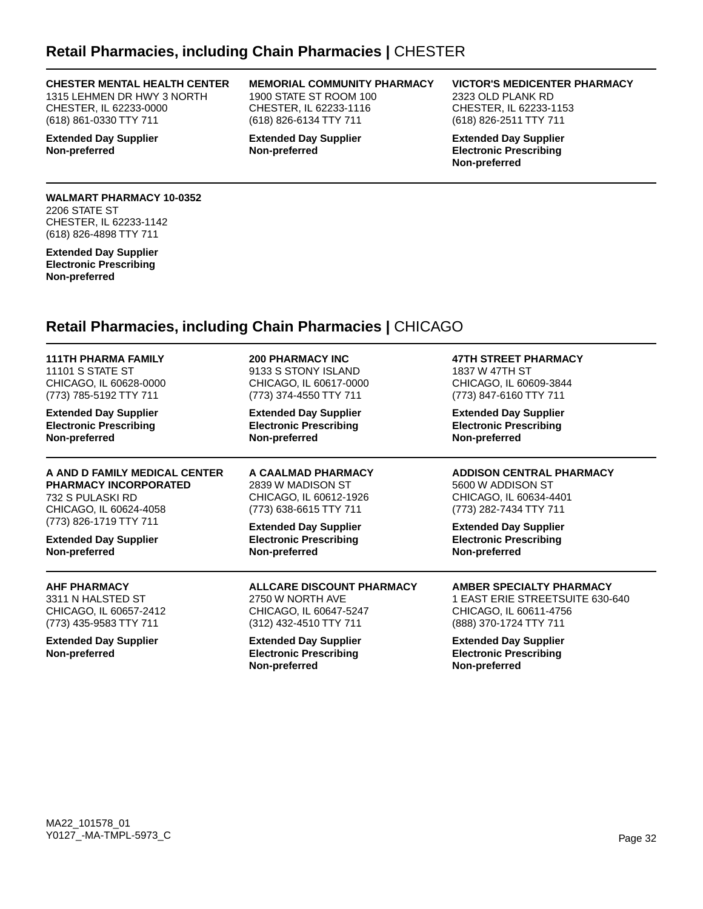# **Retail Pharmacies, including Chain Pharmacies |** CHESTER

#### **CHESTER MENTAL HEALTH CENTER**

1315 LEHMEN DR HWY 3 NORTH CHESTER, IL 62233-0000 (618) 861-0330 TTY 711

**Extended Day Supplier Non-preferred**

#### **MEMORIAL COMMUNITY PHARMACY** 1900 STATE ST ROOM 100 CHESTER, IL 62233-1116 (618) 826-6134 TTY 711

**Extended Day Supplier Non-preferred**

### **VICTOR'S MEDICENTER PHARMACY**

2323 OLD PLANK RD CHESTER, IL 62233-1153 (618) 826-2511 TTY 711

**Extended Day Supplier Electronic Prescribing Non-preferred**

### **WALMART PHARMACY 10-0352** 2206 STATE ST CHESTER, IL 62233-1142 (618) 826-4898 TTY 711

**Extended Day Supplier Electronic Prescribing Non-preferred**

# **Retail Pharmacies, including Chain Pharmacies |** CHICAGO

| <b>111TH PHARMA FAMILY</b>                    | <b>200 PHARMACY INC</b>                                                        | <b>47TH STREET PHARMACY</b>                                                    |
|-----------------------------------------------|--------------------------------------------------------------------------------|--------------------------------------------------------------------------------|
| 11101 S STATE ST                              | 9133 S STONY ISLAND                                                            | 1837 W 47TH ST                                                                 |
| CHICAGO, IL 60628-0000                        | CHICAGO, IL 60617-0000                                                         | CHICAGO, IL 60609-3844                                                         |
| (773) 785-5192 TTY 711                        | (773) 374-4550 TTY 711                                                         | (773) 847-6160 TTY 711                                                         |
| <b>Extended Day Supplier</b>                  | <b>Extended Day Supplier</b>                                                   | <b>Extended Day Supplier</b>                                                   |
| <b>Electronic Prescribing</b>                 | <b>Electronic Prescribing</b>                                                  | <b>Electronic Prescribing</b>                                                  |
| Non-preferred                                 | Non-preferred                                                                  | Non-preferred                                                                  |
| A AND D FAMILY MEDICAL CENTER                 | A CAALMAD PHARMACY                                                             | <b>ADDISON CENTRAL PHARMACY</b>                                                |
| <b>PHARMACY INCORPORATED</b>                  | 2839 W MADISON ST                                                              | 5600 W ADDISON ST                                                              |
| 732 S PULASKI RD                              | CHICAGO, IL 60612-1926                                                         | CHICAGO, IL 60634-4401                                                         |
| CHICAGO, IL 60624-4058                        | (773) 638-6615 TTY 711                                                         | (773) 282-7434 TTY 711                                                         |
| (773) 826-1719 TTY 711                        | <b>Extended Day Supplier</b>                                                   | <b>Extended Day Supplier</b>                                                   |
| <b>Extended Day Supplier</b>                  | <b>Electronic Prescribing</b>                                                  | <b>Electronic Prescribing</b>                                                  |
| Non-preferred                                 | Non-preferred                                                                  | Non-preferred                                                                  |
| <b>AHF PHARMACY</b>                           | ALLCARE DISCOUNT PHARMACY                                                      | AMBER SPECIALTY PHARMACY                                                       |
| 3311 N HALSTED ST                             | 2750 W NORTH AVE                                                               | 1 EAST ERIE STREETSUITE 630-640                                                |
| CHICAGO, IL 60657-2412                        | CHICAGO, IL 60647-5247                                                         | CHICAGO, IL 60611-4756                                                         |
| (773) 435-9583 TTY 711                        | (312) 432-4510 TTY 711                                                         | (888) 370-1724 TTY 711                                                         |
| <b>Extended Day Supplier</b><br>Non-preferred | <b>Extended Day Supplier</b><br><b>Electronic Prescribing</b><br>Non-preferred | <b>Extended Day Supplier</b><br><b>Electronic Prescribing</b><br>Non-preferred |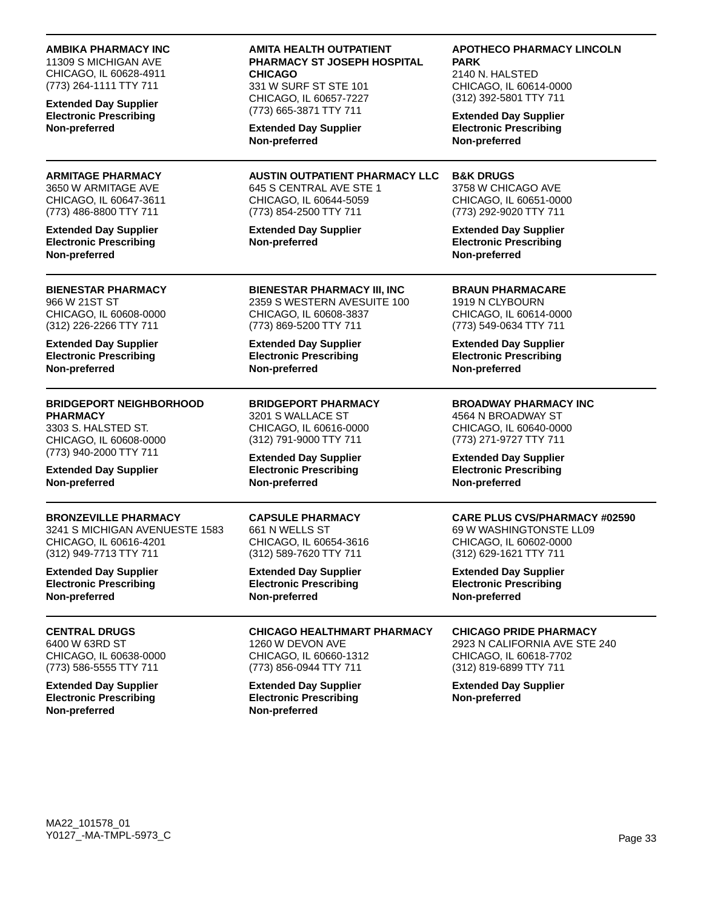#### **AMBIKA PHARMACY INC**

11309 S MICHIGAN AVE CHICAGO, IL 60628-4911 (773) 264-1111 TTY 711

**Extended Day Supplier Electronic Prescribing Non-preferred**

#### **ARMITAGE PHARMACY** 3650 W ARMITAGE AVE CHICAGO, IL 60647-3611 (773) 486-8800 TTY 711

**Extended Day Supplier Electronic Prescribing Non-preferred**

#### **BIENESTAR PHARMACY** 966 W 21ST ST CHICAGO, IL 60608-0000 (312) 226-2266 TTY 711

**Extended Day Supplier Electronic Prescribing Non-preferred**

# **BRIDGEPORT NEIGHBORHOOD PHARMACY**

3303 S. HALSTED ST. CHICAGO, IL 60608-0000 (773) 940-2000 TTY 711

**Extended Day Supplier Non-preferred**

# **BRONZEVILLE PHARMACY**

3241 S MICHIGAN AVENUESTE 1583 CHICAGO, IL 60616-4201 (312) 949-7713 TTY 711

**Extended Day Supplier Electronic Prescribing Non-preferred**

**CENTRAL DRUGS** 6400 W 63RD ST CHICAGO, IL 60638-0000 (773) 586-5555 TTY 711

**Extended Day Supplier Electronic Prescribing Non-preferred**

### **AMITA HEALTH OUTPATIENT PHARMACY ST JOSEPH HOSPITAL CHICAGO**

331 W SURF ST STE 101 CHICAGO, IL 60657-7227 (773) 665-3871 TTY 711

**Extended Day Supplier Non-preferred**

#### **AUSTIN OUTPATIENT PHARMACY LLC** 645 S CENTRAL AVE STE 1 CHICAGO, IL 60644-5059

(773) 854-2500 TTY 711

**Extended Day Supplier Non-preferred**

**BIENESTAR PHARMACY III, INC** 2359 S WESTERN AVESUITE 100

CHICAGO, IL 60608-3837 (773) 869-5200 TTY 711

**Extended Day Supplier Electronic Prescribing Non-preferred**

#### **BRIDGEPORT PHARMACY** 3201 S WALLACE ST

CHICAGO, IL 60616-0000 (312) 791-9000 TTY 711

**Extended Day Supplier Electronic Prescribing Non-preferred**

# **CAPSULE PHARMACY**

661 N WELLS ST CHICAGO, IL 60654-3616 (312) 589-7620 TTY 711

**Extended Day Supplier Electronic Prescribing Non-preferred**

**CHICAGO HEALTHMART PHARMACY** 1260 W DEVON AVE CHICAGO, IL 60660-1312 (773) 856-0944 TTY 711

**Extended Day Supplier Electronic Prescribing Non-preferred**

### **APOTHECO PHARMACY LINCOLN PARK**

2140 N. HALSTED CHICAGO, IL 60614-0000 (312) 392-5801 TTY 711

**Extended Day Supplier Electronic Prescribing Non-preferred**

# **B&K DRUGS**

3758 W CHICAGO AVE CHICAGO, IL 60651-0000 (773) 292-9020 TTY 711

**Extended Day Supplier Electronic Prescribing Non-preferred**

**BRAUN PHARMACARE**

1919 N CLYBOURN CHICAGO, IL 60614-0000 (773) 549-0634 TTY 711

**Extended Day Supplier Electronic Prescribing Non-preferred**

### **BROADWAY PHARMACY INC**

4564 N BROADWAY ST CHICAGO, IL 60640-0000 (773) 271-9727 TTY 711

**Extended Day Supplier Electronic Prescribing Non-preferred**

### **CARE PLUS CVS/PHARMACY #02590**

69 W WASHINGTONSTE LL09 CHICAGO, IL 60602-0000 (312) 629-1621 TTY 711

**Extended Day Supplier Electronic Prescribing Non-preferred**

**CHICAGO PRIDE PHARMACY** 2923 N CALIFORNIA AVE STE 240 CHICAGO, IL 60618-7702 (312) 819-6899 TTY 711

**Extended Day Supplier Non-preferred**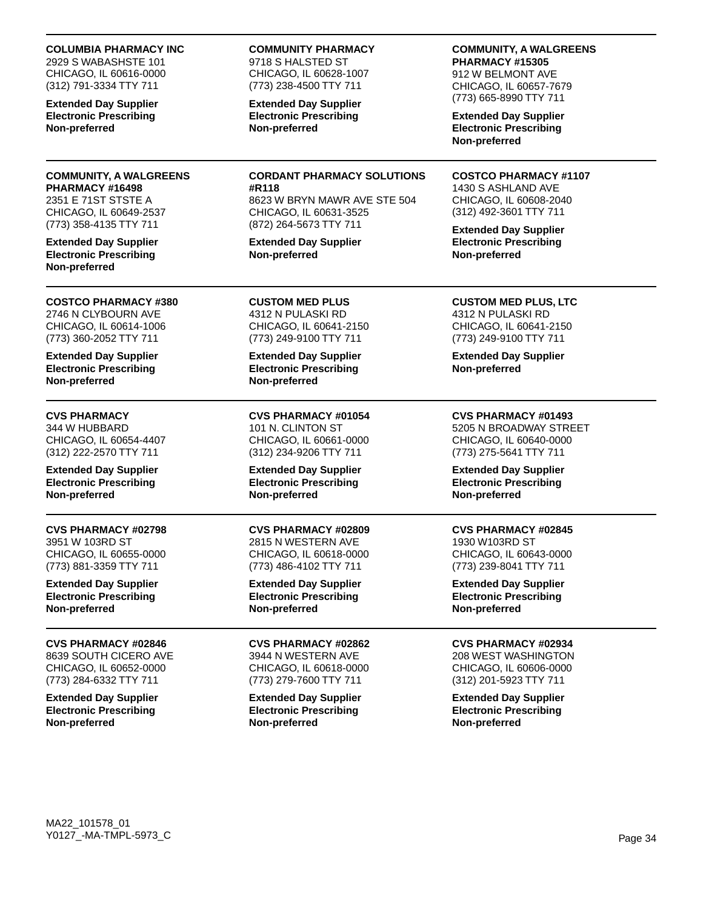#### **COLUMBIA PHARMACY INC**

2929 S WABASHSTE 101 CHICAGO, IL 60616-0000 (312) 791-3334 TTY 711

**Extended Day Supplier Electronic Prescribing Non-preferred**

#### **COMMUNITY, A WALGREENS PHARMACY #16498** 2351 E 71ST STSTE A

CHICAGO, IL 60649-2537 (773) 358-4135 TTY 711

**Extended Day Supplier Electronic Prescribing Non-preferred**

### **COSTCO PHARMACY #380** 2746 N CLYBOURN AVE

CHICAGO, IL 60614-1006 (773) 360-2052 TTY 711

**Extended Day Supplier Electronic Prescribing Non-preferred**

# **CVS PHARMACY**

344 W HUBBARD CHICAGO, IL 60654-4407 (312) 222-2570 TTY 711

**Extended Day Supplier Electronic Prescribing Non-preferred**

**CVS PHARMACY #02798** 3951 W 103RD ST CHICAGO, IL 60655-0000 (773) 881-3359 TTY 711

**Extended Day Supplier Electronic Prescribing Non-preferred**

#### **CVS PHARMACY #02846** 8639 SOUTH CICERO AVE CHICAGO, IL 60652-0000 (773) 284-6332 TTY 711

**Extended Day Supplier Electronic Prescribing Non-preferred**

### **COMMUNITY PHARMACY**

9718 S HALSTED ST CHICAGO, IL 60628-1007 (773) 238-4500 TTY 711

**Extended Day Supplier Electronic Prescribing Non-preferred**

**CORDANT PHARMACY SOLUTIONS #R118**

8623 W BRYN MAWR AVE STE 504 CHICAGO, IL 60631-3525 (872) 264-5673 TTY 711

**Extended Day Supplier Non-preferred**

**CUSTOM MED PLUS** 4312 N PULASKI RD CHICAGO, IL 60641-2150 (773) 249-9100 TTY 711

**Extended Day Supplier Electronic Prescribing Non-preferred**

**CVS PHARMACY #01054** 101 N. CLINTON ST CHICAGO, IL 60661-0000 (312) 234-9206 TTY 711

**Extended Day Supplier Electronic Prescribing Non-preferred**

**CVS PHARMACY #02809** 2815 N WESTERN AVE CHICAGO, IL 60618-0000 (773) 486-4102 TTY 711

**Extended Day Supplier Electronic Prescribing Non-preferred**

**CVS PHARMACY #02862** 3944 N WESTERN AVE CHICAGO, IL 60618-0000 (773) 279-7600 TTY 711

**Extended Day Supplier Electronic Prescribing Non-preferred**

#### **COMMUNITY, A WALGREENS PHARMACY #15305**

912 W BELMONT AVE CHICAGO, IL 60657-7679 (773) 665-8990 TTY 711

**Extended Day Supplier Electronic Prescribing Non-preferred**

#### **COSTCO PHARMACY #1107** 1430 S ASHLAND AVE

CHICAGO, IL 60608-2040 (312) 492-3601 TTY 711

**Extended Day Supplier Electronic Prescribing Non-preferred**

### **CUSTOM MED PLUS, LTC** 4312 N PULASKI RD

CHICAGO, IL 60641-2150 (773) 249-9100 TTY 711

**Extended Day Supplier Non-preferred**

# **CVS PHARMACY #01493**

5205 N BROADWAY STREET CHICAGO, IL 60640-0000 (773) 275-5641 TTY 711

**Extended Day Supplier Electronic Prescribing Non-preferred**

### **CVS PHARMACY #02845**

1930 W103RD ST CHICAGO, IL 60643-0000 (773) 239-8041 TTY 711

**Extended Day Supplier Electronic Prescribing Non-preferred**

### **CVS PHARMACY #02934**

208 WEST WASHINGTON CHICAGO, IL 60606-0000 (312) 201-5923 TTY 711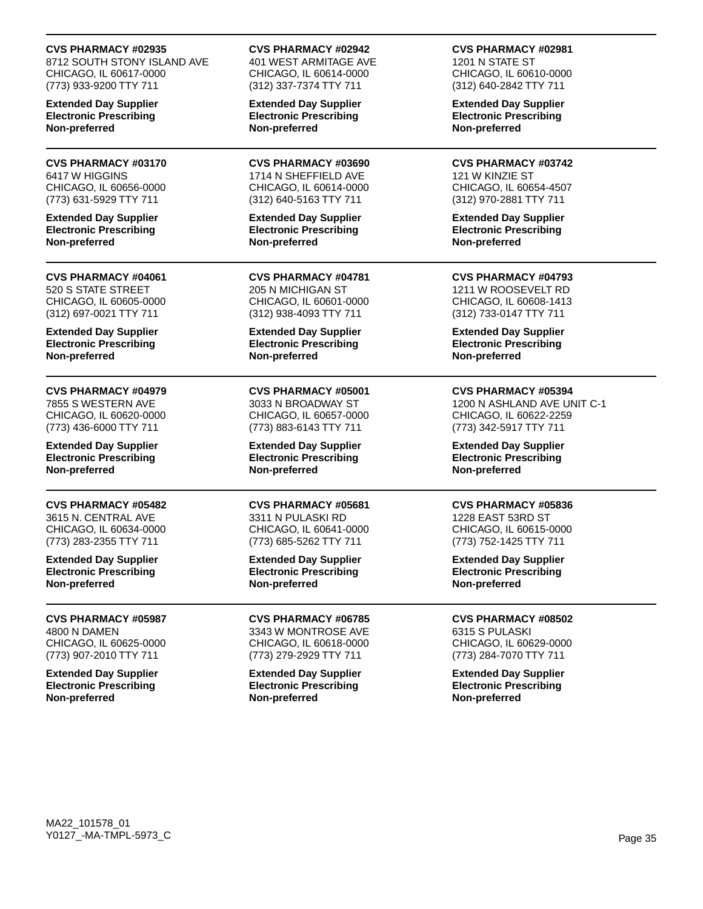### **CVS PHARMACY #02935**

8712 SOUTH STONY ISLAND AVE CHICAGO, IL 60617-0000 (773) 933-9200 TTY 711

**Extended Day Supplier Electronic Prescribing Non-preferred**

**CVS PHARMACY #03170** 6417 W HIGGINS CHICAGO, IL 60656-0000 (773) 631-5929 TTY 711

**Extended Day Supplier Electronic Prescribing Non-preferred**

#### **CVS PHARMACY #04061** 520 S STATE STREET CHICAGO, IL 60605-0000 (312) 697-0021 TTY 711

**Extended Day Supplier Electronic Prescribing Non-preferred**

# **CVS PHARMACY #04979**

7855 S WESTERN AVE CHICAGO, IL 60620-0000 (773) 436-6000 TTY 711

**Extended Day Supplier Electronic Prescribing Non-preferred**

### **CVS PHARMACY #05482**

3615 N. CENTRAL AVE CHICAGO, IL 60634-0000 (773) 283-2355 TTY 711

**Extended Day Supplier Electronic Prescribing Non-preferred**

#### **CVS PHARMACY #05987** 4800 N DAMEN

CHICAGO, IL 60625-0000 (773) 907-2010 TTY 711

**Extended Day Supplier Electronic Prescribing Non-preferred**

**CVS PHARMACY #02942** 401 WEST ARMITAGE AVE CHICAGO, IL 60614-0000 (312) 337-7374 TTY 711

**Extended Day Supplier Electronic Prescribing Non-preferred**

**CVS PHARMACY #03690** 1714 N SHEFFIELD AVE CHICAGO, IL 60614-0000 (312) 640-5163 TTY 711

**Extended Day Supplier Electronic Prescribing Non-preferred**

**CVS PHARMACY #04781** 205 N MICHIGAN ST CHICAGO, IL 60601-0000 (312) 938-4093 TTY 711

**Extended Day Supplier Electronic Prescribing Non-preferred**

**CVS PHARMACY #05001** 3033 N BROADWAY ST CHICAGO, IL 60657-0000 (773) 883-6143 TTY 711

**Extended Day Supplier Electronic Prescribing Non-preferred**

**CVS PHARMACY #05681** 3311 N PULASKI RD CHICAGO, IL 60641-0000 (773) 685-5262 TTY 711

**Extended Day Supplier Electronic Prescribing Non-preferred**

**CVS PHARMACY #06785** 3343 W MONTROSE AVE CHICAGO, IL 60618-0000 (773) 279-2929 TTY 711

**Extended Day Supplier Electronic Prescribing Non-preferred**

**CVS PHARMACY #02981**

1201 N STATE ST CHICAGO, IL 60610-0000 (312) 640-2842 TTY 711

**Extended Day Supplier Electronic Prescribing Non-preferred**

**CVS PHARMACY #03742** 121 W KINZIE ST CHICAGO, IL 60654-4507 (312) 970-2881 TTY 711

**Extended Day Supplier Electronic Prescribing Non-preferred**

**CVS PHARMACY #04793** 1211 W ROOSEVELT RD CHICAGO, IL 60608-1413 (312) 733-0147 TTY 711

**Extended Day Supplier Electronic Prescribing Non-preferred**

### **CVS PHARMACY #05394**

1200 N ASHLAND AVE UNIT C-1 CHICAGO, IL 60622-2259 (773) 342-5917 TTY 711

**Extended Day Supplier Electronic Prescribing Non-preferred**

### **CVS PHARMACY #05836**

1228 EAST 53RD ST CHICAGO, IL 60615-0000 (773) 752-1425 TTY 711

**Extended Day Supplier Electronic Prescribing Non-preferred**

**CVS PHARMACY #08502** 6315 S PULASKI CHICAGO, IL 60629-0000 (773) 284-7070 TTY 711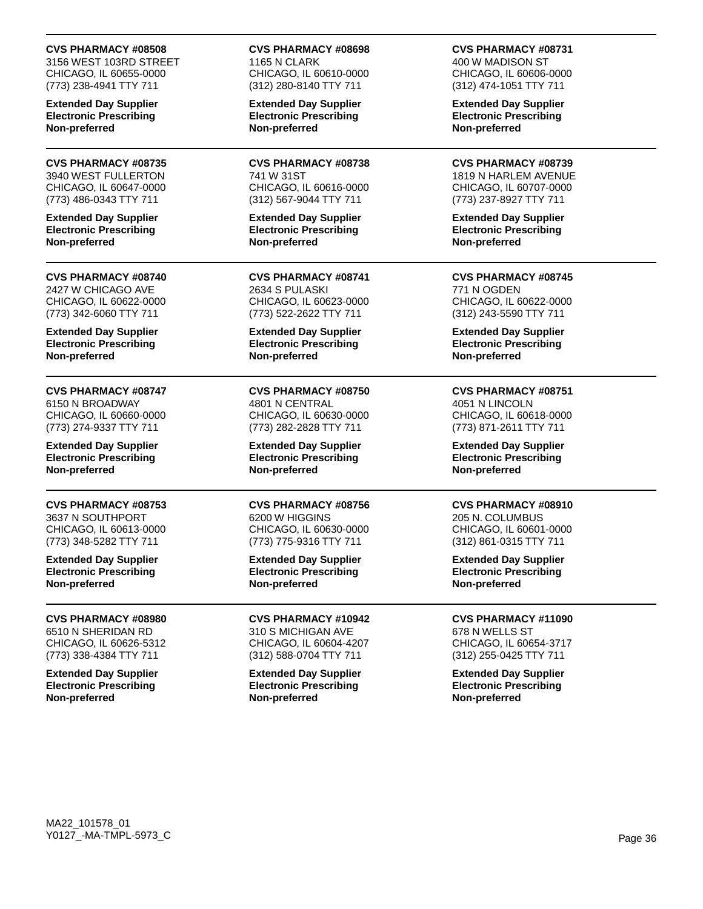#### **CVS PHARMACY #08508**

3156 WEST 103RD STREET CHICAGO, IL 60655-0000 (773) 238-4941 TTY 711

**Extended Day Supplier Electronic Prescribing Non-preferred**

**CVS PHARMACY #08735** 3940 WEST FULLERTON CHICAGO, IL 60647-0000 (773) 486-0343 TTY 711

**Extended Day Supplier Electronic Prescribing Non-preferred**

#### **CVS PHARMACY #08740** 2427 W CHICAGO AVE CHICAGO, IL 60622-0000 (773) 342-6060 TTY 711

**Extended Day Supplier Electronic Prescribing Non-preferred**

### **CVS PHARMACY #08747**

6150 N BROADWAY CHICAGO, IL 60660-0000 (773) 274-9337 TTY 711

**Extended Day Supplier Electronic Prescribing Non-preferred**

### **CVS PHARMACY #08753**

3637 N SOUTHPORT CHICAGO, IL 60613-0000 (773) 348-5282 TTY 711

**Extended Day Supplier Electronic Prescribing Non-preferred**

### **CVS PHARMACY #08980**

6510 N SHERIDAN RD CHICAGO, IL 60626-5312 (773) 338-4384 TTY 711

**Extended Day Supplier Electronic Prescribing Non-preferred**

#### **CVS PHARMACY #08698** 1165 N CLARK CHICAGO, IL 60610-0000 (312) 280-8140 TTY 711

**Extended Day Supplier Electronic Prescribing Non-preferred**

**CVS PHARMACY #08738** 741 W 31ST CHICAGO, IL 60616-0000 (312) 567-9044 TTY 711

**Extended Day Supplier Electronic Prescribing Non-preferred**

**CVS PHARMACY #08741** 2634 S PULASKI CHICAGO, IL 60623-0000 (773) 522-2622 TTY 711

**Extended Day Supplier Electronic Prescribing Non-preferred**

**CVS PHARMACY #08750** 4801 N CENTRAL CHICAGO, IL 60630-0000 (773) 282-2828 TTY 711

**Extended Day Supplier Electronic Prescribing Non-preferred**

**CVS PHARMACY #08756** 6200 W HIGGINS CHICAGO, IL 60630-0000 (773) 775-9316 TTY 711

**Extended Day Supplier Electronic Prescribing Non-preferred**

**CVS PHARMACY #10942** 310 S MICHIGAN AVE CHICAGO, IL 60604-4207 (312) 588-0704 TTY 711

**Extended Day Supplier Electronic Prescribing Non-preferred**

#### **CVS PHARMACY #08731**

400 W MADISON ST CHICAGO, IL 60606-0000 (312) 474-1051 TTY 711

**Extended Day Supplier Electronic Prescribing Non-preferred**

**CVS PHARMACY #08739** 1819 N HARLEM AVENUE CHICAGO, IL 60707-0000 (773) 237-8927 TTY 711

**Extended Day Supplier Electronic Prescribing Non-preferred**

**CVS PHARMACY #08745** 771 N OGDEN CHICAGO, IL 60622-0000 (312) 243-5590 TTY 711

**Extended Day Supplier Electronic Prescribing Non-preferred**

#### **CVS PHARMACY #08751** 4051 N LINCOLN CHICAGO, IL 60618-0000

(773) 871-2611 TTY 711

**Extended Day Supplier Electronic Prescribing Non-preferred**

### **CVS PHARMACY #08910**

205 N. COLUMBUS CHICAGO, IL 60601-0000 (312) 861-0315 TTY 711

**Extended Day Supplier Electronic Prescribing Non-preferred**

**CVS PHARMACY #11090** 678 N WELLS ST

CHICAGO, IL 60654-3717 (312) 255-0425 TTY 711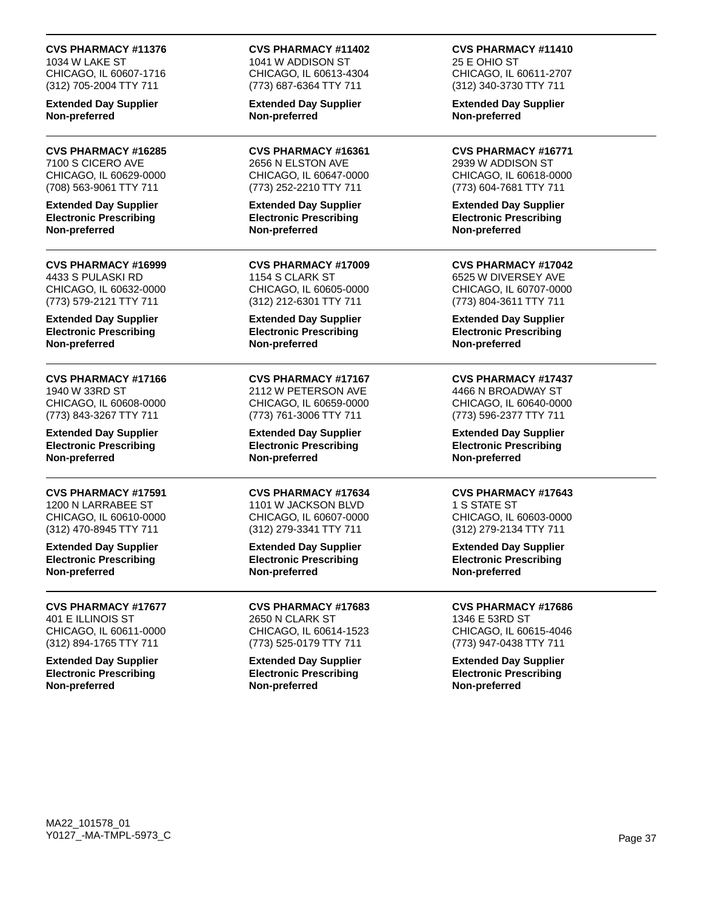**CVS PHARMACY #11376** 1034 W LAKE ST CHICAGO, IL 60607-1716

(312) 705-2004 TTY 711 **Extended Day Supplier**

**Non-preferred**

**CVS PHARMACY #16285** 7100 S CICERO AVE CHICAGO, IL 60629-0000 (708) 563-9061 TTY 711

**Extended Day Supplier Electronic Prescribing Non-preferred**

**CVS PHARMACY #16999** 4433 S PULASKI RD CHICAGO, IL 60632-0000 (773) 579-2121 TTY 711

**Extended Day Supplier Electronic Prescribing Non-preferred**

**CVS PHARMACY #17166** 1940 W 33RD ST CHICAGO, IL 60608-0000 (773) 843-3267 TTY 711

**Extended Day Supplier Electronic Prescribing Non-preferred**

**CVS PHARMACY #17591** 1200 N LARRABEE ST CHICAGO, IL 60610-0000 (312) 470-8945 TTY 711

**Extended Day Supplier Electronic Prescribing Non-preferred**

**CVS PHARMACY #17677** 401 E ILLINOIS ST CHICAGO, IL 60611-0000

(312) 894-1765 TTY 711 **Extended Day Supplier Electronic Prescribing Non-preferred**

**CVS PHARMACY #11402** 1041 W ADDISON ST CHICAGO, IL 60613-4304 (773) 687-6364 TTY 711

**Extended Day Supplier Non-preferred**

**CVS PHARMACY #16361** 2656 N ELSTON AVE CHICAGO, IL 60647-0000 (773) 252-2210 TTY 711

**Extended Day Supplier Electronic Prescribing Non-preferred**

**CVS PHARMACY #17009** 1154 S CLARK ST CHICAGO, IL 60605-0000 (312) 212-6301 TTY 711

**Extended Day Supplier Electronic Prescribing Non-preferred**

**CVS PHARMACY #17167** 2112 W PETERSON AVE CHICAGO, IL 60659-0000 (773) 761-3006 TTY 711

**Extended Day Supplier Electronic Prescribing Non-preferred**

**CVS PHARMACY #17634** 1101 W JACKSON BLVD CHICAGO, IL 60607-0000 (312) 279-3341 TTY 711

**Extended Day Supplier Electronic Prescribing Non-preferred**

**CVS PHARMACY #17683** 2650 N CLARK ST CHICAGO, IL 60614-1523 (773) 525-0179 TTY 711

**Extended Day Supplier Electronic Prescribing Non-preferred**

**CVS PHARMACY #11410** 25 E OHIO ST CHICAGO, IL 60611-2707

(312) 340-3730 TTY 711 **Extended Day Supplier Non-preferred**

**CVS PHARMACY #16771**

2939 W ADDISON ST CHICAGO, IL 60618-0000 (773) 604-7681 TTY 711

**Extended Day Supplier Electronic Prescribing Non-preferred**

**CVS PHARMACY #17042**

6525 W DIVERSEY AVE CHICAGO, IL 60707-0000 (773) 804-3611 TTY 711

**Extended Day Supplier Electronic Prescribing Non-preferred**

**CVS PHARMACY #17437** 4466 N BROADWAY ST CHICAGO, IL 60640-0000 (773) 596-2377 TTY 711

**Extended Day Supplier Electronic Prescribing Non-preferred**

**CVS PHARMACY #17643** 1 S STATE ST CHICAGO, IL 60603-0000 (312) 279-2134 TTY 711

**Extended Day Supplier Electronic Prescribing Non-preferred**

**CVS PHARMACY #17686** 1346 E 53RD ST CHICAGO, IL 60615-4046 (773) 947-0438 TTY 711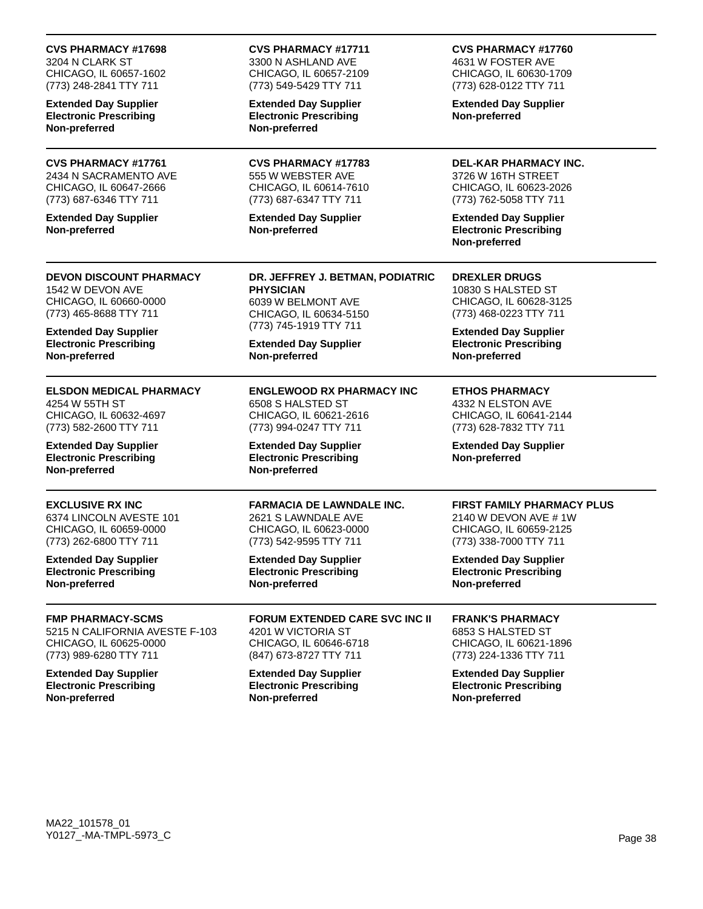## **CVS PHARMACY #17698**

3204 N CLARK ST CHICAGO, IL 60657-1602 (773) 248-2841 TTY 711

**Extended Day Supplier Electronic Prescribing Non-preferred**

## **CVS PHARMACY #17761**

2434 N SACRAMENTO AVE CHICAGO, IL 60647-2666 (773) 687-6346 TTY 711

**Extended Day Supplier Non-preferred**

**DEVON DISCOUNT PHARMACY** 1542 W DEVON AVE CHICAGO, IL 60660-0000 (773) 465-8688 TTY 711

**Extended Day Supplier Electronic Prescribing Non-preferred**

# **ELSDON MEDICAL PHARMACY**

4254 W 55TH ST CHICAGO, IL 60632-4697 (773) 582-2600 TTY 711

**Extended Day Supplier Electronic Prescribing Non-preferred**

## **EXCLUSIVE RX INC**

6374 LINCOLN AVESTE 101 CHICAGO, IL 60659-0000 (773) 262-6800 TTY 711

**Extended Day Supplier Electronic Prescribing Non-preferred**

### **FMP PHARMACY-SCMS**

5215 N CALIFORNIA AVESTE F-103 CHICAGO, IL 60625-0000 (773) 989-6280 TTY 711

**Extended Day Supplier Electronic Prescribing Non-preferred**

#### **CVS PHARMACY #17711** 3300 N ASHLAND AVE CHICAGO, IL 60657-2109

(773) 549-5429 TTY 711 **Extended Day Supplier**

**Electronic Prescribing Non-preferred**

**CVS PHARMACY #17783** 555 W WEBSTER AVE CHICAGO, IL 60614-7610 (773) 687-6347 TTY 711

**Extended Day Supplier Non-preferred**

**DR. JEFFREY J. BETMAN, PODIATRIC PHYSICIAN** 6039 W BELMONT AVE CHICAGO, IL 60634-5150 (773) 745-1919 TTY 711

**Extended Day Supplier Non-preferred**

**ENGLEWOOD RX PHARMACY INC** 6508 S HALSTED ST CHICAGO, IL 60621-2616 (773) 994-0247 TTY 711

**Extended Day Supplier Electronic Prescribing Non-preferred**

**FARMACIA DE LAWNDALE INC.** 2621 S LAWNDALE AVE CHICAGO, IL 60623-0000 (773) 542-9595 TTY 711

**Extended Day Supplier Electronic Prescribing Non-preferred**

**FORUM EXTENDED CARE SVC INC II** 4201 W VICTORIA ST CHICAGO, IL 60646-6718 (847) 673-8727 TTY 711

**Extended Day Supplier Electronic Prescribing Non-preferred**

**CVS PHARMACY #17760** 4631 W FOSTER AVE CHICAGO, IL 60630-1709 (773) 628-0122 TTY 711

**Extended Day Supplier Non-preferred**

**DEL-KAR PHARMACY INC.** 3726 W 16TH STREET CHICAGO, IL 60623-2026 (773) 762-5058 TTY 711

**Extended Day Supplier Electronic Prescribing Non-preferred**

**DREXLER DRUGS** 10830 S HALSTED ST CHICAGO, IL 60628-3125 (773) 468-0223 TTY 711

**Extended Day Supplier Electronic Prescribing Non-preferred**

## **ETHOS PHARMACY**

4332 N ELSTON AVE CHICAGO, IL 60641-2144 (773) 628-7832 TTY 711

**Extended Day Supplier Non-preferred**

### **FIRST FAMILY PHARMACY PLUS**

2140 W DEVON AVE # 1W CHICAGO, IL 60659-2125 (773) 338-7000 TTY 711

**Extended Day Supplier Electronic Prescribing Non-preferred**

## **FRANK'S PHARMACY**

6853 S HALSTED ST CHICAGO, IL 60621-1896 (773) 224-1336 TTY 711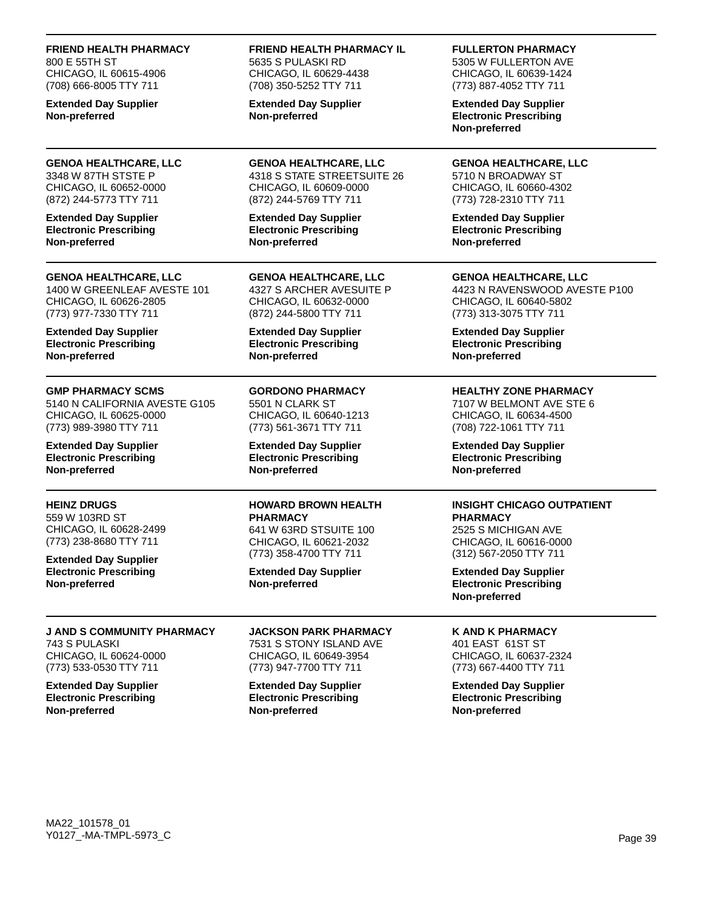**FRIEND HEALTH PHARMACY** 800 E 55TH ST CHICAGO, IL 60615-4906 (708) 666-8005 TTY 711

**Extended Day Supplier Non-preferred**

#### **GENOA HEALTHCARE, LLC** 3348 W 87TH STSTE P CHICAGO, IL 60652-0000 (872) 244-5773 TTY 711

**Extended Day Supplier Electronic Prescribing Non-preferred**

### **GENOA HEALTHCARE, LLC**

1400 W GREENLEAF AVESTE 101 CHICAGO, IL 60626-2805 (773) 977-7330 TTY 711

**Extended Day Supplier Electronic Prescribing Non-preferred**

### **GMP PHARMACY SCMS**

5140 N CALIFORNIA AVESTE G105 CHICAGO, IL 60625-0000 (773) 989-3980 TTY 711

**Extended Day Supplier Electronic Prescribing Non-preferred**

## **HEINZ DRUGS**

559 W 103RD ST CHICAGO, IL 60628-2499 (773) 238-8680 TTY 711

**Extended Day Supplier Electronic Prescribing Non-preferred**

**J AND S COMMUNITY PHARMACY** 743 S PULASKI CHICAGO, IL 60624-0000 (773) 533-0530 TTY 711

**Extended Day Supplier Electronic Prescribing Non-preferred**

5635 S PULASKI RD CHICAGO, IL 60629-4438 (708) 350-5252 TTY 711 **Extended Day Supplier**

**Non-preferred**

**GENOA HEALTHCARE, LLC** 4318 S STATE STREETSUITE 26 CHICAGO, IL 60609-0000 (872) 244-5769 TTY 711

**FRIEND HEALTH PHARMACY IL**

**Extended Day Supplier Electronic Prescribing Non-preferred**

**GENOA HEALTHCARE, LLC** 4327 S ARCHER AVESUITE P CHICAGO, IL 60632-0000 (872) 244-5800 TTY 711

**Extended Day Supplier Electronic Prescribing Non-preferred**

**GORDONO PHARMACY** 5501 N CLARK ST CHICAGO, IL 60640-1213 (773) 561-3671 TTY 711

**Extended Day Supplier Electronic Prescribing Non-preferred**

#### **HOWARD BROWN HEALTH PHARMACY** 641 W 63RD STSUITE 100 CHICAGO, IL 60621-2032

(773) 358-4700 TTY 711 **Extended Day Supplier Non-preferred**

**JACKSON PARK PHARMACY** 7531 S STONY ISLAND AVE CHICAGO, IL 60649-3954 (773) 947-7700 TTY 711

**Extended Day Supplier Electronic Prescribing Non-preferred**

## **FULLERTON PHARMACY**

5305 W FULLERTON AVE CHICAGO, IL 60639-1424 (773) 887-4052 TTY 711

**Extended Day Supplier Electronic Prescribing Non-preferred**

**GENOA HEALTHCARE, LLC** 5710 N BROADWAY ST CHICAGO, IL 60660-4302 (773) 728-2310 TTY 711

**Extended Day Supplier Electronic Prescribing Non-preferred**

**GENOA HEALTHCARE, LLC** 4423 N RAVENSWOOD AVESTE P100 CHICAGO, IL 60640-5802 (773) 313-3075 TTY 711

**Extended Day Supplier Electronic Prescribing Non-preferred**

### **HEALTHY ZONE PHARMACY**

7107 W BELMONT AVE STE 6 CHICAGO, IL 60634-4500 (708) 722-1061 TTY 711

**Extended Day Supplier Electronic Prescribing Non-preferred**

## **INSIGHT CHICAGO OUTPATIENT**

**PHARMACY** 2525 S MICHIGAN AVE CHICAGO, IL 60616-0000 (312) 567-2050 TTY 711

**Extended Day Supplier Electronic Prescribing Non-preferred**

## **K AND K PHARMACY**

401 EAST 61ST ST CHICAGO, IL 60637-2324 (773) 667-4400 TTY 711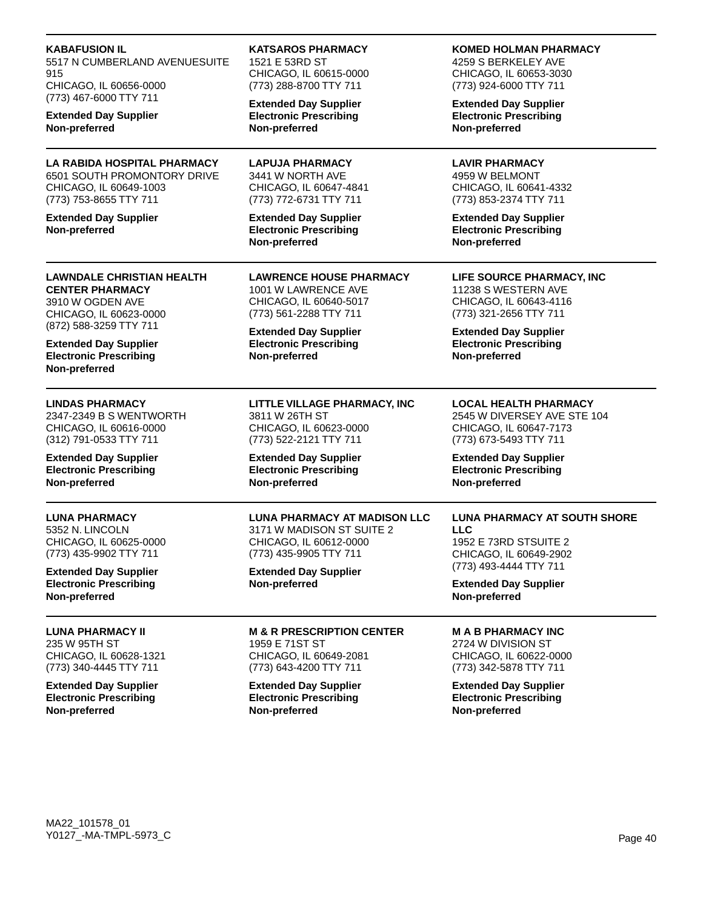| <b>KABAFUSION IL</b><br>5517 N CUMBERLAND AVENUESUITE<br>915<br>CHICAGO, IL 60656-0000<br>(773) 467-6000 TTY 711<br><b>Extended Day Supplier</b><br>Non-preferred | <b>KATSAROS PHARMACY</b><br>1521 E 53RD ST<br>CHICAGO, IL 60615-0000<br>(773) 288-8700 TTY 711                       | <b>KOMED HOLMAN PHARMACY</b><br>4259 S BERKELEY AVE<br>CHICAGO, IL 60653-3030<br>(773) 924-6000 TTY 711                        |
|-------------------------------------------------------------------------------------------------------------------------------------------------------------------|----------------------------------------------------------------------------------------------------------------------|--------------------------------------------------------------------------------------------------------------------------------|
|                                                                                                                                                                   | <b>Extended Day Supplier</b><br><b>Electronic Prescribing</b><br>Non-preferred                                       | <b>Extended Day Supplier</b><br><b>Electronic Prescribing</b><br>Non-preferred                                                 |
| LA RABIDA HOSPITAL PHARMACY<br>6501 SOUTH PROMONTORY DRIVE<br>CHICAGO, IL 60649-1003<br>(773) 753-8655 TTY 711                                                    | <b>LAPUJA PHARMACY</b><br>3441 W NORTH AVE<br>CHICAGO, IL 60647-4841<br>(773) 772-6731 TTY 711                       | <b>LAVIR PHARMACY</b><br>4959 W BELMONT<br>CHICAGO, IL 60641-4332<br>(773) 853-2374 TTY 711                                    |
| <b>Extended Day Supplier</b><br>Non-preferred                                                                                                                     | <b>Extended Day Supplier</b><br><b>Electronic Prescribing</b><br>Non-preferred                                       | <b>Extended Day Supplier</b><br><b>Electronic Prescribing</b><br>Non-preferred                                                 |
| <b>LAWNDALE CHRISTIAN HEALTH</b><br><b>CENTER PHARMACY</b><br>3910 W OGDEN AVE<br>CHICAGO, IL 60623-0000                                                          | <b>LAWRENCE HOUSE PHARMACY</b><br>1001 W LAWRENCE AVE<br>CHICAGO, IL 60640-5017<br>(773) 561-2288 TTY 711            | LIFE SOURCE PHARMACY, INC<br>11238 S WESTERN AVE<br>CHICAGO, IL 60643-4116<br>(773) 321-2656 TTY 711                           |
| (872) 588-3259 TTY 711<br><b>Extended Day Supplier</b><br><b>Electronic Prescribing</b><br>Non-preferred                                                          | <b>Extended Day Supplier</b><br><b>Electronic Prescribing</b><br>Non-preferred                                       | <b>Extended Day Supplier</b><br><b>Electronic Prescribing</b><br>Non-preferred                                                 |
| <b>LINDAS PHARMACY</b><br>2347-2349 B S WENTWORTH<br>CHICAGO, IL 60616-0000<br>(312) 791-0533 TTY 711                                                             | LITTLE VILLAGE PHARMACY, INC<br>3811 W 26TH ST<br>CHICAGO, IL 60623-0000<br>(773) 522-2121 TTY 711                   | <b>LOCAL HEALTH PHARMACY</b><br>2545 W DIVERSEY AVE STE 104<br>CHICAGO, IL 60647-7173<br>(773) 673-5493 TTY 711                |
| <b>Extended Day Supplier</b><br><b>Electronic Prescribing</b><br>Non-preferred                                                                                    | <b>Extended Day Supplier</b><br><b>Electronic Prescribing</b><br>Non-preferred                                       | <b>Extended Day Supplier</b><br><b>Electronic Prescribing</b><br>Non-preferred                                                 |
| <b>LUNA PHARMACY</b><br>5352 N. LINCOLN<br>CHICAGO, IL 60625-0000<br>(773) 435-9902 TTY 711                                                                       | <b>LUNA PHARMACY AT MADISON LLC</b><br>3171 W MADISON ST SUITE 2<br>CHICAGO, IL 60612-0000<br>(773) 435-9905 TTY 711 | <b>LUNA PHARMACY AT SOUTH SHORE</b><br><b>LLC</b><br>1952 E 73RD STSUITE 2<br>CHICAGO, IL 60649-2902<br>(773) 493-4444 TTY 711 |
| <b>Extended Day Supplier</b><br><b>Electronic Prescribing</b><br>Non-preferred                                                                                    | <b>Extended Day Supplier</b><br>Non-preferred                                                                        | <b>Extended Day Supplier</b><br>Non-preferred                                                                                  |
| <b>LUNA PHARMACY II</b><br>235 W 95TH ST<br>CHICAGO, IL 60628-1321<br>(773) 340-4445 TTY 711                                                                      | <b>M &amp; R PRESCRIPTION CENTER</b><br>1959 E 71ST ST<br>CHICAGO, IL 60649-2081<br>(773) 643-4200 TTY 711           | <b>MAB PHARMACY INC</b><br>2724 W DIVISION ST<br>CHICAGO, IL 60622-0000<br>(773) 342-5878 TTY 711                              |
| <b>Extended Day Supplier</b><br><b>Electronic Prescribing</b><br>Non-preferred                                                                                    | <b>Extended Day Supplier</b><br><b>Electronic Prescribing</b><br>Non-preferred                                       | <b>Extended Day Supplier</b><br><b>Electronic Prescribing</b><br>Non-preferred                                                 |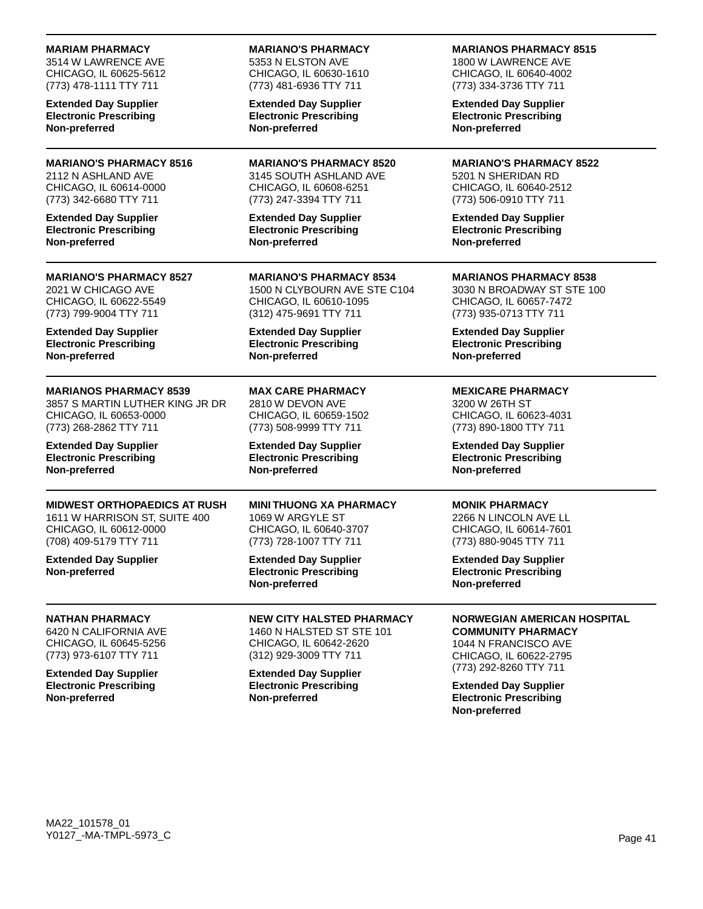### **MARIAM PHARMACY**

3514 W LAWRENCE AVE CHICAGO, IL 60625-5612 (773) 478-1111 TTY 711

**Extended Day Supplier Electronic Prescribing Non-preferred**

### **MARIANO'S PHARMACY 8516** 2112 N ASHLAND AVE CHICAGO, IL 60614-0000 (773) 342-6680 TTY 711

**Extended Day Supplier Electronic Prescribing Non-preferred**

#### **MARIANO'S PHARMACY 8527** 2021 W CHICAGO AVE CHICAGO, IL 60622-5549 (773) 799-9004 TTY 711

**Extended Day Supplier Electronic Prescribing Non-preferred**

## **MARIANOS PHARMACY 8539**

3857 S MARTIN LUTHER KING JR DR CHICAGO, IL 60653-0000 (773) 268-2862 TTY 711

**Extended Day Supplier Electronic Prescribing Non-preferred**

## **MIDWEST ORTHOPAEDICS AT RUSH**

1611 W HARRISON ST, SUITE 400 CHICAGO, IL 60612-0000 (708) 409-5179 TTY 711

**Extended Day Supplier Non-preferred**

### **NATHAN PHARMACY**

6420 N CALIFORNIA AVE CHICAGO, IL 60645-5256 (773) 973-6107 TTY 711

**Extended Day Supplier Electronic Prescribing Non-preferred**

#### **MARIANO'S PHARMACY** 5353 N ELSTON AVE CHICAGO, IL 60630-1610

(773) 481-6936 TTY 711

**Extended Day Supplier Electronic Prescribing Non-preferred**

**MARIANO'S PHARMACY 8520** 3145 SOUTH ASHLAND AVE CHICAGO, IL 60608-6251 (773) 247-3394 TTY 711

**Extended Day Supplier Electronic Prescribing Non-preferred**

**MARIANO'S PHARMACY 8534** 1500 N CLYBOURN AVE STE C104 CHICAGO, IL 60610-1095 (312) 475-9691 TTY 711

**Extended Day Supplier Electronic Prescribing Non-preferred**

**MAX CARE PHARMACY** 2810 W DEVON AVE CHICAGO, IL 60659-1502 (773) 508-9999 TTY 711

**Extended Day Supplier Electronic Prescribing Non-preferred**

#### **MINI THUONG XA PHARMACY** 1069 W ARGYLE ST

CHICAGO, IL 60640-3707 (773) 728-1007 TTY 711

**Extended Day Supplier Electronic Prescribing Non-preferred**

**NEW CITY HALSTED PHARMACY** 1460 N HALSTED ST STE 101 CHICAGO, IL 60642-2620 (312) 929-3009 TTY 711

**Extended Day Supplier Electronic Prescribing Non-preferred**

### **MARIANOS PHARMACY 8515**

1800 W LAWRENCE AVE CHICAGO, IL 60640-4002 (773) 334-3736 TTY 711

**Extended Day Supplier Electronic Prescribing Non-preferred**

**MARIANO'S PHARMACY 8522** 5201 N SHERIDAN RD CHICAGO, IL 60640-2512 (773) 506-0910 TTY 711

**Extended Day Supplier Electronic Prescribing Non-preferred**

**MARIANOS PHARMACY 8538** 3030 N BROADWAY ST STE 100 CHICAGO, IL 60657-7472 (773) 935-0713 TTY 711

**Extended Day Supplier Electronic Prescribing Non-preferred**

## **MEXICARE PHARMACY**

3200 W 26TH ST CHICAGO, IL 60623-4031 (773) 890-1800 TTY 711

**Extended Day Supplier Electronic Prescribing Non-preferred**

### **MONIK PHARMACY**

2266 N LINCOLN AVE LL CHICAGO, IL 60614-7601 (773) 880-9045 TTY 711

**Extended Day Supplier Electronic Prescribing Non-preferred**

## **NORWEGIAN AMERICAN HOSPITAL**

**COMMUNITY PHARMACY** 1044 N FRANCISCO AVE CHICAGO, IL 60622-2795 (773) 292-8260 TTY 711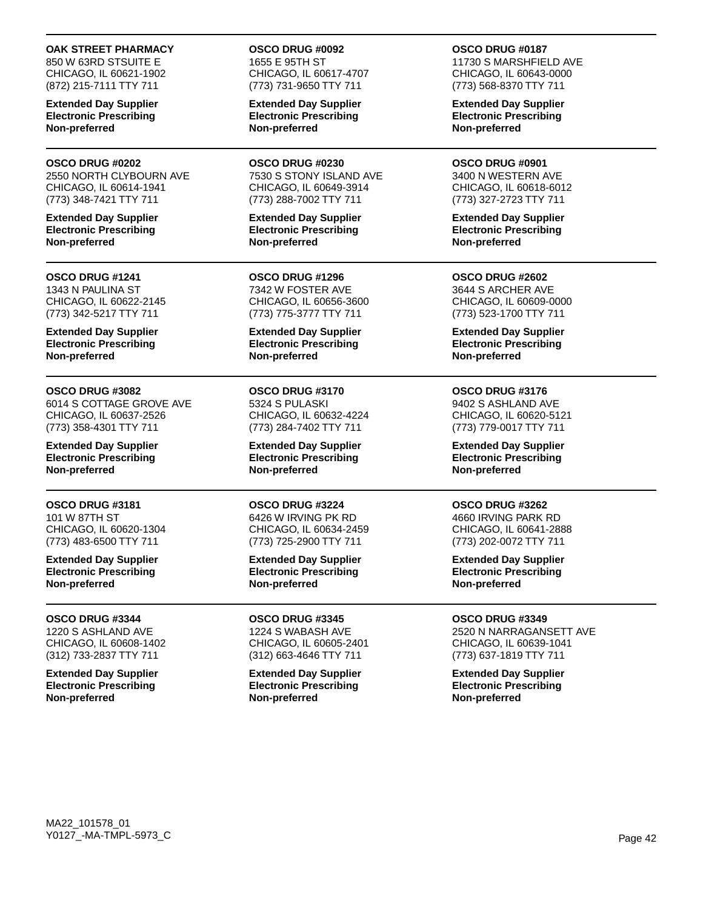### **OAK STREET PHARMACY**

850 W 63RD STSUITE E CHICAGO, IL 60621-1902 (872) 215-7111 TTY 711

**Extended Day Supplier Electronic Prescribing Non-preferred**

#### **OSCO DRUG #0202**

2550 NORTH CLYBOURN AVE CHICAGO, IL 60614-1941 (773) 348-7421 TTY 711

**Extended Day Supplier Electronic Prescribing Non-preferred**

#### **OSCO DRUG #1241** 1343 N PAULINA ST CHICAGO, IL 60622-2145 (773) 342-5217 TTY 711

**Extended Day Supplier Electronic Prescribing Non-preferred**

### **OSCO DRUG #3082**

6014 S COTTAGE GROVE AVE CHICAGO, IL 60637-2526 (773) 358-4301 TTY 711

**Extended Day Supplier Electronic Prescribing Non-preferred**

## **OSCO DRUG #3181**

101 W 87TH ST CHICAGO, IL 60620-1304 (773) 483-6500 TTY 711

**Extended Day Supplier Electronic Prescribing Non-preferred**

### **OSCO DRUG #3344**

1220 S ASHLAND AVE CHICAGO, IL 60608-1402 (312) 733-2837 TTY 711

**Extended Day Supplier Electronic Prescribing Non-preferred**

#### **OSCO DRUG #0092** 1655 E 95TH ST CHICAGO, IL 60617-4707 (773) 731-9650 TTY 711

**Extended Day Supplier Electronic Prescribing Non-preferred**

**OSCO DRUG #0230** 7530 S STONY ISLAND AVE CHICAGO, IL 60649-3914 (773) 288-7002 TTY 711

**Extended Day Supplier Electronic Prescribing Non-preferred**

**OSCO DRUG #1296** 7342 W FOSTER AVE CHICAGO, IL 60656-3600 (773) 775-3777 TTY 711

**Extended Day Supplier Electronic Prescribing Non-preferred**

**OSCO DRUG #3170** 5324 S PULASKI CHICAGO, IL 60632-4224 (773) 284-7402 TTY 711

**Extended Day Supplier Electronic Prescribing Non-preferred**

**OSCO DRUG #3224** 6426 W IRVING PK RD CHICAGO, IL 60634-2459 (773) 725-2900 TTY 711

**Extended Day Supplier Electronic Prescribing Non-preferred**

**OSCO DRUG #3345** 1224 S WABASH AVE CHICAGO, IL 60605-2401 (312) 663-4646 TTY 711

**Extended Day Supplier Electronic Prescribing Non-preferred**

## **OSCO DRUG #0187**

11730 S MARSHFIELD AVE CHICAGO, IL 60643-0000 (773) 568-8370 TTY 711

**Extended Day Supplier Electronic Prescribing Non-preferred**

**OSCO DRUG #0901** 3400 N WESTERN AVE CHICAGO, IL 60618-6012 (773) 327-2723 TTY 711

**Extended Day Supplier Electronic Prescribing Non-preferred**

**OSCO DRUG #2602** 3644 S ARCHER AVE CHICAGO, IL 60609-0000 (773) 523-1700 TTY 711

**Extended Day Supplier Electronic Prescribing Non-preferred**

#### **OSCO DRUG #3176** 9402 S ASHLAND AVE CHICAGO, IL 60620-5121 (773) 779-0017 TTY 711

**Extended Day Supplier Electronic Prescribing Non-preferred**

## **OSCO DRUG #3262**

4660 IRVING PARK RD CHICAGO, IL 60641-2888 (773) 202-0072 TTY 711

**Extended Day Supplier Electronic Prescribing Non-preferred**

## **OSCO DRUG #3349**

2520 N NARRAGANSETT AVE CHICAGO, IL 60639-1041 (773) 637-1819 TTY 711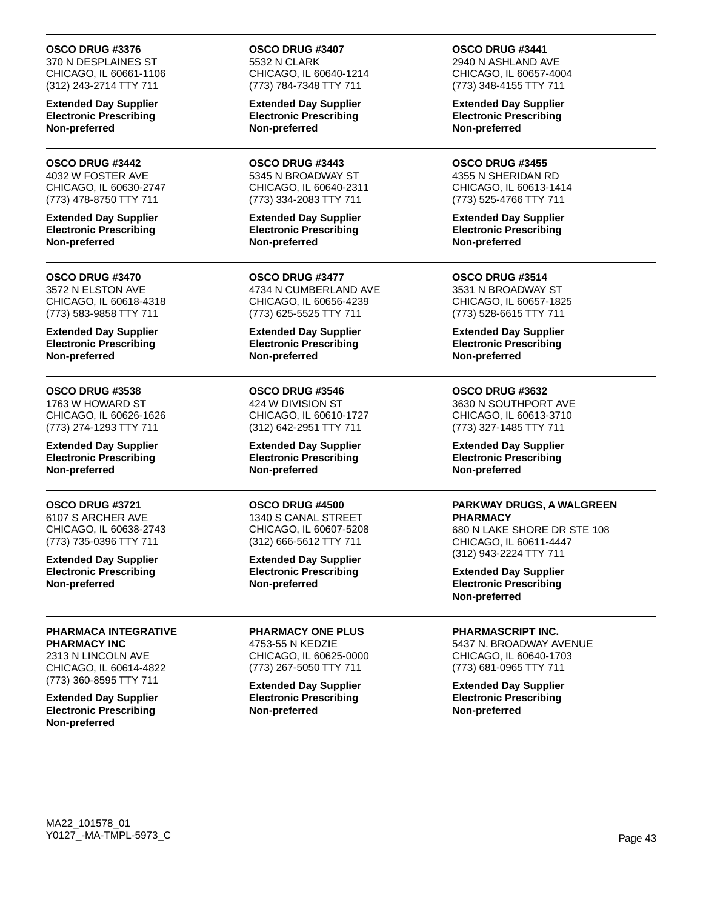### **OSCO DRUG #3376**

370 N DESPLAINES ST CHICAGO, IL 60661-1106 (312) 243-2714 TTY 711

**Extended Day Supplier Electronic Prescribing Non-preferred**

#### **OSCO DRUG #3442**

4032 W FOSTER AVE CHICAGO, IL 60630-2747 (773) 478-8750 TTY 711

**Extended Day Supplier Electronic Prescribing Non-preferred**

## **OSCO DRUG #3470**

3572 N ELSTON AVE CHICAGO, IL 60618-4318 (773) 583-9858 TTY 711

**Extended Day Supplier Electronic Prescribing Non-preferred**

### **OSCO DRUG #3538**

1763 W HOWARD ST CHICAGO, IL 60626-1626 (773) 274-1293 TTY 711

**Extended Day Supplier Electronic Prescribing Non-preferred**

### **OSCO DRUG #3721**

6107 S ARCHER AVE CHICAGO, IL 60638-2743 (773) 735-0396 TTY 711

**Extended Day Supplier Electronic Prescribing Non-preferred**

## **PHARMACA INTEGRATIVE PHARMACY INC**

2313 N LINCOLN AVE CHICAGO, IL 60614-4822 (773) 360-8595 TTY 711

**Extended Day Supplier Electronic Prescribing Non-preferred**

**OSCO DRUG #3407** 5532 N CLARK CHICAGO, IL 60640-1214 (773) 784-7348 TTY 711

**Extended Day Supplier Electronic Prescribing Non-preferred**

**OSCO DRUG #3443** 5345 N BROADWAY ST CHICAGO, IL 60640-2311 (773) 334-2083 TTY 711

**Extended Day Supplier Electronic Prescribing Non-preferred**

**OSCO DRUG #3477** 4734 N CUMBERLAND AVE CHICAGO, IL 60656-4239 (773) 625-5525 TTY 711

**Extended Day Supplier Electronic Prescribing Non-preferred**

**OSCO DRUG #3546** 424 W DIVISION ST CHICAGO, IL 60610-1727 (312) 642-2951 TTY 711

**Extended Day Supplier Electronic Prescribing Non-preferred**

### **OSCO DRUG #4500**

1340 S CANAL STREET CHICAGO, IL 60607-5208 (312) 666-5612 TTY 711

**Extended Day Supplier Electronic Prescribing Non-preferred**

**PHARMACY ONE PLUS** 4753-55 N KEDZIE CHICAGO, IL 60625-0000 (773) 267-5050 TTY 711

**Extended Day Supplier Electronic Prescribing Non-preferred**

**OSCO DRUG #3441** 2940 N ASHLAND AVE CHICAGO, IL 60657-4004

(773) 348-4155 TTY 711

**Extended Day Supplier Electronic Prescribing Non-preferred**

**OSCO DRUG #3455** 4355 N SHERIDAN RD CHICAGO, IL 60613-1414 (773) 525-4766 TTY 711

**Extended Day Supplier Electronic Prescribing Non-preferred**

**OSCO DRUG #3514** 3531 N BROADWAY ST CHICAGO, IL 60657-1825 (773) 528-6615 TTY 711

**Extended Day Supplier Electronic Prescribing Non-preferred**

## **OSCO DRUG #3632**

3630 N SOUTHPORT AVE CHICAGO, IL 60613-3710 (773) 327-1485 TTY 711

**Extended Day Supplier Electronic Prescribing Non-preferred**

#### **PARKWAY DRUGS, A WALGREEN PHARMACY**

680 N LAKE SHORE DR STE 108 CHICAGO, IL 60611-4447 (312) 943-2224 TTY 711

**Extended Day Supplier Electronic Prescribing Non-preferred**

## **PHARMASCRIPT INC.**

5437 N. BROADWAY AVENUE CHICAGO, IL 60640-1703 (773) 681-0965 TTY 711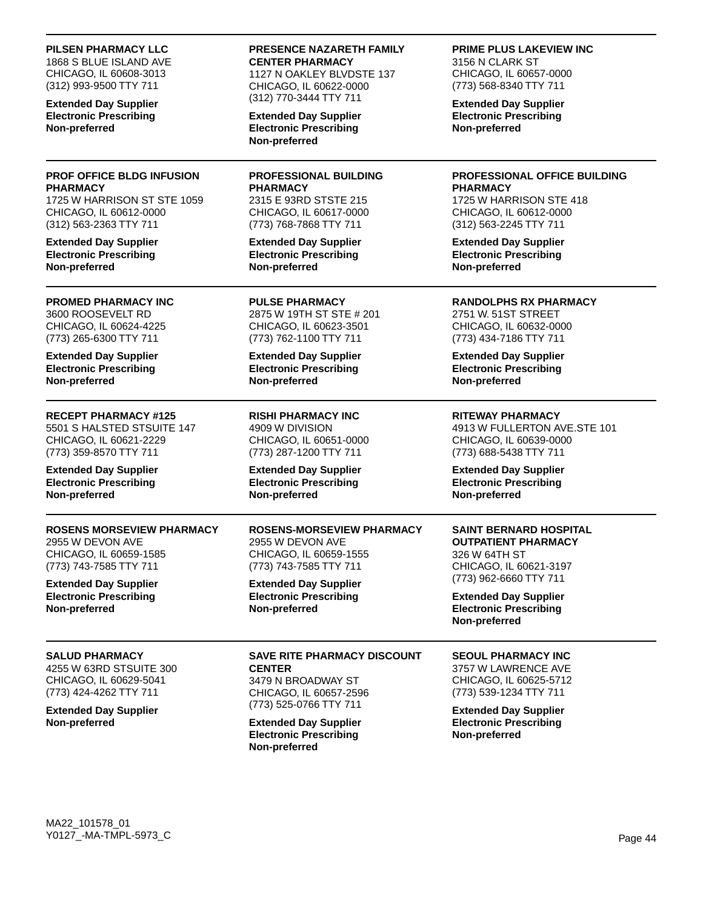#### **PILSEN PHARMACY LLC**

1868 S BLUE ISLAND AVE CHICAGO, IL 60608-3013 (312) 993-9500 TTY 711

**Extended Day Supplier Electronic Prescribing Non-preferred**

### **PROF OFFICE BLDG INFUSION PHARMACY**

1725 W HARRISON ST STE 1059 CHICAGO, IL 60612-0000 (312) 563-2363 TTY 711

**Extended Day Supplier Electronic Prescribing Non-preferred**

## **PROMED PHARMACY INC**

3600 ROOSEVELT RD CHICAGO, IL 60624-4225 (773) 265-6300 TTY 711

**Extended Day Supplier Electronic Prescribing Non-preferred**

## **RECEPT PHARMACY #125**

5501 S HALSTED STSUITE 147 CHICAGO, IL 60621-2229 (773) 359-8570 TTY 711

**Extended Day Supplier Electronic Prescribing Non-preferred**

## **ROSENS MORSEVIEW PHARMACY**

2955 W DEVON AVE CHICAGO, IL 60659-1585 (773) 743-7585 TTY 711

**Extended Day Supplier Electronic Prescribing Non-preferred**

### **SALUD PHARMACY**

4255 W 63RD STSUITE 300 CHICAGO, IL 60629-5041 (773) 424-4262 TTY 711

**Extended Day Supplier Non-preferred**

## **PRESENCE NAZARETH FAMILY CENTER PHARMACY**

1127 N OAKLEY BLVDSTE 137 CHICAGO, IL 60622-0000 (312) 770-3444 TTY 711

**Extended Day Supplier Electronic Prescribing Non-preferred**

**PROFESSIONAL BUILDING PHARMACY** 2315 E 93RD STSTE 215

CHICAGO, IL 60617-0000 (773) 768-7868 TTY 711

**Extended Day Supplier Electronic Prescribing Non-preferred**

**PULSE PHARMACY** 2875 W 19TH ST STE # 201 CHICAGO, IL 60623-3501 (773) 762-1100 TTY 711

**Extended Day Supplier Electronic Prescribing Non-preferred**

**RISHI PHARMACY INC** 4909 W DIVISION CHICAGO, IL 60651-0000 (773) 287-1200 TTY 711

**Extended Day Supplier Electronic Prescribing Non-preferred**

**ROSENS-MORSEVIEW PHARMACY** 2955 W DEVON AVE CHICAGO, IL 60659-1555 (773) 743-7585 TTY 711

**Extended Day Supplier Electronic Prescribing Non-preferred**

**SAVE RITE PHARMACY DISCOUNT CENTER** 3479 N BROADWAY ST CHICAGO, IL 60657-2596

(773) 525-0766 TTY 711 **Extended Day Supplier**

**Electronic Prescribing Non-preferred**

### **PRIME PLUS LAKEVIEW INC**

3156 N CLARK ST CHICAGO, IL 60657-0000 (773) 568-8340 TTY 711

**Extended Day Supplier Electronic Prescribing Non-preferred**

### **PROFESSIONAL OFFICE BUILDING PHARMACY**

1725 W HARRISON STE 418 CHICAGO, IL 60612-0000 (312) 563-2245 TTY 711

**Extended Day Supplier Electronic Prescribing Non-preferred**

### **RANDOLPHS RX PHARMACY**

2751 W. 51ST STREET CHICAGO, IL 60632-0000 (773) 434-7186 TTY 711

**Extended Day Supplier Electronic Prescribing Non-preferred**

**RITEWAY PHARMACY**

4913 W FULLERTON AVE.STE 101 CHICAGO, IL 60639-0000 (773) 688-5438 TTY 711

**Extended Day Supplier Electronic Prescribing Non-preferred**

### **SAINT BERNARD HOSPITAL OUTPATIENT PHARMACY** 326 W 64TH ST CHICAGO, IL 60621-3197 (773) 962-6660 TTY 711

**Extended Day Supplier Electronic Prescribing Non-preferred**

## **SEOUL PHARMACY INC**

3757 W LAWRENCE AVE CHICAGO, IL 60625-5712 (773) 539-1234 TTY 711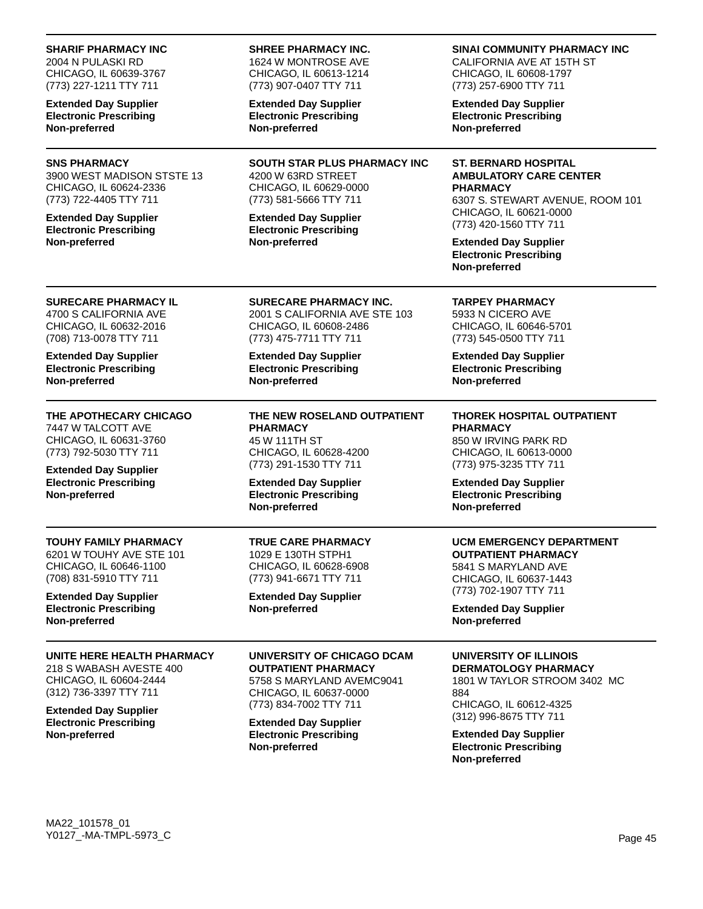| <b>Extended Day Supplier</b><br><b>Electronic Prescribing</b><br>Non-preferred                                                                                                             | (773) 834-7002 TTY 711<br><b>Extended Day Supplier</b><br><b>Electronic Prescribing</b><br>Non-preferred                                                                                              | CHICAGO, IL 60612-4325<br>(312) 996-8675 TTY 711<br><b>Extended Day Supplier</b><br><b>Electronic Prescribing</b><br>Non-preferred                                                                                                                        |
|--------------------------------------------------------------------------------------------------------------------------------------------------------------------------------------------|-------------------------------------------------------------------------------------------------------------------------------------------------------------------------------------------------------|-----------------------------------------------------------------------------------------------------------------------------------------------------------------------------------------------------------------------------------------------------------|
| UNITE HERE HEALTH PHARMACY<br>218 S WABASH AVESTE 400<br>CHICAGO, IL 60604-2444<br>(312) 736-3397 TTY 711                                                                                  | UNIVERSITY OF CHICAGO DCAM<br><b>OUTPATIENT PHARMACY</b><br>5758 S MARYLAND AVEMC9041<br>CHICAGO, IL 60637-0000                                                                                       | UNIVERSITY OF ILLINOIS<br><b>DERMATOLOGY PHARMACY</b><br>1801 W TAYLOR STROOM 3402 MC<br>884                                                                                                                                                              |
| <b>Extended Day Supplier</b><br><b>Electronic Prescribing</b><br>Non-preferred                                                                                                             | <b>Extended Day Supplier</b><br>Non-preferred                                                                                                                                                         | (773) 702-1907 TTY 711<br><b>Extended Day Supplier</b><br>Non-preferred                                                                                                                                                                                   |
| TOUHY FAMILY PHARMACY<br>6201 W TOUHY AVE STE 101<br>CHICAGO, IL 60646-1100<br>(708) 831-5910 TTY 711                                                                                      | <b>TRUE CARE PHARMACY</b><br>1029 E 130TH STPH1<br>CHICAGO, IL 60628-6908<br>(773) 941-6671 TTY 711                                                                                                   | <b>UCM EMERGENCY DEPARTMENT</b><br><b>OUTPATIENT PHARMACY</b><br>5841 S MARYLAND AVE<br>CHICAGO, IL 60637-1443                                                                                                                                            |
| THE APOTHECARY CHICAGO<br>7447 W TALCOTT AVE<br>CHICAGO, IL 60631-3760<br>(773) 792-5030 TTY 711<br><b>Extended Day Supplier</b><br><b>Electronic Prescribing</b><br>Non-preferred         | THE NEW ROSELAND OUTPATIENT<br><b>PHARMACY</b><br>45 W 111TH ST<br>CHICAGO, IL 60628-4200<br>(773) 291-1530 TTY 711<br><b>Extended Day Supplier</b><br><b>Electronic Prescribing</b><br>Non-preferred | <b>THOREK HOSPITAL OUTPATIENT</b><br><b>PHARMACY</b><br>850 W IRVING PARK RD<br>CHICAGO, IL 60613-0000<br>(773) 975-3235 TTY 711<br><b>Extended Day Supplier</b><br><b>Electronic Prescribing</b><br>Non-preferred                                        |
| <b>SURECARE PHARMACY IL</b><br>4700 S CALIFORNIA AVE<br>CHICAGO, IL 60632-2016<br>(708) 713-0078 TTY 711<br><b>Extended Day Supplier</b><br><b>Electronic Prescribing</b><br>Non-preferred | <b>SURECARE PHARMACY INC.</b><br>2001 S CALIFORNIA AVE STE 103<br>CHICAGO, IL 60608-2486<br>(773) 475-7711 TTY 711<br><b>Extended Day Supplier</b><br><b>Electronic Prescribing</b><br>Non-preferred  | <b>TARPEY PHARMACY</b><br>5933 N CICERO AVE<br>CHICAGO, IL 60646-5701<br>(773) 545-0500 TTY 711<br><b>Extended Day Supplier</b><br><b>Electronic Prescribing</b><br>Non-preferred                                                                         |
| <b>SNS PHARMACY</b><br>3900 WEST MADISON STSTE 13<br>CHICAGO, IL 60624-2336<br>(773) 722-4405 TTY 711<br><b>Extended Day Supplier</b><br><b>Electronic Prescribing</b><br>Non-preferred    | <b>SOUTH STAR PLUS PHARMACY INC</b><br>4200 W 63RD STREET<br>CHICAGO, IL 60629-0000<br>(773) 581-5666 TTY 711<br><b>Extended Day Supplier</b><br><b>Electronic Prescribing</b><br>Non-preferred       | <b>ST. BERNARD HOSPITAL</b><br><b>AMBULATORY CARE CENTER</b><br><b>PHARMACY</b><br>6307 S. STEWART AVENUE, ROOM 101<br>CHICAGO, IL 60621-0000<br>(773) 420-1560 TTY 711<br><b>Extended Day Supplier</b><br><b>Electronic Prescribing</b><br>Non-preferred |
| 2004 N PULASKI RD<br>CHICAGO, IL 60639-3767<br>(773) 227-1211 TTY 711<br><b>Extended Day Supplier</b><br><b>Electronic Prescribing</b><br>Non-preferred                                    | 1624 W MONTROSE AVE<br>CHICAGO, IL 60613-1214<br>(773) 907-0407 TTY 711<br><b>Extended Day Supplier</b><br><b>Electronic Prescribing</b><br>Non-preferred                                             | CALIFORNIA AVE AT 15TH ST<br>CHICAGO, IL 60608-1797<br>(773) 257-6900 TTY 711<br><b>Extended Day Supplier</b><br><b>Electronic Prescribing</b><br>Non-preferred                                                                                           |
| <b>SHARIF PHARMACY INC</b>                                                                                                                                                                 | <b>SHREE PHARMACY INC.</b>                                                                                                                                                                            | SINAI COMMUNITY PHARMACY INC                                                                                                                                                                                                                              |

—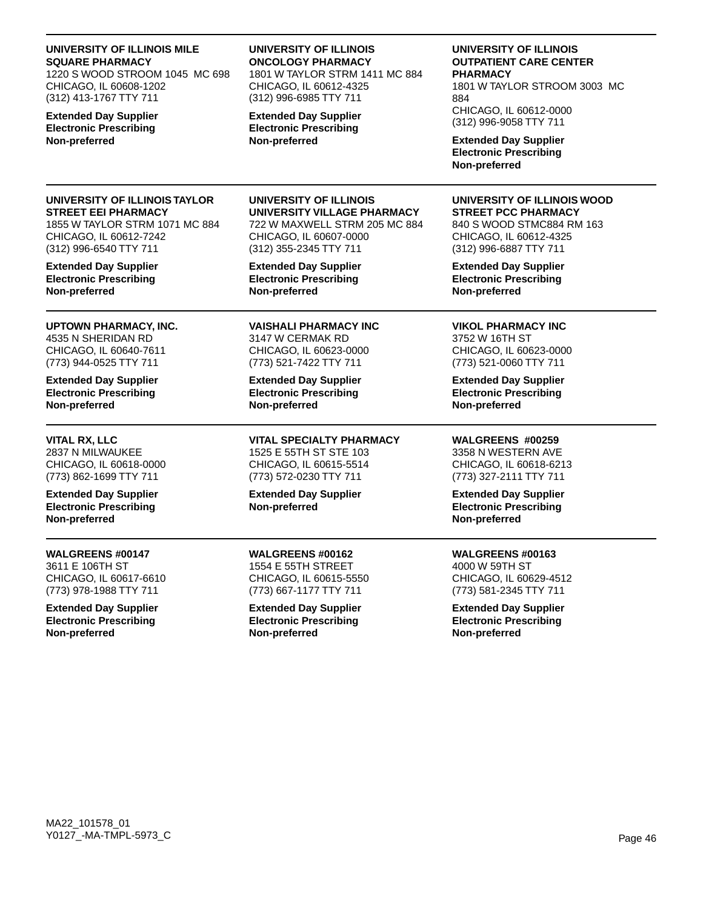| UNIVERSITY OF ILLINOIS MILE<br><b>SQUARE PHARMACY</b><br>1220 S WOOD STROOM 1045 MC 698<br>CHICAGO, IL 60608-1202<br>(312) 413-1767 TTY 711<br><b>Extended Day Supplier</b><br><b>Electronic Prescribing</b><br>Non-preferred | UNIVERSITY OF ILLINOIS<br><b>ONCOLOGY PHARMACY</b><br>1801 W TAYLOR STRM 1411 MC 884<br>CHICAGO, IL 60612-4325<br>(312) 996-6985 TTY 711<br><b>Extended Day Supplier</b><br><b>Electronic Prescribing</b><br>Non-preferred | UNIVERSITY OF ILLINOIS<br><b>OUTPATIENT CARE CENTER</b><br><b>PHARMACY</b><br>1801 W TAYLOR STROOM 3003 MC<br>884<br>CHICAGO, IL 60612-0000<br>(312) 996-9058 TTY 711<br><b>Extended Day Supplier</b><br><b>Electronic Prescribing</b><br>Non-preferred |
|-------------------------------------------------------------------------------------------------------------------------------------------------------------------------------------------------------------------------------|----------------------------------------------------------------------------------------------------------------------------------------------------------------------------------------------------------------------------|---------------------------------------------------------------------------------------------------------------------------------------------------------------------------------------------------------------------------------------------------------|
| UNIVERSITY OF ILLINOIS TAYLOR                                                                                                                                                                                                 | UNIVERSITY OF ILLINOIS                                                                                                                                                                                                     | UNIVERSITY OF ILLINOIS WOOD                                                                                                                                                                                                                             |
| <b>STREET EEI PHARMACY</b>                                                                                                                                                                                                    | UNIVERSITY VILLAGE PHARMACY                                                                                                                                                                                                | <b>STREET PCC PHARMACY</b>                                                                                                                                                                                                                              |
| 1855 W TAYLOR STRM 1071 MC 884                                                                                                                                                                                                | 722 W MAXWELL STRM 205 MC 884                                                                                                                                                                                              | 840 S WOOD STMC884 RM 163                                                                                                                                                                                                                               |
| CHICAGO, IL 60612-7242                                                                                                                                                                                                        | CHICAGO, IL 60607-0000                                                                                                                                                                                                     | CHICAGO, IL 60612-4325                                                                                                                                                                                                                                  |
| (312) 996-6540 TTY 711                                                                                                                                                                                                        | (312) 355-2345 TTY 711                                                                                                                                                                                                     | (312) 996-6887 TTY 711                                                                                                                                                                                                                                  |
| <b>Extended Day Supplier</b>                                                                                                                                                                                                  | <b>Extended Day Supplier</b>                                                                                                                                                                                               | <b>Extended Day Supplier</b>                                                                                                                                                                                                                            |
| <b>Electronic Prescribing</b>                                                                                                                                                                                                 | <b>Electronic Prescribing</b>                                                                                                                                                                                              | <b>Electronic Prescribing</b>                                                                                                                                                                                                                           |
| Non-preferred                                                                                                                                                                                                                 | Non-preferred                                                                                                                                                                                                              | Non-preferred                                                                                                                                                                                                                                           |
| UPTOWN PHARMACY, INC.                                                                                                                                                                                                         | <b>VAISHALI PHARMACY INC</b>                                                                                                                                                                                               | <b>VIKOL PHARMACY INC</b>                                                                                                                                                                                                                               |
| 4535 N SHERIDAN RD                                                                                                                                                                                                            | 3147 W CERMAK RD                                                                                                                                                                                                           | 3752 W 16TH ST                                                                                                                                                                                                                                          |
| CHICAGO, IL 60640-7611                                                                                                                                                                                                        | CHICAGO, IL 60623-0000                                                                                                                                                                                                     | CHICAGO, IL 60623-0000                                                                                                                                                                                                                                  |
| (773) 944-0525 TTY 711                                                                                                                                                                                                        | (773) 521-7422 TTY 711                                                                                                                                                                                                     | (773) 521-0060 TTY 711                                                                                                                                                                                                                                  |
| <b>Extended Day Supplier</b>                                                                                                                                                                                                  | <b>Extended Day Supplier</b>                                                                                                                                                                                               | <b>Extended Day Supplier</b>                                                                                                                                                                                                                            |
| <b>Electronic Prescribing</b>                                                                                                                                                                                                 | <b>Electronic Prescribing</b>                                                                                                                                                                                              | <b>Electronic Prescribing</b>                                                                                                                                                                                                                           |
| Non-preferred                                                                                                                                                                                                                 | Non-preferred                                                                                                                                                                                                              | Non-preferred                                                                                                                                                                                                                                           |
| <b>VITAL RX, LLC</b>                                                                                                                                                                                                          | <b>VITAL SPECIALTY PHARMACY</b>                                                                                                                                                                                            | WALGREENS #00259                                                                                                                                                                                                                                        |
| 2837 N MILWAUKEE                                                                                                                                                                                                              | 1525 E 55TH ST STE 103                                                                                                                                                                                                     | 3358 N WESTERN AVE                                                                                                                                                                                                                                      |
| CHICAGO, IL 60618-0000                                                                                                                                                                                                        | CHICAGO, IL 60615-5514                                                                                                                                                                                                     | CHICAGO, IL 60618-6213                                                                                                                                                                                                                                  |
| (773) 862-1699 TTY 711                                                                                                                                                                                                        | (773) 572-0230 TTY 711                                                                                                                                                                                                     | (773) 327-2111 TTY 711                                                                                                                                                                                                                                  |
| <b>Extended Day Supplier</b><br><b>Electronic Prescribing</b><br>Non-preferred                                                                                                                                                | <b>Extended Day Supplier</b><br>Non-preferred                                                                                                                                                                              | <b>Extended Day Supplier</b><br><b>Electronic Prescribing</b><br>Non-preferred                                                                                                                                                                          |
| <b>WALGREENS #00147</b>                                                                                                                                                                                                       | <b>WALGREENS #00162</b>                                                                                                                                                                                                    | WALGREENS #00163                                                                                                                                                                                                                                        |
| 3611 E 106TH ST                                                                                                                                                                                                               | 1554 E 55TH STREET                                                                                                                                                                                                         | 4000 W 59TH ST                                                                                                                                                                                                                                          |
| CHICAGO, IL 60617-6610                                                                                                                                                                                                        | CHICAGO, IL 60615-5550                                                                                                                                                                                                     | CHICAGO, IL 60629-4512                                                                                                                                                                                                                                  |
| (773) 978-1988 TTY 711                                                                                                                                                                                                        | (773) 667-1177 TTY 711                                                                                                                                                                                                     | (773) 581-2345 TTY 711                                                                                                                                                                                                                                  |
| <b>Extended Day Supplier</b>                                                                                                                                                                                                  | <b>Extended Day Supplier</b>                                                                                                                                                                                               | <b>Extended Day Supplier</b>                                                                                                                                                                                                                            |
| <b>Electronic Prescribing</b>                                                                                                                                                                                                 | <b>Electronic Prescribing</b>                                                                                                                                                                                              | <b>Electronic Prescribing</b>                                                                                                                                                                                                                           |
| Non-preferred                                                                                                                                                                                                                 | Non-preferred                                                                                                                                                                                                              | Non-preferred                                                                                                                                                                                                                                           |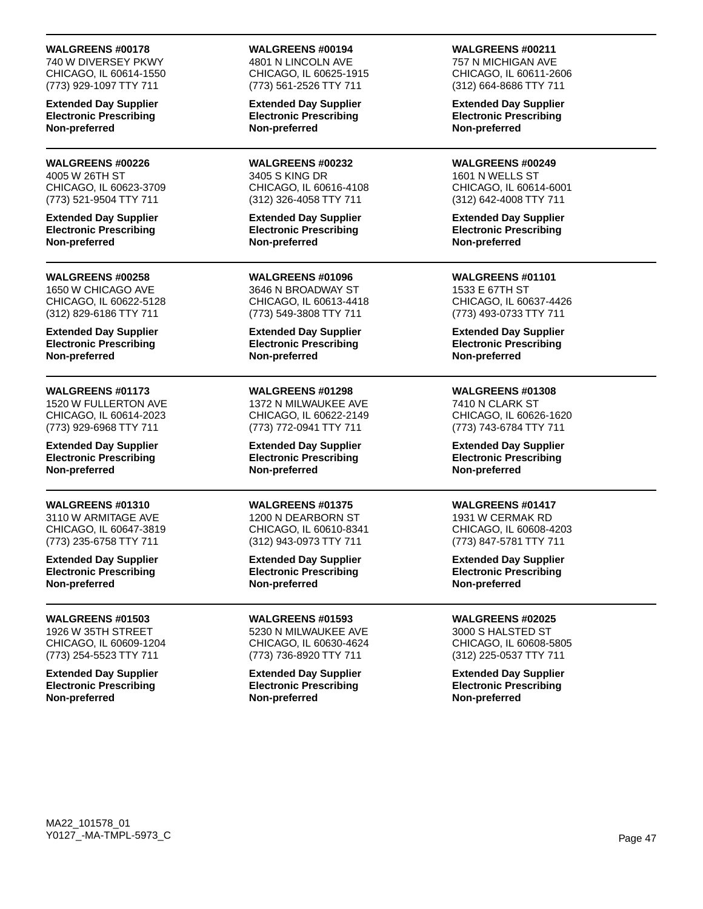740 W DIVERSEY PKWY CHICAGO, IL 60614-1550 (773) 929-1097 TTY 711

**Extended Day Supplier Electronic Prescribing Non-preferred**

#### **WALGREENS #00226** 4005 W 26TH ST

CHICAGO, IL 60623-3709 (773) 521-9504 TTY 711

**Extended Day Supplier Electronic Prescribing Non-preferred**

#### **WALGREENS #00258**

1650 W CHICAGO AVE CHICAGO, IL 60622-5128 (312) 829-6186 TTY 711

**Extended Day Supplier Electronic Prescribing Non-preferred**

### **WALGREENS #01173**

1520 W FULLERTON AVE CHICAGO, IL 60614-2023 (773) 929-6968 TTY 711

**Extended Day Supplier Electronic Prescribing Non-preferred**

### **WALGREENS #01310**

3110 W ARMITAGE AVE CHICAGO, IL 60647-3819 (773) 235-6758 TTY 711

**Extended Day Supplier Electronic Prescribing Non-preferred**

### **WALGREENS #01503**

1926 W 35TH STREET CHICAGO, IL 60609-1204 (773) 254-5523 TTY 711

**Extended Day Supplier Electronic Prescribing Non-preferred**

## **WALGREENS #00194**

4801 N LINCOLN AVE CHICAGO, IL 60625-1915 (773) 561-2526 TTY 711

**Extended Day Supplier Electronic Prescribing Non-preferred**

**WALGREENS #00232** 3405 S KING DR CHICAGO, IL 60616-4108 (312) 326-4058 TTY 711

**Extended Day Supplier Electronic Prescribing Non-preferred**

**WALGREENS #01096** 3646 N BROADWAY ST CHICAGO, IL 60613-4418 (773) 549-3808 TTY 711

**Extended Day Supplier Electronic Prescribing Non-preferred**

## **WALGREENS #01298**

1372 N MILWAUKEE AVE CHICAGO, IL 60622-2149 (773) 772-0941 TTY 711

**Extended Day Supplier Electronic Prescribing Non-preferred**

## **WALGREENS #01375**

1200 N DEARBORN ST CHICAGO, IL 60610-8341 (312) 943-0973 TTY 711

**Extended Day Supplier Electronic Prescribing Non-preferred**

**WALGREENS #01593**

5230 N MILWAUKEE AVE CHICAGO, IL 60630-4624 (773) 736-8920 TTY 711

**Extended Day Supplier Electronic Prescribing Non-preferred**

**WALGREENS #00211**

757 N MICHIGAN AVE CHICAGO, IL 60611-2606 (312) 664-8686 TTY 711

**Extended Day Supplier Electronic Prescribing Non-preferred**

**WALGREENS #00249** 1601 N WELLS ST CHICAGO, IL 60614-6001 (312) 642-4008 TTY 711

**Extended Day Supplier Electronic Prescribing Non-preferred**

**WALGREENS #01101** 1533 E 67TH ST CHICAGO, IL 60637-4426 (773) 493-0733 TTY 711

**Extended Day Supplier Electronic Prescribing Non-preferred**

## **WALGREENS #01308**

7410 N CLARK ST CHICAGO, IL 60626-1620 (773) 743-6784 TTY 711

**Extended Day Supplier Electronic Prescribing Non-preferred**

## **WALGREENS #01417**

1931 W CERMAK RD CHICAGO, IL 60608-4203 (773) 847-5781 TTY 711

**Extended Day Supplier Electronic Prescribing Non-preferred**

## **WALGREENS #02025**

3000 S HALSTED ST CHICAGO, IL 60608-5805 (312) 225-0537 TTY 711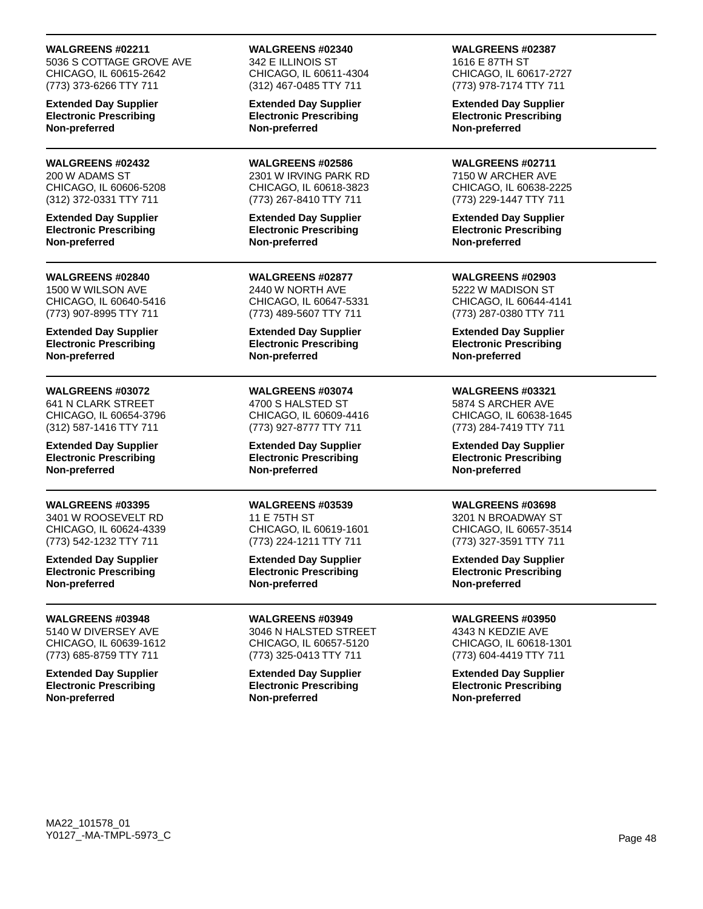5036 S COTTAGE GROVE AVE CHICAGO, IL 60615-2642 (773) 373-6266 TTY 711

**Extended Day Supplier Electronic Prescribing Non-preferred**

#### **WALGREENS #02432** 200 W ADAMS ST

CHICAGO, IL 60606-5208 (312) 372-0331 TTY 711

**Extended Day Supplier Electronic Prescribing Non-preferred**

### **WALGREENS #02840**

1500 W WILSON AVE CHICAGO, IL 60640-5416 (773) 907-8995 TTY 711

**Extended Day Supplier Electronic Prescribing Non-preferred**

## **WALGREENS #03072**

641 N CLARK STREET CHICAGO, IL 60654-3796 (312) 587-1416 TTY 711

**Extended Day Supplier Electronic Prescribing Non-preferred**

## **WALGREENS #03395**

3401 W ROOSEVELT RD CHICAGO, IL 60624-4339 (773) 542-1232 TTY 711

**Extended Day Supplier Electronic Prescribing Non-preferred**

### **WALGREENS #03948**

5140 W DIVERSEY AVE CHICAGO, IL 60639-1612 (773) 685-8759 TTY 711

**Extended Day Supplier Electronic Prescribing Non-preferred**

# **WALGREENS #02340**

342 E ILLINOIS ST CHICAGO, IL 60611-4304 (312) 467-0485 TTY 711

**Extended Day Supplier Electronic Prescribing Non-preferred**

**WALGREENS #02586** 2301 W IRVING PARK RD CHICAGO, IL 60618-3823 (773) 267-8410 TTY 711

**Extended Day Supplier Electronic Prescribing Non-preferred**

**WALGREENS #02877** 2440 W NORTH AVE CHICAGO, IL 60647-5331 (773) 489-5607 TTY 711

**Extended Day Supplier Electronic Prescribing Non-preferred**

**WALGREENS #03074** 4700 S HALSTED ST CHICAGO, IL 60609-4416 (773) 927-8777 TTY 711

**Extended Day Supplier Electronic Prescribing Non-preferred**

**WALGREENS #03539** 11 E 75TH ST CHICAGO, IL 60619-1601 (773) 224-1211 TTY 711

**Extended Day Supplier Electronic Prescribing Non-preferred**

**WALGREENS #03949**

3046 N HALSTED STREET CHICAGO, IL 60657-5120 (773) 325-0413 TTY 711

**Extended Day Supplier Electronic Prescribing Non-preferred**

**WALGREENS #02387** 1616 E 87TH ST

CHICAGO, IL 60617-2727 (773) 978-7174 TTY 711

**Extended Day Supplier Electronic Prescribing Non-preferred**

**WALGREENS #02711** 7150 W ARCHER AVE CHICAGO, IL 60638-2225 (773) 229-1447 TTY 711

**Extended Day Supplier Electronic Prescribing Non-preferred**

**WALGREENS #02903** 5222 W MADISON ST CHICAGO, IL 60644-4141 (773) 287-0380 TTY 711

**Extended Day Supplier Electronic Prescribing Non-preferred**

#### **WALGREENS #03321** 5874 S ARCHER AVE

CHICAGO, IL 60638-1645 (773) 284-7419 TTY 711

**Extended Day Supplier Electronic Prescribing Non-preferred**

## **WALGREENS #03698**

3201 N BROADWAY ST CHICAGO, IL 60657-3514 (773) 327-3591 TTY 711

**Extended Day Supplier Electronic Prescribing Non-preferred**

## **WALGREENS #03950**

4343 N KEDZIE AVE CHICAGO, IL 60618-1301 (773) 604-4419 TTY 711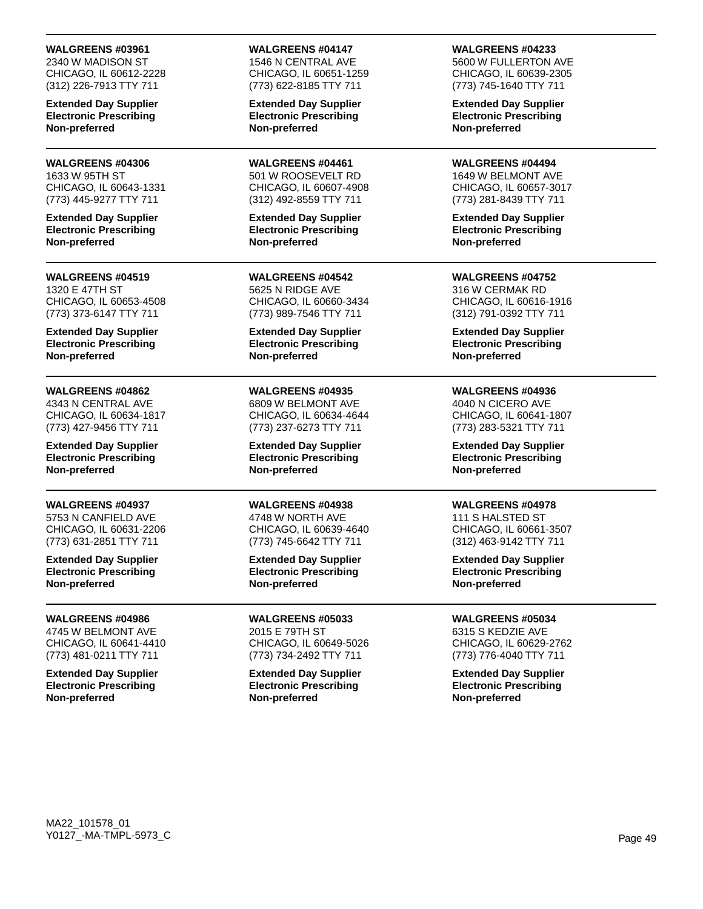2340 W MADISON ST CHICAGO, IL 60612-2228 (312) 226-7913 TTY 711

**Extended Day Supplier Electronic Prescribing Non-preferred**

#### **WALGREENS #04306** 1633 W 95TH ST

CHICAGO, IL 60643-1331 (773) 445-9277 TTY 711

**Extended Day Supplier Electronic Prescribing Non-preferred**

#### **WALGREENS #04519**

1320 E 47TH ST CHICAGO, IL 60653-4508 (773) 373-6147 TTY 711

**Extended Day Supplier Electronic Prescribing Non-preferred**

### **WALGREENS #04862**

4343 N CENTRAL AVE CHICAGO, IL 60634-1817 (773) 427-9456 TTY 711

**Extended Day Supplier Electronic Prescribing Non-preferred**

### **WALGREENS #04937**

5753 N CANFIELD AVE CHICAGO, IL 60631-2206 (773) 631-2851 TTY 711

**Extended Day Supplier Electronic Prescribing Non-preferred**

### **WALGREENS #04986**

4745 W BELMONT AVE CHICAGO, IL 60641-4410 (773) 481-0211 TTY 711

**Extended Day Supplier Electronic Prescribing Non-preferred**

## **WALGREENS #04147**

1546 N CENTRAL AVE CHICAGO, IL 60651-1259 (773) 622-8185 TTY 711

**Extended Day Supplier Electronic Prescribing Non-preferred**

**WALGREENS #04461** 501 W ROOSEVELT RD CHICAGO, IL 60607-4908 (312) 492-8559 TTY 711

**Extended Day Supplier Electronic Prescribing Non-preferred**

**WALGREENS #04542** 5625 N RIDGE AVE CHICAGO, IL 60660-3434 (773) 989-7546 TTY 711

**Extended Day Supplier Electronic Prescribing Non-preferred**

## **WALGREENS #04935**

6809 W BELMONT AVE CHICAGO, IL 60634-4644 (773) 237-6273 TTY 711

**Extended Day Supplier Electronic Prescribing Non-preferred**

## **WALGREENS #04938**

4748 W NORTH AVE CHICAGO, IL 60639-4640 (773) 745-6642 TTY 711

**Extended Day Supplier Electronic Prescribing Non-preferred**

**WALGREENS #05033** 2015 E 79TH ST CHICAGO, IL 60649-5026 (773) 734-2492 TTY 711

**Extended Day Supplier Electronic Prescribing Non-preferred**

### **WALGREENS #04233**

5600 W FULLERTON AVE CHICAGO, IL 60639-2305 (773) 745-1640 TTY 711

**Extended Day Supplier Electronic Prescribing Non-preferred**

**WALGREENS #04494** 1649 W BELMONT AVE CHICAGO, IL 60657-3017 (773) 281-8439 TTY 711

**Extended Day Supplier Electronic Prescribing Non-preferred**

**WALGREENS #04752** 316 W CERMAK RD CHICAGO, IL 60616-1916 (312) 791-0392 TTY 711

**Extended Day Supplier Electronic Prescribing Non-preferred**

## **WALGREENS #04936**

4040 N CICERO AVE CHICAGO, IL 60641-1807 (773) 283-5321 TTY 711

**Extended Day Supplier Electronic Prescribing Non-preferred**

## **WALGREENS #04978**

111 S HALSTED ST CHICAGO, IL 60661-3507 (312) 463-9142 TTY 711

**Extended Day Supplier Electronic Prescribing Non-preferred**

## **WALGREENS #05034**

6315 S KEDZIE AVE CHICAGO, IL 60629-2762 (773) 776-4040 TTY 711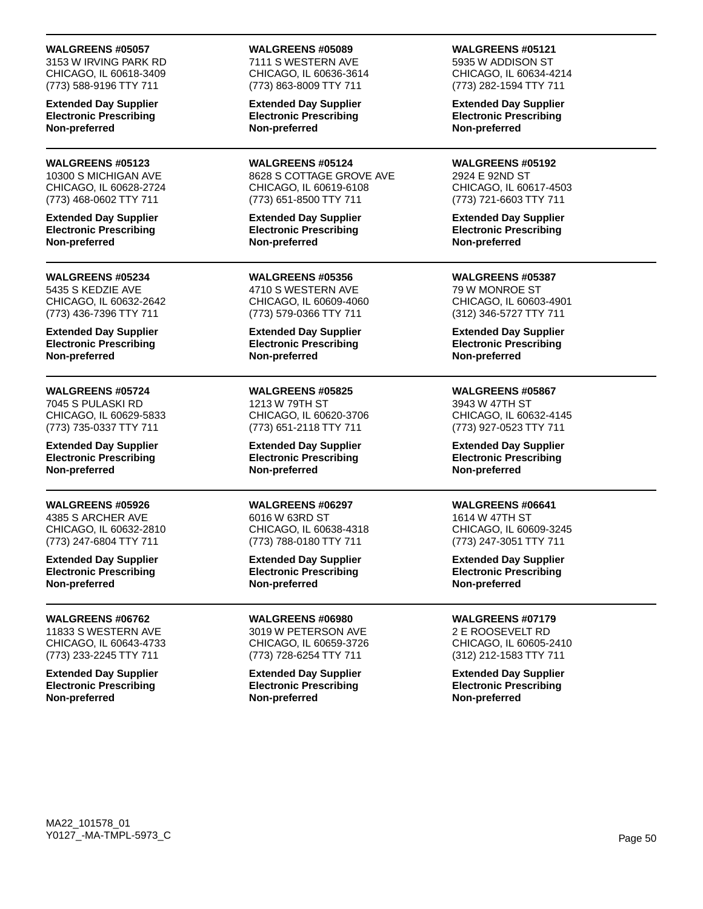3153 W IRVING PARK RD CHICAGO, IL 60618-3409 (773) 588-9196 TTY 711

**Extended Day Supplier Electronic Prescribing Non-preferred**

#### **WALGREENS #05123** 10300 S MICHIGAN AVE

CHICAGO, IL 60628-2724 (773) 468-0602 TTY 711

**Extended Day Supplier Electronic Prescribing Non-preferred**

## **WALGREENS #05234**

5435 S KEDZIE AVE CHICAGO, IL 60632-2642 (773) 436-7396 TTY 711

**Extended Day Supplier Electronic Prescribing Non-preferred**

## **WALGREENS #05724**

7045 S PULASKI RD CHICAGO, IL 60629-5833 (773) 735-0337 TTY 711

**Extended Day Supplier Electronic Prescribing Non-preferred**

## **WALGREENS #05926**

4385 S ARCHER AVE CHICAGO, IL 60632-2810 (773) 247-6804 TTY 711

**Extended Day Supplier Electronic Prescribing Non-preferred**

### **WALGREENS #06762**

11833 S WESTERN AVE CHICAGO, IL 60643-4733 (773) 233-2245 TTY 711

**Extended Day Supplier Electronic Prescribing Non-preferred**

### **WALGREENS #05089**

7111 S WESTERN AVE CHICAGO, IL 60636-3614 (773) 863-8009 TTY 711

**Extended Day Supplier Electronic Prescribing Non-preferred**

**WALGREENS #05124** 8628 S COTTAGE GROVE AVE CHICAGO, IL 60619-6108 (773) 651-8500 TTY 711

**Extended Day Supplier Electronic Prescribing Non-preferred**

**WALGREENS #05356** 4710 S WESTERN AVE CHICAGO, IL 60609-4060 (773) 579-0366 TTY 711

**Extended Day Supplier Electronic Prescribing Non-preferred**

**WALGREENS #05825** 1213 W 79TH ST CHICAGO, IL 60620-3706 (773) 651-2118 TTY 711

**Extended Day Supplier Electronic Prescribing Non-preferred**

**WALGREENS #06297** 6016 W 63RD ST CHICAGO, IL 60638-4318 (773) 788-0180 TTY 711

**Extended Day Supplier Electronic Prescribing Non-preferred**

**WALGREENS #06980** 3019 W PETERSON AVE

CHICAGO, IL 60659-3726 (773) 728-6254 TTY 711

**Extended Day Supplier Electronic Prescribing Non-preferred**

**WALGREENS #05121** 5935 W ADDISON ST

CHICAGO, IL 60634-4214 (773) 282-1594 TTY 711

**Extended Day Supplier Electronic Prescribing Non-preferred**

**WALGREENS #05192** 2924 E 92ND ST CHICAGO, IL 60617-4503 (773) 721-6603 TTY 711

**Extended Day Supplier Electronic Prescribing Non-preferred**

**WALGREENS #05387** 79 W MONROE ST CHICAGO, IL 60603-4901 (312) 346-5727 TTY 711

**Extended Day Supplier Electronic Prescribing Non-preferred**

## **WALGREENS #05867**

3943 W 47TH ST CHICAGO, IL 60632-4145 (773) 927-0523 TTY 711

**Extended Day Supplier Electronic Prescribing Non-preferred**

## **WALGREENS #06641**

1614 W 47TH ST CHICAGO, IL 60609-3245 (773) 247-3051 TTY 711

**Extended Day Supplier Electronic Prescribing Non-preferred**

## **WALGREENS #07179**

2 E ROOSEVELT RD CHICAGO, IL 60605-2410 (312) 212-1583 TTY 711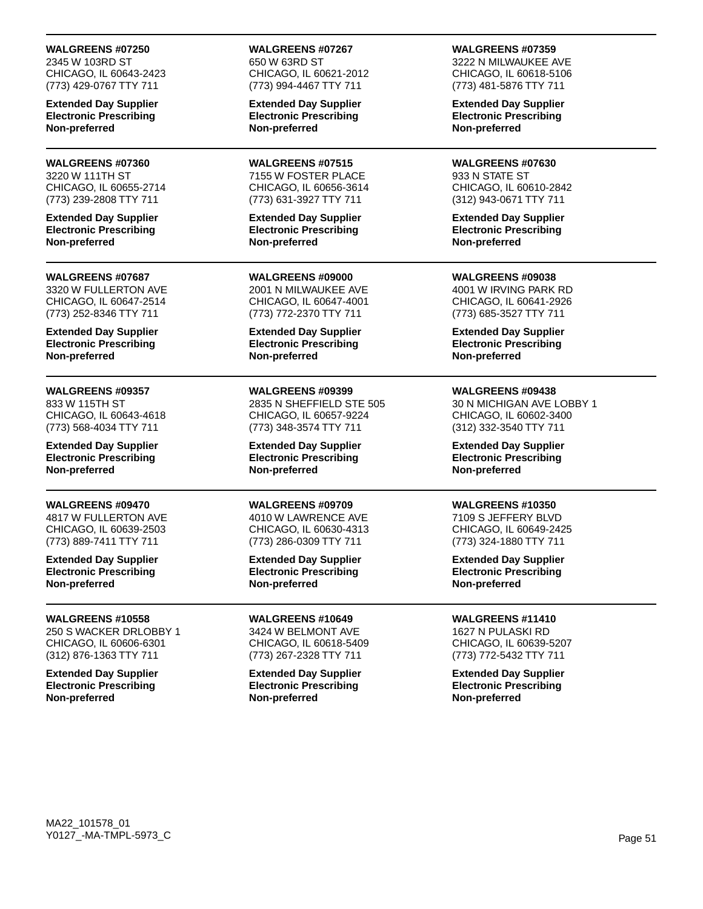2345 W 103RD ST CHICAGO, IL 60643-2423 (773) 429-0767 TTY 711

**Extended Day Supplier Electronic Prescribing Non-preferred**

## **WALGREENS #07360**

3220 W 111TH ST CHICAGO, IL 60655-2714 (773) 239-2808 TTY 711

**Extended Day Supplier Electronic Prescribing Non-preferred**

#### **WALGREENS #07687**

3320 W FULLERTON AVE CHICAGO, IL 60647-2514 (773) 252-8346 TTY 711

**Extended Day Supplier Electronic Prescribing Non-preferred**

## **WALGREENS #09357**

833 W 115TH ST CHICAGO, IL 60643-4618 (773) 568-4034 TTY 711

**Extended Day Supplier Electronic Prescribing Non-preferred**

## **WALGREENS #09470**

4817 W FULLERTON AVE CHICAGO, IL 60639-2503 (773) 889-7411 TTY 711

**Extended Day Supplier Electronic Prescribing Non-preferred**

### **WALGREENS #10558**

250 S WACKER DRLOBBY 1 CHICAGO, IL 60606-6301 (312) 876-1363 TTY 711

**Extended Day Supplier Electronic Prescribing Non-preferred**

#### **WALGREENS #07267** 650 W 63RD ST CHICAGO, IL 60621-2012 (773) 994-4467 TTY 711

**Extended Day Supplier Electronic Prescribing Non-preferred**

**WALGREENS #07515** 7155 W FOSTER PLACE CHICAGO, IL 60656-3614 (773) 631-3927 TTY 711

**Extended Day Supplier Electronic Prescribing Non-preferred**

**WALGREENS #09000** 2001 N MILWAUKEE AVE CHICAGO, IL 60647-4001 (773) 772-2370 TTY 711

**Extended Day Supplier Electronic Prescribing Non-preferred**

## **WALGREENS #09399**

2835 N SHEFFIELD STE 505 CHICAGO, IL 60657-9224 (773) 348-3574 TTY 711

**Extended Day Supplier Electronic Prescribing Non-preferred**

## **WALGREENS #09709**

4010 W LAWRENCE AVE CHICAGO, IL 60630-4313 (773) 286-0309 TTY 711

**Extended Day Supplier Electronic Prescribing Non-preferred**

**WALGREENS #10649** 3424 W BELMONT AVE CHICAGO, IL 60618-5409 (773) 267-2328 TTY 711

**Extended Day Supplier Electronic Prescribing Non-preferred**

#### **WALGREENS #07359** 3222 N MILWAUKEE AVE CHICAGO, IL 60618-5106

(773) 481-5876 TTY 711

**Extended Day Supplier Electronic Prescribing Non-preferred**

**WALGREENS #07630** 933 N STATE ST CHICAGO, IL 60610-2842 (312) 943-0671 TTY 711

**Extended Day Supplier Electronic Prescribing Non-preferred**

**WALGREENS #09038** 4001 W IRVING PARK RD CHICAGO, IL 60641-2926 (773) 685-3527 TTY 711

**Extended Day Supplier Electronic Prescribing Non-preferred**

### **WALGREENS #09438**

30 N MICHIGAN AVE LOBBY 1 CHICAGO, IL 60602-3400 (312) 332-3540 TTY 711

**Extended Day Supplier Electronic Prescribing Non-preferred**

## **WALGREENS #10350**

7109 S JEFFERY BLVD CHICAGO, IL 60649-2425 (773) 324-1880 TTY 711

**Extended Day Supplier Electronic Prescribing Non-preferred**

## **WALGREENS #11410**

1627 N PULASKI RD CHICAGO, IL 60639-5207 (773) 772-5432 TTY 711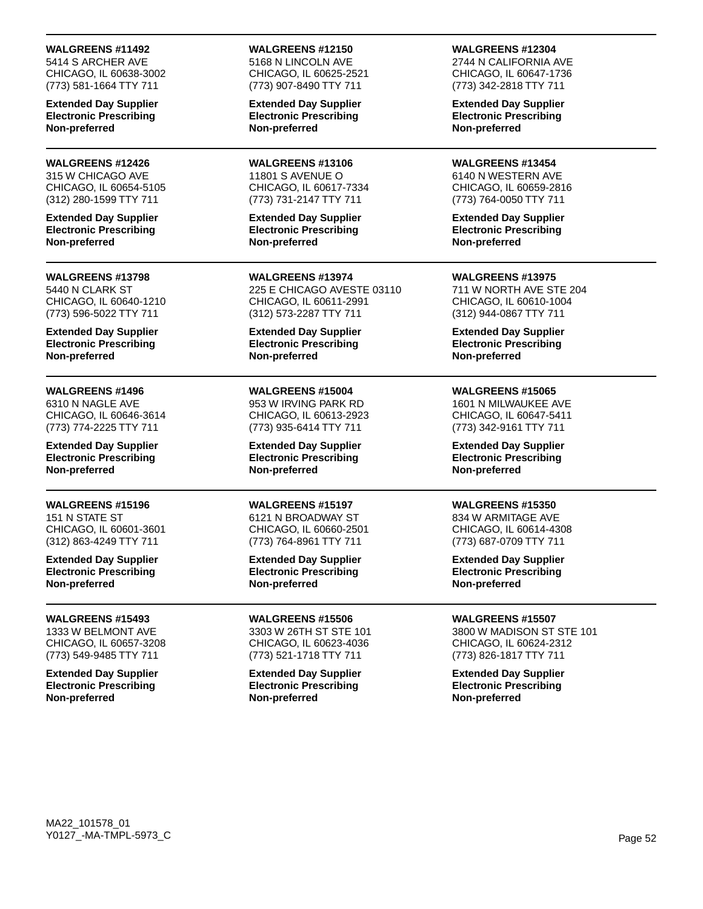5414 S ARCHER AVE CHICAGO, IL 60638-3002 (773) 581-1664 TTY 711

**Extended Day Supplier Electronic Prescribing Non-preferred**

### **WALGREENS #12426**

315 W CHICAGO AVE CHICAGO, IL 60654-5105 (312) 280-1599 TTY 711

**Extended Day Supplier Electronic Prescribing Non-preferred**

#### **WALGREENS #13798**

5440 N CLARK ST CHICAGO, IL 60640-1210 (773) 596-5022 TTY 711

**Extended Day Supplier Electronic Prescribing Non-preferred**

### **WALGREENS #1496**

6310 N NAGLE AVE CHICAGO, IL 60646-3614 (773) 774-2225 TTY 711

**Extended Day Supplier Electronic Prescribing Non-preferred**

## **WALGREENS #15196**

151 N STATE ST CHICAGO, IL 60601-3601 (312) 863-4249 TTY 711

**Extended Day Supplier Electronic Prescribing Non-preferred**

### **WALGREENS #15493**

1333 W BELMONT AVE CHICAGO, IL 60657-3208 (773) 549-9485 TTY 711

**Extended Day Supplier Electronic Prescribing Non-preferred**

### **WALGREENS #12150**

5168 N LINCOLN AVE CHICAGO, IL 60625-2521 (773) 907-8490 TTY 711

**Extended Day Supplier Electronic Prescribing Non-preferred**

**WALGREENS #13106** 11801 S AVENUE O CHICAGO, IL 60617-7334 (773) 731-2147 TTY 711

**Extended Day Supplier Electronic Prescribing Non-preferred**

**WALGREENS #13974** 225 E CHICAGO AVESTE 03110 CHICAGO, IL 60611-2991 (312) 573-2287 TTY 711

**Extended Day Supplier Electronic Prescribing Non-preferred**

## **WALGREENS #15004**

953 W IRVING PARK RD CHICAGO, IL 60613-2923 (773) 935-6414 TTY 711

**Extended Day Supplier Electronic Prescribing Non-preferred**

### **WALGREENS #15197**

6121 N BROADWAY ST CHICAGO, IL 60660-2501 (773) 764-8961 TTY 711

**Extended Day Supplier Electronic Prescribing Non-preferred**

**WALGREENS #15506**

3303 W 26TH ST STE 101 CHICAGO, IL 60623-4036 (773) 521-1718 TTY 711

**Extended Day Supplier Electronic Prescribing Non-preferred**

**WALGREENS #12304**

2744 N CALIFORNIA AVE CHICAGO, IL 60647-1736 (773) 342-2818 TTY 711

**Extended Day Supplier Electronic Prescribing Non-preferred**

**WALGREENS #13454** 6140 N WESTERN AVE CHICAGO, IL 60659-2816 (773) 764-0050 TTY 711

**Extended Day Supplier Electronic Prescribing Non-preferred**

### **WALGREENS #13975**

711 W NORTH AVE STE 204 CHICAGO, IL 60610-1004 (312) 944-0867 TTY 711

**Extended Day Supplier Electronic Prescribing Non-preferred**

### **WALGREENS #15065**

1601 N MILWAUKEE AVE CHICAGO, IL 60647-5411 (773) 342-9161 TTY 711

**Extended Day Supplier Electronic Prescribing Non-preferred**

## **WALGREENS #15350**

834 W ARMITAGE AVE CHICAGO, IL 60614-4308 (773) 687-0709 TTY 711

**Extended Day Supplier Electronic Prescribing Non-preferred**

## **WALGREENS #15507**

3800 W MADISON ST STE 101 CHICAGO, IL 60624-2312 (773) 826-1817 TTY 711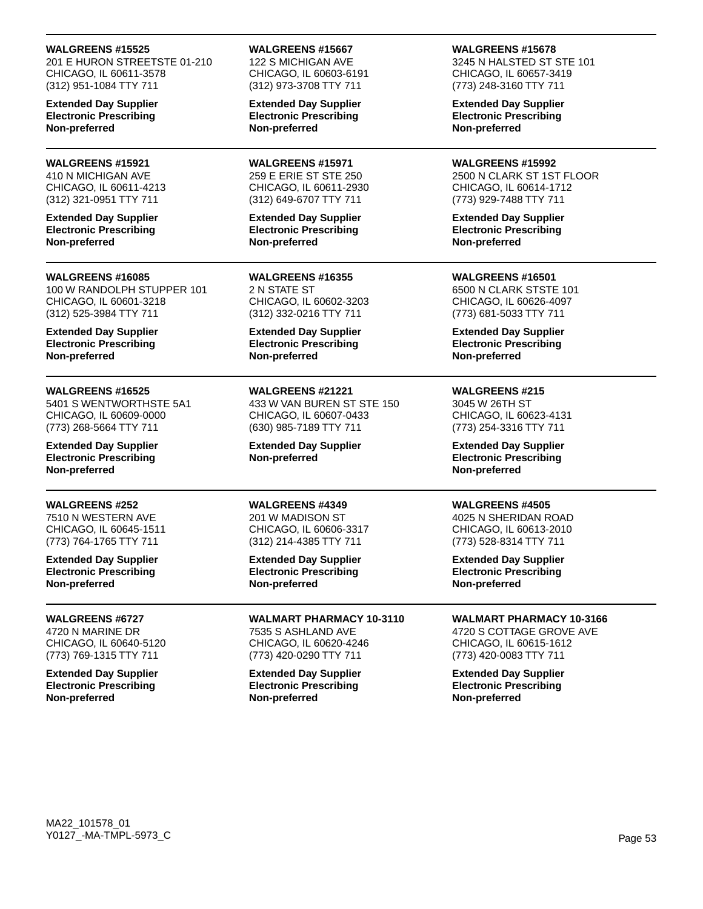201 E HURON STREETSTE 01-210 CHICAGO, IL 60611-3578 (312) 951-1084 TTY 711

**Extended Day Supplier Electronic Prescribing Non-preferred**

### **WALGREENS #15921**

410 N MICHIGAN AVE CHICAGO, IL 60611-4213 (312) 321-0951 TTY 711

**Extended Day Supplier Electronic Prescribing Non-preferred**

#### **WALGREENS #16085**

100 W RANDOLPH STUPPER 101 CHICAGO, IL 60601-3218 (312) 525-3984 TTY 711

**Extended Day Supplier Electronic Prescribing Non-preferred**

### **WALGREENS #16525**

5401 S WENTWORTHSTE 5A1 CHICAGO, IL 60609-0000 (773) 268-5664 TTY 711

**Extended Day Supplier Electronic Prescribing Non-preferred**

### **WALGREENS #252**

7510 N WESTERN AVE CHICAGO, IL 60645-1511 (773) 764-1765 TTY 711

**Extended Day Supplier Electronic Prescribing Non-preferred**

### **WALGREENS #6727**

4720 N MARINE DR CHICAGO, IL 60640-5120 (773) 769-1315 TTY 711

**Extended Day Supplier Electronic Prescribing Non-preferred**

#### **WALGREENS #15667**

122 S MICHIGAN AVE CHICAGO, IL 60603-6191 (312) 973-3708 TTY 711

**Extended Day Supplier Electronic Prescribing Non-preferred**

**WALGREENS #15971** 259 E ERIE ST STE 250 CHICAGO, IL 60611-2930 (312) 649-6707 TTY 711

**Extended Day Supplier Electronic Prescribing Non-preferred**

**WALGREENS #16355** 2 N STATE ST CHICAGO, IL 60602-3203 (312) 332-0216 TTY 711

**Extended Day Supplier Electronic Prescribing Non-preferred**

## **WALGREENS #21221**

433 W VAN BUREN ST STE 150 CHICAGO, IL 60607-0433 (630) 985-7189 TTY 711

**Extended Day Supplier Non-preferred**

## **WALGREENS #4349**

201 W MADISON ST CHICAGO, IL 60606-3317 (312) 214-4385 TTY 711

**Extended Day Supplier Electronic Prescribing Non-preferred**

**WALMART PHARMACY 10-3110** 7535 S ASHLAND AVE CHICAGO, IL 60620-4246 (773) 420-0290 TTY 711

**Extended Day Supplier Electronic Prescribing Non-preferred**

### **WALGREENS #15678**

3245 N HALSTED ST STE 101 CHICAGO, IL 60657-3419 (773) 248-3160 TTY 711

**Extended Day Supplier Electronic Prescribing Non-preferred**

**WALGREENS #15992** 2500 N CLARK ST 1ST FLOOR CHICAGO, IL 60614-1712 (773) 929-7488 TTY 711

**Extended Day Supplier Electronic Prescribing Non-preferred**

**WALGREENS #16501** 6500 N CLARK STSTE 101 CHICAGO, IL 60626-4097 (773) 681-5033 TTY 711

**Extended Day Supplier Electronic Prescribing Non-preferred**

## **WALGREENS #215**

3045 W 26TH ST CHICAGO, IL 60623-4131 (773) 254-3316 TTY 711

**Extended Day Supplier Electronic Prescribing Non-preferred**

## **WALGREENS #4505**

4025 N SHERIDAN ROAD CHICAGO, IL 60613-2010 (773) 528-8314 TTY 711

**Extended Day Supplier Electronic Prescribing Non-preferred**

## **WALMART PHARMACY 10-3166**

4720 S COTTAGE GROVE AVE CHICAGO, IL 60615-1612 (773) 420-0083 TTY 711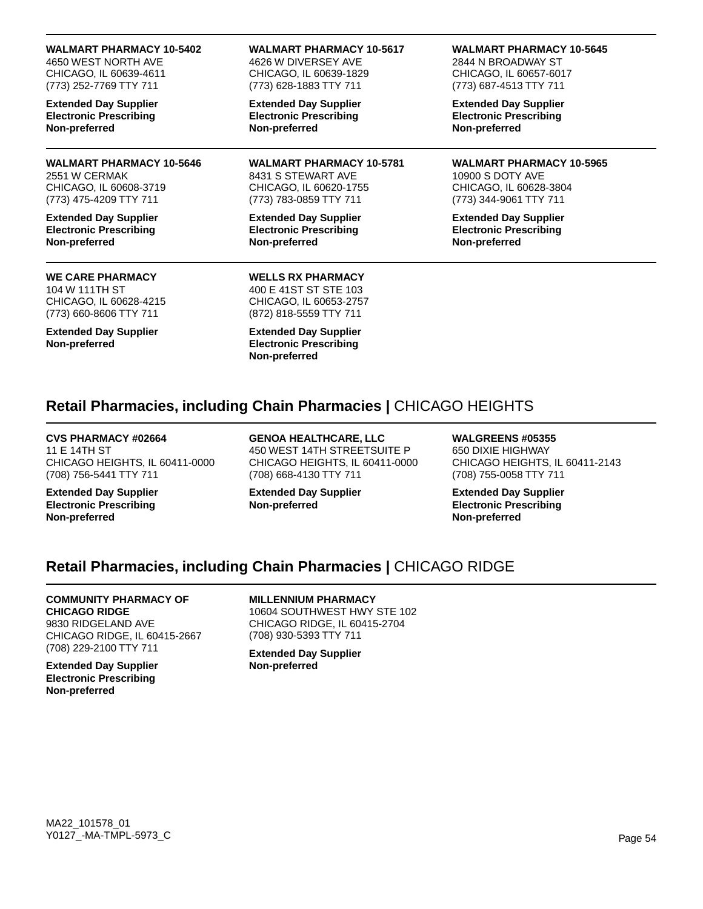**WALMART PHARMACY 10-5402**

4650 WEST NORTH AVE CHICAGO, IL 60639-4611 (773) 252-7769 TTY 711

**Extended Day Supplier Electronic Prescribing Non-preferred**

**WALMART PHARMACY 10-5646** 2551 W CERMAK CHICAGO, IL 60608-3719 (773) 475-4209 TTY 711

**Extended Day Supplier Electronic Prescribing Non-preferred**

## **WE CARE PHARMACY**

104 W 111TH ST CHICAGO, IL 60628-4215 (773) 660-8606 TTY 711

**Extended Day Supplier Non-preferred**

**WALMART PHARMACY 10-5617** 4626 W DIVERSEY AVE CHICAGO, IL 60639-1829 (773) 628-1883 TTY 711

**Extended Day Supplier Electronic Prescribing Non-preferred**

**WALMART PHARMACY 10-5781** 8431 S STEWART AVE CHICAGO, IL 60620-1755 (773) 783-0859 TTY 711

**Extended Day Supplier Electronic Prescribing Non-preferred**

**WALMART PHARMACY 10-5645**

2844 N BROADWAY ST CHICAGO, IL 60657-6017 (773) 687-4513 TTY 711

**Extended Day Supplier Electronic Prescribing Non-preferred**

**WALMART PHARMACY 10-5965** 10900 S DOTY AVE CHICAGO, IL 60628-3804 (773) 344-9061 TTY 711

**Extended Day Supplier Electronic Prescribing Non-preferred**

## **WELLS RX PHARMACY** 400 E 41ST ST STE 103

CHICAGO, IL 60653-2757 (872) 818-5559 TTY 711

**Extended Day Supplier Electronic Prescribing Non-preferred**

# **Retail Pharmacies, including Chain Pharmacies |** CHICAGO HEIGHTS

**CVS PHARMACY #02664** 11 E 14TH ST CHICAGO HEIGHTS, IL 60411-0000 (708) 756-5441 TTY 711

**Extended Day Supplier Electronic Prescribing Non-preferred**

**GENOA HEALTHCARE, LLC** 450 WEST 14TH STREETSUITE P CHICAGO HEIGHTS, IL 60411-0000 (708) 668-4130 TTY 711

**Extended Day Supplier Non-preferred**

**WALGREENS #05355** 650 DIXIE HIGHWAY CHICAGO HEIGHTS, IL 60411-2143 (708) 755-0058 TTY 711

**Extended Day Supplier Electronic Prescribing Non-preferred**

# **Retail Pharmacies, including Chain Pharmacies |** CHICAGO RIDGE

## **COMMUNITY PHARMACY OF**

**CHICAGO RIDGE** 9830 RIDGELAND AVE CHICAGO RIDGE, IL 60415-2667 (708) 229-2100 TTY 711

**Extended Day Supplier Electronic Prescribing Non-preferred**

## **MILLENNIUM PHARMACY**

10604 SOUTHWEST HWY STE 102 CHICAGO RIDGE, IL 60415-2704 (708) 930-5393 TTY 711

**Extended Day Supplier Non-preferred**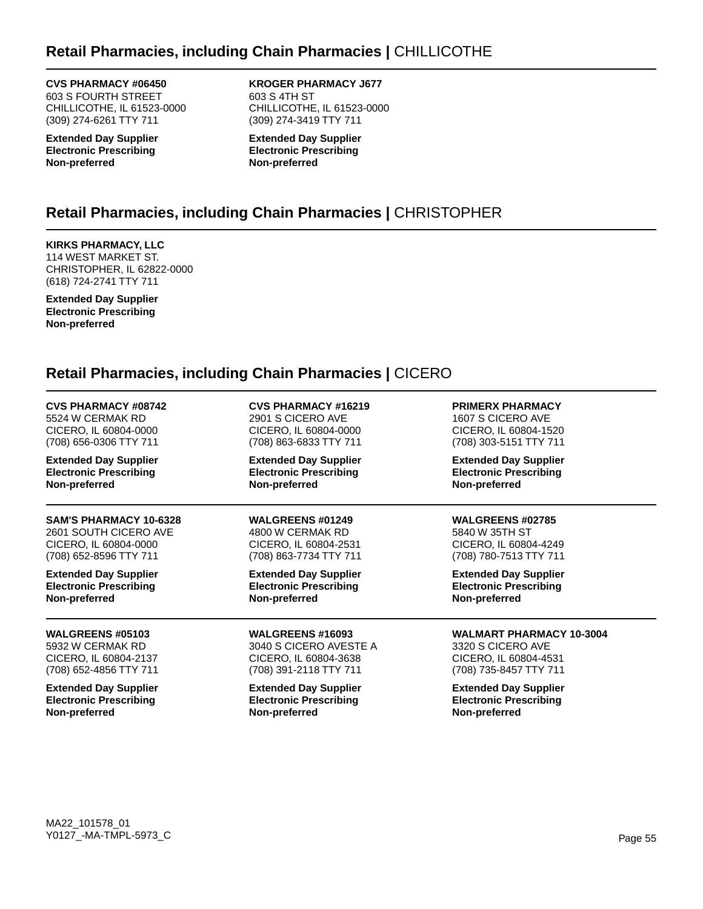# **Retail Pharmacies, including Chain Pharmacies |** CHILLICOTHE

**CVS PHARMACY #06450**

603 S FOURTH STREET CHILLICOTHE, IL 61523-0000 (309) 274-6261 TTY 711

**Extended Day Supplier Electronic Prescribing Non-preferred**

**KROGER PHARMACY J677** 603 S 4TH ST CHILLICOTHE, IL 61523-0000 (309) 274-3419 TTY 711

**Extended Day Supplier Electronic Prescribing Non-preferred**

# **Retail Pharmacies, including Chain Pharmacies |** CHRISTOPHER

**KIRKS PHARMACY, LLC** 114 WEST MARKET ST. CHRISTOPHER, IL 62822-0000 (618) 724-2741 TTY 711

**Extended Day Supplier Electronic Prescribing Non-preferred**

# **Retail Pharmacies, including Chain Pharmacies |** CICERO

| <b>CVS PHARMACY #08742</b>    | <b>CVS PHARMACY #16219</b>    | <b>PRIMERX PHARMACY</b>         |
|-------------------------------|-------------------------------|---------------------------------|
| 5524 W CERMAK RD              | 2901 S CICERO AVE             | 1607 S CICERO AVE               |
| CICERO, IL 60804-0000         | CICERO, IL 60804-0000         | CICERO, IL 60804-1520           |
| (708) 656-0306 TTY 711        | (708) 863-6833 TTY 711        | (708) 303-5151 TTY 711          |
| <b>Extended Day Supplier</b>  | <b>Extended Day Supplier</b>  | <b>Extended Day Supplier</b>    |
| <b>Electronic Prescribing</b> | <b>Electronic Prescribing</b> | <b>Electronic Prescribing</b>   |
| Non-preferred                 | Non-preferred                 | Non-preferred                   |
| <b>SAM'S PHARMACY 10-6328</b> | <b>WALGREENS #01249</b>       | <b>WALGREENS #02785</b>         |
| 2601 SOUTH CICERO AVE         | 4800 W CERMAK RD              | 5840 W 35TH ST                  |
| CICERO, IL 60804-0000         | CICERO, IL 60804-2531         | CICERO, IL 60804-4249           |
| (708) 652-8596 TTY 711        | (708) 863-7734 TTY 711        | (708) 780-7513 TTY 711          |
| <b>Extended Day Supplier</b>  | <b>Extended Day Supplier</b>  | <b>Extended Day Supplier</b>    |
| <b>Electronic Prescribing</b> | <b>Electronic Prescribing</b> | <b>Electronic Prescribing</b>   |
| Non-preferred                 | Non-preferred                 | Non-preferred                   |
| <b>WALGREENS #05103</b>       | <b>WALGREENS #16093</b>       | <b>WALMART PHARMACY 10-3004</b> |
| 5932 W CERMAK RD              | 3040 S CICERO AVESTE A        | 3320 S CICERO AVE               |
| CICERO, IL 60804-2137         | CICERO, IL 60804-3638         | CICERO, IL 60804-4531           |
| (708) 652-4856 TTY 711        | (708) 391-2118 TTY 711        | (708) 735-8457 TTY 711          |
| <b>Extended Day Supplier</b>  | <b>Extended Day Supplier</b>  | <b>Extended Day Supplier</b>    |
| <b>Electronic Prescribing</b> | <b>Electronic Prescribing</b> | <b>Electronic Prescribing</b>   |
| Non-preferred                 | Non-preferred                 | Non-preferred                   |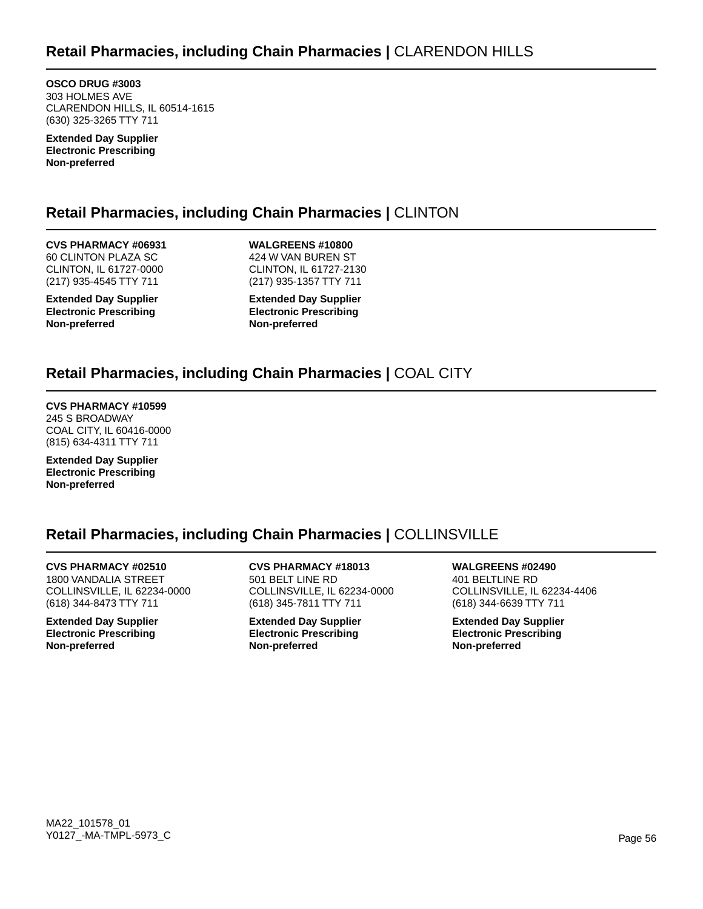**OSCO DRUG #3003** 303 HOLMES AVE CLARENDON HILLS, IL 60514-1615 (630) 325-3265 TTY 711

**Extended Day Supplier Electronic Prescribing Non-preferred**

# **Retail Pharmacies, including Chain Pharmacies |** CLINTON

**CVS PHARMACY #06931** 60 CLINTON PLAZA SC CLINTON, IL 61727-0000 (217) 935-4545 TTY 711

**Extended Day Supplier Electronic Prescribing Non-preferred**

**WALGREENS #10800** 424 W VAN BUREN ST CLINTON, IL 61727-2130 (217) 935-1357 TTY 711

**Extended Day Supplier Electronic Prescribing Non-preferred**

# **Retail Pharmacies, including Chain Pharmacies |** COAL CITY

**CVS PHARMACY #10599** 245 S BROADWAY COAL CITY, IL 60416-0000 (815) 634-4311 TTY 711

**Extended Day Supplier Electronic Prescribing Non-preferred**

# **Retail Pharmacies, including Chain Pharmacies |** COLLINSVILLE

**CVS PHARMACY #02510** 1800 VANDALIA STREET COLLINSVILLE, IL 62234-0000 (618) 344-8473 TTY 711

**Extended Day Supplier Electronic Prescribing Non-preferred**

**CVS PHARMACY #18013** 501 BELT LINE RD COLLINSVILLE, IL 62234-0000 (618) 345-7811 TTY 711

**Extended Day Supplier Electronic Prescribing Non-preferred**

**WALGREENS #02490** 401 BELTLINE RD COLLINSVILLE, IL 62234-4406 (618) 344-6639 TTY 711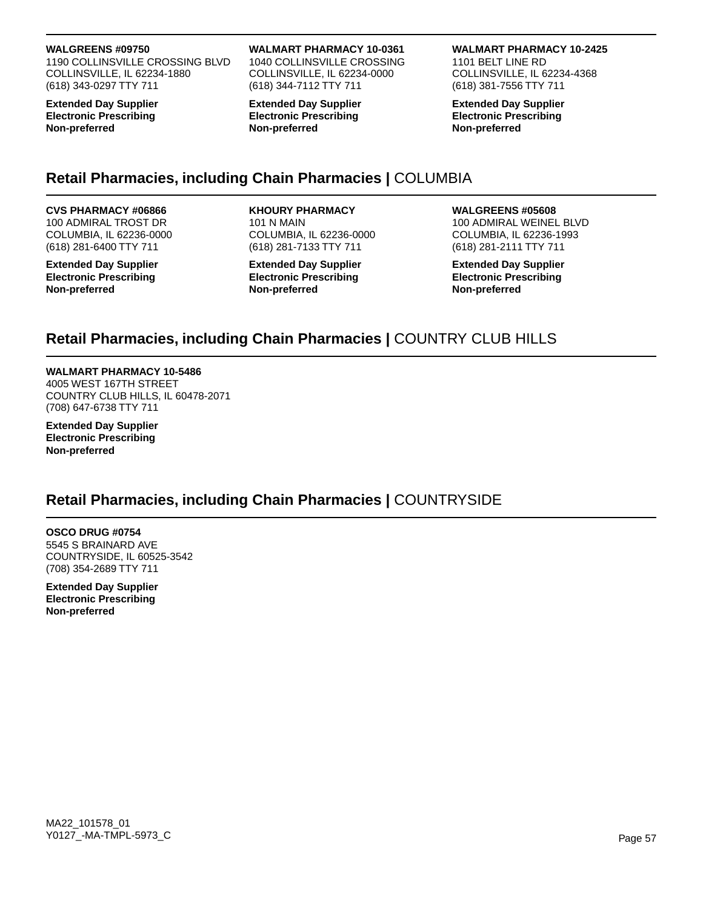1190 COLLINSVILLE CROSSING BLVD COLLINSVILLE, IL 62234-1880 (618) 343-0297 TTY 711

**Extended Day Supplier Electronic Prescribing Non-preferred**

### **WALMART PHARMACY 10-0361**

1040 COLLINSVILLE CROSSING COLLINSVILLE, IL 62234-0000 (618) 344-7112 TTY 711

**Extended Day Supplier Electronic Prescribing Non-preferred**

### **WALMART PHARMACY 10-2425**

1101 BELT LINE RD COLLINSVILLE, IL 62234-4368 (618) 381-7556 TTY 711

**Extended Day Supplier Electronic Prescribing Non-preferred**

# **Retail Pharmacies, including Chain Pharmacies |** COLUMBIA

## **CVS PHARMACY #06866**

100 ADMIRAL TROST DR COLUMBIA, IL 62236-0000 (618) 281-6400 TTY 711

**Extended Day Supplier Electronic Prescribing Non-preferred**

# **KHOURY PHARMACY**

101 N MAIN COLUMBIA, IL 62236-0000 (618) 281-7133 TTY 711

**Extended Day Supplier Electronic Prescribing Non-preferred**

### **WALGREENS #05608**

100 ADMIRAL WEINEL BLVD COLUMBIA, IL 62236-1993 (618) 281-2111 TTY 711

**Extended Day Supplier Electronic Prescribing Non-preferred**

# **Retail Pharmacies, including Chain Pharmacies |** COUNTRY CLUB HILLS

## **WALMART PHARMACY 10-5486**

4005 WEST 167TH STREET COUNTRY CLUB HILLS, IL 60478-2071 (708) 647-6738 TTY 711

**Extended Day Supplier Electronic Prescribing Non-preferred**

## **Retail Pharmacies, including Chain Pharmacies |** COUNTRYSIDE

#### **OSCO DRUG #0754** 5545 S BRAINARD AVE COUNTRYSIDE, IL 60525-3542 (708) 354-2689 TTY 711

**Extended Day Supplier Electronic Prescribing Non-preferred**

MA22\_101578\_01 Y0127\_-MA-TMPL-5973\_C Page 57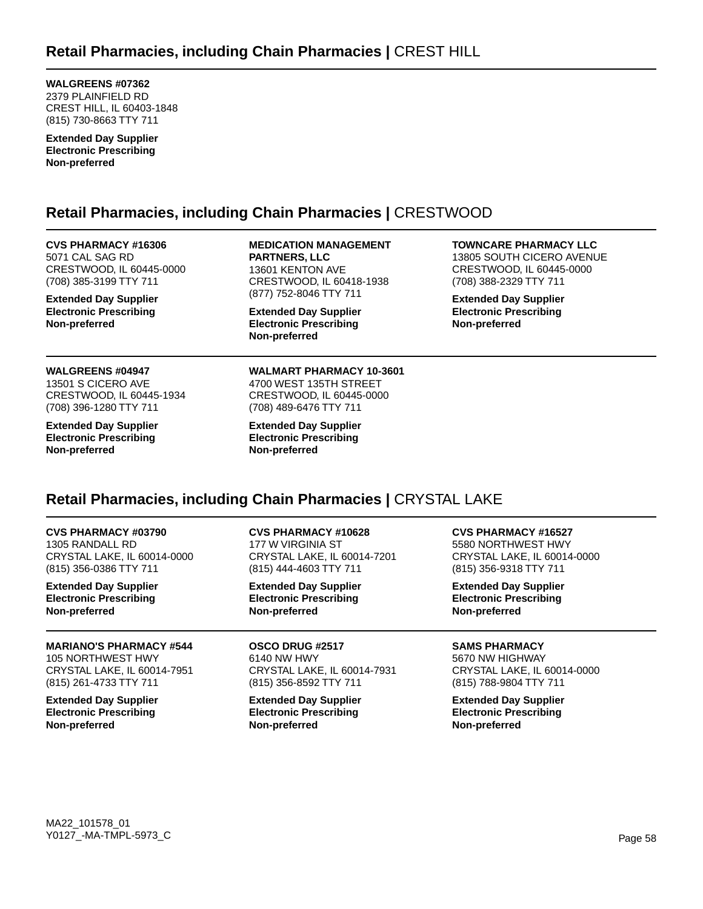**WALGREENS #07362** 2379 PLAINFIELD RD CREST HILL, IL 60403-1848 (815) 730-8663 TTY 711

**Extended Day Supplier Electronic Prescribing Non-preferred**

# **Retail Pharmacies, including Chain Pharmacies |** CRESTWOOD

**CVS PHARMACY #16306** 5071 CAL SAG RD CRESTWOOD, IL 60445-0000 (708) 385-3199 TTY 711

**Extended Day Supplier Electronic Prescribing Non-preferred**

#### **WALGREENS #04947**

13501 S CICERO AVE CRESTWOOD, IL 60445-1934 (708) 396-1280 TTY 711

**Extended Day Supplier Electronic Prescribing Non-preferred**

**MEDICATION MANAGEMENT PARTNERS, LLC** 13601 KENTON AVE CRESTWOOD, IL 60418-1938 (877) 752-8046 TTY 711

**Extended Day Supplier Electronic Prescribing Non-preferred**

**WALMART PHARMACY 10-3601** 4700 WEST 135TH STREET CRESTWOOD, IL 60445-0000 (708) 489-6476 TTY 711

**Extended Day Supplier Electronic Prescribing Non-preferred**

**TOWNCARE PHARMACY LLC**

13805 SOUTH CICERO AVENUE CRESTWOOD, IL 60445-0000 (708) 388-2329 TTY 711

**Extended Day Supplier Electronic Prescribing Non-preferred**

# **Retail Pharmacies, including Chain Pharmacies |** CRYSTAL LAKE

**CVS PHARMACY #03790** 1305 RANDALL RD CRYSTAL LAKE, IL 60014-0000 (815) 356-0386 TTY 711

**Extended Day Supplier Electronic Prescribing Non-preferred**

#### **MARIANO'S PHARMACY #544** 105 NORTHWEST HWY CRYSTAL LAKE, IL 60014-7951 (815) 261-4733 TTY 711

**Extended Day Supplier Electronic Prescribing Non-preferred**

**CVS PHARMACY #10628** 177 W VIRGINIA ST CRYSTAL LAKE, IL 60014-7201 (815) 444-4603 TTY 711

**Extended Day Supplier Electronic Prescribing Non-preferred**

**OSCO DRUG #2517** 6140 NW HWY CRYSTAL LAKE, IL 60014-7931 (815) 356-8592 TTY 711

**Extended Day Supplier Electronic Prescribing Non-preferred**

**CVS PHARMACY #16527**

5580 NORTHWEST HWY CRYSTAL LAKE, IL 60014-0000 (815) 356-9318 TTY 711

**Extended Day Supplier Electronic Prescribing Non-preferred**

## **SAMS PHARMACY**

5670 NW HIGHWAY CRYSTAL LAKE, IL 60014-0000 (815) 788-9804 TTY 711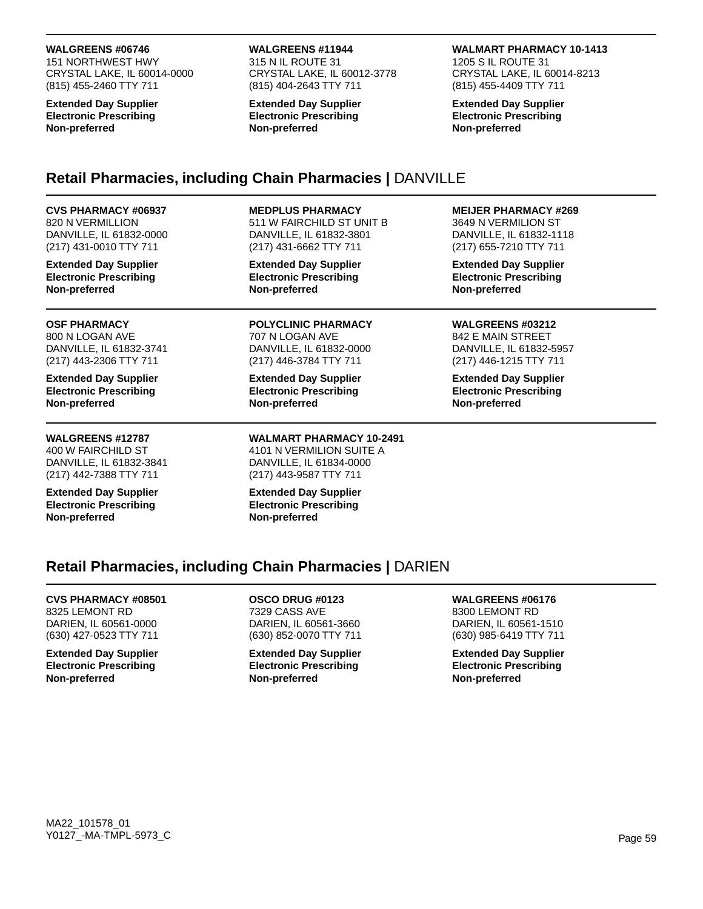151 NORTHWEST HWY CRYSTAL LAKE, IL 60014-0000 (815) 455-2460 TTY 711

**Extended Day Supplier Electronic Prescribing Non-preferred**

### **WALGREENS #11944**

315 N IL ROUTE 31 CRYSTAL LAKE, IL 60012-3778 (815) 404-2643 TTY 711

**Extended Day Supplier Electronic Prescribing Non-preferred**

### **WALMART PHARMACY 10-1413**

1205 S IL ROUTE 31 CRYSTAL LAKE, IL 60014-8213 (815) 455-4409 TTY 711

**Extended Day Supplier Electronic Prescribing Non-preferred**

# **Retail Pharmacies, including Chain Pharmacies |** DANVILLE

## **CVS PHARMACY #06937**

820 N VERMILLION DANVILLE, IL 61832-0000 (217) 431-0010 TTY 711

**Extended Day Supplier Electronic Prescribing Non-preferred**

### **OSF PHARMACY** 800 N LOGAN AVE DANVILLE, IL 61832-3741 (217) 443-2306 TTY 711

**Extended Day Supplier Electronic Prescribing Non-preferred**

# **WALGREENS #12787**

400 W FAIRCHILD ST DANVILLE, IL 61832-3841 (217) 442-7388 TTY 711

**Extended Day Supplier Electronic Prescribing Non-preferred**

### **MEDPLUS PHARMACY**

511 W FAIRCHILD ST UNIT B DANVILLE, IL 61832-3801 (217) 431-6662 TTY 711

**Extended Day Supplier Electronic Prescribing Non-preferred**

## **POLYCLINIC PHARMACY**

707 N LOGAN AVE DANVILLE, IL 61832-0000 (217) 446-3784 TTY 711

**Extended Day Supplier Electronic Prescribing Non-preferred**

#### **WALMART PHARMACY 10-2491** 4101 N VERMILION SUITE A DANVILLE, IL 61834-0000 (217) 443-9587 TTY 711

**Extended Day Supplier Electronic Prescribing Non-preferred**

### **MEIJER PHARMACY #269**

3649 N VERMILION ST DANVILLE, IL 61832-1118 (217) 655-7210 TTY 711

**Extended Day Supplier Electronic Prescribing Non-preferred**

#### **WALGREENS #03212** 842 E MAIN STREET DANVILLE, IL 61832-5957 (217) 446-1215 TTY 711

**Extended Day Supplier Electronic Prescribing Non-preferred**

# **Retail Pharmacies, including Chain Pharmacies |** DARIEN

## **CVS PHARMACY #08501** 8325 LEMONT RD

DARIEN, IL 60561-0000 (630) 427-0523 TTY 711

**Extended Day Supplier Electronic Prescribing Non-preferred**

**OSCO DRUG #0123** 7329 CASS AVE DARIEN, IL 60561-3660 (630) 852-0070 TTY 711

**Extended Day Supplier Electronic Prescribing Non-preferred**

# **WALGREENS #06176**

8300 LEMONT RD DARIEN, IL 60561-1510 (630) 985-6419 TTY 711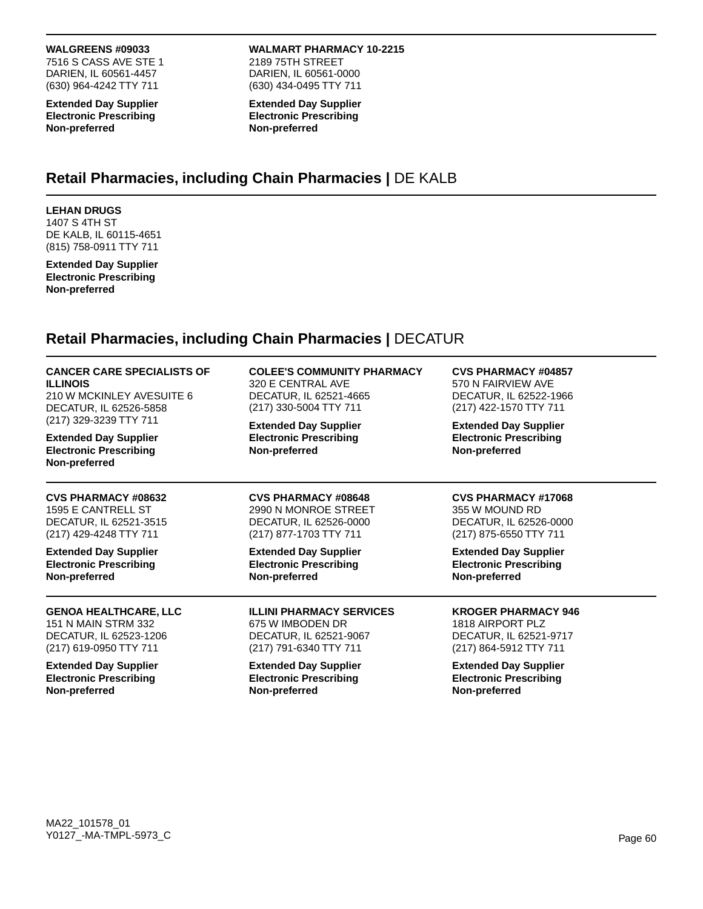7516 S CASS AVE STE 1 DARIEN, IL 60561-4457 (630) 964-4242 TTY 711

**Extended Day Supplier Electronic Prescribing Non-preferred**

**WALMART PHARMACY 10-2215** 2189 75TH STREET DARIEN, IL 60561-0000 (630) 434-0495 TTY 711

**Extended Day Supplier Electronic Prescribing Non-preferred**

## **Retail Pharmacies, including Chain Pharmacies |** DE KALB

## **LEHAN DRUGS**

1407 S 4TH ST DE KALB, IL 60115-4651 (815) 758-0911 TTY 711

**Extended Day Supplier Electronic Prescribing Non-preferred**

# **Retail Pharmacies, including Chain Pharmacies |** DECATUR

| <b>CANCER CARE SPECIALISTS OF</b><br><b>ILLINOIS</b><br>210 W MCKINLEY AVESUITE 6<br>DECATUR, IL 62526-5858<br>(217) 329-3239 TTY 711<br><b>Extended Day Supplier</b><br><b>Electronic Prescribing</b><br>Non-preferred | <b>COLEE'S COMMUNITY PHARMACY</b><br>320 E CENTRAL AVE<br>DECATUR, IL 62521-4665<br>(217) 330-5004 TTY 711 | <b>CVS PHARMACY #04857</b><br>570 N FAIRVIEW AVE<br>DECATUR, IL 62522-1966<br>(217) 422-1570 TTY 711 |
|-------------------------------------------------------------------------------------------------------------------------------------------------------------------------------------------------------------------------|------------------------------------------------------------------------------------------------------------|------------------------------------------------------------------------------------------------------|
|                                                                                                                                                                                                                         | <b>Extended Day Supplier</b><br><b>Electronic Prescribing</b><br>Non-preferred                             | <b>Extended Day Supplier</b><br><b>Electronic Prescribing</b><br>Non-preferred                       |
| <b>CVS PHARMACY #08632</b>                                                                                                                                                                                              | <b>CVS PHARMACY #08648</b>                                                                                 | <b>CVS PHARMACY #17068</b>                                                                           |
| 1595 E CANTRELL ST                                                                                                                                                                                                      | 2990 N MONROE STREET                                                                                       | 355 W MOUND RD                                                                                       |
| DECATUR, IL 62521-3515                                                                                                                                                                                                  | DECATUR, IL 62526-0000                                                                                     | DECATUR, IL 62526-0000                                                                               |
| (217) 429-4248 TTY 711                                                                                                                                                                                                  | (217) 877-1703 TTY 711                                                                                     | (217) 875-6550 TTY 711                                                                               |
| <b>Extended Day Supplier</b>                                                                                                                                                                                            | <b>Extended Day Supplier</b>                                                                               | <b>Extended Day Supplier</b>                                                                         |
| <b>Electronic Prescribing</b>                                                                                                                                                                                           | <b>Electronic Prescribing</b>                                                                              | <b>Electronic Prescribing</b>                                                                        |
| Non-preferred                                                                                                                                                                                                           | Non-preferred                                                                                              | Non-preferred                                                                                        |
| <b>GENOA HEALTHCARE, LLC</b>                                                                                                                                                                                            | <b>ILLINI PHARMACY SERVICES</b>                                                                            | <b>KROGER PHARMACY 946</b>                                                                           |
| <b>151 N MAIN STRM 332</b>                                                                                                                                                                                              | 675 W IMBODEN DR                                                                                           | 1818 AIRPORT PLZ                                                                                     |
| DECATUR, IL 62523-1206                                                                                                                                                                                                  | DECATUR, IL 62521-9067                                                                                     | DECATUR, IL 62521-9717                                                                               |
| (217) 619-0950 TTY 711                                                                                                                                                                                                  | (217) 791-6340 TTY 711                                                                                     | (217) 864-5912 TTY 711                                                                               |
| <b>Extended Day Supplier</b>                                                                                                                                                                                            | <b>Extended Day Supplier</b>                                                                               | <b>Extended Day Supplier</b>                                                                         |
| <b>Electronic Prescribing</b>                                                                                                                                                                                           | <b>Electronic Prescribing</b>                                                                              | <b>Electronic Prescribing</b>                                                                        |

**Non-preferred**

**Non-preferred**

**Non-preferred**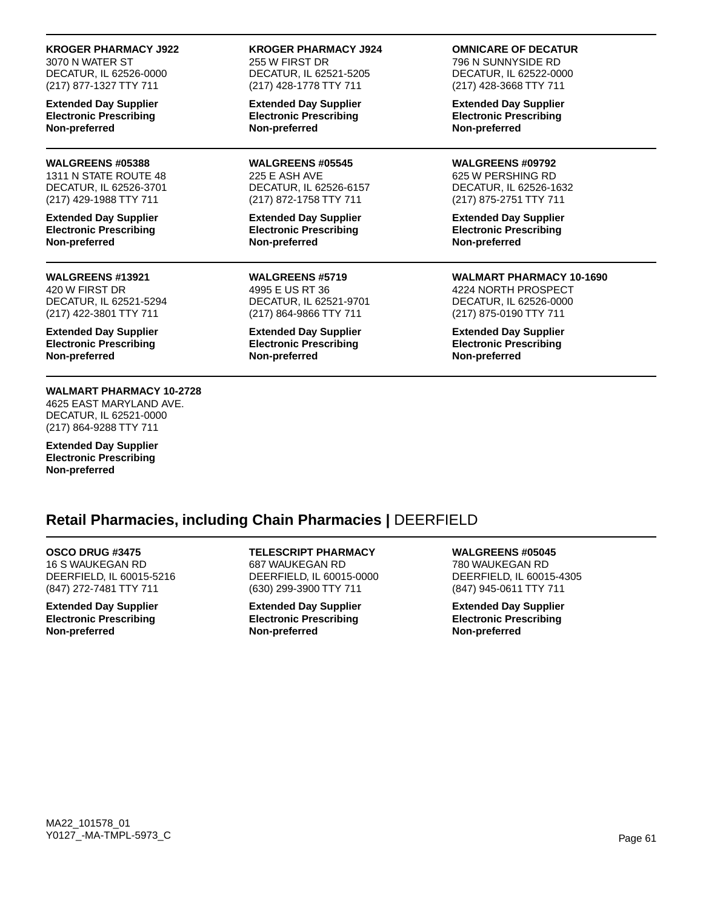### **KROGER PHARMACY J922**

3070 N WATER ST DECATUR, IL 62526-0000 (217) 877-1327 TTY 711

**Extended Day Supplier Electronic Prescribing Non-preferred**

### **WALGREENS #05388**

1311 N STATE ROUTE 48 DECATUR, IL 62526-3701 (217) 429-1988 TTY 711

**Extended Day Supplier Electronic Prescribing Non-preferred**

### **WALGREENS #13921**

420 W FIRST DR DECATUR, IL 62521-5294 (217) 422-3801 TTY 711

**Extended Day Supplier Electronic Prescribing Non-preferred**

## **WALMART PHARMACY 10-2728**

4625 EAST MARYLAND AVE. DECATUR, IL 62521-0000 (217) 864-9288 TTY 711

**Extended Day Supplier Electronic Prescribing Non-preferred**

**KROGER PHARMACY J924** 255 W FIRST DR DECATUR, IL 62521-5205 (217) 428-1778 TTY 711

**Extended Day Supplier Electronic Prescribing Non-preferred**

**WALGREENS #05545** 225 E ASH AVE DECATUR, IL 62526-6157 (217) 872-1758 TTY 711

**Extended Day Supplier Electronic Prescribing Non-preferred**

**WALGREENS #5719** 4995 E US RT 36 DECATUR, IL 62521-9701 (217) 864-9866 TTY 711

**Extended Day Supplier Electronic Prescribing Non-preferred**

### **OMNICARE OF DECATUR**

796 N SUNNYSIDE RD DECATUR, IL 62522-0000 (217) 428-3668 TTY 711

**Extended Day Supplier Electronic Prescribing Non-preferred**

**WALGREENS #09792** 625 W PERSHING RD DECATUR, IL 62526-1632 (217) 875-2751 TTY 711

**Extended Day Supplier Electronic Prescribing Non-preferred**

**WALMART PHARMACY 10-1690** 4224 NORTH PROSPECT DECATUR, IL 62526-0000 (217) 875-0190 TTY 711

**Extended Day Supplier Electronic Prescribing Non-preferred**

## **Retail Pharmacies, including Chain Pharmacies |** DEERFIELD

### **OSCO DRUG #3475**

16 S WAUKEGAN RD DEERFIELD, IL 60015-5216 (847) 272-7481 TTY 711

**Extended Day Supplier Electronic Prescribing Non-preferred**

**TELESCRIPT PHARMACY** 687 WAUKEGAN RD DEERFIELD, IL 60015-0000 (630) 299-3900 TTY 711

**Extended Day Supplier Electronic Prescribing Non-preferred**

**WALGREENS #05045** 780 WAUKEGAN RD DEERFIELD, IL 60015-4305 (847) 945-0611 TTY 711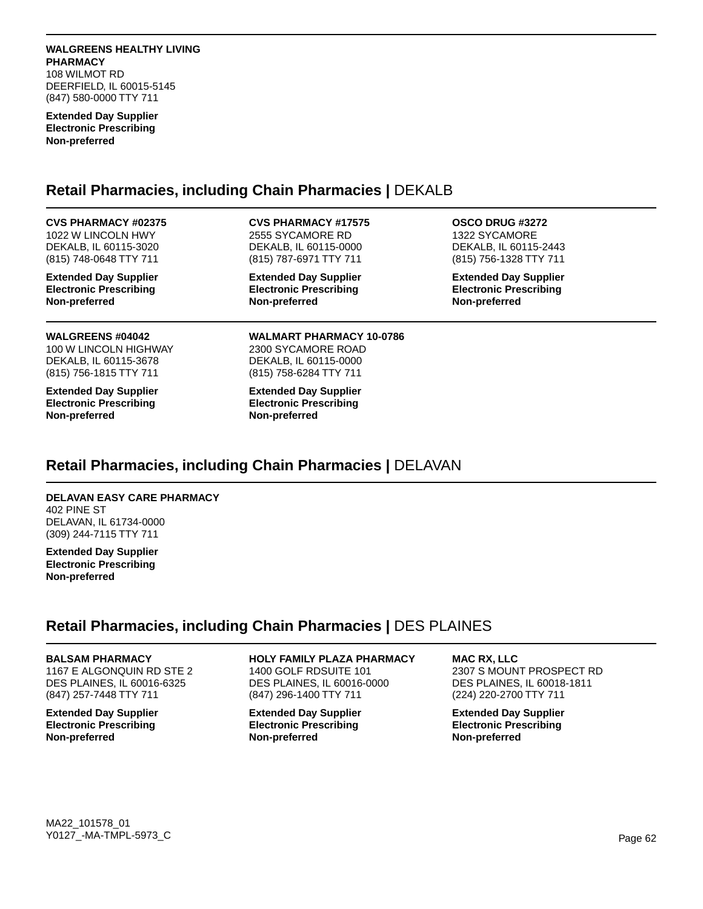### **WALGREENS HEALTHY LIVING PHARMACY**

108 WILMOT RD DEERFIELD, IL 60015-5145 (847) 580-0000 TTY 711

#### **Extended Day Supplier Electronic Prescribing Non-preferred**

# **Retail Pharmacies, including Chain Pharmacies |** DEKALB

## **CVS PHARMACY #02375**

1022 W LINCOLN HWY DEKALB, IL 60115-3020 (815) 748-0648 TTY 711

**Extended Day Supplier Electronic Prescribing Non-preferred**

## 2555 SYCAMORE RD DEKALB, IL 60115-0000 (815) 787-6971 TTY 711

**CVS PHARMACY #17575**

**Extended Day Supplier Electronic Prescribing Non-preferred**

**OSCO DRUG #3272** 1322 SYCAMORE

DEKALB, IL 60115-2443 (815) 756-1328 TTY 711

**Extended Day Supplier Electronic Prescribing Non-preferred**

## **WALGREENS #04042**

100 W LINCOLN HIGHWAY DEKALB, IL 60115-3678 (815) 756-1815 TTY 711

**Extended Day Supplier Electronic Prescribing Non-preferred**

**WALMART PHARMACY 10-0786** 2300 SYCAMORE ROAD DEKALB, IL 60115-0000 (815) 758-6284 TTY 711

**Extended Day Supplier Electronic Prescribing Non-preferred**

# **Retail Pharmacies, including Chain Pharmacies |** DELAVAN

## **DELAVAN EASY CARE PHARMACY**

402 PINE ST DELAVAN, IL 61734-0000 (309) 244-7115 TTY 711

**Extended Day Supplier Electronic Prescribing Non-preferred**

# **Retail Pharmacies, including Chain Pharmacies |** DES PLAINES

### **BALSAM PHARMACY**

1167 E ALGONQUIN RD STE 2 DES PLAINES, IL 60016-6325 (847) 257-7448 TTY 711

**Extended Day Supplier Electronic Prescribing Non-preferred**

## **HOLY FAMILY PLAZA PHARMACY**

1400 GOLF RDSUITE 101 DES PLAINES, IL 60016-0000 (847) 296-1400 TTY 711

**Extended Day Supplier Electronic Prescribing Non-preferred**

## **MAC RX, LLC**

2307 S MOUNT PROSPECT RD DES PLAINES, IL 60018-1811 (224) 220-2700 TTY 711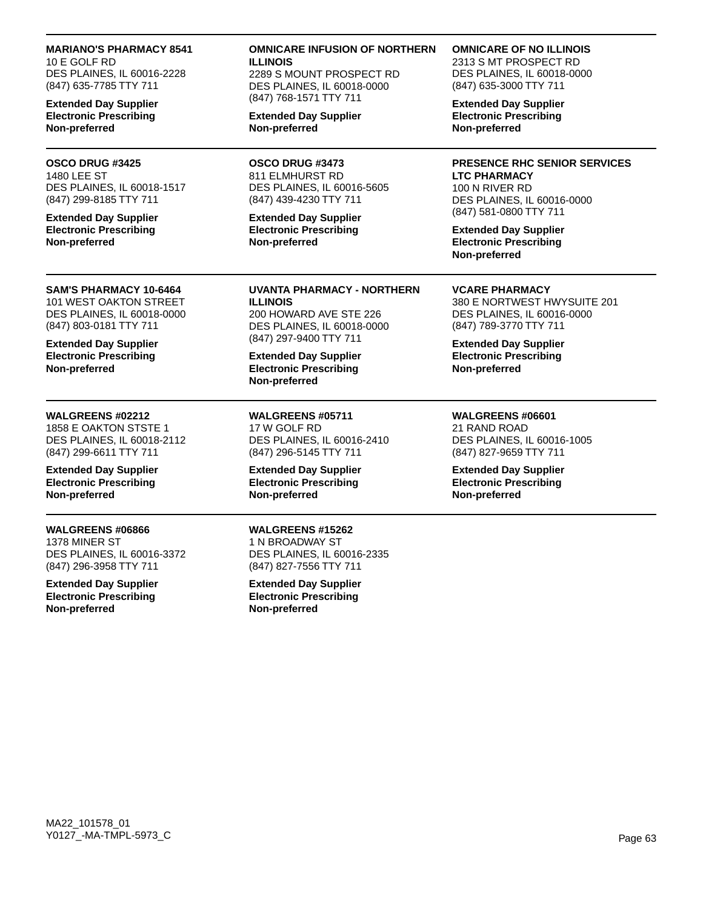### **MARIANO'S PHARMACY 8541**

10 E GOLF RD DES PLAINES, IL 60016-2228 (847) 635-7785 TTY 711

**Extended Day Supplier Electronic Prescribing Non-preferred**

#### **OSCO DRUG #3425** 1480 LEE ST

DES PLAINES, IL 60018-1517 (847) 299-8185 TTY 711

**Extended Day Supplier Electronic Prescribing Non-preferred**

### **SAM'S PHARMACY 10-6464**

101 WEST OAKTON STREET DES PLAINES, IL 60018-0000 (847) 803-0181 TTY 711

**Extended Day Supplier Electronic Prescribing Non-preferred**

### **WALGREENS #02212**

1858 E OAKTON STSTE 1 DES PLAINES, IL 60018-2112 (847) 299-6611 TTY 711

**Extended Day Supplier Electronic Prescribing Non-preferred**

## **WALGREENS #06866**

1378 MINER ST DES PLAINES, IL 60016-3372 (847) 296-3958 TTY 711

**Extended Day Supplier Electronic Prescribing Non-preferred**

### **OMNICARE INFUSION OF NORTHERN ILLINOIS**

2289 S MOUNT PROSPECT RD DES PLAINES, IL 60018-0000 (847) 768-1571 TTY 711

**Extended Day Supplier Non-preferred**

**OSCO DRUG #3473** 811 ELMHURST RD DES PLAINES, IL 60016-5605 (847) 439-4230 TTY 711

**Extended Day Supplier Electronic Prescribing Non-preferred**

**UVANTA PHARMACY - NORTHERN ILLINOIS** 200 HOWARD AVE STE 226 DES PLAINES, IL 60018-0000 (847) 297-9400 TTY 711

**Extended Day Supplier Electronic Prescribing Non-preferred**

**WALGREENS #05711** 17 W GOLF RD DES PLAINES, IL 60016-2410 (847) 296-5145 TTY 711

**Extended Day Supplier Electronic Prescribing Non-preferred**

**WALGREENS #15262** 1 N BROADWAY ST DES PLAINES, IL 60016-2335 (847) 827-7556 TTY 711

**Extended Day Supplier Electronic Prescribing Non-preferred**

### **OMNICARE OF NO ILLINOIS**

2313 S MT PROSPECT RD DES PLAINES, IL 60018-0000 (847) 635-3000 TTY 711

**Extended Day Supplier Electronic Prescribing Non-preferred**

### **PRESENCE RHC SENIOR SERVICES**

**LTC PHARMACY** 100 N RIVER RD DES PLAINES, IL 60016-0000 (847) 581-0800 TTY 711

**Extended Day Supplier Electronic Prescribing Non-preferred**

**VCARE PHARMACY**

380 E NORTWEST HWYSUITE 201 DES PLAINES, IL 60016-0000 (847) 789-3770 TTY 711

**Extended Day Supplier Electronic Prescribing Non-preferred**

**WALGREENS #06601** 21 RAND ROAD DES PLAINES, IL 60016-1005 (847) 827-9659 TTY 711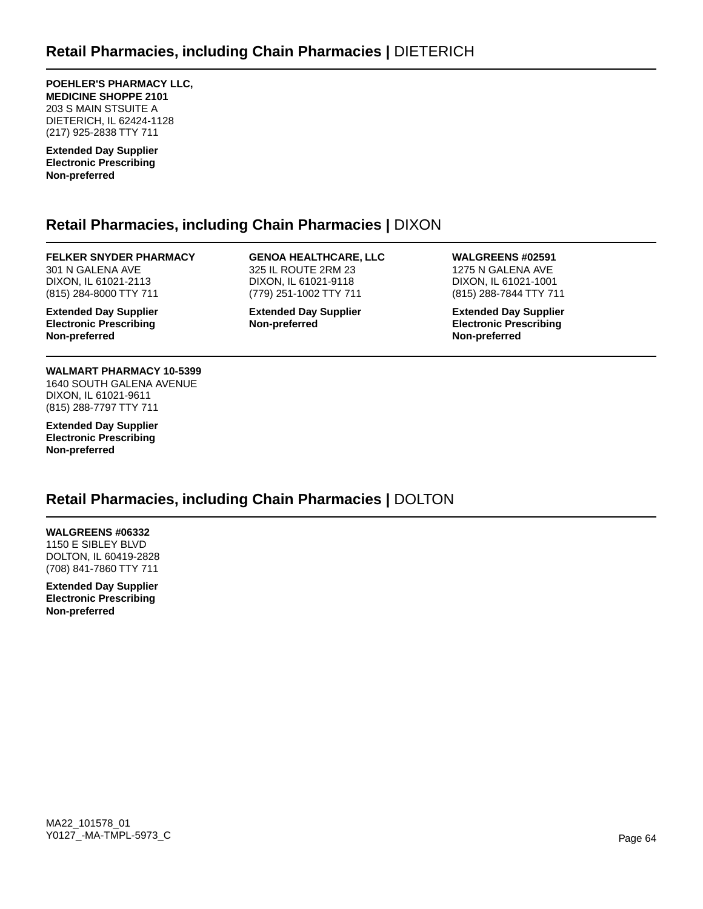**POEHLER'S PHARMACY LLC, MEDICINE SHOPPE 2101** 203 S MAIN STSUITE A DIETERICH, IL 62424-1128 (217) 925-2838 TTY 711

**Extended Day Supplier Electronic Prescribing Non-preferred**

# **Retail Pharmacies, including Chain Pharmacies |** DIXON

## **FELKER SNYDER PHARMACY**

301 N GALENA AVE DIXON, IL 61021-2113 (815) 284-8000 TTY 711

**Extended Day Supplier Electronic Prescribing Non-preferred**

#### **GENOA HEALTHCARE, LLC** 325 IL ROUTE 2RM 23 DIXON, IL 61021-9118

(779) 251-1002 TTY 711 **Extended Day Supplier Non-preferred**

## **WALGREENS #02591**

1275 N GALENA AVE DIXON, IL 61021-1001 (815) 288-7844 TTY 711

**Extended Day Supplier Electronic Prescribing Non-preferred**

#### **WALMART PHARMACY 10-5399** 1640 SOUTH GALENA AVENUE DIXON, IL 61021-9611 (815) 288-7797 TTY 711

**Extended Day Supplier Electronic Prescribing Non-preferred**

# **Retail Pharmacies, including Chain Pharmacies |** DOLTON

## **WALGREENS #06332**

1150 E SIBLEY BLVD DOLTON, IL 60419-2828 (708) 841-7860 TTY 711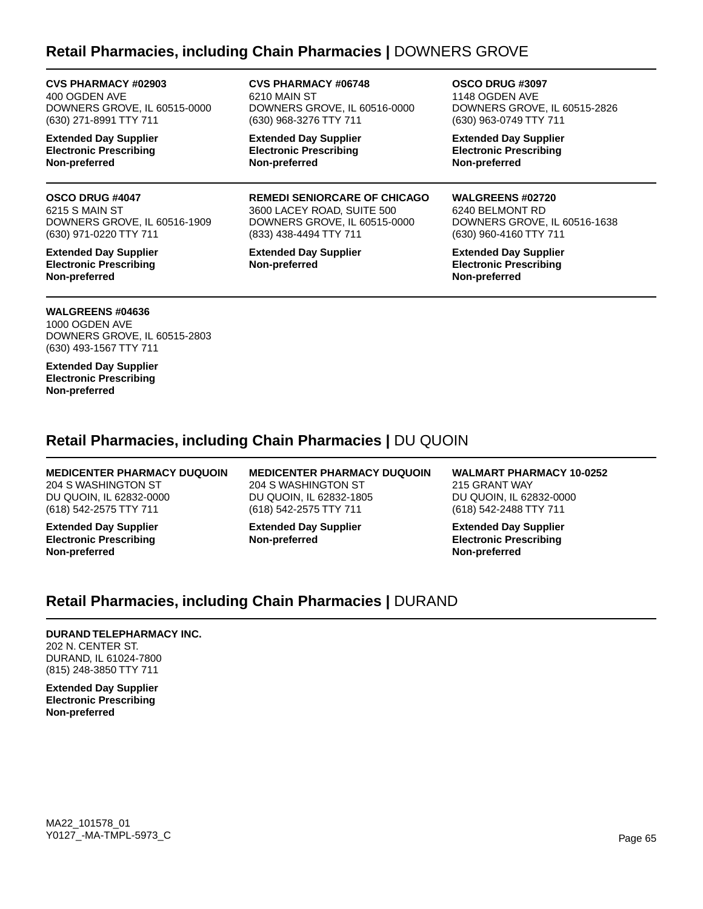# **Retail Pharmacies, including Chain Pharmacies |** DOWNERS GROVE

**CVS PHARMACY #02903**

400 OGDEN AVE DOWNERS GROVE, IL 60515-0000 (630) 271-8991 TTY 711

**Extended Day Supplier Electronic Prescribing Non-preferred**

## **OSCO DRUG #4047**

6215 S MAIN ST DOWNERS GROVE, IL 60516-1909 (630) 971-0220 TTY 711

**Extended Day Supplier Electronic Prescribing Non-preferred**

**CVS PHARMACY #06748** 6210 MAIN ST DOWNERS GROVE, IL 60516-0000 (630) 968-3276 TTY 711

**Extended Day Supplier Electronic Prescribing Non-preferred**

**REMEDI SENIORCARE OF CHICAGO** 3600 LACEY ROAD, SUITE 500 DOWNERS GROVE, IL 60515-0000 (833) 438-4494 TTY 711

**Extended Day Supplier Non-preferred**

**OSCO DRUG #3097** 1148 OGDEN AVE DOWNERS GROVE, IL 60515-2826 (630) 963-0749 TTY 711

**Extended Day Supplier Electronic Prescribing Non-preferred**

### **WALGREENS #02720**

6240 BELMONT RD DOWNERS GROVE, IL 60516-1638 (630) 960-4160 TTY 711

**Extended Day Supplier Electronic Prescribing Non-preferred**

## **WALGREENS #04636**

1000 OGDEN AVE DOWNERS GROVE, IL 60515-2803 (630) 493-1567 TTY 711

**Extended Day Supplier Electronic Prescribing Non-preferred**

# **Retail Pharmacies, including Chain Pharmacies |** DU QUOIN

## **MEDICENTER PHARMACY DUQUOIN** 204 S WASHINGTON ST

DU QUOIN, IL 62832-0000 (618) 542-2575 TTY 711

**Extended Day Supplier Electronic Prescribing Non-preferred**

**MEDICENTER PHARMACY DUQUOIN** 204 S WASHINGTON ST DU QUOIN, IL 62832-1805 (618) 542-2575 TTY 711

**Extended Day Supplier Non-preferred**

**WALMART PHARMACY 10-0252** 215 GRANT WAY DU QUOIN, IL 62832-0000 (618) 542-2488 TTY 711

**Extended Day Supplier Electronic Prescribing Non-preferred**

# **Retail Pharmacies, including Chain Pharmacies |** DURAND

## **DURAND TELEPHARMACY INC.**

202 N. CENTER ST. DURAND, IL 61024-7800 (815) 248-3850 TTY 711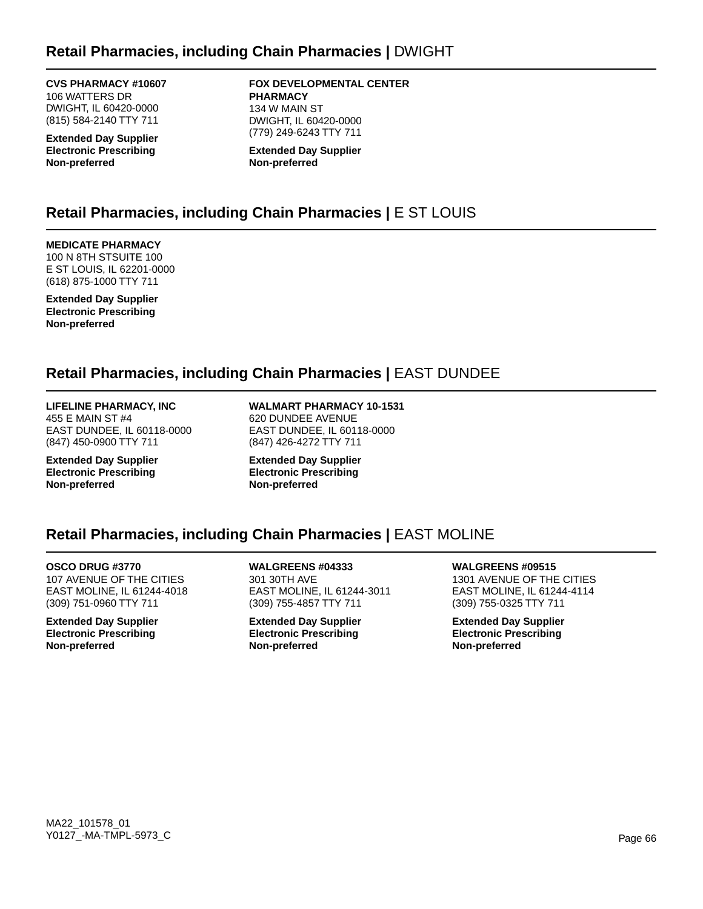## **CVS PHARMACY #10607**

106 WATTERS DR DWIGHT, IL 60420-0000 (815) 584-2140 TTY 711

**Extended Day Supplier Electronic Prescribing Non-preferred**

### **FOX DEVELOPMENTAL CENTER PHARMACY** 134 W MAIN ST DWIGHT, IL 60420-0000

(779) 249-6243 TTY 711 **Extended Day Supplier Non-preferred**

# **Retail Pharmacies, including Chain Pharmacies |** E ST LOUIS

## **MEDICATE PHARMACY**

100 N 8TH STSUITE 100 E ST LOUIS, IL 62201-0000 (618) 875-1000 TTY 711

**Extended Day Supplier Electronic Prescribing Non-preferred**

# **Retail Pharmacies, including Chain Pharmacies |** EAST DUNDEE

#### **LIFELINE PHARMACY, INC** 455 E MAIN ST #4

EAST DUNDEE, IL 60118-0000 (847) 450-0900 TTY 711

**Extended Day Supplier Electronic Prescribing Non-preferred**

**WALMART PHARMACY 10-1531** 620 DUNDEE AVENUE EAST DUNDEE, IL 60118-0000 (847) 426-4272 TTY 711

**Extended Day Supplier Electronic Prescribing Non-preferred**

# **Retail Pharmacies, including Chain Pharmacies |** EAST MOLINE

**OSCO DRUG #3770** 107 AVENUE OF THE CITIES EAST MOLINE, IL 61244-4018 (309) 751-0960 TTY 711

**Extended Day Supplier Electronic Prescribing Non-preferred**

**WALGREENS #04333** 301 30TH AVE EAST MOLINE, IL 61244-3011 (309) 755-4857 TTY 711

**Extended Day Supplier Electronic Prescribing Non-preferred**

**WALGREENS #09515** 1301 AVENUE OF THE CITIES EAST MOLINE, IL 61244-4114 (309) 755-0325 TTY 711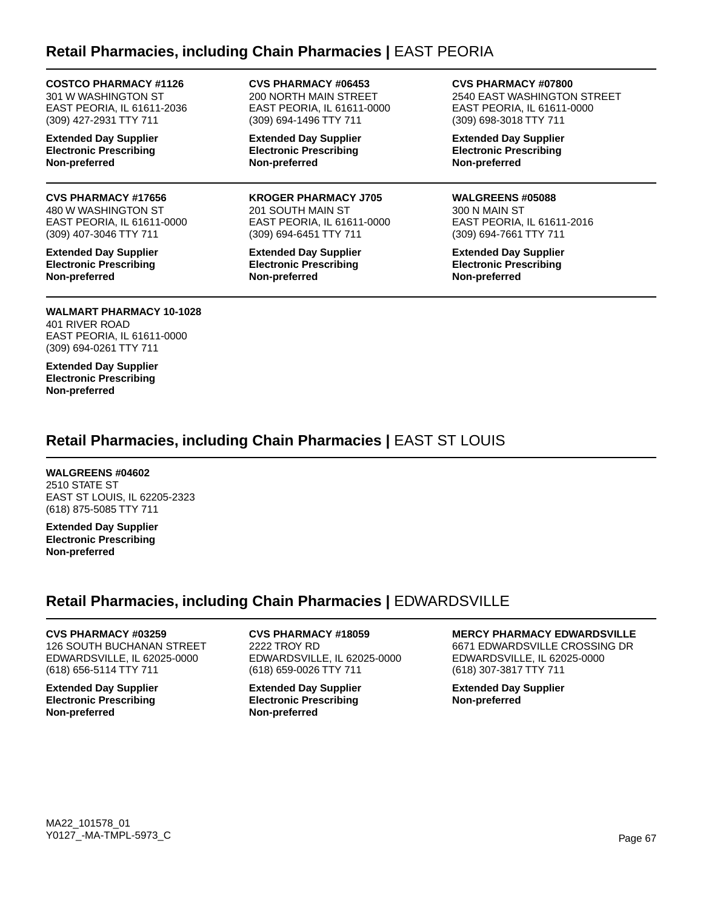# **Retail Pharmacies, including Chain Pharmacies |** EAST PEORIA

## **COSTCO PHARMACY #1126**

301 W WASHINGTON ST EAST PEORIA, IL 61611-2036 (309) 427-2931 TTY 711

**Extended Day Supplier Electronic Prescribing Non-preferred**

### **CVS PHARMACY #17656**

480 W WASHINGTON ST EAST PEORIA, IL 61611-0000 (309) 407-3046 TTY 711

**Extended Day Supplier Electronic Prescribing Non-preferred**

### **CVS PHARMACY #06453** 200 NORTH MAIN STREET EAST PEORIA, IL 61611-0000 (309) 694-1496 TTY 711

**Extended Day Supplier Electronic Prescribing Non-preferred**

**KROGER PHARMACY J705** 201 SOUTH MAIN ST EAST PEORIA, IL 61611-0000 (309) 694-6451 TTY 711

**Extended Day Supplier Electronic Prescribing Non-preferred**

**CVS PHARMACY #07800**

2540 EAST WASHINGTON STREET EAST PEORIA, IL 61611-0000 (309) 698-3018 TTY 711

**Extended Day Supplier Electronic Prescribing Non-preferred**

### **WALGREENS #05088**

300 N MAIN ST EAST PEORIA, IL 61611-2016 (309) 694-7661 TTY 711

**Extended Day Supplier Electronic Prescribing Non-preferred**

#### **WALMART PHARMACY 10-1028** 401 RIVER ROAD EAST PEORIA, IL 61611-0000 (309) 694-0261 TTY 711

**Extended Day Supplier Electronic Prescribing Non-preferred**

# **Retail Pharmacies, including Chain Pharmacies |** EAST ST LOUIS

## **WALGREENS #04602**

2510 STATE ST EAST ST LOUIS, IL 62205-2323 (618) 875-5085 TTY 711

**Extended Day Supplier Electronic Prescribing Non-preferred**

# **Retail Pharmacies, including Chain Pharmacies |** EDWARDSVILLE

## **CVS PHARMACY #03259**

126 SOUTH BUCHANAN STREET EDWARDSVILLE, IL 62025-0000 (618) 656-5114 TTY 711

**Extended Day Supplier Electronic Prescribing Non-preferred**

## **CVS PHARMACY #18059** 2222 TROY RD

EDWARDSVILLE, IL 62025-0000 (618) 659-0026 TTY 711

**Extended Day Supplier Electronic Prescribing Non-preferred**

## **MERCY PHARMACY EDWARDSVILLE**

6671 EDWARDSVILLE CROSSING DR EDWARDSVILLE, IL 62025-0000 (618) 307-3817 TTY 711

**Extended Day Supplier Non-preferred**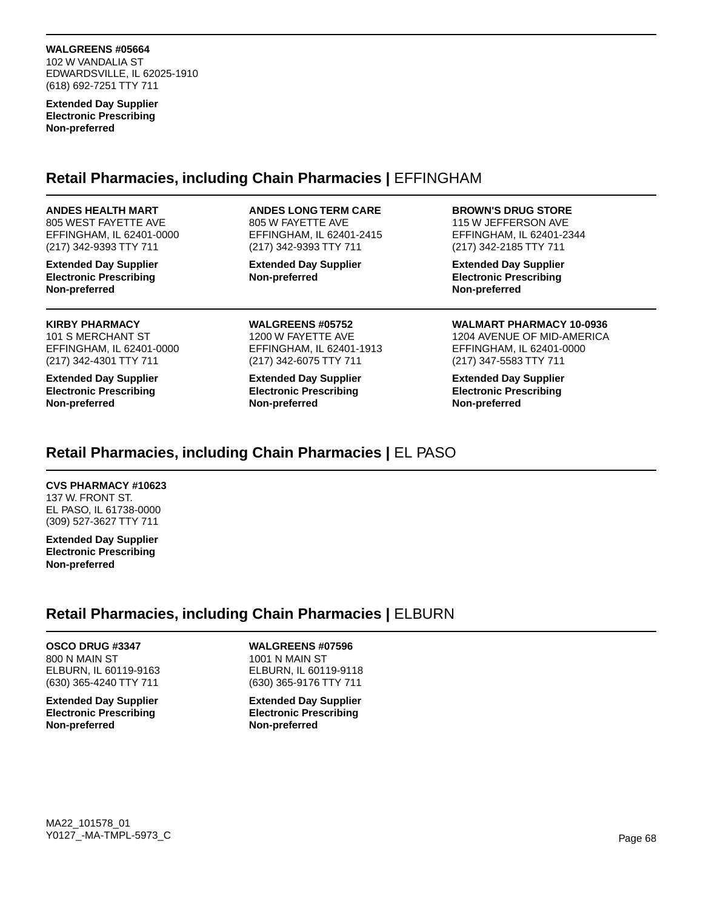102 W VANDALIA ST EDWARDSVILLE, IL 62025-1910 (618) 692-7251 TTY 711

**Extended Day Supplier Electronic Prescribing Non-preferred**

## **Retail Pharmacies, including Chain Pharmacies |** EFFINGHAM

#### **ANDES HEALTH MART**

805 WEST FAYETTE AVE EFFINGHAM, IL 62401-0000 (217) 342-9393 TTY 711

**Extended Day Supplier Electronic Prescribing Non-preferred**

### **KIRBY PHARMACY**

101 S MERCHANT ST EFFINGHAM, IL 62401-0000 (217) 342-4301 TTY 711

**Extended Day Supplier Electronic Prescribing Non-preferred**

### **ANDES LONG TERM CARE**

805 W FAYETTE AVE EFFINGHAM, IL 62401-2415 (217) 342-9393 TTY 711

**Extended Day Supplier Non-preferred**

**WALGREENS #05752** 1200 W FAYETTE AVE EFFINGHAM, IL 62401-1913 (217) 342-6075 TTY 711

**Extended Day Supplier Electronic Prescribing Non-preferred**

### **BROWN'S DRUG STORE**

115 W JEFFERSON AVE EFFINGHAM, IL 62401-2344 (217) 342-2185 TTY 711

**Extended Day Supplier Electronic Prescribing Non-preferred**

**WALMART PHARMACY 10-0936** 1204 AVENUE OF MID-AMERICA EFFINGHAM, IL 62401-0000 (217) 347-5583 TTY 711

**Extended Day Supplier Electronic Prescribing Non-preferred**

# **Retail Pharmacies, including Chain Pharmacies |** EL PASO

## **CVS PHARMACY #10623**

137 W. FRONT ST. EL PASO, IL 61738-0000 (309) 527-3627 TTY 711

**Extended Day Supplier Electronic Prescribing Non-preferred**

# **Retail Pharmacies, including Chain Pharmacies |** ELBURN

### **OSCO DRUG #3347** 800 N MAIN ST ELBURN, IL 60119-9163 (630) 365-4240 TTY 711

**Extended Day Supplier Electronic Prescribing Non-preferred**

## **WALGREENS #07596**

1001 N MAIN ST ELBURN, IL 60119-9118 (630) 365-9176 TTY 711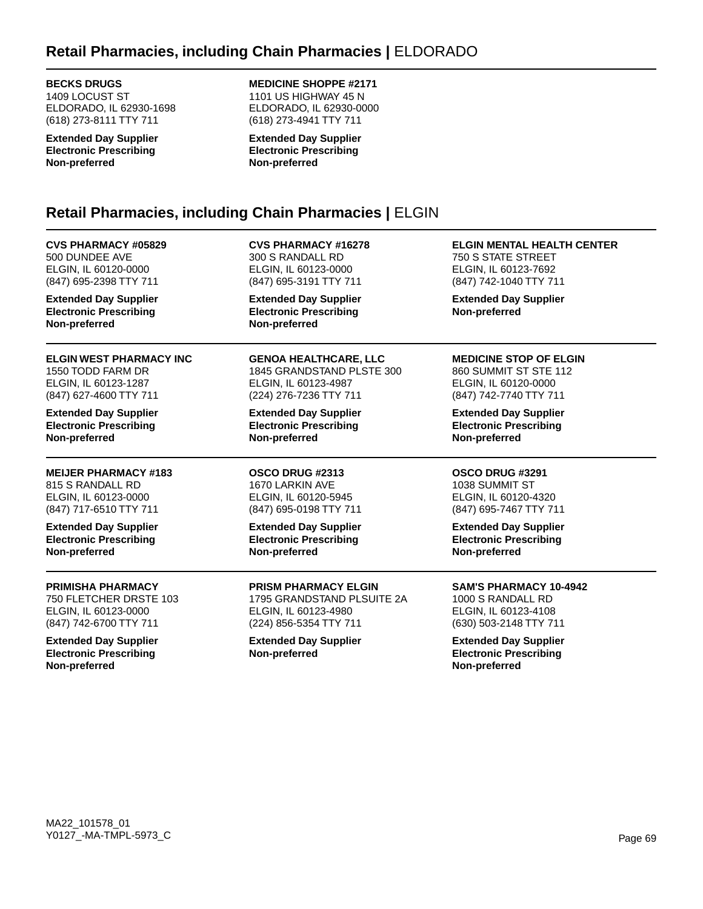# **Retail Pharmacies, including Chain Pharmacies |** ELDORADO

**BECKS DRUGS**

1409 LOCUST ST ELDORADO, IL 62930-1698 (618) 273-8111 TTY 711

**Extended Day Supplier Electronic Prescribing Non-preferred**

## **MEDICINE SHOPPE #2171**

1101 US HIGHWAY 45 N ELDORADO, IL 62930-0000 (618) 273-4941 TTY 711

**Extended Day Supplier Electronic Prescribing Non-preferred**

# **Retail Pharmacies, including Chain Pharmacies |** ELGIN

**CVS PHARMACY #05829** 500 DUNDEE AVE ELGIN, IL 60120-0000 (847) 695-2398 TTY 711

**Extended Day Supplier Electronic Prescribing Non-preferred**

**ELGIN WEST PHARMACY INC** 1550 TODD FARM DR ELGIN, IL 60123-1287 (847) 627-4600 TTY 711

**Extended Day Supplier Electronic Prescribing Non-preferred**

**MEIJER PHARMACY #183** 815 S RANDALL RD ELGIN, IL 60123-0000 (847) 717-6510 TTY 711

**Extended Day Supplier Electronic Prescribing Non-preferred**

### **PRIMISHA PHARMACY**

750 FLETCHER DRSTE 103 ELGIN, IL 60123-0000 (847) 742-6700 TTY 711

**Extended Day Supplier Electronic Prescribing Non-preferred**

**CVS PHARMACY #16278** 300 S RANDALL RD ELGIN, IL 60123-0000 (847) 695-3191 TTY 711

**Extended Day Supplier Electronic Prescribing Non-preferred**

**GENOA HEALTHCARE, LLC** 1845 GRANDSTAND PLSTE 300 ELGIN, IL 60123-4987 (224) 276-7236 TTY 711

**Extended Day Supplier Electronic Prescribing Non-preferred**

**OSCO DRUG #2313** 1670 LARKIN AVE ELGIN, IL 60120-5945 (847) 695-0198 TTY 711

**Extended Day Supplier Electronic Prescribing Non-preferred**

**PRISM PHARMACY ELGIN** 1795 GRANDSTAND PLSUITE 2A ELGIN, IL 60123-4980 (224) 856-5354 TTY 711

**Extended Day Supplier Non-preferred**

**ELGIN MENTAL HEALTH CENTER** 750 S STATE STREET ELGIN, IL 60123-7692 (847) 742-1040 TTY 711

**Extended Day Supplier Non-preferred**

## **MEDICINE STOP OF ELGIN**

860 SUMMIT ST STE 112 ELGIN, IL 60120-0000 (847) 742-7740 TTY 711

**Extended Day Supplier Electronic Prescribing Non-preferred**

## **OSCO DRUG #3291**

1038 SUMMIT ST ELGIN, IL 60120-4320 (847) 695-7467 TTY 711

**Extended Day Supplier Electronic Prescribing Non-preferred**

## **SAM'S PHARMACY 10-4942**

1000 S RANDALL RD ELGIN, IL 60123-4108 (630) 503-2148 TTY 711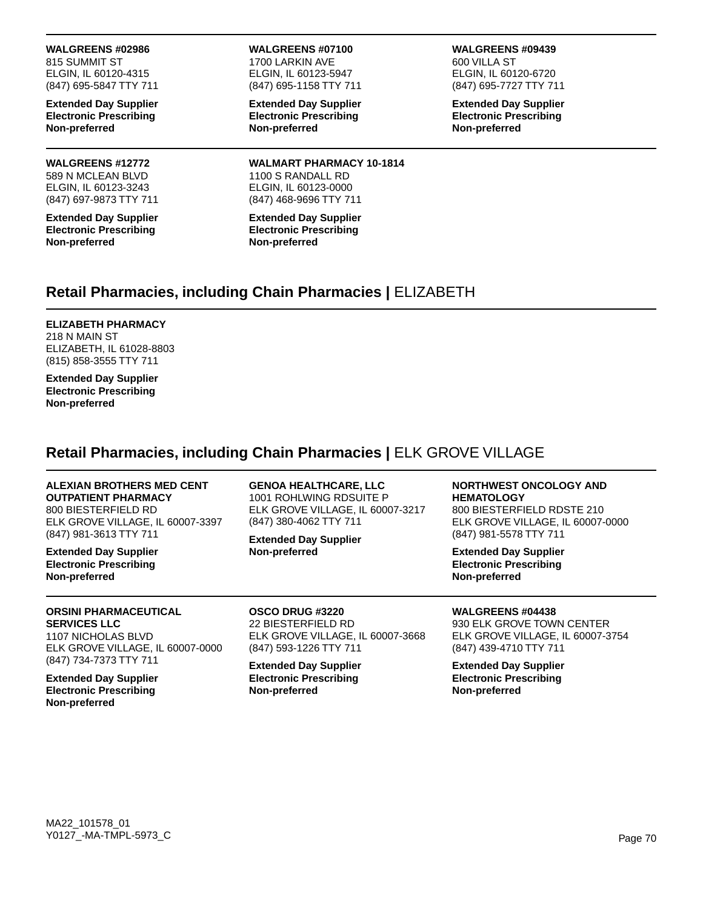815 SUMMIT ST ELGIN, IL 60120-4315 (847) 695-5847 TTY 711

**Extended Day Supplier Electronic Prescribing Non-preferred**

# **WALGREENS #12772**

589 N MCLEAN BLVD ELGIN, IL 60123-3243 (847) 697-9873 TTY 711

**Extended Day Supplier Electronic Prescribing Non-preferred**

**WALGREENS #07100** 1700 LARKIN AVE

ELGIN, IL 60123-5947 (847) 695-1158 TTY 711

**Extended Day Supplier Electronic Prescribing Non-preferred**

**WALMART PHARMACY 10-1814** 1100 S RANDALL RD ELGIN, IL 60123-0000 (847) 468-9696 TTY 711

**Extended Day Supplier Electronic Prescribing Non-preferred**

### **WALGREENS #09439**

600 VILLA ST ELGIN, IL 60120-6720 (847) 695-7727 TTY 711

**Extended Day Supplier Electronic Prescribing Non-preferred**

# **Retail Pharmacies, including Chain Pharmacies |** ELIZABETH

### **ELIZABETH PHARMACY**

218 N MAIN ST ELIZABETH, IL 61028-8803 (815) 858-3555 TTY 711

**Extended Day Supplier Electronic Prescribing Non-preferred**

## **Retail Pharmacies, including Chain Pharmacies |** ELK GROVE VILLAGE

# **ALEXIAN BROTHERS MED CENT**

**OUTPATIENT PHARMACY** 800 BIESTERFIELD RD ELK GROVE VILLAGE, IL 60007-3397 (847) 981-3613 TTY 711

**Extended Day Supplier Electronic Prescribing Non-preferred**

1001 ROHLWING RDSUITE P ELK GROVE VILLAGE, IL 60007-3217 (847) 380-4062 TTY 711 **Extended Day Supplier**

**GENOA HEALTHCARE, LLC**

**Non-preferred**

**HEMATOLOGY** 800 BIESTERFIELD RDSTE 210 ELK GROVE VILLAGE, IL 60007-0000 (847) 981-5578 TTY 711

**NORTHWEST ONCOLOGY AND** 

**Extended Day Supplier Electronic Prescribing Non-preferred**

**WALGREENS #04438** 930 ELK GROVE TOWN CENTER ELK GROVE VILLAGE, IL 60007-3754 (847) 439-4710 TTY 711

**Extended Day Supplier Electronic Prescribing Non-preferred**

### **ORSINI PHARMACEUTICAL SERVICES LLC**

1107 NICHOLAS BLVD ELK GROVE VILLAGE, IL 60007-0000 (847) 734-7373 TTY 711

**Extended Day Supplier Electronic Prescribing Non-preferred**

**OSCO DRUG #3220** 22 BIESTERFIELD RD

ELK GROVE VILLAGE, IL 60007-3668 (847) 593-1226 TTY 711 **Extended Day Supplier**

**Electronic Prescribing Non-preferred**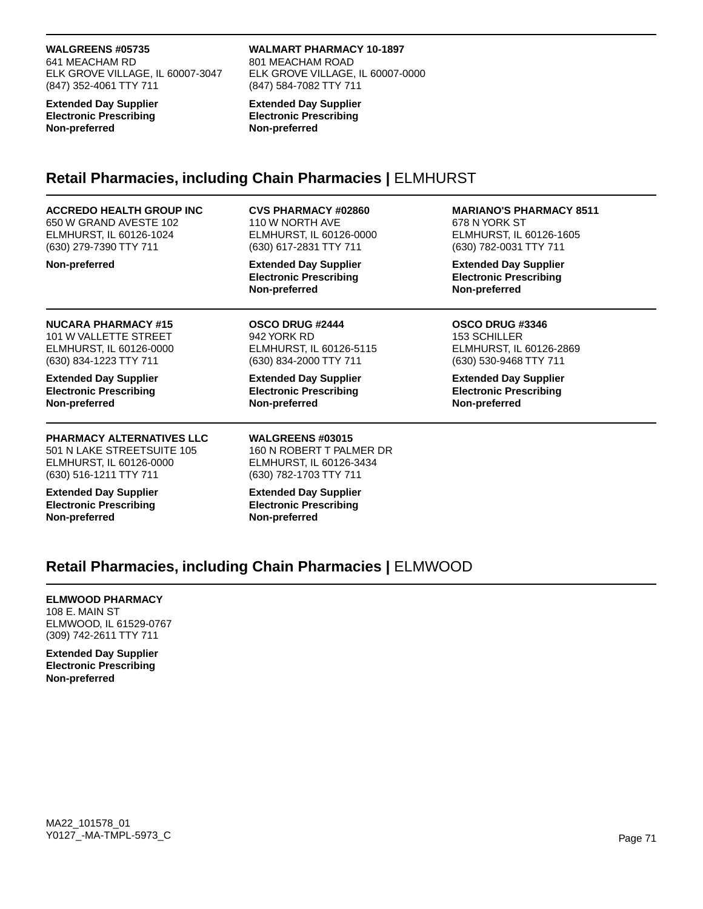641 MEACHAM RD ELK GROVE VILLAGE, IL 60007-3047 (847) 352-4061 TTY 711

**Extended Day Supplier Electronic Prescribing Non-preferred**

### **WALMART PHARMACY 10-1897**

801 MEACHAM ROAD ELK GROVE VILLAGE, IL 60007-0000 (847) 584-7082 TTY 711

**Extended Day Supplier Electronic Prescribing Non-preferred**

## **Retail Pharmacies, including Chain Pharmacies |** ELMHURST

### **ACCREDO HEALTH GROUP INC**

650 W GRAND AVESTE 102 ELMHURST, IL 60126-1024 (630) 279-7390 TTY 711

**Non-preferred**

## **CVS PHARMACY #02860**

110 W NORTH AVE ELMHURST, IL 60126-0000 (630) 617-2831 TTY 711

**Extended Day Supplier Electronic Prescribing Non-preferred**

**OSCO DRUG #2444** 942 YORK RD

### **NUCARA PHARMACY #15** 101 W VALLETTE STREET

ELMHURST, IL 60126-0000 (630) 834-1223 TTY 711

**Extended Day Supplier Electronic Prescribing Non-preferred**

## **PHARMACY ALTERNATIVES LLC**

501 N LAKE STREETSUITE 105 ELMHURST, IL 60126-0000 (630) 516-1211 TTY 711

**Extended Day Supplier Electronic Prescribing Non-preferred**

ELMHURST, IL 60126-5115 (630) 834-2000 TTY 711 **Extended Day Supplier Electronic Prescribing**

**Non-preferred**

**WALGREENS #03015** 160 N ROBERT T PALMER DR ELMHURST, IL 60126-3434 (630) 782-1703 TTY 711

**Extended Day Supplier Electronic Prescribing Non-preferred**

## **MARIANO'S PHARMACY 8511**

678 N YORK ST ELMHURST, IL 60126-1605 (630) 782-0031 TTY 711

**Extended Day Supplier Electronic Prescribing Non-preferred**

### **OSCO DRUG #3346** 153 SCHILLER ELMHURST, IL 60126-2869 (630) 530-9468 TTY 711

**Extended Day Supplier Electronic Prescribing Non-preferred**

# **Retail Pharmacies, including Chain Pharmacies |** ELMWOOD

### **ELMWOOD PHARMACY**

108 E. MAIN ST ELMWOOD, IL 61529-0767 (309) 742-2611 TTY 711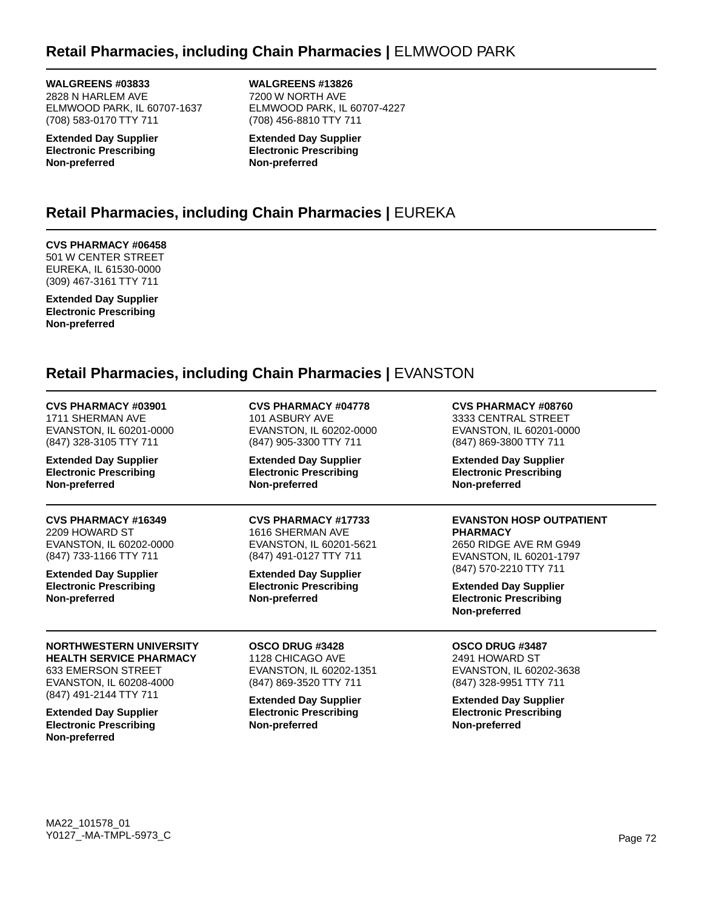# **Retail Pharmacies, including Chain Pharmacies |** ELMWOOD PARK

**WALGREENS #03833** 2828 N HARLEM AVE ELMWOOD PARK, IL 60707-1637 (708) 583-0170 TTY 711

**Extended Day Supplier Electronic Prescribing Non-preferred**

**WALGREENS #13826** 7200 W NORTH AVE ELMWOOD PARK, IL 60707-4227 (708) 456-8810 TTY 711

**Extended Day Supplier Electronic Prescribing Non-preferred**

# **Retail Pharmacies, including Chain Pharmacies |** EUREKA

## **CVS PHARMACY #06458**

501 W CENTER STREET EUREKA, IL 61530-0000 (309) 467-3161 TTY 711

**Extended Day Supplier Electronic Prescribing Non-preferred**

# **Retail Pharmacies, including Chain Pharmacies |** EVANSTON

## **CVS PHARMACY #03901**

1711 SHERMAN AVE EVANSTON, IL 60201-0000 (847) 328-3105 TTY 711

**Extended Day Supplier Electronic Prescribing Non-preferred**

## **CVS PHARMACY #16349**

2209 HOWARD ST EVANSTON, IL 60202-0000 (847) 733-1166 TTY 711

**Extended Day Supplier Electronic Prescribing Non-preferred**

### **NORTHWESTERN UNIVERSITY HEALTH SERVICE PHARMACY** 633 EMERSON STREET EVANSTON, IL 60208-4000 (847) 491-2144 TTY 711

**Extended Day Supplier Electronic Prescribing Non-preferred**

**CVS PHARMACY #04778** 101 ASBURY AVE EVANSTON, IL 60202-0000 (847) 905-3300 TTY 711

**Extended Day Supplier Electronic Prescribing Non-preferred**

### **CVS PHARMACY #17733**

1616 SHERMAN AVE EVANSTON, IL 60201-5621 (847) 491-0127 TTY 711

**Extended Day Supplier Electronic Prescribing Non-preferred**

#### **OSCO DRUG #3428** 1128 CHICAGO AVE EVANSTON, IL 60202-1351 (847) 869-3520 TTY 711

**Extended Day Supplier Electronic Prescribing Non-preferred**

**CVS PHARMACY #08760** 3333 CENTRAL STREET

EVANSTON, IL 60201-0000 (847) 869-3800 TTY 711

**Extended Day Supplier Electronic Prescribing Non-preferred**

#### **EVANSTON HOSP OUTPATIENT PHARMACY**

2650 RIDGE AVE RM G949 EVANSTON, IL 60201-1797 (847) 570-2210 TTY 711

**Extended Day Supplier Electronic Prescribing Non-preferred**

## **OSCO DRUG #3487**

2491 HOWARD ST EVANSTON, IL 60202-3638 (847) 328-9951 TTY 711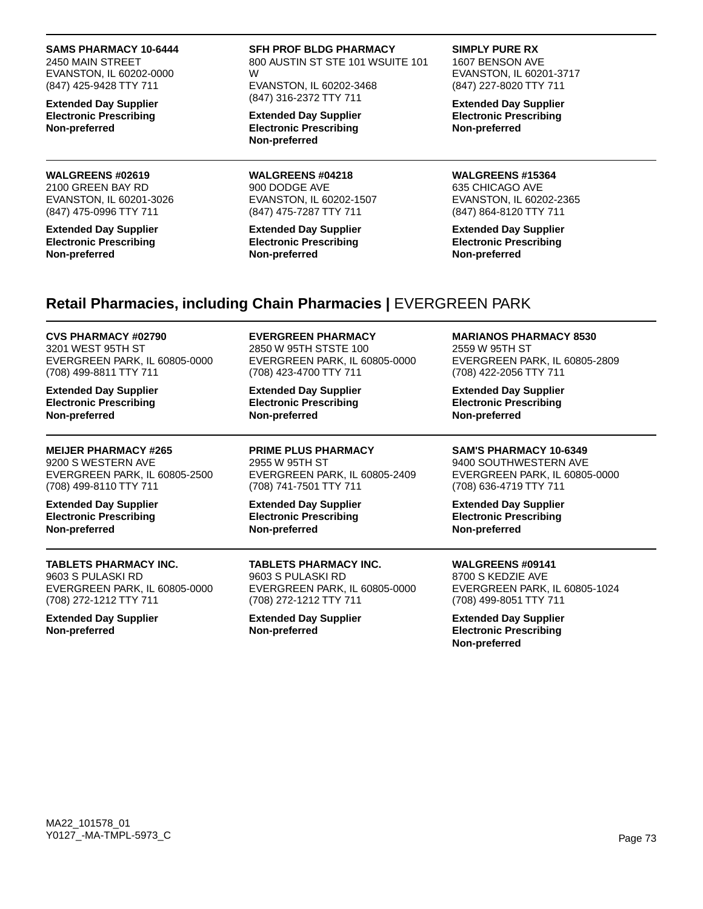#### **SAMS PHARMACY 10-6444**

2450 MAIN STREET EVANSTON, IL 60202-0000 (847) 425-9428 TTY 711

**Extended Day Supplier Electronic Prescribing Non-preferred**

#### **WALGREENS #02619** 2100 GREEN BAY RD EVANSTON, IL 60201-3026 (847) 475-0996 TTY 711

**Extended Day Supplier Electronic Prescribing Non-preferred**

#### **SFH PROF BLDG PHARMACY**

800 AUSTIN ST STE 101 WSUITE 101 W

EVANSTON, IL 60202-3468 (847) 316-2372 TTY 711

**Extended Day Supplier Electronic Prescribing Non-preferred**

**WALGREENS #04218** 900 DODGE AVE EVANSTON, IL 60202-1507 (847) 475-7287 TTY 711

**Extended Day Supplier Electronic Prescribing Non-preferred**

#### **SIMPLY PURE RX**

1607 BENSON AVE EVANSTON, IL 60201-3717 (847) 227-8020 TTY 711

**Extended Day Supplier Electronic Prescribing Non-preferred**

**WALGREENS #15364** 635 CHICAGO AVE EVANSTON, IL 60202-2365 (847) 864-8120 TTY 711

**Extended Day Supplier Electronic Prescribing Non-preferred**

### **Retail Pharmacies, including Chain Pharmacies |** EVERGREEN PARK

### **CVS PHARMACY #02790**

3201 WEST 95TH ST EVERGREEN PARK, IL 60805-0000 (708) 499-8811 TTY 711

**Extended Day Supplier Electronic Prescribing Non-preferred**

**MEIJER PHARMACY #265** 9200 S WESTERN AVE EVERGREEN PARK, IL 60805-2500 (708) 499-8110 TTY 711

**Extended Day Supplier Electronic Prescribing Non-preferred**

### **TABLETS PHARMACY INC.**

9603 S PULASKI RD EVERGREEN PARK, IL 60805-0000 (708) 272-1212 TTY 711

**Extended Day Supplier Non-preferred**

**EVERGREEN PHARMACY** 2850 W 95TH STSTE 100 EVERGREEN PARK, IL 60805-0000 (708) 423-4700 TTY 711

**Extended Day Supplier Electronic Prescribing Non-preferred**

**PRIME PLUS PHARMACY** 2955 W 95TH ST EVERGREEN PARK, IL 60805-2409 (708) 741-7501 TTY 711

**Extended Day Supplier Electronic Prescribing Non-preferred**

**TABLETS PHARMACY INC.** 9603 S PULASKI RD EVERGREEN PARK, IL 60805-0000 (708) 272-1212 TTY 711

**Extended Day Supplier Non-preferred**

#### **MARIANOS PHARMACY 8530**

2559 W 95TH ST EVERGREEN PARK, IL 60805-2809 (708) 422-2056 TTY 711

**Extended Day Supplier Electronic Prescribing Non-preferred**

### **SAM'S PHARMACY 10-6349**

9400 SOUTHWESTERN AVE EVERGREEN PARK, IL 60805-0000 (708) 636-4719 TTY 711

**Extended Day Supplier Electronic Prescribing Non-preferred**

### **WALGREENS #09141**

8700 S KEDZIE AVE EVERGREEN PARK, IL 60805-1024 (708) 499-8051 TTY 711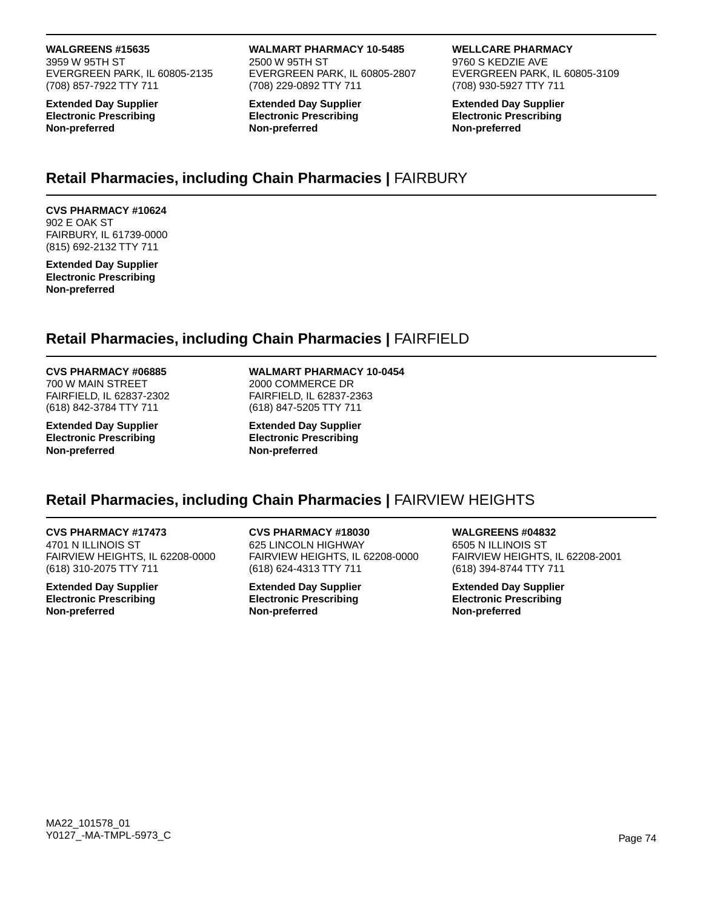#### **WALGREENS #15635**

3959 W 95TH ST EVERGREEN PARK, IL 60805-2135 (708) 857-7922 TTY 711

**Extended Day Supplier Electronic Prescribing Non-preferred**

**WALMART PHARMACY 10-5485** 2500 W 95TH ST EVERGREEN PARK, IL 60805-2807 (708) 229-0892 TTY 711

**Extended Day Supplier Electronic Prescribing Non-preferred**

#### **WELLCARE PHARMACY**

9760 S KEDZIE AVE EVERGREEN PARK, IL 60805-3109 (708) 930-5927 TTY 711

**Extended Day Supplier Electronic Prescribing Non-preferred**

### **Retail Pharmacies, including Chain Pharmacies |** FAIRBURY

**CVS PHARMACY #10624** 902 E OAK ST FAIRBURY, IL 61739-0000 (815) 692-2132 TTY 711

**Extended Day Supplier Electronic Prescribing Non-preferred**

# **Retail Pharmacies, including Chain Pharmacies |** FAIRFIELD

#### **CVS PHARMACY #06885**

700 W MAIN STREET FAIRFIELD, IL 62837-2302 (618) 842-3784 TTY 711

**Extended Day Supplier Electronic Prescribing Non-preferred**

#### **WALMART PHARMACY 10-0454**

2000 COMMERCE DR FAIRFIELD, IL 62837-2363 (618) 847-5205 TTY 711

**Extended Day Supplier Electronic Prescribing Non-preferred**

### **Retail Pharmacies, including Chain Pharmacies |** FAIRVIEW HEIGHTS

**CVS PHARMACY #17473** 4701 N ILLINOIS ST FAIRVIEW HEIGHTS, IL 62208-0000

**Extended Day Supplier Electronic Prescribing Non-preferred**

(618) 310-2075 TTY 711

**CVS PHARMACY #18030** 625 LINCOLN HIGHWAY FAIRVIEW HEIGHTS, IL 62208-0000 (618) 624-4313 TTY 711

**Extended Day Supplier Electronic Prescribing Non-preferred**

**WALGREENS #04832** 6505 N ILLINOIS ST FAIRVIEW HEIGHTS, IL 62208-2001 (618) 394-8744 TTY 711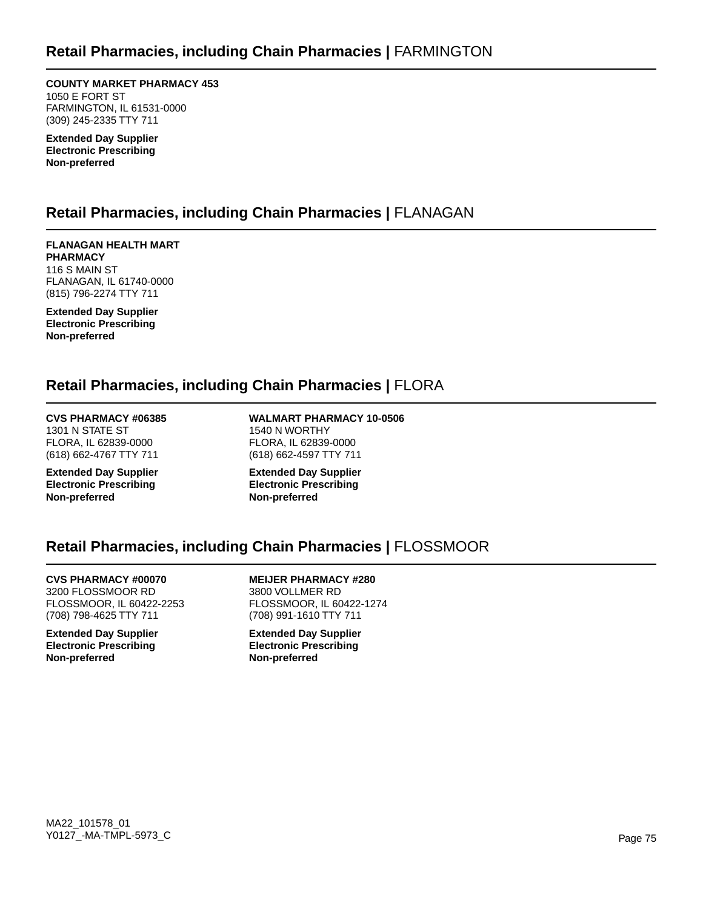**COUNTY MARKET PHARMACY 453** 1050 E FORT ST FARMINGTON, IL 61531-0000 (309) 245-2335 TTY 711

**Extended Day Supplier Electronic Prescribing Non-preferred**

### **Retail Pharmacies, including Chain Pharmacies |** FLANAGAN

**FLANAGAN HEALTH MART PHARMACY** 116 S MAIN ST FLANAGAN, IL 61740-0000 (815) 796-2274 TTY 711

**Extended Day Supplier Electronic Prescribing Non-preferred**

### **Retail Pharmacies, including Chain Pharmacies |** FLORA

**CVS PHARMACY #06385** 1301 N STATE ST FLORA, IL 62839-0000 (618) 662-4767 TTY 711

**Extended Day Supplier Electronic Prescribing Non-preferred**

**WALMART PHARMACY 10-0506** 1540 N WORTHY FLORA, IL 62839-0000 (618) 662-4597 TTY 711

**Extended Day Supplier Electronic Prescribing Non-preferred**

### **Retail Pharmacies, including Chain Pharmacies |** FLOSSMOOR

**CVS PHARMACY #00070** 3200 FLOSSMOOR RD

FLOSSMOOR, IL 60422-2253 (708) 798-4625 TTY 711

**Extended Day Supplier Electronic Prescribing Non-preferred**

**MEIJER PHARMACY #280** 3800 VOLLMER RD FLOSSMOOR, IL 60422-1274 (708) 991-1610 TTY 711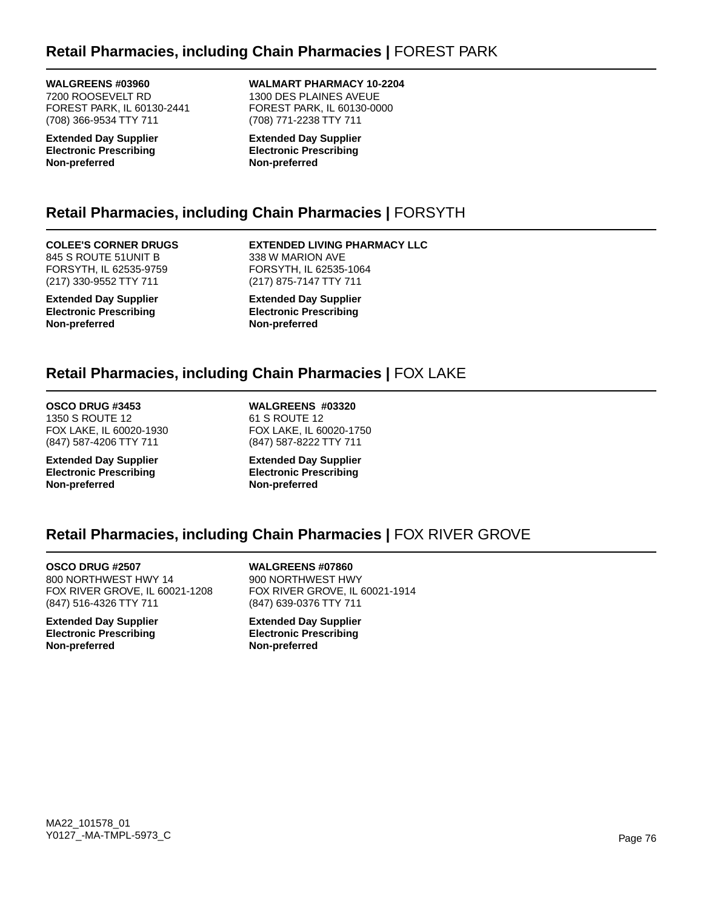## **Retail Pharmacies, including Chain Pharmacies |** FOREST PARK

**WALGREENS #03960**

7200 ROOSEVELT RD FOREST PARK, IL 60130-2441 (708) 366-9534 TTY 711

**Extended Day Supplier Electronic Prescribing Non-preferred**

### **WALMART PHARMACY 10-2204**

1300 DES PLAINES AVEUE FOREST PARK, IL 60130-0000 (708) 771-2238 TTY 711

**Extended Day Supplier Electronic Prescribing Non-preferred**

# **Retail Pharmacies, including Chain Pharmacies |** FORSYTH

#### **COLEE'S CORNER DRUGS** 845 S ROUTE 51UNIT B

FORSYTH, IL 62535-9759 (217) 330-9552 TTY 711

**Extended Day Supplier Electronic Prescribing Non-preferred**

**EXTENDED LIVING PHARMACY LLC** 338 W MARION AVE FORSYTH, IL 62535-1064 (217) 875-7147 TTY 711

**Extended Day Supplier Electronic Prescribing Non-preferred**

# **Retail Pharmacies, including Chain Pharmacies |** FOX LAKE

# **OSCO DRUG #3453**

1350 S ROUTE 12 FOX LAKE, IL 60020-1930 (847) 587-4206 TTY 711

**Extended Day Supplier Electronic Prescribing Non-preferred**

**WALGREENS #03320** 61 S ROUTE 12 FOX LAKE, IL 60020-1750 (847) 587-8222 TTY 711

**Extended Day Supplier Electronic Prescribing Non-preferred**

# **Retail Pharmacies, including Chain Pharmacies |** FOX RIVER GROVE

**OSCO DRUG #2507** 800 NORTHWEST HWY 14 FOX RIVER GROVE, IL 60021-1208 (847) 516-4326 TTY 711

**Extended Day Supplier Electronic Prescribing Non-preferred**

**WALGREENS #07860** 900 NORTHWEST HWY FOX RIVER GROVE, IL 60021-1914 (847) 639-0376 TTY 711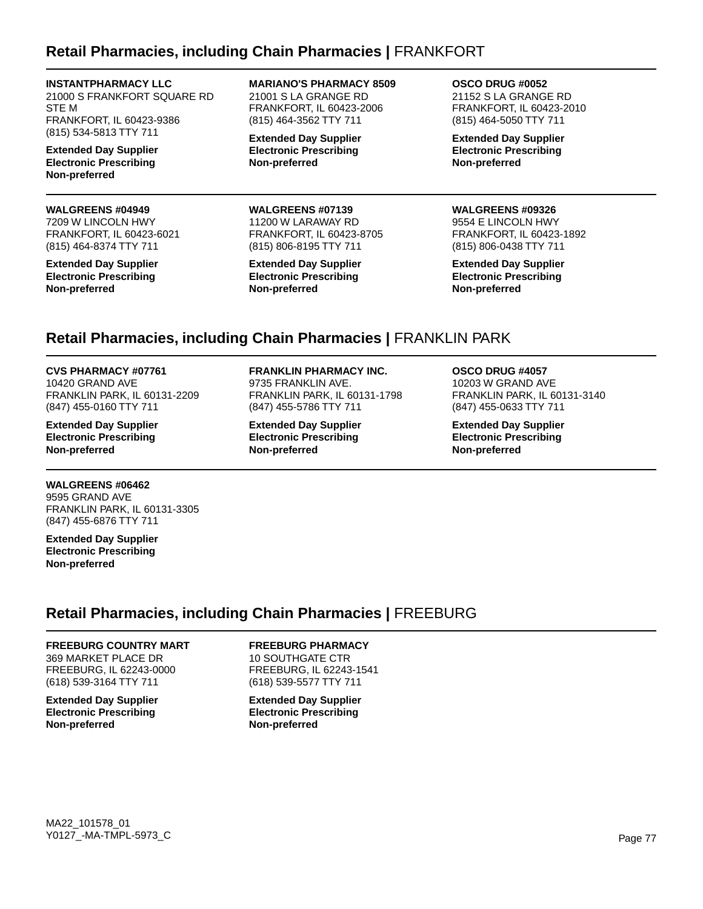### **Retail Pharmacies, including Chain Pharmacies |** FRANKFORT

#### **INSTANTPHARMACY LLC**

21000 S FRANKFORT SQUARE RD STE M FRANKFORT, IL 60423-9386 (815) 534-5813 TTY 711

**Extended Day Supplier Electronic Prescribing Non-preferred**

#### **WALGREENS #04949**

7209 W LINCOLN HWY FRANKFORT, IL 60423-6021 (815) 464-8374 TTY 711

**Extended Day Supplier Electronic Prescribing Non-preferred**

**MARIANO'S PHARMACY 8509** 21001 S LA GRANGE RD FRANKFORT, IL 60423-2006 (815) 464-3562 TTY 711

**Extended Day Supplier Electronic Prescribing Non-preferred**

#### **WALGREENS #07139**

11200 W LARAWAY RD FRANKFORT, IL 60423-8705 (815) 806-8195 TTY 711

**Extended Day Supplier Electronic Prescribing Non-preferred**

**OSCO DRUG #0052** 21152 S LA GRANGE RD FRANKFORT, IL 60423-2010 (815) 464-5050 TTY 711

**Extended Day Supplier Electronic Prescribing Non-preferred**

#### **WALGREENS #09326**

9554 E LINCOLN HWY FRANKFORT, IL 60423-1892 (815) 806-0438 TTY 711

**Extended Day Supplier Electronic Prescribing Non-preferred**

# **Retail Pharmacies, including Chain Pharmacies |** FRANKLIN PARK

#### **CVS PHARMACY #07761**

10420 GRAND AVE FRANKLIN PARK, IL 60131-2209 (847) 455-0160 TTY 711

**Extended Day Supplier Electronic Prescribing Non-preferred**

#### **WALGREENS #06462**

9595 GRAND AVE FRANKLIN PARK, IL 60131-3305 (847) 455-6876 TTY 711

**Extended Day Supplier Electronic Prescribing Non-preferred**

#### **FRANKLIN PHARMACY INC.**

9735 FRANKLIN AVE. FRANKLIN PARK, IL 60131-1798 (847) 455-5786 TTY 711

**Extended Day Supplier Electronic Prescribing Non-preferred**

#### **OSCO DRUG #4057**

10203 W GRAND AVE FRANKLIN PARK, IL 60131-3140 (847) 455-0633 TTY 711

**Extended Day Supplier Electronic Prescribing Non-preferred**

# **Retail Pharmacies, including Chain Pharmacies |** FREEBURG

#### **FREEBURG COUNTRY MART**

369 MARKET PLACE DR FREEBURG, IL 62243-0000 (618) 539-3164 TTY 711

**Extended Day Supplier Electronic Prescribing Non-preferred**

### **FREEBURG PHARMACY**

10 SOUTHGATE CTR FREEBURG, IL 62243-1541 (618) 539-5577 TTY 711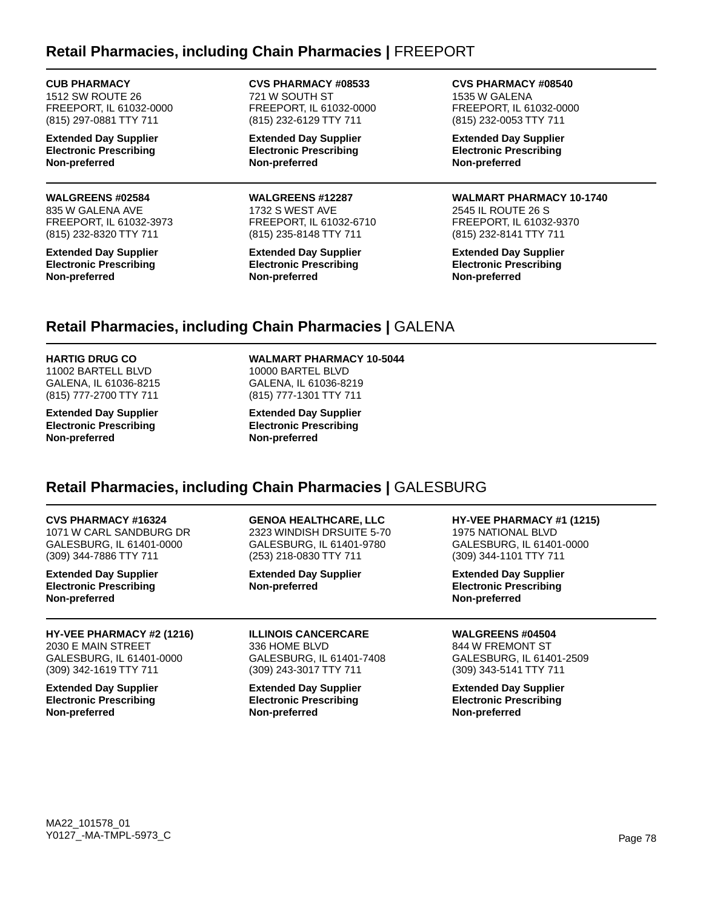### **Retail Pharmacies, including Chain Pharmacies |** FREEPORT

### **CUB PHARMACY**

1512 SW ROUTE 26 FREEPORT, IL 61032-0000 (815) 297-0881 TTY 711

**Extended Day Supplier Electronic Prescribing Non-preferred**

### **WALGREENS #02584**

835 W GALENA AVE FREEPORT, IL 61032-3973 (815) 232-8320 TTY 711

**Extended Day Supplier Electronic Prescribing Non-preferred**

**CVS PHARMACY #08533** 721 W SOUTH ST FREEPORT, IL 61032-0000 (815) 232-6129 TTY 711

**Extended Day Supplier Electronic Prescribing Non-preferred**

**WALGREENS #12287** 1732 S WEST AVE FREEPORT, IL 61032-6710 (815) 235-8148 TTY 711

**Extended Day Supplier Electronic Prescribing Non-preferred**

**CVS PHARMACY #08540** 1535 W GALENA FREEPORT, IL 61032-0000 (815) 232-0053 TTY 711

**Extended Day Supplier Electronic Prescribing Non-preferred**

#### **WALMART PHARMACY 10-1740**

2545 IL ROUTE 26 S FREEPORT, IL 61032-9370 (815) 232-8141 TTY 711

**Extended Day Supplier Electronic Prescribing Non-preferred**

# **Retail Pharmacies, including Chain Pharmacies |** GALENA

**HARTIG DRUG CO** 11002 BARTELL BLVD GALENA, IL 61036-8215 (815) 777-2700 TTY 711

**Extended Day Supplier Electronic Prescribing Non-preferred**

**WALMART PHARMACY 10-5044** 10000 BARTEL BLVD GALENA, IL 61036-8219 (815) 777-1301 TTY 711

**Extended Day Supplier Electronic Prescribing Non-preferred**

### **Retail Pharmacies, including Chain Pharmacies |** GALESBURG

#### **CVS PHARMACY #16324**

1071 W CARL SANDBURG DR GALESBURG, IL 61401-0000 (309) 344-7886 TTY 711

**Extended Day Supplier Electronic Prescribing Non-preferred**

**HY-VEE PHARMACY #2 (1216)** 2030 E MAIN STREET GALESBURG, IL 61401-0000 (309) 342-1619 TTY 711

**Extended Day Supplier Electronic Prescribing Non-preferred**

### **GENOA HEALTHCARE, LLC**

2323 WINDISH DRSUITE 5-70 GALESBURG, IL 61401-9780 (253) 218-0830 TTY 711

**Extended Day Supplier Non-preferred**

**ILLINOIS CANCERCARE** 336 HOME BLVD GALESBURG, IL 61401-7408 (309) 243-3017 TTY 711

**Extended Day Supplier Electronic Prescribing Non-preferred**

**HY-VEE PHARMACY #1 (1215)** 1975 NATIONAL BLVD GALESBURG, IL 61401-0000

(309) 344-1101 TTY 711 **Extended Day Supplier**

**Electronic Prescribing Non-preferred**

**WALGREENS #04504**

844 W FREMONT ST GALESBURG, IL 61401-2509 (309) 343-5141 TTY 711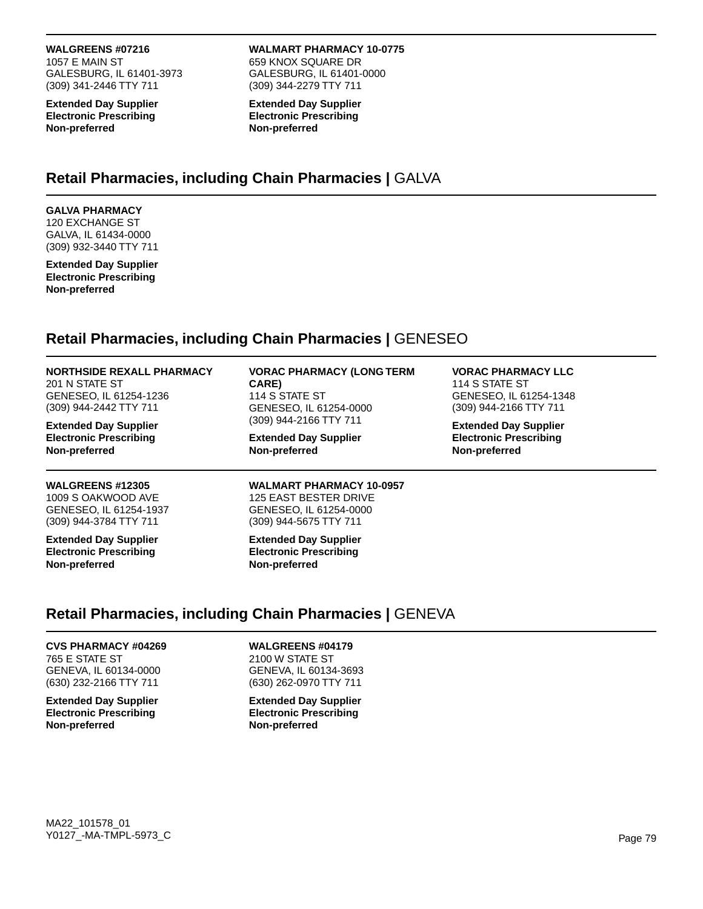#### **WALGREENS #07216**

1057 E MAIN ST GALESBURG, IL 61401-3973 (309) 341-2446 TTY 711

**Extended Day Supplier Electronic Prescribing Non-preferred**

#### **WALMART PHARMACY 10-0775** 659 KNOX SQUARE DR GALESBURG, IL 61401-0000

**Extended Day Supplier Electronic Prescribing Non-preferred**

(309) 344-2279 TTY 711

### **Retail Pharmacies, including Chain Pharmacies |** GALVA

#### **GALVA PHARMACY**

120 EXCHANGE ST GALVA, IL 61434-0000 (309) 932-3440 TTY 711

**Extended Day Supplier Electronic Prescribing Non-preferred**

### **Retail Pharmacies, including Chain Pharmacies |** GENESEO

| <b>NORTHSIDE REXALL PHARMACY</b><br>201 N STATE ST<br>GENESEO, IL 61254-1236<br>(309) 944-2442 TTY 711 | <b>VORAC PHARMACY (LONG TERM</b><br>CARE)<br>114 S STATE ST<br>GENESEO, IL 61254-0000<br>(309) 944-2166 TTY 711<br><b>Extended Day Supplier</b><br>Non-preferred | <b>VORAC PHARMACY LLC</b><br>114 S STATE ST<br>GENESEO, IL 61254-1348<br>(309) 944-2166 TTY 711<br><b>Extended Day Supplier</b><br><b>Electronic Prescribing</b><br>Non-preferred |  |
|--------------------------------------------------------------------------------------------------------|------------------------------------------------------------------------------------------------------------------------------------------------------------------|-----------------------------------------------------------------------------------------------------------------------------------------------------------------------------------|--|
| <b>Extended Day Supplier</b><br><b>Electronic Prescribing</b><br>Non-preferred                         |                                                                                                                                                                  |                                                                                                                                                                                   |  |
| <b>WALGREENS #12305</b><br>1009 S OAKWOOD AVE<br>GENESEO, IL 61254-1937<br>(309) 944-3784 TTY 711      | <b>WALMART PHARMACY 10-0957</b><br><b>125 EAST BESTER DRIVE</b><br>GENESEO, IL 61254-0000<br>(309) 944-5675 TTY 711                                              |                                                                                                                                                                                   |  |
| <b>Extended Day Supplier</b><br><b>Electronic Prescribing</b><br>Non-preferred                         | <b>Extended Day Supplier</b><br><b>Electronic Prescribing</b><br>Non-preferred                                                                                   |                                                                                                                                                                                   |  |

### **Retail Pharmacies, including Chain Pharmacies |** GENEVA

#### **CVS PHARMACY #04269** 765 E STATE ST GENEVA, IL 60134-0000 (630) 232-2166 TTY 711

**Extended Day Supplier Electronic Prescribing Non-preferred**

**WALGREENS #04179** 2100 W STATE ST

GENEVA, IL 60134-3693 (630) 262-0970 TTY 711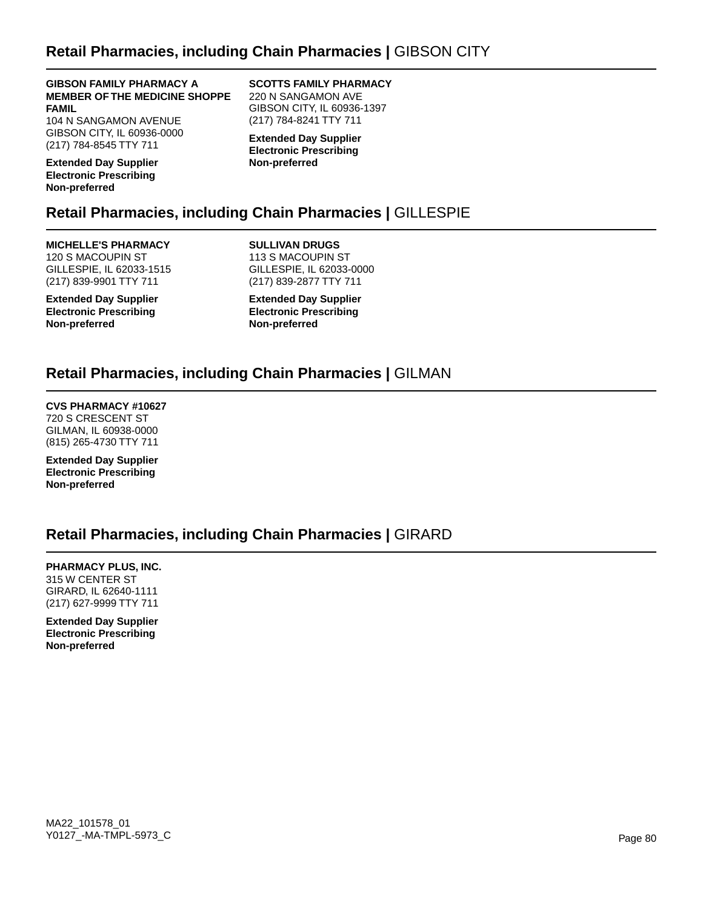### **Retail Pharmacies, including Chain Pharmacies |** GIBSON CITY

**GIBSON FAMILY PHARMACY A MEMBER OF THE MEDICINE SHOPPE FAMIL**

104 N SANGAMON AVENUE GIBSON CITY, IL 60936-0000 (217) 784-8545 TTY 711

**Extended Day Supplier Electronic Prescribing Non-preferred**

#### **SCOTTS FAMILY PHARMACY** 220 N SANGAMON AVE GIBSON CITY, IL 60936-1397 (217) 784-8241 TTY 711

**Extended Day Supplier Electronic Prescribing Non-preferred**

# **Retail Pharmacies, including Chain Pharmacies |** GILLESPIE

#### **MICHELLE'S PHARMACY** 120 S MACOUPIN ST GILLESPIE, IL 62033-1515 (217) 839-9901 TTY 711

**Extended Day Supplier Electronic Prescribing Non-preferred**

**SULLIVAN DRUGS** 113 S MACOUPIN ST GILLESPIE, IL 62033-0000 (217) 839-2877 TTY 711

**Extended Day Supplier Electronic Prescribing Non-preferred**

### **Retail Pharmacies, including Chain Pharmacies |** GILMAN

### **CVS PHARMACY #10627**

720 S CRESCENT ST GILMAN, IL 60938-0000 (815) 265-4730 TTY 711

**Extended Day Supplier Electronic Prescribing Non-preferred**

### **Retail Pharmacies, including Chain Pharmacies |** GIRARD

**PHARMACY PLUS, INC.** 315 W CENTER ST GIRARD, IL 62640-1111 (217) 627-9999 TTY 711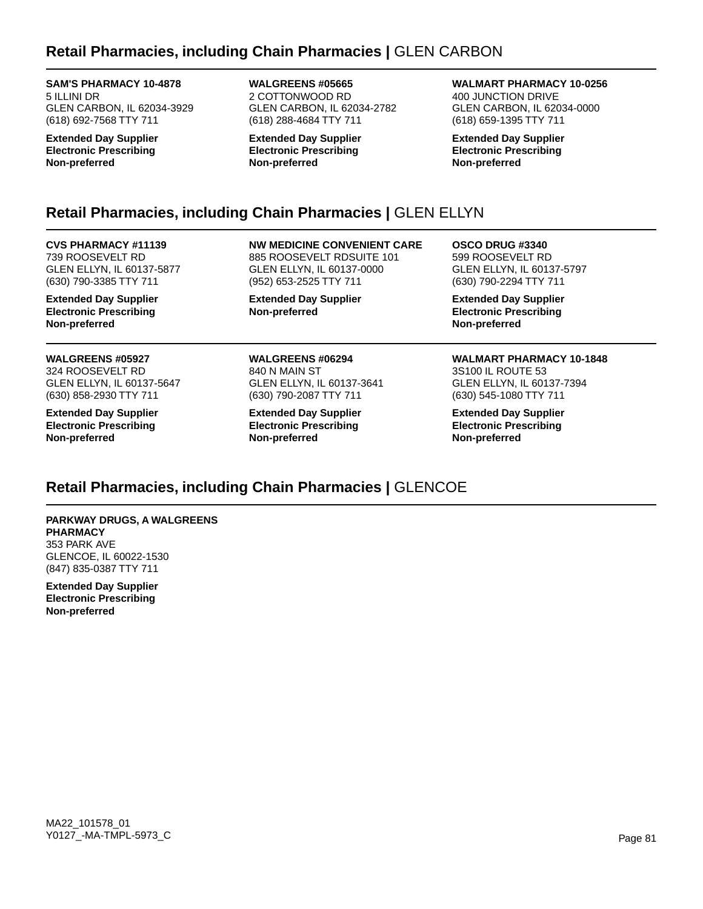## **Retail Pharmacies, including Chain Pharmacies |** GLEN CARBON

**SAM'S PHARMACY 10-4878** 5 ILLINI DR GLEN CARBON, IL 62034-3929 (618) 692-7568 TTY 711

**Extended Day Supplier Electronic Prescribing Non-preferred**

**WALGREENS #05665** 2 COTTONWOOD RD GLEN CARBON, IL 62034-2782 (618) 288-4684 TTY 711

**Extended Day Supplier Electronic Prescribing Non-preferred**

**WALMART PHARMACY 10-0256** 400 JUNCTION DRIVE

GLEN CARBON, IL 62034-0000 (618) 659-1395 TTY 711

**Extended Day Supplier Electronic Prescribing Non-preferred**

# **Retail Pharmacies, including Chain Pharmacies |** GLEN ELLYN

**CVS PHARMACY #11139** 739 ROOSEVELT RD GLEN ELLYN, IL 60137-5877 (630) 790-3385 TTY 711

**Extended Day Supplier Electronic Prescribing Non-preferred**

#### **WALGREENS #05927** 324 ROOSEVELT RD GLEN ELLYN, IL 60137-5647 (630) 858-2930 TTY 711

**Extended Day Supplier Electronic Prescribing Non-preferred**

**NW MEDICINE CONVENIENT CARE** 885 ROOSEVELT RDSUITE 101 GLEN ELLYN, IL 60137-0000 (952) 653-2525 TTY 711

**Extended Day Supplier Non-preferred**

**WALGREENS #06294** 840 N MAIN ST GLEN ELLYN, IL 60137-3641 (630) 790-2087 TTY 711

**Extended Day Supplier Electronic Prescribing Non-preferred**

**OSCO DRUG #3340** 599 ROOSEVELT RD GLEN ELLYN, IL 60137-5797 (630) 790-2294 TTY 711

**Extended Day Supplier Electronic Prescribing Non-preferred**

**WALMART PHARMACY 10-1848** 3S100 IL ROUTE 53 GLEN ELLYN, IL 60137-7394 (630) 545-1080 TTY 711

**Extended Day Supplier Electronic Prescribing Non-preferred**

# **Retail Pharmacies, including Chain Pharmacies |** GLENCOE

**PARKWAY DRUGS, A WALGREENS PHARMACY** 353 PARK AVE GLENCOE, IL 60022-1530 (847) 835-0387 TTY 711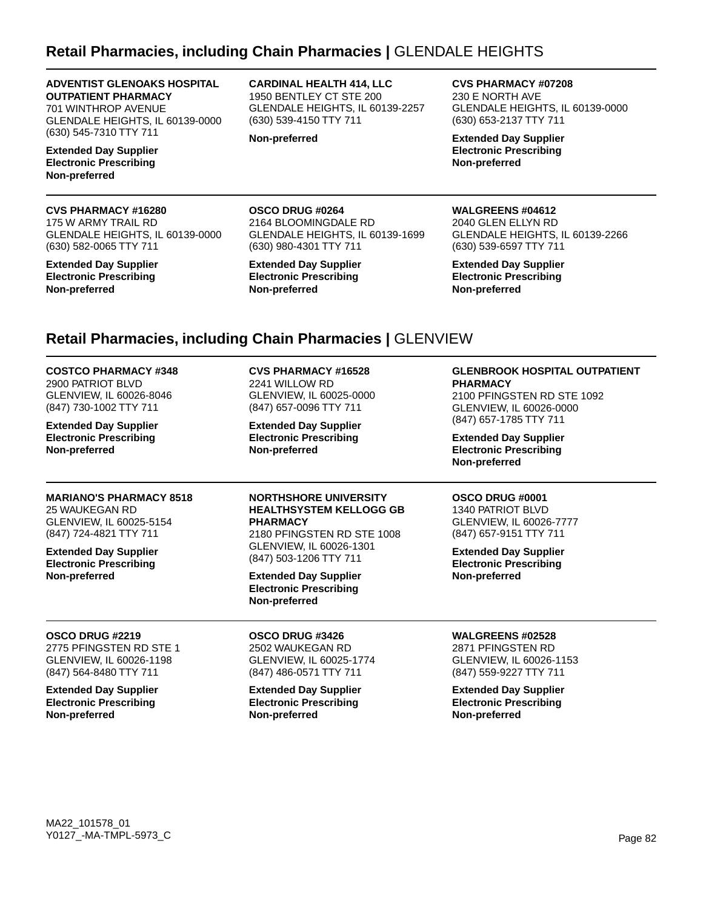### **Retail Pharmacies, including Chain Pharmacies |** GLENDALE HEIGHTS

#### **ADVENTIST GLENOAKS HOSPITAL OUTPATIENT PHARMACY**

701 WINTHROP AVENUE GLENDALE HEIGHTS, IL 60139-0000 (630) 545-7310 TTY 711

**Extended Day Supplier Electronic Prescribing Non-preferred**

#### **CVS PHARMACY #16280**

175 W ARMY TRAIL RD GLENDALE HEIGHTS, IL 60139-0000 (630) 582-0065 TTY 711

#### **Extended Day Supplier Electronic Prescribing Non-preferred**

**CARDINAL HEALTH 414, LLC** 1950 BENTLEY CT STE 200 GLENDALE HEIGHTS, IL 60139-2257 (630) 539-4150 TTY 711

GLENDALE HEIGHTS, IL 60139-1699

**Non-preferred**

**OSCO DRUG #0264** 2164 BLOOMINGDALE RD

**Non-preferred**

(630) 980-4301 TTY 711 **Extended Day Supplier Electronic Prescribing**

**CVS PHARMACY #07208** 230 E NORTH AVE GLENDALE HEIGHTS, IL 60139-0000 (630) 653-2137 TTY 711

**Extended Day Supplier Electronic Prescribing Non-preferred**

#### **WALGREENS #04612**

2040 GLEN ELLYN RD GLENDALE HEIGHTS, IL 60139-2266 (630) 539-6597 TTY 711

**Extended Day Supplier Electronic Prescribing Non-preferred**

### **Retail Pharmacies, including Chain Pharmacies |** GLENVIEW

#### **COSTCO PHARMACY #348**

2900 PATRIOT BLVD GLENVIEW, IL 60026-8046 (847) 730-1002 TTY 711

**Extended Day Supplier Electronic Prescribing Non-preferred**

#### **MARIANO'S PHARMACY 8518**

25 WAUKEGAN RD GLENVIEW, IL 60025-5154 (847) 724-4821 TTY 711

**Extended Day Supplier Electronic Prescribing Non-preferred**

**OSCO DRUG #2219** 2775 PFINGSTEN RD STE 1 GLENVIEW, IL 60026-1198 (847) 564-8480 TTY 711 **Extended Day Supplier Electronic Prescribing**

**Non-preferred**

### **CVS PHARMACY #16528**

2241 WILLOW RD GLENVIEW, IL 60025-0000 (847) 657-0096 TTY 711

**Extended Day Supplier Electronic Prescribing Non-preferred**

#### **NORTHSHORE UNIVERSITY HEALTHSYSTEM KELLOGG GB PHARMACY**

2180 PFINGSTEN RD STE 1008 GLENVIEW, IL 60026-1301 (847) 503-1206 TTY 711

**Extended Day Supplier Electronic Prescribing Non-preferred**

**OSCO DRUG #3426** 2502 WAUKEGAN RD GLENVIEW, IL 60025-1774 (847) 486-0571 TTY 711

**Extended Day Supplier Electronic Prescribing Non-preferred**

#### **GLENBROOK HOSPITAL OUTPATIENT PHARMACY**

2100 PFINGSTEN RD STE 1092 GLENVIEW, IL 60026-0000 (847) 657-1785 TTY 711

**Extended Day Supplier Electronic Prescribing Non-preferred**

### **OSCO DRUG #0001**

1340 PATRIOT BLVD GLENVIEW, IL 60026-7777 (847) 657-9151 TTY 711

**Extended Day Supplier Electronic Prescribing Non-preferred**

### **WALGREENS #02528**

2871 PFINGSTEN RD GLENVIEW, IL 60026-1153 (847) 559-9227 TTY 711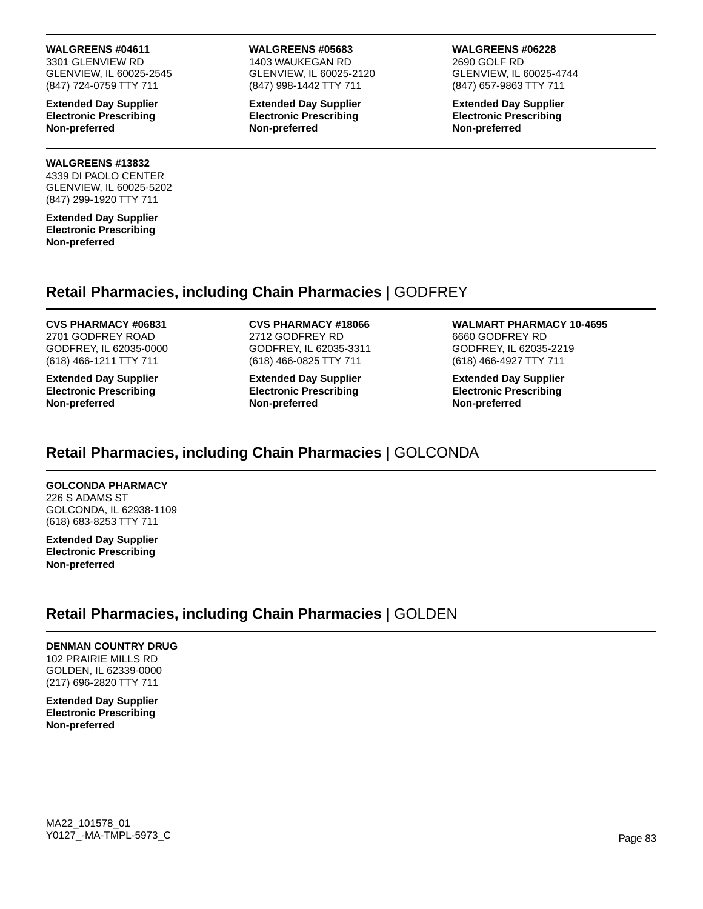#### **WALGREENS #04611**

3301 GLENVIEW RD GLENVIEW, IL 60025-2545 (847) 724-0759 TTY 711

**Extended Day Supplier Electronic Prescribing Non-preferred**

#### **WALGREENS #13832**

4339 DI PAOLO CENTER GLENVIEW, IL 60025-5202 (847) 299-1920 TTY 711

**Extended Day Supplier Electronic Prescribing Non-preferred**

#### **WALGREENS #05683** 1403 WAUKEGAN RD

GLENVIEW, IL 60025-2120 (847) 998-1442 TTY 711

**Extended Day Supplier Electronic Prescribing Non-preferred**

#### **WALGREENS #06228**

2690 GOLF RD GLENVIEW, IL 60025-4744 (847) 657-9863 TTY 711

**Extended Day Supplier Electronic Prescribing Non-preferred**

### **Retail Pharmacies, including Chain Pharmacies |** GODFREY

### **CVS PHARMACY #06831** 2701 GODFREY ROAD

GODFREY, IL 62035-0000 (618) 466-1211 TTY 711

**Extended Day Supplier Electronic Prescribing Non-preferred**

#### **CVS PHARMACY #18066** 2712 GODFREY RD GODFREY, IL 62035-3311 (618) 466-0825 TTY 711

**Extended Day Supplier Electronic Prescribing Non-preferred**

#### **WALMART PHARMACY 10-4695** 6660 GODFREY RD GODFREY, IL 62035-2219 (618) 466-4927 TTY 711

**Extended Day Supplier Electronic Prescribing Non-preferred**

# **Retail Pharmacies, including Chain Pharmacies |** GOLCONDA

### **GOLCONDA PHARMACY**

226 S ADAMS ST GOLCONDA, IL 62938-1109 (618) 683-8253 TTY 711

**Extended Day Supplier Electronic Prescribing Non-preferred**

### **Retail Pharmacies, including Chain Pharmacies |** GOLDEN

### **DENMAN COUNTRY DRUG**

102 PRAIRIE MILLS RD GOLDEN, IL 62339-0000 (217) 696-2820 TTY 711

**Extended Day Supplier Electronic Prescribing Non-preferred**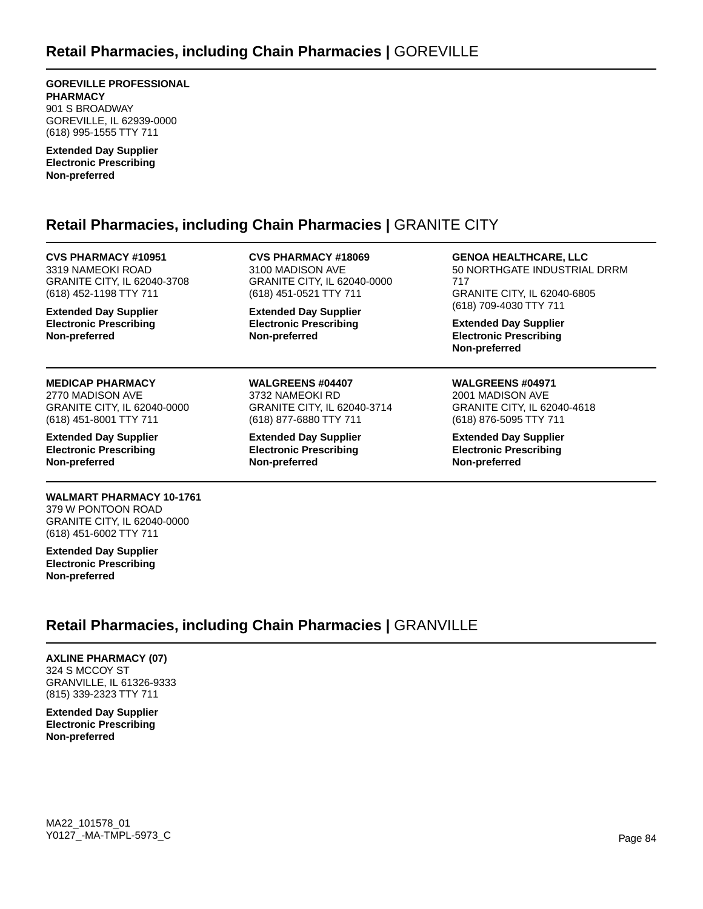**GOREVILLE PROFESSIONAL PHARMACY** 901 S BROADWAY GOREVILLE, IL 62939-0000 (618) 995-1555 TTY 711

**Extended Day Supplier Electronic Prescribing Non-preferred**

### **Retail Pharmacies, including Chain Pharmacies |** GRANITE CITY

**CVS PHARMACY #10951** 3319 NAMEOKI ROAD GRANITE CITY, IL 62040-3708 (618) 452-1198 TTY 711

**Extended Day Supplier Electronic Prescribing Non-preferred**

### **MEDICAP PHARMACY**

2770 MADISON AVE GRANITE CITY, IL 62040-0000 (618) 451-8001 TTY 711

**Extended Day Supplier Electronic Prescribing Non-preferred**

#### **WALMART PHARMACY 10-1761** 379 W PONTOON ROAD

GRANITE CITY, IL 62040-0000 (618) 451-6002 TTY 711

**Extended Day Supplier Electronic Prescribing Non-preferred**

#### **CVS PHARMACY #18069** 3100 MADISON AVE GRANITE CITY, IL 62040-0000 (618) 451-0521 TTY 711

**Extended Day Supplier Electronic Prescribing Non-preferred**

**WALGREENS #04407** 3732 NAMEOKI RD

**Non-preferred**

GRANITE CITY, IL 62040-3714 (618) 877-6880 TTY 711 **Extended Day Supplier Electronic Prescribing**

### **GENOA HEALTHCARE, LLC**

50 NORTHGATE INDUSTRIAL DRRM 717 GRANITE CITY, IL 62040-6805 (618) 709-4030 TTY 711

**Extended Day Supplier Electronic Prescribing Non-preferred**

### **WALGREENS #04971**

2001 MADISON AVE GRANITE CITY, IL 62040-4618 (618) 876-5095 TTY 711

**Extended Day Supplier Electronic Prescribing Non-preferred**

**Retail Pharmacies, including Chain Pharmacies |** GRANVILLE

**AXLINE PHARMACY (07)** 324 S MCCOY ST GRANVILLE, IL 61326-9333 (815) 339-2323 TTY 711

**Extended Day Supplier Electronic Prescribing Non-preferred**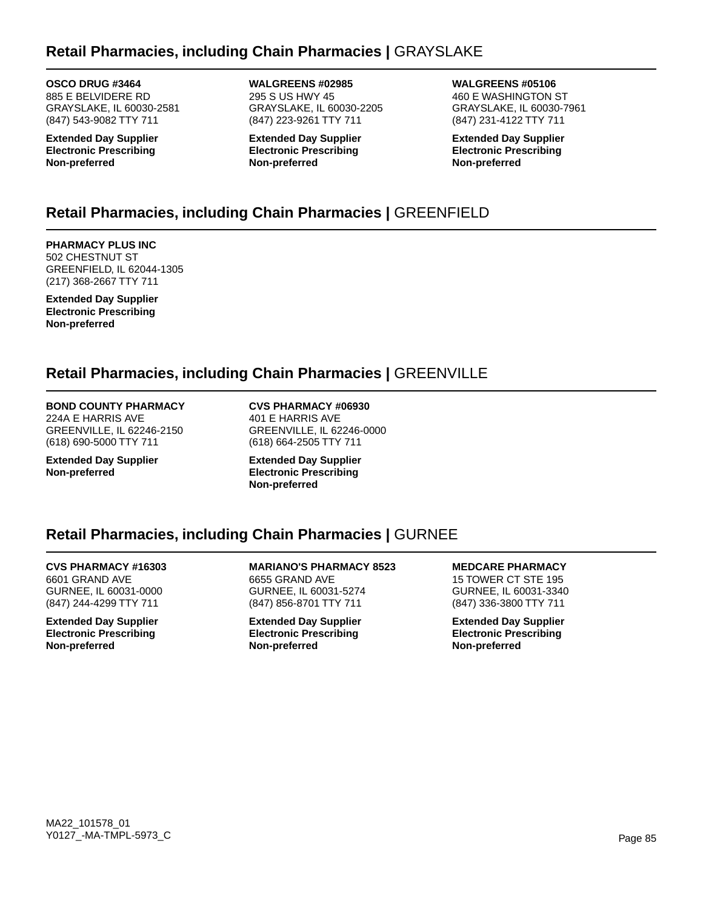### **Retail Pharmacies, including Chain Pharmacies |** GRAYSLAKE

**OSCO DRUG #3464** 885 E BELVIDERE RD GRAYSLAKE, IL 60030-2581 (847) 543-9082 TTY 711

**Extended Day Supplier Electronic Prescribing Non-preferred**

**WALGREENS #02985** 295 S US HWY 45 GRAYSLAKE, IL 60030-2205 (847) 223-9261 TTY 711

**Extended Day Supplier Electronic Prescribing Non-preferred**

**WALGREENS #05106** 460 E WASHINGTON ST GRAYSLAKE, IL 60030-7961 (847) 231-4122 TTY 711

**Extended Day Supplier Electronic Prescribing Non-preferred**

# **Retail Pharmacies, including Chain Pharmacies |** GREENFIELD

**PHARMACY PLUS INC** 502 CHESTNUT ST GREENFIELD, IL 62044-1305 (217) 368-2667 TTY 711

**Extended Day Supplier Electronic Prescribing Non-preferred**

### **Retail Pharmacies, including Chain Pharmacies |** GREENVILLE

### **BOND COUNTY PHARMACY**

224A E HARRIS AVE GREENVILLE, IL 62246-2150 (618) 690-5000 TTY 711

**Extended Day Supplier Non-preferred**

**CVS PHARMACY #06930** 401 E HARRIS AVE GREENVILLE, IL 62246-0000 (618) 664-2505 TTY 711

**Extended Day Supplier Electronic Prescribing Non-preferred**

### **Retail Pharmacies, including Chain Pharmacies |** GURNEE

**CVS PHARMACY #16303** 6601 GRAND AVE GURNEE, IL 60031-0000 (847) 244-4299 TTY 711

**Extended Day Supplier Electronic Prescribing Non-preferred**

**MARIANO'S PHARMACY 8523** 6655 GRAND AVE GURNEE, IL 60031-5274 (847) 856-8701 TTY 711

**Extended Day Supplier Electronic Prescribing Non-preferred**

**MEDCARE PHARMACY** 15 TOWER CT STE 195 GURNEE, IL 60031-3340 (847) 336-3800 TTY 711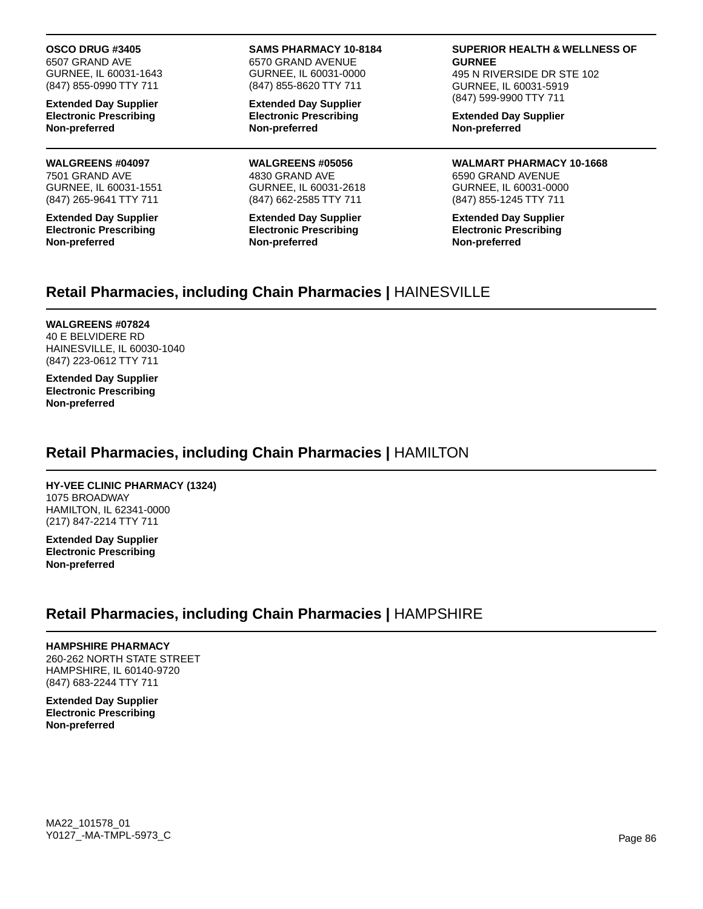#### **OSCO DRUG #3405**

6507 GRAND AVE GURNEE, IL 60031-1643 (847) 855-0990 TTY 711

**Extended Day Supplier Electronic Prescribing Non-preferred**

#### **WALGREENS #04097** 7501 GRAND AVE

GURNEE, IL 60031-1551 (847) 265-9641 TTY 711

**Extended Day Supplier Electronic Prescribing Non-preferred**

#### **SAMS PHARMACY 10-8184** 6570 GRAND AVENUE

GURNEE, IL 60031-0000 (847) 855-8620 TTY 711

**Extended Day Supplier Electronic Prescribing Non-preferred**

**WALGREENS #05056** 4830 GRAND AVE GURNEE, IL 60031-2618 (847) 662-2585 TTY 711

**Extended Day Supplier Electronic Prescribing Non-preferred**

#### **SUPERIOR HEALTH & WELLNESS OF GURNEE**

495 N RIVERSIDE DR STE 102 GURNEE, IL 60031-5919 (847) 599-9900 TTY 711

**Extended Day Supplier Non-preferred**

**WALMART PHARMACY 10-1668** 6590 GRAND AVENUE GURNEE, IL 60031-0000 (847) 855-1245 TTY 711

**Extended Day Supplier Electronic Prescribing Non-preferred**

### **Retail Pharmacies, including Chain Pharmacies |** HAINESVILLE

#### **WALGREENS #07824**

40 E BELVIDERE RD HAINESVILLE, IL 60030-1040 (847) 223-0612 TTY 711

**Extended Day Supplier Electronic Prescribing Non-preferred**

### **Retail Pharmacies, including Chain Pharmacies |** HAMILTON

### **HY-VEE CLINIC PHARMACY (1324)**

1075 BROADWAY HAMILTON, IL 62341-0000 (217) 847-2214 TTY 711

**Extended Day Supplier Electronic Prescribing Non-preferred**

### **Retail Pharmacies, including Chain Pharmacies |** HAMPSHIRE

### **HAMPSHIRE PHARMACY**

260-262 NORTH STATE STREET HAMPSHIRE, IL 60140-9720 (847) 683-2244 TTY 711

**Extended Day Supplier Electronic Prescribing Non-preferred**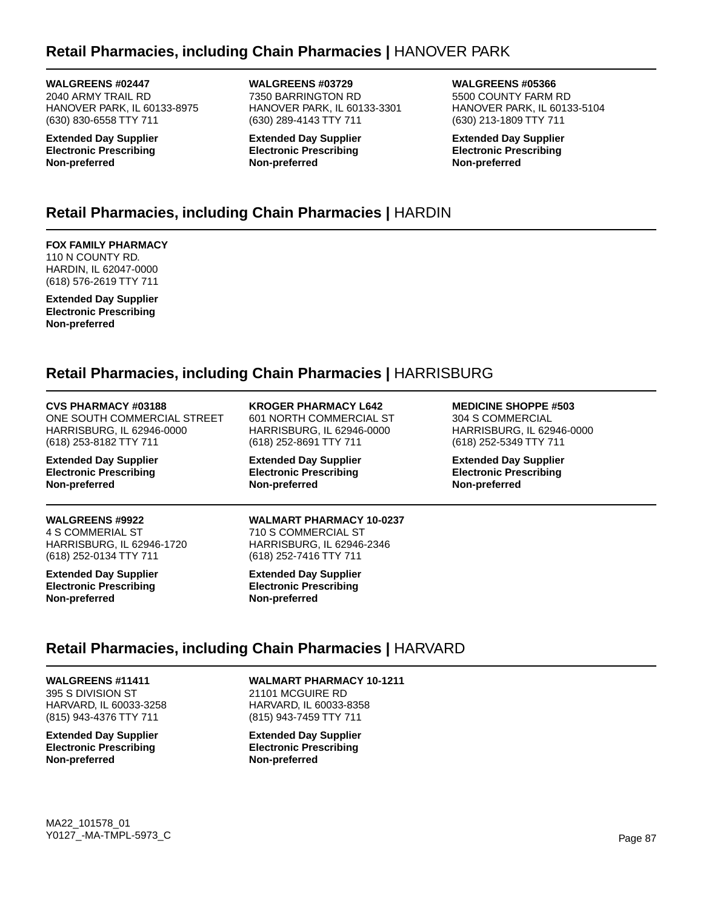## **Retail Pharmacies, including Chain Pharmacies |** HANOVER PARK

**WALGREENS #02447** 2040 ARMY TRAIL RD HANOVER PARK, IL 60133-8975 (630) 830-6558 TTY 711

**Extended Day Supplier Electronic Prescribing Non-preferred**

**WALGREENS #03729** 7350 BARRINGTON RD HANOVER PARK, IL 60133-3301 (630) 289-4143 TTY 711

**Extended Day Supplier Electronic Prescribing Non-preferred**

**WALGREENS #05366** 5500 COUNTY FARM RD HANOVER PARK, IL 60133-5104 (630) 213-1809 TTY 711

**Extended Day Supplier Electronic Prescribing Non-preferred**

# **Retail Pharmacies, including Chain Pharmacies |** HARDIN

**FOX FAMILY PHARMACY** 110 N COUNTY RD. HARDIN, IL 62047-0000 (618) 576-2619 TTY 711

**Extended Day Supplier Electronic Prescribing Non-preferred**

# **Retail Pharmacies, including Chain Pharmacies |** HARRISBURG

**CVS PHARMACY #03188** ONE SOUTH COMMERCIAL STREET HARRISBURG, IL 62946-0000 (618) 253-8182 TTY 711

**Extended Day Supplier Electronic Prescribing Non-preferred**

**WALGREENS #9922** 4 S COMMERIAL ST

HARRISBURG, IL 62946-1720 (618) 252-0134 TTY 711

**Extended Day Supplier Electronic Prescribing Non-preferred**

**KROGER PHARMACY L642**

601 NORTH COMMERCIAL ST HARRISBURG, IL 62946-0000 (618) 252-8691 TTY 711

**Extended Day Supplier Electronic Prescribing Non-preferred**

### **MEDICINE SHOPPE #503**

304 S COMMERCIAL HARRISBURG, IL 62946-0000 (618) 252-5349 TTY 711

**Extended Day Supplier Electronic Prescribing Non-preferred**

**WALMART PHARMACY 10-0237** 710 S COMMERCIAL ST HARRISBURG, IL 62946-2346 (618) 252-7416 TTY 711

**Extended Day Supplier Electronic Prescribing Non-preferred**

# **Retail Pharmacies, including Chain Pharmacies |** HARVARD

**WALGREENS #11411** 395 S DIVISION ST HARVARD, IL 60033-3258 (815) 943-4376 TTY 711

**Extended Day Supplier Electronic Prescribing Non-preferred**

**WALMART PHARMACY 10-1211** 21101 MCGUIRE RD HARVARD, IL 60033-8358 (815) 943-7459 TTY 711

**Extended Day Supplier Electronic Prescribing Non-preferred**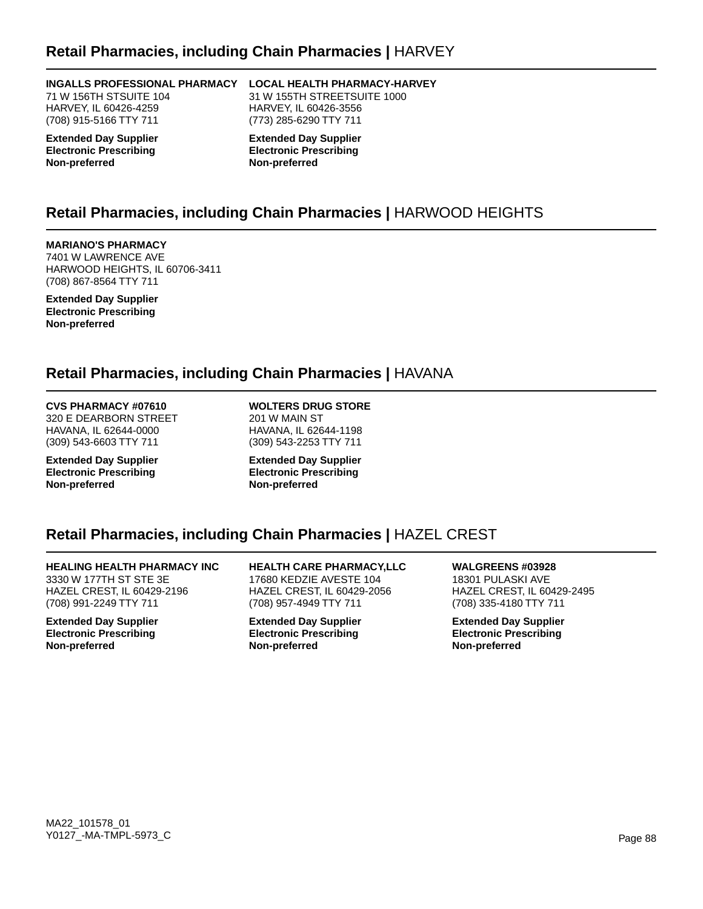### **Retail Pharmacies, including Chain Pharmacies |** HARVEY

#### **INGALLS PROFESSIONAL PHARMACY**

71 W 156TH STSUITE 104 HARVEY, IL 60426-4259 (708) 915-5166 TTY 711

**Extended Day Supplier Electronic Prescribing Non-preferred**

### **LOCAL HEALTH PHARMACY-HARVEY**

31 W 155TH STREETSUITE 1000 HARVEY, IL 60426-3556 (773) 285-6290 TTY 711

**Extended Day Supplier Electronic Prescribing Non-preferred**

### **Retail Pharmacies, including Chain Pharmacies |** HARWOOD HEIGHTS

**MARIANO'S PHARMACY**

7401 W LAWRENCE AVE HARWOOD HEIGHTS, IL 60706-3411 (708) 867-8564 TTY 711

**Extended Day Supplier Electronic Prescribing Non-preferred**

### **Retail Pharmacies, including Chain Pharmacies |** HAVANA

#### **CVS PHARMACY #07610**

320 E DEARBORN STREET HAVANA, IL 62644-0000 (309) 543-6603 TTY 711

**Extended Day Supplier Electronic Prescribing Non-preferred**

**WOLTERS DRUG STORE** 201 W MAIN ST HAVANA, IL 62644-1198 (309) 543-2253 TTY 711

**Extended Day Supplier Electronic Prescribing Non-preferred**

### **Retail Pharmacies, including Chain Pharmacies |** HAZEL CREST

**HEALING HEALTH PHARMACY INC** 3330 W 177TH ST STE 3E HAZEL CREST, IL 60429-2196 (708) 991-2249 TTY 711

**Extended Day Supplier Electronic Prescribing Non-preferred**

**HEALTH CARE PHARMACY,LLC** 17680 KEDZIE AVESTE 104 HAZEL CREST, IL 60429-2056 (708) 957-4949 TTY 711

**Extended Day Supplier Electronic Prescribing Non-preferred**

**WALGREENS #03928** 18301 PULASKI AVE HAZEL CREST, IL 60429-2495 (708) 335-4180 TTY 711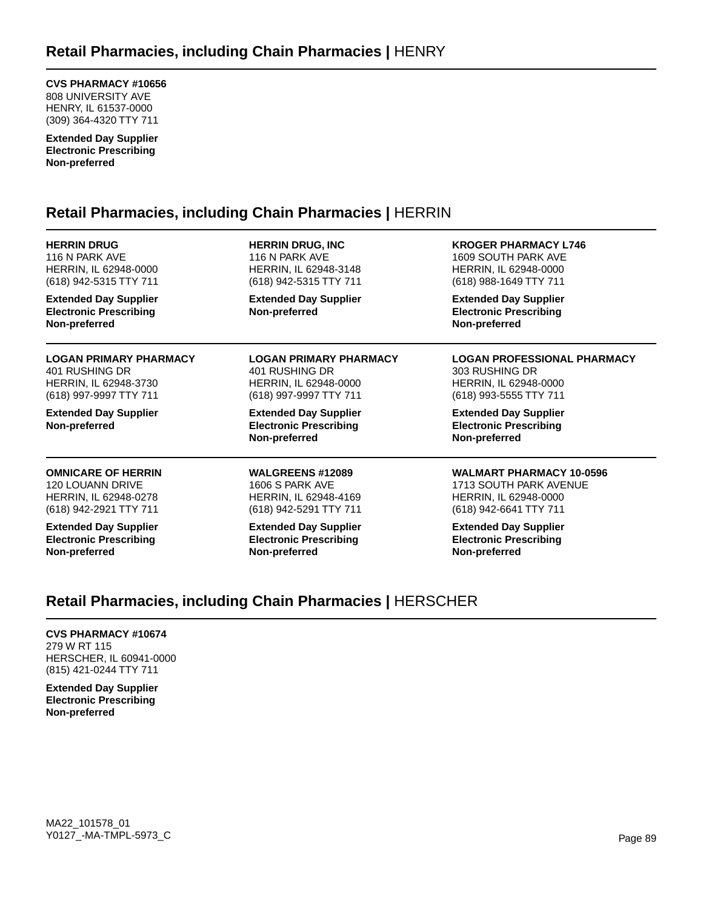**CVS PHARMACY #10656** 808 UNIVERSITY AVE HENRY, IL 61537-0000 (309) 364-4320 TTY 711

**Extended Day Supplier Electronic Prescribing Non-preferred**

### **Retail Pharmacies, including Chain Pharmacies |** HERRIN

| <b>HERRIN DRUG</b>                                                             | <b>HERRIN DRUG, INC.</b>                                                       | <b>KROGER PHARMACY L746</b>                                                    |
|--------------------------------------------------------------------------------|--------------------------------------------------------------------------------|--------------------------------------------------------------------------------|
| 116 N PARK AVE                                                                 | 116 N PARK AVE                                                                 | 1609 SOUTH PARK AVE                                                            |
| HERRIN, IL 62948-0000                                                          | HERRIN, IL 62948-3148                                                          | HERRIN, IL 62948-0000                                                          |
| (618) 942-5315 TTY 711                                                         | (618) 942-5315 TTY 711                                                         | (618) 988-1649 TTY 711                                                         |
| <b>Extended Day Supplier</b><br><b>Electronic Prescribing</b><br>Non-preferred | <b>Extended Day Supplier</b><br>Non-preferred                                  | <b>Extended Day Supplier</b><br><b>Electronic Prescribing</b><br>Non-preferred |
| <b>LOGAN PRIMARY PHARMACY</b>                                                  | <b>LOGAN PRIMARY PHARMACY</b>                                                  | <b>LOGAN PROFESSIONAL PHARMACY</b>                                             |
| 401 RUSHING DR                                                                 | 401 RUSHING DR                                                                 | 303 RUSHING DR                                                                 |
| HERRIN, IL 62948-3730                                                          | HERRIN, IL 62948-0000                                                          | HERRIN, IL 62948-0000                                                          |
| (618) 997-9997 TTY 711                                                         | (618) 997-9997 TTY 711                                                         | (618) 993-5555 TTY 711                                                         |
| <b>Extended Day Supplier</b><br>Non-preferred                                  | <b>Extended Day Supplier</b><br><b>Electronic Prescribing</b><br>Non-preferred | <b>Extended Day Supplier</b><br><b>Electronic Prescribing</b><br>Non-preferred |
| <b>OMNICARE OF HERRIN</b>                                                      | <b>WALGREENS #12089</b>                                                        | <b>WALMART PHARMACY 10-0596</b>                                                |
| 120 LOUANN DRIVE                                                               | 1606 S PARK AVE                                                                | 1713 SOUTH PARK AVENUE                                                         |
| HERRIN, IL 62948-0278                                                          | HERRIN, IL 62948-4169                                                          | HERRIN, IL 62948-0000                                                          |
| (618) 942-2921 TTY 711                                                         | (618) 942-5291 TTY 711                                                         | (618) 942-6641 TTY 711                                                         |
| <b>Extended Day Supplier</b>                                                   | <b>Extended Day Supplier</b>                                                   | <b>Extended Day Supplier</b>                                                   |
| <b>Electronic Prescribing</b>                                                  | <b>Electronic Prescribing</b>                                                  | <b>Electronic Prescribing</b>                                                  |
| Non-preferred                                                                  | Non-preferred                                                                  | Non-preferred                                                                  |

### **Retail Pharmacies, including Chain Pharmacies |** HERSCHER

### **CVS PHARMACY #10674**

279 W RT 115 HERSCHER, IL 60941-0000 (815) 421-0244 TTY 711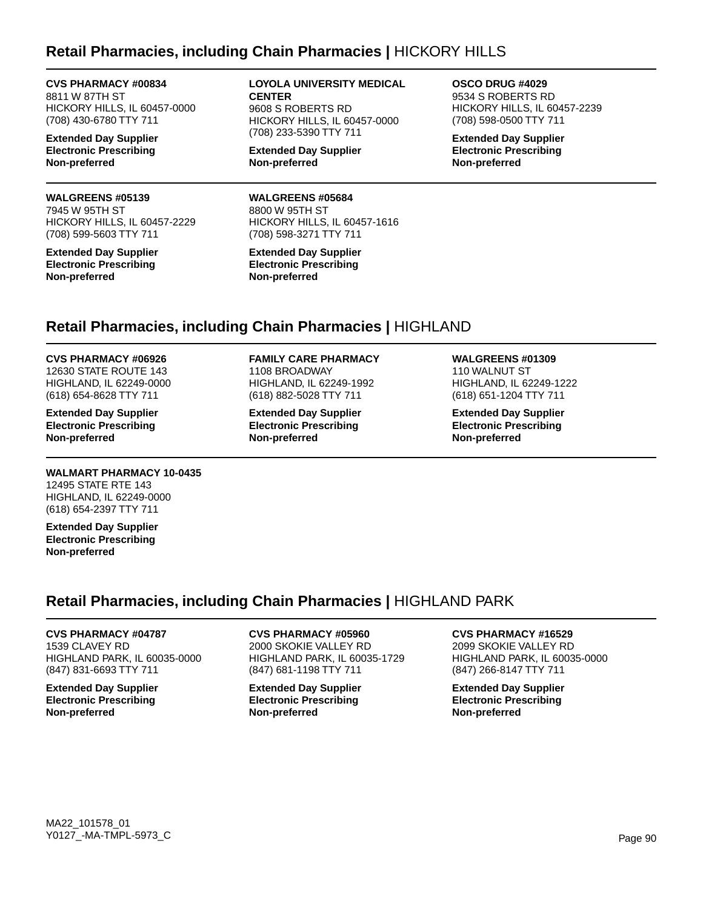### **Retail Pharmacies, including Chain Pharmacies |** HICKORY HILLS

**CVS PHARMACY #00834** 8811 W 87TH ST HICKORY HILLS, IL 60457-0000 (708) 430-6780 TTY 711

**Extended Day Supplier Electronic Prescribing Non-preferred**

### **WALGREENS #05139**

7945 W 95TH ST HICKORY HILLS, IL 60457-2229 (708) 599-5603 TTY 711

**Extended Day Supplier Electronic Prescribing Non-preferred**

#### **LOYOLA UNIVERSITY MEDICAL CENTER** 9608 S ROBERTS RD

HICKORY HILLS, IL 60457-0000 (708) 233-5390 TTY 711

**Extended Day Supplier Non-preferred**

**WALGREENS #05684** 8800 W 95TH ST HICKORY HILLS, IL 60457-1616 (708) 598-3271 TTY 711

**Extended Day Supplier Electronic Prescribing Non-preferred**

**OSCO DRUG #4029** 9534 S ROBERTS RD HICKORY HILLS, IL 60457-2239 (708) 598-0500 TTY 711

**Extended Day Supplier Electronic Prescribing Non-preferred**

### **Retail Pharmacies, including Chain Pharmacies |** HIGHLAND

**CVS PHARMACY #06926** 12630 STATE ROUTE 143 HIGHLAND, IL 62249-0000 (618) 654-8628 TTY 711

**Extended Day Supplier Electronic Prescribing Non-preferred**

### **WALMART PHARMACY 10-0435**

12495 STATE RTE 143 HIGHLAND, IL 62249-0000 (618) 654-2397 TTY 711

**Extended Day Supplier Electronic Prescribing Non-preferred**

#### **FAMILY CARE PHARMACY** 1108 BROADWAY HIGHLAND, IL 62249-1992

**Extended Day Supplier Electronic Prescribing Non-preferred**

(618) 882-5028 TTY 711

**WALGREENS #01309** 110 WALNUT ST HIGHLAND, IL 62249-1222 (618) 651-1204 TTY 711

**Extended Day Supplier Electronic Prescribing Non-preferred**

### **Retail Pharmacies, including Chain Pharmacies |** HIGHLAND PARK

### **CVS PHARMACY #04787**

1539 CLAVEY RD HIGHLAND PARK, IL 60035-0000 (847) 831-6693 TTY 711

**Extended Day Supplier Electronic Prescribing Non-preferred**

### **CVS PHARMACY #05960**

2000 SKOKIE VALLEY RD HIGHLAND PARK, IL 60035-1729 (847) 681-1198 TTY 711

**Extended Day Supplier Electronic Prescribing Non-preferred**

#### **CVS PHARMACY #16529**

2099 SKOKIE VALLEY RD HIGHLAND PARK, IL 60035-0000 (847) 266-8147 TTY 711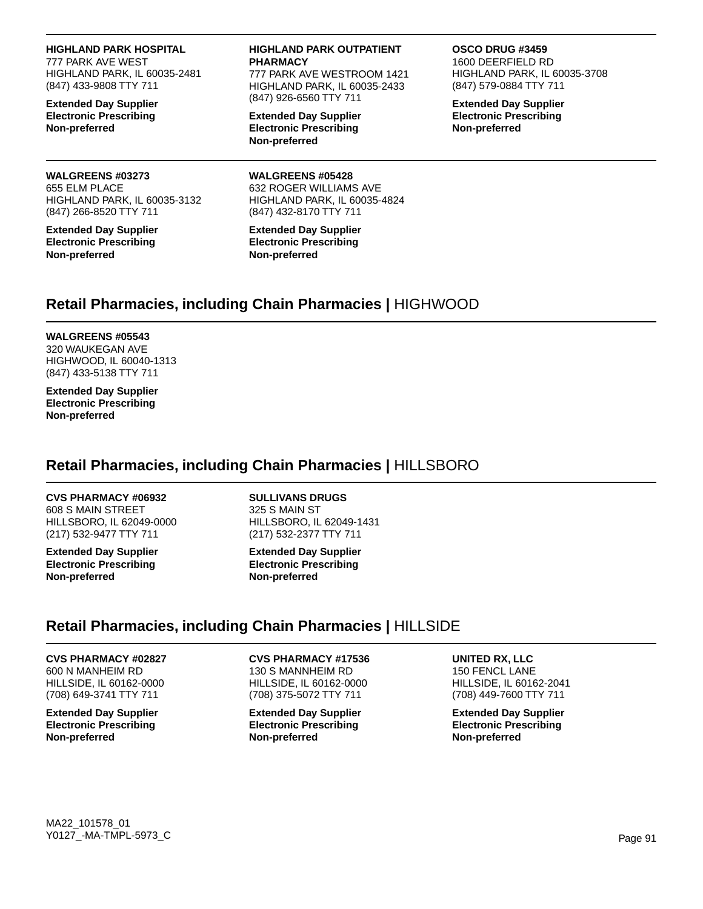#### **HIGHLAND PARK HOSPITAL**

777 PARK AVE WEST HIGHLAND PARK, IL 60035-2481 (847) 433-9808 TTY 711

**Extended Day Supplier Electronic Prescribing Non-preferred**

#### **WALGREENS #03273**

655 ELM PLACE HIGHLAND PARK, IL 60035-3132 (847) 266-8520 TTY 711

**Extended Day Supplier Electronic Prescribing Non-preferred**

#### **HIGHLAND PARK OUTPATIENT PHARMACY**

777 PARK AVE WESTROOM 1421 HIGHLAND PARK, IL 60035-2433 (847) 926-6560 TTY 711

**Extended Day Supplier Electronic Prescribing Non-preferred**

**WALGREENS #05428**

#### **OSCO DRUG #3459**

1600 DEERFIELD RD HIGHLAND PARK, IL 60035-3708 (847) 579-0884 TTY 711

**Extended Day Supplier Electronic Prescribing Non-preferred**

#### 632 ROGER WILLIAMS AVE HIGHLAND PARK, IL 60035-4824

(847) 432-8170 TTY 711

#### **Extended Day Supplier Electronic Prescribing Non-preferred**

### **Retail Pharmacies, including Chain Pharmacies |** HIGHWOOD

#### **WALGREENS #05543**

320 WAUKEGAN AVE HIGHWOOD, IL 60040-1313 (847) 433-5138 TTY 711

**Extended Day Supplier Electronic Prescribing Non-preferred**

### **Retail Pharmacies, including Chain Pharmacies |** HILLSBORO

#### **CVS PHARMACY #06932**

608 S MAIN STREET HILLSBORO, IL 62049-0000 (217) 532-9477 TTY 711

**Extended Day Supplier Electronic Prescribing Non-preferred**

**SULLIVANS DRUGS** 325 S MAIN ST HILLSBORO, IL 62049-1431 (217) 532-2377 TTY 711

**Extended Day Supplier Electronic Prescribing Non-preferred**

### **Retail Pharmacies, including Chain Pharmacies |** HILLSIDE

### **CVS PHARMACY #02827**

600 N MANHEIM RD HILLSIDE, IL 60162-0000 (708) 649-3741 TTY 711

**Extended Day Supplier Electronic Prescribing Non-preferred**

#### **CVS PHARMACY #17536** 130 S MANNHEIM RD HILLSIDE, IL 60162-0000 (708) 375-5072 TTY 711

**Extended Day Supplier Electronic Prescribing Non-preferred**

### **UNITED RX, LLC**

150 FENCL LANE HILLSIDE, IL 60162-2041 (708) 449-7600 TTY 711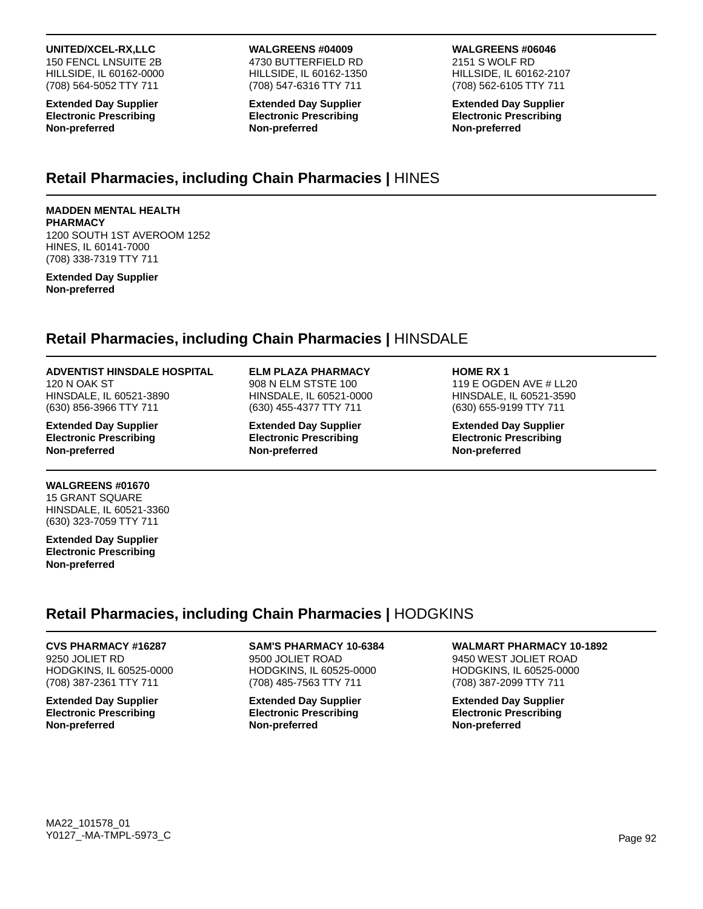### **UNITED/XCEL-RX,LLC**

150 FENCL LNSUITE 2B HILLSIDE, IL 60162-0000 (708) 564-5052 TTY 711

**Extended Day Supplier Electronic Prescribing Non-preferred**

#### **WALGREENS #04009** 4730 BUTTERFIELD RD HILLSIDE, IL 60162-1350 (708) 547-6316 TTY 711

**Extended Day Supplier Electronic Prescribing Non-preferred**

### **WALGREENS #06046**

2151 S WOLF RD HILLSIDE, IL 60162-2107 (708) 562-6105 TTY 711

**Extended Day Supplier Electronic Prescribing Non-preferred**

### **Retail Pharmacies, including Chain Pharmacies |** HINES

### **MADDEN MENTAL HEALTH**

**PHARMACY** 1200 SOUTH 1ST AVEROOM 1252 HINES, IL 60141-7000 (708) 338-7319 TTY 711

#### **Extended Day Supplier Non-preferred**

# **Retail Pharmacies, including Chain Pharmacies |** HINSDALE

### **ADVENTIST HINSDALE HOSPITAL**

120 N OAK ST HINSDALE, IL 60521-3890 (630) 856-3966 TTY 711

**Extended Day Supplier Electronic Prescribing Non-preferred**

### **WALGREENS #01670**

15 GRANT SQUARE HINSDALE, IL 60521-3360 (630) 323-7059 TTY 711

**Extended Day Supplier Electronic Prescribing Non-preferred**

### **ELM PLAZA PHARMACY**

908 N ELM STSTE 100 HINSDALE, IL 60521-0000 (630) 455-4377 TTY 711

**Extended Day Supplier Electronic Prescribing Non-preferred**

#### **HOME RX 1**

119 E OGDEN AVE # LL20 HINSDALE, IL 60521-3590 (630) 655-9199 TTY 711

**Extended Day Supplier Electronic Prescribing Non-preferred**

# **Retail Pharmacies, including Chain Pharmacies |** HODGKINS

#### **CVS PHARMACY #16287** 9250 JOLIET RD HODGKINS, IL 60525-0000 (708) 387-2361 TTY 711

**Extended Day Supplier Electronic Prescribing Non-preferred**

### **SAM'S PHARMACY 10-6384**

9500 JOLIET ROAD HODGKINS, IL 60525-0000 (708) 485-7563 TTY 711

**Extended Day Supplier Electronic Prescribing Non-preferred**

### **WALMART PHARMACY 10-1892**

9450 WEST JOLIET ROAD HODGKINS, IL 60525-0000 (708) 387-2099 TTY 711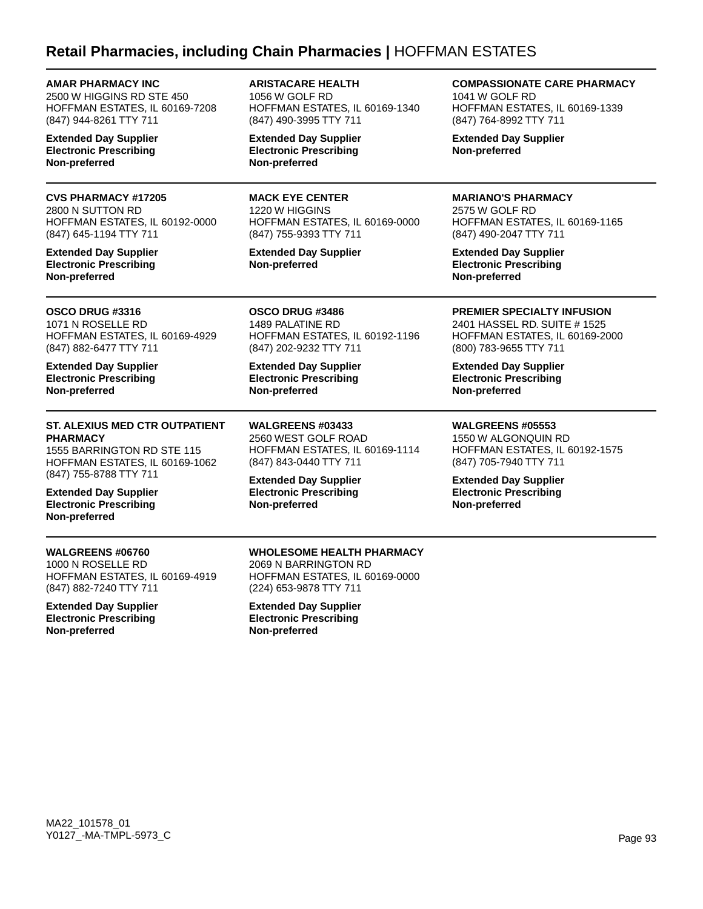### **Retail Pharmacies, including Chain Pharmacies |** HOFFMAN ESTATES

**AMAR PHARMACY INC**

2500 W HIGGINS RD STE 450 HOFFMAN ESTATES, IL 60169-7208 (847) 944-8261 TTY 711

**Extended Day Supplier Electronic Prescribing Non-preferred**

### **CVS PHARMACY #17205**

2800 N SUTTON RD HOFFMAN ESTATES, IL 60192-0000 (847) 645-1194 TTY 711

**Extended Day Supplier Electronic Prescribing Non-preferred**

**OSCO DRUG #3316** 1071 N ROSELLE RD HOFFMAN ESTATES, IL 60169-4929 (847) 882-6477 TTY 711

**Extended Day Supplier Electronic Prescribing Non-preferred**

#### **ST. ALEXIUS MED CTR OUTPATIENT PHARMACY**

1555 BARRINGTON RD STE 115 HOFFMAN ESTATES, IL 60169-1062 (847) 755-8788 TTY 711

**Extended Day Supplier Electronic Prescribing Non-preferred**

### **WALGREENS #06760**

1000 N ROSELLE RD HOFFMAN ESTATES, IL 60169-4919 (847) 882-7240 TTY 711

**Extended Day Supplier Electronic Prescribing Non-preferred**

**ARISTACARE HEALTH** 1056 W GOLF RD HOFFMAN ESTATES, IL 60169-1340 (847) 490-3995 TTY 711

**Extended Day Supplier Electronic Prescribing Non-preferred**

**MACK EYE CENTER** 1220 W HIGGINS HOFFMAN ESTATES, IL 60169-0000 (847) 755-9393 TTY 711

HOFFMAN ESTATES, IL 60192-1196

HOFFMAN ESTATES, IL 60169-1114

**Extended Day Supplier Non-preferred**

**OSCO DRUG #3486** 1489 PALATINE RD

**Non-preferred**

**Non-preferred**

(847) 202-9232 TTY 711 **Extended Day Supplier Electronic Prescribing**

**WALGREENS #03433** 2560 WEST GOLF ROAD

(847) 843-0440 TTY 711 **Extended Day Supplier Electronic Prescribing**

**COMPASSIONATE CARE PHARMACY**

1041 W GOLF RD HOFFMAN ESTATES, IL 60169-1339 (847) 764-8992 TTY 711

**Extended Day Supplier Non-preferred**

#### **MARIANO'S PHARMACY**

2575 W GOLF RD HOFFMAN ESTATES, IL 60169-1165 (847) 490-2047 TTY 711

**Extended Day Supplier Electronic Prescribing Non-preferred**

**PREMIER SPECIALTY INFUSION**

2401 HASSEL RD. SUITE # 1525 HOFFMAN ESTATES, IL 60169-2000 (800) 783-9655 TTY 711

**Extended Day Supplier Electronic Prescribing Non-preferred**

**WALGREENS #05553**

1550 W ALGONQUIN RD HOFFMAN ESTATES, IL 60192-1575 (847) 705-7940 TTY 711

**Extended Day Supplier Electronic Prescribing Non-preferred**

**WHOLESOME HEALTH PHARMACY** 2069 N BARRINGTON RD HOFFMAN ESTATES, IL 60169-0000 (224) 653-9878 TTY 711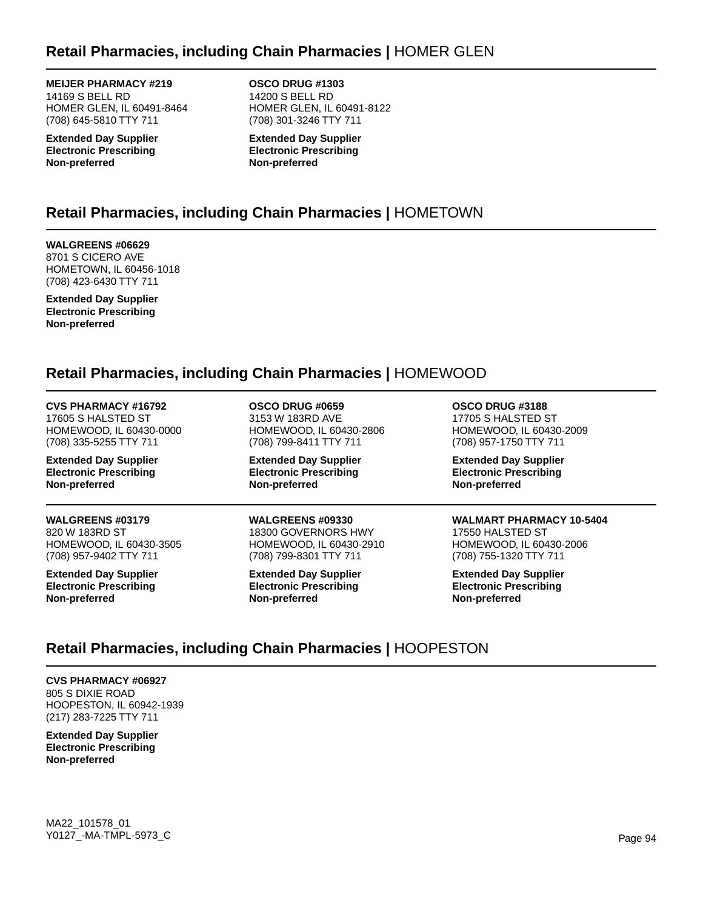### **Retail Pharmacies, including Chain Pharmacies |** HOMER GLEN

**MEIJER PHARMACY #219** 14169 S BELL RD HOMER GLEN, IL 60491-8464 (708) 645-5810 TTY 711

**Extended Day Supplier Electronic Prescribing Non-preferred**

**OSCO DRUG #1303** 14200 S BELL RD HOMER GLEN, IL 60491-8122 (708) 301-3246 TTY 711

**Extended Day Supplier Electronic Prescribing Non-preferred**

# **Retail Pharmacies, including Chain Pharmacies |** HOMETOWN

**WALGREENS #06629** 8701 S CICERO AVE HOMETOWN, IL 60456-1018 (708) 423-6430 TTY 711

**Extended Day Supplier Electronic Prescribing Non-preferred**

### **Retail Pharmacies, including Chain Pharmacies |** HOMEWOOD

### **CVS PHARMACY #16792**

17605 S HALSTED ST HOMEWOOD, IL 60430-0000 (708) 335-5255 TTY 711

**Extended Day Supplier Electronic Prescribing Non-preferred**

**WALGREENS #03179** 820 W 183RD ST HOMEWOOD, IL 60430-3505 (708) 957-9402 TTY 711

**Extended Day Supplier Electronic Prescribing Non-preferred**

**OSCO DRUG #0659** 3153 W 183RD AVE HOMEWOOD, IL 60430-2806 (708) 799-8411 TTY 711

**Extended Day Supplier Electronic Prescribing Non-preferred**

#### **WALGREENS #09330**

18300 GOVERNORS HWY HOMEWOOD, IL 60430-2910 (708) 799-8301 TTY 711

**Extended Day Supplier Electronic Prescribing Non-preferred**

**OSCO DRUG #3188** 17705 S HALSTED ST HOMEWOOD, IL 60430-2009 (708) 957-1750 TTY 711

**Extended Day Supplier Electronic Prescribing Non-preferred**

### **WALMART PHARMACY 10-5404**

17550 HALSTED ST HOMEWOOD, IL 60430-2006 (708) 755-1320 TTY 711

**Extended Day Supplier Electronic Prescribing Non-preferred**

# **Retail Pharmacies, including Chain Pharmacies |** HOOPESTON

**CVS PHARMACY #06927** 805 S DIXIE ROAD HOOPESTON, IL 60942-1939 (217) 283-7225 TTY 711

**Extended Day Supplier Electronic Prescribing Non-preferred**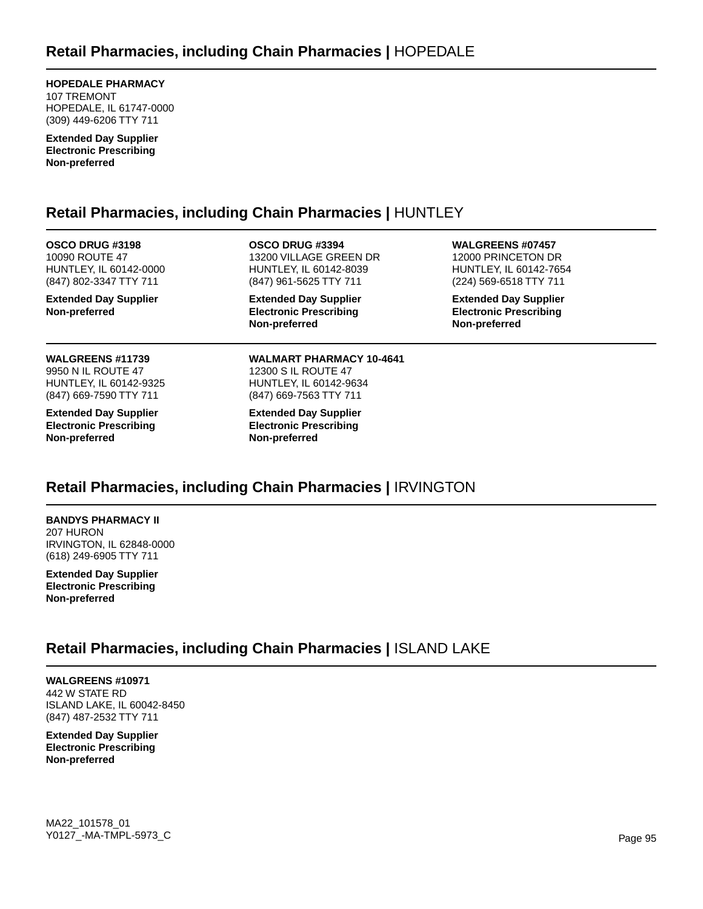**HOPEDALE PHARMACY** 107 TREMONT HOPEDALE, IL 61747-0000 (309) 449-6206 TTY 711

**Extended Day Supplier Electronic Prescribing Non-preferred**

## **Retail Pharmacies, including Chain Pharmacies |** HUNTLEY

**OSCO DRUG #3198** 10090 ROUTE 47 HUNTLEY, IL 60142-0000 (847) 802-3347 TTY 711

**Extended Day Supplier Non-preferred**

**WALGREENS #11739** 9950 N IL ROUTE 47 HUNTLEY, IL 60142-9325 (847) 669-7590 TTY 711

**Extended Day Supplier Electronic Prescribing Non-preferred**

**OSCO DRUG #3394** 13200 VILLAGE GREEN DR HUNTLEY, IL 60142-8039 (847) 961-5625 TTY 711

**Extended Day Supplier Electronic Prescribing Non-preferred**

**WALMART PHARMACY 10-4641** 12300 S IL ROUTE 47 HUNTLEY, IL 60142-9634 (847) 669-7563 TTY 711

**Extended Day Supplier Electronic Prescribing Non-preferred**

**WALGREENS #07457** 12000 PRINCETON DR HUNTLEY, IL 60142-7654 (224) 569-6518 TTY 711

**Extended Day Supplier Electronic Prescribing Non-preferred**

# **Retail Pharmacies, including Chain Pharmacies |** IRVINGTON

**BANDYS PHARMACY II** 207 HURON IRVINGTON, IL 62848-0000 (618) 249-6905 TTY 711

**Extended Day Supplier Electronic Prescribing Non-preferred**

# **Retail Pharmacies, including Chain Pharmacies |** ISLAND LAKE

**WALGREENS #10971** 442 W STATE RD ISLAND LAKE, IL 60042-8450 (847) 487-2532 TTY 711

**Extended Day Supplier Electronic Prescribing Non-preferred**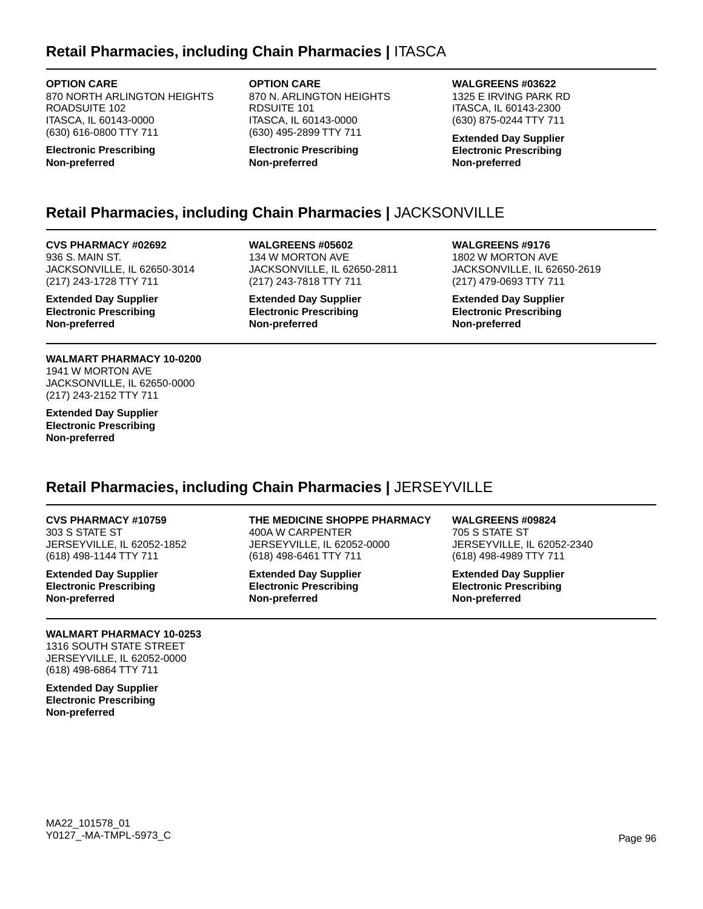### **Retail Pharmacies, including Chain Pharmacies |** ITASCA

**OPTION CARE**

870 NORTH ARLINGTON HEIGHTS ROADSUITE 102 ITASCA, IL 60143-0000 (630) 616-0800 TTY 711

**Electronic Prescribing Non-preferred**

**OPTION CARE** 870 N. ARLINGTON HEIGHTS RDSUITE 101 ITASCA, IL 60143-0000 (630) 495-2899 TTY 711

**Electronic Prescribing Non-preferred**

**WALGREENS #03622**

1325 E IRVING PARK RD ITASCA, IL 60143-2300 (630) 875-0244 TTY 711

**Extended Day Supplier Electronic Prescribing Non-preferred**

# **Retail Pharmacies, including Chain Pharmacies |** JACKSONVILLE

**CVS PHARMACY #02692** 936 S. MAIN ST. JACKSONVILLE, IL 62650-3014 (217) 243-1728 TTY 711

**Extended Day Supplier Electronic Prescribing Non-preferred**

**WALMART PHARMACY 10-0200** 1941 W MORTON AVE JACKSONVILLE, IL 62650-0000 (217) 243-2152 TTY 711

**Extended Day Supplier Electronic Prescribing Non-preferred**

**WALGREENS #05602** 134 W MORTON AVE JACKSONVILLE, IL 62650-2811 (217) 243-7818 TTY 711

**Extended Day Supplier Electronic Prescribing Non-preferred**

**WALGREENS #9176** 1802 W MORTON AVE JACKSONVILLE, IL 62650-2619 (217) 479-0693 TTY 711

**Extended Day Supplier Electronic Prescribing Non-preferred**

# **Retail Pharmacies, including Chain Pharmacies |** JERSEYVILLE

**CVS PHARMACY #10759** 303 S STATE ST JERSEYVILLE, IL 62052-1852 (618) 498-1144 TTY 711

**Extended Day Supplier Electronic Prescribing Non-preferred**

### **WALMART PHARMACY 10-0253**

1316 SOUTH STATE STREET JERSEYVILLE, IL 62052-0000 (618) 498-6864 TTY 711

**Extended Day Supplier Electronic Prescribing Non-preferred**

### **THE MEDICINE SHOPPE PHARMACY**

400A W CARPENTER JERSEYVILLE, IL 62052-0000 (618) 498-6461 TTY 711

**Extended Day Supplier Electronic Prescribing Non-preferred**

**WALGREENS #09824** 705 S STATE ST JERSEYVILLE, IL 62052-2340 (618) 498-4989 TTY 711

**Extended Day Supplier Electronic Prescribing Non-preferred**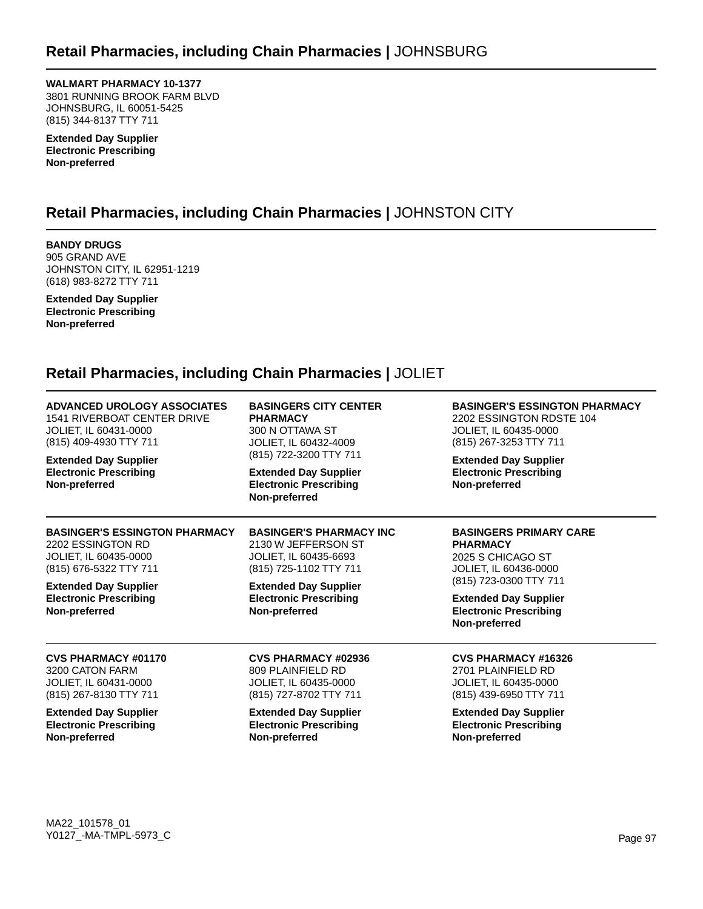**WALMART PHARMACY 10-1377** 3801 RUNNING BROOK FARM BLVD JOHNSBURG, IL 60051-5425 (815) 344-8137 TTY 711

**Extended Day Supplier Electronic Prescribing Non-preferred**

# **Retail Pharmacies, including Chain Pharmacies |** JOHNSTON CITY

**BANDY DRUGS** 905 GRAND AVE JOHNSTON CITY, IL 62951-1219 (618) 983-8272 TTY 711

**Extended Day Supplier Electronic Prescribing Non-preferred**

### **Retail Pharmacies, including Chain Pharmacies |** JOLIET

| <b>ADVANCED UROLOGY ASSOCIATES</b><br><b>1541 RIVERBOAT CENTER DRIVE</b><br>JOLIET, IL 60431-0000<br>(815) 409-4930 TTY 711<br><b>Extended Day Supplier</b><br><b>Electronic Prescribing</b><br>Non-preferred | <b>BASINGERS CITY CENTER</b><br><b>PHARMACY</b><br>300 N OTTAWA ST<br>JOLIET, IL 60432-4009<br>(815) 722-3200 TTY 711<br><b>Extended Day Supplier</b><br><b>Electronic Prescribing</b><br>Non-preferred | <b>BASINGER'S ESSINGTON PHARMACY</b><br>2202 ESSINGTON RDSTE 104<br><b>JOLIET, IL 60435-0000</b><br>(815) 267-3253 TTY 711<br><b>Extended Day Supplier</b><br><b>Electronic Prescribing</b><br>Non-preferred      |
|---------------------------------------------------------------------------------------------------------------------------------------------------------------------------------------------------------------|---------------------------------------------------------------------------------------------------------------------------------------------------------------------------------------------------------|-------------------------------------------------------------------------------------------------------------------------------------------------------------------------------------------------------------------|
| <b>BASINGER'S ESSINGTON PHARMACY</b><br>2202 ESSINGTON RD<br>JOLIET, IL 60435-0000<br>(815) 676-5322 TTY 711<br><b>Extended Day Supplier</b><br><b>Electronic Prescribing</b><br>Non-preferred                | <b>BASINGER'S PHARMACY INC</b><br>2130 W JEFFERSON ST<br>JOLIET, IL 60435-6693<br>(815) 725-1102 TTY 711<br><b>Extended Day Supplier</b><br><b>Electronic Prescribing</b><br>Non-preferred              | <b>BASINGERS PRIMARY CARE</b><br><b>PHARMACY</b><br>2025 S CHICAGO ST<br><b>JOLIET, IL 60436-0000</b><br>(815) 723-0300 TTY 711<br><b>Extended Day Supplier</b><br><b>Electronic Prescribing</b><br>Non-preferred |
| <b>CVS PHARMACY #01170</b>                                                                                                                                                                                    | <b>CVS PHARMACY #02936</b>                                                                                                                                                                              | <b>CVS PHARMACY #16326</b>                                                                                                                                                                                        |
| 3200 CATON FARM                                                                                                                                                                                               | 809 PLAINFIELD RD                                                                                                                                                                                       | 2701 PLAINFIELD RD                                                                                                                                                                                                |
| JOLIET, IL 60431-0000                                                                                                                                                                                         | <b>JOLIET, IL 60435-0000</b>                                                                                                                                                                            | <b>JOLIET, IL 60435-0000</b>                                                                                                                                                                                      |
| (815) 267-8130 TTY 711                                                                                                                                                                                        | (815) 727-8702 TTY 711                                                                                                                                                                                  | (815) 439-6950 TTY 711                                                                                                                                                                                            |
| <b>Extended Day Supplier</b>                                                                                                                                                                                  | <b>Extended Day Supplier</b>                                                                                                                                                                            | <b>Extended Day Supplier</b>                                                                                                                                                                                      |
| <b>Electronic Prescribing</b>                                                                                                                                                                                 | <b>Electronic Prescribing</b>                                                                                                                                                                           | <b>Electronic Prescribing</b>                                                                                                                                                                                     |
| Non-preferred                                                                                                                                                                                                 | Non-preferred                                                                                                                                                                                           | Non-preferred                                                                                                                                                                                                     |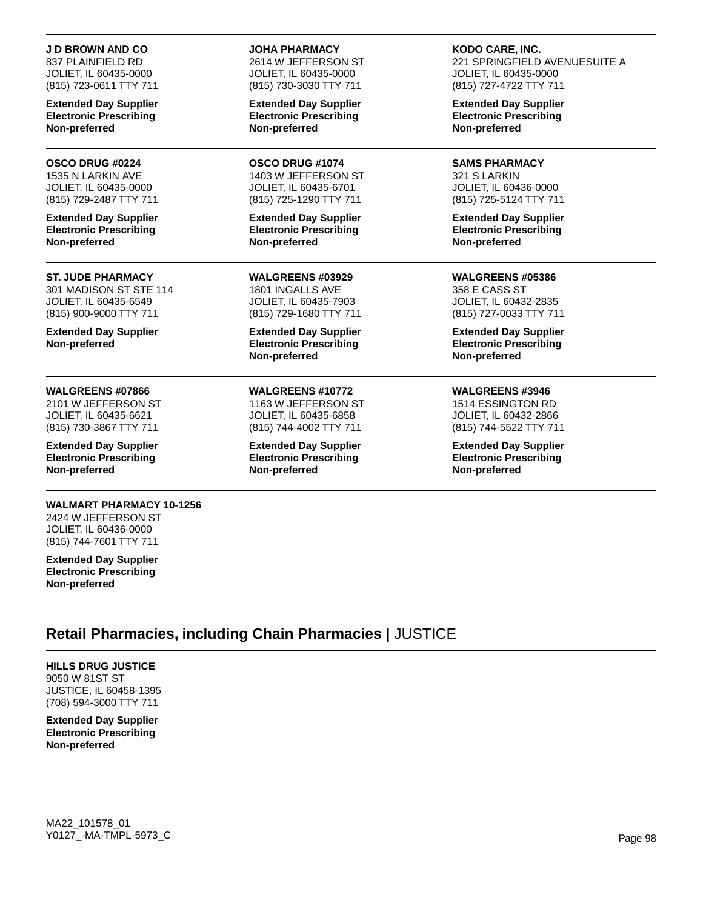#### **J D BROWN AND CO**

837 PLAINFIELD RD JOLIET, IL 60435-0000 (815) 723-0611 TTY 711

**Extended Day Supplier Electronic Prescribing Non-preferred**

#### **OSCO DRUG #0224**

1535 N LARKIN AVE JOLIET, IL 60435-0000 (815) 729-2487 TTY 711

**Extended Day Supplier Electronic Prescribing Non-preferred**

#### **ST. JUDE PHARMACY**

301 MADISON ST STE 114 JOLIET, IL 60435-6549 (815) 900-9000 TTY 711

**Extended Day Supplier Non-preferred**

#### **WALGREENS #07866**

2101 W JEFFERSON ST JOLIET, IL 60435-6621 (815) 730-3867 TTY 711

**Extended Day Supplier Electronic Prescribing Non-preferred**

### **WALMART PHARMACY 10-1256**

2424 W JEFFERSON ST JOLIET, IL 60436-0000 (815) 744-7601 TTY 711

**Extended Day Supplier Electronic Prescribing Non-preferred**

#### **JOHA PHARMACY**

2614 W JEFFERSON ST JOLIET, IL 60435-0000 (815) 730-3030 TTY 711

**Extended Day Supplier Electronic Prescribing Non-preferred**

**OSCO DRUG #1074** 1403 W JEFFERSON ST JOLIET, IL 60435-6701 (815) 725-1290 TTY 711

**Extended Day Supplier Electronic Prescribing Non-preferred**

**WALGREENS #03929** 1801 INGALLS AVE JOLIET, IL 60435-7903 (815) 729-1680 TTY 711

**Extended Day Supplier Electronic Prescribing Non-preferred**

**WALGREENS #10772** 1163 W JEFFERSON ST JOLIET, IL 60435-6858

(815) 744-4002 TTY 711

**Extended Day Supplier Electronic Prescribing Non-preferred**

**KODO CARE, INC.** 221 SPRINGFIELD AVENUESUITE A

JOLIET, IL 60435-0000 (815) 727-4722 TTY 711

**Extended Day Supplier Electronic Prescribing Non-preferred**

**SAMS PHARMACY** 321 S LARKIN JOLIET, IL 60436-0000 (815) 725-5124 TTY 711

**Extended Day Supplier Electronic Prescribing Non-preferred**

**WALGREENS #05386** 358 E CASS ST JOLIET, IL 60432-2835 (815) 727-0033 TTY 711

**Extended Day Supplier Electronic Prescribing Non-preferred**

#### **WALGREENS #3946**

1514 ESSINGTON RD JOLIET, IL 60432-2866 (815) 744-5522 TTY 711

**Extended Day Supplier Electronic Prescribing Non-preferred**

### **Retail Pharmacies, including Chain Pharmacies |** JUSTICE

**HILLS DRUG JUSTICE** 9050 W 81ST ST JUSTICE, IL 60458-1395 (708) 594-3000 TTY 711

**Extended Day Supplier Electronic Prescribing Non-preferred**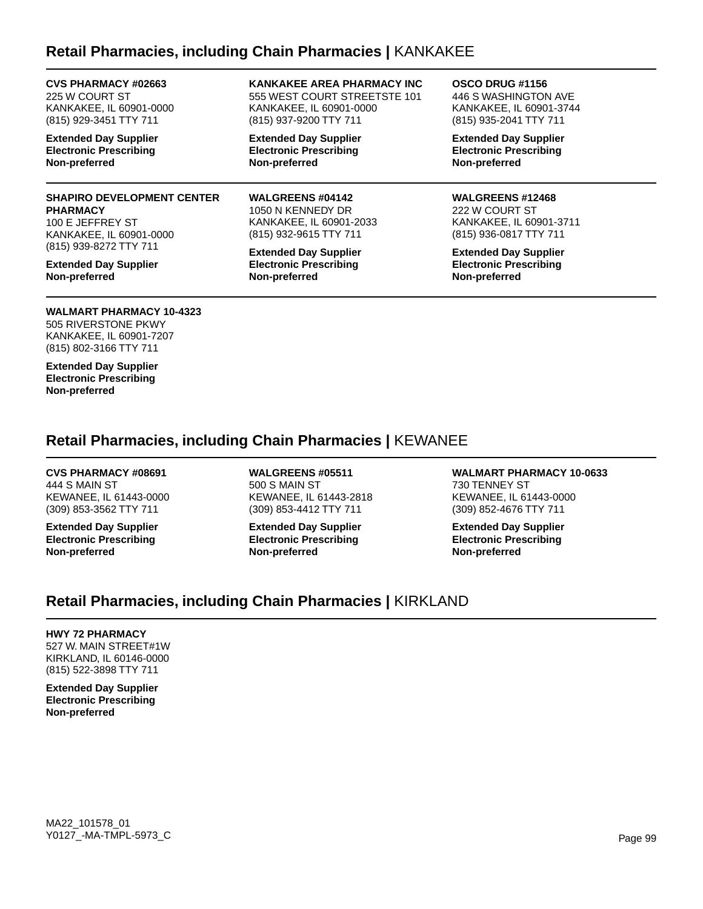### **Retail Pharmacies, including Chain Pharmacies |** KANKAKEE

**CVS PHARMACY #02663** 225 W COURT ST KANKAKEE, IL 60901-0000 (815) 929-3451 TTY 711

**Extended Day Supplier Electronic Prescribing Non-preferred**

### **SHAPIRO DEVELOPMENT CENTER PHARMACY**

100 E JEFFREY ST KANKAKEE, IL 60901-0000 (815) 939-8272 TTY 711

**Extended Day Supplier Non-preferred**

### **WALMART PHARMACY 10-4323**

505 RIVERSTONE PKWY KANKAKEE, IL 60901-7207 (815) 802-3166 TTY 711

**Extended Day Supplier Electronic Prescribing Non-preferred**

**KANKAKEE AREA PHARMACY INC** 555 WEST COURT STREETSTE 101 KANKAKEE, IL 60901-0000 (815) 937-9200 TTY 711

**Extended Day Supplier Electronic Prescribing Non-preferred**

**WALGREENS #04142** 1050 N KENNEDY DR KANKAKEE, IL 60901-2033 (815) 932-9615 TTY 711

**Extended Day Supplier Electronic Prescribing Non-preferred**

#### **OSCO DRUG #1156**

446 S WASHINGTON AVE KANKAKEE, IL 60901-3744 (815) 935-2041 TTY 711

**Extended Day Supplier Electronic Prescribing Non-preferred**

#### **WALGREENS #12468**

222 W COURT ST KANKAKEE, IL 60901-3711 (815) 936-0817 TTY 711

**Extended Day Supplier Electronic Prescribing Non-preferred**

**Retail Pharmacies, including Chain Pharmacies |** KEWANEE

**CVS PHARMACY #08691** 444 S MAIN ST KEWANEE, IL 61443-0000 (309) 853-3562 TTY 711

**Extended Day Supplier Electronic Prescribing Non-preferred**

**WALGREENS #05511** 500 S MAIN ST KEWANEE, IL 61443-2818 (309) 853-4412 TTY 711

**Extended Day Supplier Electronic Prescribing Non-preferred**

**WALMART PHARMACY 10-0633** 730 TENNEY ST KEWANEE, IL 61443-0000 (309) 852-4676 TTY 711

**Extended Day Supplier Electronic Prescribing Non-preferred**

### **Retail Pharmacies, including Chain Pharmacies |** KIRKLAND

#### **HWY 72 PHARMACY**

527 W. MAIN STREET#1W KIRKLAND, IL 60146-0000 (815) 522-3898 TTY 711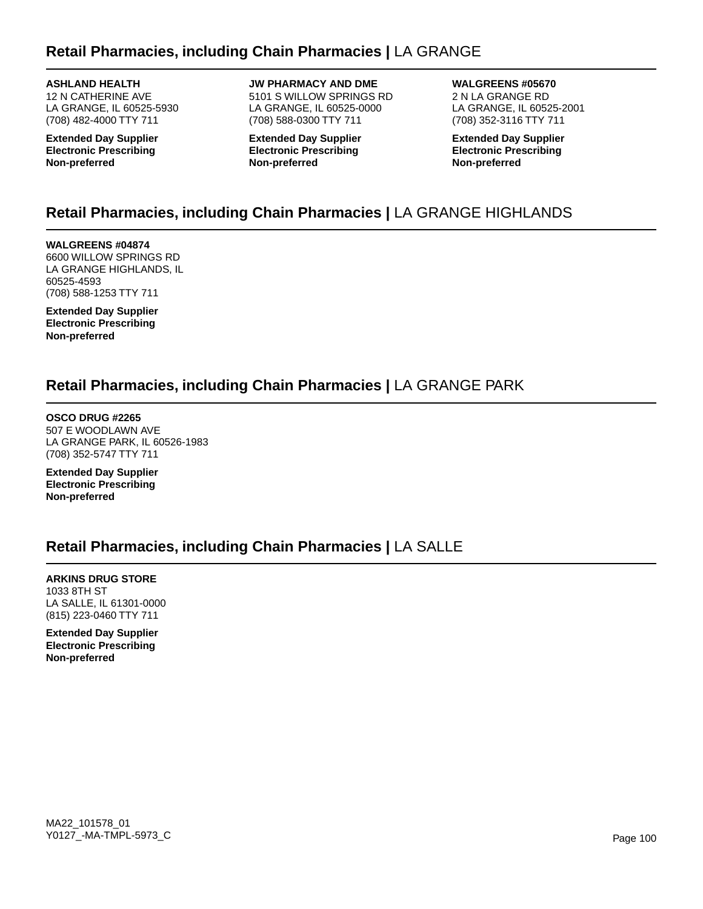### **Retail Pharmacies, including Chain Pharmacies |** LA GRANGE

**ASHLAND HEALTH** 12 N CATHERINE AVE LA GRANGE, IL 60525-5930 (708) 482-4000 TTY 711

**Extended Day Supplier Electronic Prescribing Non-preferred**

**JW PHARMACY AND DME** 5101 S WILLOW SPRINGS RD LA GRANGE, IL 60525-0000 (708) 588-0300 TTY 711

**Extended Day Supplier Electronic Prescribing Non-preferred**

**WALGREENS #05670** 2 N LA GRANGE RD LA GRANGE, IL 60525-2001 (708) 352-3116 TTY 711

**Extended Day Supplier Electronic Prescribing Non-preferred**

# **Retail Pharmacies, including Chain Pharmacies |** LA GRANGE HIGHLANDS

**WALGREENS #04874** 6600 WILLOW SPRINGS RD LA GRANGE HIGHLANDS, IL 60525-4593 (708) 588-1253 TTY 711

**Extended Day Supplier Electronic Prescribing Non-preferred**

### **Retail Pharmacies, including Chain Pharmacies |** LA GRANGE PARK

**OSCO DRUG #2265** 507 E WOODLAWN AVE LA GRANGE PARK, IL 60526-1983 (708) 352-5747 TTY 711

**Extended Day Supplier Electronic Prescribing Non-preferred**

### **Retail Pharmacies, including Chain Pharmacies |** LA SALLE

**ARKINS DRUG STORE** 1033 8TH ST LA SALLE, IL 61301-0000 (815) 223-0460 TTY 711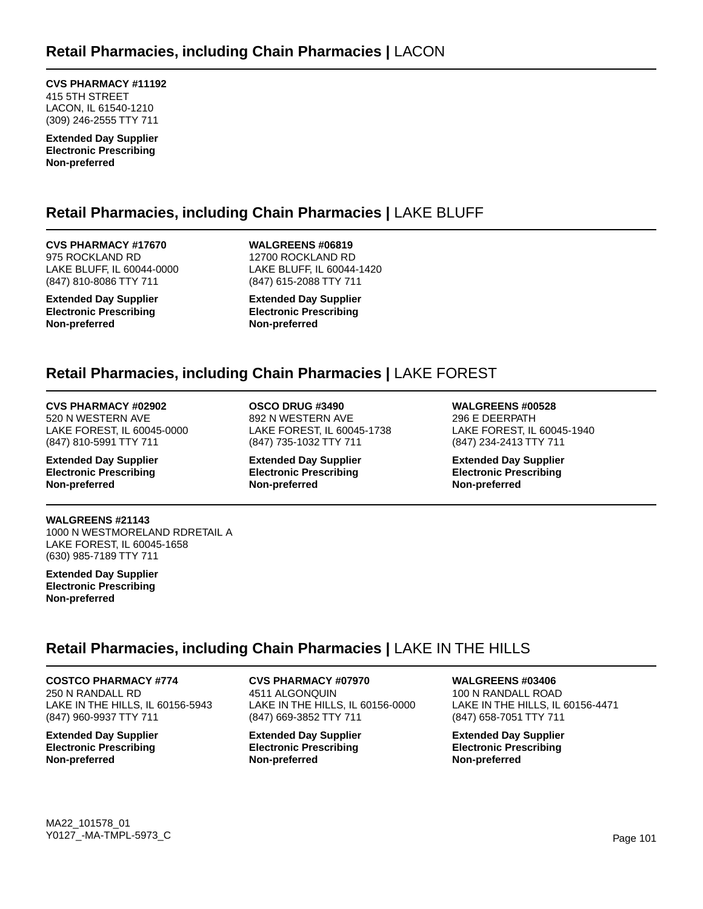**CVS PHARMACY #11192** 415 5TH STREET LACON, IL 61540-1210 (309) 246-2555 TTY 711

**Extended Day Supplier Electronic Prescribing Non-preferred**

# **Retail Pharmacies, including Chain Pharmacies |** LAKE BLUFF

**CVS PHARMACY #17670** 975 ROCKLAND RD LAKE BLUFF, IL 60044-0000 (847) 810-8086 TTY 711

**Extended Day Supplier Electronic Prescribing Non-preferred**

**WALGREENS #06819** 12700 ROCKLAND RD LAKE BLUFF, IL 60044-1420 (847) 615-2088 TTY 711

**Extended Day Supplier Electronic Prescribing Non-preferred**

### **Retail Pharmacies, including Chain Pharmacies |** LAKE FOREST

**CVS PHARMACY #02902** 520 N WESTERN AVE

LAKE FOREST, IL 60045-0000 (847) 810-5991 TTY 711

**Extended Day Supplier Electronic Prescribing Non-preferred**

**WALGREENS #21143** 1000 N WESTMORELAND RDRETAIL A LAKE FOREST, IL 60045-1658 (630) 985-7189 TTY 711

**Extended Day Supplier Electronic Prescribing Non-preferred**

#### **OSCO DRUG #3490** 892 N WESTERN AVE LAKE FOREST, IL 60045-1738 (847) 735-1032 TTY 711

**Extended Day Supplier Electronic Prescribing Non-preferred**

**WALGREENS #00528** 296 E DEERPATH LAKE FOREST, IL 60045-1940 (847) 234-2413 TTY 711

**Extended Day Supplier Electronic Prescribing Non-preferred**

# **Retail Pharmacies, including Chain Pharmacies |** LAKE IN THE HILLS

**COSTCO PHARMACY #774** 250 N RANDALL RD LAKE IN THE HILLS, IL 60156-5943

(847) 960-9937 TTY 711 **Extended Day Supplier Electronic Prescribing**

**Non-preferred**

**CVS PHARMACY #07970** 4511 ALGONQUIN LAKE IN THE HILLS, IL 60156-0000 (847) 669-3852 TTY 711

**Extended Day Supplier Electronic Prescribing Non-preferred**

### **WALGREENS #03406**

100 N RANDALL ROAD LAKE IN THE HILLS, IL 60156-4471 (847) 658-7051 TTY 711

**Extended Day Supplier Electronic Prescribing Non-preferred**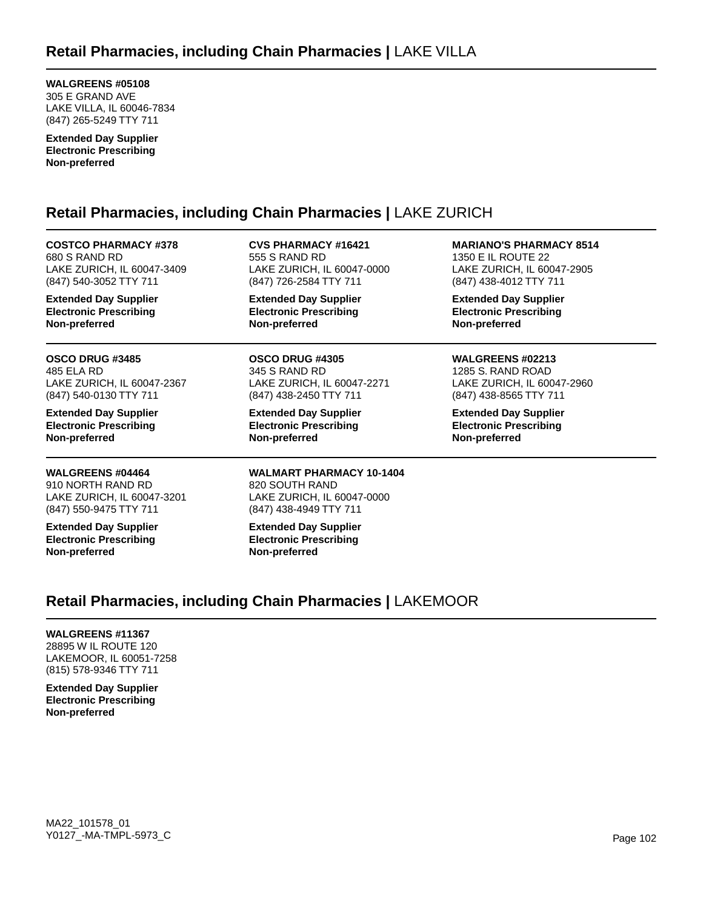**WALGREENS #05108** 305 E GRAND AVE LAKE VILLA, IL 60046-7834 (847) 265-5249 TTY 711

**Extended Day Supplier Electronic Prescribing Non-preferred**

# **Retail Pharmacies, including Chain Pharmacies |** LAKE ZURICH

**COSTCO PHARMACY #378** 680 S RAND RD LAKE ZURICH, IL 60047-3409 (847) 540-3052 TTY 711

**Extended Day Supplier Electronic Prescribing Non-preferred**

**OSCO DRUG #3485** 485 ELA RD LAKE ZURICH, IL 60047-2367 (847) 540-0130 TTY 711

**Extended Day Supplier Electronic Prescribing Non-preferred**

**WALGREENS #04464** 910 NORTH RAND RD LAKE ZURICH, IL 60047-3201 (847) 550-9475 TTY 711

**Extended Day Supplier Electronic Prescribing Non-preferred**

**CVS PHARMACY #16421** 555 S RAND RD LAKE ZURICH, IL 60047-0000 (847) 726-2584 TTY 711

**Extended Day Supplier Electronic Prescribing Non-preferred**

**OSCO DRUG #4305** 345 S RAND RD LAKE ZURICH, IL 60047-2271 (847) 438-2450 TTY 711

**Extended Day Supplier Electronic Prescribing Non-preferred**

**WALMART PHARMACY 10-1404** 820 SOUTH RAND LAKE ZURICH, IL 60047-0000 (847) 438-4949 TTY 711

**Extended Day Supplier Electronic Prescribing Non-preferred**

**MARIANO'S PHARMACY 8514** 1350 E IL ROUTE 22 LAKE ZURICH, IL 60047-2905 (847) 438-4012 TTY 711

**Extended Day Supplier Electronic Prescribing Non-preferred**

**WALGREENS #02213** 1285 S. RAND ROAD LAKE ZURICH, IL 60047-2960 (847) 438-8565 TTY 711

**Extended Day Supplier Electronic Prescribing Non-preferred**

# **Retail Pharmacies, including Chain Pharmacies |** LAKEMOOR

#### **WALGREENS #11367**

28895 W IL ROUTE 120 LAKEMOOR, IL 60051-7258 (815) 578-9346 TTY 711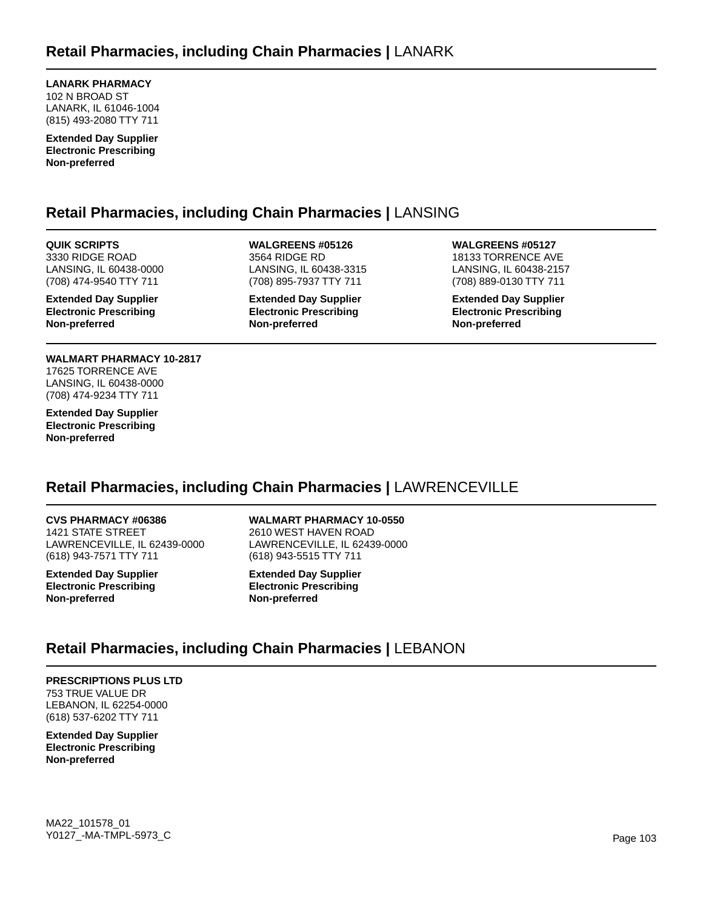**LANARK PHARMACY** 102 N BROAD ST LANARK, IL 61046-1004 (815) 493-2080 TTY 711

**Extended Day Supplier Electronic Prescribing Non-preferred**

### **Retail Pharmacies, including Chain Pharmacies |** LANSING

**QUIK SCRIPTS** 3330 RIDGE ROAD LANSING, IL 60438-0000 (708) 474-9540 TTY 711

**Extended Day Supplier Electronic Prescribing Non-preferred**

**WALMART PHARMACY 10-2817** 17625 TORRENCE AVE LANSING, IL 60438-0000 (708) 474-9234 TTY 711

**Extended Day Supplier Electronic Prescribing Non-preferred**

**WALGREENS #05126** 3564 RIDGE RD LANSING, IL 60438-3315 (708) 895-7937 TTY 711

**Extended Day Supplier Electronic Prescribing Non-preferred**

**WALGREENS #05127** 18133 TORRENCE AVE LANSING, IL 60438-2157 (708) 889-0130 TTY 711

**Extended Day Supplier Electronic Prescribing Non-preferred**

# **Retail Pharmacies, including Chain Pharmacies |** LAWRENCEVILLE

**CVS PHARMACY #06386** 1421 STATE STREET LAWRENCEVILLE, IL 62439-0000 (618) 943-7571 TTY 711

**Extended Day Supplier Electronic Prescribing Non-preferred**

### **WALMART PHARMACY 10-0550**

2610 WEST HAVEN ROAD LAWRENCEVILLE, IL 62439-0000 (618) 943-5515 TTY 711

**Extended Day Supplier Electronic Prescribing Non-preferred**

### **Retail Pharmacies, including Chain Pharmacies |** LEBANON

### **PRESCRIPTIONS PLUS LTD**

753 TRUE VALUE DR LEBANON, IL 62254-0000 (618) 537-6202 TTY 711

**Extended Day Supplier Electronic Prescribing Non-preferred**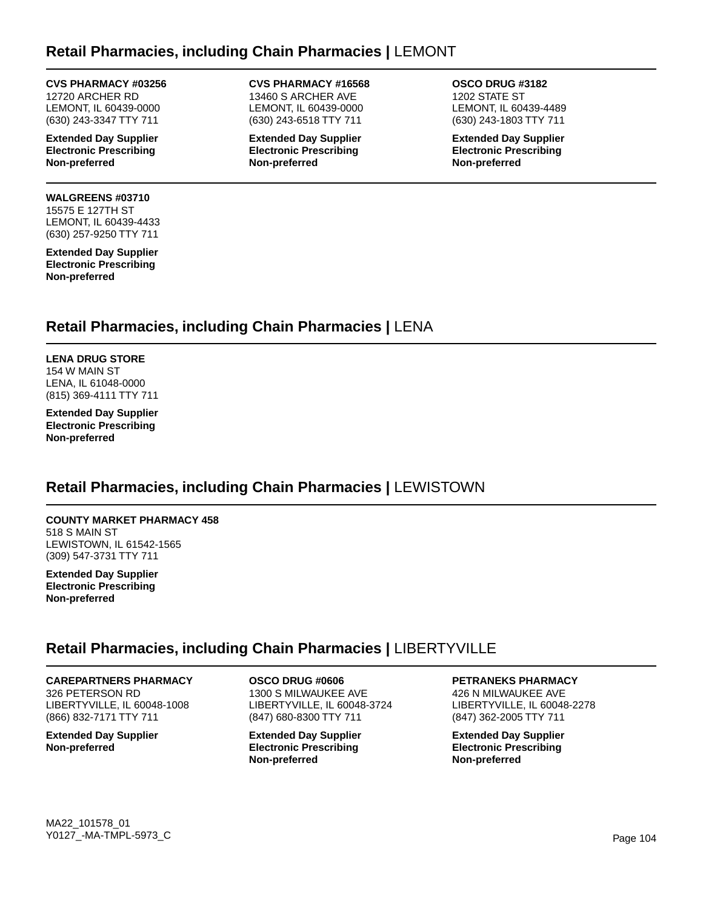### **Retail Pharmacies, including Chain Pharmacies |** LEMONT

#### **CVS PHARMACY #03256**

12720 ARCHER RD LEMONT, IL 60439-0000 (630) 243-3347 TTY 711

**Extended Day Supplier Electronic Prescribing Non-preferred**

#### **WALGREENS #03710** 15575 E 127TH ST

LEMONT, IL 60439-4433 (630) 257-9250 TTY 711

**Extended Day Supplier Electronic Prescribing Non-preferred**

**CVS PHARMACY #16568** 13460 S ARCHER AVE LEMONT, IL 60439-0000 (630) 243-6518 TTY 711

**Extended Day Supplier Electronic Prescribing Non-preferred**

**OSCO DRUG #3182** 1202 STATE ST LEMONT, IL 60439-4489 (630) 243-1803 TTY 711

**Extended Day Supplier Electronic Prescribing Non-preferred**

### **Retail Pharmacies, including Chain Pharmacies |** LENA

**LENA DRUG STORE** 154 W MAIN ST LENA, IL 61048-0000 (815) 369-4111 TTY 711

**Extended Day Supplier Electronic Prescribing Non-preferred**

# **Retail Pharmacies, including Chain Pharmacies |** LEWISTOWN

#### **COUNTY MARKET PHARMACY 458** 518 S MAIN ST

LEWISTOWN, IL 61542-1565 (309) 547-3731 TTY 711

**Extended Day Supplier Electronic Prescribing Non-preferred**

### **Retail Pharmacies, including Chain Pharmacies |** LIBERTYVILLE

### **CAREPARTNERS PHARMACY**

326 PETERSON RD LIBERTYVILLE, IL 60048-1008 (866) 832-7171 TTY 711

**Extended Day Supplier Non-preferred**

**OSCO DRUG #0606** 1300 S MILWAUKEE AVE LIBERTYVILLE, IL 60048-3724 (847) 680-8300 TTY 711

**Extended Day Supplier Electronic Prescribing Non-preferred**

**PETRANEKS PHARMACY**

426 N MILWAUKEE AVE LIBERTYVILLE, IL 60048-2278 (847) 362-2005 TTY 711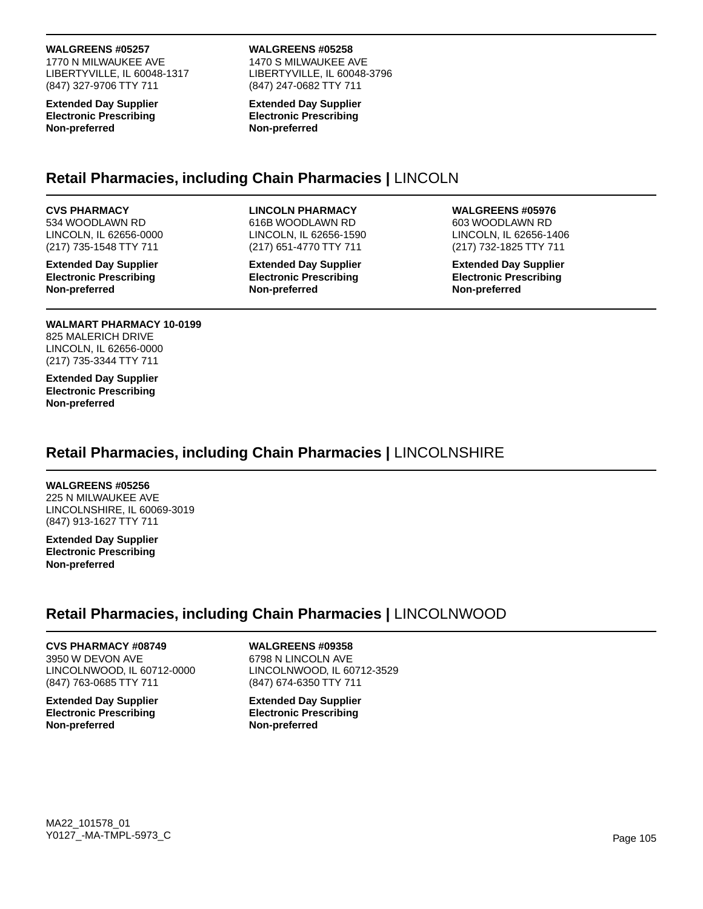#### **WALGREENS #05257**

1770 N MILWAUKEE AVE LIBERTYVILLE, IL 60048-1317 (847) 327-9706 TTY 711

**Extended Day Supplier Electronic Prescribing Non-preferred**

#### **WALGREENS #05258**

1470 S MILWAUKEE AVE LIBERTYVILLE, IL 60048-3796 (847) 247-0682 TTY 711

**Extended Day Supplier Electronic Prescribing Non-preferred**

### **Retail Pharmacies, including Chain Pharmacies |** LINCOLN

#### **CVS PHARMACY**

534 WOODLAWN RD LINCOLN, IL 62656-0000 (217) 735-1548 TTY 711

**Extended Day Supplier Electronic Prescribing Non-preferred**

#### **LINCOLN PHARMACY**

616B WOODLAWN RD LINCOLN, IL 62656-1590 (217) 651-4770 TTY 711

**Extended Day Supplier Electronic Prescribing Non-preferred**

#### **WALGREENS #05976**

603 WOODLAWN RD LINCOLN, IL 62656-1406 (217) 732-1825 TTY 711

**Extended Day Supplier Electronic Prescribing Non-preferred**

### **WALMART PHARMACY 10-0199**

825 MALERICH DRIVE LINCOLN, IL 62656-0000 (217) 735-3344 TTY 711

**Extended Day Supplier Electronic Prescribing Non-preferred**

# **Retail Pharmacies, including Chain Pharmacies |** LINCOLNSHIRE

#### **WALGREENS #05256**

225 N MILWAUKEE AVE LINCOLNSHIRE, IL 60069-3019 (847) 913-1627 TTY 711

**Extended Day Supplier Electronic Prescribing Non-preferred**

# **Retail Pharmacies, including Chain Pharmacies |** LINCOLNWOOD

### **CVS PHARMACY #08749**

3950 W DEVON AVE LINCOLNWOOD, IL 60712-0000 (847) 763-0685 TTY 711

**Extended Day Supplier Electronic Prescribing Non-preferred**

### **WALGREENS #09358**

6798 N LINCOLN AVE LINCOLNWOOD, IL 60712-3529 (847) 674-6350 TTY 711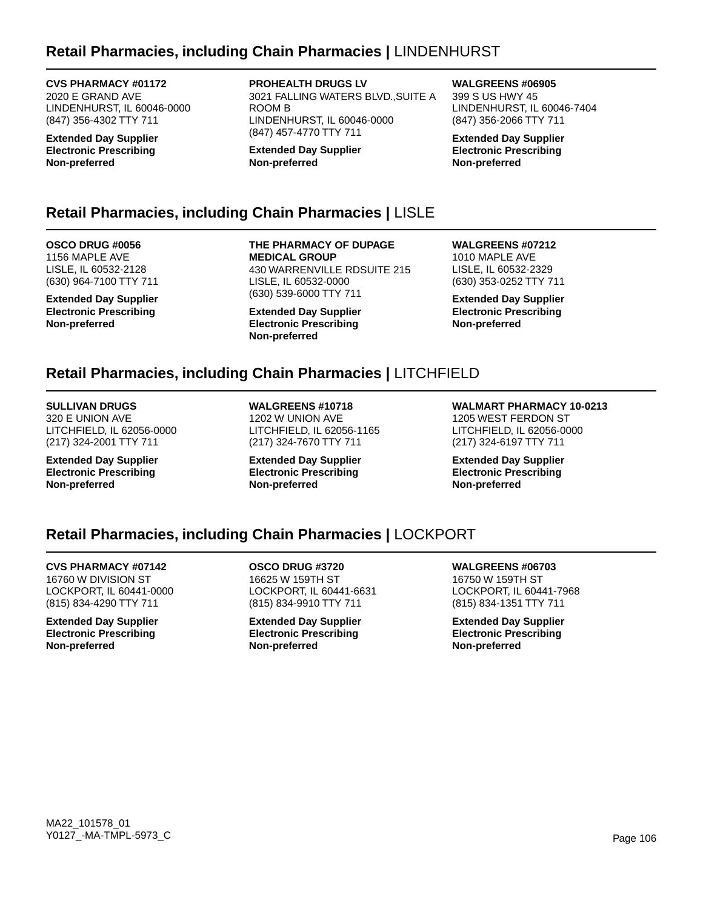## **Retail Pharmacies, including Chain Pharmacies |** LINDENHURST

**CVS PHARMACY #01172** 2020 E GRAND AVE LINDENHURST, IL 60046-0000 (847) 356-4302 TTY 711

**Extended Day Supplier Electronic Prescribing Non-preferred**

**PROHEALTH DRUGS LV**

3021 FALLING WATERS BLVD.,SUITE A ROOM B LINDENHURST, IL 60046-0000 (847) 457-4770 TTY 711

**Extended Day Supplier Non-preferred**

### **Retail Pharmacies, including Chain Pharmacies |** LISLE

**OSCO DRUG #0056** 1156 MAPLE AVE LISLE, IL 60532-2128 (630) 964-7100 TTY 711

**Extended Day Supplier Electronic Prescribing Non-preferred**

**THE PHARMACY OF DUPAGE MEDICAL GROUP** 430 WARRENVILLE RDSUITE 215 LISLE, IL 60532-0000 (630) 539-6000 TTY 711

**Extended Day Supplier Electronic Prescribing Non-preferred**

**WALGREENS #07212** 1010 MAPLE AVE LISLE, IL 60532-2329 (630) 353-0252 TTY 711

**WALGREENS #06905** 399 S US HWY 45

**Non-preferred**

LINDENHURST, IL 60046-7404 (847) 356-2066 TTY 711 **Extended Day Supplier Electronic Prescribing**

**Extended Day Supplier Electronic Prescribing Non-preferred**

# **Retail Pharmacies, including Chain Pharmacies |** LITCHFIELD

**SULLIVAN DRUGS** 320 E UNION AVE LITCHFIELD, IL 62056-0000 (217) 324-2001 TTY 711

**Extended Day Supplier Electronic Prescribing Non-preferred**

**WALGREENS #10718** 1202 W UNION AVE LITCHFIELD, IL 62056-1165 (217) 324-7670 TTY 711

**Extended Day Supplier Electronic Prescribing Non-preferred**

**WALMART PHARMACY 10-0213** 1205 WEST FERDON ST LITCHFIELD, IL 62056-0000

**Extended Day Supplier Electronic Prescribing Non-preferred**

(217) 324-6197 TTY 711

### **Retail Pharmacies, including Chain Pharmacies |** LOCKPORT

**CVS PHARMACY #07142** 16760 W DIVISION ST LOCKPORT, IL 60441-0000 (815) 834-4290 TTY 711

**Extended Day Supplier Electronic Prescribing Non-preferred**

**OSCO DRUG #3720** 16625 W 159TH ST LOCKPORT, IL 60441-6631 (815) 834-9910 TTY 711

**Extended Day Supplier Electronic Prescribing Non-preferred**

**WALGREENS #06703** 16750 W 159TH ST LOCKPORT, IL 60441-7968 (815) 834-1351 TTY 711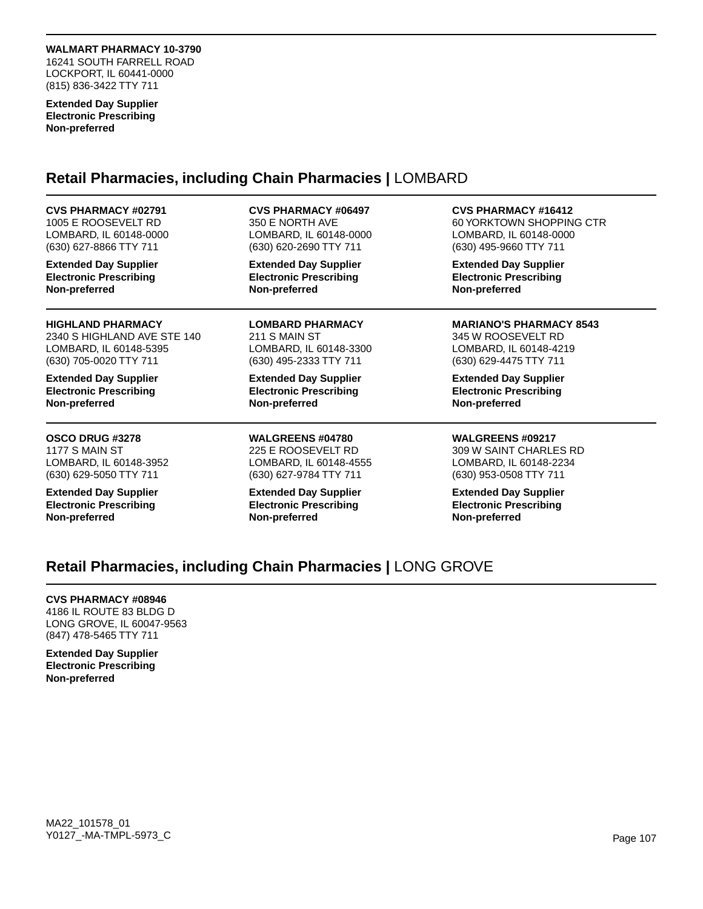#### **WALMART PHARMACY 10-3790**

16241 SOUTH FARRELL ROAD LOCKPORT, IL 60441-0000 (815) 836-3422 TTY 711

**Extended Day Supplier Electronic Prescribing Non-preferred**

### **Retail Pharmacies, including Chain Pharmacies |** LOMBARD

**CVS PHARMACY #02791** 1005 E ROOSEVELT RD LOMBARD, IL 60148-0000 (630) 627-8866 TTY 711

**Extended Day Supplier Electronic Prescribing Non-preferred**

**HIGHLAND PHARMACY** 2340 S HIGHLAND AVE STE 140 LOMBARD, IL 60148-5395 (630) 705-0020 TTY 711

**Extended Day Supplier Electronic Prescribing Non-preferred**

**OSCO DRUG #3278** 1177 S MAIN ST LOMBARD, IL 60148-3952 (630) 629-5050 TTY 711

**Extended Day Supplier Electronic Prescribing Non-preferred**

**CVS PHARMACY #06497**

350 E NORTH AVE LOMBARD, IL 60148-0000 (630) 620-2690 TTY 711

**Extended Day Supplier Electronic Prescribing Non-preferred**

**LOMBARD PHARMACY** 211 S MAIN ST LOMBARD, IL 60148-3300 (630) 495-2333 TTY 711

**Extended Day Supplier Electronic Prescribing Non-preferred**

**WALGREENS #04780** 225 E ROOSEVELT RD LOMBARD, IL 60148-4555 (630) 627-9784 TTY 711

**Extended Day Supplier Electronic Prescribing Non-preferred**

**CVS PHARMACY #16412**

60 YORKTOWN SHOPPING CTR LOMBARD, IL 60148-0000 (630) 495-9660 TTY 711

**Extended Day Supplier Electronic Prescribing Non-preferred**

**MARIANO'S PHARMACY 8543** 345 W ROOSEVELT RD LOMBARD, IL 60148-4219 (630) 629-4475 TTY 711

**Extended Day Supplier Electronic Prescribing Non-preferred**

**WALGREENS #09217** 309 W SAINT CHARLES RD LOMBARD, IL 60148-2234 (630) 953-0508 TTY 711

**Extended Day Supplier Electronic Prescribing Non-preferred**

## **Retail Pharmacies, including Chain Pharmacies |** LONG GROVE

#### **CVS PHARMACY #08946**

4186 IL ROUTE 83 BLDG D LONG GROVE, IL 60047-9563 (847) 478-5465 TTY 711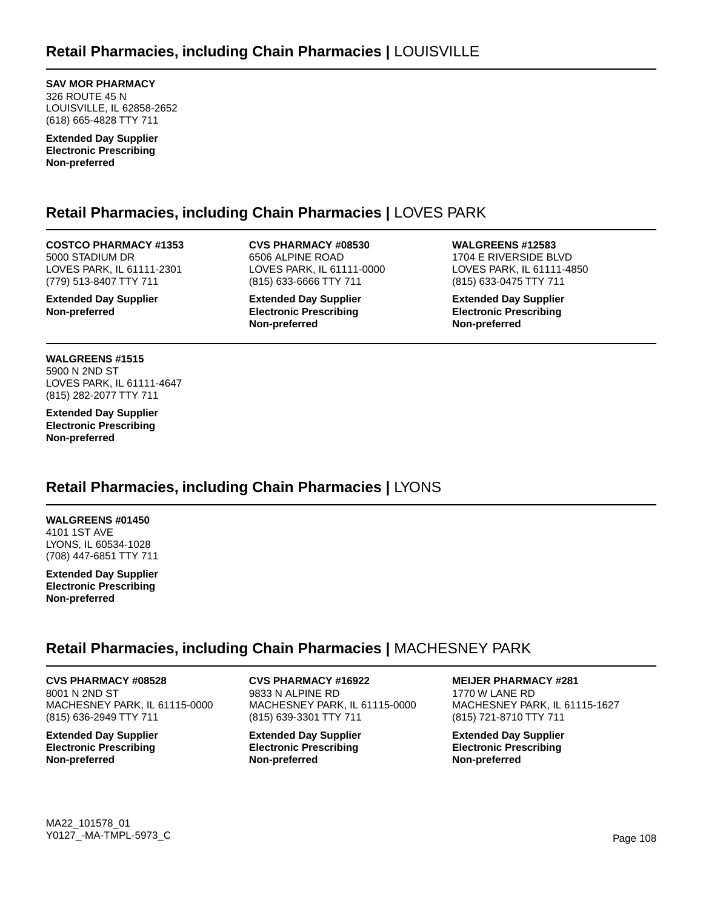**SAV MOR PHARMACY** 326 ROUTE 45 N LOUISVILLE, IL 62858-2652 (618) 665-4828 TTY 711

**Extended Day Supplier Electronic Prescribing Non-preferred**

## **Retail Pharmacies, including Chain Pharmacies |** LOVES PARK

**COSTCO PHARMACY #1353** 5000 STADIUM DR LOVES PARK, IL 61111-2301 (779) 513-8407 TTY 711

**Extended Day Supplier Non-preferred**

**CVS PHARMACY #08530** 6506 ALPINE ROAD LOVES PARK, IL 61111-0000 (815) 633-6666 TTY 711

**Extended Day Supplier Electronic Prescribing Non-preferred**

**WALGREENS #12583** 1704 E RIVERSIDE BLVD LOVES PARK, IL 61111-4850 (815) 633-0475 TTY 711

**Extended Day Supplier Electronic Prescribing Non-preferred**

**WALGREENS #1515** 5900 N 2ND ST LOVES PARK, IL 61111-4647 (815) 282-2077 TTY 711

**Extended Day Supplier Electronic Prescribing Non-preferred**

### **Retail Pharmacies, including Chain Pharmacies |** LYONS

**WALGREENS #01450** 4101 1ST AVE LYONS, IL 60534-1028 (708) 447-6851 TTY 711

**Extended Day Supplier Electronic Prescribing Non-preferred**

### **Retail Pharmacies, including Chain Pharmacies |** MACHESNEY PARK

**CVS PHARMACY #08528** 8001 N 2ND ST MACHESNEY PARK, IL 61115-0000 (815) 636-2949 TTY 711

**Extended Day Supplier Electronic Prescribing Non-preferred**

**CVS PHARMACY #16922** 9833 N ALPINE RD MACHESNEY PARK, IL 61115-0000 (815) 639-3301 TTY 711

**Extended Day Supplier Electronic Prescribing Non-preferred**

**MEIJER PHARMACY #281** 1770 W LANE RD

MACHESNEY PARK, IL 61115-1627 (815) 721-8710 TTY 711

**Extended Day Supplier Electronic Prescribing Non-preferred**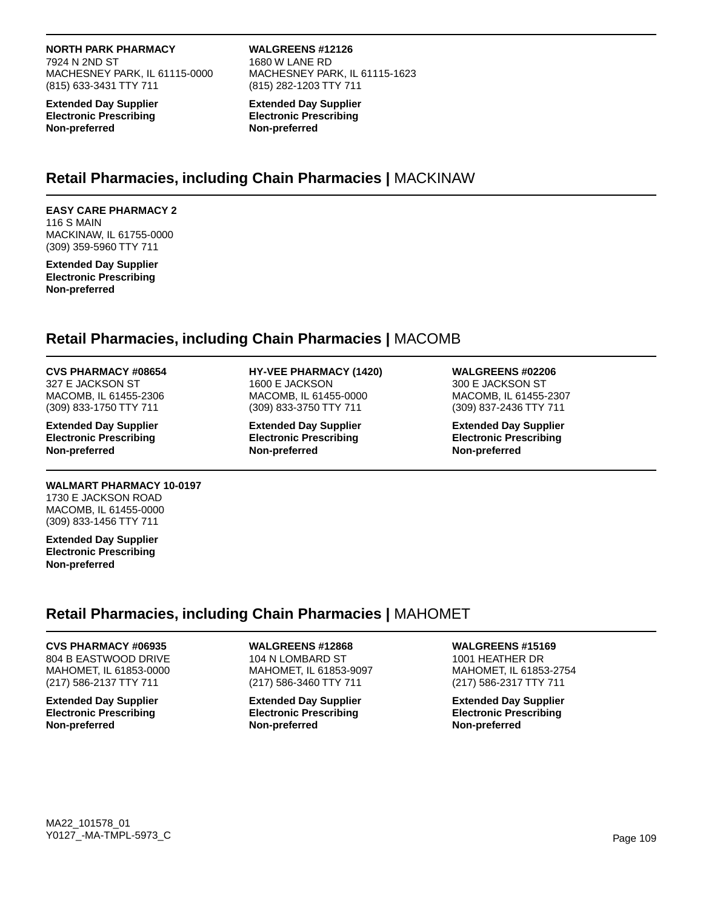#### **NORTH PARK PHARMACY**

7924 N 2ND ST MACHESNEY PARK, IL 61115-0000 (815) 633-3431 TTY 711

**Extended Day Supplier Electronic Prescribing Non-preferred**

**WALGREENS #12126** 1680 W LANE RD MACHESNEY PARK, IL 61115-1623 (815) 282-1203 TTY 711

**Extended Day Supplier Electronic Prescribing Non-preferred**

### **Retail Pharmacies, including Chain Pharmacies |** MACKINAW

#### **EASY CARE PHARMACY 2** 116 S MAIN MACKINAW, IL 61755-0000 (309) 359-5960 TTY 711

**Extended Day Supplier Electronic Prescribing Non-preferred**

### **Retail Pharmacies, including Chain Pharmacies |** MACOMB

#### **CVS PHARMACY #08654**

327 E JACKSON ST MACOMB, IL 61455-2306 (309) 833-1750 TTY 711

**Extended Day Supplier Electronic Prescribing Non-preferred**

### **WALMART PHARMACY 10-0197**

1730 E JACKSON ROAD MACOMB, IL 61455-0000 (309) 833-1456 TTY 711

**Extended Day Supplier Electronic Prescribing Non-preferred**

### **HY-VEE PHARMACY (1420)**

1600 E JACKSON MACOMB, IL 61455-0000 (309) 833-3750 TTY 711

**Extended Day Supplier Electronic Prescribing Non-preferred**

### **WALGREENS #02206**

300 E JACKSON ST MACOMB, IL 61455-2307 (309) 837-2436 TTY 711

**Extended Day Supplier Electronic Prescribing Non-preferred**

## **Retail Pharmacies, including Chain Pharmacies |** MAHOMET

#### **CVS PHARMACY #06935**

804 B EASTWOOD DRIVE MAHOMET, IL 61853-0000 (217) 586-2137 TTY 711

**Extended Day Supplier Electronic Prescribing Non-preferred**

### **WALGREENS #12868**

104 N LOMBARD ST MAHOMET, IL 61853-9097 (217) 586-3460 TTY 711

**Extended Day Supplier Electronic Prescribing Non-preferred**

### **WALGREENS #15169**

1001 HEATHER DR MAHOMET, IL 61853-2754 (217) 586-2317 TTY 711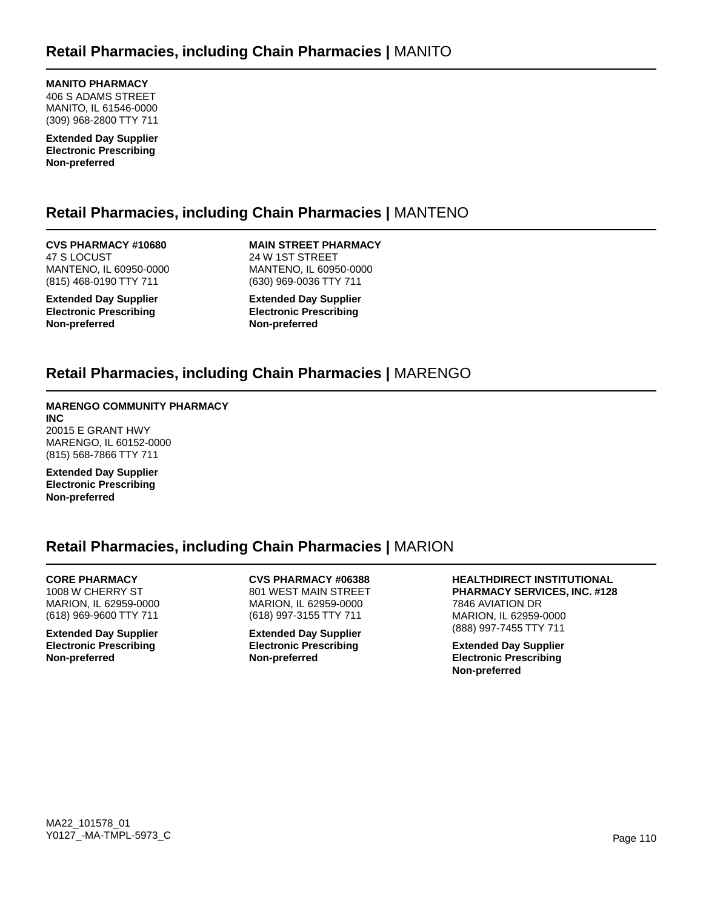**MANITO PHARMACY** 406 S ADAMS STREET MANITO, IL 61546-0000 (309) 968-2800 TTY 711

**Extended Day Supplier Electronic Prescribing Non-preferred**

## **Retail Pharmacies, including Chain Pharmacies |** MANTENO

**CVS PHARMACY #10680** 47 S LOCUST MANTENO, IL 60950-0000 (815) 468-0190 TTY 711

**Extended Day Supplier Electronic Prescribing Non-preferred**

**MAIN STREET PHARMACY** 24 W 1ST STREET MANTENO, IL 60950-0000 (630) 969-0036 TTY 711

**Extended Day Supplier Electronic Prescribing Non-preferred**

## **Retail Pharmacies, including Chain Pharmacies |** MARENGO

#### **MARENGO COMMUNITY PHARMACY INC**

20015 E GRANT HWY MARENGO, IL 60152-0000 (815) 568-7866 TTY 711

**Extended Day Supplier Electronic Prescribing Non-preferred**

## **Retail Pharmacies, including Chain Pharmacies |** MARION

#### **CORE PHARMACY**

1008 W CHERRY ST MARION, IL 62959-0000 (618) 969-9600 TTY 711

**Extended Day Supplier Electronic Prescribing Non-preferred**

**CVS PHARMACY #06388** 801 WEST MAIN STREET MARION, IL 62959-0000 (618) 997-3155 TTY 711

**Extended Day Supplier Electronic Prescribing Non-preferred**

**HEALTHDIRECT INSTITUTIONAL PHARMACY SERVICES, INC. #128** 7846 AVIATION DR MARION, IL 62959-0000 (888) 997-7455 TTY 711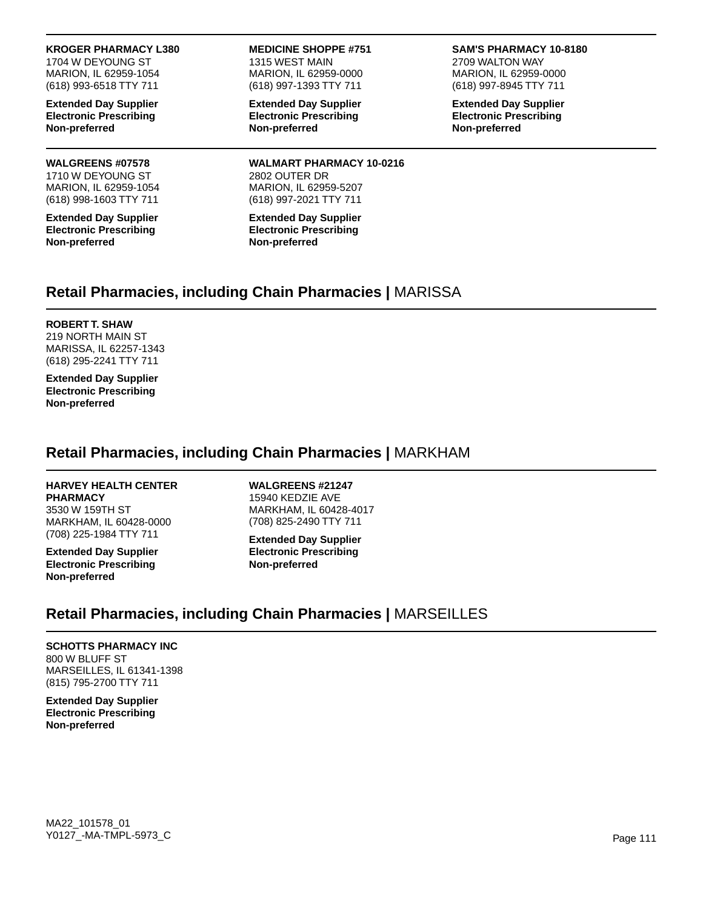### **KROGER PHARMACY L380**

1704 W DEYOUNG ST MARION, IL 62959-1054 (618) 993-6518 TTY 711

**Extended Day Supplier Electronic Prescribing Non-preferred**

### **WALGREENS #07578**

1710 W DEYOUNG ST MARION, IL 62959-1054 (618) 998-1603 TTY 711

**Extended Day Supplier Electronic Prescribing Non-preferred**

**MEDICINE SHOPPE #751** 1315 WEST MAIN MARION, IL 62959-0000 (618) 997-1393 TTY 711

**Extended Day Supplier Electronic Prescribing Non-preferred**

**WALMART PHARMACY 10-0216** 2802 OUTER DR MARION, IL 62959-5207 (618) 997-2021 TTY 711

**Extended Day Supplier Electronic Prescribing Non-preferred**

#### **SAM'S PHARMACY 10-8180**

2709 WALTON WAY MARION, IL 62959-0000 (618) 997-8945 TTY 711

**Extended Day Supplier Electronic Prescribing Non-preferred**

### **Retail Pharmacies, including Chain Pharmacies |** MARISSA

#### **ROBERT T. SHAW**

219 NORTH MAIN ST MARISSA, IL 62257-1343 (618) 295-2241 TTY 711

**Extended Day Supplier Electronic Prescribing Non-preferred**

### **Retail Pharmacies, including Chain Pharmacies |** MARKHAM

### **HARVEY HEALTH CENTER**

**PHARMACY** 3530 W 159TH ST MARKHAM, IL 60428-0000 (708) 225-1984 TTY 711

**Extended Day Supplier Electronic Prescribing Non-preferred**

**WALGREENS #21247** 15940 KEDZIE AVE MARKHAM, IL 60428-4017 (708) 825-2490 TTY 711

**Extended Day Supplier Electronic Prescribing Non-preferred**

## **Retail Pharmacies, including Chain Pharmacies |** MARSEILLES

#### **SCHOTTS PHARMACY INC** 800 W BLUFF ST MARSEILLES, IL 61341-1398 (815) 795-2700 TTY 711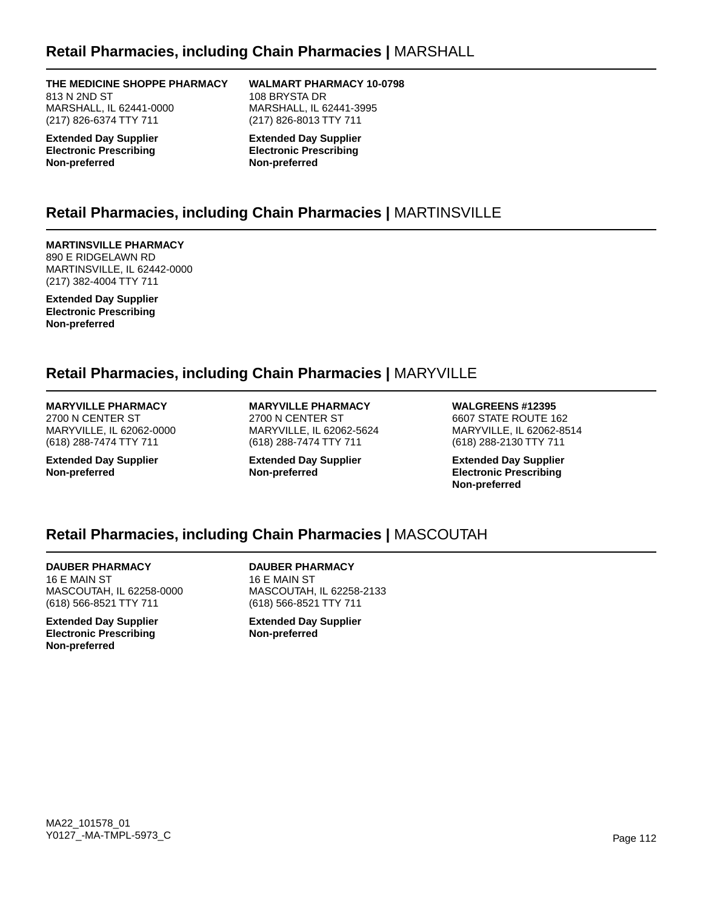### **Retail Pharmacies, including Chain Pharmacies |** MARSHALL

**THE MEDICINE SHOPPE PHARMACY** 813 N 2ND ST MARSHALL, IL 62441-0000 (217) 826-6374 TTY 711

**Extended Day Supplier Electronic Prescribing Non-preferred**

**WALMART PHARMACY 10-0798** 108 BRYSTA DR MARSHALL, IL 62441-3995 (217) 826-8013 TTY 711

**Extended Day Supplier Electronic Prescribing Non-preferred**

## **Retail Pharmacies, including Chain Pharmacies |** MARTINSVILLE

**MARTINSVILLE PHARMACY** 890 E RIDGELAWN RD MARTINSVILLE, IL 62442-0000 (217) 382-4004 TTY 711

**Extended Day Supplier Electronic Prescribing Non-preferred**

### **Retail Pharmacies, including Chain Pharmacies |** MARYVILLE

### **MARYVILLE PHARMACY**

2700 N CENTER ST MARYVILLE, IL 62062-0000 (618) 288-7474 TTY 711

**Extended Day Supplier Non-preferred**

**MARYVILLE PHARMACY** 2700 N CENTER ST MARYVILLE, IL 62062-5624 (618) 288-7474 TTY 711

**Extended Day Supplier Non-preferred**

**WALGREENS #12395** 6607 STATE ROUTE 162

MARYVILLE, IL 62062-8514 (618) 288-2130 TTY 711

**Extended Day Supplier Electronic Prescribing Non-preferred**

## **Retail Pharmacies, including Chain Pharmacies |** MASCOUTAH

**DAUBER PHARMACY** 16 E MAIN ST MASCOUTAH, IL 62258-0000 (618) 566-8521 TTY 711

**Extended Day Supplier Electronic Prescribing Non-preferred**

**DAUBER PHARMACY** 16 E MAIN ST MASCOUTAH, IL 62258-2133 (618) 566-8521 TTY 711

**Extended Day Supplier Non-preferred**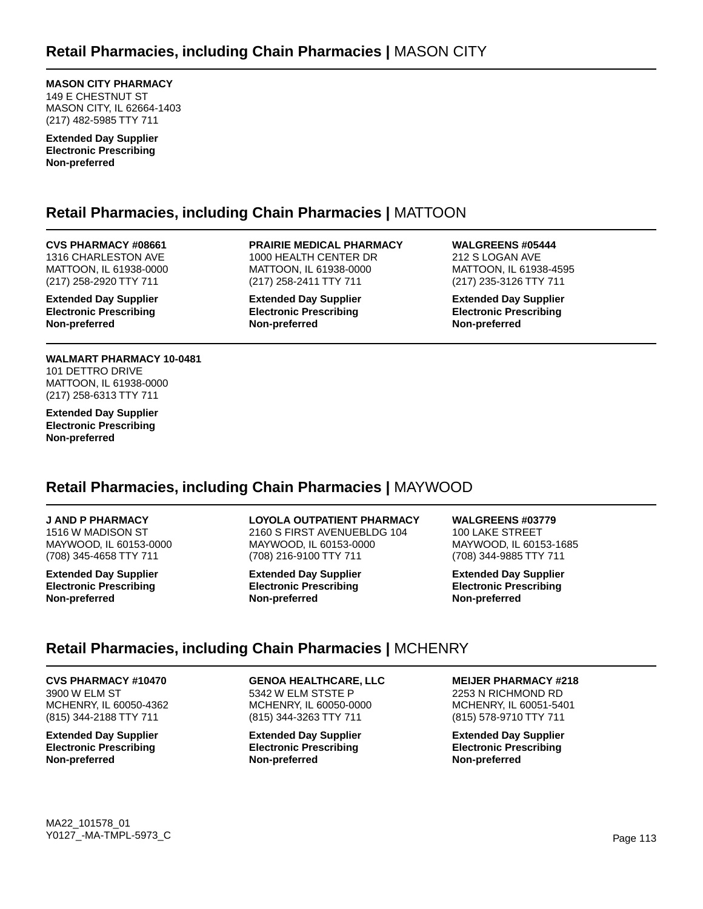**MASON CITY PHARMACY** 149 E CHESTNUT ST MASON CITY, IL 62664-1403 (217) 482-5985 TTY 711

**Extended Day Supplier Electronic Prescribing Non-preferred**

## **Retail Pharmacies, including Chain Pharmacies |** MATTOON

#### **CVS PHARMACY #08661** 1316 CHARLESTON AVE MATTOON, IL 61938-0000 (217) 258-2920 TTY 711

**Extended Day Supplier Electronic Prescribing Non-preferred**

#### **WALMART PHARMACY 10-0481** 101 DETTRO DRIVE MATTOON, IL 61938-0000 (217) 258-6313 TTY 711

**Extended Day Supplier Electronic Prescribing Non-preferred**

**PRAIRIE MEDICAL PHARMACY** 1000 HEALTH CENTER DR MATTOON, IL 61938-0000 (217) 258-2411 TTY 711

**Extended Day Supplier Electronic Prescribing Non-preferred**

**WALGREENS #05444** 212 S LOGAN AVE MATTOON, IL 61938-4595 (217) 235-3126 TTY 711

**Extended Day Supplier Electronic Prescribing Non-preferred**

## **Retail Pharmacies, including Chain Pharmacies |** MAYWOOD

#### **J AND P PHARMACY**

1516 W MADISON ST MAYWOOD, IL 60153-0000 (708) 345-4658 TTY 711

**Extended Day Supplier Electronic Prescribing Non-preferred**

#### **LOYOLA OUTPATIENT PHARMACY**

2160 S FIRST AVENUEBLDG 104 MAYWOOD, IL 60153-0000 (708) 216-9100 TTY 711

**Extended Day Supplier Electronic Prescribing Non-preferred**

**WALGREENS #03779** 100 LAKE STREET MAYWOOD, IL 60153-1685 (708) 344-9885 TTY 711

**Extended Day Supplier Electronic Prescribing Non-preferred**

## **Retail Pharmacies, including Chain Pharmacies |** MCHENRY

### **CVS PHARMACY #10470**

3900 W ELM ST MCHENRY, IL 60050-4362 (815) 344-2188 TTY 711

**Extended Day Supplier Electronic Prescribing Non-preferred**

**GENOA HEALTHCARE, LLC** 5342 W ELM STSTE P MCHENRY, IL 60050-0000 (815) 344-3263 TTY 711

**Extended Day Supplier Electronic Prescribing Non-preferred**

**MEIJER PHARMACY #218**

2253 N RICHMOND RD MCHENRY, IL 60051-5401 (815) 578-9710 TTY 711

**Extended Day Supplier Electronic Prescribing Non-preferred**

MA22\_101578\_01 Y0127\_-MA-TMPL-5973\_C Page 113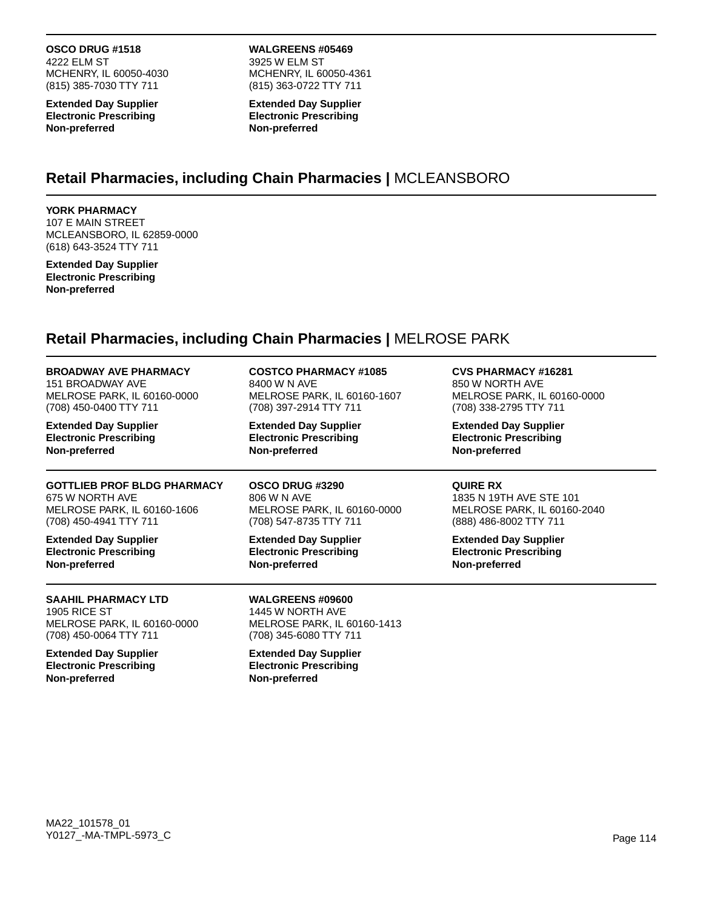**OSCO DRUG #1518** 4222 ELM ST MCHENRY, IL 60050-4030 (815) 385-7030 TTY 711

**Extended Day Supplier Electronic Prescribing Non-preferred**

**WALGREENS #05469** 3925 W ELM ST MCHENRY, IL 60050-4361 (815) 363-0722 TTY 711

**Extended Day Supplier Electronic Prescribing Non-preferred**

### **Retail Pharmacies, including Chain Pharmacies |** MCLEANSBORO

### **YORK PHARMACY**

107 E MAIN STREET MCLEANSBORO, IL 62859-0000 (618) 643-3524 TTY 711

**Extended Day Supplier Electronic Prescribing Non-preferred**

# **Retail Pharmacies, including Chain Pharmacies |** MELROSE PARK

| <b>BROADWAY AVE PHARMACY</b>                                                                               | <b>COSTCO PHARMACY #1085</b>                                                                  | <b>CVS PHARMACY #16281</b>    |
|------------------------------------------------------------------------------------------------------------|-----------------------------------------------------------------------------------------------|-------------------------------|
| 151 BROADWAY AVE                                                                                           | 8400 W N AVE                                                                                  | 850 W NORTH AVE               |
| MELROSE PARK, IL 60160-0000                                                                                | MELROSE PARK, IL 60160-1607                                                                   | MELROSE PARK, IL 60160-0000   |
| (708) 450-0400 TTY 711                                                                                     | (708) 397-2914 TTY 711                                                                        | (708) 338-2795 TTY 711        |
| <b>Extended Day Supplier</b>                                                                               | <b>Extended Day Supplier</b>                                                                  | <b>Extended Day Supplier</b>  |
| <b>Electronic Prescribing</b>                                                                              | <b>Electronic Prescribing</b>                                                                 | <b>Electronic Prescribing</b> |
| Non-preferred                                                                                              | Non-preferred                                                                                 | Non-preferred                 |
| <b>GOTTLIEB PROF BLDG PHARMACY</b>                                                                         | OSCO DRUG #3290                                                                               | <b>QUIRE RX</b>               |
| 675 W NORTH AVE                                                                                            | 806 W N AVE                                                                                   | 1835 N 19TH AVE STE 101       |
| MELROSE PARK, IL 60160-1606                                                                                | MELROSE PARK, IL 60160-0000                                                                   | MELROSE PARK, IL 60160-2040   |
| (708) 450-4941 TTY 711                                                                                     | (708) 547-8735 TTY 711                                                                        | (888) 486-8002 TTY 711        |
| <b>Extended Day Supplier</b>                                                                               | <b>Extended Day Supplier</b>                                                                  | <b>Extended Day Supplier</b>  |
| <b>Electronic Prescribing</b>                                                                              | <b>Electronic Prescribing</b>                                                                 | <b>Electronic Prescribing</b> |
| Non-preferred                                                                                              | Non-preferred                                                                                 | Non-preferred                 |
| <b>SAAHIL PHARMACY LTD</b><br><b>1905 RICE ST</b><br>MELROSE PARK, IL 60160-0000<br>(708) 450-0064 TTY 711 | WALGREENS #09600<br>1445 W NORTH AVE<br>MELROSE PARK, IL 60160-1413<br>(708) 345-6080 TTY 711 |                               |
| <b>Extended Day Supplier</b><br><b>Electronic Prescribing</b><br>Non-preferred                             | <b>Extended Day Supplier</b><br><b>Electronic Prescribing</b><br>Non-preferred                |                               |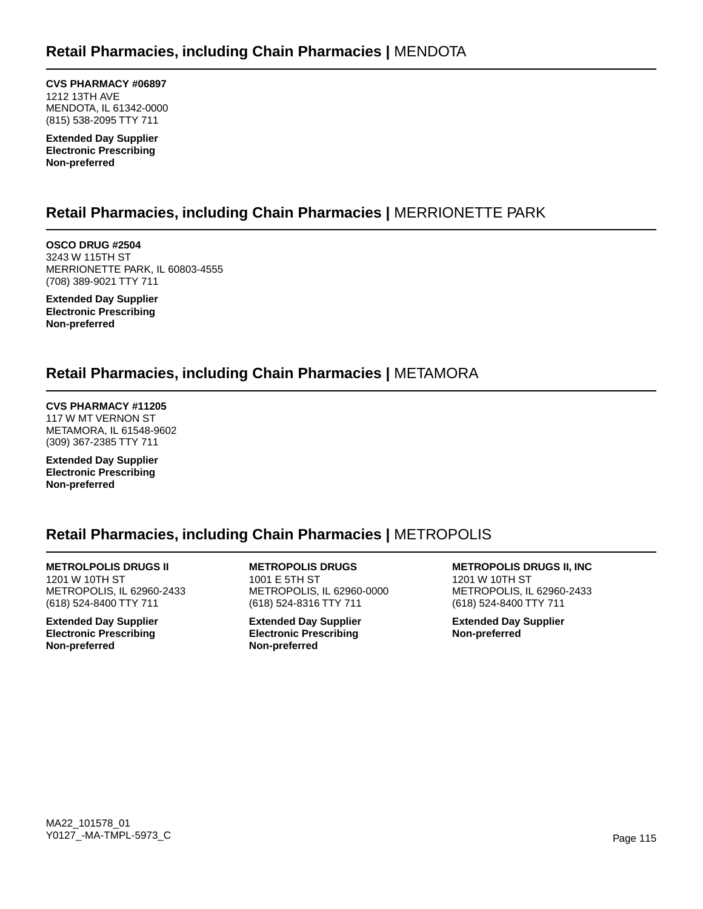**CVS PHARMACY #06897** 1212 13TH AVE MENDOTA, IL 61342-0000 (815) 538-2095 TTY 711

**Extended Day Supplier Electronic Prescribing Non-preferred**

## **Retail Pharmacies, including Chain Pharmacies |** MERRIONETTE PARK

**OSCO DRUG #2504** 3243 W 115TH ST MERRIONETTE PARK, IL 60803-4555 (708) 389-9021 TTY 711

**Extended Day Supplier Electronic Prescribing Non-preferred**

## **Retail Pharmacies, including Chain Pharmacies |** METAMORA

**CVS PHARMACY #11205** 117 W MT VERNON ST METAMORA, IL 61548-9602 (309) 367-2385 TTY 711

**Extended Day Supplier Electronic Prescribing Non-preferred**

## **Retail Pharmacies, including Chain Pharmacies |** METROPOLIS

**METROLPOLIS DRUGS II** 1201 W 10TH ST METROPOLIS, IL 62960-2433 (618) 524-8400 TTY 711

**Extended Day Supplier Electronic Prescribing Non-preferred**

**METROPOLIS DRUGS** 1001 E 5TH ST METROPOLIS, IL 62960-0000 (618) 524-8316 TTY 711

**Extended Day Supplier Electronic Prescribing Non-preferred**

**METROPOLIS DRUGS II, INC** 1201 W 10TH ST METROPOLIS, IL 62960-2433 (618) 524-8400 TTY 711

**Extended Day Supplier Non-preferred**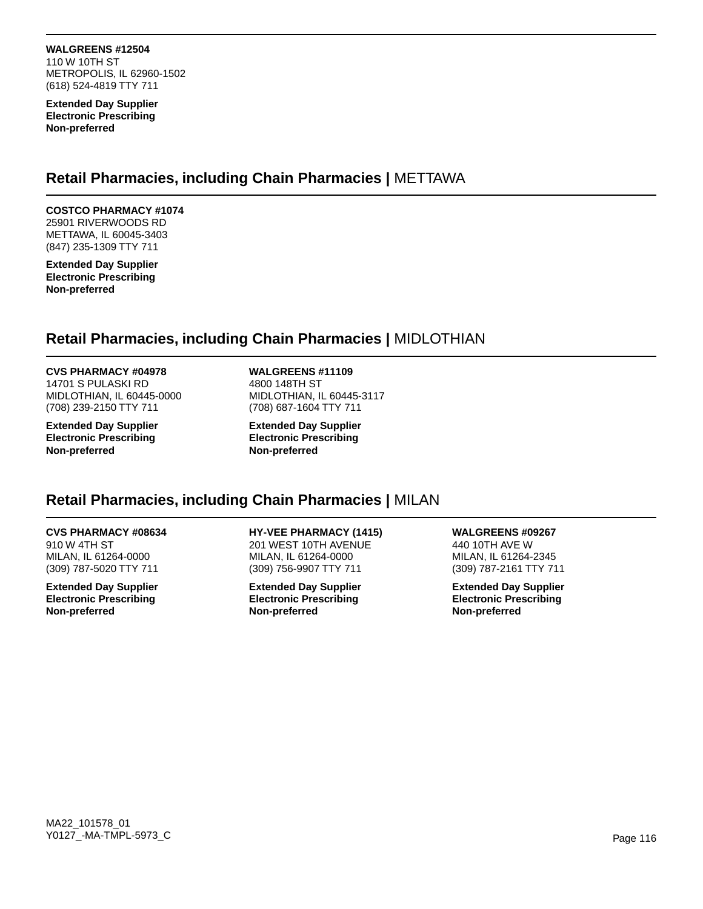**WALGREENS #12504** 110 W 10TH ST METROPOLIS, IL 62960-1502 (618) 524-4819 TTY 711

**Extended Day Supplier Electronic Prescribing Non-preferred**

### **Retail Pharmacies, including Chain Pharmacies |** METTAWA

### **COSTCO PHARMACY #1074**

25901 RIVERWOODS RD METTAWA, IL 60045-3403 (847) 235-1309 TTY 711

**Extended Day Supplier Electronic Prescribing Non-preferred**

### **Retail Pharmacies, including Chain Pharmacies |** MIDLOTHIAN

#### **CVS PHARMACY #04978**

14701 S PULASKI RD MIDLOTHIAN, IL 60445-0000 (708) 239-2150 TTY 711

**Extended Day Supplier Electronic Prescribing Non-preferred**

#### **WALGREENS #11109**

4800 148TH ST MIDLOTHIAN, IL 60445-3117 (708) 687-1604 TTY 711

**Extended Day Supplier Electronic Prescribing Non-preferred**

### **Retail Pharmacies, including Chain Pharmacies |** MILAN

### **CVS PHARMACY #08634**

910 W 4TH ST MILAN, IL 61264-0000 (309) 787-5020 TTY 711

**Extended Day Supplier Electronic Prescribing Non-preferred**

**HY-VEE PHARMACY (1415)** 201 WEST 10TH AVENUE MILAN, IL 61264-0000 (309) 756-9907 TTY 711

**Extended Day Supplier Electronic Prescribing Non-preferred**

**WALGREENS #09267** 440 10TH AVE W MILAN, IL 61264-2345

(309) 787-2161 TTY 711 **Extended Day Supplier**

**Electronic Prescribing Non-preferred**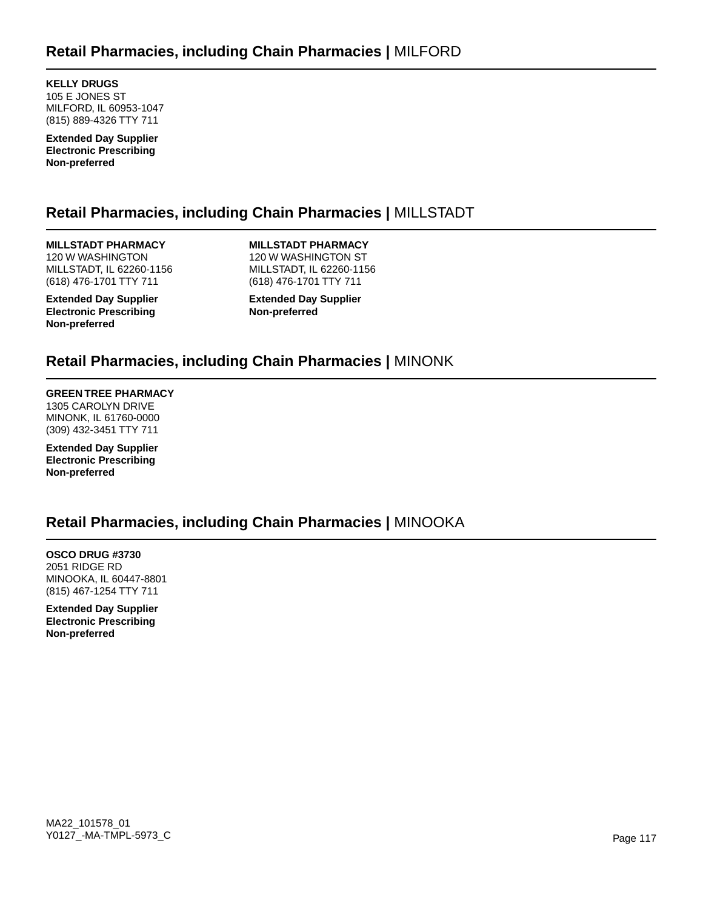**KELLY DRUGS** 105 E JONES ST MILFORD, IL 60953-1047 (815) 889-4326 TTY 711

**Extended Day Supplier Electronic Prescribing Non-preferred**

## **Retail Pharmacies, including Chain Pharmacies |** MILLSTADT

**MILLSTADT PHARMACY** 120 W WASHINGTON MILLSTADT, IL 62260-1156 (618) 476-1701 TTY 711

**Extended Day Supplier Electronic Prescribing Non-preferred**

**MILLSTADT PHARMACY** 120 W WASHINGTON ST MILLSTADT, IL 62260-1156 (618) 476-1701 TTY 711

**Extended Day Supplier Non-preferred**

### **Retail Pharmacies, including Chain Pharmacies |** MINONK

### **GREEN TREE PHARMACY**

1305 CAROLYN DRIVE MINONK, IL 61760-0000 (309) 432-3451 TTY 711

**Extended Day Supplier Electronic Prescribing Non-preferred**

### **Retail Pharmacies, including Chain Pharmacies |** MINOOKA

**OSCO DRUG #3730** 2051 RIDGE RD MINOOKA, IL 60447-8801 (815) 467-1254 TTY 711

**Extended Day Supplier Electronic Prescribing Non-preferred**

MA22\_101578\_01 Y0127\_-MA-TMPL-5973\_C Page 117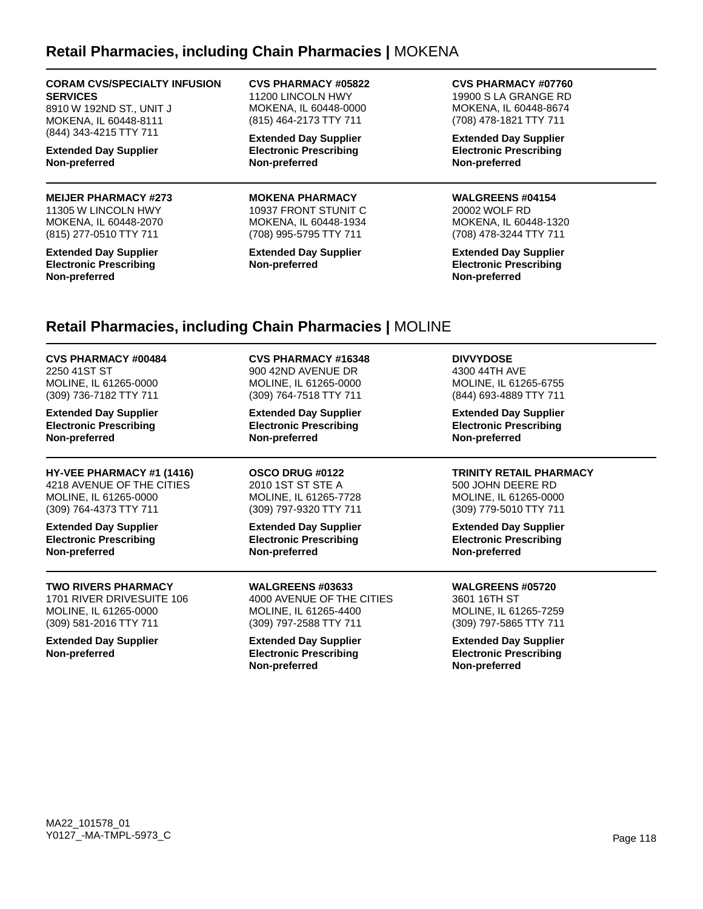### **Retail Pharmacies, including Chain Pharmacies |** MOKENA

#### **CORAM CVS/SPECIALTY INFUSION SERVICES**

8910 W 192ND ST., UNIT J MOKENA, IL 60448-8111 (844) 343-4215 TTY 711

**Extended Day Supplier Non-preferred**

### **MEIJER PHARMACY #273**

11305 W LINCOLN HWY MOKENA, IL 60448-2070 (815) 277-0510 TTY 711

**Extended Day Supplier Electronic Prescribing Non-preferred**

**CVS PHARMACY #05822** 11200 LINCOLN HWY MOKENA, IL 60448-0000 (815) 464-2173 TTY 711

**Extended Day Supplier Electronic Prescribing Non-preferred**

#### **MOKENA PHARMACY**

10937 FRONT STUNIT C MOKENA, IL 60448-1934 (708) 995-5795 TTY 711

**Extended Day Supplier Non-preferred**

**CVS PHARMACY #07760** 19900 S LA GRANGE RD MOKENA, IL 60448-8674 (708) 478-1821 TTY 711

**Extended Day Supplier Electronic Prescribing Non-preferred**

#### **WALGREENS #04154**

20002 WOLF RD MOKENA, IL 60448-1320 (708) 478-3244 TTY 711

**Extended Day Supplier Electronic Prescribing Non-preferred**

### **Retail Pharmacies, including Chain Pharmacies |** MOLINE

**CVS PHARMACY #00484** 2250 41ST ST MOLINE, IL 61265-0000 (309) 736-7182 TTY 711

**Extended Day Supplier Electronic Prescribing Non-preferred**

**HY-VEE PHARMACY #1 (1416)** 4218 AVENUE OF THE CITIES MOLINE, IL 61265-0000 (309) 764-4373 TTY 711

**Extended Day Supplier Electronic Prescribing Non-preferred**

#### **TWO RIVERS PHARMACY**

1701 RIVER DRIVESUITE 106 MOLINE, IL 61265-0000 (309) 581-2016 TTY 711

**Extended Day Supplier Non-preferred**

**CVS PHARMACY #16348** 900 42ND AVENUE DR MOLINE, IL 61265-0000 (309) 764-7518 TTY 711

**Extended Day Supplier Electronic Prescribing Non-preferred**

**OSCO DRUG #0122** 2010 1ST ST STE A MOLINE, IL 61265-7728 (309) 797-9320 TTY 711

**Extended Day Supplier Electronic Prescribing Non-preferred**

**WALGREENS #03633** 4000 AVENUE OF THE CITIES MOLINE, IL 61265-4400 (309) 797-2588 TTY 711

**Extended Day Supplier Electronic Prescribing Non-preferred**

**DIVVYDOSE**

4300 44TH AVE MOLINE, IL 61265-6755 (844) 693-4889 TTY 711

**Extended Day Supplier Electronic Prescribing Non-preferred**

### **TRINITY RETAIL PHARMACY**

500 JOHN DEERE RD MOLINE, IL 61265-0000 (309) 779-5010 TTY 711

**Extended Day Supplier Electronic Prescribing Non-preferred**

#### **WALGREENS #05720**

3601 16TH ST MOLINE, IL 61265-7259 (309) 797-5865 TTY 711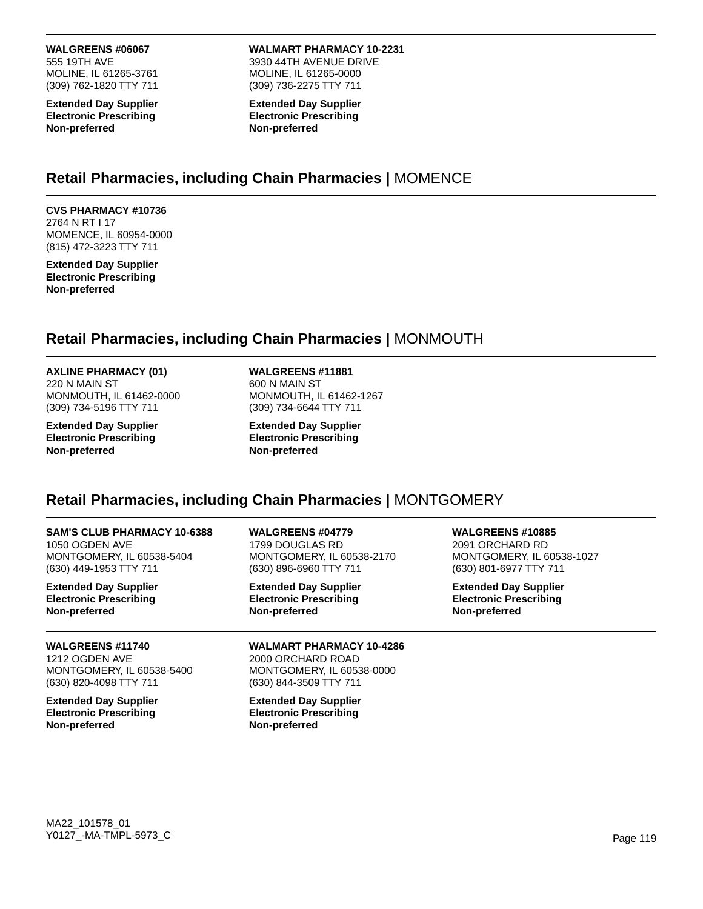### **WALGREENS #06067**

555 19TH AVE MOLINE, IL 61265-3761 (309) 762-1820 TTY 711

**Extended Day Supplier Electronic Prescribing Non-preferred**

**WALMART PHARMACY 10-2231** 3930 44TH AVENUE DRIVE MOLINE, IL 61265-0000 (309) 736-2275 TTY 711

**Extended Day Supplier Electronic Prescribing Non-preferred**

### **Retail Pharmacies, including Chain Pharmacies |** MOMENCE

#### **CVS PHARMACY #10736** 2764 N RT I 17 MOMENCE, IL 60954-0000 (815) 472-3223 TTY 711

**Extended Day Supplier Electronic Prescribing Non-preferred**

## **Retail Pharmacies, including Chain Pharmacies |** MONMOUTH

#### **AXLINE PHARMACY (01)** 220 N MAIN ST MONMOUTH, IL 61462-0000

(309) 734-5196 TTY 711 **Extended Day Supplier**

**Electronic Prescribing Non-preferred**

### **WALGREENS #11881**

600 N MAIN ST MONMOUTH, IL 61462-1267 (309) 734-6644 TTY 711

**Extended Day Supplier Electronic Prescribing Non-preferred**

## **Retail Pharmacies, including Chain Pharmacies |** MONTGOMERY

#### **SAM'S CLUB PHARMACY 10-6388** 1050 OGDEN AVE MONTGOMERY, IL 60538-5404 (630) 449-1953 TTY 711

**Extended Day Supplier Electronic Prescribing Non-preferred**

#### **WALGREENS #11740** 1212 OGDEN AVE MONTGOMERY, IL 60538-5400 (630) 820-4098 TTY 711

**Extended Day Supplier Electronic Prescribing Non-preferred**

**WALGREENS #04779** 1799 DOUGLAS RD MONTGOMERY, IL 60538-2170 (630) 896-6960 TTY 711

**Extended Day Supplier Electronic Prescribing Non-preferred**

**WALGREENS #10885** 2091 ORCHARD RD MONTGOMERY, IL 60538-1027 (630) 801-6977 TTY 711

**Extended Day Supplier Electronic Prescribing Non-preferred**

### **WALMART PHARMACY 10-4286**

2000 ORCHARD ROAD MONTGOMERY, IL 60538-0000 (630) 844-3509 TTY 711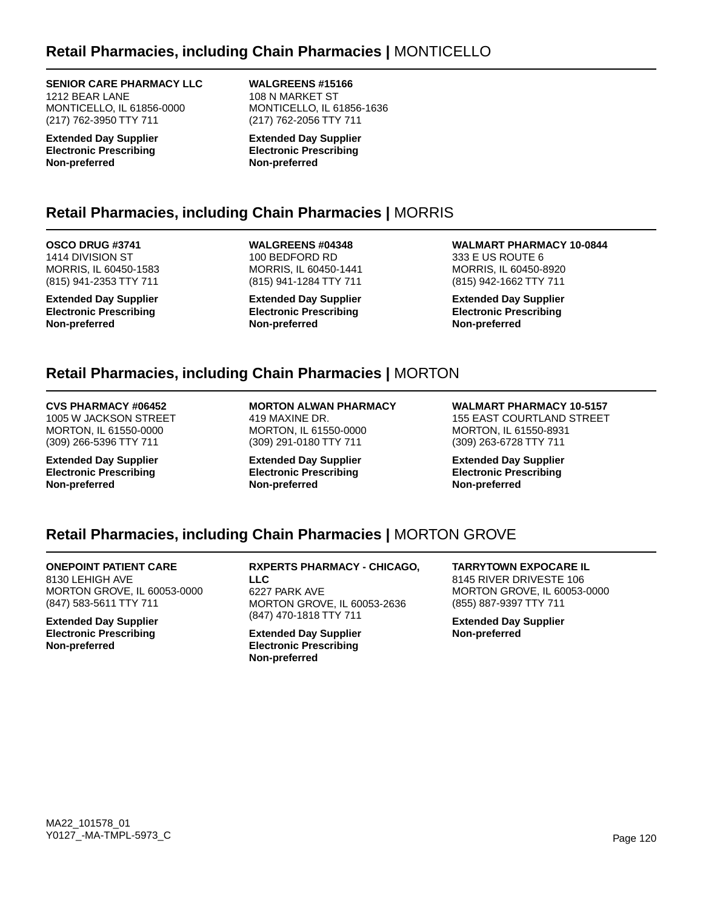## **Retail Pharmacies, including Chain Pharmacies |** MONTICELLO

**SENIOR CARE PHARMACY LLC**

1212 BEAR LANE MONTICELLO, IL 61856-0000 (217) 762-3950 TTY 711

**Extended Day Supplier Electronic Prescribing Non-preferred**

**WALGREENS #15166** 108 N MARKET ST MONTICELLO, IL 61856-1636 (217) 762-2056 TTY 711

**Extended Day Supplier Electronic Prescribing Non-preferred**

## **Retail Pharmacies, including Chain Pharmacies |** MORRIS

**OSCO DRUG #3741** 1414 DIVISION ST MORRIS, IL 60450-1583 (815) 941-2353 TTY 711

**Extended Day Supplier Electronic Prescribing Non-preferred**

**WALGREENS #04348** 100 BEDFORD RD MORRIS, IL 60450-1441 (815) 941-1284 TTY 711

**Extended Day Supplier Electronic Prescribing Non-preferred**

**WALMART PHARMACY 10-0844** 333 E US ROUTE 6 MORRIS, IL 60450-8920 (815) 942-1662 TTY 711

**Extended Day Supplier Electronic Prescribing Non-preferred**

## **Retail Pharmacies, including Chain Pharmacies |** MORTON

### **CVS PHARMACY #06452**

1005 W JACKSON STREET MORTON, IL 61550-0000 (309) 266-5396 TTY 711

**Extended Day Supplier Electronic Prescribing Non-preferred**

**MORTON ALWAN PHARMACY** 419 MAXINE DR. MORTON, IL 61550-0000 (309) 291-0180 TTY 711

**Extended Day Supplier Electronic Prescribing Non-preferred**

**WALMART PHARMACY 10-5157** 155 EAST COURTLAND STREET MORTON, IL 61550-8931 (309) 263-6728 TTY 711

**Extended Day Supplier Electronic Prescribing Non-preferred**

## **Retail Pharmacies, including Chain Pharmacies |** MORTON GROVE

**ONEPOINT PATIENT CARE** 8130 LEHIGH AVE MORTON GROVE, IL 60053-0000 (847) 583-5611 TTY 711

**Extended Day Supplier Electronic Prescribing Non-preferred**

**RXPERTS PHARMACY - CHICAGO, LLC** 6227 PARK AVE MORTON GROVE, IL 60053-2636 (847) 470-1818 TTY 711

**Extended Day Supplier Electronic Prescribing Non-preferred**

**TARRYTOWN EXPOCARE IL** 8145 RIVER DRIVESTE 106 MORTON GROVE, IL 60053-0000 (855) 887-9397 TTY 711

**Extended Day Supplier Non-preferred**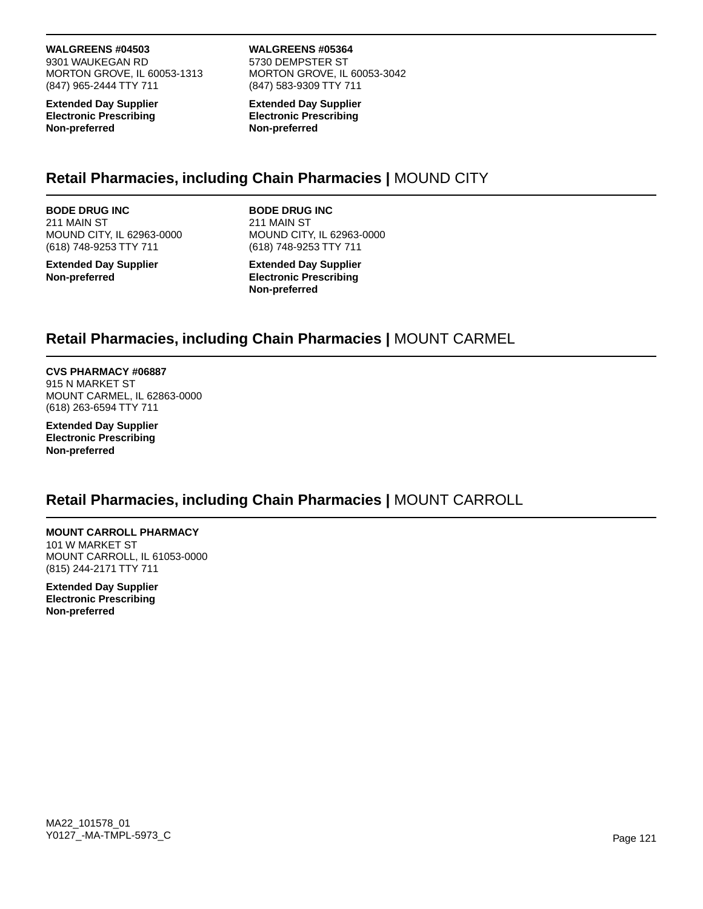**WALGREENS #04503**

9301 WAUKEGAN RD MORTON GROVE, IL 60053-1313 (847) 965-2444 TTY 711

**Extended Day Supplier Electronic Prescribing Non-preferred**

#### **WALGREENS #05364** 5730 DEMPSTER ST MORTON GROVE, IL 60053-3042 (847) 583-9309 TTY 711

**Extended Day Supplier Electronic Prescribing Non-preferred**

## **Retail Pharmacies, including Chain Pharmacies |** MOUND CITY

**BODE DRUG INC** 211 MAIN ST MOUND CITY, IL 62963-0000 (618) 748-9253 TTY 711

**Extended Day Supplier Non-preferred**

**BODE DRUG INC** 211 MAIN ST MOUND CITY, IL 62963-0000 (618) 748-9253 TTY 711

**Extended Day Supplier Electronic Prescribing Non-preferred**

## **Retail Pharmacies, including Chain Pharmacies |** MOUNT CARMEL

**CVS PHARMACY #06887** 915 N MARKET ST MOUNT CARMEL, IL 62863-0000 (618) 263-6594 TTY 711

**Extended Day Supplier Electronic Prescribing Non-preferred**

## **Retail Pharmacies, including Chain Pharmacies |** MOUNT CARROLL

## **MOUNT CARROLL PHARMACY**

101 W MARKET ST MOUNT CARROLL, IL 61053-0000 (815) 244-2171 TTY 711

**Extended Day Supplier Electronic Prescribing Non-preferred**

MA22\_101578\_01 Y0127\_-MA-TMPL-5973\_C Page 121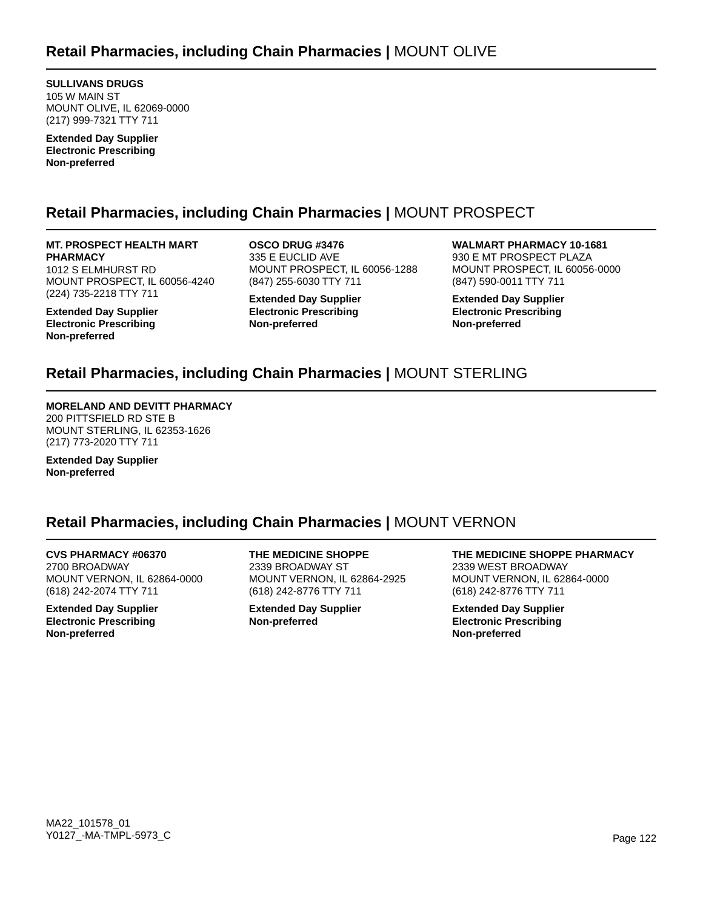**SULLIVANS DRUGS** 105 W MAIN ST MOUNT OLIVE, IL 62069-0000 (217) 999-7321 TTY 711

**Extended Day Supplier Electronic Prescribing Non-preferred**

## **Retail Pharmacies, including Chain Pharmacies |** MOUNT PROSPECT

**MT. PROSPECT HEALTH MART PHARMACY** 1012 S ELMHURST RD MOUNT PROSPECT, IL 60056-4240 (224) 735-2218 TTY 711

**Extended Day Supplier Electronic Prescribing Non-preferred**

**OSCO DRUG #3476** 335 E EUCLID AVE MOUNT PROSPECT, IL 60056-1288 (847) 255-6030 TTY 711

**Extended Day Supplier Electronic Prescribing Non-preferred**

**WALMART PHARMACY 10-1681** 930 E MT PROSPECT PLAZA MOUNT PROSPECT, IL 60056-0000 (847) 590-0011 TTY 711

**Extended Day Supplier Electronic Prescribing Non-preferred**

## **Retail Pharmacies, including Chain Pharmacies |** MOUNT STERLING

### **MORELAND AND DEVITT PHARMACY**

200 PITTSFIELD RD STE B MOUNT STERLING, IL 62353-1626 (217) 773-2020 TTY 711

**Extended Day Supplier Non-preferred**

## **Retail Pharmacies, including Chain Pharmacies |** MOUNT VERNON

**CVS PHARMACY #06370** 2700 BROADWAY MOUNT VERNON, IL 62864-0000 (618) 242-2074 TTY 711

**Extended Day Supplier Electronic Prescribing Non-preferred**

**THE MEDICINE SHOPPE** 2339 BROADWAY ST MOUNT VERNON, IL 62864-2925 (618) 242-8776 TTY 711

**Extended Day Supplier Non-preferred**

**THE MEDICINE SHOPPE PHARMACY** 2339 WEST BROADWAY MOUNT VERNON, IL 62864-0000 (618) 242-8776 TTY 711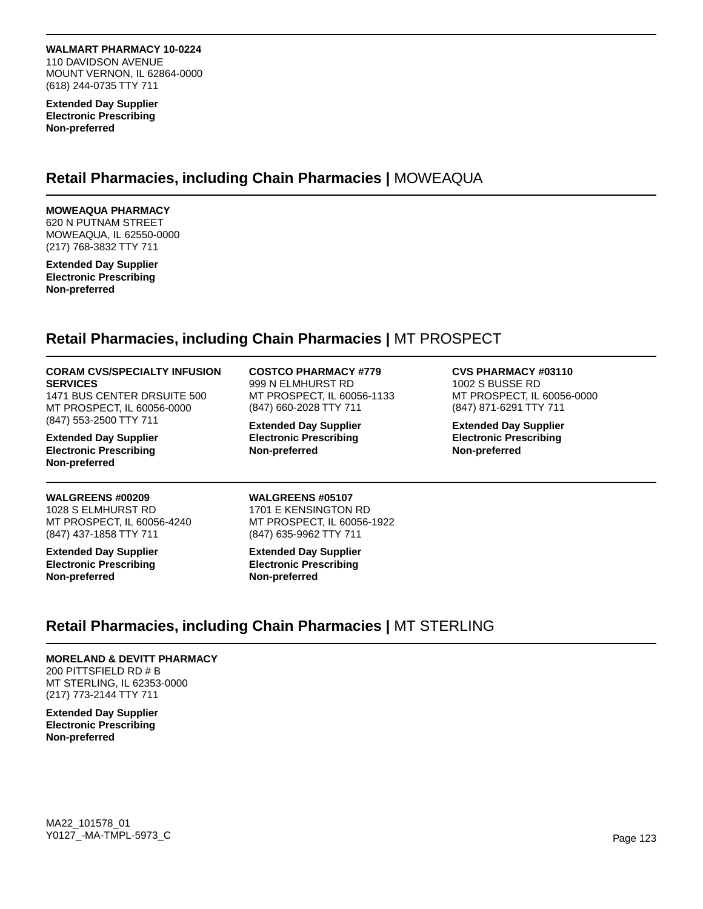### **WALMART PHARMACY 10-0224**

110 DAVIDSON AVENUE MOUNT VERNON, IL 62864-0000 (618) 244-0735 TTY 711

**Extended Day Supplier Electronic Prescribing Non-preferred**

### **Retail Pharmacies, including Chain Pharmacies |** MOWEAQUA

### **MOWEAQUA PHARMACY**

620 N PUTNAM STREET MOWEAQUA, IL 62550-0000 (217) 768-3832 TTY 711

**Extended Day Supplier Electronic Prescribing Non-preferred**

## **Retail Pharmacies, including Chain Pharmacies |** MT PROSPECT

### **CORAM CVS/SPECIALTY INFUSION SERVICES**

1471 BUS CENTER DRSUITE 500 MT PROSPECT, IL 60056-0000 (847) 553-2500 TTY 711

**Extended Day Supplier Electronic Prescribing Non-preferred**

### **WALGREENS #00209**

1028 S ELMHURST RD MT PROSPECT, IL 60056-4240 (847) 437-1858 TTY 711

**Extended Day Supplier Electronic Prescribing Non-preferred**

### **COSTCO PHARMACY #779**

999 N ELMHURST RD MT PROSPECT, IL 60056-1133 (847) 660-2028 TTY 711

**Extended Day Supplier Electronic Prescribing Non-preferred**

#### **CVS PHARMACY #03110**

1002 S BUSSE RD MT PROSPECT, IL 60056-0000 (847) 871-6291 TTY 711

**Extended Day Supplier Electronic Prescribing Non-preferred**

**WALGREENS #05107** 1701 E KENSINGTON RD MT PROSPECT, IL 60056-1922 (847) 635-9962 TTY 711

**Extended Day Supplier Electronic Prescribing Non-preferred**

## **Retail Pharmacies, including Chain Pharmacies |** MT STERLING

### **MORELAND & DEVITT PHARMACY**

200 PITTSFIELD RD # B MT STERLING, IL 62353-0000 (217) 773-2144 TTY 711

**Extended Day Supplier Electronic Prescribing Non-preferred**

MA22\_101578\_01 Y0127\_-MA-TMPL-5973\_C Page 123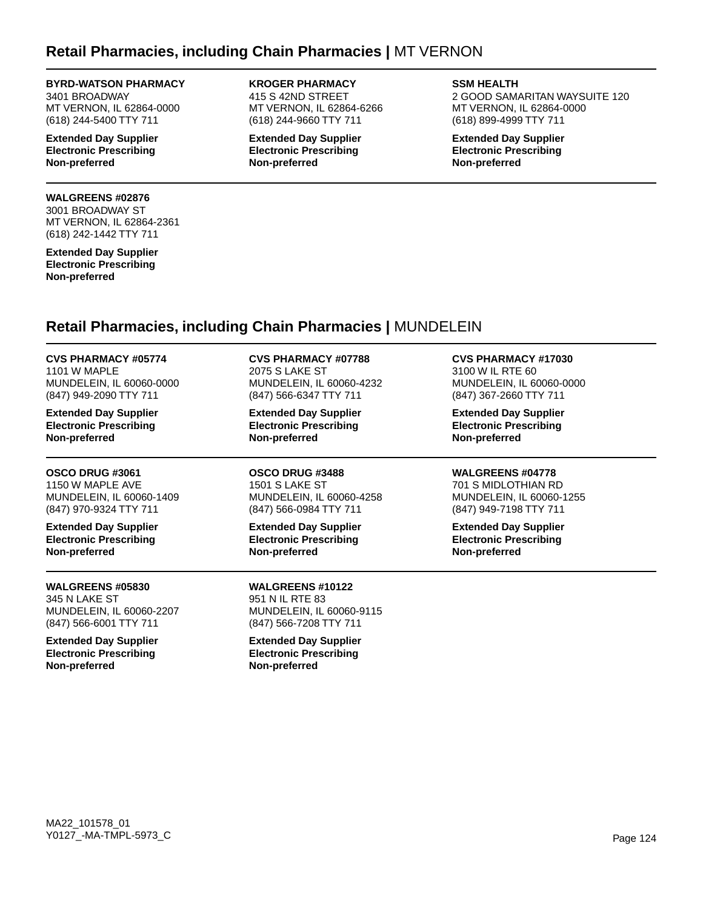### **Retail Pharmacies, including Chain Pharmacies |** MT VERNON

### **BYRD-WATSON PHARMACY**

3401 BROADWAY MT VERNON, IL 62864-0000 (618) 244-5400 TTY 711

**Extended Day Supplier Electronic Prescribing Non-preferred**

#### **WALGREENS #02876**

3001 BROADWAY ST MT VERNON, IL 62864-2361 (618) 242-1442 TTY 711

**Extended Day Supplier Electronic Prescribing Non-preferred**

**KROGER PHARMACY** 415 S 42ND STREET MT VERNON, IL 62864-6266 (618) 244-9660 TTY 711

**Extended Day Supplier Electronic Prescribing Non-preferred**

**SSM HEALTH**

2 GOOD SAMARITAN WAYSUITE 120 MT VERNON, IL 62864-0000 (618) 899-4999 TTY 711

**Extended Day Supplier Electronic Prescribing Non-preferred**

## **Retail Pharmacies, including Chain Pharmacies |** MUNDELEIN

**CVS PHARMACY #05774** 1101 W MAPLE MUNDELEIN, IL 60060-0000 (847) 949-2090 TTY 711

**Extended Day Supplier Electronic Prescribing Non-preferred**

**OSCO DRUG #3061** 1150 W MAPLE AVE MUNDELEIN, IL 60060-1409 (847) 970-9324 TTY 711

**Extended Day Supplier Electronic Prescribing Non-preferred**

**WALGREENS #05830** 345 N LAKE ST MUNDELEIN, IL 60060-2207 (847) 566-6001 TTY 711

**Extended Day Supplier Electronic Prescribing Non-preferred**

**CVS PHARMACY #07788** 2075 S LAKE ST MUNDELEIN, IL 60060-4232 (847) 566-6347 TTY 711

**Extended Day Supplier Electronic Prescribing Non-preferred**

**OSCO DRUG #3488** 1501 S LAKE ST MUNDELEIN, IL 60060-4258 (847) 566-0984 TTY 711

**Extended Day Supplier Electronic Prescribing Non-preferred**

**WALGREENS #10122** 951 N IL RTE 83 MUNDELEIN, IL 60060-9115 (847) 566-7208 TTY 711

**Extended Day Supplier Electronic Prescribing Non-preferred**

**CVS PHARMACY #17030** 3100 W IL RTE 60

MUNDELEIN, IL 60060-0000 (847) 367-2660 TTY 711

**Extended Day Supplier Electronic Prescribing Non-preferred**

**WALGREENS #04778**

701 S MIDLOTHIAN RD MUNDELEIN, IL 60060-1255 (847) 949-7198 TTY 711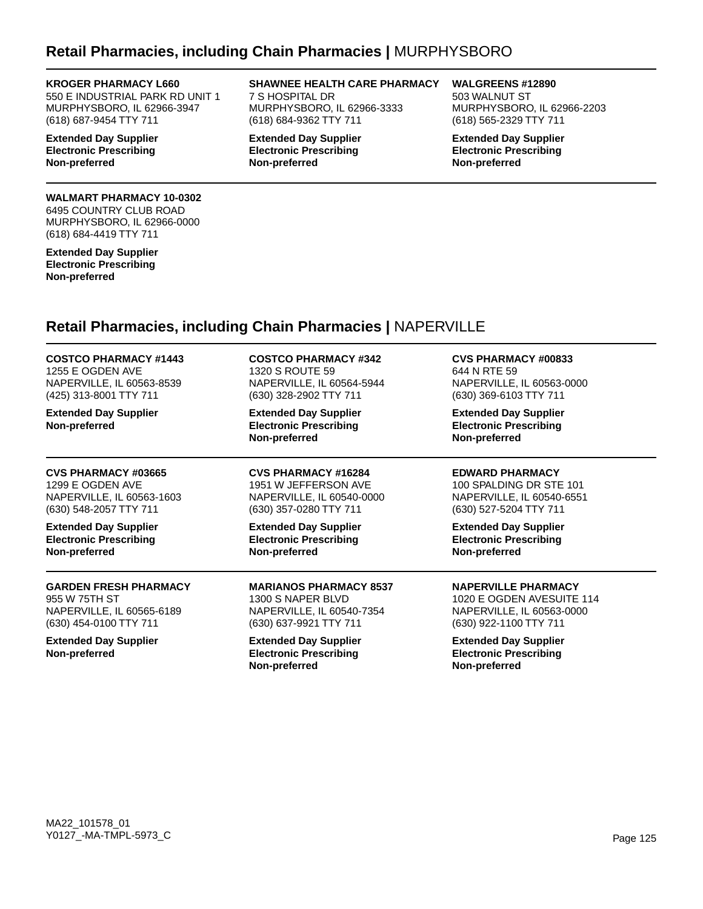## **Retail Pharmacies, including Chain Pharmacies |** MURPHYSBORO

#### **KROGER PHARMACY L660**

550 E INDUSTRIAL PARK RD UNIT 1 MURPHYSBORO, IL 62966-3947 (618) 687-9454 TTY 711

**Extended Day Supplier Electronic Prescribing Non-preferred**

### **WALMART PHARMACY 10-0302**

6495 COUNTRY CLUB ROAD MURPHYSBORO, IL 62966-0000 (618) 684-4419 TTY 711

**Extended Day Supplier Electronic Prescribing Non-preferred**

**SHAWNEE HEALTH CARE PHARMACY** 7 S HOSPITAL DR MURPHYSBORO, IL 62966-3333 (618) 684-9362 TTY 711

**Extended Day Supplier Electronic Prescribing Non-preferred**

**WALGREENS #12890** 503 WALNUT ST MURPHYSBORO, IL 62966-2203 (618) 565-2329 TTY 711

**Extended Day Supplier Electronic Prescribing Non-preferred**

## **Retail Pharmacies, including Chain Pharmacies |** NAPERVILLE

**COSTCO PHARMACY #1443** 1255 E OGDEN AVE NAPERVILLE, IL 60563-8539 (425) 313-8001 TTY 711

**Extended Day Supplier Non-preferred**

**CVS PHARMACY #03665** 1299 E OGDEN AVE NAPERVILLE, IL 60563-1603 (630) 548-2057 TTY 711

**Extended Day Supplier Electronic Prescribing Non-preferred**

#### **GARDEN FRESH PHARMACY** 955 W 75TH ST NAPERVILLE, IL 60565-6189 (630) 454-0100 TTY 711

**Extended Day Supplier Non-preferred**

**COSTCO PHARMACY #342** 1320 S ROUTE 59 NAPERVILLE, IL 60564-5944 (630) 328-2902 TTY 711

**Extended Day Supplier Electronic Prescribing Non-preferred**

**CVS PHARMACY #16284** 1951 W JEFFERSON AVE NAPERVILLE, IL 60540-0000 (630) 357-0280 TTY 711

**Extended Day Supplier Electronic Prescribing Non-preferred**

**MARIANOS PHARMACY 8537** 1300 S NAPER BLVD NAPERVILLE, IL 60540-7354 (630) 637-9921 TTY 711

**Extended Day Supplier Electronic Prescribing Non-preferred**

**CVS PHARMACY #00833** 644 N RTE 59 NAPERVILLE, IL 60563-0000 (630) 369-6103 TTY 711

**Extended Day Supplier Electronic Prescribing Non-preferred**

**EDWARD PHARMACY**

100 SPALDING DR STE 101 NAPERVILLE, IL 60540-6551 (630) 527-5204 TTY 711

**Extended Day Supplier Electronic Prescribing Non-preferred**

**NAPERVILLE PHARMACY**

1020 E OGDEN AVESUITE 114 NAPERVILLE, IL 60563-0000 (630) 922-1100 TTY 711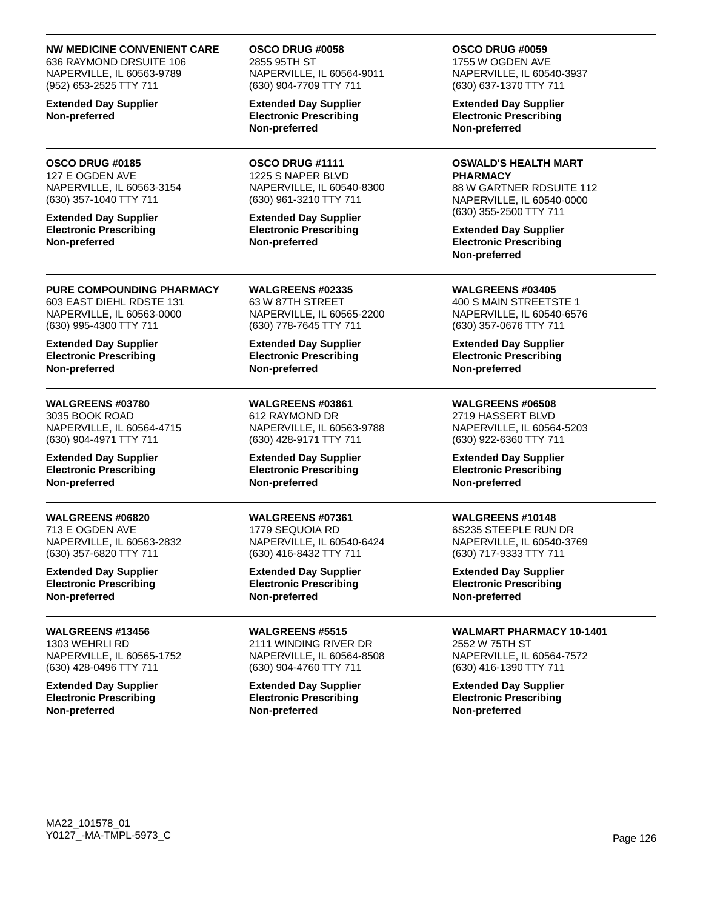**NW MEDICINE CONVENIENT CARE**

636 RAYMOND DRSUITE 106 NAPERVILLE, IL 60563-9789 (952) 653-2525 TTY 711

**Extended Day Supplier Non-preferred**

#### **OSCO DRUG #0185** 127 E OGDEN AVE

NAPERVILLE, IL 60563-3154 (630) 357-1040 TTY 711

**Extended Day Supplier Electronic Prescribing Non-preferred**

### **PURE COMPOUNDING PHARMACY**

603 EAST DIEHL RDSTE 131 NAPERVILLE, IL 60563-0000 (630) 995-4300 TTY 711

**Extended Day Supplier Electronic Prescribing Non-preferred**

### **WALGREENS #03780**

3035 BOOK ROAD NAPERVILLE, IL 60564-4715 (630) 904-4971 TTY 711

**Extended Day Supplier Electronic Prescribing Non-preferred**

### **WALGREENS #06820**

713 E OGDEN AVE NAPERVILLE, IL 60563-2832 (630) 357-6820 TTY 711

**Extended Day Supplier Electronic Prescribing Non-preferred**

**WALGREENS #13456** 1303 WEHRLI RD NAPERVILLE, IL 60565-1752 (630) 428-0496 TTY 711

**Extended Day Supplier Electronic Prescribing Non-preferred**

**OSCO DRUG #0058** 2855 95TH ST NAPERVILLE, IL 60564-9011 (630) 904-7709 TTY 711

**Extended Day Supplier Electronic Prescribing Non-preferred**

**OSCO DRUG #1111** 1225 S NAPER BLVD NAPERVILLE, IL 60540-8300 (630) 961-3210 TTY 711

**Extended Day Supplier Electronic Prescribing Non-preferred**

**WALGREENS #02335** 63 W 87TH STREET NAPERVILLE, IL 60565-2200 (630) 778-7645 TTY 711

**Extended Day Supplier Electronic Prescribing Non-preferred**

**WALGREENS #03861** 612 RAYMOND DR NAPERVILLE, IL 60563-9788 (630) 428-9171 TTY 711

**Extended Day Supplier Electronic Prescribing Non-preferred**

### **WALGREENS #07361**

1779 SEQUOIA RD NAPERVILLE, IL 60540-6424 (630) 416-8432 TTY 711

**Extended Day Supplier Electronic Prescribing Non-preferred**

**WALGREENS #5515** 2111 WINDING RIVER DR NAPERVILLE, IL 60564-8508 (630) 904-4760 TTY 711

**Extended Day Supplier Electronic Prescribing Non-preferred**

**OSCO DRUG #0059**

1755 W OGDEN AVE NAPERVILLE, IL 60540-3937 (630) 637-1370 TTY 711

**Extended Day Supplier Electronic Prescribing Non-preferred**

### **OSWALD'S HEALTH MART**

**PHARMACY** 88 W GARTNER RDSUITE 112 NAPERVILLE, IL 60540-0000 (630) 355-2500 TTY 711

**Extended Day Supplier Electronic Prescribing Non-preferred**

**WALGREENS #03405** 400 S MAIN STREETSTE 1 NAPERVILLE, IL 60540-6576 (630) 357-0676 TTY 711

**Extended Day Supplier Electronic Prescribing Non-preferred**

### **WALGREENS #06508**

2719 HASSERT BLVD NAPERVILLE, IL 60564-5203 (630) 922-6360 TTY 711

**Extended Day Supplier Electronic Prescribing Non-preferred**

### **WALGREENS #10148** 6S235 STEEPLE RUN DR

NAPERVILLE, IL 60540-3769 (630) 717-9333 TTY 711

**Extended Day Supplier Electronic Prescribing Non-preferred**

## **WALMART PHARMACY 10-1401**

2552 W 75TH ST NAPERVILLE, IL 60564-7572 (630) 416-1390 TTY 711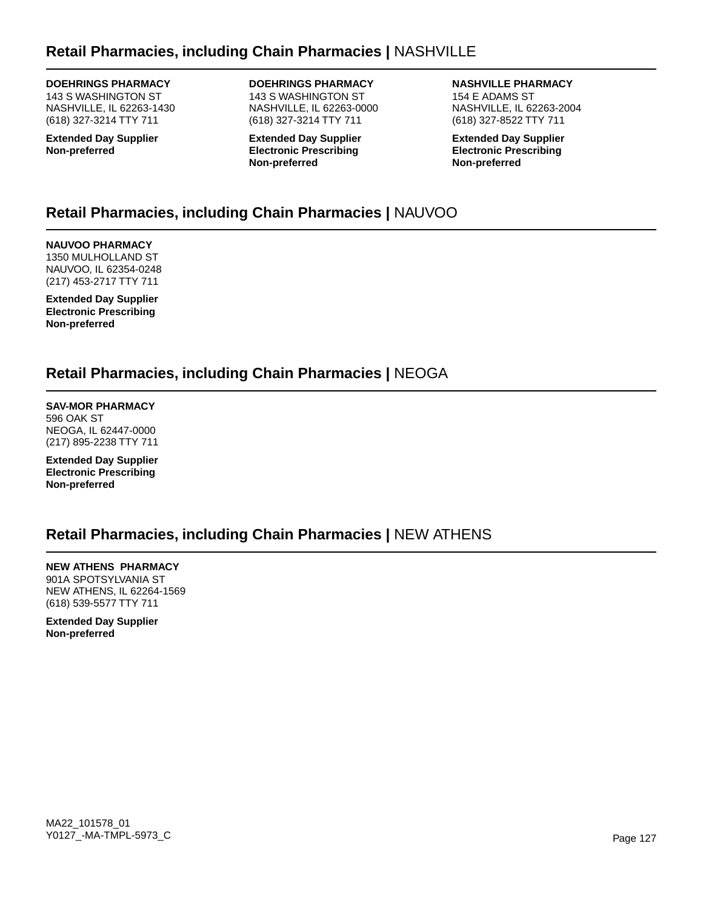### **DOEHRINGS PHARMACY**

143 S WASHINGTON ST NASHVILLE, IL 62263-1430 (618) 327-3214 TTY 711

**Extended Day Supplier Non-preferred**

### **DOEHRINGS PHARMACY**

143 S WASHINGTON ST NASHVILLE, IL 62263-0000 (618) 327-3214 TTY 711

**Extended Day Supplier Electronic Prescribing Non-preferred**

**NASHVILLE PHARMACY** 154 E ADAMS ST NASHVILLE, IL 62263-2004 (618) 327-8522 TTY 711

**Extended Day Supplier Electronic Prescribing Non-preferred**

## **Retail Pharmacies, including Chain Pharmacies |** NAUVOO

**NAUVOO PHARMACY** 1350 MULHOLLAND ST NAUVOO, IL 62354-0248 (217) 453-2717 TTY 711

**Extended Day Supplier Electronic Prescribing Non-preferred**

## **Retail Pharmacies, including Chain Pharmacies |** NEOGA

**SAV-MOR PHARMACY** 596 OAK ST NEOGA, IL 62447-0000 (217) 895-2238 TTY 711

**Extended Day Supplier Electronic Prescribing Non-preferred**

## **Retail Pharmacies, including Chain Pharmacies |** NEW ATHENS

**NEW ATHENS PHARMACY** 901A SPOTSYLVANIA ST NEW ATHENS, IL 62264-1569 (618) 539-5577 TTY 711

**Extended Day Supplier Non-preferred**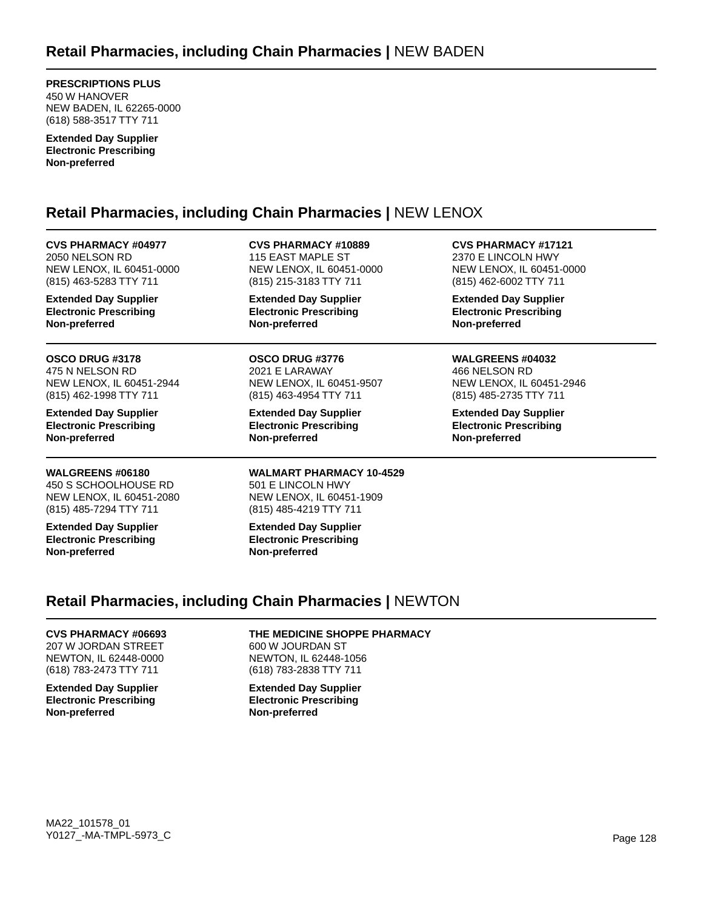**PRESCRIPTIONS PLUS** 450 W HANOVER NEW BADEN, IL 62265-0000 (618) 588-3517 TTY 711

**Extended Day Supplier Electronic Prescribing Non-preferred**

## **Retail Pharmacies, including Chain Pharmacies |** NEW LENOX

**CVS PHARMACY #04977** 2050 NELSON RD NEW LENOX, IL 60451-0000 (815) 463-5283 TTY 711

**Extended Day Supplier Electronic Prescribing Non-preferred**

**OSCO DRUG #3178** 475 N NELSON RD NEW LENOX, IL 60451-2944 (815) 462-1998 TTY 711

**Extended Day Supplier Electronic Prescribing Non-preferred**

**WALGREENS #06180** 450 S SCHOOLHOUSE RD NEW LENOX, IL 60451-2080 (815) 485-7294 TTY 711

**Extended Day Supplier Electronic Prescribing Non-preferred**

**CVS PHARMACY #10889** 115 EAST MAPLE ST NEW LENOX, IL 60451-0000 (815) 215-3183 TTY 711

**Extended Day Supplier Electronic Prescribing Non-preferred**

**OSCO DRUG #3776** 2021 E LARAWAY NEW LENOX, IL 60451-9507 (815) 463-4954 TTY 711

**Extended Day Supplier Electronic Prescribing Non-preferred**

**WALMART PHARMACY 10-4529** 501 E LINCOLN HWY NEW LENOX, IL 60451-1909 (815) 485-4219 TTY 711

**Extended Day Supplier Electronic Prescribing Non-preferred**

**CVS PHARMACY #17121** 2370 E LINCOLN HWY NEW LENOX, IL 60451-0000 (815) 462-6002 TTY 711

**Extended Day Supplier Electronic Prescribing Non-preferred**

#### **WALGREENS #04032** 466 NELSON RD NEW LENOX, IL 60451-2946 (815) 485-2735 TTY 711

**Extended Day Supplier Electronic Prescribing Non-preferred**

## **Retail Pharmacies, including Chain Pharmacies |** NEWTON

#### **CVS PHARMACY #06693**

207 W JORDAN STREET NEWTON, IL 62448-0000 (618) 783-2473 TTY 711

**Extended Day Supplier Electronic Prescribing Non-preferred**

**THE MEDICINE SHOPPE PHARMACY**

600 W JOURDAN ST NEWTON, IL 62448-1056 (618) 783-2838 TTY 711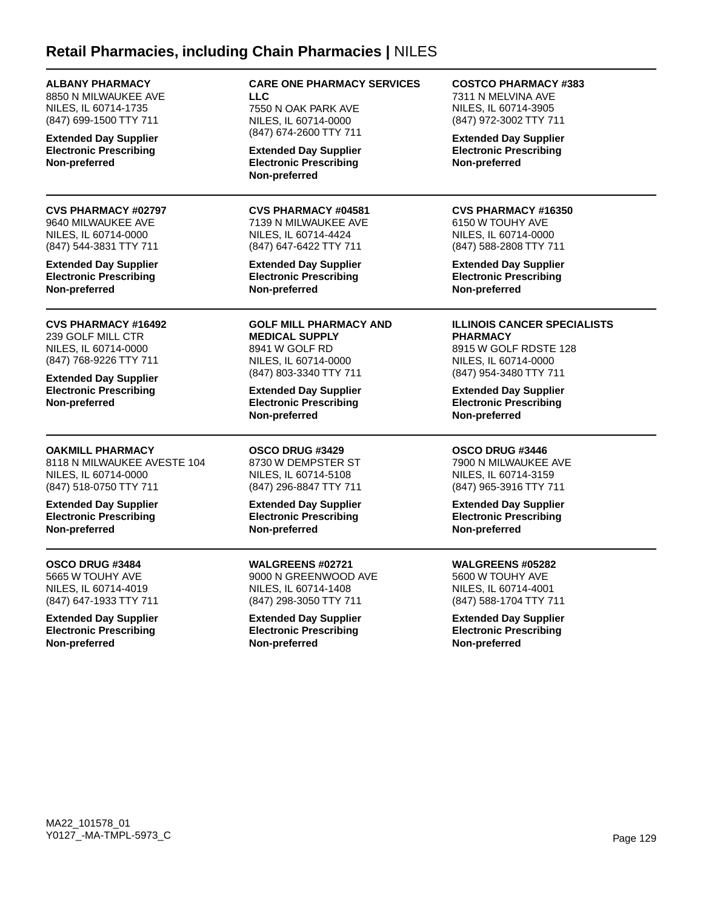### **Retail Pharmacies, including Chain Pharmacies |** NILES

**ALBANY PHARMACY** 8850 N MILWAUKEE AVE NILES, IL 60714-1735 (847) 699-1500 TTY 711

**Extended Day Supplier Electronic Prescribing Non-preferred**

**CVS PHARMACY #02797** 9640 MILWAUKEE AVE NILES, IL 60714-0000 (847) 544-3831 TTY 711

**Extended Day Supplier Electronic Prescribing Non-preferred**

**CVS PHARMACY #16492** 239 GOLF MILL CTR NILES, IL 60714-0000 (847) 768-9226 TTY 711

**Extended Day Supplier Electronic Prescribing Non-preferred**

**OAKMILL PHARMACY**

8118 N MILWAUKEE AVESTE 104 NILES, IL 60714-0000 (847) 518-0750 TTY 711

**Extended Day Supplier Electronic Prescribing Non-preferred**

### **OSCO DRUG #3484**

5665 W TOUHY AVE NILES, IL 60714-4019 (847) 647-1933 TTY 711

**Extended Day Supplier Electronic Prescribing Non-preferred**

#### **CARE ONE PHARMACY SERVICES LLC** 7550 N OAK PARK AVE NILES, IL 60714-0000

(847) 674-2600 TTY 711 **Extended Day Supplier Electronic Prescribing**

**Non-preferred**

### **CVS PHARMACY #04581**

7139 N MILWAUKEE AVE NILES, IL 60714-4424 (847) 647-6422 TTY 711

**Extended Day Supplier Electronic Prescribing Non-preferred**

**GOLF MILL PHARMACY AND MEDICAL SUPPLY** 8941 W GOLF RD NILES, IL 60714-0000 (847) 803-3340 TTY 711

**Extended Day Supplier Electronic Prescribing Non-preferred**

**OSCO DRUG #3429** 8730 W DEMPSTER ST NILES, IL 60714-5108 (847) 296-8847 TTY 711

**Extended Day Supplier Electronic Prescribing Non-preferred**

**WALGREENS #02721** 9000 N GREENWOOD AVE NILES, IL 60714-1408 (847) 298-3050 TTY 711

**Extended Day Supplier Electronic Prescribing Non-preferred**

#### **COSTCO PHARMACY #383**

7311 N MELVINA AVE NILES, IL 60714-3905 (847) 972-3002 TTY 711

**Extended Day Supplier Electronic Prescribing Non-preferred**

#### **CVS PHARMACY #16350**

6150 W TOUHY AVE NILES, IL 60714-0000 (847) 588-2808 TTY 711

**Extended Day Supplier Electronic Prescribing Non-preferred**

#### **ILLINOIS CANCER SPECIALISTS PHARMACY**

8915 W GOLF RDSTE 128 NILES, IL 60714-0000 (847) 954-3480 TTY 711

**Extended Day Supplier Electronic Prescribing Non-preferred**

### **OSCO DRUG #3446**

7900 N MILWAUKEE AVE NILES, IL 60714-3159 (847) 965-3916 TTY 711

**Extended Day Supplier Electronic Prescribing Non-preferred**

### **WALGREENS #05282**

5600 W TOUHY AVE NILES, IL 60714-4001 (847) 588-1704 TTY 711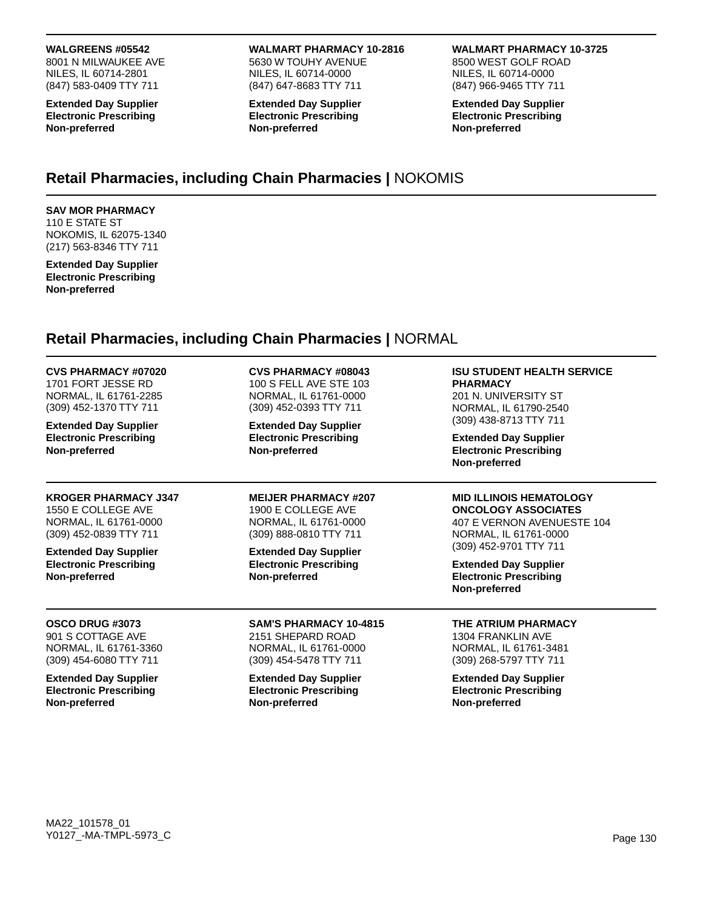#### **WALGREENS #05542**

8001 N MILWAUKEE AVE NILES, IL 60714-2801 (847) 583-0409 TTY 711

**Extended Day Supplier Electronic Prescribing Non-preferred**

#### **WALMART PHARMACY 10-2816** 5630 W TOUHY AVENUE NILES, IL 60714-0000 (847) 647-8683 TTY 711

**Extended Day Supplier Electronic Prescribing Non-preferred**

#### **WALMART PHARMACY 10-3725**

8500 WEST GOLF ROAD NILES, IL 60714-0000 (847) 966-9465 TTY 711

**Extended Day Supplier Electronic Prescribing Non-preferred**

## **Retail Pharmacies, including Chain Pharmacies |** NOKOMIS

#### **SAV MOR PHARMACY** 110 E STATE ST NOKOMIS, IL 62075-1340

(217) 563-8346 TTY 711 **Extended Day Supplier Electronic Prescribing Non-preferred**

### **Retail Pharmacies, including Chain Pharmacies |** NORMAL

| <b>CVS PHARMACY #07020</b><br>1701 FORT JESSE RD<br>NORMAL, IL 61761-2285<br>(309) 452-1370 TTY 711<br><b>Extended Day Supplier</b><br><b>Electronic Prescribing</b><br>Non-preferred | <b>CVS PHARMACY #08043</b><br>100 S FELL AVE STE 103<br>NORMAL, IL 61761-0000<br>(309) 452-0393 TTY 711<br><b>Extended Day Supplier</b><br><b>Electronic Prescribing</b><br>Non-preferred | <b>ISU STUDENT HEALTH SERVICE</b><br><b>PHARMACY</b><br>201 N. UNIVERSITY ST<br>NORMAL, IL 61790-2540<br>(309) 438-8713 TTY 711<br><b>Extended Day Supplier</b><br><b>Electronic Prescribing</b><br>Non-preferred |
|---------------------------------------------------------------------------------------------------------------------------------------------------------------------------------------|-------------------------------------------------------------------------------------------------------------------------------------------------------------------------------------------|-------------------------------------------------------------------------------------------------------------------------------------------------------------------------------------------------------------------|
| <b>KROGER PHARMACY J347</b>                                                                                                                                                           | <b>MEIJER PHARMACY #207</b>                                                                                                                                                               | <b>MID ILLINOIS HEMATOLOGY</b>                                                                                                                                                                                    |
| 1550 E COLLEGE AVE                                                                                                                                                                    | 1900 E COLLEGE AVE                                                                                                                                                                        | <b>ONCOLOGY ASSOCIATES</b>                                                                                                                                                                                        |
| NORMAL, IL 61761-0000                                                                                                                                                                 | NORMAL, IL 61761-0000                                                                                                                                                                     | 407 E VERNON AVENUESTE 104                                                                                                                                                                                        |
| (309) 452-0839 TTY 711                                                                                                                                                                | (309) 888-0810 TTY 711                                                                                                                                                                    | NORMAL, IL 61761-0000                                                                                                                                                                                             |
| <b>Extended Day Supplier</b><br><b>Electronic Prescribing</b><br>Non-preferred                                                                                                        | <b>Extended Day Supplier</b><br><b>Electronic Prescribing</b><br>Non-preferred                                                                                                            | (309) 452-9701 TTY 711<br><b>Extended Day Supplier</b><br><b>Electronic Prescribing</b><br>Non-preferred                                                                                                          |
| OSCO DRUG #3073                                                                                                                                                                       | <b>SAM'S PHARMACY 10-4815</b>                                                                                                                                                             | THE ATRIUM PHARMACY                                                                                                                                                                                               |
| 901 S COTTAGE AVE                                                                                                                                                                     | 2151 SHEPARD ROAD                                                                                                                                                                         | 1304 FRANKLIN AVE                                                                                                                                                                                                 |
| NORMAL, IL 61761-3360                                                                                                                                                                 | NORMAL, IL 61761-0000                                                                                                                                                                     | NORMAL, IL 61761-3481                                                                                                                                                                                             |
| (309) 454-6080 TTY 711                                                                                                                                                                | (309) 454-5478 TTY 711                                                                                                                                                                    | (309) 268-5797 TTY 711                                                                                                                                                                                            |
| <b>Extended Day Supplier</b>                                                                                                                                                          | <b>Extended Day Supplier</b>                                                                                                                                                              | <b>Extended Day Supplier</b>                                                                                                                                                                                      |
| <b>Electronic Prescribing</b>                                                                                                                                                         | <b>Electronic Prescribing</b>                                                                                                                                                             | <b>Electronic Prescribing</b>                                                                                                                                                                                     |
| Non-preferred                                                                                                                                                                         | Non-preferred                                                                                                                                                                             | Non-preferred                                                                                                                                                                                                     |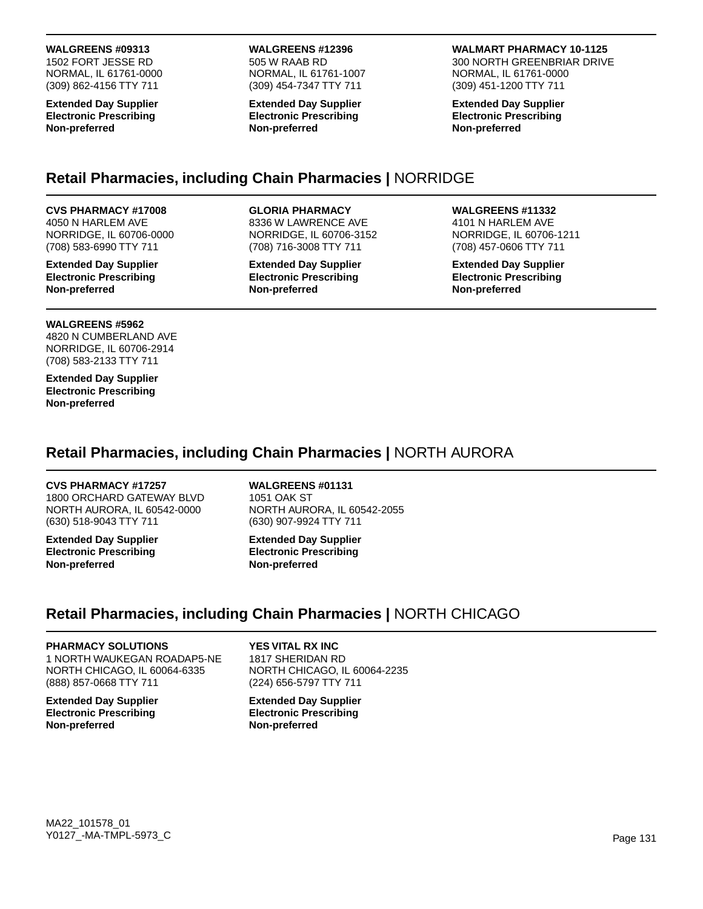### **WALGREENS #09313**

1502 FORT JESSE RD NORMAL, IL 61761-0000 (309) 862-4156 TTY 711

**Extended Day Supplier Electronic Prescribing Non-preferred**

#### **WALGREENS #12396** 505 W RAAB RD

NORMAL, IL 61761-1007 (309) 454-7347 TTY 711

**Extended Day Supplier Electronic Prescribing Non-preferred**

**WALMART PHARMACY 10-1125** 300 NORTH GREENBRIAR DRIVE NORMAL, IL 61761-0000 (309) 451-1200 TTY 711

**Extended Day Supplier Electronic Prescribing Non-preferred**

## **Retail Pharmacies, including Chain Pharmacies |** NORRIDGE

#### **CVS PHARMACY #17008**

4050 N HARLEM AVE NORRIDGE, IL 60706-0000 (708) 583-6990 TTY 711

**Extended Day Supplier Electronic Prescribing Non-preferred**

#### **WALGREENS #5962**

4820 N CUMBERLAND AVE NORRIDGE, IL 60706-2914 (708) 583-2133 TTY 711

**Extended Day Supplier Electronic Prescribing Non-preferred**

### **GLORIA PHARMACY**

8336 W LAWRENCE AVE NORRIDGE, IL 60706-3152 (708) 716-3008 TTY 711

**Extended Day Supplier Electronic Prescribing Non-preferred**

#### **WALGREENS #11332**

4101 N HARLEM AVE NORRIDGE, IL 60706-1211 (708) 457-0606 TTY 711

**Extended Day Supplier Electronic Prescribing Non-preferred**

### **Retail Pharmacies, including Chain Pharmacies |** NORTH AURORA

#### **CVS PHARMACY #17257**

1800 ORCHARD GATEWAY BLVD NORTH AURORA, IL 60542-0000 (630) 518-9043 TTY 711

**Extended Day Supplier Electronic Prescribing Non-preferred**

**WALGREENS #01131** 1051 OAK ST NORTH AURORA, IL 60542-2055 (630) 907-9924 TTY 711

**Extended Day Supplier Electronic Prescribing Non-preferred**

## **Retail Pharmacies, including Chain Pharmacies |** NORTH CHICAGO

#### **PHARMACY SOLUTIONS**

1 NORTH WAUKEGAN ROADAP5-NE NORTH CHICAGO, IL 60064-6335 (888) 857-0668 TTY 711

**Extended Day Supplier Electronic Prescribing Non-preferred**

**YES VITAL RX INC** 1817 SHERIDAN RD NORTH CHICAGO, IL 60064-2235 (224) 656-5797 TTY 711

**Extended Day Supplier Electronic Prescribing Non-preferred**

### MA22\_101578\_01 Y0127\_-MA-TMPL-5973\_C Page 131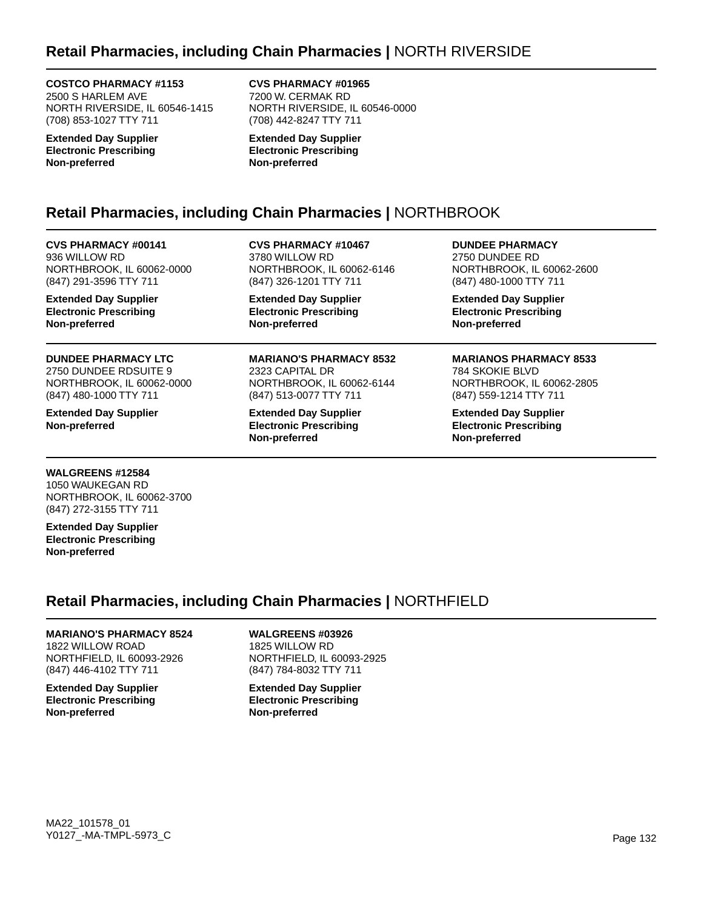## **Retail Pharmacies, including Chain Pharmacies |** NORTH RIVERSIDE

#### **COSTCO PHARMACY #1153**

2500 S HARLEM AVE NORTH RIVERSIDE, IL 60546-1415 (708) 853-1027 TTY 711

**Extended Day Supplier Electronic Prescribing Non-preferred**

**CVS PHARMACY #01965** 7200 W. CERMAK RD NORTH RIVERSIDE, IL 60546-0000 (708) 442-8247 TTY 711

**Extended Day Supplier Electronic Prescribing Non-preferred**

## **Retail Pharmacies, including Chain Pharmacies |** NORTHBROOK

**CVS PHARMACY #00141** 936 WILLOW RD NORTHBROOK, IL 60062-0000 (847) 291-3596 TTY 711

**Extended Day Supplier Electronic Prescribing Non-preferred**

**DUNDEE PHARMACY LTC** 2750 DUNDEE RDSUITE 9 NORTHBROOK, IL 60062-0000 (847) 480-1000 TTY 711

**Extended Day Supplier Non-preferred**

**CVS PHARMACY #10467** 3780 WILLOW RD NORTHBROOK, IL 60062-6146 (847) 326-1201 TTY 711

**Extended Day Supplier Electronic Prescribing Non-preferred**

**MARIANO'S PHARMACY 8532** 2323 CAPITAL DR NORTHBROOK, IL 60062-6144 (847) 513-0077 TTY 711

**Extended Day Supplier Electronic Prescribing Non-preferred**

**DUNDEE PHARMACY** 2750 DUNDEE RD NORTHBROOK, IL 60062-2600 (847) 480-1000 TTY 711

**Extended Day Supplier Electronic Prescribing Non-preferred**

**MARIANOS PHARMACY 8533** 784 SKOKIE BLVD NORTHBROOK, IL 60062-2805 (847) 559-1214 TTY 711

**Extended Day Supplier Electronic Prescribing Non-preferred**

### **WALGREENS #12584**

1050 WAUKEGAN RD NORTHBROOK, IL 60062-3700 (847) 272-3155 TTY 711

**Extended Day Supplier Electronic Prescribing Non-preferred**

## **Retail Pharmacies, including Chain Pharmacies |** NORTHFIELD

### **MARIANO'S PHARMACY 8524**

1822 WILLOW ROAD NORTHFIELD, IL 60093-2926 (847) 446-4102 TTY 711

**Extended Day Supplier Electronic Prescribing Non-preferred**

**WALGREENS #03926**

1825 WILLOW RD NORTHFIELD, IL 60093-2925 (847) 784-8032 TTY 711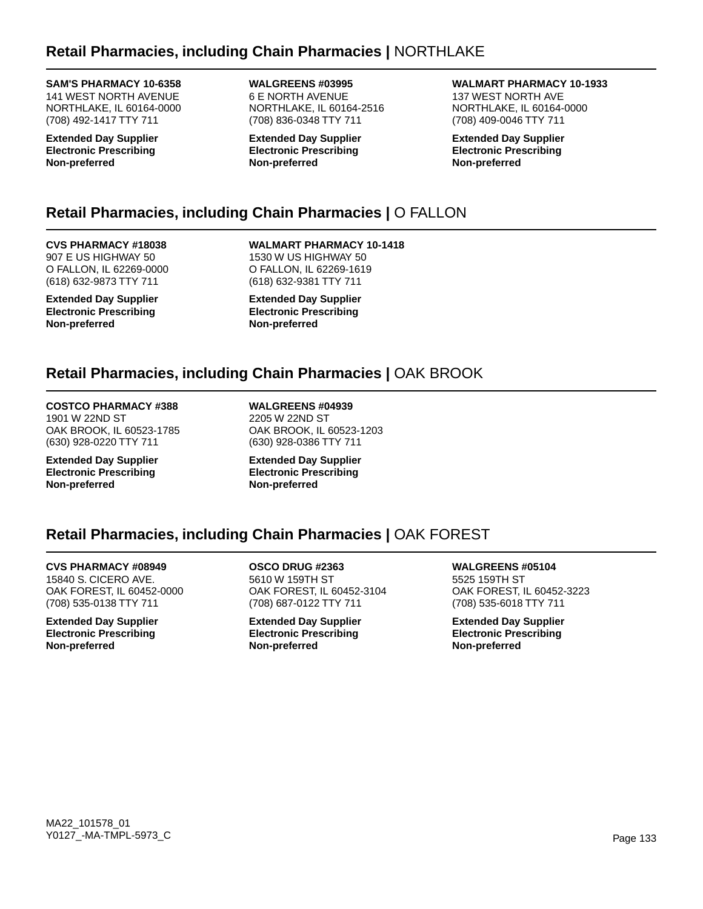### **SAM'S PHARMACY 10-6358**

141 WEST NORTH AVENUE NORTHLAKE, IL 60164-0000 (708) 492-1417 TTY 711

**Extended Day Supplier Electronic Prescribing Non-preferred**

**WALGREENS #03995** 6 E NORTH AVENUE NORTHLAKE, IL 60164-2516 (708) 836-0348 TTY 711

**Extended Day Supplier Electronic Prescribing Non-preferred**

**WALMART PHARMACY 10-1933** 137 WEST NORTH AVE NORTHLAKE, IL 60164-0000

**Extended Day Supplier Electronic Prescribing Non-preferred**

(708) 409-0046 TTY 711

# **Retail Pharmacies, including Chain Pharmacies |** O FALLON

**CVS PHARMACY #18038** 907 E US HIGHWAY 50 O FALLON, IL 62269-0000 (618) 632-9873 TTY 711

**Extended Day Supplier Electronic Prescribing Non-preferred**

**WALMART PHARMACY 10-1418** 1530 W US HIGHWAY 50 O FALLON, IL 62269-1619 (618) 632-9381 TTY 711

**Extended Day Supplier Electronic Prescribing Non-preferred**

# **Retail Pharmacies, including Chain Pharmacies |** OAK BROOK

**COSTCO PHARMACY #388** 1901 W 22ND ST OAK BROOK, IL 60523-1785 (630) 928-0220 TTY 711

**Extended Day Supplier Electronic Prescribing Non-preferred**

**WALGREENS #04939** 2205 W 22ND ST OAK BROOK, IL 60523-1203 (630) 928-0386 TTY 711

**Extended Day Supplier Electronic Prescribing Non-preferred**

## **Retail Pharmacies, including Chain Pharmacies |** OAK FOREST

**CVS PHARMACY #08949** 15840 S. CICERO AVE. OAK FOREST, IL 60452-0000 (708) 535-0138 TTY 711

**Extended Day Supplier Electronic Prescribing Non-preferred**

**OSCO DRUG #2363** 5610 W 159TH ST OAK FOREST, IL 60452-3104 (708) 687-0122 TTY 711

**Extended Day Supplier Electronic Prescribing Non-preferred**

**WALGREENS #05104** 5525 159TH ST OAK FOREST, IL 60452-3223 (708) 535-6018 TTY 711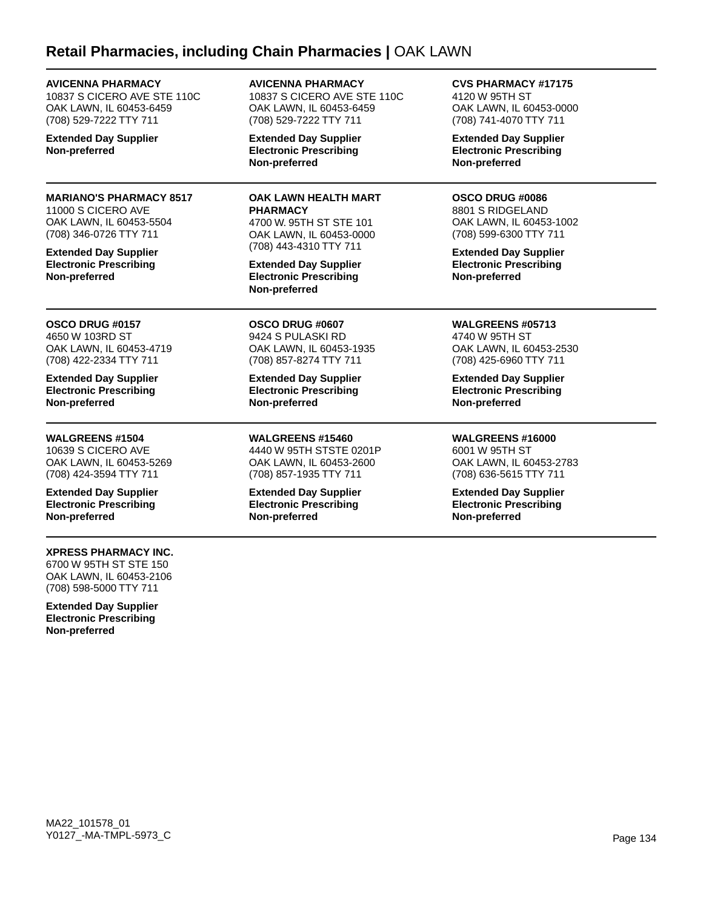### **Retail Pharmacies, including Chain Pharmacies |** OAK LAWN

### **AVICENNA PHARMACY**

10837 S CICERO AVE STE 110C OAK LAWN, IL 60453-6459 (708) 529-7222 TTY 711

**Extended Day Supplier Non-preferred**

### **MARIANO'S PHARMACY 8517**

11000 S CICERO AVE OAK LAWN, IL 60453-5504 (708) 346-0726 TTY 711

**Extended Day Supplier Electronic Prescribing Non-preferred**

**OSCO DRUG #0157** 4650 W 103RD ST OAK LAWN, IL 60453-4719 (708) 422-2334 TTY 711

**Extended Day Supplier Electronic Prescribing Non-preferred**

#### **WALGREENS #1504**

10639 S CICERO AVE OAK LAWN, IL 60453-5269 (708) 424-3594 TTY 711

**Extended Day Supplier Electronic Prescribing Non-preferred**

#### **XPRESS PHARMACY INC.**

6700 W 95TH ST STE 150 OAK LAWN, IL 60453-2106 (708) 598-5000 TTY 711

**Extended Day Supplier Electronic Prescribing Non-preferred**

### **AVICENNA PHARMACY** 10837 S CICERO AVE STE 110C

OAK LAWN, IL 60453-6459 (708) 529-7222 TTY 711

**Extended Day Supplier Electronic Prescribing Non-preferred**

### **OAK LAWN HEALTH MART PHARMACY** 4700 W. 95TH ST STE 101

OAK LAWN, IL 60453-0000 (708) 443-4310 TTY 711

**Extended Day Supplier Electronic Prescribing Non-preferred**

**OSCO DRUG #0607** 9424 S PULASKI RD OAK LAWN, IL 60453-1935 (708) 857-8274 TTY 711

**Extended Day Supplier Electronic Prescribing Non-preferred**

**WALGREENS #15460** 4440 W 95TH STSTE 0201P OAK LAWN, IL 60453-2600 (708) 857-1935 TTY 711

**Extended Day Supplier Electronic Prescribing Non-preferred**

**CVS PHARMACY #17175** 4120 W 95TH ST

OAK LAWN, IL 60453-0000 (708) 741-4070 TTY 711

**Extended Day Supplier Electronic Prescribing Non-preferred**

### **OSCO DRUG #0086**

8801 S RIDGELAND OAK LAWN, IL 60453-1002 (708) 599-6300 TTY 711

**Extended Day Supplier Electronic Prescribing Non-preferred**

**WALGREENS #05713** 4740 W 95TH ST OAK LAWN, IL 60453-2530 (708) 425-6960 TTY 711

**Extended Day Supplier Electronic Prescribing Non-preferred**

**WALGREENS #16000**

6001 W 95TH ST OAK LAWN, IL 60453-2783 (708) 636-5615 TTY 711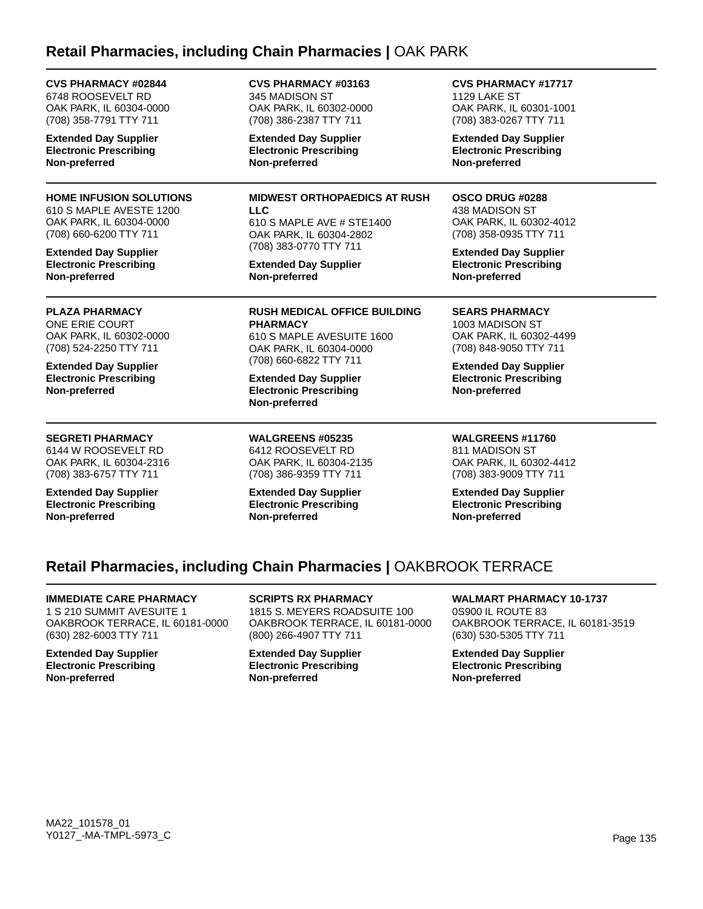### **Retail Pharmacies, including Chain Pharmacies |** OAK PARK

**CVS PHARMACY #02844** 6748 ROOSEVELT RD OAK PARK, IL 60304-0000 (708) 358-7791 TTY 711

**Extended Day Supplier Electronic Prescribing Non-preferred**

#### **HOME INFUSION SOLUTIONS**

610 S MAPLE AVESTE 1200 OAK PARK, IL 60304-0000 (708) 660-6200 TTY 711

**Extended Day Supplier Electronic Prescribing Non-preferred**

**PLAZA PHARMACY** ONE ERIE COURT OAK PARK, IL 60302-0000 (708) 524-2250 TTY 711

**Extended Day Supplier Electronic Prescribing Non-preferred**

### **SEGRETI PHARMACY**

6144 W ROOSEVELT RD OAK PARK, IL 60304-2316 (708) 383-6757 TTY 711

**Extended Day Supplier Electronic Prescribing Non-preferred**

**CVS PHARMACY #03163** 345 MADISON ST OAK PARK, IL 60302-0000 (708) 386-2387 TTY 711

**Extended Day Supplier Electronic Prescribing Non-preferred**

**MIDWEST ORTHOPAEDICS AT RUSH LLC** 610 S MAPLE AVE # STE1400 OAK PARK, IL 60304-2802 (708) 383-0770 TTY 711

**Extended Day Supplier Non-preferred**

**RUSH MEDICAL OFFICE BUILDING PHARMACY** 610 S MAPLE AVESUITE 1600 OAK PARK, IL 60304-0000 (708) 660-6822 TTY 711

**Extended Day Supplier Electronic Prescribing Non-preferred**

**WALGREENS #05235** 6412 ROOSEVELT RD OAK PARK, IL 60304-2135 (708) 386-9359 TTY 711

**Extended Day Supplier Electronic Prescribing Non-preferred**

**CVS PHARMACY #17717** 1129 LAKE ST OAK PARK, IL 60301-1001 (708) 383-0267 TTY 711

**Extended Day Supplier Electronic Prescribing Non-preferred**

**OSCO DRUG #0288** 438 MADISON ST OAK PARK, IL 60302-4012 (708) 358-0935 TTY 711

**Extended Day Supplier Electronic Prescribing Non-preferred**

**SEARS PHARMACY** 1003 MADISON ST OAK PARK, IL 60302-4499 (708) 848-9050 TTY 711

**Extended Day Supplier Electronic Prescribing Non-preferred**

**WALGREENS #11760** 811 MADISON ST OAK PARK, IL 60302-4412 (708) 383-9009 TTY 711

**Extended Day Supplier Electronic Prescribing Non-preferred**

## **Retail Pharmacies, including Chain Pharmacies |** OAKBROOK TERRACE

#### **IMMEDIATE CARE PHARMACY**

1 S 210 SUMMIT AVESUITE 1 OAKBROOK TERRACE, IL 60181-0000 (630) 282-6003 TTY 711

**Extended Day Supplier Electronic Prescribing Non-preferred**

**SCRIPTS RX PHARMACY** 1815 S. MEYERS ROADSUITE 100 OAKBROOK TERRACE, IL 60181-0000 (800) 266-4907 TTY 711

**Extended Day Supplier Electronic Prescribing Non-preferred**

**WALMART PHARMACY 10-1737**

0S900 IL ROUTE 83 OAKBROOK TERRACE, IL 60181-3519 (630) 530-5305 TTY 711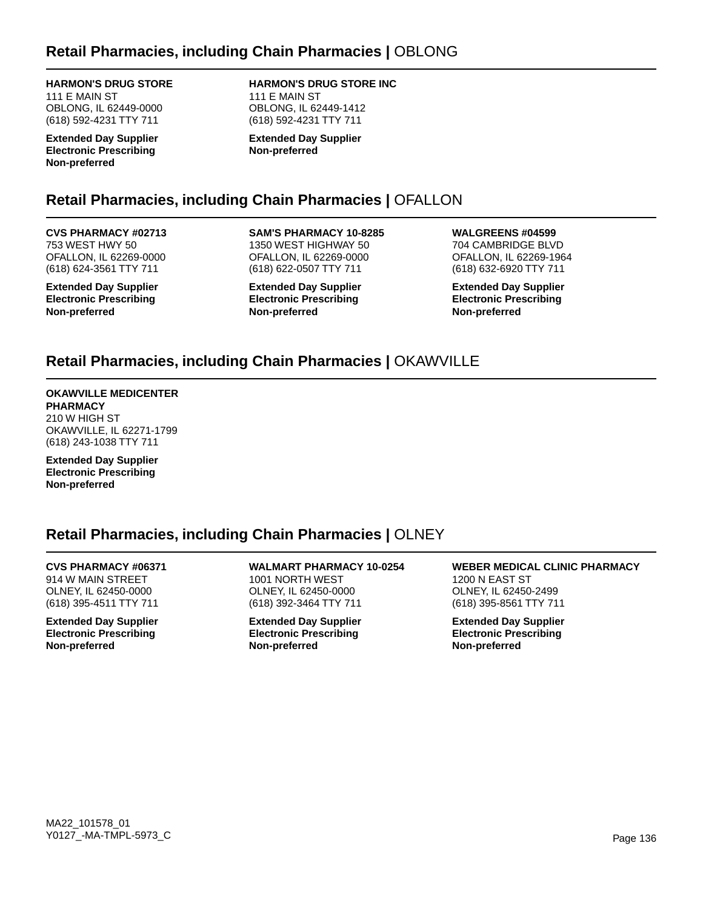### **HARMON'S DRUG STORE**

111 E MAIN ST OBLONG, IL 62449-0000 (618) 592-4231 TTY 711

**Extended Day Supplier Electronic Prescribing Non-preferred**

# **HARMON'S DRUG STORE INC**

111 E MAIN ST OBLONG, IL 62449-1412 (618) 592-4231 TTY 711

**Extended Day Supplier Non-preferred**

## **Retail Pharmacies, including Chain Pharmacies |** OFALLON

### **CVS PHARMACY #02713**

753 WEST HWY 50 OFALLON, IL 62269-0000 (618) 624-3561 TTY 711

**Extended Day Supplier Electronic Prescribing Non-preferred**

**SAM'S PHARMACY 10-8285** 1350 WEST HIGHWAY 50 OFALLON, IL 62269-0000 (618) 622-0507 TTY 711

**Extended Day Supplier Electronic Prescribing Non-preferred**

**WALGREENS #04599** 704 CAMBRIDGE BLVD OFALLON, IL 62269-1964 (618) 632-6920 TTY 711

**Extended Day Supplier Electronic Prescribing Non-preferred**

## **Retail Pharmacies, including Chain Pharmacies |** OKAWVILLE

#### **OKAWVILLE MEDICENTER PHARMACY** 210 W HIGH ST OKAWVILLE, IL 62271-1799 (618) 243-1038 TTY 711

**Extended Day Supplier Electronic Prescribing Non-preferred**

## **Retail Pharmacies, including Chain Pharmacies |** OLNEY

#### **CVS PHARMACY #06371** 914 W MAIN STREET OLNEY, IL 62450-0000 (618) 395-4511 TTY 711

**Extended Day Supplier Electronic Prescribing Non-preferred**

**WALMART PHARMACY 10-0254** 1001 NORTH WEST OLNEY, IL 62450-0000 (618) 392-3464 TTY 711

**Extended Day Supplier Electronic Prescribing Non-preferred**

**WEBER MEDICAL CLINIC PHARMACY** 1200 N EAST ST OLNEY, IL 62450-2499 (618) 395-8561 TTY 711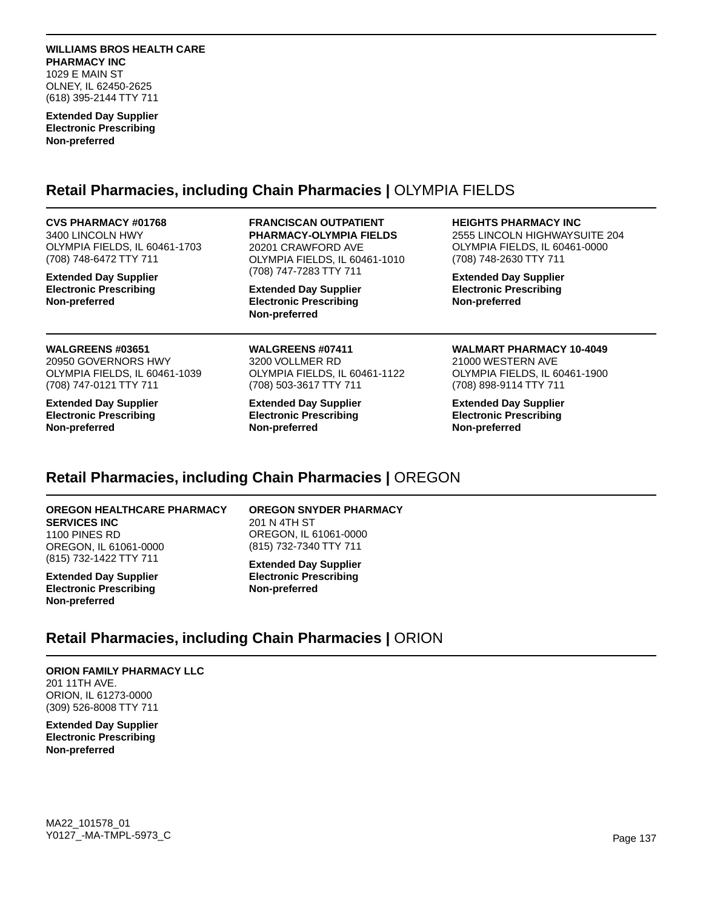#### **WILLIAMS BROS HEALTH CARE PHARMACY INC** 1029 E MAIN ST

OLNEY, IL 62450-2625 (618) 395-2144 TTY 711

**Extended Day Supplier Electronic Prescribing Non-preferred**

### **Retail Pharmacies, including Chain Pharmacies |** OLYMPIA FIELDS

#### **CVS PHARMACY #01768**

3400 LINCOLN HWY OLYMPIA FIELDS, IL 60461-1703 (708) 748-6472 TTY 711

**Extended Day Supplier Electronic Prescribing Non-preferred**

#### **WALGREENS #03651**

20950 GOVERNORS HWY OLYMPIA FIELDS, IL 60461-1039 (708) 747-0121 TTY 711

**Extended Day Supplier Electronic Prescribing Non-preferred**

#### **FRANCISCAN OUTPATIENT PHARMACY-OLYMPIA FIELDS**

20201 CRAWFORD AVE OLYMPIA FIELDS, IL 60461-1010 (708) 747-7283 TTY 711

**Extended Day Supplier Electronic Prescribing Non-preferred**

**WALGREENS #07411** 3200 VOLLMER RD OLYMPIA FIELDS, IL 60461-1122 (708) 503-3617 TTY 711

**Extended Day Supplier Electronic Prescribing Non-preferred**

#### **HEIGHTS PHARMACY INC**

2555 LINCOLN HIGHWAYSUITE 204 OLYMPIA FIELDS, IL 60461-0000 (708) 748-2630 TTY 711

**Extended Day Supplier Electronic Prescribing Non-preferred**

### **WALMART PHARMACY 10-4049**

21000 WESTERN AVE OLYMPIA FIELDS, IL 60461-1900 (708) 898-9114 TTY 711

**Extended Day Supplier Electronic Prescribing Non-preferred**

## **Retail Pharmacies, including Chain Pharmacies |** OREGON

#### **OREGON HEALTHCARE PHARMACY SERVICES INC** 1100 PINES RD OREGON, IL 61061-0000 (815) 732-1422 TTY 711

**Extended Day Supplier Electronic Prescribing Non-preferred**

**OREGON SNYDER PHARMACY** 201 N 4TH ST OREGON, IL 61061-0000

**Extended Day Supplier Electronic Prescribing Non-preferred**

(815) 732-7340 TTY 711

## **Retail Pharmacies, including Chain Pharmacies |** ORION

**ORION FAMILY PHARMACY LLC** 201 11TH AVE. ORION, IL 61273-0000 (309) 526-8008 TTY 711

**Extended Day Supplier Electronic Prescribing Non-preferred**

MA22\_101578\_01 Y0127\_-MA-TMPL-5973\_C Page 137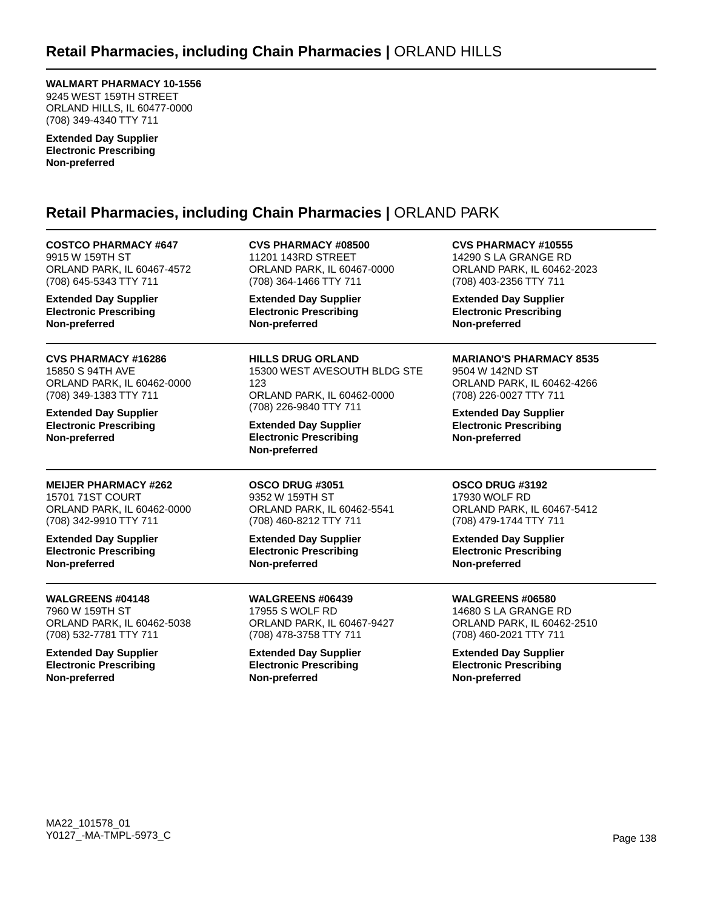**WALMART PHARMACY 10-1556** 9245 WEST 159TH STREET ORLAND HILLS, IL 60477-0000 (708) 349-4340 TTY 711

**Extended Day Supplier Electronic Prescribing Non-preferred**

## **Retail Pharmacies, including Chain Pharmacies |** ORLAND PARK

**COSTCO PHARMACY #647** 9915 W 159TH ST ORLAND PARK, IL 60467-4572 (708) 645-5343 TTY 711

**Extended Day Supplier Electronic Prescribing Non-preferred**

**CVS PHARMACY #16286** 15850 S 94TH AVE ORLAND PARK, IL 60462-0000 (708) 349-1383 TTY 711

**Extended Day Supplier Electronic Prescribing Non-preferred**

**MEIJER PHARMACY #262** 15701 71ST COURT ORLAND PARK, IL 60462-0000 (708) 342-9910 TTY 711

**Extended Day Supplier Electronic Prescribing Non-preferred**

**WALGREENS #04148** 7960 W 159TH ST ORLAND PARK, IL 60462-5038 (708) 532-7781 TTY 711

**Extended Day Supplier Electronic Prescribing Non-preferred**

**CVS PHARMACY #08500** 11201 143RD STREET ORLAND PARK, IL 60467-0000 (708) 364-1466 TTY 711

**Extended Day Supplier Electronic Prescribing Non-preferred**

**HILLS DRUG ORLAND** 15300 WEST AVESOUTH BLDG STE 123 ORLAND PARK, IL 60462-0000 (708) 226-9840 TTY 711

**Extended Day Supplier Electronic Prescribing Non-preferred**

**OSCO DRUG #3051** 9352 W 159TH ST ORLAND PARK, IL 60462-5541 (708) 460-8212 TTY 711

**Extended Day Supplier Electronic Prescribing Non-preferred**

**WALGREENS #06439** 17955 S WOLF RD ORLAND PARK, IL 60467-9427 (708) 478-3758 TTY 711

**Extended Day Supplier Electronic Prescribing Non-preferred**

**CVS PHARMACY #10555** 14290 S LA GRANGE RD ORLAND PARK, IL 60462-2023 (708) 403-2356 TTY 711

**Extended Day Supplier Electronic Prescribing Non-preferred**

### **MARIANO'S PHARMACY 8535**

9504 W 142ND ST ORLAND PARK, IL 60462-4266 (708) 226-0027 TTY 711

**Extended Day Supplier Electronic Prescribing Non-preferred**

### **OSCO DRUG #3192**

17930 WOLF RD ORLAND PARK, IL 60467-5412 (708) 479-1744 TTY 711

**Extended Day Supplier Electronic Prescribing Non-preferred**

**WALGREENS #06580**

14680 S LA GRANGE RD ORLAND PARK, IL 60462-2510 (708) 460-2021 TTY 711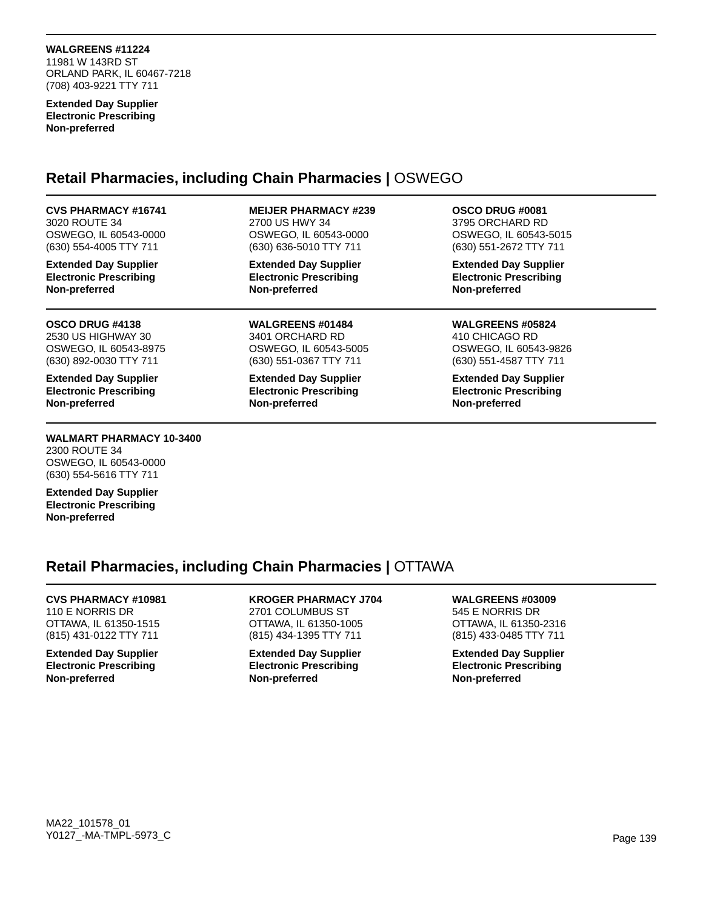#### **WALGREENS #11224**

11981 W 143RD ST ORLAND PARK, IL 60467-7218 (708) 403-9221 TTY 711

**Extended Day Supplier Electronic Prescribing Non-preferred**

### **Retail Pharmacies, including Chain Pharmacies |** OSWEGO

**CVS PHARMACY #16741** 3020 ROUTE 34 OSWEGO, IL 60543-0000 (630) 554-4005 TTY 711

**Extended Day Supplier Electronic Prescribing Non-preferred**

**OSCO DRUG #4138** 2530 US HIGHWAY 30 OSWEGO, IL 60543-8975 (630) 892-0030 TTY 711

**Extended Day Supplier Electronic Prescribing Non-preferred**

#### **WALMART PHARMACY 10-3400** 2300 ROUTE 34 OSWEGO, IL 60543-0000 (630) 554-5616 TTY 711

**Extended Day Supplier Electronic Prescribing Non-preferred**

### **MEIJER PHARMACY #239**

2700 US HWY 34 OSWEGO, IL 60543-0000 (630) 636-5010 TTY 711

**Extended Day Supplier Electronic Prescribing Non-preferred**

**WALGREENS #01484** 3401 ORCHARD RD OSWEGO, IL 60543-5005 (630) 551-0367 TTY 711

**Extended Day Supplier Electronic Prescribing Non-preferred**

#### **OSCO DRUG #0081** 3795 ORCHARD RD OSWEGO, IL 60543-5015

(630) 551-2672 TTY 711

**Extended Day Supplier Electronic Prescribing Non-preferred**

### **WALGREENS #05824**

410 CHICAGO RD OSWEGO, IL 60543-9826 (630) 551-4587 TTY 711

**Extended Day Supplier Electronic Prescribing Non-preferred**

### **Retail Pharmacies, including Chain Pharmacies |** OTTAWA

#### **CVS PHARMACY #10981** 110 E NORRIS DR

OTTAWA, IL 61350-1515 (815) 431-0122 TTY 711

**Extended Day Supplier Electronic Prescribing Non-preferred**

### **KROGER PHARMACY J704** 2701 COLUMBUS ST

OTTAWA, IL 61350-1005 (815) 434-1395 TTY 711

#### **Extended Day Supplier Electronic Prescribing Non-preferred**

### **WALGREENS #03009** 545 E NORRIS DR

OTTAWA, IL 61350-2316 (815) 433-0485 TTY 711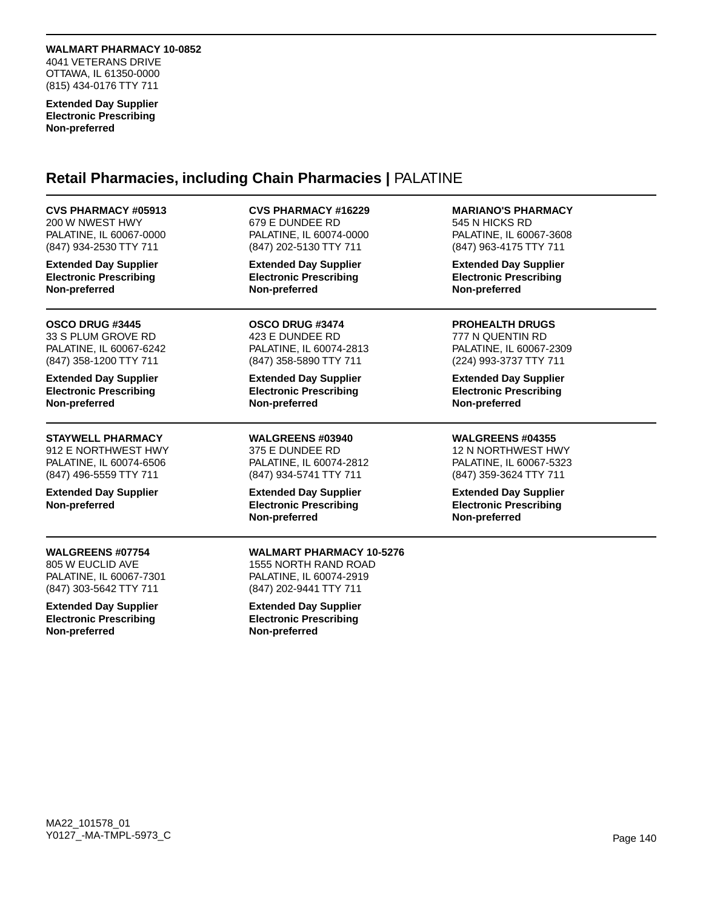**WALMART PHARMACY 10-0852** 4041 VETERANS DRIVE OTTAWA, IL 61350-0000 (815) 434-0176 TTY 711

**Extended Day Supplier Electronic Prescribing Non-preferred**

### **Retail Pharmacies, including Chain Pharmacies |** PALATINE

**CVS PHARMACY #05913** 200 W NWEST HWY PALATINE, IL 60067-0000 (847) 934-2530 TTY 711

**Extended Day Supplier Electronic Prescribing Non-preferred**

**OSCO DRUG #3445** 33 S PLUM GROVE RD PALATINE, IL 60067-6242 (847) 358-1200 TTY 711

**Extended Day Supplier Electronic Prescribing Non-preferred**

### **STAYWELL PHARMACY**

912 E NORTHWEST HWY PALATINE, IL 60074-6506 (847) 496-5559 TTY 711

**Extended Day Supplier Non-preferred**

### **WALGREENS #07754**

805 W EUCLID AVE PALATINE, IL 60067-7301 (847) 303-5642 TTY 711

**Extended Day Supplier Electronic Prescribing Non-preferred**

### **CVS PHARMACY #16229**

679 E DUNDEE RD PALATINE, IL 60074-0000 (847) 202-5130 TTY 711

**Extended Day Supplier Electronic Prescribing Non-preferred**

**OSCO DRUG #3474** 423 E DUNDEE RD PALATINE, IL 60074-2813 (847) 358-5890 TTY 711

**Extended Day Supplier Electronic Prescribing Non-preferred**

**WALGREENS #03940** 375 E DUNDEE RD PALATINE, IL 60074-2812 (847) 934-5741 TTY 711

**Extended Day Supplier Electronic Prescribing Non-preferred**

**MARIANO'S PHARMACY** 545 N HICKS RD

PALATINE, IL 60067-3608 (847) 963-4175 TTY 711

**Extended Day Supplier Electronic Prescribing Non-preferred**

**PROHEALTH DRUGS**

777 N QUENTIN RD PALATINE, IL 60067-2309 (224) 993-3737 TTY 711

**Extended Day Supplier Electronic Prescribing Non-preferred**

**WALGREENS #04355** 12 N NORTHWEST HWY PALATINE, IL 60067-5323 (847) 359-3624 TTY 711

**Extended Day Supplier Electronic Prescribing Non-preferred**

**WALMART PHARMACY 10-5276** 1555 NORTH RAND ROAD PALATINE, IL 60074-2919 (847) 202-9441 TTY 711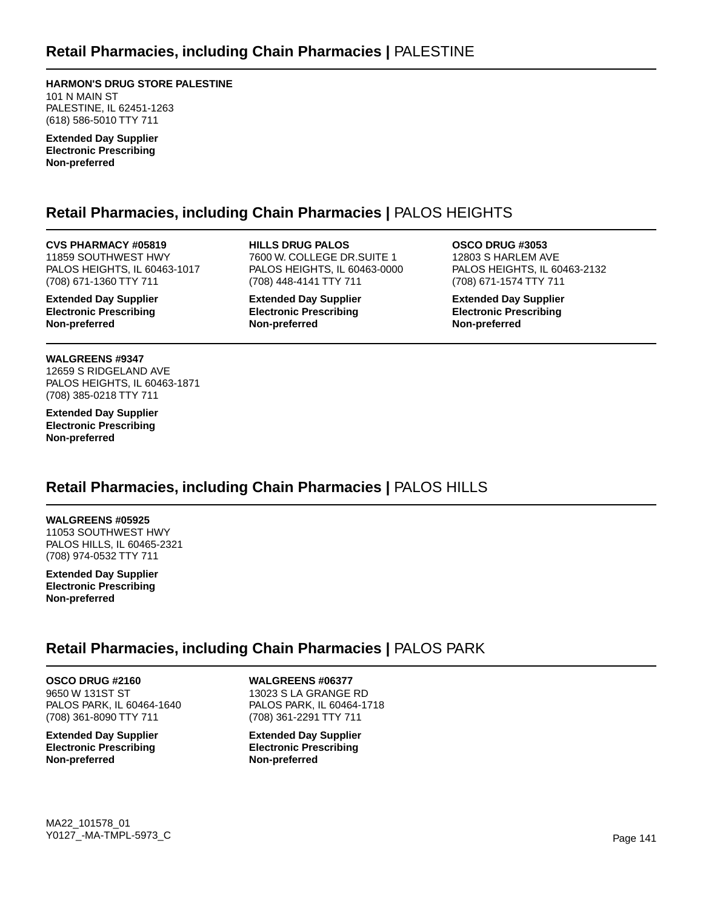**HARMON'S DRUG STORE PALESTINE** 101 N MAIN ST PALESTINE, IL 62451-1263 (618) 586-5010 TTY 711

**Extended Day Supplier Electronic Prescribing Non-preferred**

## **Retail Pharmacies, including Chain Pharmacies |** PALOS HEIGHTS

**CVS PHARMACY #05819** 11859 SOUTHWEST HWY PALOS HEIGHTS, IL 60463-1017 (708) 671-1360 TTY 711

**Extended Day Supplier Electronic Prescribing Non-preferred**

**WALGREENS #9347** 12659 S RIDGELAND AVE PALOS HEIGHTS, IL 60463-1871 (708) 385-0218 TTY 711

**Extended Day Supplier Electronic Prescribing Non-preferred**

**HILLS DRUG PALOS** 7600 W. COLLEGE DR.SUITE 1 PALOS HEIGHTS, IL 60463-0000 (708) 448-4141 TTY 711

**Extended Day Supplier Electronic Prescribing Non-preferred**

**OSCO DRUG #3053** 12803 S HARLEM AVE PALOS HEIGHTS, IL 60463-2132 (708) 671-1574 TTY 711

**Extended Day Supplier Electronic Prescribing Non-preferred**

## **Retail Pharmacies, including Chain Pharmacies |** PALOS HILLS

**WALGREENS #05925** 11053 SOUTHWEST HWY PALOS HILLS, IL 60465-2321 (708) 974-0532 TTY 711

**Extended Day Supplier Electronic Prescribing Non-preferred**

## **Retail Pharmacies, including Chain Pharmacies |** PALOS PARK

**OSCO DRUG #2160** 9650 W 131ST ST PALOS PARK, IL 60464-1640 (708) 361-8090 TTY 711

**Extended Day Supplier Electronic Prescribing Non-preferred**

**WALGREENS #06377** 13023 S LA GRANGE RD PALOS PARK, IL 60464-1718 (708) 361-2291 TTY 711

**Extended Day Supplier Electronic Prescribing Non-preferred**

MA22\_101578\_01 Y0127\_-MA-TMPL-5973\_C Page 141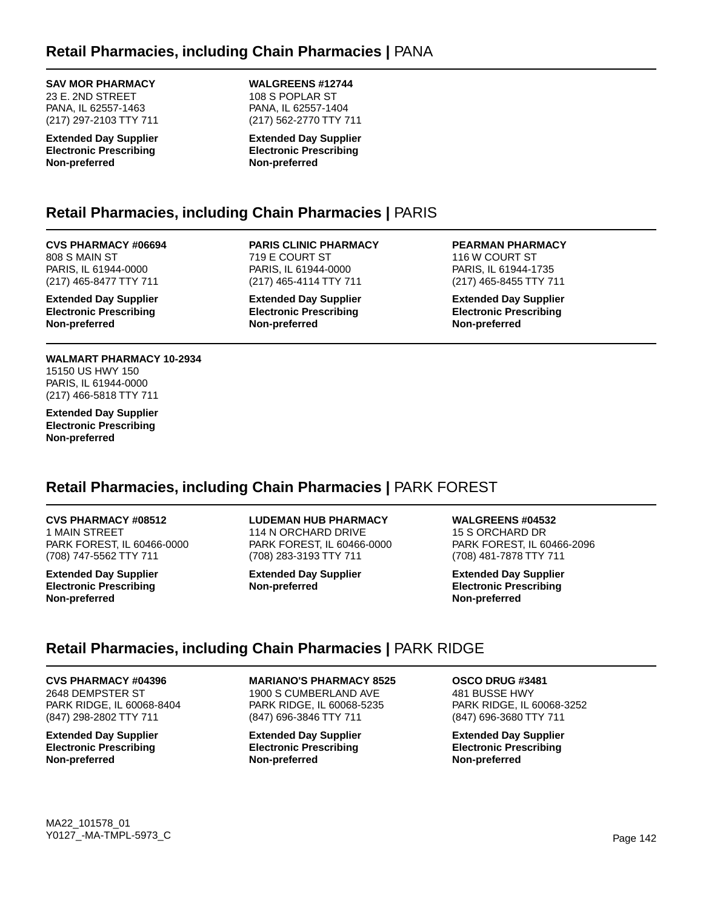### **SAV MOR PHARMACY**

23 E. 2ND STREET PANA, IL 62557-1463 (217) 297-2103 TTY 711

**Extended Day Supplier Electronic Prescribing Non-preferred**

#### **WALGREENS #12744** 108 S POPLAR ST PANA, IL 62557-1404 (217) 562-2770 TTY 711

**Extended Day Supplier Electronic Prescribing Non-preferred**

## **Retail Pharmacies, including Chain Pharmacies |** PARIS

**CVS PHARMACY #06694** 808 S MAIN ST PARIS, IL 61944-0000 (217) 465-8477 TTY 711

**Extended Day Supplier Electronic Prescribing Non-preferred**

**WALMART PHARMACY 10-2934** 15150 US HWY 150 PARIS, IL 61944-0000 (217) 466-5818 TTY 711

**Extended Day Supplier Electronic Prescribing Non-preferred**

**PARIS CLINIC PHARMACY** 719 E COURT ST PARIS, IL 61944-0000 (217) 465-4114 TTY 711

**Extended Day Supplier Electronic Prescribing Non-preferred**

**PEARMAN PHARMACY** 116 W COURT ST PARIS, IL 61944-1735 (217) 465-8455 TTY 711

**Extended Day Supplier Electronic Prescribing Non-preferred**

## **Retail Pharmacies, including Chain Pharmacies |** PARK FOREST

**CVS PHARMACY #08512** 1 MAIN STREET PARK FOREST, IL 60466-0000 (708) 747-5562 TTY 711

**Extended Day Supplier Electronic Prescribing Non-preferred**

### **LUDEMAN HUB PHARMACY**

114 N ORCHARD DRIVE PARK FOREST, IL 60466-0000 (708) 283-3193 TTY 711

**Extended Day Supplier Non-preferred**

**WALGREENS #04532**

15 S ORCHARD DR PARK FOREST, IL 60466-2096 (708) 481-7878 TTY 711

**Extended Day Supplier Electronic Prescribing Non-preferred**

## **Retail Pharmacies, including Chain Pharmacies |** PARK RIDGE

**CVS PHARMACY #04396**

2648 DEMPSTER ST PARK RIDGE, IL 60068-8404 (847) 298-2802 TTY 711

**Extended Day Supplier Electronic Prescribing Non-preferred**

**MARIANO'S PHARMACY 8525**

1900 S CUMBERLAND AVE PARK RIDGE, IL 60068-5235 (847) 696-3846 TTY 711

**Extended Day Supplier Electronic Prescribing Non-preferred**

**OSCO DRUG #3481** 481 BUSSE HWY PARK RIDGE, IL 60068-3252 (847) 696-3680 TTY 711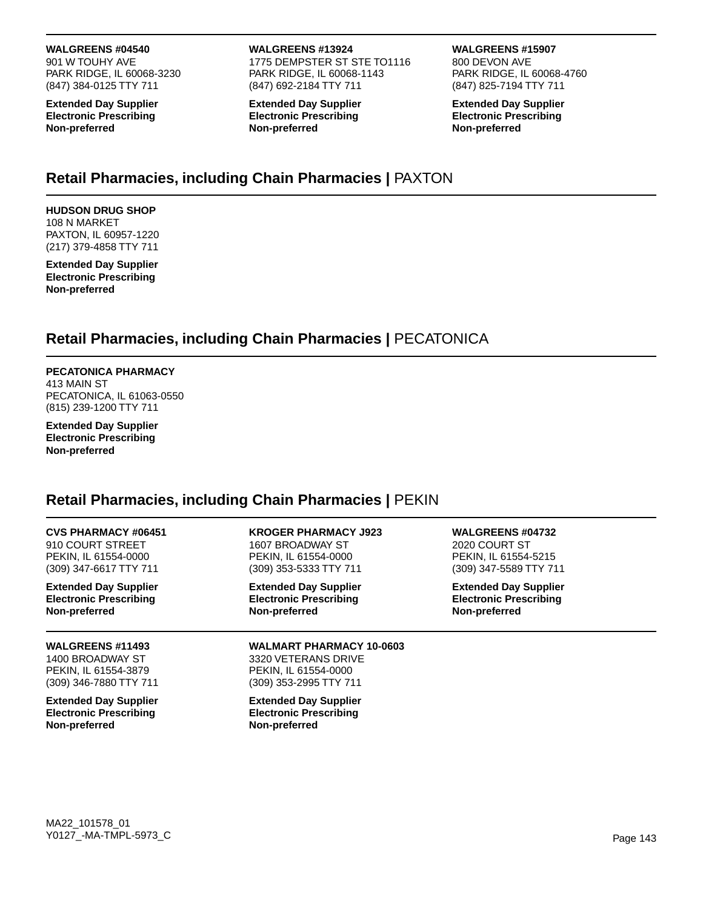**WALGREENS #04540**

901 W TOUHY AVE PARK RIDGE, IL 60068-3230 (847) 384-0125 TTY 711

**Extended Day Supplier Electronic Prescribing Non-preferred**

#### **WALGREENS #13924**

1775 DEMPSTER ST STE TO1116 PARK RIDGE, IL 60068-1143 (847) 692-2184 TTY 711

**Extended Day Supplier Electronic Prescribing Non-preferred**

#### **WALGREENS #15907**

800 DEVON AVE PARK RIDGE, IL 60068-4760 (847) 825-7194 TTY 711

**Extended Day Supplier Electronic Prescribing Non-preferred**

## **Retail Pharmacies, including Chain Pharmacies |** PAXTON

**HUDSON DRUG SHOP** 108 N MARKET PAXTON, IL 60957-1220 (217) 379-4858 TTY 711

**Extended Day Supplier Electronic Prescribing Non-preferred**

## **Retail Pharmacies, including Chain Pharmacies |** PECATONICA

**PECATONICA PHARMACY** 413 MAIN ST PECATONICA, IL 61063-0550 (815) 239-1200 TTY 711

**Extended Day Supplier Electronic Prescribing Non-preferred**

### **Retail Pharmacies, including Chain Pharmacies |** PEKIN

| <b>CVS PHARMACY #06451</b>                                                                    | <b>KROGER PHARMACY J923</b>                                                                              | <b>WALGREENS #04732</b>       |  |
|-----------------------------------------------------------------------------------------------|----------------------------------------------------------------------------------------------------------|-------------------------------|--|
| 910 COURT STREET                                                                              | 1607 BROADWAY ST                                                                                         | 2020 COURT ST                 |  |
| PEKIN, IL 61554-0000                                                                          | PEKIN, IL 61554-0000                                                                                     | PEKIN, IL 61554-5215          |  |
| (309) 347-6617 TTY 711                                                                        | (309) 353-5333 TTY 711                                                                                   | (309) 347-5589 TTY 711        |  |
| <b>Extended Day Supplier</b>                                                                  | <b>Extended Day Supplier</b>                                                                             | <b>Extended Day Supplier</b>  |  |
| <b>Electronic Prescribing</b>                                                                 | <b>Electronic Prescribing</b>                                                                            | <b>Electronic Prescribing</b> |  |
| Non-preferred                                                                                 | Non-preferred                                                                                            | Non-preferred                 |  |
| <b>WALGREENS #11493</b><br>1400 BROADWAY ST<br>PEKIN, IL 61554-3879<br>(309) 346-7880 TTY 711 | <b>WALMART PHARMACY 10-0603</b><br>3320 VETERANS DRIVE<br>PEKIN, IL 61554-0000<br>(309) 353-2995 TTY 711 |                               |  |
| <b>Extended Day Supplier</b><br><b>Electronic Prescribing</b><br>Non-preferred                | <b>Extended Day Supplier</b><br><b>Electronic Prescribing</b><br>Non-preferred                           |                               |  |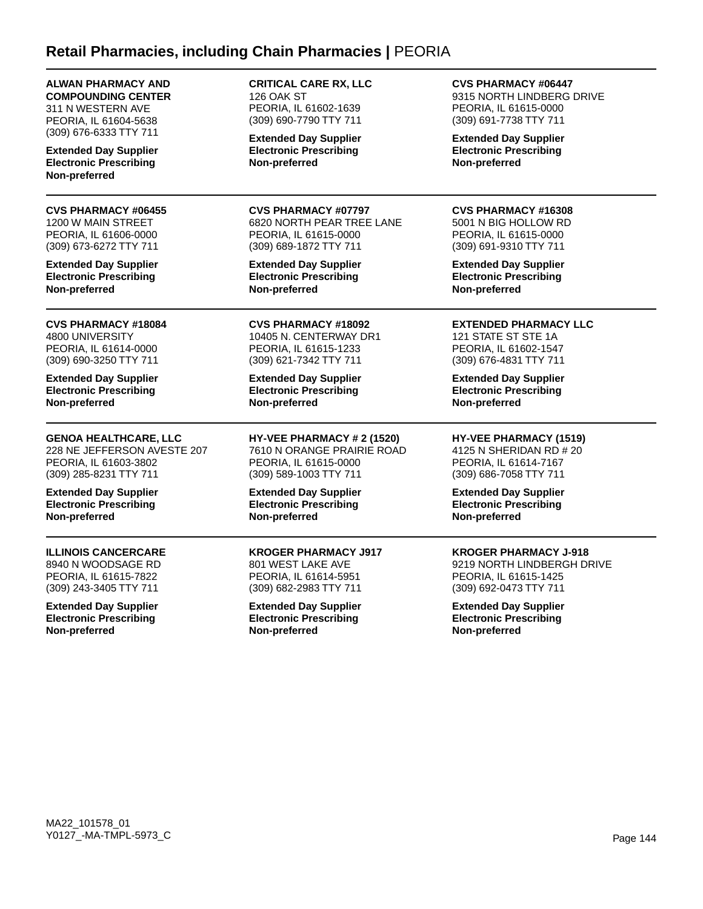### **Retail Pharmacies, including Chain Pharmacies |** PEORIA

### **ALWAN PHARMACY AND COMPOUNDING CENTER**

311 N WESTERN AVE PEORIA, IL 61604-5638 (309) 676-6333 TTY 711

**Extended Day Supplier Electronic Prescribing Non-preferred**

**CVS PHARMACY #06455** 1200 W MAIN STREET PEORIA, IL 61606-0000 (309) 673-6272 TTY 711

**Extended Day Supplier Electronic Prescribing Non-preferred**

**CVS PHARMACY #18084** 4800 UNIVERSITY PEORIA, IL 61614-0000 (309) 690-3250 TTY 711

**Extended Day Supplier Electronic Prescribing Non-preferred**

### **GENOA HEALTHCARE, LLC**

228 NE JEFFERSON AVESTE 207 PEORIA, IL 61603-3802 (309) 285-8231 TTY 711

**Extended Day Supplier Electronic Prescribing Non-preferred**

### **ILLINOIS CANCERCARE**

8940 N WOODSAGE RD PEORIA, IL 61615-7822 (309) 243-3405 TTY 711

**Extended Day Supplier Electronic Prescribing Non-preferred**

**CRITICAL CARE RX, LLC** 126 OAK ST PEORIA, IL 61602-1639 (309) 690-7790 TTY 711

**Extended Day Supplier Electronic Prescribing Non-preferred**

**CVS PHARMACY #07797** 6820 NORTH PEAR TREE LANE PEORIA, IL 61615-0000 (309) 689-1872 TTY 711

**Extended Day Supplier Electronic Prescribing Non-preferred**

**CVS PHARMACY #18092** 10405 N. CENTERWAY DR1 PEORIA, IL 61615-1233 (309) 621-7342 TTY 711

**Extended Day Supplier Electronic Prescribing Non-preferred**

**HY-VEE PHARMACY # 2 (1520)** 7610 N ORANGE PRAIRIE ROAD PEORIA, IL 61615-0000 (309) 589-1003 TTY 711

**Extended Day Supplier Electronic Prescribing Non-preferred**

**KROGER PHARMACY J917** 801 WEST LAKE AVE PEORIA, IL 61614-5951 (309) 682-2983 TTY 711

**Extended Day Supplier Electronic Prescribing Non-preferred**

**CVS PHARMACY #06447**

9315 NORTH LINDBERG DRIVE PEORIA, IL 61615-0000 (309) 691-7738 TTY 711

**Extended Day Supplier Electronic Prescribing Non-preferred**

#### **CVS PHARMACY #16308**

5001 N BIG HOLLOW RD PEORIA, IL 61615-0000 (309) 691-9310 TTY 711

**Extended Day Supplier Electronic Prescribing Non-preferred**

### **EXTENDED PHARMACY LLC**

121 STATE ST STE 1A PEORIA, IL 61602-1547 (309) 676-4831 TTY 711

**Extended Day Supplier Electronic Prescribing Non-preferred**

**HY-VEE PHARMACY (1519)**

4125 N SHERIDAN RD # 20 PEORIA, IL 61614-7167 (309) 686-7058 TTY 711

**Extended Day Supplier Electronic Prescribing Non-preferred**

### **KROGER PHARMACY J-918**

9219 NORTH LINDBERGH DRIVE PEORIA, IL 61615-1425 (309) 692-0473 TTY 711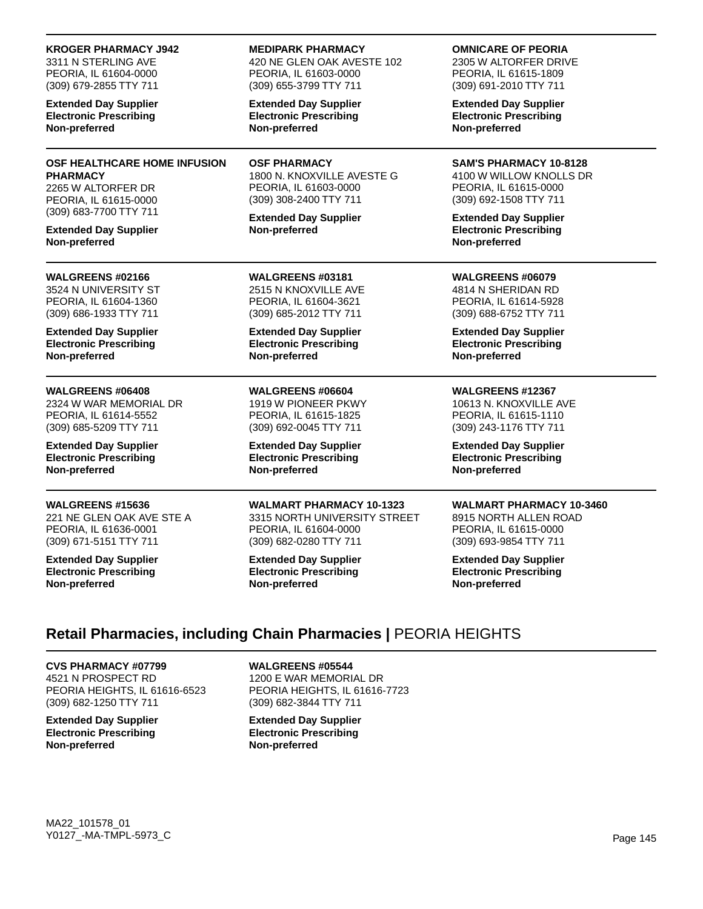#### **KROGER PHARMACY J942**

3311 N STERLING AVE PEORIA, IL 61604-0000 (309) 679-2855 TTY 711

**Extended Day Supplier Electronic Prescribing Non-preferred**

#### **OSF HEALTHCARE HOME INFUSION PHARMACY** 2265 W ALTORFER DR

PEORIA, IL 61615-0000 (309) 683-7700 TTY 711

**Extended Day Supplier Non-preferred**

#### **WALGREENS #02166**

3524 N UNIVERSITY ST PEORIA, IL 61604-1360 (309) 686-1933 TTY 711

**Extended Day Supplier Electronic Prescribing Non-preferred**

#### **WALGREENS #06408**

2324 W WAR MEMORIAL DR PEORIA, IL 61614-5552 (309) 685-5209 TTY 711

**Extended Day Supplier Electronic Prescribing Non-preferred**

#### **WALGREENS #15636**

221 NE GLEN OAK AVE STE A PEORIA, IL 61636-0001 (309) 671-5151 TTY 711

**Extended Day Supplier Electronic Prescribing Non-preferred**

#### **MEDIPARK PHARMACY**

420 NE GLEN OAK AVESTE 102 PEORIA, IL 61603-0000 (309) 655-3799 TTY 711

**Extended Day Supplier Electronic Prescribing Non-preferred**

**OSF PHARMACY** 1800 N. KNOXVILLE AVESTE G PEORIA, IL 61603-0000 (309) 308-2400 TTY 711

**Extended Day Supplier Non-preferred**

**WALGREENS #03181** 2515 N KNOXVILLE AVE

PEORIA, IL 61604-3621 (309) 685-2012 TTY 711

**Extended Day Supplier Electronic Prescribing Non-preferred**

### **WALGREENS #06604**

1919 W PIONEER PKWY PEORIA, IL 61615-1825 (309) 692-0045 TTY 711

**Extended Day Supplier Electronic Prescribing Non-preferred**

**WALMART PHARMACY 10-1323** 3315 NORTH UNIVERSITY STREET PEORIA, IL 61604-0000 (309) 682-0280 TTY 711

**Extended Day Supplier Electronic Prescribing Non-preferred**

**OMNICARE OF PEORIA**

2305 W ALTORFER DRIVE PEORIA, IL 61615-1809 (309) 691-2010 TTY 711

**Extended Day Supplier Electronic Prescribing Non-preferred**

**SAM'S PHARMACY 10-8128** 4100 W WILLOW KNOLLS DR PEORIA, IL 61615-0000 (309) 692-1508 TTY 711

**Extended Day Supplier Electronic Prescribing Non-preferred**

**WALGREENS #06079** 4814 N SHERIDAN RD PEORIA, IL 61614-5928 (309) 688-6752 TTY 711

**Extended Day Supplier Electronic Prescribing Non-preferred**

#### **WALGREENS #12367**

10613 N. KNOXVILLE AVE PEORIA, IL 61615-1110 (309) 243-1176 TTY 711

**Extended Day Supplier Electronic Prescribing Non-preferred**

#### **WALMART PHARMACY 10-3460**

8915 NORTH ALLEN ROAD PEORIA, IL 61615-0000 (309) 693-9854 TTY 711

**Extended Day Supplier Electronic Prescribing Non-preferred**

# **Retail Pharmacies, including Chain Pharmacies |** PEORIA HEIGHTS

**CVS PHARMACY #07799** 4521 N PROSPECT RD PEORIA HEIGHTS, IL 61616-6523 (309) 682-1250 TTY 711

**Extended Day Supplier Electronic Prescribing Non-preferred**

**WALGREENS #05544**

1200 E WAR MEMORIAL DR PEORIA HEIGHTS, IL 61616-7723 (309) 682-3844 TTY 711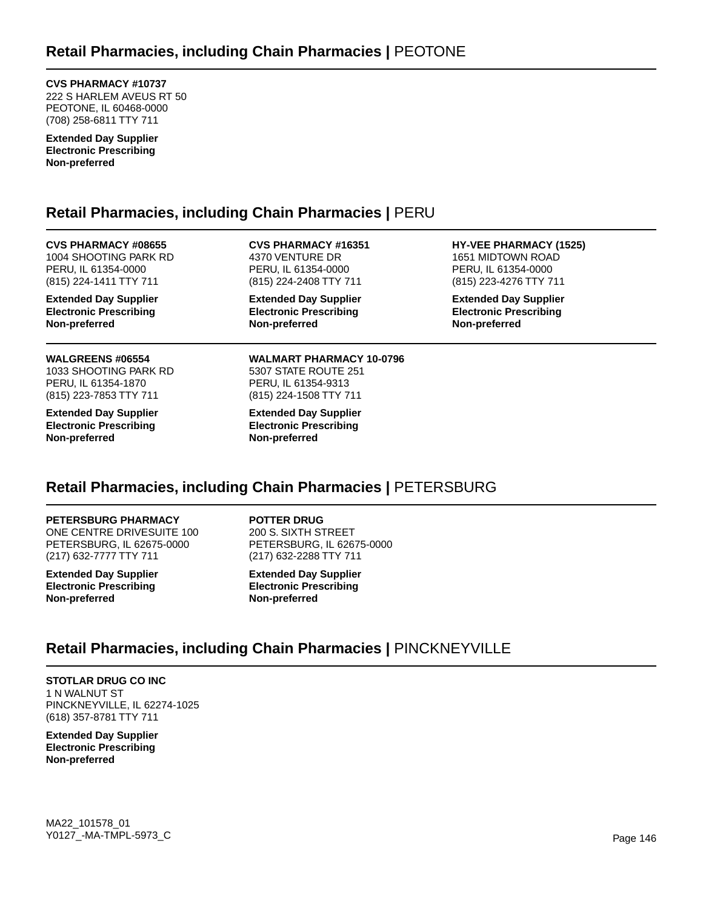**CVS PHARMACY #10737**

222 S HARLEM AVEUS RT 50 PEOTONE, IL 60468-0000 (708) 258-6811 TTY 711

**Extended Day Supplier Electronic Prescribing Non-preferred**

# **Retail Pharmacies, including Chain Pharmacies |** PERU

**CVS PHARMACY #08655** 1004 SHOOTING PARK RD PERU, IL 61354-0000 (815) 224-1411 TTY 711

**Extended Day Supplier Electronic Prescribing Non-preferred**

**WALGREENS #06554** 1033 SHOOTING PARK RD PERU, IL 61354-1870 (815) 223-7853 TTY 711

**Extended Day Supplier Electronic Prescribing Non-preferred**

**CVS PHARMACY #16351** 4370 VENTURE DR PERU, IL 61354-0000 (815) 224-2408 TTY 711

**Extended Day Supplier Electronic Prescribing Non-preferred**

**WALMART PHARMACY 10-0796** 5307 STATE ROUTE 251 PERU, IL 61354-9313 (815) 224-1508 TTY 711

**Extended Day Supplier Electronic Prescribing Non-preferred**

**HY-VEE PHARMACY (1525)** 1651 MIDTOWN ROAD PERU, IL 61354-0000 (815) 223-4276 TTY 711

**Extended Day Supplier Electronic Prescribing Non-preferred**

# **Retail Pharmacies, including Chain Pharmacies |** PETERSBURG

**PETERSBURG PHARMACY** ONE CENTRE DRIVESUITE 100 PETERSBURG, IL 62675-0000 (217) 632-7777 TTY 711

**Extended Day Supplier Electronic Prescribing Non-preferred**

**POTTER DRUG**

200 S. SIXTH STREET PETERSBURG, IL 62675-0000 (217) 632-2288 TTY 711

**Extended Day Supplier Electronic Prescribing Non-preferred**

# **Retail Pharmacies, including Chain Pharmacies |** PINCKNEYVILLE

**STOTLAR DRUG CO INC** 1 N WALNUT ST PINCKNEYVILLE, IL 62274-1025 (618) 357-8781 TTY 711

**Extended Day Supplier Electronic Prescribing Non-preferred**

MA22\_101578\_01 Y0127\_-MA-TMPL-5973\_C Page 146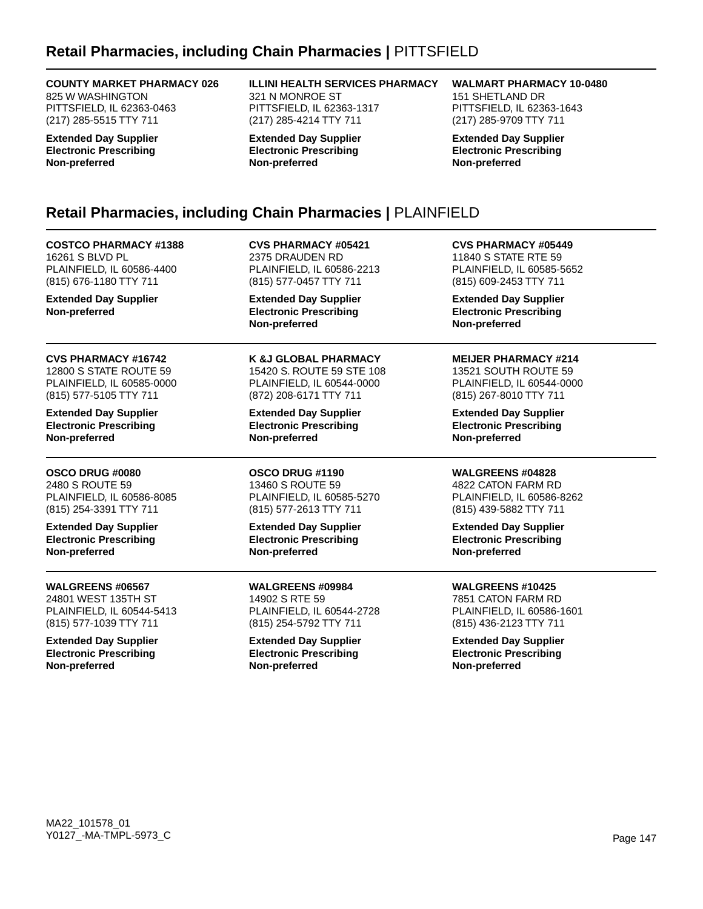# **Retail Pharmacies, including Chain Pharmacies |** PITTSFIELD

#### **COUNTY MARKET PHARMACY 026**

825 W WASHINGTON PITTSFIELD, IL 62363-0463 (217) 285-5515 TTY 711

**Extended Day Supplier Electronic Prescribing Non-preferred**

**ILLINI HEALTH SERVICES PHARMACY** 321 N MONROE ST PITTSFIELD, IL 62363-1317 (217) 285-4214 TTY 711

**Extended Day Supplier Electronic Prescribing Non-preferred**

**WALMART PHARMACY 10-0480**

151 SHETLAND DR PITTSFIELD, IL 62363-1643 (217) 285-9709 TTY 711

**Extended Day Supplier Electronic Prescribing Non-preferred**

# **Retail Pharmacies, including Chain Pharmacies |** PLAINFIELD

**COSTCO PHARMACY #1388** 16261 S BLVD PL PLAINFIELD, IL 60586-4400 (815) 676-1180 TTY 711

**Extended Day Supplier Non-preferred**

**CVS PHARMACY #16742** 12800 S STATE ROUTE 59 PLAINFIELD, IL 60585-0000 (815) 577-5105 TTY 711

**Extended Day Supplier Electronic Prescribing Non-preferred**

**OSCO DRUG #0080** 2480 S ROUTE 59 PLAINFIELD, IL 60586-8085 (815) 254-3391 TTY 711

**Extended Day Supplier Electronic Prescribing Non-preferred**

**WALGREENS #06567** 24801 WEST 135TH ST PLAINFIELD, IL 60544-5413 (815) 577-1039 TTY 711

**Extended Day Supplier Electronic Prescribing Non-preferred**

**CVS PHARMACY #05421** 2375 DRAUDEN RD PLAINFIELD, IL 60586-2213 (815) 577-0457 TTY 711

**Extended Day Supplier Electronic Prescribing Non-preferred**

**K &J GLOBAL PHARMACY** 15420 S. ROUTE 59 STE 108 PLAINFIELD, IL 60544-0000 (872) 208-6171 TTY 711

**Extended Day Supplier Electronic Prescribing Non-preferred**

**OSCO DRUG #1190** 13460 S ROUTE 59 PLAINFIELD, IL 60585-5270 (815) 577-2613 TTY 711

**Extended Day Supplier Electronic Prescribing Non-preferred**

**WALGREENS #09984** 14902 S RTE 59 PLAINFIELD, IL 60544-2728 (815) 254-5792 TTY 711

**Extended Day Supplier Electronic Prescribing Non-preferred**

**CVS PHARMACY #05449** 11840 S STATE RTE 59 PLAINFIELD, IL 60585-5652 (815) 609-2453 TTY 711

**Extended Day Supplier Electronic Prescribing Non-preferred**

**MEIJER PHARMACY #214**

13521 SOUTH ROUTE 59 PLAINFIELD, IL 60544-0000 (815) 267-8010 TTY 711

**Extended Day Supplier Electronic Prescribing Non-preferred**

**WALGREENS #04828** 4822 CATON FARM RD PLAINFIELD, IL 60586-8262

(815) 439-5882 TTY 711 **Extended Day Supplier Electronic Prescribing Non-preferred**

**WALGREENS #10425** 7851 CATON FARM RD PLAINFIELD, IL 60586-1601 (815) 436-2123 TTY 711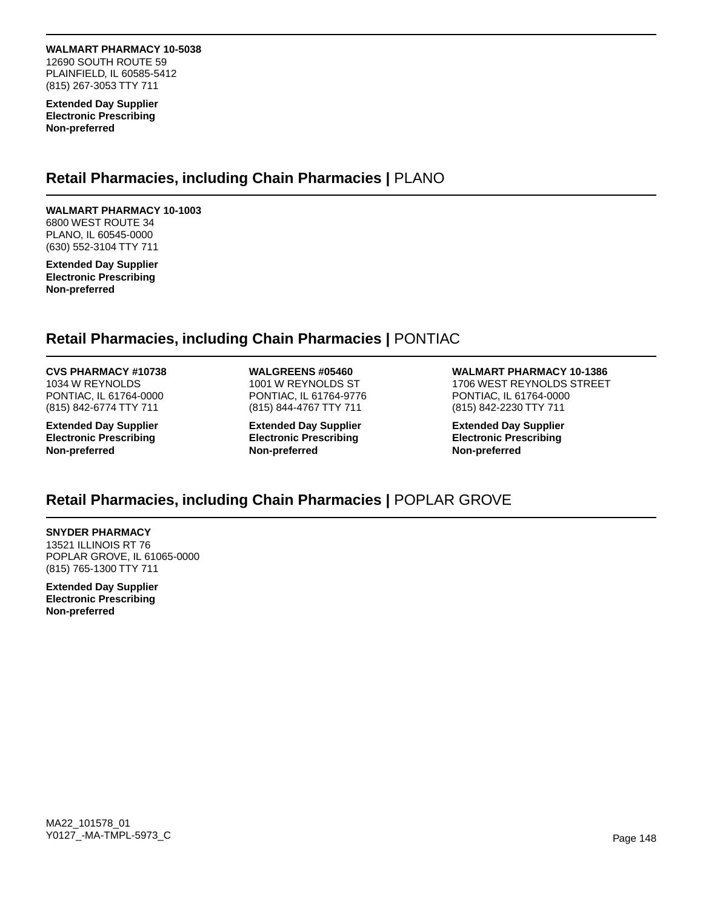**WALMART PHARMACY 10-5038** 12690 SOUTH ROUTE 59 PLAINFIELD, IL 60585-5412 (815) 267-3053 TTY 711

**Extended Day Supplier Electronic Prescribing Non-preferred**

### **Retail Pharmacies, including Chain Pharmacies |** PLANO

### **WALMART PHARMACY 10-1003**

6800 WEST ROUTE 34 PLANO, IL 60545-0000 (630) 552-3104 TTY 711

**Extended Day Supplier Electronic Prescribing Non-preferred**

### **Retail Pharmacies, including Chain Pharmacies |** PONTIAC

#### **CVS PHARMACY #10738**

1034 W REYNOLDS PONTIAC, IL 61764-0000 (815) 842-6774 TTY 711

**Extended Day Supplier Electronic Prescribing Non-preferred**

**WALGREENS #05460** 1001 W REYNOLDS ST PONTIAC, IL 61764-9776 (815) 844-4767 TTY 711

**Extended Day Supplier Electronic Prescribing Non-preferred**

**WALMART PHARMACY 10-1386** 1706 WEST REYNOLDS STREET PONTIAC, IL 61764-0000 (815) 842-2230 TTY 711

**Extended Day Supplier Electronic Prescribing Non-preferred**

# **Retail Pharmacies, including Chain Pharmacies |** POPLAR GROVE

#### **SNYDER PHARMACY** 13521 ILLINOIS RT 76 POPLAR GROVE, IL 61065-0000 (815) 765-1300 TTY 711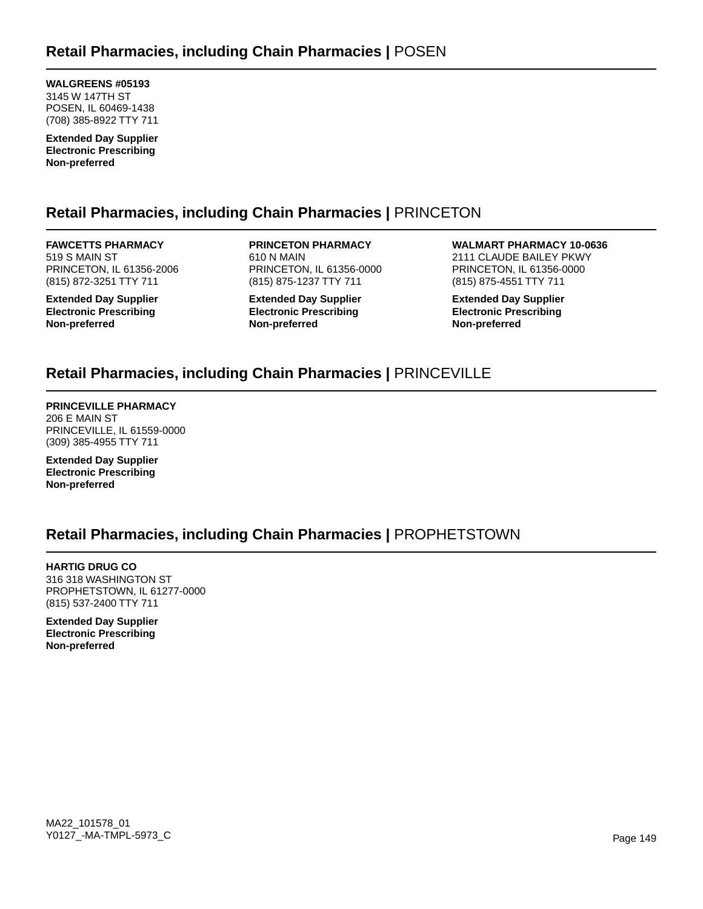**WALGREENS #05193** 3145 W 147TH ST POSEN, IL 60469-1438 (708) 385-8922 TTY 711

**Extended Day Supplier Electronic Prescribing Non-preferred**

# **Retail Pharmacies, including Chain Pharmacies |** PRINCETON

**FAWCETTS PHARMACY** 519 S MAIN ST PRINCETON, IL 61356-2006 (815) 872-3251 TTY 711

**Extended Day Supplier Electronic Prescribing Non-preferred**

**PRINCETON PHARMACY** 610 N MAIN PRINCETON, IL 61356-0000 (815) 875-1237 TTY 711

**Extended Day Supplier Electronic Prescribing Non-preferred**

**WALMART PHARMACY 10-0636** 2111 CLAUDE BAILEY PKWY PRINCETON, IL 61356-0000 (815) 875-4551 TTY 711

**Extended Day Supplier Electronic Prescribing Non-preferred**

# **Retail Pharmacies, including Chain Pharmacies |** PRINCEVILLE

**PRINCEVILLE PHARMACY** 206 E MAIN ST PRINCEVILLE, IL 61559-0000 (309) 385-4955 TTY 711

**Extended Day Supplier Electronic Prescribing Non-preferred**

# **Retail Pharmacies, including Chain Pharmacies |** PROPHETSTOWN

**HARTIG DRUG CO** 316 318 WASHINGTON ST PROPHETSTOWN, IL 61277-0000 (815) 537-2400 TTY 711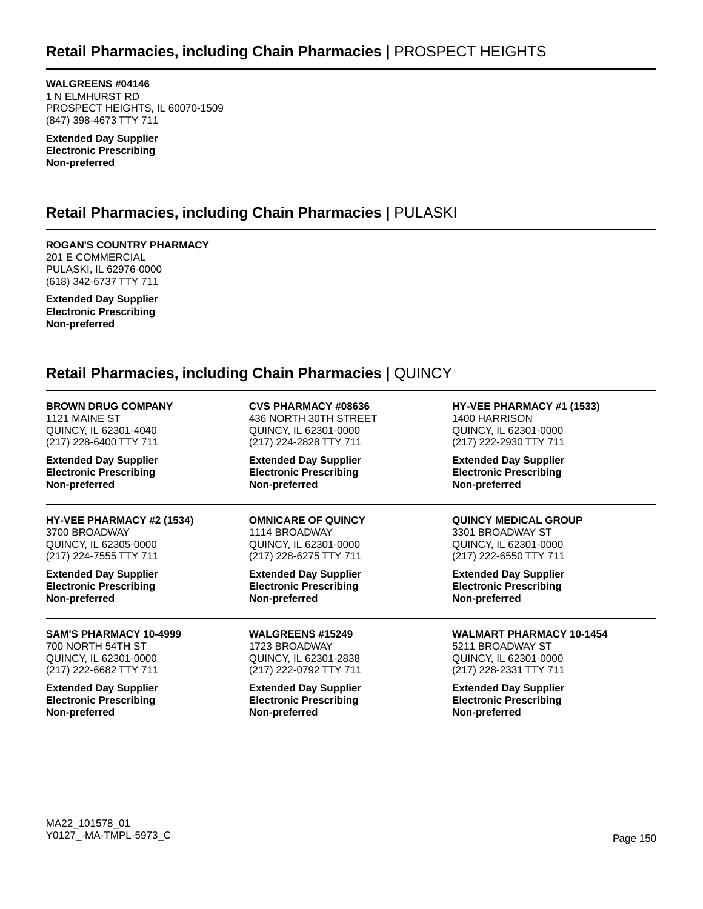**WALGREENS #04146** 1 N ELMHURST RD PROSPECT HEIGHTS, IL 60070-1509 (847) 398-4673 TTY 711

**Extended Day Supplier Electronic Prescribing Non-preferred**

# **Retail Pharmacies, including Chain Pharmacies |** PULASKI

**ROGAN'S COUNTRY PHARMACY** 201 E COMMERCIAL PULASKI, IL 62976-0000 (618) 342-6737 TTY 711

**Extended Day Supplier Electronic Prescribing Non-preferred**

## **Retail Pharmacies, including Chain Pharmacies |** QUINCY

| <b>BROWN DRUG COMPANY</b><br>1121 MAINE ST<br>QUINCY, IL 62301-4040<br>(217) 228-6400 TTY 711<br><b>Extended Day Supplier</b><br><b>Electronic Prescribing</b><br>Non-preferred | <b>CVS PHARMACY #08636</b><br>436 NORTH 30TH STREET<br><b>QUINCY, IL 62301-0000</b><br>(217) 224-2828 TTY 711<br><b>Extended Day Supplier</b><br><b>Electronic Prescribing</b><br>Non-preferred | HY-VEE PHARMACY #1 (1533)<br>1400 HARRISON<br>QUINCY, IL 62301-0000<br>(217) 222-2930 TTY 711<br><b>Extended Day Supplier</b><br><b>Electronic Prescribing</b><br>Non-preferred |
|---------------------------------------------------------------------------------------------------------------------------------------------------------------------------------|-------------------------------------------------------------------------------------------------------------------------------------------------------------------------------------------------|---------------------------------------------------------------------------------------------------------------------------------------------------------------------------------|
|                                                                                                                                                                                 |                                                                                                                                                                                                 |                                                                                                                                                                                 |
| 3700 BROADWAY                                                                                                                                                                   | 1114 BROADWAY                                                                                                                                                                                   | 3301 BROADWAY ST                                                                                                                                                                |
| QUINCY, IL 62305-0000                                                                                                                                                           | QUINCY, IL 62301-0000                                                                                                                                                                           | QUINCY, IL 62301-0000                                                                                                                                                           |
| (217) 224-7555 TTY 711                                                                                                                                                          | (217) 228-6275 TTY 711                                                                                                                                                                          | (217) 222-6550 TTY 711                                                                                                                                                          |
| <b>Extended Day Supplier</b>                                                                                                                                                    | <b>Extended Day Supplier</b>                                                                                                                                                                    | <b>Extended Day Supplier</b>                                                                                                                                                    |
| <b>Electronic Prescribing</b>                                                                                                                                                   | <b>Electronic Prescribing</b>                                                                                                                                                                   | <b>Electronic Prescribing</b>                                                                                                                                                   |
| Non-preferred                                                                                                                                                                   | Non-preferred                                                                                                                                                                                   | Non-preferred                                                                                                                                                                   |
| <b>SAM'S PHARMACY 10-4999</b>                                                                                                                                                   | <b>WALGREENS #15249</b>                                                                                                                                                                         | <b>WALMART PHARMACY 10-1454</b>                                                                                                                                                 |
| 700 NORTH 54TH ST                                                                                                                                                               | 1723 BROADWAY                                                                                                                                                                                   | 5211 BROADWAY ST                                                                                                                                                                |
| QUINCY, IL 62301-0000                                                                                                                                                           | <b>QUINCY, IL 62301-2838</b>                                                                                                                                                                    | <b>QUINCY, IL 62301-0000</b>                                                                                                                                                    |
| (217) 222-6682 TTY 711                                                                                                                                                          | (217) 222-0792 TTY 711                                                                                                                                                                          | (217) 228-2331 TTY 711                                                                                                                                                          |
| <b>Extended Day Supplier</b>                                                                                                                                                    | <b>Extended Day Supplier</b>                                                                                                                                                                    | <b>Extended Day Supplier</b>                                                                                                                                                    |
| <b>Electronic Prescribing</b>                                                                                                                                                   | <b>Electronic Prescribing</b>                                                                                                                                                                   | <b>Electronic Prescribing</b>                                                                                                                                                   |
| Non-preferred                                                                                                                                                                   | Non-preferred                                                                                                                                                                                   | Non-preferred                                                                                                                                                                   |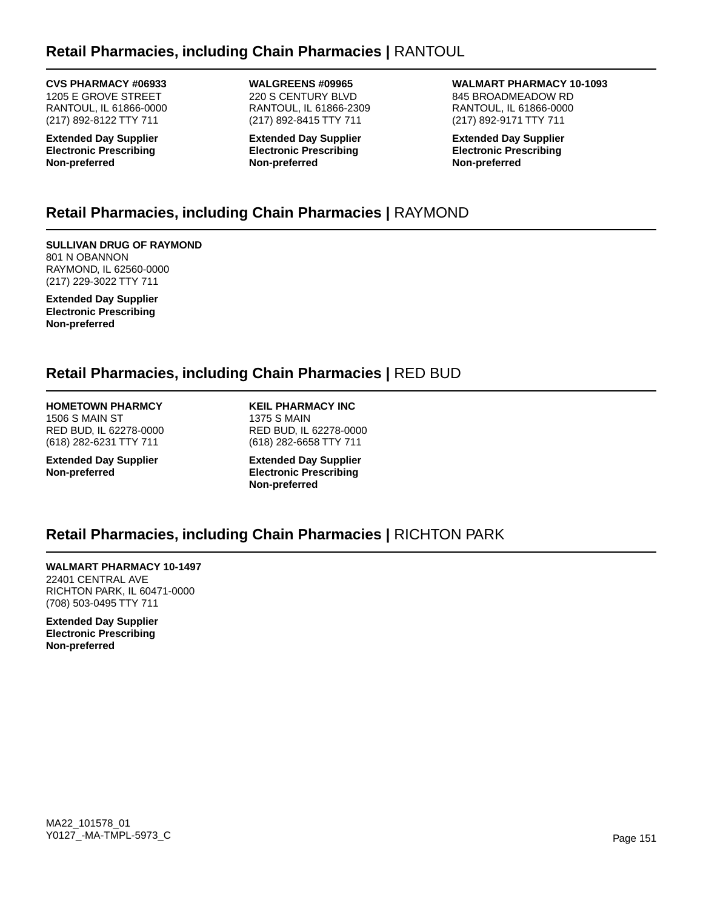# **Retail Pharmacies, including Chain Pharmacies |** RANTOUL

#### **CVS PHARMACY #06933**

1205 E GROVE STREET RANTOUL, IL 61866-0000 (217) 892-8122 TTY 711

**Extended Day Supplier Electronic Prescribing Non-preferred**

**WALGREENS #09965** 220 S CENTURY BLVD RANTOUL, IL 61866-2309 (217) 892-8415 TTY 711

**Extended Day Supplier Electronic Prescribing Non-preferred**

**WALMART PHARMACY 10-1093** 845 BROADMEADOW RD RANTOUL, IL 61866-0000 (217) 892-9171 TTY 711

**Extended Day Supplier Electronic Prescribing Non-preferred**

# **Retail Pharmacies, including Chain Pharmacies |** RAYMOND

**SULLIVAN DRUG OF RAYMOND** 801 N OBANNON RAYMOND, IL 62560-0000 (217) 229-3022 TTY 711

**Extended Day Supplier Electronic Prescribing Non-preferred**

## **Retail Pharmacies, including Chain Pharmacies |** RED BUD

### **HOMETOWN PHARMCY**

1506 S MAIN ST RED BUD, IL 62278-0000 (618) 282-6231 TTY 711

**Extended Day Supplier Non-preferred**

**KEIL PHARMACY INC** 1375 S MAIN RED BUD, IL 62278-0000 (618) 282-6658 TTY 711

**Extended Day Supplier Electronic Prescribing Non-preferred**

# **Retail Pharmacies, including Chain Pharmacies |** RICHTON PARK

## **WALMART PHARMACY 10-1497**

22401 CENTRAL AVE RICHTON PARK, IL 60471-0000 (708) 503-0495 TTY 711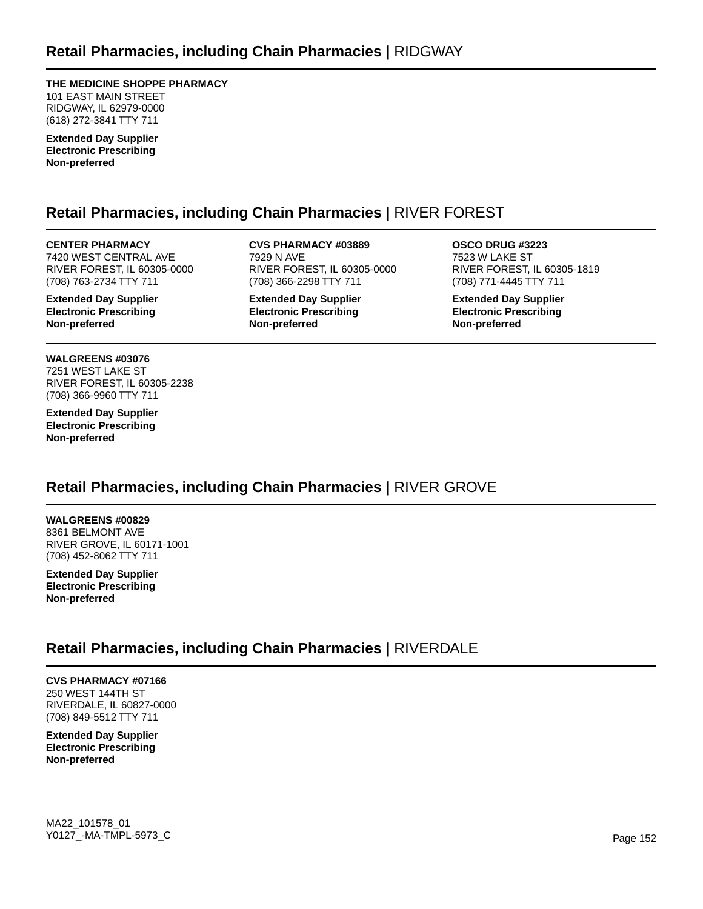**THE MEDICINE SHOPPE PHARMACY**

101 EAST MAIN STREET RIDGWAY, IL 62979-0000 (618) 272-3841 TTY 711

**Extended Day Supplier Electronic Prescribing Non-preferred**

# **Retail Pharmacies, including Chain Pharmacies |** RIVER FOREST

**CENTER PHARMACY** 7420 WEST CENTRAL AVE RIVER FOREST, IL 60305-0000 (708) 763-2734 TTY 711

**Extended Day Supplier Electronic Prescribing Non-preferred**

**WALGREENS #03076** 7251 WEST LAKE ST RIVER FOREST, IL 60305-2238 (708) 366-9960 TTY 711

**Extended Day Supplier Electronic Prescribing Non-preferred**

**CVS PHARMACY #03889** 7929 N AVE RIVER FOREST, IL 60305-0000 (708) 366-2298 TTY 711

**Extended Day Supplier Electronic Prescribing Non-preferred**

**OSCO DRUG #3223** 7523 W LAKE ST RIVER FOREST, IL 60305-1819 (708) 771-4445 TTY 711

**Extended Day Supplier Electronic Prescribing Non-preferred**

# **Retail Pharmacies, including Chain Pharmacies |** RIVER GROVE

**WALGREENS #00829** 8361 BELMONT AVE RIVER GROVE, IL 60171-1001 (708) 452-8062 TTY 711

**Extended Day Supplier Electronic Prescribing Non-preferred**

# **Retail Pharmacies, including Chain Pharmacies |** RIVERDALE

### **CVS PHARMACY #07166**

250 WEST 144TH ST RIVERDALE, IL 60827-0000 (708) 849-5512 TTY 711

**Extended Day Supplier Electronic Prescribing Non-preferred**

MA22\_101578\_01 Y0127\_-MA-TMPL-5973\_C Page 152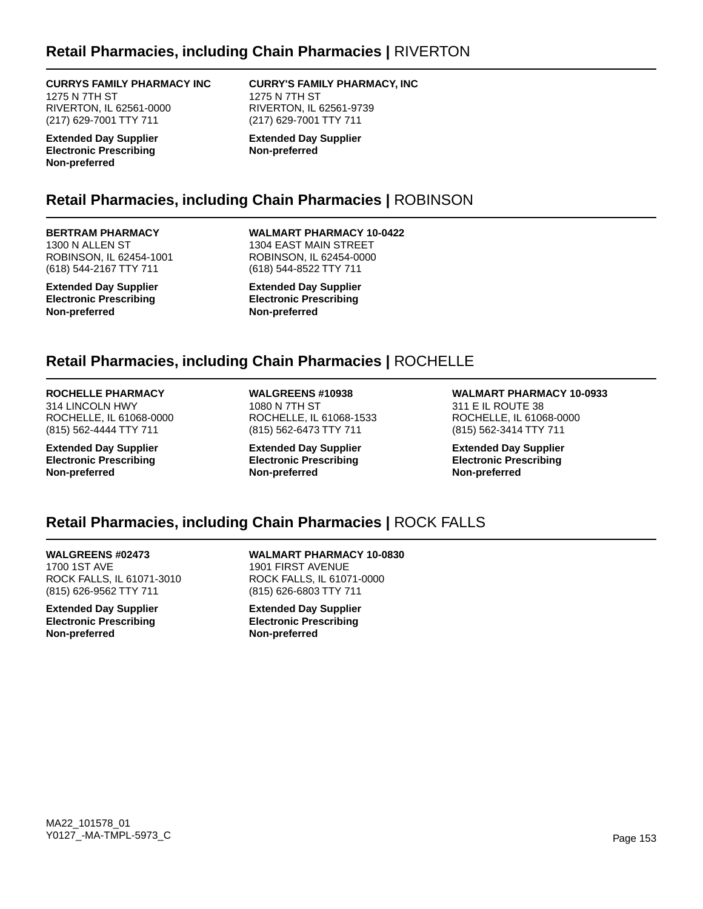## **Retail Pharmacies, including Chain Pharmacies |** RIVERTON

**CURRYS FAMILY PHARMACY INC** 1275 N 7TH ST

RIVERTON, IL 62561-0000 (217) 629-7001 TTY 711

**Extended Day Supplier Electronic Prescribing Non-preferred**

#### **CURRY'S FAMILY PHARMACY, INC** 1275 N 7TH ST

RIVERTON, IL 62561-9739 (217) 629-7001 TTY 711

**Extended Day Supplier Non-preferred**

## **Retail Pharmacies, including Chain Pharmacies |** ROBINSON

### **BERTRAM PHARMACY**

1300 N ALLEN ST ROBINSON, IL 62454-1001 (618) 544-2167 TTY 711

**Extended Day Supplier Electronic Prescribing Non-preferred**

**WALMART PHARMACY 10-0422** 1304 EAST MAIN STREET ROBINSON, IL 62454-0000 (618) 544-8522 TTY 711

**Extended Day Supplier Electronic Prescribing Non-preferred**

## **Retail Pharmacies, including Chain Pharmacies |** ROCHELLE

### **ROCHELLE PHARMACY**

314 LINCOLN HWY ROCHELLE, IL 61068-0000 (815) 562-4444 TTY 711

**Extended Day Supplier Electronic Prescribing Non-preferred**

**WALGREENS #10938** 1080 N 7TH ST ROCHELLE, IL 61068-1533 (815) 562-6473 TTY 711

**Extended Day Supplier Electronic Prescribing Non-preferred**

**WALMART PHARMACY 10-0933** 311 E IL ROUTE 38 ROCHELLE, IL 61068-0000 (815) 562-3414 TTY 711

**Extended Day Supplier Electronic Prescribing Non-preferred**

### **Retail Pharmacies, including Chain Pharmacies |** ROCK FALLS

#### **WALGREENS #02473**

1700 1ST AVE ROCK FALLS, IL 61071-3010 (815) 626-9562 TTY 711

**Extended Day Supplier Electronic Prescribing Non-preferred**

**WALMART PHARMACY 10-0830** 1901 FIRST AVENUE ROCK FALLS, IL 61071-0000 (815) 626-6803 TTY 711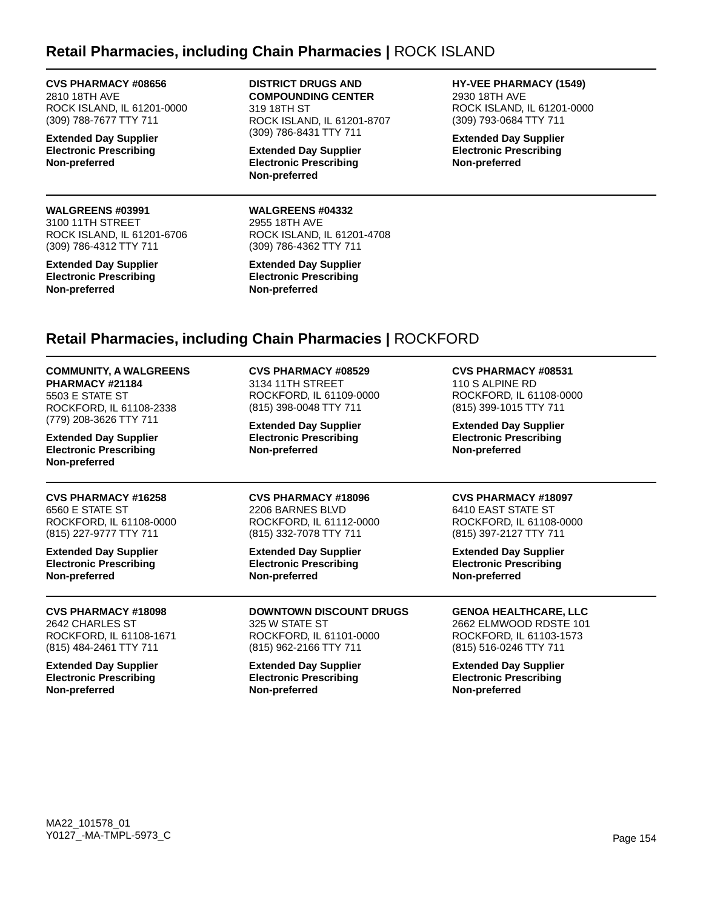## **Retail Pharmacies, including Chain Pharmacies |** ROCK ISLAND

**CVS PHARMACY #08656** 2810 18TH AVE ROCK ISLAND, IL 61201-0000 (309) 788-7677 TTY 711

**Extended Day Supplier Electronic Prescribing Non-preferred**

#### **WALGREENS #03991** 3100 11TH STREET ROCK ISLAND, IL 61201-6706 (309) 786-4312 TTY 711

**Extended Day Supplier Electronic Prescribing Non-preferred**

**DISTRICT DRUGS AND COMPOUNDING CENTER** 319 18TH ST ROCK ISLAND, IL 61201-8707 (309) 786-8431 TTY 711

**Extended Day Supplier Electronic Prescribing Non-preferred**

**WALGREENS #04332** 2955 18TH AVE ROCK ISLAND, IL 61201-4708 (309) 786-4362 TTY 711

**Extended Day Supplier Electronic Prescribing Non-preferred**

**HY-VEE PHARMACY (1549)** 2930 18TH AVE ROCK ISLAND, IL 61201-0000 (309) 793-0684 TTY 711

**Extended Day Supplier Electronic Prescribing Non-preferred**

# **Retail Pharmacies, including Chain Pharmacies |** ROCKFORD

**COMMUNITY, A WALGREENS PHARMACY #21184** 5503 E STATE ST

ROCKFORD, IL 61108-2338 (779) 208-3626 TTY 711

**Extended Day Supplier Electronic Prescribing Non-preferred**

#### **CVS PHARMACY #16258** 6560 E STATE ST

ROCKFORD, IL 61108-0000 (815) 227-9777 TTY 711

**Extended Day Supplier Electronic Prescribing Non-preferred**

#### **CVS PHARMACY #18098** 2642 CHARLES ST ROCKFORD, IL 61108-1671 (815) 484-2461 TTY 711

**Extended Day Supplier Electronic Prescribing Non-preferred**

# **CVS PHARMACY #08529**

3134 11TH STREET ROCKFORD, IL 61109-0000 (815) 398-0048 TTY 711

**Extended Day Supplier Electronic Prescribing Non-preferred**

### **CVS PHARMACY #18096**

2206 BARNES BLVD ROCKFORD, IL 61112-0000 (815) 332-7078 TTY 711

**Extended Day Supplier Electronic Prescribing Non-preferred**

**DOWNTOWN DISCOUNT DRUGS** 325 W STATE ST ROCKFORD, IL 61101-0000 (815) 962-2166 TTY 711

**Extended Day Supplier Electronic Prescribing Non-preferred**

**CVS PHARMACY #08531**

110 S ALPINE RD ROCKFORD, IL 61108-0000 (815) 399-1015 TTY 711

**Extended Day Supplier Electronic Prescribing Non-preferred**

#### **CVS PHARMACY #18097**

6410 EAST STATE ST ROCKFORD, IL 61108-0000 (815) 397-2127 TTY 711

**Extended Day Supplier Electronic Prescribing Non-preferred**

### **GENOA HEALTHCARE, LLC**

2662 ELMWOOD RDSTE 101 ROCKFORD, IL 61103-1573 (815) 516-0246 TTY 711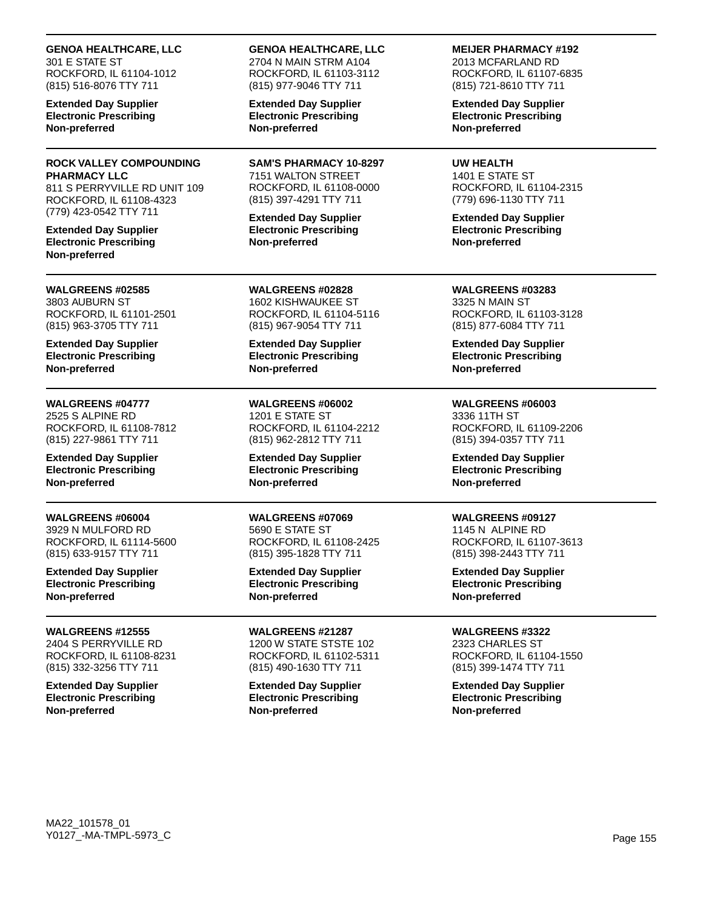**GENOA HEALTHCARE, LLC** 301 E STATE ST

ROCKFORD, IL 61104-1012 (815) 516-8076 TTY 711

**Extended Day Supplier Electronic Prescribing Non-preferred**

### **ROCK VALLEY COMPOUNDING PHARMACY LLC**

811 S PERRYVILLE RD UNIT 109 ROCKFORD, IL 61108-4323 (779) 423-0542 TTY 711

**Extended Day Supplier Electronic Prescribing Non-preferred**

#### **WALGREENS #02585** 3803 AUBURN ST ROCKFORD, IL 61101-2501 (815) 963-3705 TTY 711

**Extended Day Supplier Electronic Prescribing Non-preferred**

## **WALGREENS #04777** 2525 S ALPINE RD

ROCKFORD, IL 61108-7812 (815) 227-9861 TTY 711

**Extended Day Supplier Electronic Prescribing Non-preferred**

### **WALGREENS #06004**

3929 N MULFORD RD ROCKFORD, IL 61114-5600 (815) 633-9157 TTY 711

**Extended Day Supplier Electronic Prescribing Non-preferred**

**WALGREENS #12555** 2404 S PERRYVILLE RD ROCKFORD, IL 61108-8231 (815) 332-3256 TTY 711

**Extended Day Supplier Electronic Prescribing Non-preferred**

### **GENOA HEALTHCARE, LLC**

2704 N MAIN STRM A104 ROCKFORD, IL 61103-3112 (815) 977-9046 TTY 711

**Extended Day Supplier Electronic Prescribing Non-preferred**

**SAM'S PHARMACY 10-8297** 7151 WALTON STREET ROCKFORD, IL 61108-0000 (815) 397-4291 TTY 711

**Extended Day Supplier Electronic Prescribing Non-preferred**

**WALGREENS #02828** 1602 KISHWAUKEE ST ROCKFORD, IL 61104-5116 (815) 967-9054 TTY 711

**Extended Day Supplier Electronic Prescribing Non-preferred**

**WALGREENS #06002** 1201 E STATE ST ROCKFORD, IL 61104-2212 (815) 962-2812 TTY 711

**Extended Day Supplier Electronic Prescribing Non-preferred**

**WALGREENS #07069** 5690 E STATE ST ROCKFORD, IL 61108-2425 (815) 395-1828 TTY 711

**Extended Day Supplier Electronic Prescribing Non-preferred**

**WALGREENS #21287** 1200 W STATE STSTE 102 ROCKFORD, IL 61102-5311 (815) 490-1630 TTY 711

**Extended Day Supplier Electronic Prescribing Non-preferred**

**MEIJER PHARMACY #192**

2013 MCFARLAND RD ROCKFORD, IL 61107-6835 (815) 721-8610 TTY 711

**Extended Day Supplier Electronic Prescribing Non-preferred**

**UW HEALTH**

1401 E STATE ST ROCKFORD, IL 61104-2315 (779) 696-1130 TTY 711

**Extended Day Supplier Electronic Prescribing Non-preferred**

**WALGREENS #03283** 3325 N MAIN ST ROCKFORD, IL 61103-3128 (815) 877-6084 TTY 711

**Extended Day Supplier Electronic Prescribing Non-preferred**

**WALGREENS #06003** 3336 11TH ST ROCKFORD, IL 61109-2206 (815) 394-0357 TTY 711

**Extended Day Supplier Electronic Prescribing Non-preferred**

### **WALGREENS #09127**

1145 N ALPINE RD ROCKFORD, IL 61107-3613 (815) 398-2443 TTY 711

**Extended Day Supplier Electronic Prescribing Non-preferred**

**WALGREENS #3322** 2323 CHARLES ST ROCKFORD, IL 61104-1550 (815) 399-1474 TTY 711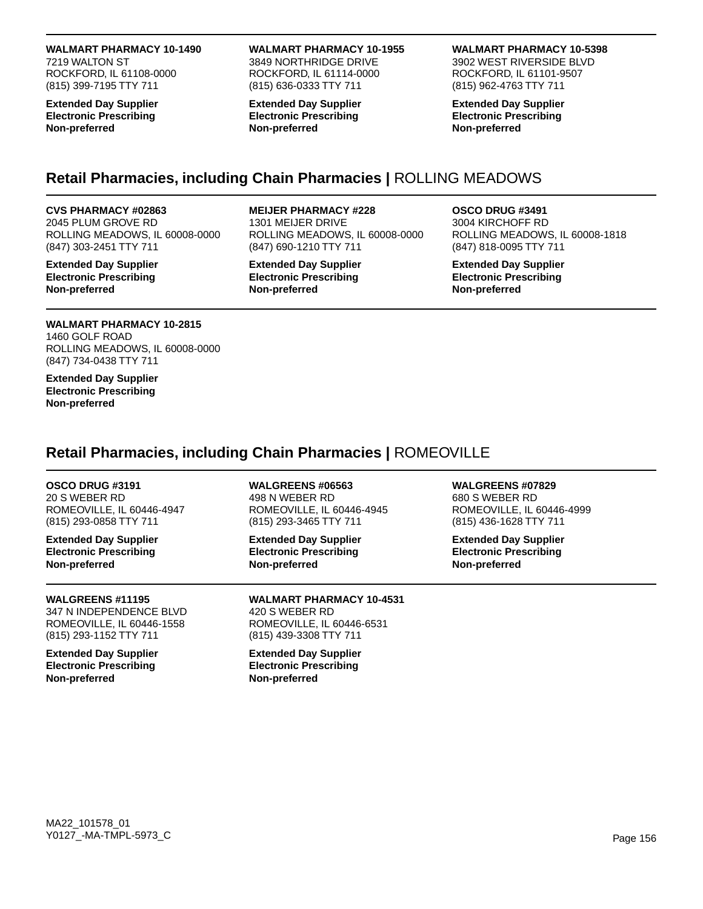**WALMART PHARMACY 10-1490** 7219 WALTON ST ROCKFORD, IL 61108-0000 (815) 399-7195 TTY 711

**Extended Day Supplier Electronic Prescribing Non-preferred**

### **WALMART PHARMACY 10-1955**

3849 NORTHRIDGE DRIVE ROCKFORD, IL 61114-0000 (815) 636-0333 TTY 711

**Extended Day Supplier Electronic Prescribing Non-preferred**

### **WALMART PHARMACY 10-5398**

3902 WEST RIVERSIDE BLVD ROCKFORD, IL 61101-9507 (815) 962-4763 TTY 711

**Extended Day Supplier Electronic Prescribing Non-preferred**

# **Retail Pharmacies, including Chain Pharmacies |** ROLLING MEADOWS

#### **CVS PHARMACY #02863**

2045 PLUM GROVE RD ROLLING MEADOWS, IL 60008-0000 (847) 303-2451 TTY 711

**Extended Day Supplier Electronic Prescribing Non-preferred**

### **MEIJER PHARMACY #228**

1301 MEIJER DRIVE ROLLING MEADOWS, IL 60008-0000 (847) 690-1210 TTY 711

**Extended Day Supplier Electronic Prescribing Non-preferred**

#### **OSCO DRUG #3491** 3004 KIRCHOFF RD ROLLING MEADOWS, IL 60008-1818 (847) 818-0095 TTY 711

**Extended Day Supplier Electronic Prescribing Non-preferred**

### **WALMART PHARMACY 10-2815**

1460 GOLF ROAD ROLLING MEADOWS, IL 60008-0000 (847) 734-0438 TTY 711

**Extended Day Supplier Electronic Prescribing Non-preferred**

# **Retail Pharmacies, including Chain Pharmacies |** ROMEOVILLE

#### **OSCO DRUG #3191**

20 S WEBER RD ROMEOVILLE, IL 60446-4947 (815) 293-0858 TTY 711

**Extended Day Supplier Electronic Prescribing Non-preferred**

### **WALGREENS #11195** 347 N INDEPENDENCE BLVD

ROMEOVILLE, IL 60446-1558 (815) 293-1152 TTY 711

**Extended Day Supplier Electronic Prescribing Non-preferred**

**WALGREENS #06563** 498 N WEBER RD ROMEOVILLE, IL 60446-4945 (815) 293-3465 TTY 711

**Extended Day Supplier Electronic Prescribing Non-preferred**

**WALMART PHARMACY 10-4531** 420 S WEBER RD ROMEOVILLE, IL 60446-6531 (815) 439-3308 TTY 711

**Extended Day Supplier Electronic Prescribing Non-preferred**

**WALGREENS #07829** 680 S WEBER RD ROMEOVILLE, IL 60446-4999 (815) 436-1628 TTY 711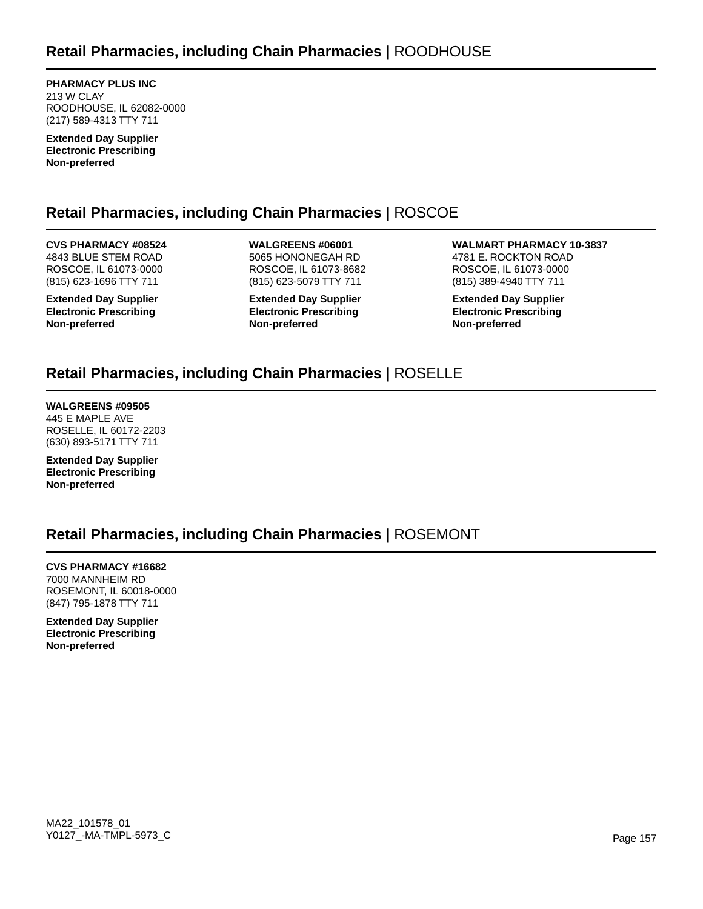**PHARMACY PLUS INC** 213 W CLAY ROODHOUSE, IL 62082-0000 (217) 589-4313 TTY 711

**Extended Day Supplier Electronic Prescribing Non-preferred**

# **Retail Pharmacies, including Chain Pharmacies |** ROSCOE

**CVS PHARMACY #08524** 4843 BLUE STEM ROAD ROSCOE, IL 61073-0000 (815) 623-1696 TTY 711

**Extended Day Supplier Electronic Prescribing Non-preferred**

**WALGREENS #06001** 5065 HONONEGAH RD ROSCOE, IL 61073-8682 (815) 623-5079 TTY 711

**Extended Day Supplier Electronic Prescribing Non-preferred**

**WALMART PHARMACY 10-3837** 4781 E. ROCKTON ROAD ROSCOE, IL 61073-0000 (815) 389-4940 TTY 711

**Extended Day Supplier Electronic Prescribing Non-preferred**

# **Retail Pharmacies, including Chain Pharmacies |** ROSELLE

**WALGREENS #09505** 445 E MAPLE AVE ROSELLE, IL 60172-2203 (630) 893-5171 TTY 711

**Extended Day Supplier Electronic Prescribing Non-preferred**

# **Retail Pharmacies, including Chain Pharmacies |** ROSEMONT

**CVS PHARMACY #16682** 7000 MANNHEIM RD ROSEMONT, IL 60018-0000 (847) 795-1878 TTY 711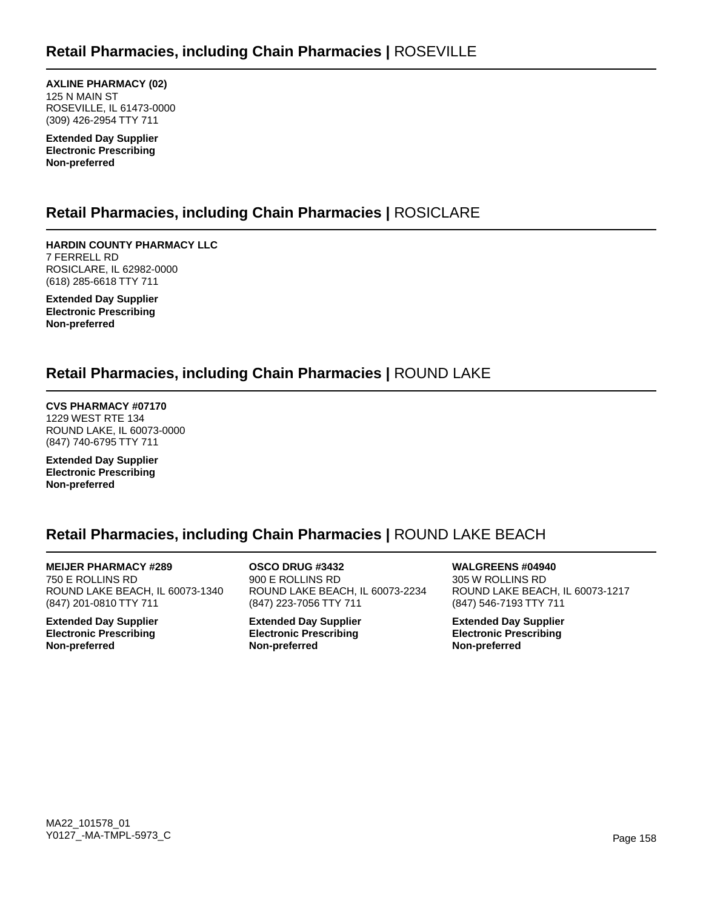**AXLINE PHARMACY (02)** 125 N MAIN ST ROSEVILLE, IL 61473-0000 (309) 426-2954 TTY 711

**Extended Day Supplier Electronic Prescribing Non-preferred**

# **Retail Pharmacies, including Chain Pharmacies |** ROSICLARE

**HARDIN COUNTY PHARMACY LLC** 7 FERRELL RD ROSICLARE, IL 62982-0000 (618) 285-6618 TTY 711

**Extended Day Supplier Electronic Prescribing Non-preferred**

# **Retail Pharmacies, including Chain Pharmacies |** ROUND LAKE

**CVS PHARMACY #07170** 1229 WEST RTE 134 ROUND LAKE, IL 60073-0000 (847) 740-6795 TTY 711

**Extended Day Supplier Electronic Prescribing Non-preferred**

# **Retail Pharmacies, including Chain Pharmacies |** ROUND LAKE BEACH

**MEIJER PHARMACY #289** 750 E ROLLINS RD ROUND LAKE BEACH, IL 60073-1340 (847) 201-0810 TTY 711

**Extended Day Supplier Electronic Prescribing Non-preferred**

**OSCO DRUG #3432** 900 E ROLLINS RD ROUND LAKE BEACH, IL 60073-2234 (847) 223-7056 TTY 711

**Extended Day Supplier Electronic Prescribing Non-preferred**

**WALGREENS #04940** 305 W ROLLINS RD ROUND LAKE BEACH, IL 60073-1217 (847) 546-7193 TTY 711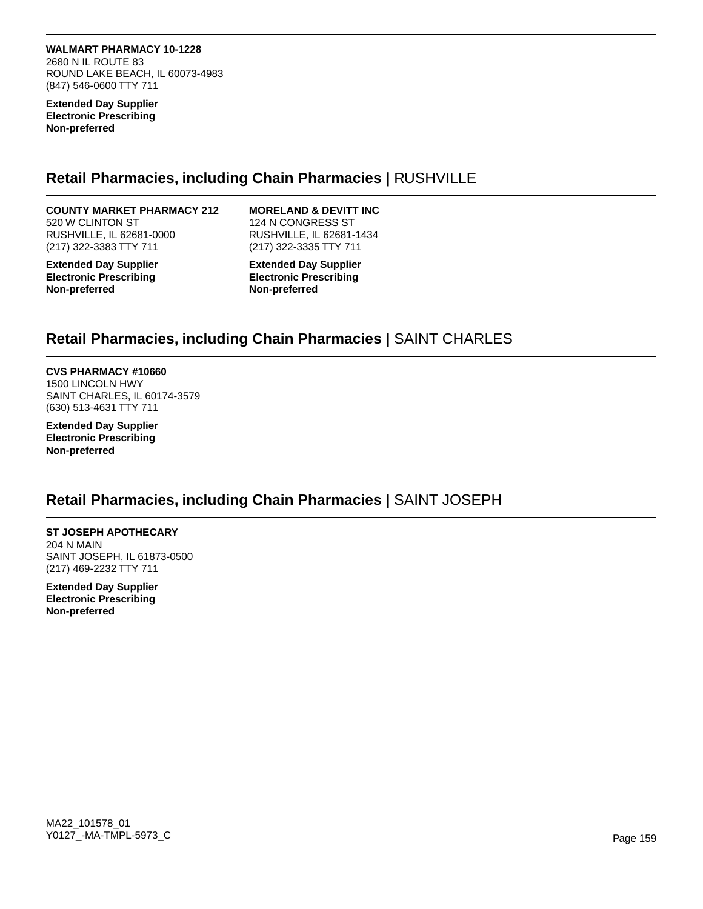**WALMART PHARMACY 10-1228** 2680 N IL ROUTE 83 ROUND LAKE BEACH, IL 60073-4983 (847) 546-0600 TTY 711

**Extended Day Supplier Electronic Prescribing Non-preferred**

## **Retail Pharmacies, including Chain Pharmacies |** RUSHVILLE

#### **COUNTY MARKET PHARMACY 212** 520 W CLINTON ST

RUSHVILLE, IL 62681-0000 (217) 322-3383 TTY 711

**Extended Day Supplier Electronic Prescribing Non-preferred**

### **MORELAND & DEVITT INC**

124 N CONGRESS ST RUSHVILLE, IL 62681-1434 (217) 322-3335 TTY 711

**Extended Day Supplier Electronic Prescribing Non-preferred**

## **Retail Pharmacies, including Chain Pharmacies |** SAINT CHARLES

### **CVS PHARMACY #10660**

1500 LINCOLN HWY SAINT CHARLES, IL 60174-3579 (630) 513-4631 TTY 711

**Extended Day Supplier Electronic Prescribing Non-preferred**

### **Retail Pharmacies, including Chain Pharmacies |** SAINT JOSEPH

#### **ST JOSEPH APOTHECARY** 204 N MAIN SAINT JOSEPH, IL 61873-0500 (217) 469-2232 TTY 711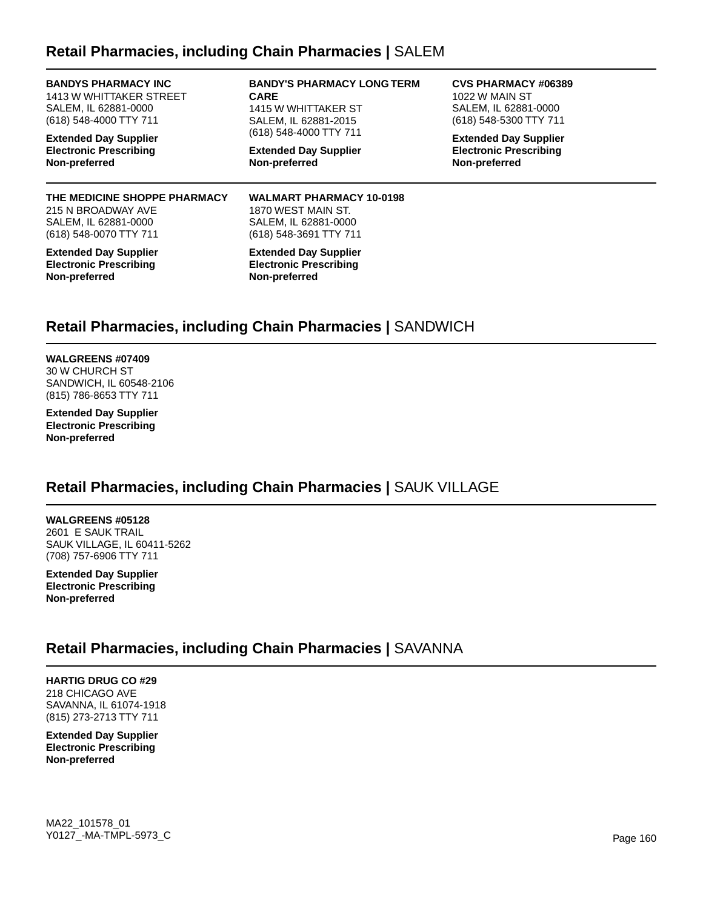## **Retail Pharmacies, including Chain Pharmacies |** SALEM

**BANDYS PHARMACY INC** 1413 W WHITTAKER STREET SALEM, IL 62881-0000 (618) 548-4000 TTY 711

**Extended Day Supplier Electronic Prescribing Non-preferred**

#### **THE MEDICINE SHOPPE PHARMACY** 215 N BROADWAY AVE SALEM, IL 62881-0000 (618) 548-0070 TTY 711

**Extended Day Supplier Electronic Prescribing Non-preferred**

**BANDY'S PHARMACY LONG TERM CARE** 1415 W WHITTAKER ST SALEM, IL 62881-2015 (618) 548-4000 TTY 711

**Extended Day Supplier Non-preferred**

**WALMART PHARMACY 10-0198** 1870 WEST MAIN ST. SALEM, IL 62881-0000 (618) 548-3691 TTY 711

**Extended Day Supplier Electronic Prescribing Non-preferred**

#### **CVS PHARMACY #06389** 1022 W MAIN ST SALEM, IL 62881-0000 (618) 548-5300 TTY 711

**Extended Day Supplier Electronic Prescribing Non-preferred**

# **Retail Pharmacies, including Chain Pharmacies |** SANDWICH

**WALGREENS #07409** 30 W CHURCH ST SANDWICH, IL 60548-2106 (815) 786-8653 TTY 711

**Extended Day Supplier Electronic Prescribing Non-preferred**

# **Retail Pharmacies, including Chain Pharmacies |** SAUK VILLAGE

**WALGREENS #05128** 2601 E SAUK TRAIL SAUK VILLAGE, IL 60411-5262 (708) 757-6906 TTY 711

**Extended Day Supplier Electronic Prescribing Non-preferred**

### **Retail Pharmacies, including Chain Pharmacies |** SAVANNA

**HARTIG DRUG CO #29** 218 CHICAGO AVE SAVANNA, IL 61074-1918 (815) 273-2713 TTY 711

**Extended Day Supplier Electronic Prescribing Non-preferred**

MA22\_101578\_01 Y0127\_-MA-TMPL-5973\_C Page 160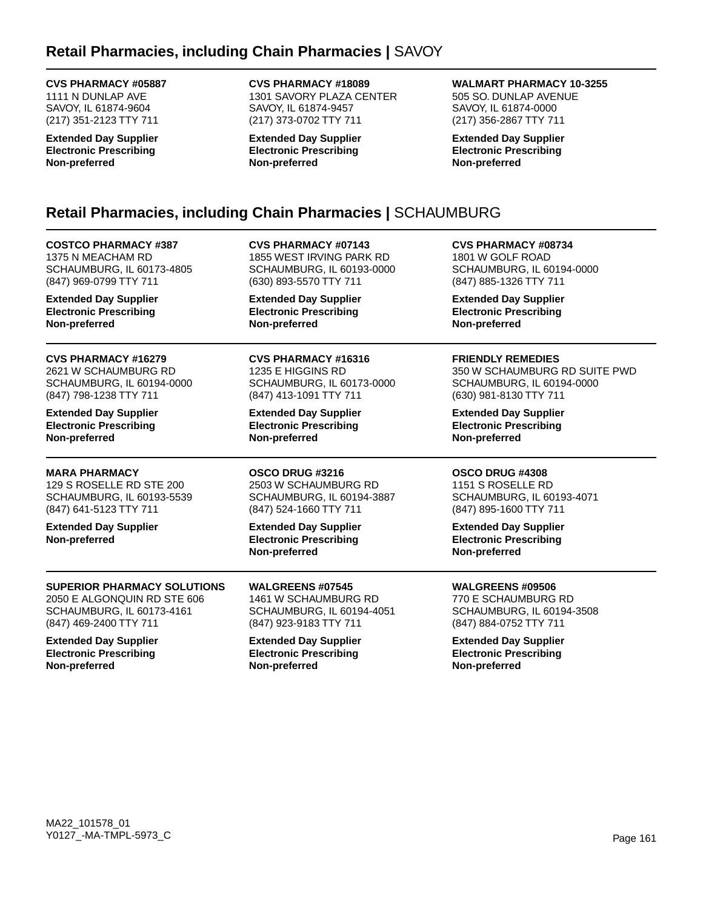### **CVS PHARMACY #05887**

1111 N DUNLAP AVE SAVOY, IL 61874-9604 (217) 351-2123 TTY 711

**Extended Day Supplier Electronic Prescribing Non-preferred**

### **CVS PHARMACY #18089**

1301 SAVORY PLAZA CENTER SAVOY, IL 61874-9457 (217) 373-0702 TTY 711

**Extended Day Supplier Electronic Prescribing Non-preferred**

### **WALMART PHARMACY 10-3255**

505 SO. DUNLAP AVENUE SAVOY, IL 61874-0000 (217) 356-2867 TTY 711

**Extended Day Supplier Electronic Prescribing Non-preferred**

# **Retail Pharmacies, including Chain Pharmacies |** SCHAUMBURG

**COSTCO PHARMACY #387** 1375 N MEACHAM RD SCHAUMBURG, IL 60173-4805 (847) 969-0799 TTY 711

**Extended Day Supplier Electronic Prescribing Non-preferred**

**CVS PHARMACY #16279** 2621 W SCHAUMBURG RD SCHAUMBURG, IL 60194-0000 (847) 798-1238 TTY 711

**Extended Day Supplier Electronic Prescribing Non-preferred**

**MARA PHARMACY** 129 S ROSELLE RD STE 200 SCHAUMBURG, IL 60193-5539 (847) 641-5123 TTY 711

**Extended Day Supplier Non-preferred**

### **SUPERIOR PHARMACY SOLUTIONS** 2050 E ALGONQUIN RD STE 606

SCHAUMBURG, IL 60173-4161 (847) 469-2400 TTY 711

**Extended Day Supplier Electronic Prescribing Non-preferred**

**CVS PHARMACY #07143** 1855 WEST IRVING PARK RD SCHAUMBURG, IL 60193-0000 (630) 893-5570 TTY 711

**Extended Day Supplier Electronic Prescribing Non-preferred**

**CVS PHARMACY #16316** 1235 E HIGGINS RD SCHAUMBURG, IL 60173-0000 (847) 413-1091 TTY 711

**Extended Day Supplier Electronic Prescribing Non-preferred**

**OSCO DRUG #3216** 2503 W SCHAUMBURG RD SCHAUMBURG, IL 60194-3887 (847) 524-1660 TTY 711

**Extended Day Supplier Electronic Prescribing Non-preferred**

**WALGREENS #07545** 1461 W SCHAUMBURG RD SCHAUMBURG, IL 60194-4051 (847) 923-9183 TTY 711

**Extended Day Supplier Electronic Prescribing Non-preferred**

**CVS PHARMACY #08734** 1801 W GOLF ROAD SCHAUMBURG, IL 60194-0000 (847) 885-1326 TTY 711

**Extended Day Supplier Electronic Prescribing Non-preferred**

**FRIENDLY REMEDIES** 350 W SCHAUMBURG RD SUITE PWD SCHAUMBURG, IL 60194-0000 (630) 981-8130 TTY 711

**Extended Day Supplier Electronic Prescribing Non-preferred**

### **OSCO DRUG #4308**

1151 S ROSELLE RD SCHAUMBURG, IL 60193-4071 (847) 895-1600 TTY 711

**Extended Day Supplier Electronic Prescribing Non-preferred**

**WALGREENS #09506**

770 E SCHAUMBURG RD SCHAUMBURG, IL 60194-3508 (847) 884-0752 TTY 711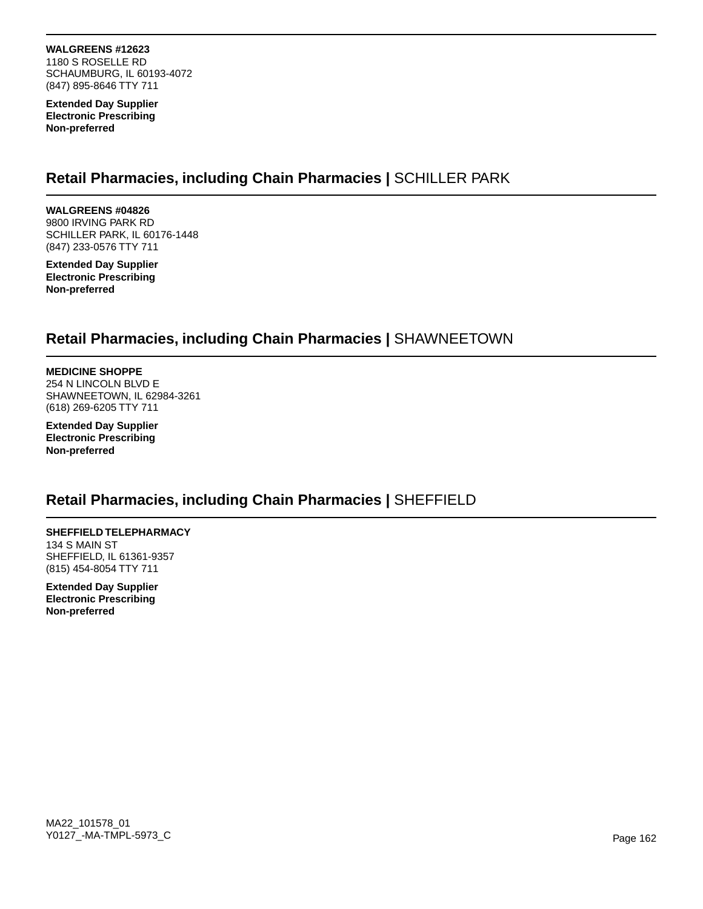**WALGREENS #12623** 1180 S ROSELLE RD SCHAUMBURG, IL 60193-4072

**Extended Day Supplier Electronic Prescribing Non-preferred**

(847) 895-8646 TTY 711

# **Retail Pharmacies, including Chain Pharmacies |** SCHILLER PARK

**WALGREENS #04826** 9800 IRVING PARK RD SCHILLER PARK, IL 60176-1448 (847) 233-0576 TTY 711

**Extended Day Supplier Electronic Prescribing Non-preferred**

## **Retail Pharmacies, including Chain Pharmacies |** SHAWNEETOWN

**MEDICINE SHOPPE** 254 N LINCOLN BLVD E SHAWNEETOWN, IL 62984-3261 (618) 269-6205 TTY 711

**Extended Day Supplier Electronic Prescribing Non-preferred**

### **Retail Pharmacies, including Chain Pharmacies |** SHEFFIELD

**SHEFFIELD TELEPHARMACY** 134 S MAIN ST SHEFFIELD, IL 61361-9357 (815) 454-8054 TTY 711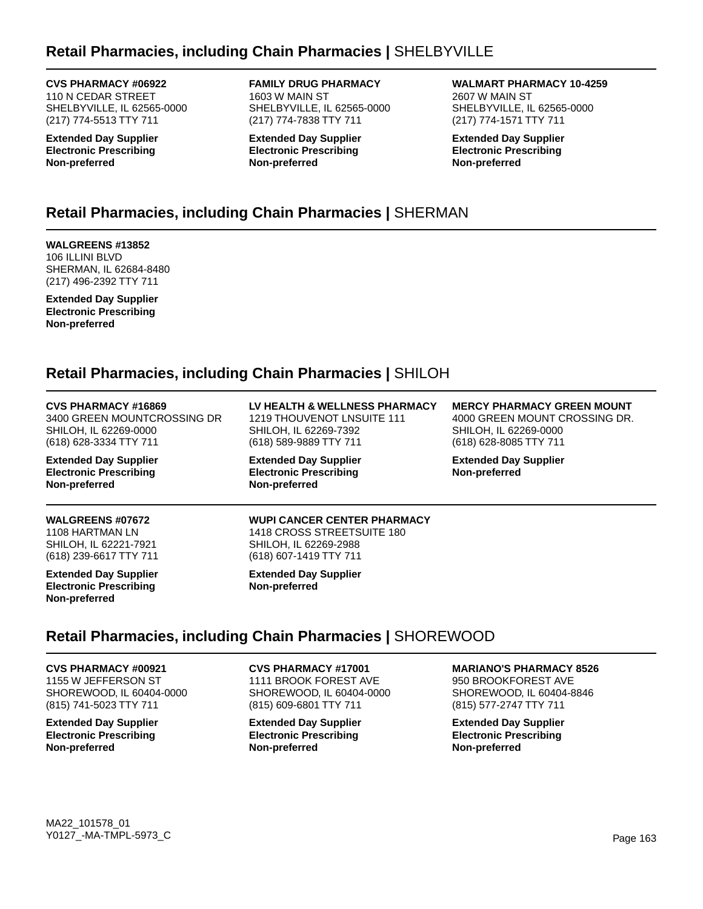# **Retail Pharmacies, including Chain Pharmacies |** SHELBYVILLE

**CVS PHARMACY #06922**

110 N CEDAR STREET SHELBYVILLE, IL 62565-0000 (217) 774-5513 TTY 711

**Extended Day Supplier Electronic Prescribing Non-preferred**

**FAMILY DRUG PHARMACY** 1603 W MAIN ST SHELBYVILLE, IL 62565-0000 (217) 774-7838 TTY 711

**Extended Day Supplier Electronic Prescribing Non-preferred**

**WALMART PHARMACY 10-4259** 2607 W MAIN ST SHELBYVILLE, IL 62565-0000 (217) 774-1571 TTY 711

**Extended Day Supplier Electronic Prescribing Non-preferred**

# **Retail Pharmacies, including Chain Pharmacies |** SHERMAN

**WALGREENS #13852** 106 ILLINI BLVD SHERMAN, IL 62684-8480 (217) 496-2392 TTY 711

**Extended Day Supplier Electronic Prescribing Non-preferred**

# **Retail Pharmacies, including Chain Pharmacies |** SHILOH

| CVS PHARMACY #16869         |
|-----------------------------|
| 3400 GREEN MOUNTCROSSING DR |
| SHILOH. IL 62269-0000       |
| (618) 628-3334 TTY 711      |

**Extended Day Supplier Electronic Prescribing Non-preferred**

#### **WALGREENS #07672** 1108 HARTMAN LN SHILOH, IL 62221-7921 (618) 239-6617 TTY 711

**Extended Day Supplier Electronic Prescribing Non-preferred**

**LV HEALTH & WELLNESS PHARMACY** 1219 THOUVENOT LNSUITE 111 SHILOH, IL 62269-7392 (618) 589-9889 TTY 711

**Extended Day Supplier Electronic Prescribing Non-preferred**

**MERCY PHARMACY GREEN MOUNT**

4000 GREEN MOUNT CROSSING DR. SHILOH, IL 62269-0000 (618) 628-8085 TTY 711

**Extended Day Supplier Non-preferred**

#### **WUPI CANCER CENTER PHARMACY** 1418 CROSS STREETSUITE 180 SHILOH, IL 62269-2988 (618) 607-1419 TTY 711

**Extended Day Supplier Non-preferred**

# **Retail Pharmacies, including Chain Pharmacies |** SHOREWOOD

**CVS PHARMACY #00921** 1155 W JEFFERSON ST SHOREWOOD, IL 60404-0000 (815) 741-5023 TTY 711

**Extended Day Supplier Electronic Prescribing Non-preferred**

**CVS PHARMACY #17001** 1111 BROOK FOREST AVE SHOREWOOD, IL 60404-0000 (815) 609-6801 TTY 711

**Extended Day Supplier Electronic Prescribing Non-preferred**

### **MARIANO'S PHARMACY 8526**

950 BROOKFOREST AVE SHOREWOOD, IL 60404-8846 (815) 577-2747 TTY 711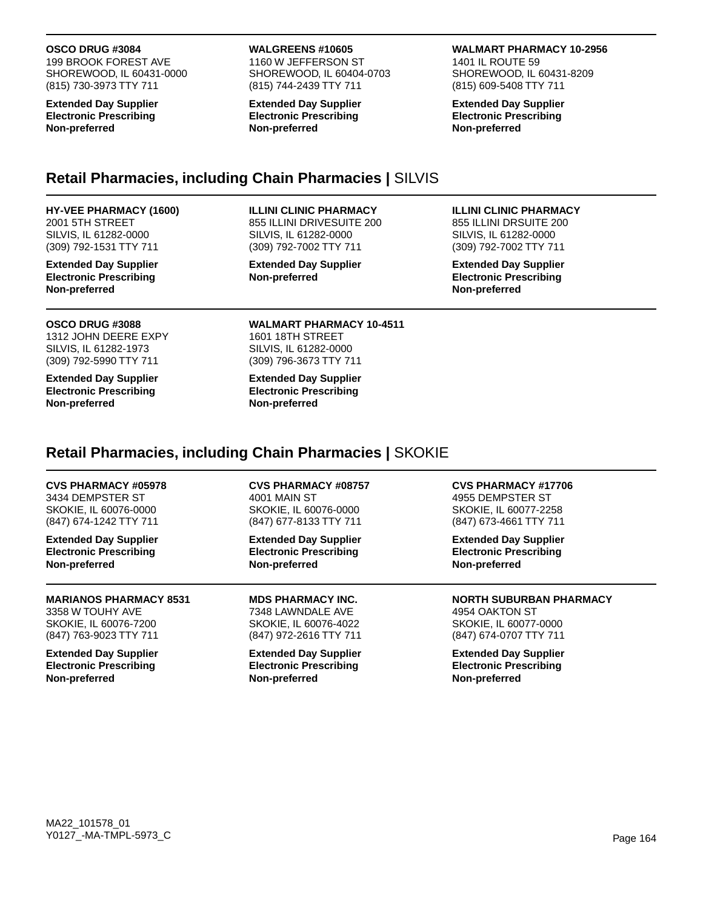#### **OSCO DRUG #3084**

199 BROOK FOREST AVE SHOREWOOD, IL 60431-0000 (815) 730-3973 TTY 711

**Extended Day Supplier Electronic Prescribing Non-preferred**

#### **WALGREENS #10605**

1160 W JEFFERSON ST SHOREWOOD, IL 60404-0703 (815) 744-2439 TTY 711

**Extended Day Supplier Electronic Prescribing Non-preferred**

#### **WALMART PHARMACY 10-2956**

1401 IL ROUTE 59 SHOREWOOD, IL 60431-8209 (815) 609-5408 TTY 711

**Extended Day Supplier Electronic Prescribing Non-preferred**

## **Retail Pharmacies, including Chain Pharmacies |** SILVIS

#### **HY-VEE PHARMACY (1600)**

2001 5TH STREET SILVIS, IL 61282-0000 (309) 792-1531 TTY 711

**Extended Day Supplier Electronic Prescribing Non-preferred**

#### **OSCO DRUG #3088**

1312 JOHN DEERE EXPY SILVIS, IL 61282-1973 (309) 792-5990 TTY 711

**Extended Day Supplier Electronic Prescribing Non-preferred**

#### **ILLINI CLINIC PHARMACY**

855 ILLINI DRIVESUITE 200 SILVIS, IL 61282-0000 (309) 792-7002 TTY 711

**Extended Day Supplier Non-preferred**

#### **ILLINI CLINIC PHARMACY**

855 ILLINI DRSUITE 200 SILVIS, IL 61282-0000 (309) 792-7002 TTY 711

**Extended Day Supplier Electronic Prescribing Non-preferred**

#### **WALMART PHARMACY 10-4511** 1601 18TH STREET SILVIS, IL 61282-0000 (309) 796-3673 TTY 711

**Extended Day Supplier Electronic Prescribing Non-preferred**

### **Retail Pharmacies, including Chain Pharmacies |** SKOKIE

### **CVS PHARMACY #05978**

3434 DEMPSTER ST SKOKIE, IL 60076-0000 (847) 674-1242 TTY 711

**Extended Day Supplier Electronic Prescribing Non-preferred**

### **MARIANOS PHARMACY 8531**

3358 W TOUHY AVE SKOKIE, IL 60076-7200 (847) 763-9023 TTY 711

**Extended Day Supplier Electronic Prescribing Non-preferred**

**CVS PHARMACY #08757** 4001 MAIN ST SKOKIE, IL 60076-0000 (847) 677-8133 TTY 711

**Extended Day Supplier Electronic Prescribing Non-preferred**

**MDS PHARMACY INC.** 7348 LAWNDALE AVE SKOKIE, IL 60076-4022 (847) 972-2616 TTY 711

**Extended Day Supplier Electronic Prescribing Non-preferred**

**CVS PHARMACY #17706** 4955 DEMPSTER ST

SKOKIE, IL 60077-2258 (847) 673-4661 TTY 711

**Extended Day Supplier Electronic Prescribing Non-preferred**

**NORTH SUBURBAN PHARMACY**

4954 OAKTON ST SKOKIE, IL 60077-0000 (847) 674-0707 TTY 711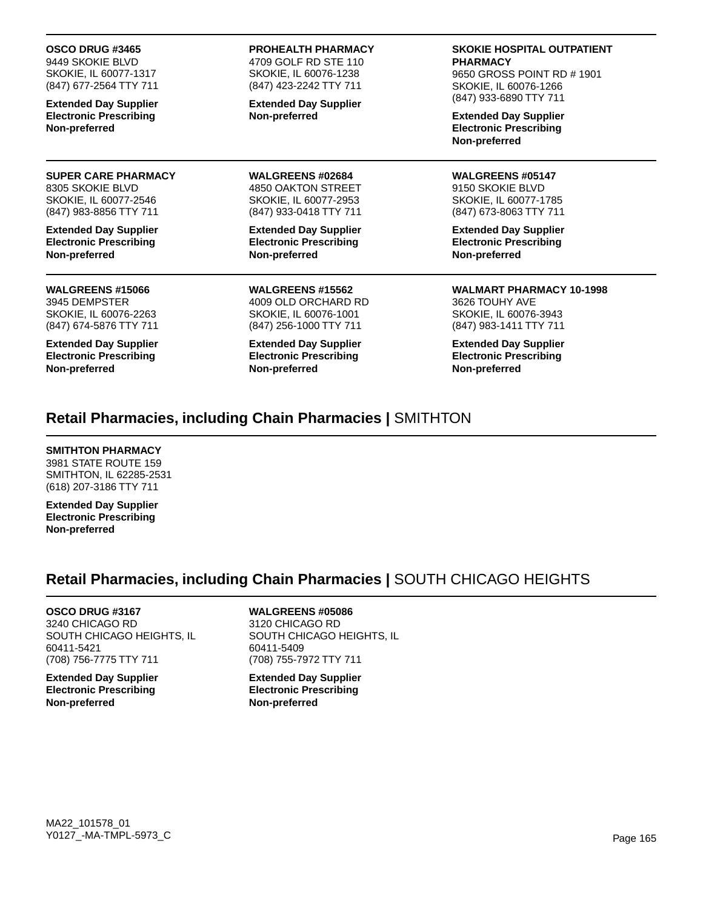#### **OSCO DRUG #3465**

9449 SKOKIE BLVD SKOKIE, IL 60077-1317 (847) 677-2564 TTY 711

**Extended Day Supplier Electronic Prescribing Non-preferred**

#### **SUPER CARE PHARMACY** 8305 SKOKIE BLVD

SKOKIE, IL 60077-2546 (847) 983-8856 TTY 711

**Extended Day Supplier Electronic Prescribing Non-preferred**

#### **WALGREENS #15066** 3945 DEMPSTER SKOKIE, IL 60076-2263 (847) 674-5876 TTY 711

**Extended Day Supplier Electronic Prescribing Non-preferred**

**PROHEALTH PHARMACY** 4709 GOLF RD STE 110 SKOKIE, IL 60076-1238

(847) 423-2242 TTY 711 **Extended Day Supplier**

**Non-preferred**

**WALGREENS #02684** 4850 OAKTON STREET SKOKIE, IL 60077-2953 (847) 933-0418 TTY 711

**Extended Day Supplier Electronic Prescribing Non-preferred**

**WALGREENS #15562** 4009 OLD ORCHARD RD SKOKIE, IL 60076-1001 (847) 256-1000 TTY 711

**Extended Day Supplier Electronic Prescribing Non-preferred**

#### **SKOKIE HOSPITAL OUTPATIENT PHARMACY**

9650 GROSS POINT RD # 1901 SKOKIE, IL 60076-1266 (847) 933-6890 TTY 711

**Extended Day Supplier Electronic Prescribing Non-preferred**

**WALGREENS #05147** 9150 SKOKIE BLVD SKOKIE, IL 60077-1785 (847) 673-8063 TTY 711

**Extended Day Supplier Electronic Prescribing Non-preferred**

**WALMART PHARMACY 10-1998** 3626 TOUHY AVE SKOKIE, IL 60076-3943 (847) 983-1411 TTY 711

**Extended Day Supplier Electronic Prescribing Non-preferred**

## **Retail Pharmacies, including Chain Pharmacies |** SMITHTON

### **SMITHTON PHARMACY**

3981 STATE ROUTE 159 SMITHTON, IL 62285-2531 (618) 207-3186 TTY 711

**Extended Day Supplier Electronic Prescribing Non-preferred**

# **Retail Pharmacies, including Chain Pharmacies |** SOUTH CHICAGO HEIGHTS

**OSCO DRUG #3167** 3240 CHICAGO RD SOUTH CHICAGO HEIGHTS, IL 60411-5421 (708) 756-7775 TTY 711

**Extended Day Supplier Electronic Prescribing Non-preferred**

# **WALGREENS #05086**

3120 CHICAGO RD SOUTH CHICAGO HEIGHTS, IL 60411-5409 (708) 755-7972 TTY 711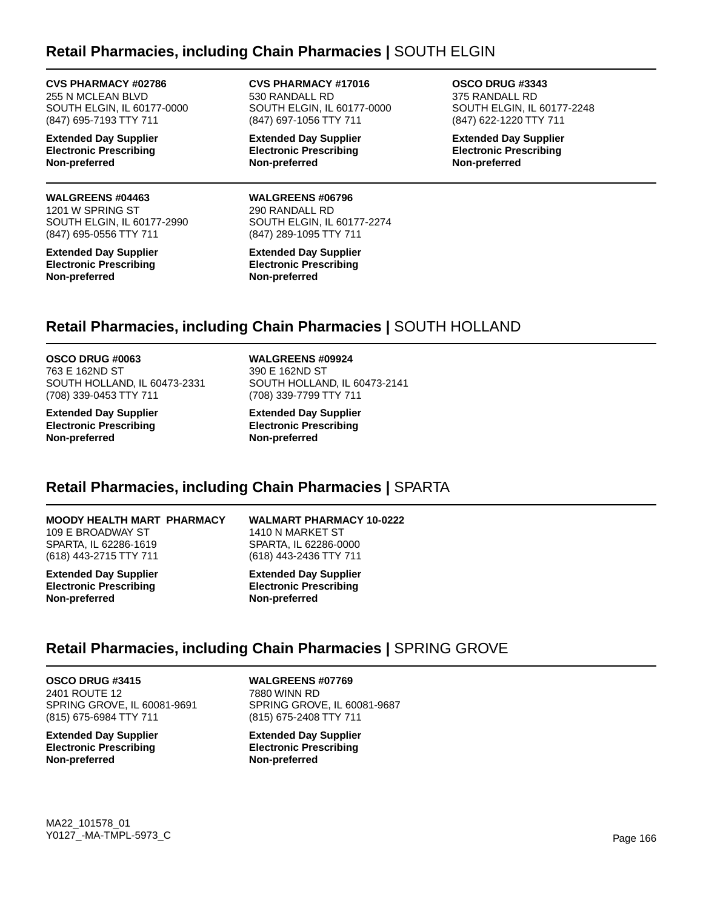## **Retail Pharmacies, including Chain Pharmacies |** SOUTH ELGIN

**CVS PHARMACY #02786** 255 N MCLEAN BLVD SOUTH ELGIN, IL 60177-0000 (847) 695-7193 TTY 711

**Extended Day Supplier Electronic Prescribing Non-preferred**

#### **WALGREENS #04463**

1201 W SPRING ST SOUTH ELGIN, IL 60177-2990 (847) 695-0556 TTY 711

**Extended Day Supplier Electronic Prescribing Non-preferred**

**CVS PHARMACY #17016** 530 RANDALL RD SOUTH ELGIN, IL 60177-0000 (847) 697-1056 TTY 711

**Extended Day Supplier Electronic Prescribing Non-preferred**

**WALGREENS #06796** 290 RANDALL RD SOUTH ELGIN, IL 60177-2274 (847) 289-1095 TTY 711

**Extended Day Supplier Electronic Prescribing Non-preferred**

**OSCO DRUG #3343** 375 RANDALL RD SOUTH ELGIN, IL 60177-2248 (847) 622-1220 TTY 711

**Extended Day Supplier Electronic Prescribing Non-preferred**

### **Retail Pharmacies, including Chain Pharmacies |** SOUTH HOLLAND

**OSCO DRUG #0063** 763 E 162ND ST SOUTH HOLLAND, IL 60473-2331 (708) 339-0453 TTY 711

**Extended Day Supplier Electronic Prescribing Non-preferred**

**WALGREENS #09924** 390 E 162ND ST SOUTH HOLLAND, IL 60473-2141 (708) 339-7799 TTY 711

**Extended Day Supplier Electronic Prescribing Non-preferred**

### **Retail Pharmacies, including Chain Pharmacies |** SPARTA

#### **MOODY HEALTH MART PHARMACY**

109 E BROADWAY ST SPARTA, IL 62286-1619 (618) 443-2715 TTY 711

**Extended Day Supplier Electronic Prescribing Non-preferred**

**WALMART PHARMACY 10-0222** 1410 N MARKET ST SPARTA, IL 62286-0000 (618) 443-2436 TTY 711

**Extended Day Supplier Electronic Prescribing Non-preferred**

### **Retail Pharmacies, including Chain Pharmacies |** SPRING GROVE

**OSCO DRUG #3415** 2401 ROUTE 12 SPRING GROVE, IL 60081-9691 (815) 675-6984 TTY 711

**Extended Day Supplier Electronic Prescribing Non-preferred**

**WALGREENS #07769** 7880 WINN RD SPRING GROVE, IL 60081-9687 (815) 675-2408 TTY 711

**Extended Day Supplier Electronic Prescribing Non-preferred**

MA22\_101578\_01 Y0127\_-MA-TMPL-5973\_C Page 166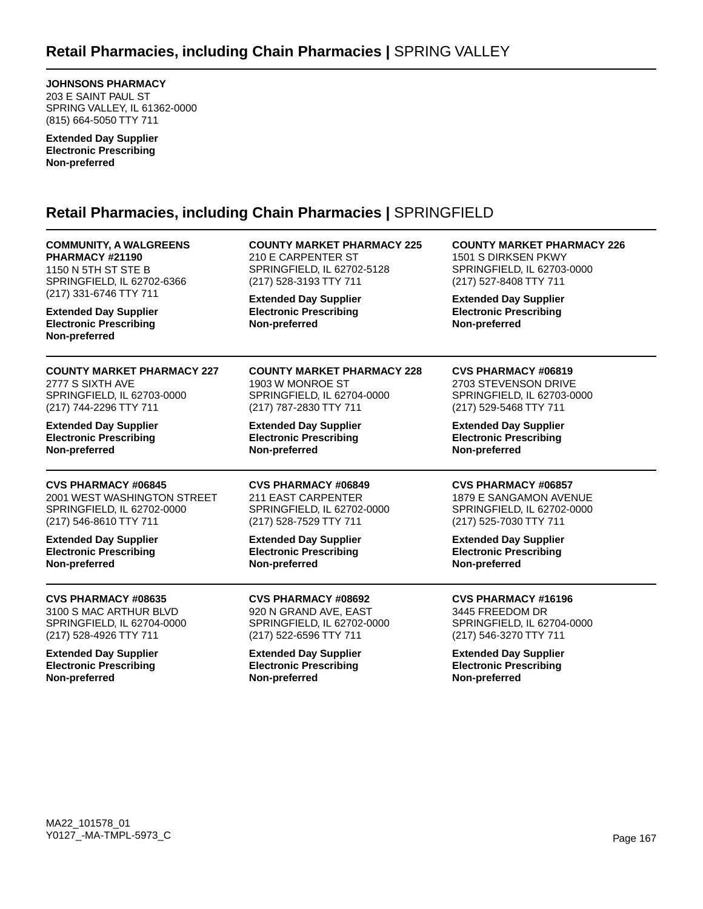**JOHNSONS PHARMACY**

203 E SAINT PAUL ST SPRING VALLEY, IL 61362-0000 (815) 664-5050 TTY 711

**Extended Day Supplier Electronic Prescribing Non-preferred**

# **Retail Pharmacies, including Chain Pharmacies |** SPRINGFIELD

**COMMUNITY, A WALGREENS PHARMACY #21190** 1150 N 5TH ST STE B SPRINGFIELD, IL 62702-6366 (217) 331-6746 TTY 711

**Extended Day Supplier Electronic Prescribing Non-preferred**

**COUNTY MARKET PHARMACY 227** 2777 S SIXTH AVE SPRINGFIELD, IL 62703-0000 (217) 744-2296 TTY 711

**Extended Day Supplier Electronic Prescribing Non-preferred**

**CVS PHARMACY #06845** 2001 WEST WASHINGTON STREET SPRINGFIELD, IL 62702-0000 (217) 546-8610 TTY 711

**Extended Day Supplier Electronic Prescribing Non-preferred**

**CVS PHARMACY #08635** 3100 S MAC ARTHUR BLVD SPRINGFIELD, IL 62704-0000 (217) 528-4926 TTY 711

**Extended Day Supplier Electronic Prescribing Non-preferred**

**COUNTY MARKET PHARMACY 225** 210 E CARPENTER ST SPRINGFIELD, IL 62702-5128 (217) 528-3193 TTY 711

**Extended Day Supplier Electronic Prescribing Non-preferred**

**COUNTY MARKET PHARMACY 228** 1903 W MONROE ST SPRINGFIELD, IL 62704-0000 (217) 787-2830 TTY 711

**Extended Day Supplier Electronic Prescribing Non-preferred**

**CVS PHARMACY #06849** 211 EAST CARPENTER SPRINGFIELD, IL 62702-0000 (217) 528-7529 TTY 711

**Extended Day Supplier Electronic Prescribing Non-preferred**

**CVS PHARMACY #08692** 920 N GRAND AVE, EAST SPRINGFIELD, IL 62702-0000 (217) 522-6596 TTY 711

**Extended Day Supplier Electronic Prescribing Non-preferred**

**COUNTY MARKET PHARMACY 226** 1501 S DIRKSEN PKWY SPRINGFIELD, IL 62703-0000 (217) 527-8408 TTY 711

**Extended Day Supplier Electronic Prescribing Non-preferred**

### **CVS PHARMACY #06819**

2703 STEVENSON DRIVE SPRINGFIELD, IL 62703-0000 (217) 529-5468 TTY 711

**Extended Day Supplier Electronic Prescribing Non-preferred**

### **CVS PHARMACY #06857**

1879 E SANGAMON AVENUE SPRINGFIELD, IL 62702-0000 (217) 525-7030 TTY 711

**Extended Day Supplier Electronic Prescribing Non-preferred**

**CVS PHARMACY #16196**

3445 FREEDOM DR SPRINGFIELD, IL 62704-0000 (217) 546-3270 TTY 711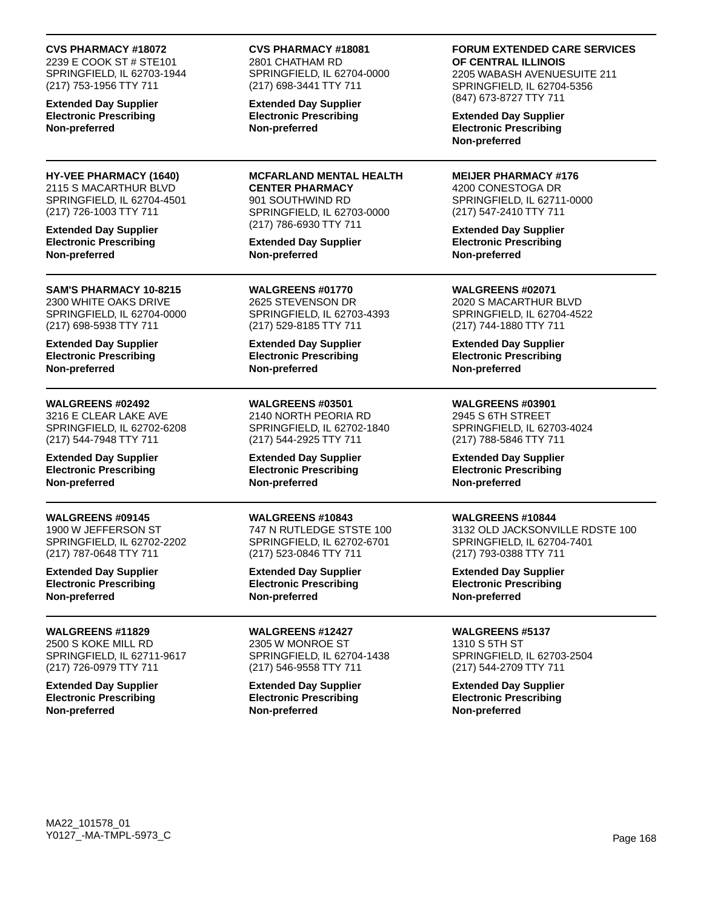#### **CVS PHARMACY #18072**

2239 E COOK ST # STE101 SPRINGFIELD, IL 62703-1944 (217) 753-1956 TTY 711

**Extended Day Supplier Electronic Prescribing Non-preferred**

**HY-VEE PHARMACY (1640)** 2115 S MACARTHUR BLVD SPRINGFIELD, IL 62704-4501 (217) 726-1003 TTY 711

**Extended Day Supplier Electronic Prescribing Non-preferred**

#### **SAM'S PHARMACY 10-8215** 2300 WHITE OAKS DRIVE SPRINGFIELD, IL 62704-0000 (217) 698-5938 TTY 711

**Extended Day Supplier Electronic Prescribing Non-preferred**

#### **WALGREENS #02492**

3216 E CLEAR LAKE AVE SPRINGFIELD, IL 62702-6208 (217) 544-7948 TTY 711

**Extended Day Supplier Electronic Prescribing Non-preferred**

### **WALGREENS #09145**

1900 W JEFFERSON ST SPRINGFIELD, IL 62702-2202 (217) 787-0648 TTY 711

**Extended Day Supplier Electronic Prescribing Non-preferred**

**WALGREENS #11829** 2500 S KOKE MILL RD SPRINGFIELD, IL 62711-9617 (217) 726-0979 TTY 711

**Extended Day Supplier Electronic Prescribing Non-preferred**

# **CVS PHARMACY #18081**

2801 CHATHAM RD SPRINGFIELD, IL 62704-0000 (217) 698-3441 TTY 711

**Extended Day Supplier Electronic Prescribing Non-preferred**

**MCFARLAND MENTAL HEALTH CENTER PHARMACY** 901 SOUTHWIND RD SPRINGFIELD, IL 62703-0000 (217) 786-6930 TTY 711

**Extended Day Supplier Non-preferred**

**WALGREENS #01770** 2625 STEVENSON DR SPRINGFIELD, IL 62703-4393 (217) 529-8185 TTY 711

**Extended Day Supplier Electronic Prescribing Non-preferred**

**WALGREENS #03501** 2140 NORTH PEORIA RD SPRINGFIELD, IL 62702-1840 (217) 544-2925 TTY 711

**Extended Day Supplier Electronic Prescribing Non-preferred**

#### **WALGREENS #10843**

747 N RUTLEDGE STSTE 100 SPRINGFIELD, IL 62702-6701 (217) 523-0846 TTY 711

**Extended Day Supplier Electronic Prescribing Non-preferred**

**WALGREENS #12427** 2305 W MONROE ST SPRINGFIELD, IL 62704-1438 (217) 546-9558 TTY 711

**Extended Day Supplier Electronic Prescribing Non-preferred**

#### **FORUM EXTENDED CARE SERVICES OF CENTRAL ILLINOIS**

2205 WABASH AVENUESUITE 211 SPRINGFIELD, IL 62704-5356 (847) 673-8727 TTY 711

**Extended Day Supplier Electronic Prescribing Non-preferred**

**MEIJER PHARMACY #176** 4200 CONESTOGA DR SPRINGFIELD, IL 62711-0000 (217) 547-2410 TTY 711

**Extended Day Supplier Electronic Prescribing Non-preferred**

**WALGREENS #02071** 2020 S MACARTHUR BLVD SPRINGFIELD, IL 62704-4522 (217) 744-1880 TTY 711

**Extended Day Supplier Electronic Prescribing Non-preferred**

#### **WALGREENS #03901**

2945 S 6TH STREET SPRINGFIELD, IL 62703-4024 (217) 788-5846 TTY 711

**Extended Day Supplier Electronic Prescribing Non-preferred**

#### **WALGREENS #10844**

3132 OLD JACKSONVILLE RDSTE 100 SPRINGFIELD, IL 62704-7401 (217) 793-0388 TTY 711

**Extended Day Supplier Electronic Prescribing Non-preferred**

#### **WALGREENS #5137** 1310 S 5TH ST

SPRINGFIELD, IL 62703-2504 (217) 544-2709 TTY 711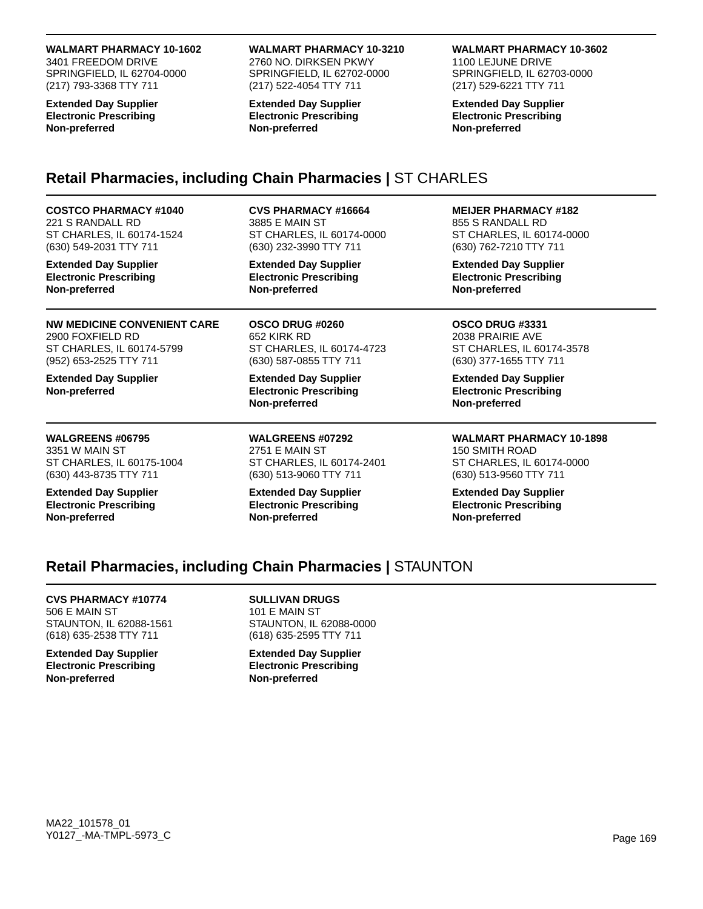#### **WALMART PHARMACY 10-1602**

3401 FREEDOM DRIVE SPRINGFIELD, IL 62704-0000 (217) 793-3368 TTY 711

**Extended Day Supplier Electronic Prescribing Non-preferred**

#### **WALMART PHARMACY 10-3210**

2760 NO. DIRKSEN PKWY SPRINGFIELD, IL 62702-0000 (217) 522-4054 TTY 711

**Extended Day Supplier Electronic Prescribing Non-preferred**

#### **WALMART PHARMACY 10-3602**

1100 LEJUNE DRIVE SPRINGFIELD, IL 62703-0000 (217) 529-6221 TTY 711

**Extended Day Supplier Electronic Prescribing Non-preferred**

# **Retail Pharmacies, including Chain Pharmacies |** ST CHARLES

**COSTCO PHARMACY #1040** 221 S RANDALL RD ST CHARLES, IL 60174-1524 (630) 549-2031 TTY 711

**Extended Day Supplier Electronic Prescribing Non-preferred**

**NW MEDICINE CONVENIENT CARE** 2900 FOXFIELD RD ST CHARLES, IL 60174-5799 (952) 653-2525 TTY 711

**Extended Day Supplier Non-preferred**

**WALGREENS #06795** 3351 W MAIN ST ST CHARLES, IL 60175-1004 (630) 443-8735 TTY 711

**Extended Day Supplier Electronic Prescribing Non-preferred**

**CVS PHARMACY #16664**

3885 E MAIN ST ST CHARLES, IL 60174-0000 (630) 232-3990 TTY 711

**Extended Day Supplier Electronic Prescribing Non-preferred**

**OSCO DRUG #0260** 652 KIRK RD ST CHARLES, IL 60174-4723 (630) 587-0855 TTY 711

**Extended Day Supplier Electronic Prescribing Non-preferred**

**WALGREENS #07292** 2751 E MAIN ST ST CHARLES, IL 60174-2401 (630) 513-9060 TTY 711

**Extended Day Supplier Electronic Prescribing Non-preferred**

**MEIJER PHARMACY #182**

855 S RANDALL RD ST CHARLES, IL 60174-0000 (630) 762-7210 TTY 711

**Extended Day Supplier Electronic Prescribing Non-preferred**

**OSCO DRUG #3331** 2038 PRAIRIE AVE ST CHARLES, IL 60174-3578 (630) 377-1655 TTY 711

**Extended Day Supplier Electronic Prescribing Non-preferred**

**WALMART PHARMACY 10-1898** 150 SMITH ROAD ST CHARLES, IL 60174-0000 (630) 513-9560 TTY 711

**Extended Day Supplier Electronic Prescribing Non-preferred**

## **Retail Pharmacies, including Chain Pharmacies |** STAUNTON

**CVS PHARMACY #10774** 506 E MAIN ST STAUNTON, IL 62088-1561 (618) 635-2538 TTY 711

**Extended Day Supplier Electronic Prescribing Non-preferred**

**SULLIVAN DRUGS** 101 E MAIN ST STAUNTON, IL 62088-0000 (618) 635-2595 TTY 711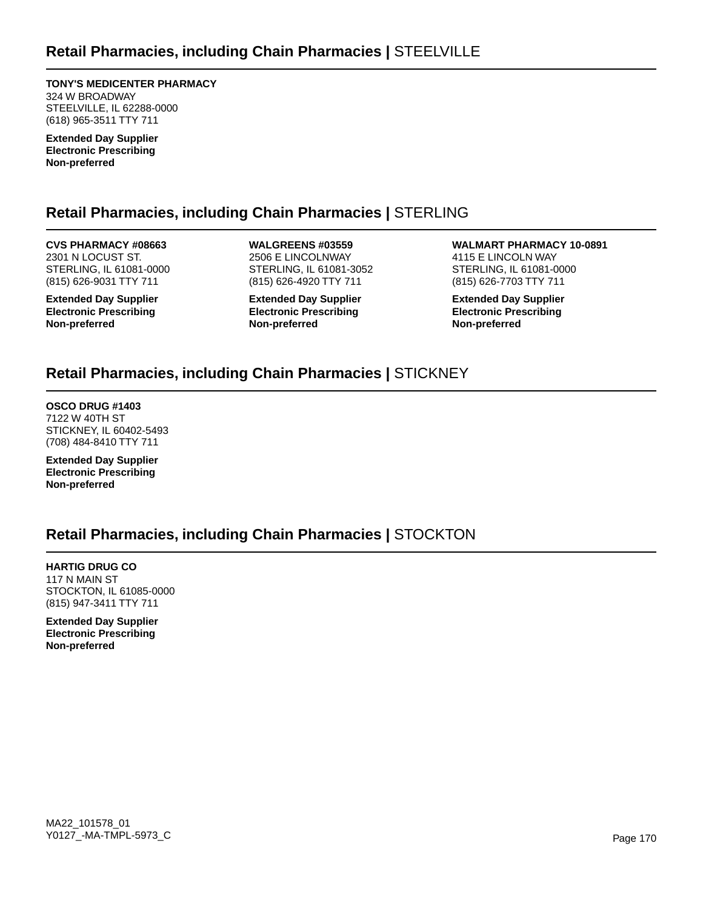**TONY'S MEDICENTER PHARMACY** 324 W BROADWAY STEELVILLE, IL 62288-0000 (618) 965-3511 TTY 711

**Extended Day Supplier Electronic Prescribing Non-preferred**

# **Retail Pharmacies, including Chain Pharmacies |** STERLING

**CVS PHARMACY #08663** 2301 N LOCUST ST. STERLING, IL 61081-0000 (815) 626-9031 TTY 711

**Extended Day Supplier Electronic Prescribing Non-preferred**

**WALGREENS #03559** 2506 E LINCOLNWAY STERLING, IL 61081-3052 (815) 626-4920 TTY 711

**Extended Day Supplier Electronic Prescribing Non-preferred**

**WALMART PHARMACY 10-0891** 4115 E LINCOLN WAY STERLING, IL 61081-0000 (815) 626-7703 TTY 711

**Extended Day Supplier Electronic Prescribing Non-preferred**

# **Retail Pharmacies, including Chain Pharmacies |** STICKNEY

**OSCO DRUG #1403** 7122 W 40TH ST STICKNEY, IL 60402-5493 (708) 484-8410 TTY 711

**Extended Day Supplier Electronic Prescribing Non-preferred**

# **Retail Pharmacies, including Chain Pharmacies |** STOCKTON

**HARTIG DRUG CO** 117 N MAIN ST STOCKTON, IL 61085-0000 (815) 947-3411 TTY 711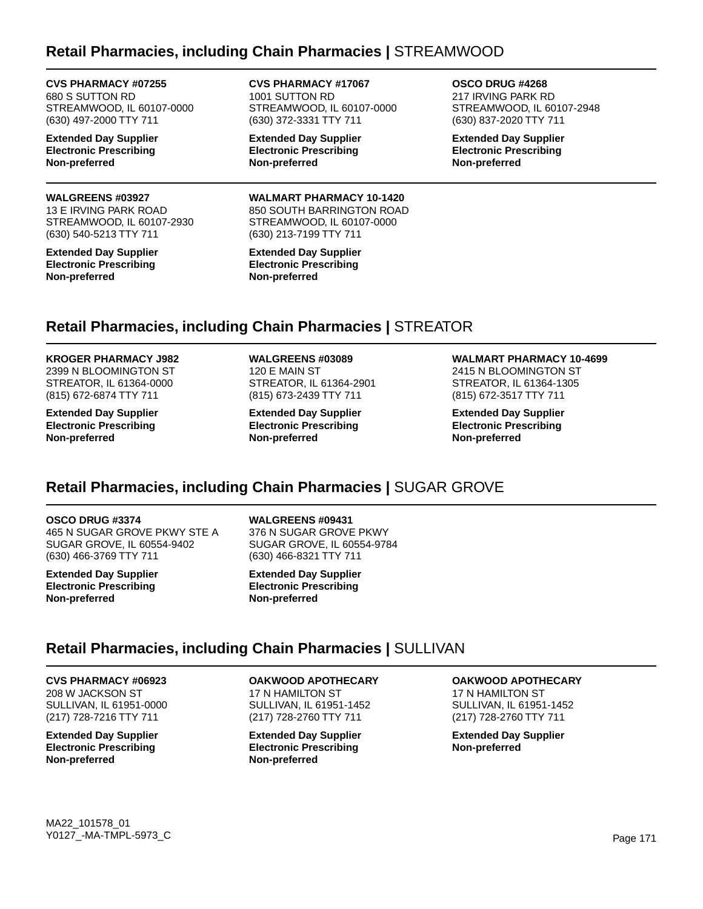## **Retail Pharmacies, including Chain Pharmacies |** STREAMWOOD

### **CVS PHARMACY #07255** 680 S SUTTON RD

STREAMWOOD, IL 60107-0000 (630) 497-2000 TTY 711

**Extended Day Supplier Electronic Prescribing Non-preferred**

#### **WALGREENS #03927**

13 E IRVING PARK ROAD STREAMWOOD, IL 60107-2930 (630) 540-5213 TTY 711

**Extended Day Supplier Electronic Prescribing Non-preferred**

**CVS PHARMACY #17067** 1001 SUTTON RD STREAMWOOD, IL 60107-0000 (630) 372-3331 TTY 711

**Extended Day Supplier Electronic Prescribing Non-preferred**

**WALMART PHARMACY 10-1420** 850 SOUTH BARRINGTON ROAD STREAMWOOD, IL 60107-0000 (630) 213-7199 TTY 711

**Extended Day Supplier Electronic Prescribing Non-preferred**

**OSCO DRUG #4268** 217 IRVING PARK RD STREAMWOOD, IL 60107-2948 (630) 837-2020 TTY 711

**Extended Day Supplier Electronic Prescribing Non-preferred**

# **Retail Pharmacies, including Chain Pharmacies |** STREATOR

**KROGER PHARMACY J982** 2399 N BLOOMINGTON ST STREATOR, IL 61364-0000 (815) 672-6874 TTY 711

**Extended Day Supplier Electronic Prescribing Non-preferred**

**WALGREENS #03089** 120 E MAIN ST STREATOR, IL 61364-2901 (815) 673-2439 TTY 711

**Extended Day Supplier Electronic Prescribing Non-preferred**

**WALMART PHARMACY 10-4699** 2415 N BLOOMINGTON ST STREATOR, IL 61364-1305 (815) 672-3517 TTY 711

**Extended Day Supplier Electronic Prescribing Non-preferred**

# **Retail Pharmacies, including Chain Pharmacies |** SUGAR GROVE

#### **OSCO DRUG #3374**

465 N SUGAR GROVE PKWY STE A SUGAR GROVE, IL 60554-9402 (630) 466-3769 TTY 711

**Extended Day Supplier Electronic Prescribing Non-preferred**

**WALGREENS #09431**

376 N SUGAR GROVE PKWY SUGAR GROVE, IL 60554-9784 (630) 466-8321 TTY 711

**Extended Day Supplier Electronic Prescribing Non-preferred**

### **Retail Pharmacies, including Chain Pharmacies |** SULLIVAN

### **CVS PHARMACY #06923**

208 W JACKSON ST SULLIVAN, IL 61951-0000 (217) 728-7216 TTY 711

**Extended Day Supplier Electronic Prescribing Non-preferred**

**OAKWOOD APOTHECARY** 17 N HAMILTON ST SULLIVAN, IL 61951-1452 (217) 728-2760 TTY 711

**Extended Day Supplier Electronic Prescribing Non-preferred**

**OAKWOOD APOTHECARY**

17 N HAMILTON ST SULLIVAN, IL 61951-1452 (217) 728-2760 TTY 711

**Extended Day Supplier Non-preferred**

MA22\_101578\_01 Y0127\_-MA-TMPL-5973\_C Page 171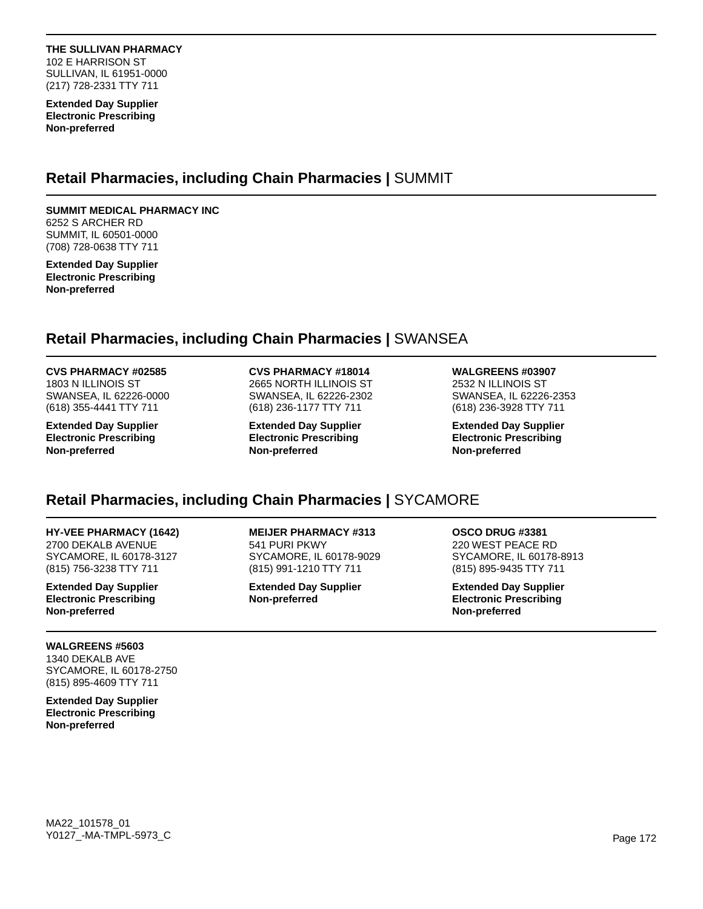**THE SULLIVAN PHARMACY** 102 E HARRISON ST SULLIVAN, IL 61951-0000 (217) 728-2331 TTY 711

**Extended Day Supplier Electronic Prescribing Non-preferred**

### **Retail Pharmacies, including Chain Pharmacies |** SUMMIT

### **SUMMIT MEDICAL PHARMACY INC**

6252 S ARCHER RD SUMMIT, IL 60501-0000 (708) 728-0638 TTY 711

**Extended Day Supplier Electronic Prescribing Non-preferred**

## **Retail Pharmacies, including Chain Pharmacies |** SWANSEA

#### **CVS PHARMACY #02585**

1803 N ILLINOIS ST SWANSEA, IL 62226-0000 (618) 355-4441 TTY 711

**Extended Day Supplier Electronic Prescribing Non-preferred**

**CVS PHARMACY #18014** 2665 NORTH ILLINOIS ST SWANSEA, IL 62226-2302 (618) 236-1177 TTY 711

**Extended Day Supplier Electronic Prescribing Non-preferred**

**WALGREENS #03907**

2532 N ILLINOIS ST SWANSEA, IL 62226-2353 (618) 236-3928 TTY 711

**Extended Day Supplier Electronic Prescribing Non-preferred**

# **Retail Pharmacies, including Chain Pharmacies |** SYCAMORE

### **HY-VEE PHARMACY (1642)**

2700 DEKALB AVENUE SYCAMORE, IL 60178-3127 (815) 756-3238 TTY 711

**Extended Day Supplier Electronic Prescribing Non-preferred**

**WALGREENS #5603** 1340 DEKALB AVE SYCAMORE, IL 60178-2750 (815) 895-4609 TTY 711

**Extended Day Supplier Electronic Prescribing Non-preferred**

**MEIJER PHARMACY #313** 541 PURI PKWY SYCAMORE, IL 60178-9029 (815) 991-1210 TTY 711

**Extended Day Supplier Non-preferred**

**OSCO DRUG #3381** 220 WEST PEACE RD SYCAMORE, IL 60178-8913 (815) 895-9435 TTY 711

**Extended Day Supplier Electronic Prescribing Non-preferred**

MA22\_101578\_01 Y0127\_-MA-TMPL-5973\_C Page 172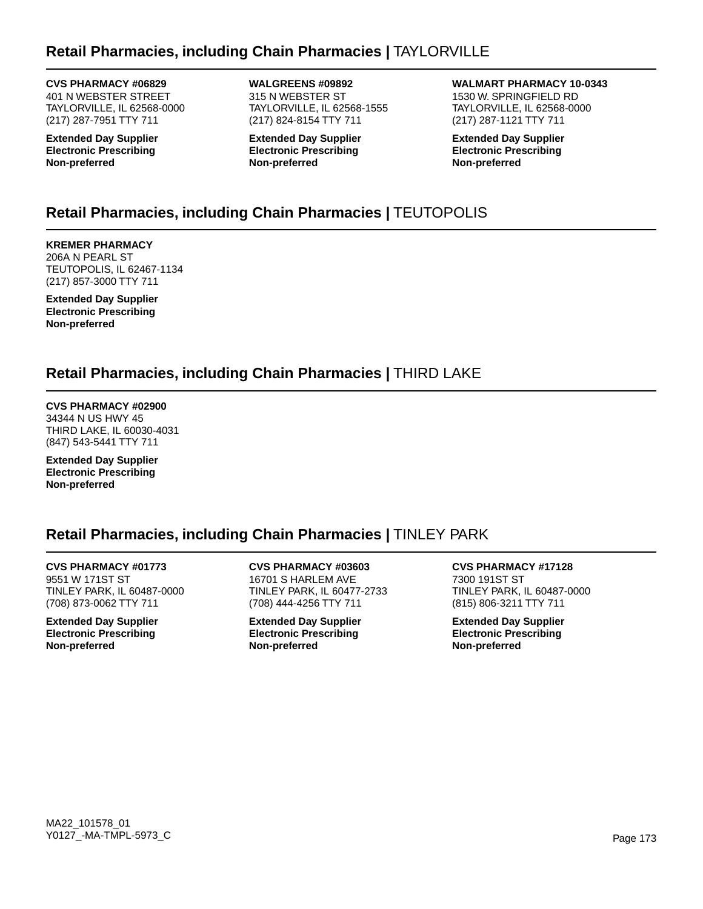# **Retail Pharmacies, including Chain Pharmacies |** TAYLORVILLE

**CVS PHARMACY #06829** 401 N WEBSTER STREET TAYLORVILLE, IL 62568-0000 (217) 287-7951 TTY 711

**Extended Day Supplier Electronic Prescribing Non-preferred**

**WALGREENS #09892** 315 N WEBSTER ST TAYLORVILLE, IL 62568-1555 (217) 824-8154 TTY 711

**Extended Day Supplier Electronic Prescribing Non-preferred**

**WALMART PHARMACY 10-0343** 1530 W. SPRINGFIELD RD TAYLORVILLE, IL 62568-0000 (217) 287-1121 TTY 711

**Extended Day Supplier Electronic Prescribing Non-preferred**

# **Retail Pharmacies, including Chain Pharmacies |** TEUTOPOLIS

**KREMER PHARMACY** 206A N PEARL ST TEUTOPOLIS, IL 62467-1134 (217) 857-3000 TTY 711

**Extended Day Supplier Electronic Prescribing Non-preferred**

# **Retail Pharmacies, including Chain Pharmacies |** THIRD LAKE

**CVS PHARMACY #02900** 34344 N US HWY 45 THIRD LAKE, IL 60030-4031 (847) 543-5441 TTY 711

**Extended Day Supplier Electronic Prescribing Non-preferred**

# **Retail Pharmacies, including Chain Pharmacies |** TINLEY PARK

**CVS PHARMACY #01773** 9551 W 171ST ST TINLEY PARK, IL 60487-0000 (708) 873-0062 TTY 711

**Extended Day Supplier Electronic Prescribing Non-preferred**

**CVS PHARMACY #03603** 16701 S HARLEM AVE TINLEY PARK, IL 60477-2733 (708) 444-4256 TTY 711

**Extended Day Supplier Electronic Prescribing Non-preferred**

**CVS PHARMACY #17128** 7300 191ST ST TINLEY PARK, IL 60487-0000 (815) 806-3211 TTY 711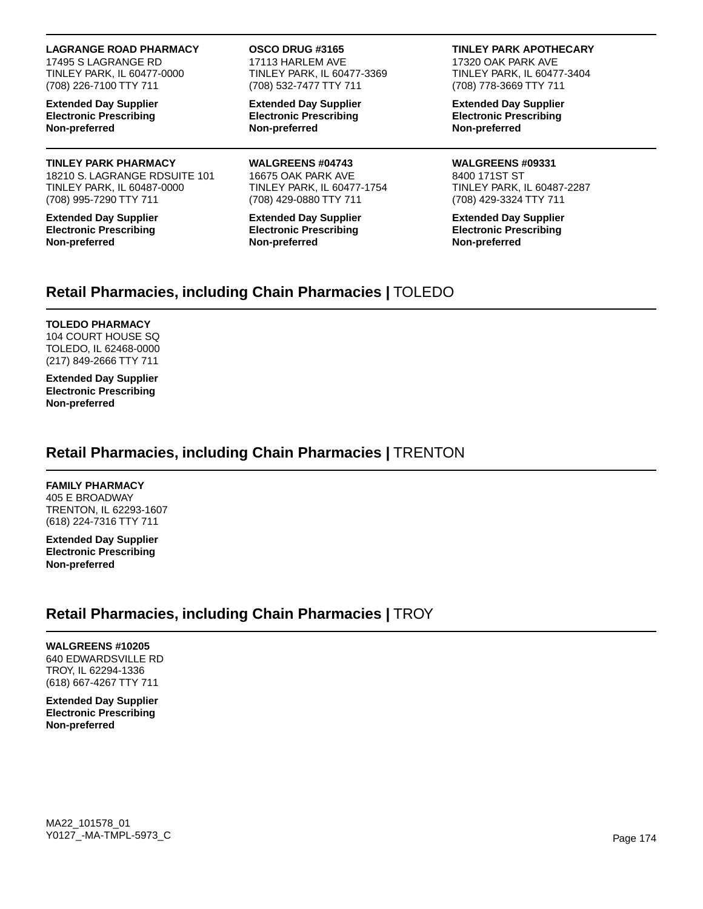#### **LAGRANGE ROAD PHARMACY**

17495 S LAGRANGE RD TINLEY PARK, IL 60477-0000 (708) 226-7100 TTY 711

**Extended Day Supplier Electronic Prescribing Non-preferred**

### **TINLEY PARK PHARMACY**

18210 S. LAGRANGE RDSUITE 101 TINLEY PARK, IL 60487-0000 (708) 995-7290 TTY 711

**Extended Day Supplier Electronic Prescribing Non-preferred**

#### **OSCO DRUG #3165**

17113 HARLEM AVE TINLEY PARK, IL 60477-3369 (708) 532-7477 TTY 711

**Extended Day Supplier Electronic Prescribing Non-preferred**

**WALGREENS #04743** 16675 OAK PARK AVE TINLEY PARK, IL 60477-1754 (708) 429-0880 TTY 711

**Extended Day Supplier Electronic Prescribing Non-preferred**

#### **TINLEY PARK APOTHECARY**

17320 OAK PARK AVE TINLEY PARK, IL 60477-3404 (708) 778-3669 TTY 711

**Extended Day Supplier Electronic Prescribing Non-preferred**

**WALGREENS #09331** 8400 171ST ST TINLEY PARK, IL 60487-2287 (708) 429-3324 TTY 711

**Extended Day Supplier Electronic Prescribing Non-preferred**

## **Retail Pharmacies, including Chain Pharmacies |** TOLEDO

#### **TOLEDO PHARMACY**

104 COURT HOUSE SQ TOLEDO, IL 62468-0000 (217) 849-2666 TTY 711

**Extended Day Supplier Electronic Prescribing Non-preferred**

## **Retail Pharmacies, including Chain Pharmacies |** TRENTON

### **FAMILY PHARMACY**

405 E BROADWAY TRENTON, IL 62293-1607 (618) 224-7316 TTY 711

**Extended Day Supplier Electronic Prescribing Non-preferred**

# **Retail Pharmacies, including Chain Pharmacies |** TROY

**WALGREENS #10205** 640 EDWARDSVILLE RD TROY, IL 62294-1336 (618) 667-4267 TTY 711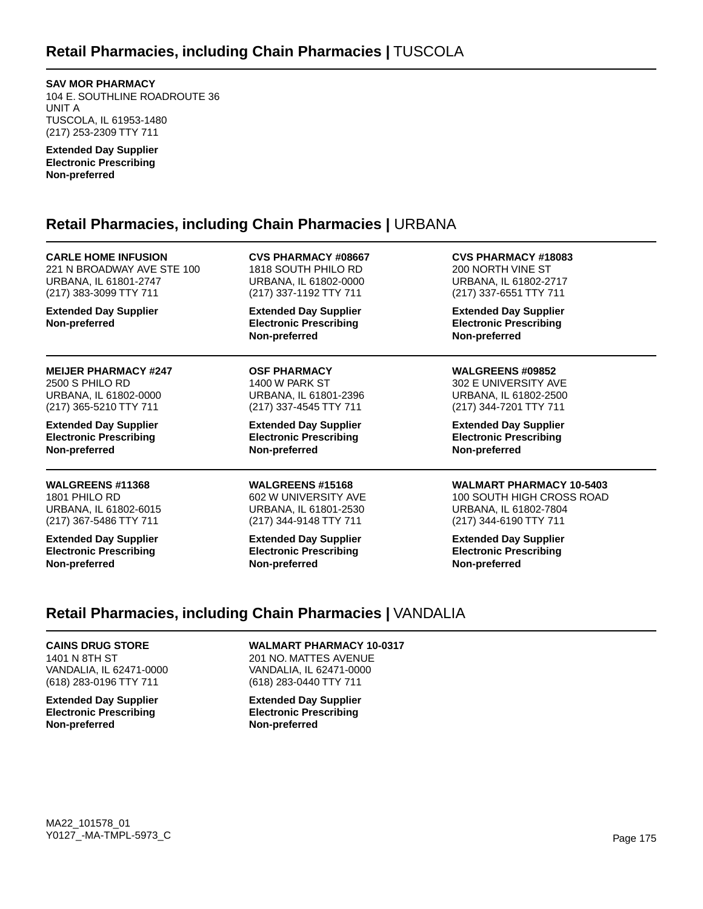**SAV MOR PHARMACY** 104 E. SOUTHLINE ROADROUTE 36

UNIT A TUSCOLA, IL 61953-1480 (217) 253-2309 TTY 711

**Extended Day Supplier Electronic Prescribing Non-preferred**

# **Retail Pharmacies, including Chain Pharmacies |** URBANA

**CARLE HOME INFUSION** 221 N BROADWAY AVE STE 100 URBANA, IL 61801-2747 (217) 383-3099 TTY 711 **Extended Day Supplier Non-preferred CVS PHARMACY #08667** 1818 SOUTH PHILO RD URBANA, IL 61802-0000 (217) 337-1192 TTY 711 **Extended Day Supplier Electronic Prescribing Non-preferred CVS PHARMACY #18083** 200 NORTH VINE ST URBANA, IL 61802-2717 (217) 337-6551 TTY 711 **Extended Day Supplier Electronic Prescribing Non-preferred MEIJER PHARMACY #247** 2500 S PHILO RD URBANA, IL 61802-0000 (217) 365-5210 TTY 711 **Extended Day Supplier Electronic Prescribing Non-preferred OSF PHARMACY** 1400 W PARK ST URBANA, IL 61801-2396 (217) 337-4545 TTY 711 **Extended Day Supplier Electronic Prescribing Non-preferred WALGREENS #09852** 302 E UNIVERSITY AVE URBANA, IL 61802-2500 (217) 344-7201 TTY 711 **Extended Day Supplier Electronic Prescribing Non-preferred WALGREENS #11368** 1801 PHILO RD URBANA, IL 61802-6015 (217) 367-5486 TTY 711 **Extended Day Supplier Electronic Prescribing Non-preferred WALGREENS #15168** 602 W UNIVERSITY AVE URBANA, IL 61801-2530 (217) 344-9148 TTY 711 **Extended Day Supplier Electronic Prescribing Non-preferred WALMART PHARMACY 10-5403** 100 SOUTH HIGH CROSS ROAD URBANA, IL 61802-7804 (217) 344-6190 TTY 711 **Extended Day Supplier Electronic Prescribing Non-preferred**

# **Retail Pharmacies, including Chain Pharmacies |** VANDALIA

**CAINS DRUG STORE** 1401 N 8TH ST VANDALIA, IL 62471-0000 (618) 283-0196 TTY 711

**Extended Day Supplier Electronic Prescribing Non-preferred**

**WALMART PHARMACY 10-0317**

201 NO. MATTES AVENUE VANDALIA, IL 62471-0000 (618) 283-0440 TTY 711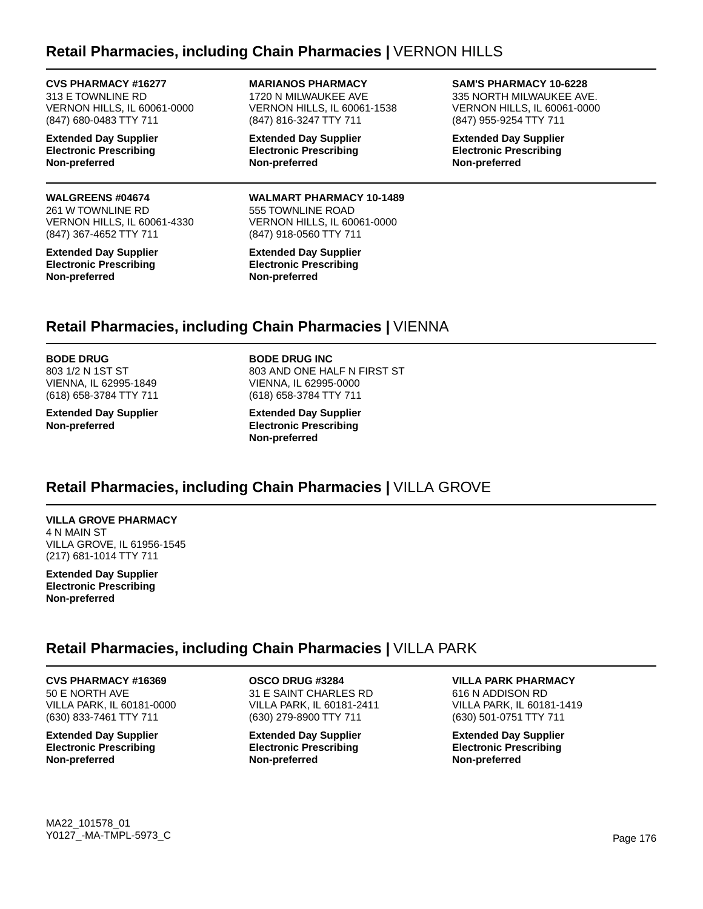## **Retail Pharmacies, including Chain Pharmacies |** VERNON HILLS

**CVS PHARMACY #16277** 313 E TOWNLINE RD VERNON HILLS, IL 60061-0000 (847) 680-0483 TTY 711

**Extended Day Supplier Electronic Prescribing Non-preferred**

#### **WALGREENS #04674**

261 W TOWNLINE RD VERNON HILLS, IL 60061-4330 (847) 367-4652 TTY 711

**Extended Day Supplier Electronic Prescribing Non-preferred**

**MARIANOS PHARMACY** 1720 N MILWAUKEE AVE VERNON HILLS, IL 60061-1538 (847) 816-3247 TTY 711

**Extended Day Supplier Electronic Prescribing Non-preferred**

**WALMART PHARMACY 10-1489** 555 TOWNLINE ROAD VERNON HILLS, IL 60061-0000 (847) 918-0560 TTY 711

**Extended Day Supplier Electronic Prescribing Non-preferred**

#### **SAM'S PHARMACY 10-6228**

335 NORTH MILWAUKEE AVE. VERNON HILLS, IL 60061-0000 (847) 955-9254 TTY 711

**Extended Day Supplier Electronic Prescribing Non-preferred**

### **Retail Pharmacies, including Chain Pharmacies |** VIENNA

**BODE DRUG**

803 1/2 N 1ST ST VIENNA, IL 62995-1849 (618) 658-3784 TTY 711

**Extended Day Supplier Non-preferred**

**BODE DRUG INC** 803 AND ONE HALF N FIRST ST VIENNA, IL 62995-0000 (618) 658-3784 TTY 711

**Extended Day Supplier Electronic Prescribing Non-preferred**

## **Retail Pharmacies, including Chain Pharmacies |** VILLA GROVE

**VILLA GROVE PHARMACY** 4 N MAIN ST VILLA GROVE, IL 61956-1545 (217) 681-1014 TTY 711

**Extended Day Supplier Electronic Prescribing Non-preferred**

### **Retail Pharmacies, including Chain Pharmacies |** VILLA PARK

**CVS PHARMACY #16369**

50 E NORTH AVE VILLA PARK, IL 60181-0000 (630) 833-7461 TTY 711

**Extended Day Supplier Electronic Prescribing Non-preferred**

**OSCO DRUG #3284** 31 E SAINT CHARLES RD VILLA PARK, IL 60181-2411 (630) 279-8900 TTY 711

**Extended Day Supplier Electronic Prescribing Non-preferred**

**VILLA PARK PHARMACY** 616 N ADDISON RD VILLA PARK, IL 60181-1419 (630) 501-0751 TTY 711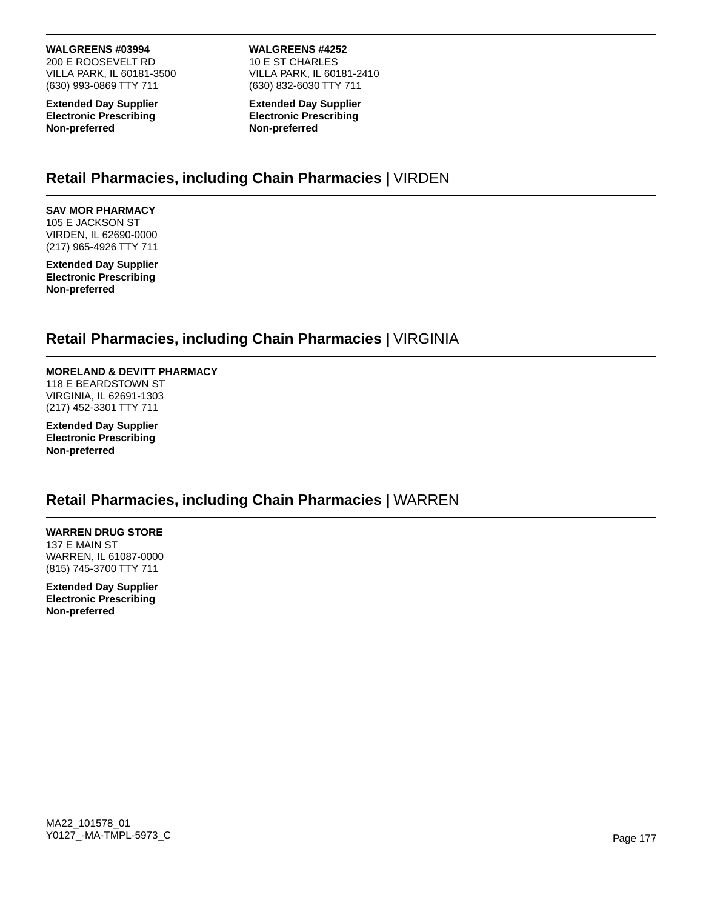#### **WALGREENS #03994**

200 E ROOSEVELT RD VILLA PARK, IL 60181-3500 (630) 993-0869 TTY 711

**Extended Day Supplier Electronic Prescribing Non-preferred**

**WALGREENS #4252** 10 E ST CHARLES VILLA PARK, IL 60181-2410 (630) 832-6030 TTY 711

**Extended Day Supplier Electronic Prescribing Non-preferred**

## **Retail Pharmacies, including Chain Pharmacies |** VIRDEN

**SAV MOR PHARMACY** 105 E JACKSON ST VIRDEN, IL 62690-0000 (217) 965-4926 TTY 711

**Extended Day Supplier Electronic Prescribing Non-preferred**

## **Retail Pharmacies, including Chain Pharmacies |** VIRGINIA

#### **MORELAND & DEVITT PHARMACY**

118 E BEARDSTOWN ST VIRGINIA, IL 62691-1303 (217) 452-3301 TTY 711

**Extended Day Supplier Electronic Prescribing Non-preferred**

### **Retail Pharmacies, including Chain Pharmacies |** WARREN

### **WARREN DRUG STORE**

137 E MAIN ST WARREN, IL 61087-0000 (815) 745-3700 TTY 711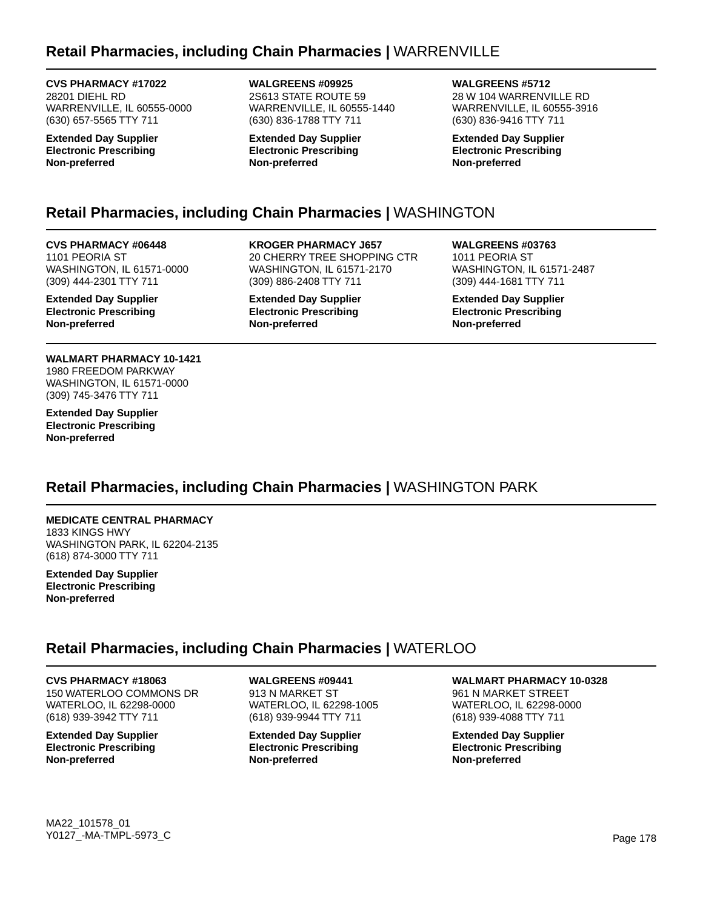# **Retail Pharmacies, including Chain Pharmacies |** WARRENVILLE

**CVS PHARMACY #17022** 28201 DIEHL RD WARRENVILLE, IL 60555-0000 (630) 657-5565 TTY 711

**Extended Day Supplier Electronic Prescribing Non-preferred**

**WALGREENS #09925** 2S613 STATE ROUTE 59 WARRENVILLE, IL 60555-1440 (630) 836-1788 TTY 711

**Extended Day Supplier Electronic Prescribing Non-preferred**

**WALGREENS #5712** 28 W 104 WARRENVILLE RD WARRENVILLE, IL 60555-3916 (630) 836-9416 TTY 711

**Extended Day Supplier Electronic Prescribing Non-preferred**

# **Retail Pharmacies, including Chain Pharmacies |** WASHINGTON

**CVS PHARMACY #06448** 1101 PEORIA ST WASHINGTON, IL 61571-0000 (309) 444-2301 TTY 711

**Extended Day Supplier Electronic Prescribing Non-preferred**

**WALMART PHARMACY 10-1421** 1980 FREEDOM PARKWAY WASHINGTON, IL 61571-0000 (309) 745-3476 TTY 711

**Extended Day Supplier Electronic Prescribing Non-preferred**

**KROGER PHARMACY J657** 20 CHERRY TREE SHOPPING CTR WASHINGTON, IL 61571-2170 (309) 886-2408 TTY 711

**Extended Day Supplier Electronic Prescribing Non-preferred**

**WALGREENS #03763** 1011 PEORIA ST WASHINGTON, IL 61571-2487 (309) 444-1681 TTY 711

**Extended Day Supplier Electronic Prescribing Non-preferred**

# **Retail Pharmacies, including Chain Pharmacies |** WASHINGTON PARK

### **MEDICATE CENTRAL PHARMACY**

1833 KINGS HWY WASHINGTON PARK, IL 62204-2135 (618) 874-3000 TTY 711

**Extended Day Supplier Electronic Prescribing Non-preferred**

### **Retail Pharmacies, including Chain Pharmacies |** WATERLOO

### **CVS PHARMACY #18063**

150 WATERLOO COMMONS DR WATERLOO, IL 62298-0000 (618) 939-3942 TTY 711

**Extended Day Supplier Electronic Prescribing Non-preferred**

**WALGREENS #09441** 913 N MARKET ST WATERLOO, IL 62298-1005 (618) 939-9944 TTY 711

**Extended Day Supplier Electronic Prescribing Non-preferred**

**WALMART PHARMACY 10-0328**

961 N MARKET STREET WATERLOO, IL 62298-0000 (618) 939-4088 TTY 711

**Extended Day Supplier Electronic Prescribing Non-preferred**

MA22\_101578\_01 Y0127\_-MA-TMPL-5973\_C Page 178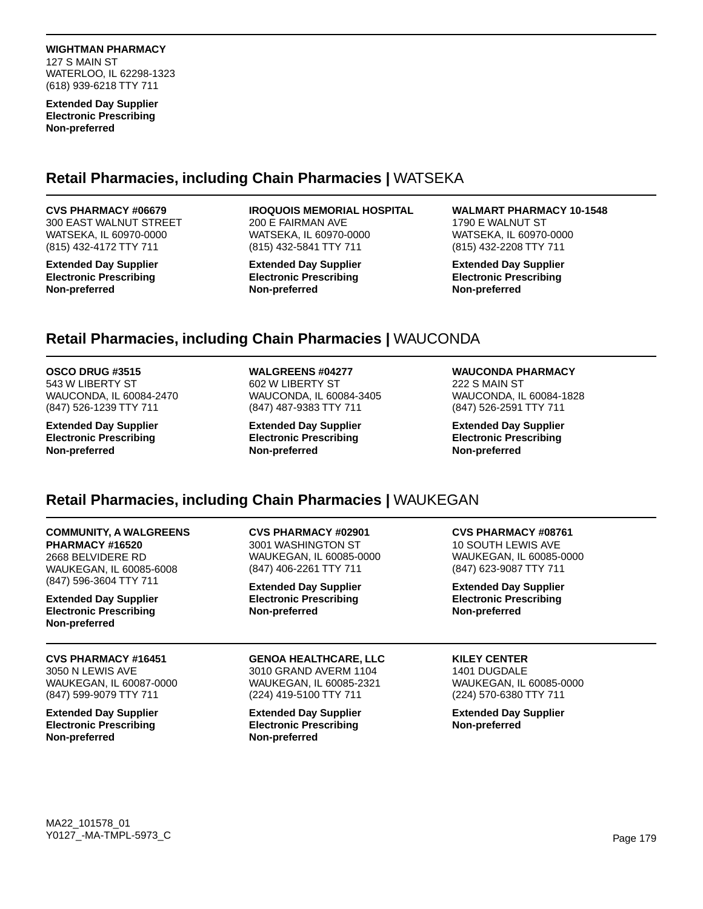**Extended Day Supplier Electronic Prescribing Non-preferred**

## **Retail Pharmacies, including Chain Pharmacies |** WATSEKA

#### **CVS PHARMACY #06679**

300 EAST WALNUT STREET WATSEKA, IL 60970-0000 (815) 432-4172 TTY 711

**Extended Day Supplier Electronic Prescribing Non-preferred**

#### **IROQUOIS MEMORIAL HOSPITAL**

200 E FAIRMAN AVE WATSEKA, IL 60970-0000 (815) 432-5841 TTY 711

**Extended Day Supplier Electronic Prescribing Non-preferred**

**WALMART PHARMACY 10-1548** 1790 E WALNUT ST WATSEKA, IL 60970-0000 (815) 432-2208 TTY 711

**Extended Day Supplier Electronic Prescribing Non-preferred**

# **Retail Pharmacies, including Chain Pharmacies |** WAUCONDA

#### **OSCO DRUG #3515**

543 W LIBERTY ST WAUCONDA, IL 60084-2470 (847) 526-1239 TTY 711

**Extended Day Supplier Electronic Prescribing Non-preferred**

### **WALGREENS #04277**

602 W LIBERTY ST WAUCONDA, IL 60084-3405 (847) 487-9383 TTY 711

**Extended Day Supplier Electronic Prescribing Non-preferred**

#### **WAUCONDA PHARMACY**

222 S MAIN ST WAUCONDA, IL 60084-1828 (847) 526-2591 TTY 711

**Extended Day Supplier Electronic Prescribing Non-preferred**

# **Retail Pharmacies, including Chain Pharmacies |** WAUKEGAN

### **COMMUNITY, A WALGREENS**

**PHARMACY #16520** 2668 BELVIDERE RD WAUKEGAN, IL 60085-6008 (847) 596-3604 TTY 711

**Extended Day Supplier Electronic Prescribing Non-preferred**

### **CVS PHARMACY #16451**

3050 N LEWIS AVE WAUKEGAN, IL 60087-0000 (847) 599-9079 TTY 711

**Extended Day Supplier Electronic Prescribing Non-preferred**

**CVS PHARMACY #02901** 3001 WASHINGTON ST WAUKEGAN, IL 60085-0000 (847) 406-2261 TTY 711

**Extended Day Supplier Electronic Prescribing Non-preferred**

#### **GENOA HEALTHCARE, LLC** 3010 GRAND AVERM 1104 WAUKEGAN, IL 60085-2321 (224) 419-5100 TTY 711

**Extended Day Supplier Electronic Prescribing Non-preferred**

### **CVS PHARMACY #08761**

10 SOUTH LEWIS AVE WAUKEGAN, IL 60085-0000 (847) 623-9087 TTY 711

**Extended Day Supplier Electronic Prescribing Non-preferred**

### **KILEY CENTER**

1401 DUGDALE WAUKEGAN, IL 60085-0000 (224) 570-6380 TTY 711

**Extended Day Supplier Non-preferred**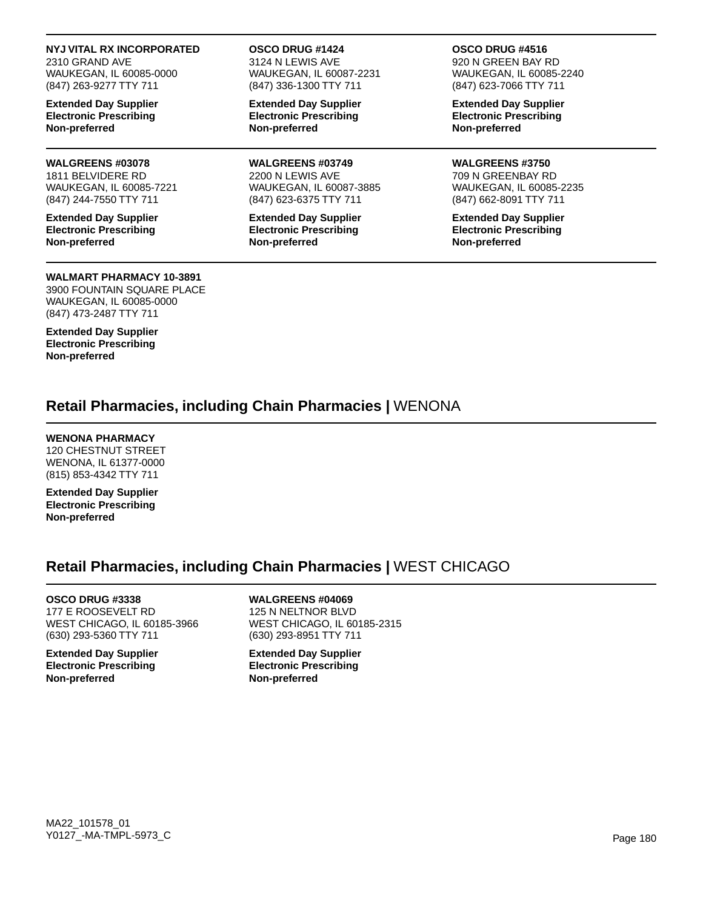#### **NYJ VITAL RX INCORPORATED**

2310 GRAND AVE WAUKEGAN, IL 60085-0000 (847) 263-9277 TTY 711

**Extended Day Supplier Electronic Prescribing Non-preferred**

#### **WALGREENS #03078**

1811 BELVIDERE RD WAUKEGAN, IL 60085-7221 (847) 244-7550 TTY 711

**Extended Day Supplier Electronic Prescribing Non-preferred**

#### **WALMART PHARMACY 10-3891**

3900 FOUNTAIN SQUARE PLACE WAUKEGAN, IL 60085-0000 (847) 473-2487 TTY 711

**Extended Day Supplier Electronic Prescribing Non-preferred**

#### **OSCO DRUG #1424**

3124 N LEWIS AVE WAUKEGAN, IL 60087-2231 (847) 336-1300 TTY 711

**Extended Day Supplier Electronic Prescribing Non-preferred**

**WALGREENS #03749** 2200 N LEWIS AVE WAUKEGAN, IL 60087-3885 (847) 623-6375 TTY 711

**Extended Day Supplier Electronic Prescribing Non-preferred**

#### **OSCO DRUG #4516**

920 N GREEN BAY RD WAUKEGAN, IL 60085-2240 (847) 623-7066 TTY 711

**Extended Day Supplier Electronic Prescribing Non-preferred**

**WALGREENS #3750** 709 N GREENBAY RD WAUKEGAN, IL 60085-2235 (847) 662-8091 TTY 711

**Extended Day Supplier Electronic Prescribing Non-preferred**

### **Retail Pharmacies, including Chain Pharmacies |** WENONA

#### **WENONA PHARMACY**

120 CHESTNUT STREET WENONA, IL 61377-0000 (815) 853-4342 TTY 711

**Extended Day Supplier Electronic Prescribing Non-preferred**

### **Retail Pharmacies, including Chain Pharmacies |** WEST CHICAGO

**OSCO DRUG #3338**

177 E ROOSEVELT RD WEST CHICAGO, IL 60185-3966 (630) 293-5360 TTY 711

**Extended Day Supplier Electronic Prescribing Non-preferred**

**WALGREENS #04069** 125 N NELTNOR BLVD WEST CHICAGO, IL 60185-2315 (630) 293-8951 TTY 711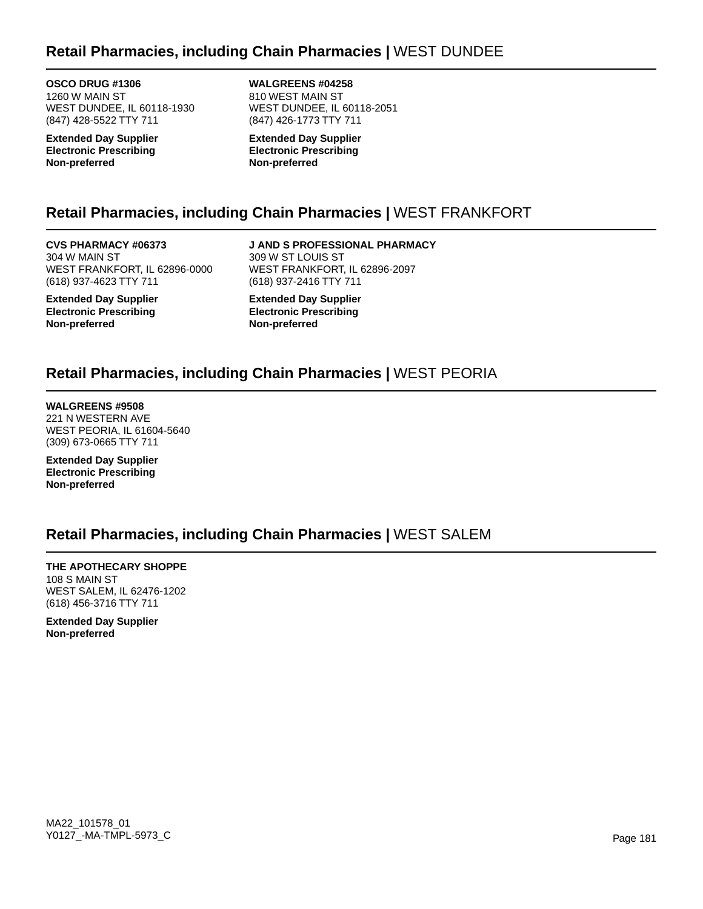### **Retail Pharmacies, including Chain Pharmacies |** WEST DUNDEE

**OSCO DRUG #1306** 1260 W MAIN ST WEST DUNDEE, IL 60118-1930 (847) 428-5522 TTY 711

**Extended Day Supplier Electronic Prescribing Non-preferred**

**WALGREENS #04258** 810 WEST MAIN ST WEST DUNDEE, IL 60118-2051 (847) 426-1773 TTY 711

**Extended Day Supplier Electronic Prescribing Non-preferred**

## **Retail Pharmacies, including Chain Pharmacies |** WEST FRANKFORT

**CVS PHARMACY #06373** 304 W MAIN ST WEST FRANKFORT, IL 62896-0000 (618) 937-4623 TTY 711

**Extended Day Supplier Electronic Prescribing Non-preferred**

**J AND S PROFESSIONAL PHARMACY** 309 W ST LOUIS ST WEST FRANKFORT, IL 62896-2097 (618) 937-2416 TTY 711

**Extended Day Supplier Electronic Prescribing Non-preferred**

## **Retail Pharmacies, including Chain Pharmacies |** WEST PEORIA

**WALGREENS #9508** 221 N WESTERN AVE WEST PEORIA, IL 61604-5640 (309) 673-0665 TTY 711

**Extended Day Supplier Electronic Prescribing Non-preferred**

## **Retail Pharmacies, including Chain Pharmacies |** WEST SALEM

**THE APOTHECARY SHOPPE** 108 S MAIN ST WEST SALEM, IL 62476-1202 (618) 456-3716 TTY 711

**Extended Day Supplier Non-preferred**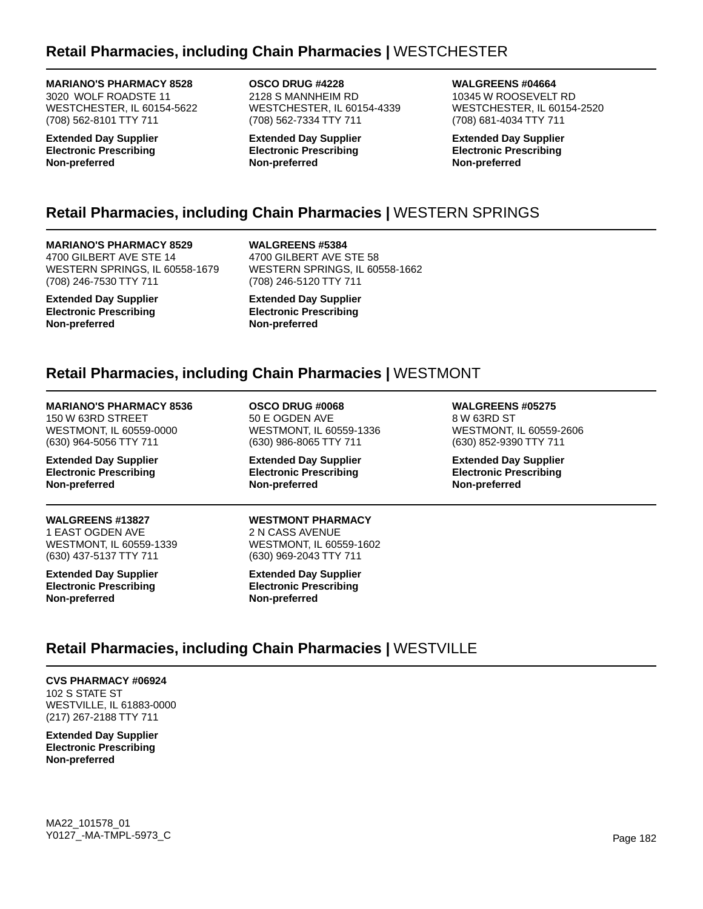## **Retail Pharmacies, including Chain Pharmacies |** WESTCHESTER

#### **MARIANO'S PHARMACY 8528**

3020 WOLF ROADSTE 11 WESTCHESTER, IL 60154-5622 (708) 562-8101 TTY 711

**Extended Day Supplier Electronic Prescribing Non-preferred**

**OSCO DRUG #4228** 2128 S MANNHEIM RD WESTCHESTER, IL 60154-4339 (708) 562-7334 TTY 711

**Extended Day Supplier Electronic Prescribing Non-preferred**

**WALGREENS #04664** 10345 W ROOSEVELT RD WESTCHESTER, IL 60154-2520 (708) 681-4034 TTY 711

**Extended Day Supplier Electronic Prescribing Non-preferred**

## **Retail Pharmacies, including Chain Pharmacies |** WESTERN SPRINGS

**MARIANO'S PHARMACY 8529** 4700 GILBERT AVE STE 14 WESTERN SPRINGS, IL 60558-1679 (708) 246-7530 TTY 711

**Extended Day Supplier Electronic Prescribing Non-preferred**

**WALGREENS #5384** 4700 GILBERT AVE STE 58 WESTERN SPRINGS, IL 60558-1662 (708) 246-5120 TTY 711

**Extended Day Supplier Electronic Prescribing Non-preferred**

## **Retail Pharmacies, including Chain Pharmacies |** WESTMONT

**MARIANO'S PHARMACY 8536** 150 W 63RD STREET WESTMONT, IL 60559-0000 (630) 964-5056 TTY 711

**Extended Day Supplier Electronic Prescribing Non-preferred**

**WALGREENS #13827** 1 EAST OGDEN AVE WESTMONT, IL 60559-1339 (630) 437-5137 TTY 711

**Extended Day Supplier Electronic Prescribing Non-preferred**

**OSCO DRUG #0068** 50 E OGDEN AVE WESTMONT, IL 60559-1336 (630) 986-8065 TTY 711

**Extended Day Supplier Electronic Prescribing Non-preferred**

**WESTMONT PHARMACY**

2 N CASS AVENUE WESTMONT, IL 60559-1602 (630) 969-2043 TTY 711

**Extended Day Supplier Electronic Prescribing Non-preferred**

**WALGREENS #05275** 8 W 63RD ST WESTMONT, IL 60559-2606 (630) 852-9390 TTY 711

**Extended Day Supplier Electronic Prescribing Non-preferred**

## **Retail Pharmacies, including Chain Pharmacies |** WESTVILLE

**CVS PHARMACY #06924** 102 S STATE ST WESTVILLE, IL 61883-0000 (217) 267-2188 TTY 711

**Extended Day Supplier Electronic Prescribing Non-preferred**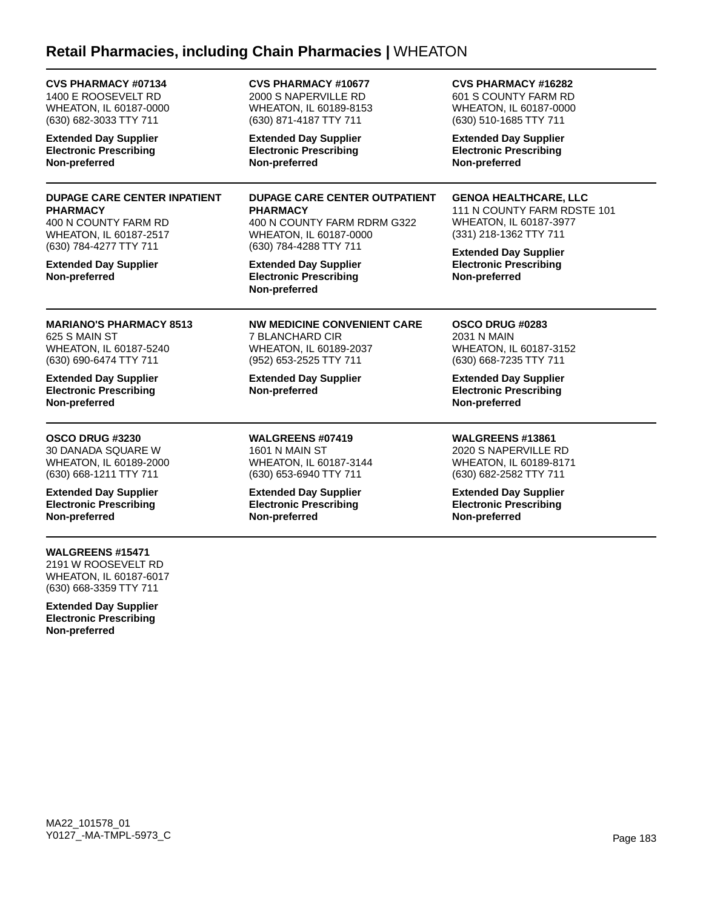### **Retail Pharmacies, including Chain Pharmacies |** WHEATON

| <b>CVS PHARMACY #07134</b>                                                                               | <b>CVS PHARMACY #10677</b>                                                                                              | <b>CVS PHARMACY #16282</b>                                                                                                                                                                        |
|----------------------------------------------------------------------------------------------------------|-------------------------------------------------------------------------------------------------------------------------|---------------------------------------------------------------------------------------------------------------------------------------------------------------------------------------------------|
| 1400 E ROOSEVELT RD                                                                                      | 2000 S NAPERVILLE RD                                                                                                    | 601 S COUNTY FARM RD                                                                                                                                                                              |
| WHEATON, IL 60187-0000                                                                                   | <b>WHEATON, IL 60189-8153</b>                                                                                           | <b>WHEATON, IL 60187-0000</b>                                                                                                                                                                     |
| (630) 682-3033 TTY 711                                                                                   | (630) 871-4187 TTY 711                                                                                                  | (630) 510-1685 TTY 711                                                                                                                                                                            |
| <b>Extended Day Supplier</b>                                                                             | <b>Extended Day Supplier</b>                                                                                            | <b>Extended Day Supplier</b>                                                                                                                                                                      |
| <b>Electronic Prescribing</b>                                                                            | <b>Electronic Prescribing</b>                                                                                           | <b>Electronic Prescribing</b>                                                                                                                                                                     |
| Non-preferred                                                                                            | Non-preferred                                                                                                           | Non-preferred                                                                                                                                                                                     |
| <b>DUPAGE CARE CENTER INPATIENT</b><br><b>PHARMACY</b><br>400 N COUNTY FARM RD<br>WHEATON, IL 60187-2517 | <b>DUPAGE CARE CENTER OUTPATIENT</b><br><b>PHARMACY</b><br>400 N COUNTY FARM RDRM G322<br><b>WHEATON, IL 60187-0000</b> | <b>GENOA HEALTHCARE, LLC</b><br>111 N COUNTY FARM RDSTE 101<br>WHEATON, IL 60187-3977<br>(331) 218-1362 TTY 711<br><b>Extended Day Supplier</b><br><b>Electronic Prescribing</b><br>Non-preferred |
| (630) 784-4277 TTY 711<br><b>Extended Day Supplier</b><br>Non-preferred                                  | (630) 784-4288 TTY 711<br><b>Extended Day Supplier</b><br><b>Electronic Prescribing</b><br>Non-preferred                |                                                                                                                                                                                                   |
| <b>MARIANO'S PHARMACY 8513</b>                                                                           | <b>NW MEDICINE CONVENIENT CARE</b>                                                                                      | OSCO DRUG #0283                                                                                                                                                                                   |
| 625 S MAIN ST                                                                                            | 7 BLANCHARD CIR                                                                                                         | 2031 N MAIN                                                                                                                                                                                       |
| WHEATON, IL 60187-5240                                                                                   | WHEATON, IL 60189-2037                                                                                                  | WHEATON, IL 60187-3152                                                                                                                                                                            |
| (630) 690-6474 TTY 711                                                                                   | (952) 653-2525 TTY 711                                                                                                  | (630) 668-7235 TTY 711                                                                                                                                                                            |
| <b>Extended Day Supplier</b><br><b>Electronic Prescribing</b><br>Non-preferred                           | <b>Extended Day Supplier</b><br>Non-preferred                                                                           | <b>Extended Day Supplier</b><br><b>Electronic Prescribing</b><br>Non-preferred                                                                                                                    |
| OSCO DRUG #3230                                                                                          | WALGREENS #07419                                                                                                        | <b>WALGREENS #13861</b>                                                                                                                                                                           |
| 30 DANADA SQUARE W                                                                                       | <b>1601 N MAIN ST</b>                                                                                                   | 2020 S NAPERVILLE RD                                                                                                                                                                              |

WHEATON, IL 60189-2000 (630) 668-1211 TTY 711

**Extended Day Supplier Electronic Prescribing Non-preferred**

#### **WALGREENS #15471**

2191 W ROOSEVELT RD WHEATON, IL 60187-6017 (630) 668-3359 TTY 711

**Extended Day Supplier Electronic Prescribing Non-preferred**

WHEATON, IL 60187-3144 (630) 653-6940 TTY 711 **Extended Day Supplier**

**Electronic Prescribing Non-preferred**

WHEATON, IL 60189-8171 (630) 682-2582 TTY 711

**Extended Day Supplier Electronic Prescribing Non-preferred**

MA22\_101578\_01 Y0127\_-MA-TMPL-5973\_C example that the example of the example of the example of the example of the example of the example of the example of the example of the example of the example of the example of the example of the exa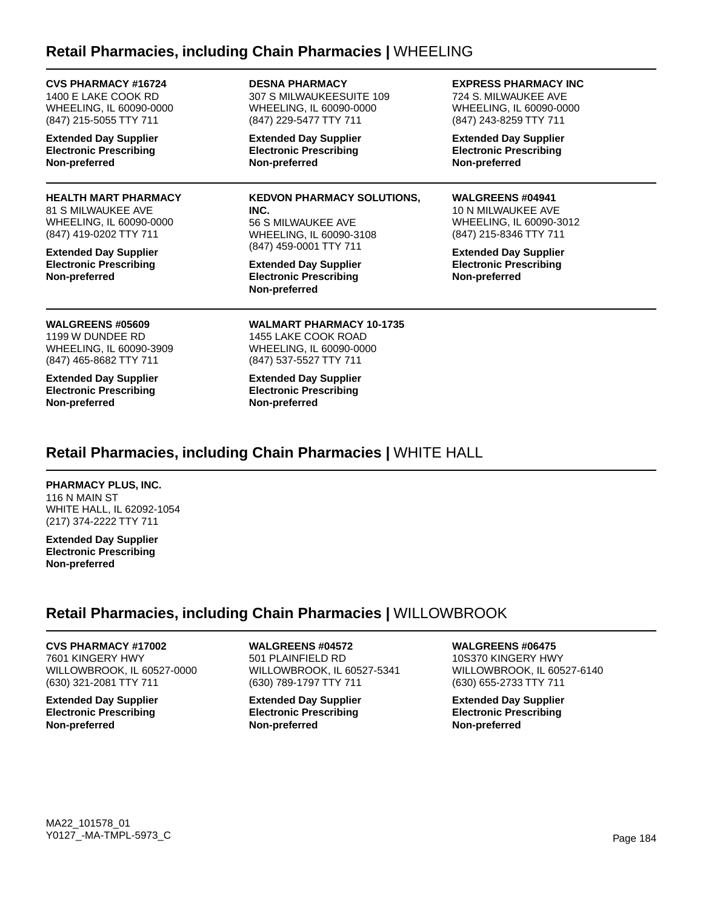### **Retail Pharmacies, including Chain Pharmacies |** WHEELING

**DESNA PHARMACY**

| CVS PHARMACY #16/24                                                                              | <b>DESNA PHARMACY</b>                                                                                       | EXPRESS PHARMACY INC                                                           |  |
|--------------------------------------------------------------------------------------------------|-------------------------------------------------------------------------------------------------------------|--------------------------------------------------------------------------------|--|
| 1400 E LAKE COOK RD                                                                              | 307 S MILWAUKEESUITE 109                                                                                    | 724 S. MILWAUKEE AVE                                                           |  |
| WHEELING, IL 60090-0000                                                                          | WHEELING, IL 60090-0000                                                                                     | WHEELING, IL 60090-0000                                                        |  |
| (847) 215-5055 TTY 711                                                                           | (847) 229-5477 TTY 711                                                                                      | (847) 243-8259 TTY 711                                                         |  |
| <b>Extended Day Supplier</b>                                                                     | <b>Extended Day Supplier</b>                                                                                | <b>Extended Day Supplier</b>                                                   |  |
| <b>Electronic Prescribing</b>                                                                    | <b>Electronic Prescribing</b>                                                                               | <b>Electronic Prescribing</b>                                                  |  |
| Non-preferred                                                                                    | Non-preferred                                                                                               | Non-preferred                                                                  |  |
| <b>HEALTH MART PHARMACY</b>                                                                      | <b>KEDVON PHARMACY SOLUTIONS,</b>                                                                           | <b>WALGREENS #04941</b>                                                        |  |
| 81 S MILWAUKEE AVE                                                                               | INC.                                                                                                        | 10 N MILWAUKEE AVE                                                             |  |
| WHEELING, IL 60090-0000                                                                          | 56 S MILWAUKEE AVE                                                                                          | WHEELING, IL 60090-3012                                                        |  |
| (847) 419-0202 TTY 711                                                                           | WHEELING, IL 60090-3108                                                                                     | (847) 215-8346 TTY 711                                                         |  |
| <b>Extended Day Supplier</b><br><b>Electronic Prescribing</b><br>Non-preferred                   | (847) 459-0001 TTY 711<br><b>Extended Day Supplier</b><br><b>Electronic Prescribing</b><br>Non-preferred    | <b>Extended Day Supplier</b><br><b>Electronic Prescribing</b><br>Non-preferred |  |
| <b>WALGREENS #05609</b><br>1199 W DUNDEE RD<br>WHEELING, IL 60090-3909<br>(847) 465-8682 TTY 711 | <b>WALMART PHARMACY 10-1735</b><br>1455 LAKE COOK ROAD<br>WHEELING, IL 60090-0000<br>(847) 537-5527 TTY 711 |                                                                                |  |
| <b>Extended Day Supplier</b>                                                                     | <b>Extended Day Supplier</b>                                                                                |                                                                                |  |

# **Retail Pharmacies, including Chain Pharmacies |** WHITE HALL

**Electronic Prescribing**

**Non-preferred**

#### **PHARMACY PLUS, INC.**

**Electronic Prescribing**

**Non-preferred**

**CVS PHARMACY #16724**

116 N MAIN ST WHITE HALL, IL 62092-1054 (217) 374-2222 TTY 711

**Extended Day Supplier Electronic Prescribing Non-preferred**

## **Retail Pharmacies, including Chain Pharmacies |** WILLOWBROOK

#### **CVS PHARMACY #17002** 7601 KINGERY HWY WILLOWBROOK, IL 60527-0000 (630) 321-2081 TTY 711

**Extended Day Supplier Electronic Prescribing Non-preferred**

**WALGREENS #04572** 501 PLAINFIELD RD WILLOWBROOK, IL 60527-5341 (630) 789-1797 TTY 711

**Extended Day Supplier Electronic Prescribing Non-preferred**

#### **WALGREENS #06475**

**EXPRESS PHARMACY INC**

10S370 KINGERY HWY WILLOWBROOK, IL 60527-6140 (630) 655-2733 TTY 711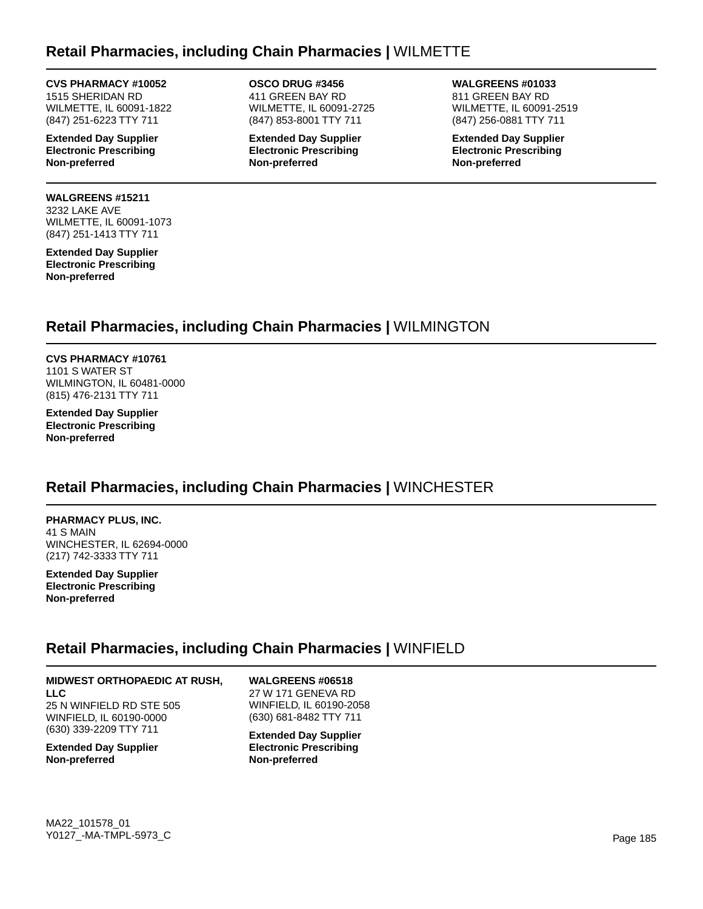### **Retail Pharmacies, including Chain Pharmacies |** WILMETTE

#### **CVS PHARMACY #10052**

1515 SHERIDAN RD WILMETTE, IL 60091-1822 (847) 251-6223 TTY 711

**Extended Day Supplier Electronic Prescribing Non-preferred**

#### **WALGREENS #15211** 3232 LAKE AVE WILMETTE, IL 60091-1073 (847) 251-1413 TTY 711

**Extended Day Supplier Electronic Prescribing Non-preferred**

**OSCO DRUG #3456** 411 GREEN BAY RD WILMETTE, IL 60091-2725 (847) 853-8001 TTY 711

**Extended Day Supplier Electronic Prescribing Non-preferred**

**WALGREENS #01033** 811 GREEN BAY RD WILMETTE, IL 60091-2519 (847) 256-0881 TTY 711

**Extended Day Supplier Electronic Prescribing Non-preferred**

## **Retail Pharmacies, including Chain Pharmacies |** WILMINGTON

**CVS PHARMACY #10761** 1101 S WATER ST WILMINGTON, IL 60481-0000 (815) 476-2131 TTY 711

**Extended Day Supplier Electronic Prescribing Non-preferred**

## **Retail Pharmacies, including Chain Pharmacies |** WINCHESTER

**PHARMACY PLUS, INC.** 41 S MAIN WINCHESTER, IL 62694-0000 (217) 742-3333 TTY 711

**Extended Day Supplier Electronic Prescribing Non-preferred**

## **Retail Pharmacies, including Chain Pharmacies |** WINFIELD

### **MIDWEST ORTHOPAEDIC AT RUSH,**

**LLC** 25 N WINFIELD RD STE 505 WINFIELD, IL 60190-0000 (630) 339-2209 TTY 711

**Extended Day Supplier Non-preferred**

**WALGREENS #06518** 27 W 171 GENEVA RD WINFIELD, IL 60190-2058 (630) 681-8482 TTY 711

**Extended Day Supplier Electronic Prescribing Non-preferred**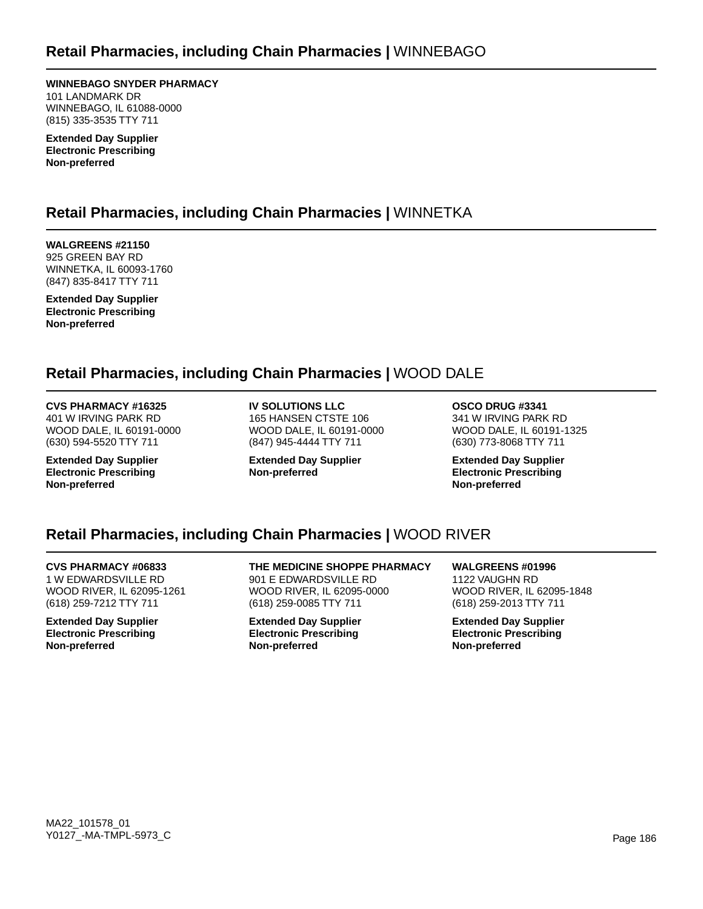**WINNEBAGO SNYDER PHARMACY** 101 LANDMARK DR WINNEBAGO, IL 61088-0000 (815) 335-3535 TTY 711

**Extended Day Supplier Electronic Prescribing Non-preferred**

## **Retail Pharmacies, including Chain Pharmacies |** WINNETKA

**WALGREENS #21150** 925 GREEN BAY RD WINNETKA, IL 60093-1760 (847) 835-8417 TTY 711

**Extended Day Supplier Electronic Prescribing Non-preferred**

## **Retail Pharmacies, including Chain Pharmacies |** WOOD DALE

### **CVS PHARMACY #16325**

401 W IRVING PARK RD WOOD DALE, IL 60191-0000 (630) 594-5520 TTY 711

**Extended Day Supplier Electronic Prescribing Non-preferred**

**IV SOLUTIONS LLC** 165 HANSEN CTSTE 106 WOOD DALE, IL 60191-0000 (847) 945-4444 TTY 711

**Extended Day Supplier Non-preferred**

**OSCO DRUG #3341** 341 W IRVING PARK RD WOOD DALE, IL 60191-1325 (630) 773-8068 TTY 711

**Extended Day Supplier Electronic Prescribing Non-preferred**

## **Retail Pharmacies, including Chain Pharmacies |** WOOD RIVER

**CVS PHARMACY #06833** 1 W EDWARDSVILLE RD WOOD RIVER, IL 62095-1261 (618) 259-7212 TTY 711

**Extended Day Supplier Electronic Prescribing Non-preferred**

**THE MEDICINE SHOPPE PHARMACY** 901 E EDWARDSVILLE RD WOOD RIVER, IL 62095-0000 (618) 259-0085 TTY 711

**Extended Day Supplier Electronic Prescribing Non-preferred**

**WALGREENS #01996** 1122 VAUGHN RD WOOD RIVER, IL 62095-1848 (618) 259-2013 TTY 711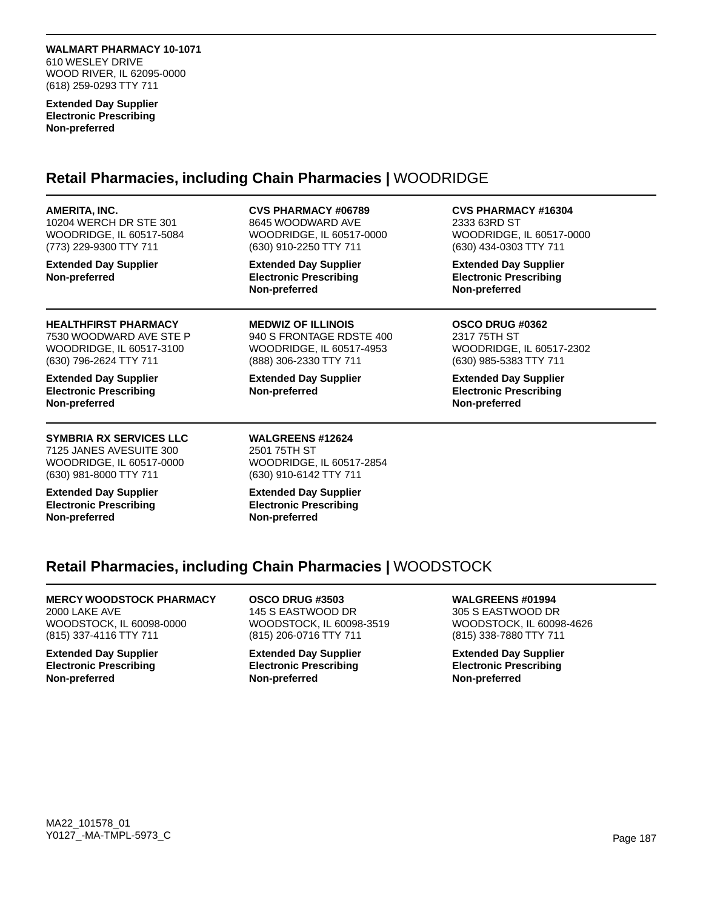**WALMART PHARMACY 10-1071** 610 WESLEY DRIVE WOOD RIVER, IL 62095-0000 (618) 259-0293 TTY 711

**Extended Day Supplier Electronic Prescribing Non-preferred**

### **Retail Pharmacies, including Chain Pharmacies |** WOODRIDGE

#### **AMERITA, INC.**

10204 WERCH DR STE 301 WOODRIDGE, IL 60517-5084 (773) 229-9300 TTY 711

**Extended Day Supplier Non-preferred**

#### **CVS PHARMACY #06789**

8645 WOODWARD AVE WOODRIDGE, IL 60517-0000 (630) 910-2250 TTY 711

**Extended Day Supplier Electronic Prescribing Non-preferred**

**HEALTHFIRST PHARMACY** 7530 WOODWARD AVE STE P WOODRIDGE, IL 60517-3100 (630) 796-2624 TTY 711

**Extended Day Supplier Electronic Prescribing Non-preferred**

### **SYMBRIA RX SERVICES LLC**

7125 JANES AVESUITE 300 WOODRIDGE, IL 60517-0000 (630) 981-8000 TTY 711

**Extended Day Supplier Electronic Prescribing Non-preferred**

**MEDWIZ OF ILLINOIS** 940 S FRONTAGE RDSTE 400 WOODRIDGE, IL 60517-4953 (888) 306-2330 TTY 711

**Extended Day Supplier Non-preferred**

**WALGREENS #12624** 2501 75TH ST WOODRIDGE, IL 60517-2854 (630) 910-6142 TTY 711

**Extended Day Supplier Electronic Prescribing Non-preferred**

**CVS PHARMACY #16304** 2333 63RD ST WOODRIDGE, IL 60517-0000 (630) 434-0303 TTY 711

**Extended Day Supplier Electronic Prescribing Non-preferred**

#### **OSCO DRUG #0362** 2317 75TH ST WOODRIDGE, IL 60517-2302 (630) 985-5383 TTY 711

**Extended Day Supplier Electronic Prescribing Non-preferred**

## **Retail Pharmacies, including Chain Pharmacies |** WOODSTOCK

### **MERCY WOODSTOCK PHARMACY**

2000 LAKE AVE WOODSTOCK, IL 60098-0000 (815) 337-4116 TTY 711

**Extended Day Supplier Electronic Prescribing Non-preferred**

**OSCO DRUG #3503** 145 S EASTWOOD DR WOODSTOCK, IL 60098-3519 (815) 206-0716 TTY 711

**Extended Day Supplier Electronic Prescribing Non-preferred**

### **WALGREENS #01994**

305 S EASTWOOD DR WOODSTOCK, IL 60098-4626 (815) 338-7880 TTY 711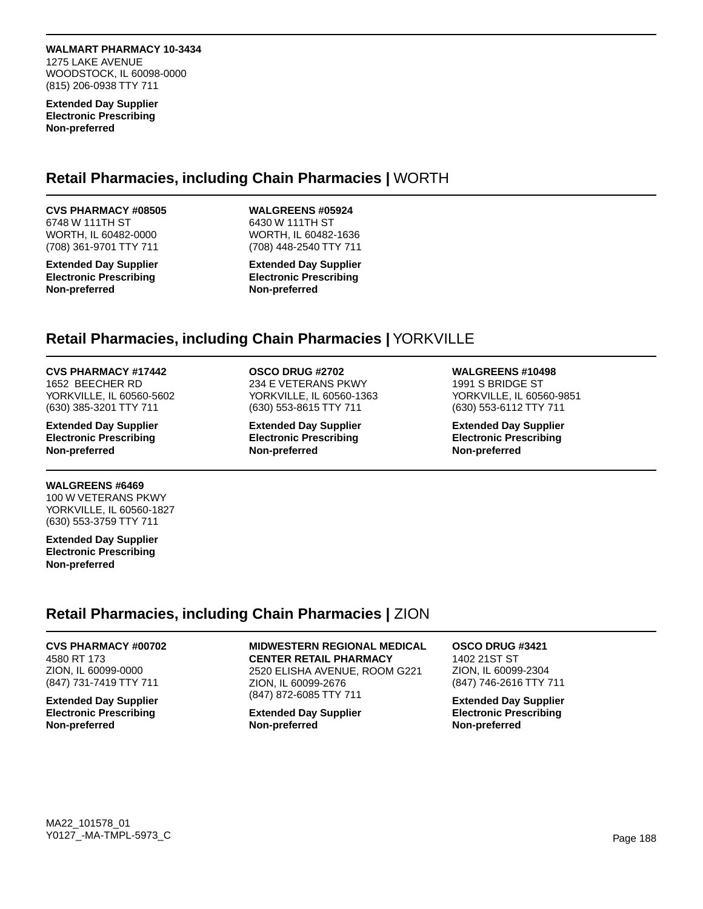**WALMART PHARMACY 10-3434** 1275 LAKE AVENUE WOODSTOCK, IL 60098-0000 (815) 206-0938 TTY 711

**Extended Day Supplier Electronic Prescribing Non-preferred**

### **Retail Pharmacies, including Chain Pharmacies |** WORTH

### **CVS PHARMACY #08505**

6748 W 111TH ST WORTH, IL 60482-0000 (708) 361-9701 TTY 711

**Extended Day Supplier Electronic Prescribing Non-preferred**

#### **WALGREENS #05924**

6430 W 111TH ST WORTH, IL 60482-1636 (708) 448-2540 TTY 711

**Extended Day Supplier Electronic Prescribing Non-preferred**

### **Retail Pharmacies, including Chain Pharmacies |** YORKVILLE

#### **CVS PHARMACY #17442**

1652 BEECHER RD YORKVILLE, IL 60560-5602 (630) 385-3201 TTY 711

**Extended Day Supplier Electronic Prescribing Non-preferred**

#### **WALGREENS #6469**

100 W VETERANS PKWY YORKVILLE, IL 60560-1827 (630) 553-3759 TTY 711

**Extended Day Supplier Electronic Prescribing Non-preferred**

### **OSCO DRUG #2702**

234 E VETERANS PKWY YORKVILLE, IL 60560-1363 (630) 553-8615 TTY 711

**Extended Day Supplier Electronic Prescribing Non-preferred**

#### **WALGREENS #10498**

1991 S BRIDGE ST YORKVILLE, IL 60560-9851 (630) 553-6112 TTY 711

**Extended Day Supplier Electronic Prescribing Non-preferred**

## **Retail Pharmacies, including Chain Pharmacies |** ZION

**CVS PHARMACY #00702** 4580 RT 173 ZION, IL 60099-0000 (847) 731-7419 TTY 711

**Extended Day Supplier Electronic Prescribing Non-preferred**

**MIDWESTERN REGIONAL MEDICAL CENTER RETAIL PHARMACY** 2520 ELISHA AVENUE, ROOM G221 ZION, IL 60099-2676 (847) 872-6085 TTY 711

**Extended Day Supplier Non-preferred**

### **OSCO DRUG #3421** 1402 21ST ST ZION, IL 60099-2304

(847) 746-2616 TTY 711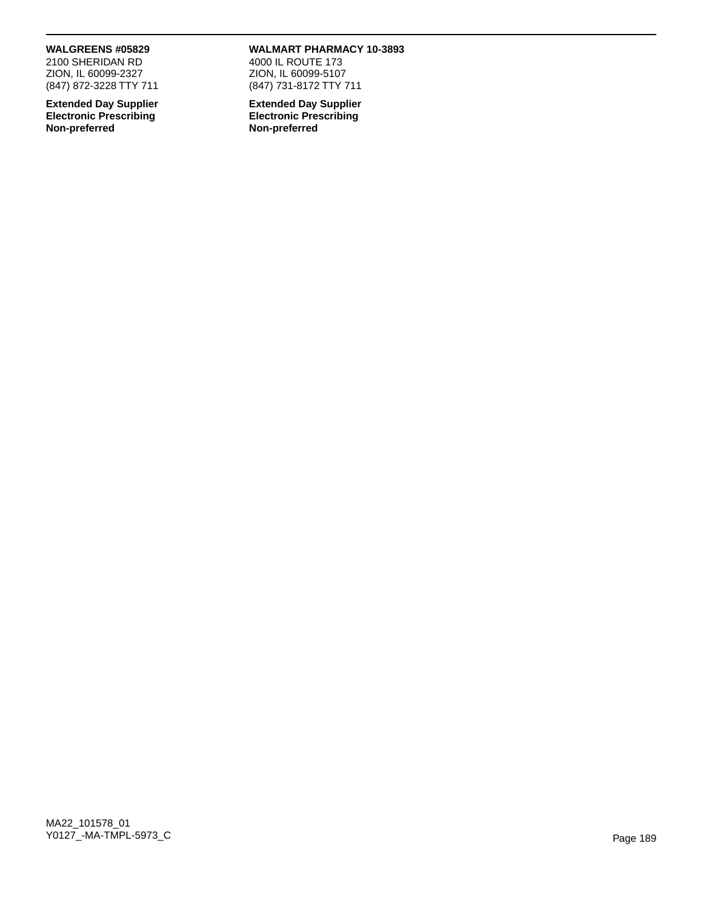#### **WALGREENS #05829**

2100 SHERIDAN RD ZION, IL 60099-2327 (847) 872-3228 TTY 711

**Extended Day Supplier Electronic Prescribing Non-preferred**

#### **WALMART PHARMACY 10-3893**

4000 IL ROUTE 173 ZION, IL 60099-5107 (847) 731-8172 TTY 711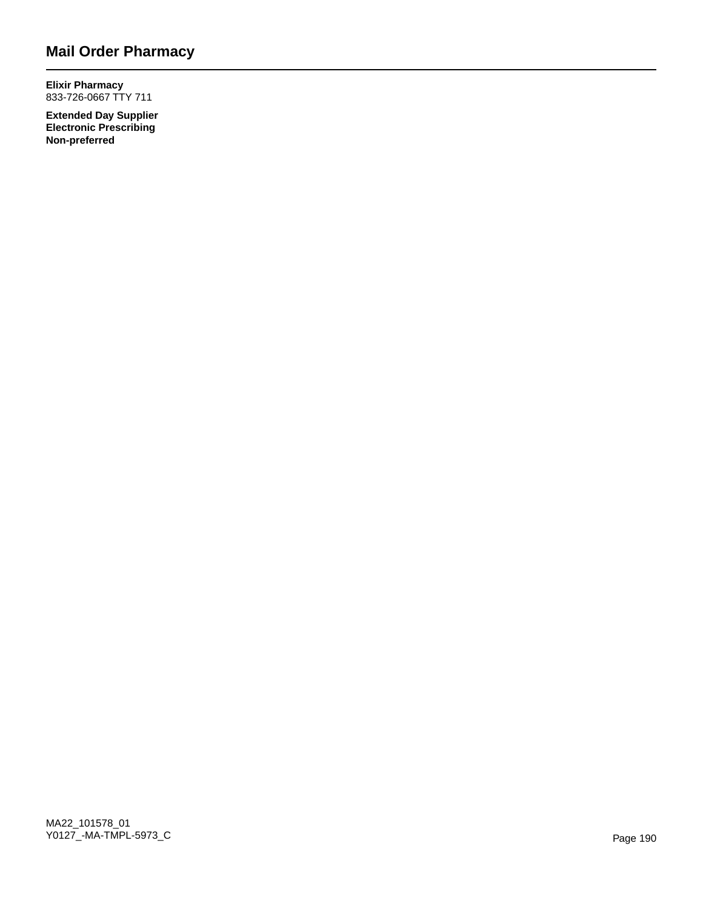## **Mail Order Pharmacy**

**Elixir Pharmacy** 833-726-0667 TTY 711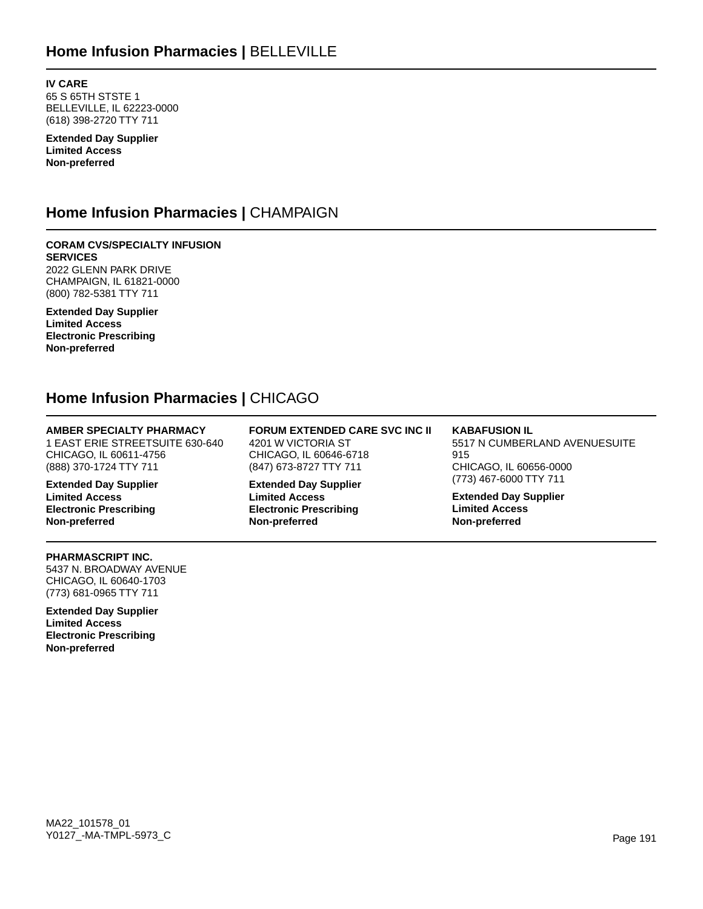**IV CARE** 65 S 65TH STSTE 1 BELLEVILLE, IL 62223-0000 (618) 398-2720 TTY 711

**Extended Day Supplier Limited Access Non-preferred**

## **Home Infusion Pharmacies |** CHAMPAIGN

**CORAM CVS/SPECIALTY INFUSION SERVICES** 2022 GLENN PARK DRIVE CHAMPAIGN, IL 61821-0000 (800) 782-5381 TTY 711

**Extended Day Supplier Limited Access Electronic Prescribing Non-preferred**

## **Home Infusion Pharmacies |** CHICAGO

### **AMBER SPECIALTY PHARMACY**

1 EAST ERIE STREETSUITE 630-640 CHICAGO, IL 60611-4756 (888) 370-1724 TTY 711

**Extended Day Supplier Limited Access Electronic Prescribing Non-preferred**

#### **FORUM EXTENDED CARE SVC INC II** 4201 W VICTORIA ST CHICAGO, IL 60646-6718 (847) 673-8727 TTY 711

**Extended Day Supplier Limited Access Electronic Prescribing Non-preferred**

## **KABAFUSION IL**

5517 N CUMBERLAND AVENUESUITE 915 CHICAGO, IL 60656-0000 (773) 467-6000 TTY 711

**Extended Day Supplier Limited Access Non-preferred**

#### **PHARMASCRIPT INC.**

5437 N. BROADWAY AVENUE CHICAGO, IL 60640-1703 (773) 681-0965 TTY 711

**Extended Day Supplier Limited Access Electronic Prescribing Non-preferred**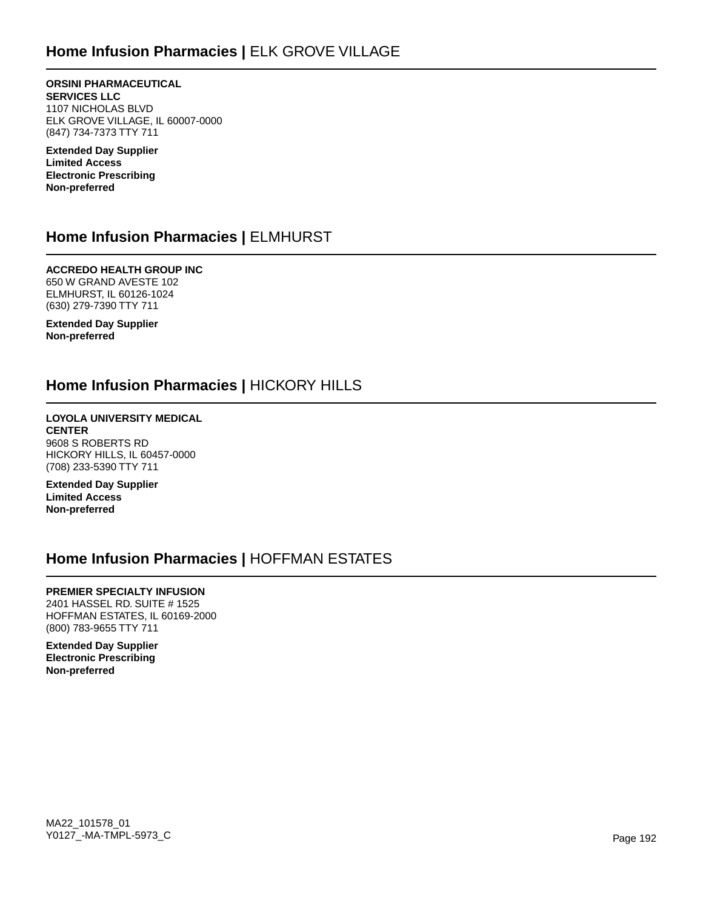## **Home Infusion Pharmacies |** ELK GROVE VILLAGE

**ORSINI PHARMACEUTICAL SERVICES LLC** 1107 NICHOLAS BLVD ELK GROVE VILLAGE, IL 60007-0000 (847) 734-7373 TTY 711

**Extended Day Supplier Limited Access Electronic Prescribing Non-preferred**

### **Home Infusion Pharmacies |** ELMHURST

**ACCREDO HEALTH GROUP INC** 650 W GRAND AVESTE 102 ELMHURST, IL 60126-1024 (630) 279-7390 TTY 711

**Extended Day Supplier Non-preferred**

### **Home Infusion Pharmacies |** HICKORY HILLS

**LOYOLA UNIVERSITY MEDICAL CENTER** 9608 S ROBERTS RD HICKORY HILLS, IL 60457-0000 (708) 233-5390 TTY 711

**Extended Day Supplier Limited Access Non-preferred**

### **Home Infusion Pharmacies |** HOFFMAN ESTATES

#### **PREMIER SPECIALTY INFUSION**

2401 HASSEL RD. SUITE # 1525 HOFFMAN ESTATES, IL 60169-2000 (800) 783-9655 TTY 711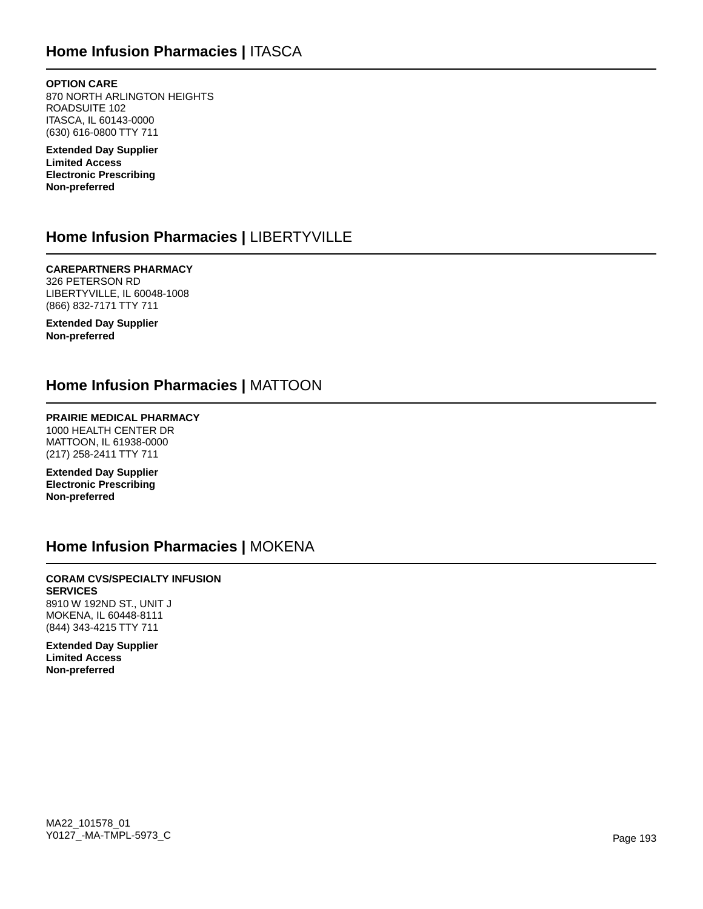## **Home Infusion Pharmacies |** ITASCA

**OPTION CARE** 870 NORTH ARLINGTON HEIGHTS ROADSUITE 102 ITASCA, IL 60143-0000 (630) 616-0800 TTY 711

**Extended Day Supplier Limited Access Electronic Prescribing Non-preferred**

## **Home Infusion Pharmacies |** LIBERTYVILLE

**CAREPARTNERS PHARMACY** 326 PETERSON RD LIBERTYVILLE, IL 60048-1008 (866) 832-7171 TTY 711

**Extended Day Supplier Non-preferred**

### **Home Infusion Pharmacies |** MATTOON

**PRAIRIE MEDICAL PHARMACY** 1000 HEALTH CENTER DR MATTOON, IL 61938-0000 (217) 258-2411 TTY 711

**Extended Day Supplier Electronic Prescribing Non-preferred**

### **Home Infusion Pharmacies |** MOKENA

#### **CORAM CVS/SPECIALTY INFUSION SERVICES**

8910 W 192ND ST., UNIT J MOKENA, IL 60448-8111 (844) 343-4215 TTY 711

**Extended Day Supplier Limited Access Non-preferred**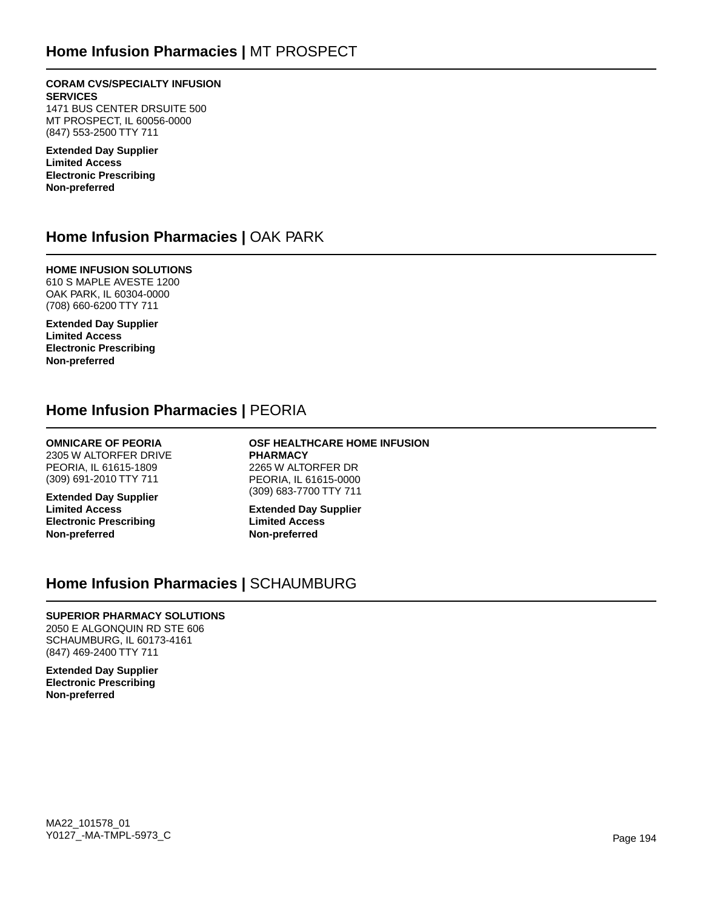### **Home Infusion Pharmacies |** MT PROSPECT

**CORAM CVS/SPECIALTY INFUSION SERVICES** 1471 BUS CENTER DRSUITE 500 MT PROSPECT, IL 60056-0000 (847) 553-2500 TTY 711

**Extended Day Supplier Limited Access Electronic Prescribing Non-preferred**

### **Home Infusion Pharmacies |** OAK PARK

**HOME INFUSION SOLUTIONS** 610 S MAPLE AVESTE 1200 OAK PARK, IL 60304-0000 (708) 660-6200 TTY 711

**Extended Day Supplier Limited Access Electronic Prescribing Non-preferred**

### **Home Infusion Pharmacies |** PEORIA

### **OMNICARE OF PEORIA**

2305 W ALTORFER DRIVE PEORIA, IL 61615-1809 (309) 691-2010 TTY 711

**Extended Day Supplier Limited Access Electronic Prescribing Non-preferred**

**OSF HEALTHCARE HOME INFUSION PHARMACY** 2265 W ALTORFER DR PEORIA, IL 61615-0000 (309) 683-7700 TTY 711

**Extended Day Supplier Limited Access Non-preferred**

## **Home Infusion Pharmacies |** SCHAUMBURG

### **SUPERIOR PHARMACY SOLUTIONS**

2050 E ALGONQUIN RD STE 606 SCHAUMBURG, IL 60173-4161 (847) 469-2400 TTY 711

**Extended Day Supplier Electronic Prescribing Non-preferred**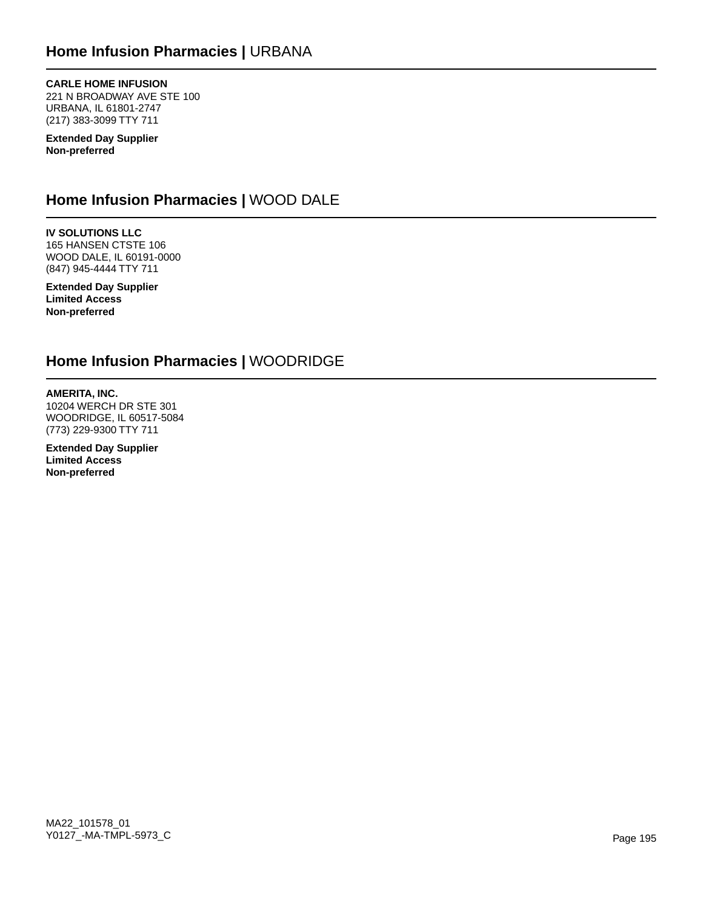### **CARLE HOME INFUSION**

221 N BROADWAY AVE STE 100 URBANA, IL 61801-2747 (217) 383-3099 TTY 711

**Extended Day Supplier Non-preferred**

## **Home Infusion Pharmacies |** WOOD DALE

**IV SOLUTIONS LLC** 165 HANSEN CTSTE 106 WOOD DALE, IL 60191-0000 (847) 945-4444 TTY 711

**Extended Day Supplier Limited Access Non-preferred**

## **Home Infusion Pharmacies |** WOODRIDGE

**AMERITA, INC.** 10204 WERCH DR STE 301 WOODRIDGE, IL 60517-5084 (773) 229-9300 TTY 711

**Extended Day Supplier Limited Access Non-preferred**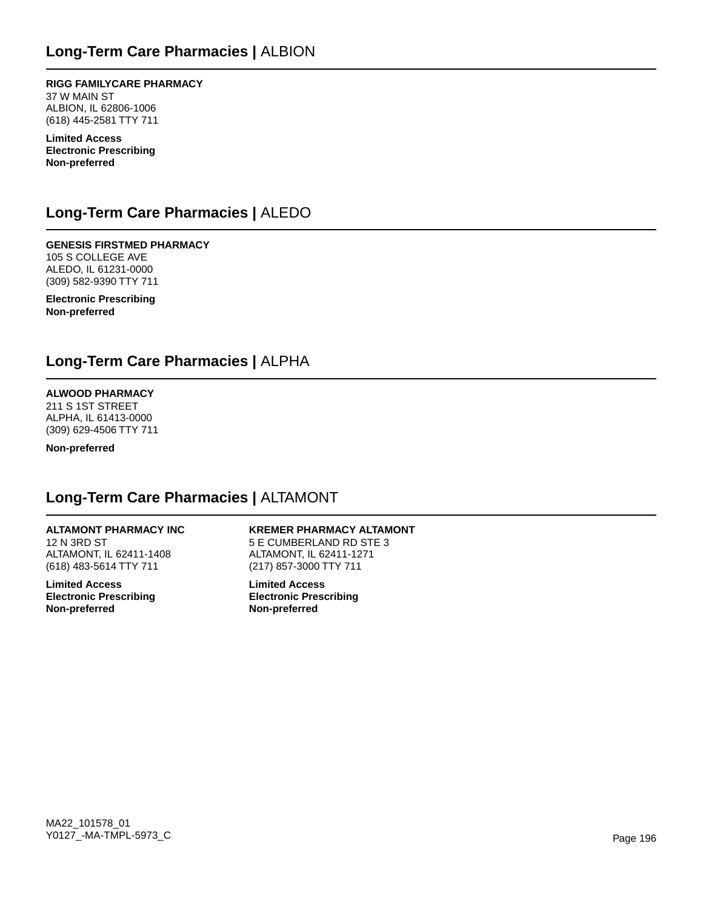**RIGG FAMILYCARE PHARMACY** 37 W MAIN ST ALBION, IL 62806-1006 (618) 445-2581 TTY 711

**Limited Access Electronic Prescribing Non-preferred**

## **Long-Term Care Pharmacies |** ALEDO

**GENESIS FIRSTMED PHARMACY** 105 S COLLEGE AVE ALEDO, IL 61231-0000 (309) 582-9390 TTY 711

**Electronic Prescribing Non-preferred**

### **Long-Term Care Pharmacies |** ALPHA

### **ALWOOD PHARMACY**

211 S 1ST STREET ALPHA, IL 61413-0000 (309) 629-4506 TTY 711

**Non-preferred**

## **Long-Term Care Pharmacies |** ALTAMONT

### **ALTAMONT PHARMACY INC**

12 N 3RD ST ALTAMONT, IL 62411-1408 (618) 483-5614 TTY 711

**Limited Access Electronic Prescribing Non-preferred**

**KREMER PHARMACY ALTAMONT** 5 E CUMBERLAND RD STE 3 ALTAMONT, IL 62411-1271 (217) 857-3000 TTY 711

**Limited Access Electronic Prescribing Non-preferred**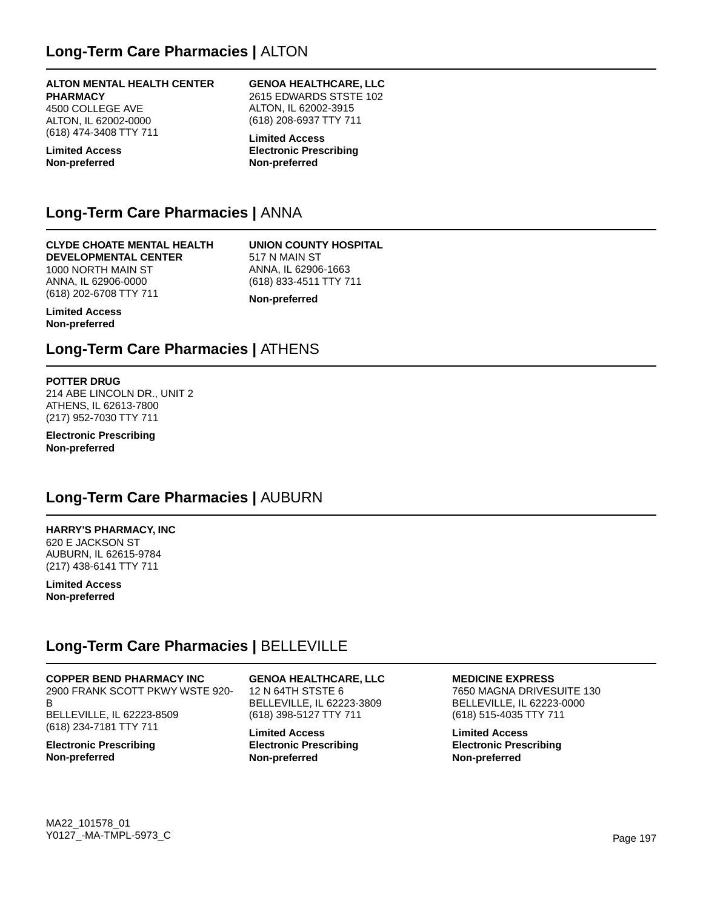#### **ALTON MENTAL HEALTH CENTER PHARMACY**

4500 COLLEGE AVE ALTON, IL 62002-0000 (618) 474-3408 TTY 711

**Limited Access Non-preferred**

#### **GENOA HEALTHCARE, LLC** 2615 EDWARDS STSTE 102

ALTON, IL 62002-3915 (618) 208-6937 TTY 711

**Limited Access Electronic Prescribing Non-preferred**

## **Long-Term Care Pharmacies |** ANNA

#### **CLYDE CHOATE MENTAL HEALTH DEVELOPMENTAL CENTER**

1000 NORTH MAIN ST ANNA, IL 62906-0000 (618) 202-6708 TTY 711 **UNION COUNTY HOSPITAL** 517 N MAIN ST ANNA, IL 62906-1663 (618) 833-4511 TTY 711

**Non-preferred**

**Limited Access Non-preferred**

## **Long-Term Care Pharmacies |** ATHENS

### **POTTER DRUG**

214 ABE LINCOLN DR., UNIT 2 ATHENS, IL 62613-7800 (217) 952-7030 TTY 711

**Electronic Prescribing Non-preferred**

## **Long-Term Care Pharmacies |** AUBURN

#### **HARRY'S PHARMACY, INC** 620 E JACKSON ST

AUBURN, IL 62615-9784 (217) 438-6141 TTY 711

**Limited Access Non-preferred**

## **Long-Term Care Pharmacies |** BELLEVILLE

**COPPER BEND PHARMACY INC** 2900 FRANK SCOTT PKWY WSTE 920- B BELLEVILLE, IL 62223-8509 (618) 234-7181 TTY 711

**Electronic Prescribing Non-preferred**

**GENOA HEALTHCARE, LLC** 12 N 64TH STSTE 6 BELLEVILLE, IL 62223-3809 (618) 398-5127 TTY 711

**Limited Access Electronic Prescribing Non-preferred**

**MEDICINE EXPRESS** 7650 MAGNA DRIVESUITE 130 BELLEVILLE, IL 62223-0000 (618) 515-4035 TTY 711

**Limited Access Electronic Prescribing Non-preferred**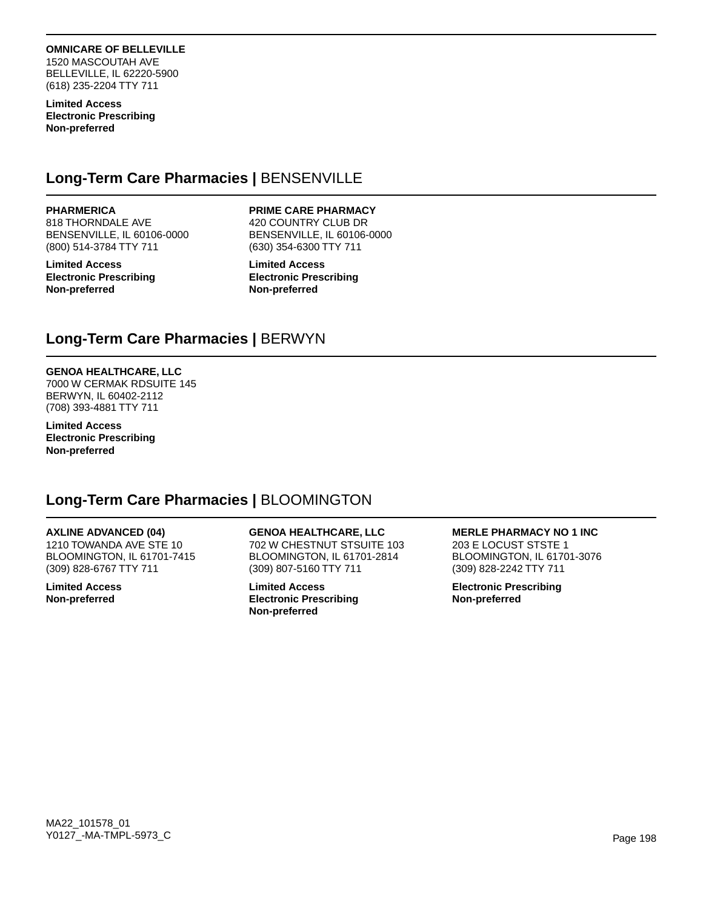### **OMNICARE OF BELLEVILLE**

1520 MASCOUTAH AVE BELLEVILLE, IL 62220-5900 (618) 235-2204 TTY 711

**Limited Access Electronic Prescribing Non-preferred**

## **Long-Term Care Pharmacies |** BENSENVILLE

**PHARMERICA**

818 THORNDALE AVE BENSENVILLE, IL 60106-0000 (800) 514-3784 TTY 711

**Limited Access Electronic Prescribing Non-preferred**

#### **PRIME CARE PHARMACY**

420 COUNTRY CLUB DR BENSENVILLE, IL 60106-0000 (630) 354-6300 TTY 711

**Limited Access Electronic Prescribing Non-preferred**

## **Long-Term Care Pharmacies |** BERWYN

### **GENOA HEALTHCARE, LLC**

7000 W CERMAK RDSUITE 145 BERWYN, IL 60402-2112 (708) 393-4881 TTY 711

**Limited Access Electronic Prescribing Non-preferred**

## **Long-Term Care Pharmacies |** BLOOMINGTON

### **AXLINE ADVANCED (04)**

1210 TOWANDA AVE STE 10 BLOOMINGTON, IL 61701-7415 (309) 828-6767 TTY 711

**Limited Access Non-preferred**

**GENOA HEALTHCARE, LLC** 702 W CHESTNUT STSUITE 103 BLOOMINGTON, IL 61701-2814 (309) 807-5160 TTY 711

**Limited Access Electronic Prescribing Non-preferred**

#### **MERLE PHARMACY NO 1 INC**

203 E LOCUST STSTE 1 BLOOMINGTON, IL 61701-3076 (309) 828-2242 TTY 711

**Electronic Prescribing Non-preferred**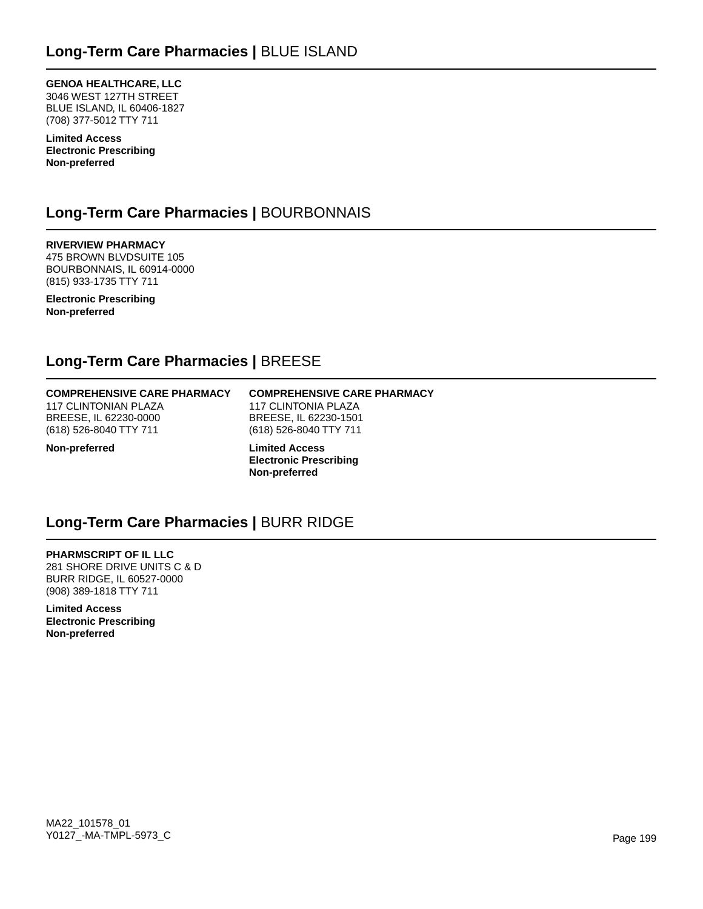**GENOA HEALTHCARE, LLC** 3046 WEST 127TH STREET BLUE ISLAND, IL 60406-1827 (708) 377-5012 TTY 711

**Limited Access Electronic Prescribing Non-preferred**

## **Long-Term Care Pharmacies |** BOURBONNAIS

**RIVERVIEW PHARMACY** 475 BROWN BLVDSUITE 105 BOURBONNAIS, IL 60914-0000 (815) 933-1735 TTY 711

**Electronic Prescribing Non-preferred**

## **Long-Term Care Pharmacies |** BREESE

#### **COMPREHENSIVE CARE PHARMACY** 117 CLINTONIAN PLAZA

BREESE, IL 62230-0000 (618) 526-8040 TTY 711

### **COMPREHENSIVE CARE PHARMACY** 117 CLINTONIA PLAZA

BREESE, IL 62230-1501 (618) 526-8040 TTY 711

**Non-preferred**

**Limited Access Electronic Prescribing Non-preferred**

## **Long-Term Care Pharmacies |** BURR RIDGE

**PHARMSCRIPT OF IL LLC** 281 SHORE DRIVE UNITS C & D BURR RIDGE, IL 60527-0000 (908) 389-1818 TTY 711

**Limited Access Electronic Prescribing Non-preferred**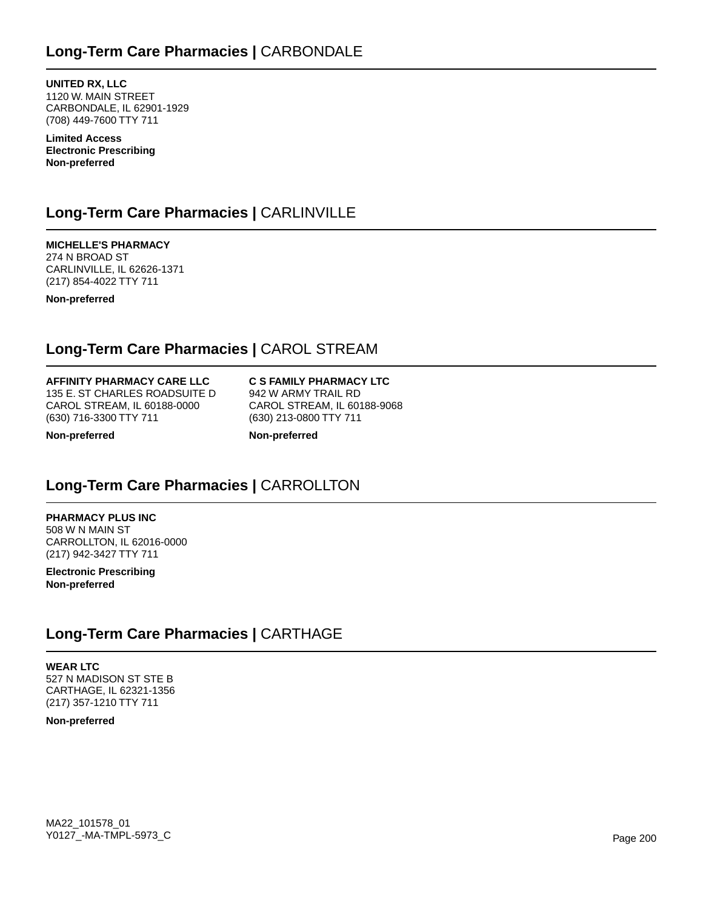**UNITED RX, LLC** 1120 W. MAIN STREET CARBONDALE, IL 62901-1929 (708) 449-7600 TTY 711

**Limited Access Electronic Prescribing Non-preferred**

## **Long-Term Care Pharmacies |** CARLINVILLE

**MICHELLE'S PHARMACY** 274 N BROAD ST CARLINVILLE, IL 62626-1371 (217) 854-4022 TTY 711

**Non-preferred**

## **Long-Term Care Pharmacies |** CAROL STREAM

#### **AFFINITY PHARMACY CARE LLC**

135 E. ST CHARLES ROADSUITE D CAROL STREAM, IL 60188-0000 (630) 716-3300 TTY 711

**C S FAMILY PHARMACY LTC** 942 W ARMY TRAIL RD CAROL STREAM, IL 60188-9068 (630) 213-0800 TTY 711

**Non-preferred**

**Non-preferred**

## **Long-Term Care Pharmacies |** CARROLLTON

**PHARMACY PLUS INC** 508 W N MAIN ST CARROLLTON, IL 62016-0000 (217) 942-3427 TTY 711

**Electronic Prescribing Non-preferred**

## **Long-Term Care Pharmacies |** CARTHAGE

**WEAR LTC** 527 N MADISON ST STE B CARTHAGE, IL 62321-1356 (217) 357-1210 TTY 711

**Non-preferred**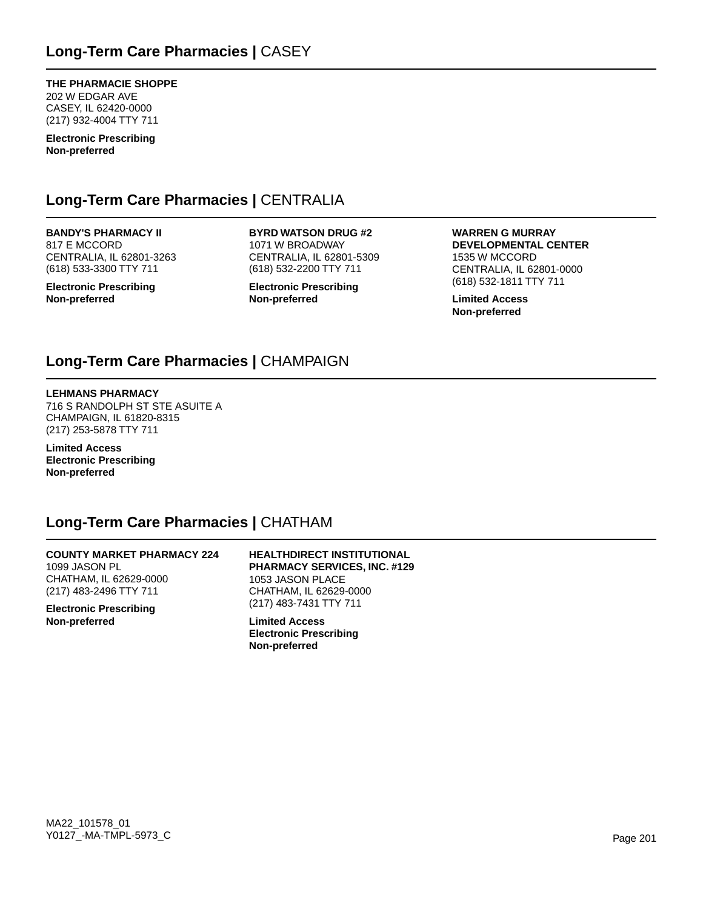**THE PHARMACIE SHOPPE** 202 W EDGAR AVE CASEY, IL 62420-0000 (217) 932-4004 TTY 711

**Electronic Prescribing Non-preferred**

### **Long-Term Care Pharmacies |** CENTRALIA

### **BANDY'S PHARMACY II**

817 E MCCORD CENTRALIA, IL 62801-3263 (618) 533-3300 TTY 711

**Electronic Prescribing Non-preferred**

**BYRD WATSON DRUG #2** 1071 W BROADWAY CENTRALIA, IL 62801-5309 (618) 532-2200 TTY 711

**Electronic Prescribing Non-preferred**

**WARREN G MURRAY DEVELOPMENTAL CENTER** 1535 W MCCORD CENTRALIA, IL 62801-0000 (618) 532-1811 TTY 711

**Limited Access Non-preferred**

## **Long-Term Care Pharmacies |** CHAMPAIGN

#### **LEHMANS PHARMACY**

716 S RANDOLPH ST STE ASUITE A CHAMPAIGN, IL 61820-8315 (217) 253-5878 TTY 711

**Limited Access Electronic Prescribing Non-preferred**

### **Long-Term Care Pharmacies |** CHATHAM

**COUNTY MARKET PHARMACY 224** 1099 JASON PL CHATHAM, IL 62629-0000 (217) 483-2496 TTY 711

**Electronic Prescribing Non-preferred**

#### **HEALTHDIRECT INSTITUTIONAL PHARMACY SERVICES, INC. #129** 1053 JASON PLACE CHATHAM, IL 62629-0000 (217) 483-7431 TTY 711

**Limited Access Electronic Prescribing Non-preferred**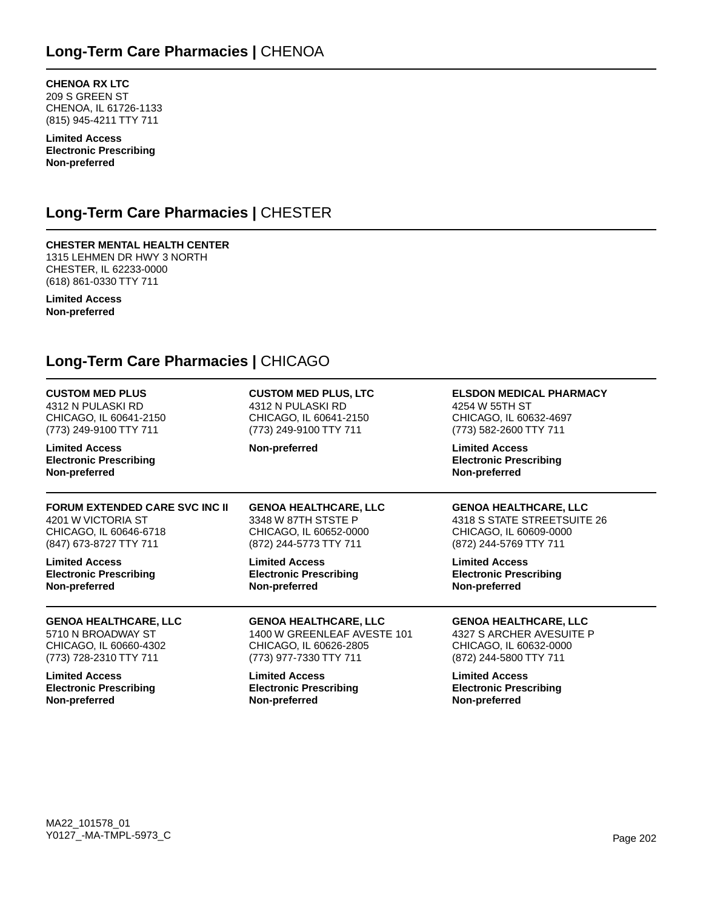**CHENOA RX LTC** 209 S GREEN ST CHENOA, IL 61726-1133 (815) 945-4211 TTY 711

**Limited Access Electronic Prescribing Non-preferred**

## **Long-Term Care Pharmacies |** CHESTER

#### **CHESTER MENTAL HEALTH CENTER** 1315 LEHMEN DR HWY 3 NORTH CHESTER, IL 62233-0000

**Limited Access Non-preferred**

(618) 861-0330 TTY 711

## **Long-Term Care Pharmacies |** CHICAGO

| <b>CUSTOM MED PLUS</b>                                                  | <b>CUSTOM MED PLUS, LTC</b>   | <b>ELSDON MEDICAL PHARMACY</b>                                          |
|-------------------------------------------------------------------------|-------------------------------|-------------------------------------------------------------------------|
| 4312 N PULASKI RD                                                       | 4312 N PULASKI RD             | 4254 W 55TH ST                                                          |
| CHICAGO, IL 60641-2150                                                  | CHICAGO, IL 60641-2150        | CHICAGO, IL 60632-4697                                                  |
| (773) 249-9100 TTY 711                                                  | (773) 249-9100 TTY 711        | (773) 582-2600 TTY 711                                                  |
| <b>Limited Access</b><br><b>Electronic Prescribing</b><br>Non-preferred | Non-preferred                 | <b>Limited Access</b><br><b>Electronic Prescribing</b><br>Non-preferred |
| <b>FORUM EXTENDED CARE SVC INC II</b>                                   | <b>GENOA HEALTHCARE, LLC</b>  | <b>GENOA HEALTHCARE, LLC</b>                                            |
| 4201 W VICTORIA ST                                                      | 3348 W 87TH STSTE P           | 4318 S STATE STREETSUITE 26                                             |
| CHICAGO, IL 60646-6718                                                  | CHICAGO, IL 60652-0000        | CHICAGO, IL 60609-0000                                                  |
| (847) 673-8727 TTY 711                                                  | (872) 244-5773 TTY 711        | (872) 244-5769 TTY 711                                                  |
| <b>Limited Access</b>                                                   | <b>Limited Access</b>         | <b>Limited Access</b>                                                   |
| <b>Electronic Prescribing</b>                                           | <b>Electronic Prescribing</b> | <b>Electronic Prescribing</b>                                           |
| Non-preferred                                                           | Non-preferred                 | Non-preferred                                                           |
| <b>GENOA HEALTHCARE, LLC</b>                                            | <b>GENOA HEALTHCARE, LLC</b>  | <b>GENOA HEALTHCARE, LLC</b>                                            |
| 5710 N BROADWAY ST                                                      | 1400 W GREENLEAF AVESTE 101   | 4327 S ARCHER AVESUITE P                                                |
| CHICAGO, IL 60660-4302                                                  | CHICAGO, IL 60626-2805        | CHICAGO, IL 60632-0000                                                  |
| (773) 728-2310 TTY 711                                                  | (773) 977-7330 TTY 711        | (872) 244-5800 TTY 711                                                  |
| <b>Limited Access</b>                                                   | <b>Limited Access</b>         | <b>Limited Access</b>                                                   |
| <b>Electronic Prescribing</b>                                           | <b>Electronic Prescribing</b> | <b>Electronic Prescribing</b>                                           |
| Non-preferred                                                           | Non-preferred                 | Non-preferred                                                           |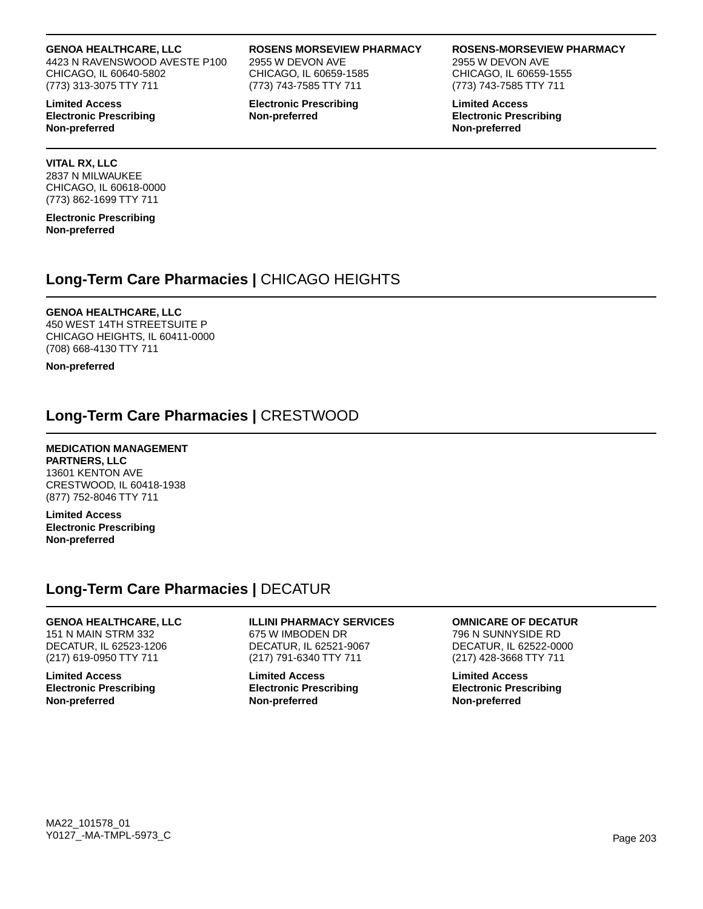#### **GENOA HEALTHCARE, LLC**

4423 N RAVENSWOOD AVESTE P100 CHICAGO, IL 60640-5802 (773) 313-3075 TTY 711

**Limited Access Electronic Prescribing Non-preferred**

#### **VITAL RX, LLC**

2837 N MILWAUKEE CHICAGO, IL 60618-0000 (773) 862-1699 TTY 711

**Electronic Prescribing Non-preferred**

### **Long-Term Care Pharmacies |** CHICAGO HEIGHTS

### **GENOA HEALTHCARE, LLC**

450 WEST 14TH STREETSUITE P CHICAGO HEIGHTS, IL 60411-0000 (708) 668-4130 TTY 711

**Non-preferred**

### **Long-Term Care Pharmacies |** CRESTWOOD

#### **MEDICATION MANAGEMENT**

**PARTNERS, LLC** 13601 KENTON AVE CRESTWOOD, IL 60418-1938 (877) 752-8046 TTY 711

**Limited Access Electronic Prescribing Non-preferred**

### **Long-Term Care Pharmacies |** DECATUR

### **GENOA HEALTHCARE, LLC**

151 N MAIN STRM 332 DECATUR, IL 62523-1206 (217) 619-0950 TTY 711

**Limited Access Electronic Prescribing Non-preferred**

#### **ILLINI PHARMACY SERVICES** 675 W IMBODEN DR DECATUR, IL 62521-9067

**ROSENS MORSEVIEW PHARMACY**

2955 W DEVON AVE CHICAGO, IL 60659-1585 (773) 743-7585 TTY 711 **Electronic Prescribing**

**Non-preferred**

(217) 791-6340 TTY 711 **Limited Access Electronic Prescribing Non-preferred**

### **OMNICARE OF DECATUR**

796 N SUNNYSIDE RD DECATUR, IL 62522-0000 (217) 428-3668 TTY 711

**Limited Access Electronic Prescribing Non-preferred**

#### **ROSENS-MORSEVIEW PHARMACY**

2955 W DEVON AVE CHICAGO, IL 60659-1555 (773) 743-7585 TTY 711

**Limited Access Electronic Prescribing Non-preferred**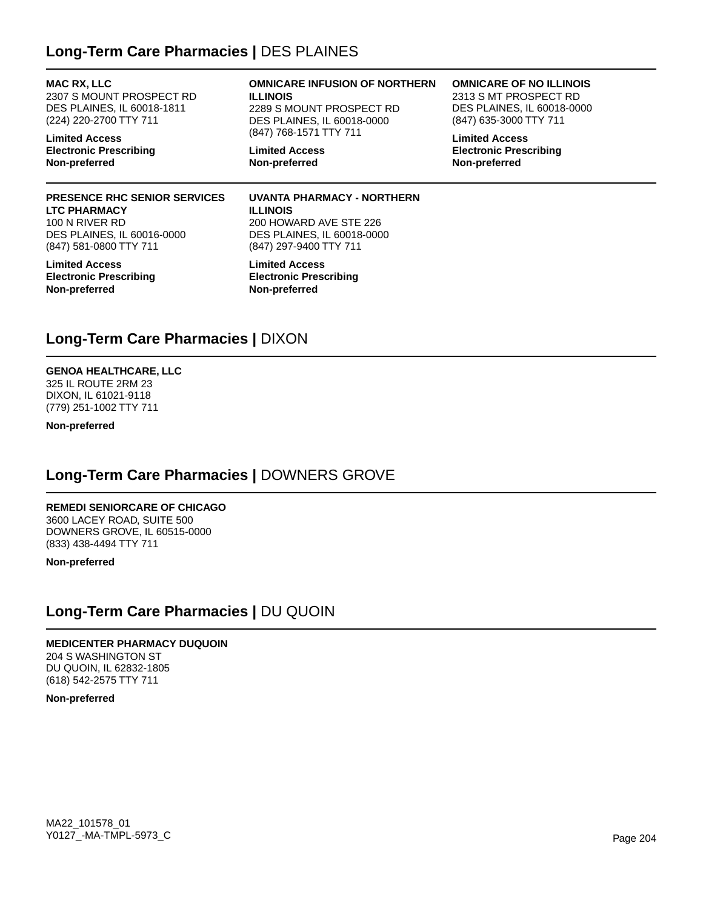## **Long-Term Care Pharmacies |** DES PLAINES

**MAC RX, LLC** 2307 S MOUNT PROSPECT RD DES PLAINES, IL 60018-1811 (224) 220-2700 TTY 711

**Limited Access Electronic Prescribing Non-preferred**

### **PRESENCE RHC SENIOR SERVICES LTC PHARMACY**

100 N RIVER RD DES PLAINES, IL 60016-0000 (847) 581-0800 TTY 711

**Limited Access Electronic Prescribing Non-preferred**

#### **OMNICARE INFUSION OF NORTHERN ILLINOIS**

2289 S MOUNT PROSPECT RD DES PLAINES, IL 60018-0000 (847) 768-1571 TTY 711

**Limited Access Non-preferred**

### **OMNICARE OF NO ILLINOIS**

2313 S MT PROSPECT RD DES PLAINES, IL 60018-0000 (847) 635-3000 TTY 711

**Limited Access Electronic Prescribing Non-preferred**

#### **UVANTA PHARMACY - NORTHERN ILLINOIS** 200 HOWARD AVE STE 226 DES PLAINES, IL 60018-0000 (847) 297-9400 TTY 711

**Limited Access Electronic Prescribing Non-preferred**

## **Long-Term Care Pharmacies |** DIXON

## **GENOA HEALTHCARE, LLC**

325 IL ROUTE 2RM 23 DIXON, IL 61021-9118 (779) 251-1002 TTY 711

**Non-preferred**

## **Long-Term Care Pharmacies |** DOWNERS GROVE

### **REMEDI SENIORCARE OF CHICAGO**

3600 LACEY ROAD, SUITE 500 DOWNERS GROVE, IL 60515-0000 (833) 438-4494 TTY 711

**Non-preferred**

## **Long-Term Care Pharmacies |** DU QUOIN

## **MEDICENTER PHARMACY DUQUOIN** 204 S WASHINGTON ST

DU QUOIN, IL 62832-1805 (618) 542-2575 TTY 711

**Non-preferred**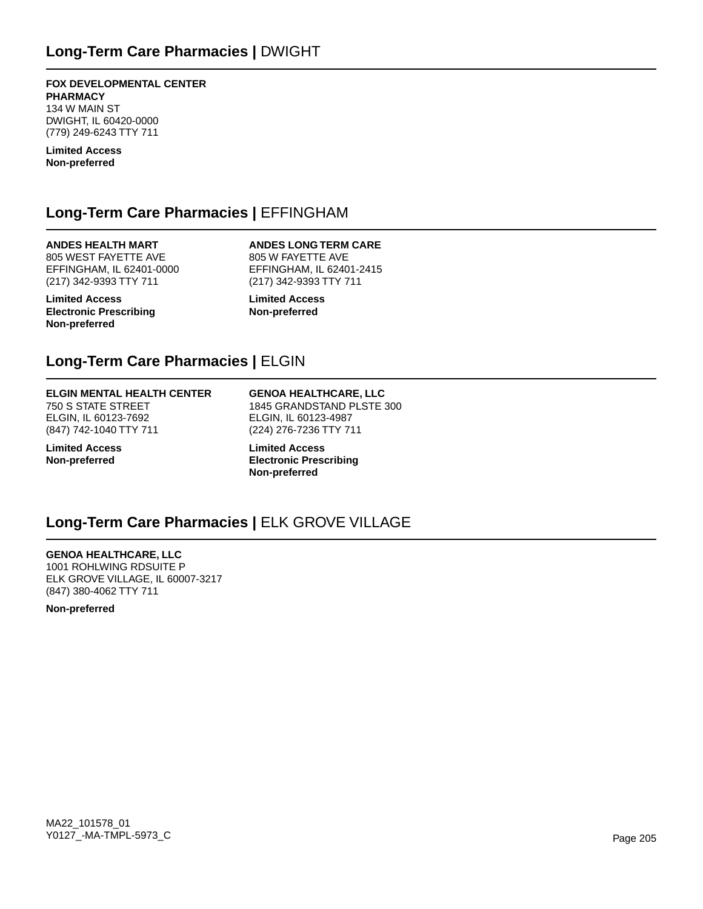**FOX DEVELOPMENTAL CENTER PHARMACY** 134 W MAIN ST DWIGHT, IL 60420-0000 (779) 249-6243 TTY 711

**Limited Access Non-preferred**

## **Long-Term Care Pharmacies |** EFFINGHAM

**ANDES HEALTH MART** 805 WEST FAYETTE AVE EFFINGHAM, IL 62401-0000 (217) 342-9393 TTY 711

**Limited Access Electronic Prescribing Non-preferred**

**ANDES LONG TERM CARE** 805 W FAYETTE AVE EFFINGHAM, IL 62401-2415 (217) 342-9393 TTY 711

**Limited Access Non-preferred**

## **Long-Term Care Pharmacies |** ELGIN

#### **ELGIN MENTAL HEALTH CENTER**

750 S STATE STREET ELGIN, IL 60123-7692 (847) 742-1040 TTY 711

**Limited Access Non-preferred**

**GENOA HEALTHCARE, LLC** 1845 GRANDSTAND PLSTE 300 ELGIN, IL 60123-4987 (224) 276-7236 TTY 711

**Limited Access Electronic Prescribing Non-preferred**

### **Long-Term Care Pharmacies |** ELK GROVE VILLAGE

**GENOA HEALTHCARE, LLC** 1001 ROHLWING RDSUITE P ELK GROVE VILLAGE, IL 60007-3217 (847) 380-4062 TTY 711

**Non-preferred**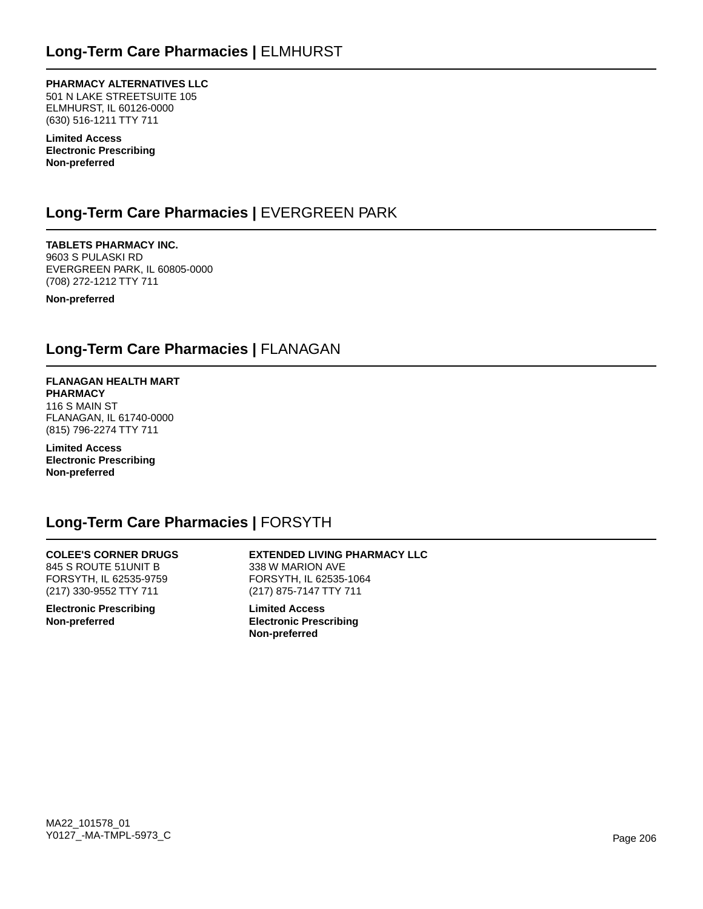**PHARMACY ALTERNATIVES LLC** 501 N LAKE STREETSUITE 105 ELMHURST, IL 60126-0000 (630) 516-1211 TTY 711

**Limited Access Electronic Prescribing Non-preferred**

## **Long-Term Care Pharmacies |** EVERGREEN PARK

**TABLETS PHARMACY INC.** 9603 S PULASKI RD EVERGREEN PARK, IL 60805-0000 (708) 272-1212 TTY 711

**Non-preferred**

### **Long-Term Care Pharmacies |** FLANAGAN

#### **FLANAGAN HEALTH MART PHARMACY**

116 S MAIN ST FLANAGAN, IL 61740-0000 (815) 796-2274 TTY 711

**Limited Access Electronic Prescribing Non-preferred**

### **Long-Term Care Pharmacies |** FORSYTH

### **COLEE'S CORNER DRUGS**

845 S ROUTE 51UNIT B FORSYTH, IL 62535-9759 (217) 330-9552 TTY 711

**Electronic Prescribing Non-preferred**

#### **EXTENDED LIVING PHARMACY LLC** 338 W MARION AVE FORSYTH, IL 62535-1064 (217) 875-7147 TTY 711

**Limited Access Electronic Prescribing Non-preferred**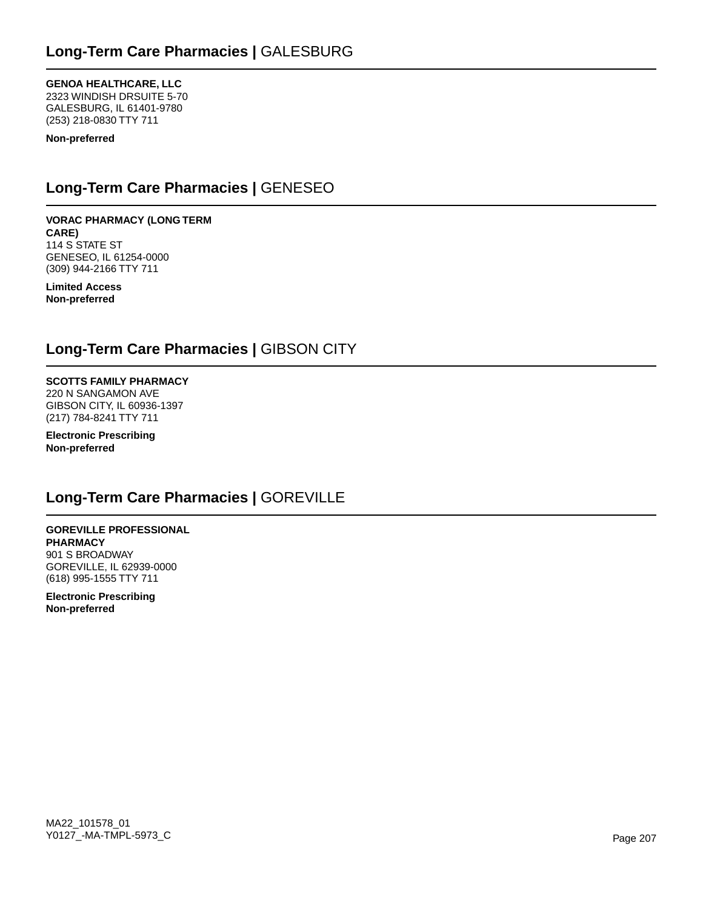**GENOA HEALTHCARE, LLC** 2323 WINDISH DRSUITE 5-70 GALESBURG, IL 61401-9780 (253) 218-0830 TTY 711

**Non-preferred**

## **Long-Term Care Pharmacies |** GENESEO

**VORAC PHARMACY (LONG TERM CARE)** 114 S STATE ST GENESEO, IL 61254-0000 (309) 944-2166 TTY 711

**Limited Access Non-preferred**

## **Long-Term Care Pharmacies |** GIBSON CITY

**SCOTTS FAMILY PHARMACY** 220 N SANGAMON AVE GIBSON CITY, IL 60936-1397 (217) 784-8241 TTY 711

**Electronic Prescribing Non-preferred**

## **Long-Term Care Pharmacies |** GOREVILLE

**GOREVILLE PROFESSIONAL PHARMACY** 901 S BROADWAY GOREVILLE, IL 62939-0000 (618) 995-1555 TTY 711

**Electronic Prescribing Non-preferred**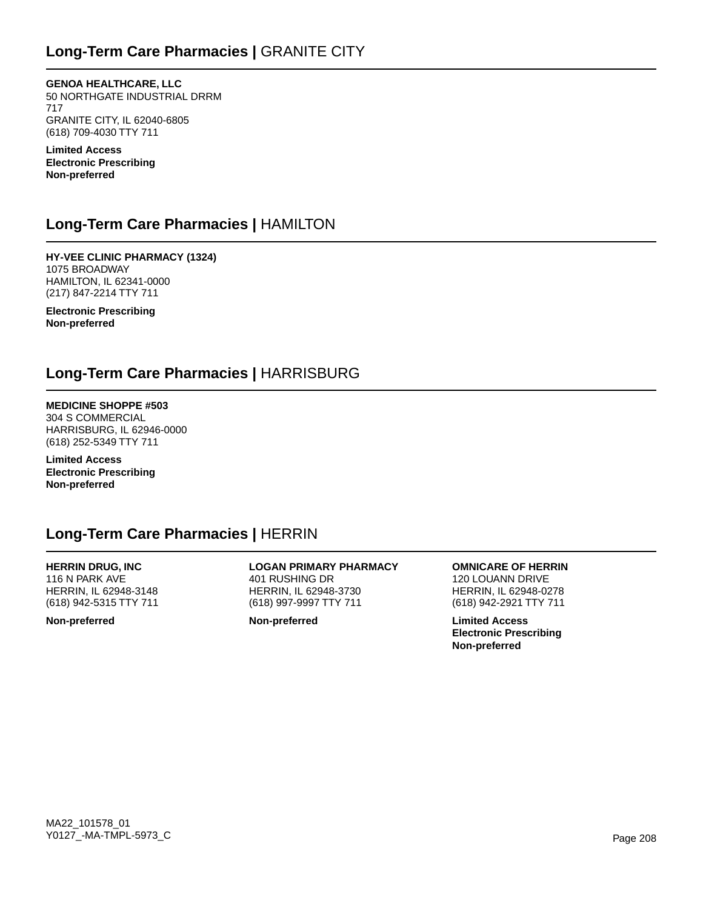**GENOA HEALTHCARE, LLC** 50 NORTHGATE INDUSTRIAL DRRM 717 GRANITE CITY, IL 62040-6805 (618) 709-4030 TTY 711

**Limited Access Electronic Prescribing Non-preferred**

### **Long-Term Care Pharmacies |** HAMILTON

**HY-VEE CLINIC PHARMACY (1324)** 1075 BROADWAY HAMILTON, IL 62341-0000 (217) 847-2214 TTY 711

**Electronic Prescribing Non-preferred**

## **Long-Term Care Pharmacies |** HARRISBURG

**MEDICINE SHOPPE #503** 304 S COMMERCIAL HARRISBURG, IL 62946-0000 (618) 252-5349 TTY 711

**Limited Access Electronic Prescribing Non-preferred**

## **Long-Term Care Pharmacies |** HERRIN

**HERRIN DRUG, INC** 116 N PARK AVE HERRIN, IL 62948-3148 (618) 942-5315 TTY 711

**Non-preferred**

**LOGAN PRIMARY PHARMACY** 401 RUSHING DR HERRIN, IL 62948-3730 (618) 997-9997 TTY 711

**Non-preferred**

**OMNICARE OF HERRIN** 120 LOUANN DRIVE HERRIN, IL 62948-0278 (618) 942-2921 TTY 711

**Limited Access Electronic Prescribing Non-preferred**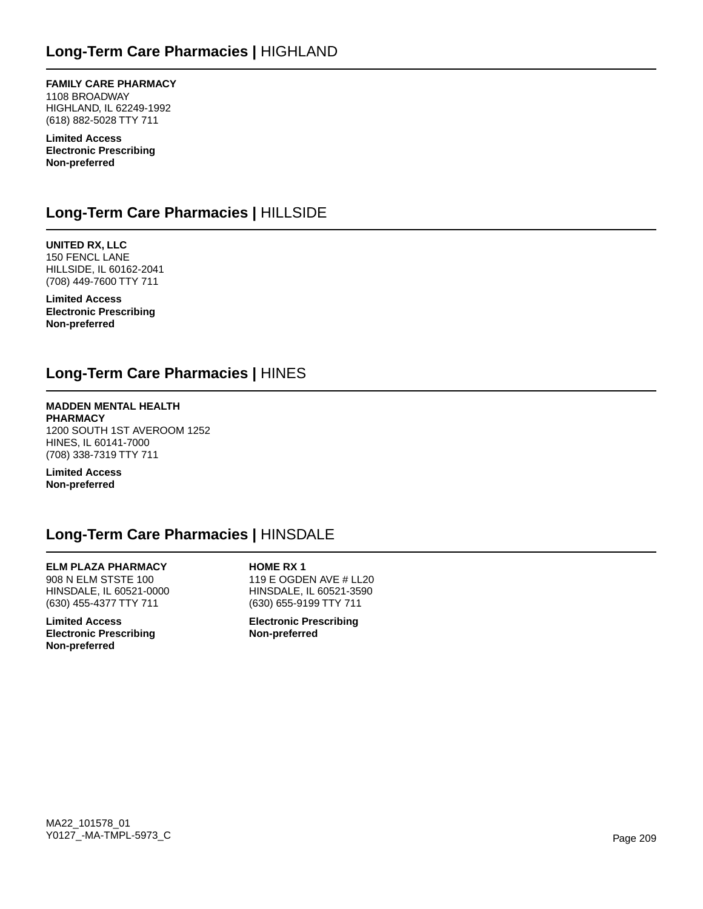**FAMILY CARE PHARMACY** 1108 BROADWAY HIGHLAND, IL 62249-1992 (618) 882-5028 TTY 711

**Limited Access Electronic Prescribing Non-preferred**

## **Long-Term Care Pharmacies |** HILLSIDE

**UNITED RX, LLC** 150 FENCL LANE HILLSIDE, IL 60162-2041 (708) 449-7600 TTY 711

**Limited Access Electronic Prescribing Non-preferred**

## **Long-Term Care Pharmacies |** HINES

**MADDEN MENTAL HEALTH PHARMACY** 1200 SOUTH 1ST AVEROOM 1252 HINES, IL 60141-7000 (708) 338-7319 TTY 711

**Limited Access Non-preferred**

## **Long-Term Care Pharmacies |** HINSDALE

**ELM PLAZA PHARMACY** 908 N ELM STSTE 100 HINSDALE, IL 60521-0000 (630) 455-4377 TTY 711

**Limited Access Electronic Prescribing Non-preferred**

**HOME RX 1** 119 E OGDEN AVE # LL20 HINSDALE, IL 60521-3590 (630) 655-9199 TTY 711

**Electronic Prescribing Non-preferred**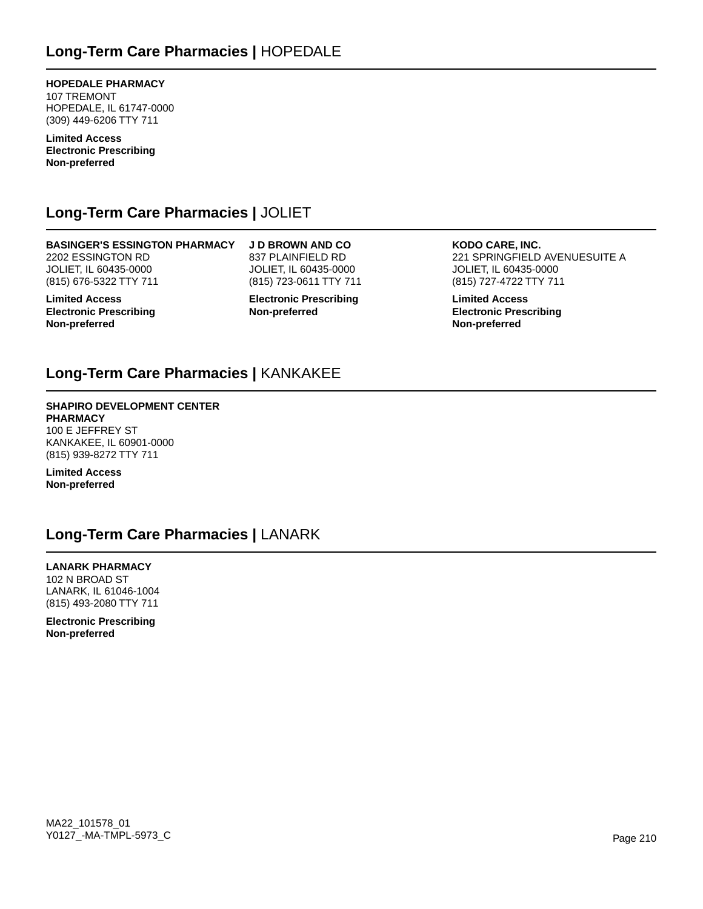**HOPEDALE PHARMACY** 107 TREMONT HOPEDALE, IL 61747-0000 (309) 449-6206 TTY 711

**Limited Access Electronic Prescribing Non-preferred**

## **Long-Term Care Pharmacies |** JOLIET

**BASINGER'S ESSINGTON PHARMACY** 2202 ESSINGTON RD JOLIET, IL 60435-0000 (815) 676-5322 TTY 711

**Limited Access Electronic Prescribing Non-preferred**

**J D BROWN AND CO** 837 PLAINFIELD RD JOLIET, IL 60435-0000 (815) 723-0611 TTY 711

**Electronic Prescribing Non-preferred**

**KODO CARE, INC.** 221 SPRINGFIELD AVENUESUITE A JOLIET, IL 60435-0000 (815) 727-4722 TTY 711

**Limited Access Electronic Prescribing Non-preferred**

## **Long-Term Care Pharmacies |** KANKAKEE

### **SHAPIRO DEVELOPMENT CENTER PHARMACY**

100 E JEFFREY ST KANKAKEE, IL 60901-0000 (815) 939-8272 TTY 711

**Limited Access Non-preferred**

## **Long-Term Care Pharmacies |** LANARK

**LANARK PHARMACY** 102 N BROAD ST LANARK, IL 61046-1004 (815) 493-2080 TTY 711

**Electronic Prescribing Non-preferred**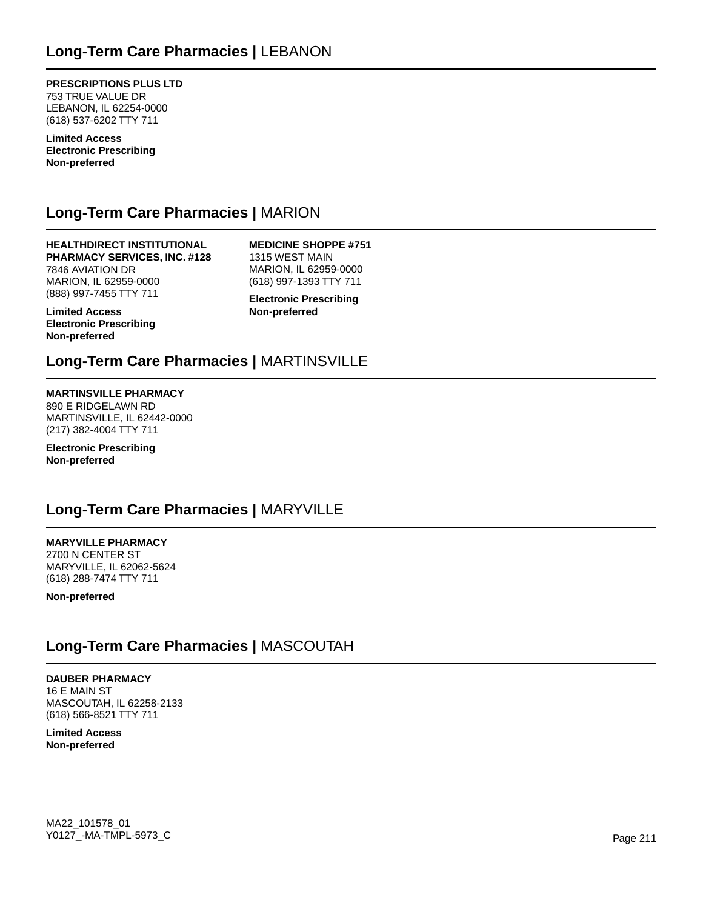**PRESCRIPTIONS PLUS LTD** 753 TRUE VALUE DR LEBANON, IL 62254-0000 (618) 537-6202 TTY 711

**Limited Access Electronic Prescribing Non-preferred**

## **Long-Term Care Pharmacies |** MARION

**HEALTHDIRECT INSTITUTIONAL PHARMACY SERVICES, INC. #128** 7846 AVIATION DR MARION, IL 62959-0000 (888) 997-7455 TTY 711

**MEDICINE SHOPPE #751** 1315 WEST MAIN MARION, IL 62959-0000 (618) 997-1393 TTY 711

**Limited Access Electronic Prescribing Non-preferred**

**Electronic Prescribing Non-preferred**

## **Long-Term Care Pharmacies |** MARTINSVILLE

### **MARTINSVILLE PHARMACY**

890 E RIDGELAWN RD MARTINSVILLE, IL 62442-0000 (217) 382-4004 TTY 711

**Electronic Prescribing Non-preferred**

## **Long-Term Care Pharmacies |** MARYVILLE

**MARYVILLE PHARMACY**

2700 N CENTER ST MARYVILLE, IL 62062-5624 (618) 288-7474 TTY 711

**Non-preferred**

## **Long-Term Care Pharmacies |** MASCOUTAH

**DAUBER PHARMACY** 16 E MAIN ST MASCOUTAH, IL 62258-2133 (618) 566-8521 TTY 711

**Limited Access Non-preferred**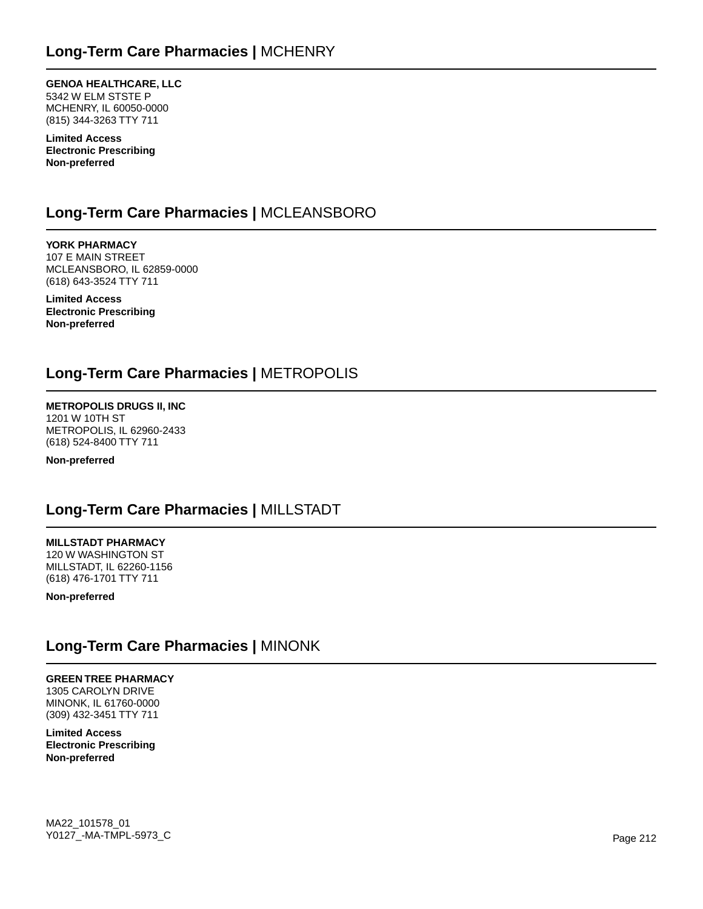**GENOA HEALTHCARE, LLC** 5342 W ELM STSTE P MCHENRY, IL 60050-0000 (815) 344-3263 TTY 711

**Limited Access Electronic Prescribing Non-preferred**

## **Long-Term Care Pharmacies |** MCLEANSBORO

**YORK PHARMACY** 107 E MAIN STREET MCLEANSBORO, IL 62859-0000 (618) 643-3524 TTY 711

**Limited Access Electronic Prescribing Non-preferred**

## **Long-Term Care Pharmacies |** METROPOLIS

**METROPOLIS DRUGS II, INC** 1201 W 10TH ST METROPOLIS, IL 62960-2433 (618) 524-8400 TTY 711

**Non-preferred**

## **Long-Term Care Pharmacies |** MILLSTADT

**MILLSTADT PHARMACY**

120 W WASHINGTON ST MILLSTADT, IL 62260-1156 (618) 476-1701 TTY 711

**Non-preferred**

### **Long-Term Care Pharmacies |** MINONK

### **GREEN TREE PHARMACY**

1305 CAROLYN DRIVE MINONK, IL 61760-0000 (309) 432-3451 TTY 711

**Limited Access Electronic Prescribing Non-preferred**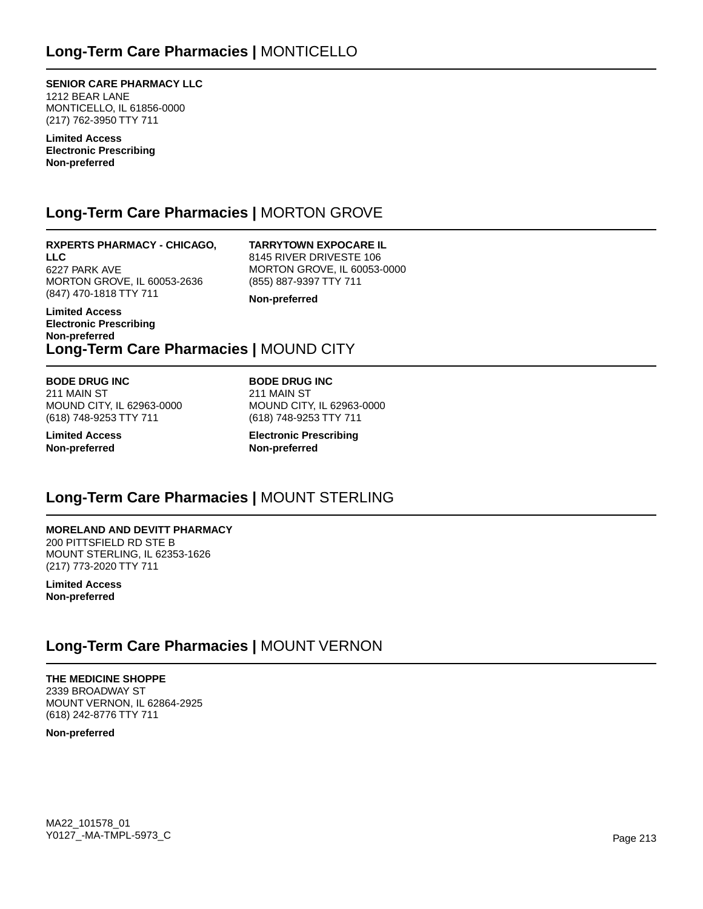**SENIOR CARE PHARMACY LLC** 1212 BEAR LANE MONTICELLO, IL 61856-0000 (217) 762-3950 TTY 711

**Limited Access Electronic Prescribing Non-preferred**

## **Long-Term Care Pharmacies |** MORTON GROVE

**RXPERTS PHARMACY - CHICAGO, LLC** 6227 PARK AVE MORTON GROVE, IL 60053-2636 (847) 470-1818 TTY 711

**TARRYTOWN EXPOCARE IL** 8145 RIVER DRIVESTE 106 MORTON GROVE, IL 60053-0000 (855) 887-9397 TTY 711

**Non-preferred**

### **Non-preferred Long-Term Care Pharmacies |** MOUND CITY

**BODE DRUG INC** 211 MAIN ST MOUND CITY, IL 62963-0000 (618) 748-9253 TTY 711

**Limited Access Non-preferred**

**Limited Access Electronic Prescribing**

> **BODE DRUG INC** 211 MAIN ST MOUND CITY, IL 62963-0000 (618) 748-9253 TTY 711

**Electronic Prescribing Non-preferred**

## **Long-Term Care Pharmacies |** MOUNT STERLING

**MORELAND AND DEVITT PHARMACY** 200 PITTSFIELD RD STE B MOUNT STERLING, IL 62353-1626 (217) 773-2020 TTY 711

**Limited Access Non-preferred**

## **Long-Term Care Pharmacies |** MOUNT VERNON

**THE MEDICINE SHOPPE** 2339 BROADWAY ST MOUNT VERNON, IL 62864-2925 (618) 242-8776 TTY 711

**Non-preferred**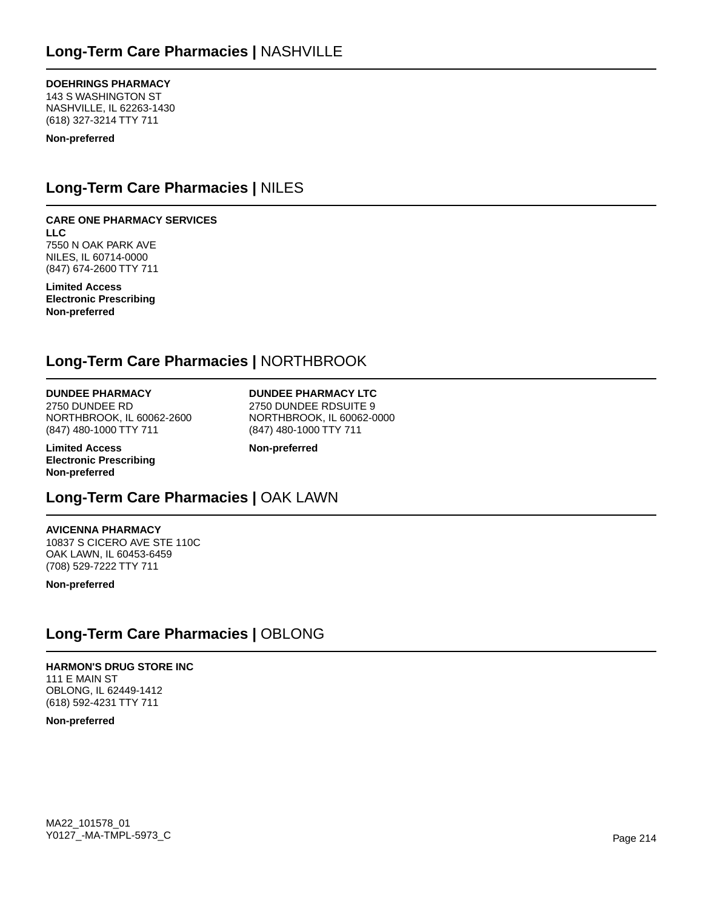### **DOEHRINGS PHARMACY**

143 S WASHINGTON ST NASHVILLE, IL 62263-1430 (618) 327-3214 TTY 711

**Non-preferred**

## **Long-Term Care Pharmacies |** NILES

## **CARE ONE PHARMACY SERVICES**

**LLC** 7550 N OAK PARK AVE NILES, IL 60714-0000 (847) 674-2600 TTY 711

**Limited Access Electronic Prescribing Non-preferred**

## **Long-Term Care Pharmacies |** NORTHBROOK

#### **DUNDEE PHARMACY** 2750 DUNDEE RD

NORTHBROOK, IL 60062-2600 (847) 480-1000 TTY 711

**Limited Access Electronic Prescribing Non-preferred**

**DUNDEE PHARMACY LTC** 2750 DUNDEE RDSUITE 9 NORTHBROOK, IL 60062-0000 (847) 480-1000 TTY 711

**Non-preferred**

## **Long-Term Care Pharmacies |** OAK LAWN

## **AVICENNA PHARMACY**

10837 S CICERO AVE STE 110C OAK LAWN, IL 60453-6459 (708) 529-7222 TTY 711

**Non-preferred**

## **Long-Term Care Pharmacies |** OBLONG

**HARMON'S DRUG STORE INC** 111 E MAIN ST OBLONG, IL 62449-1412 (618) 592-4231 TTY 711

**Non-preferred**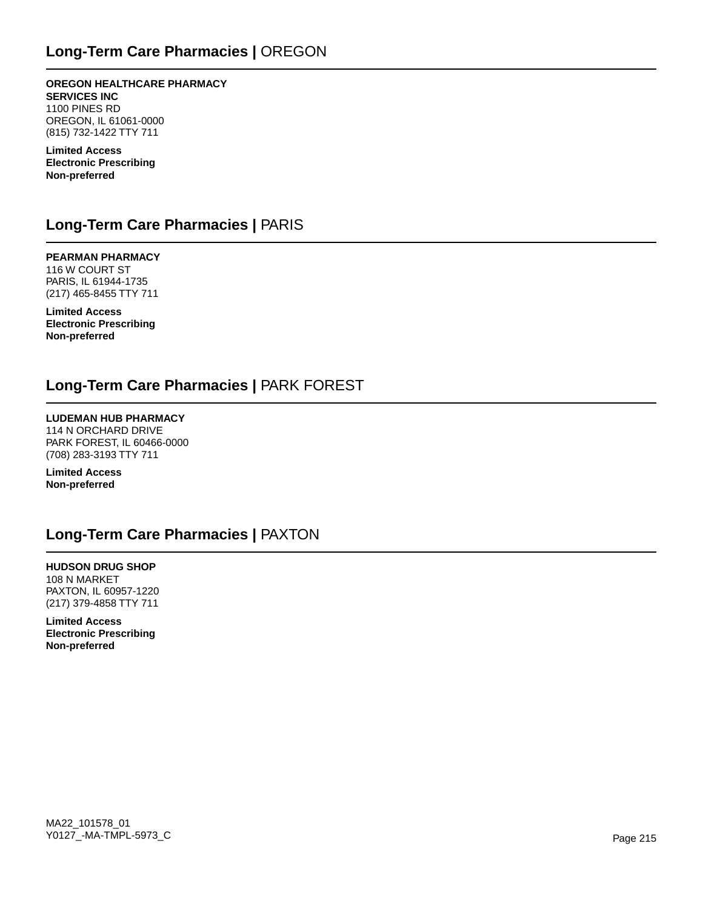**OREGON HEALTHCARE PHARMACY SERVICES INC** 1100 PINES RD OREGON, IL 61061-0000 (815) 732-1422 TTY 711

**Limited Access Electronic Prescribing Non-preferred**

### **Long-Term Care Pharmacies |** PARIS

**PEARMAN PHARMACY** 116 W COURT ST PARIS, IL 61944-1735 (217) 465-8455 TTY 711

**Limited Access Electronic Prescribing Non-preferred**

## **Long-Term Care Pharmacies |** PARK FOREST

**LUDEMAN HUB PHARMACY** 114 N ORCHARD DRIVE PARK FOREST, IL 60466-0000 (708) 283-3193 TTY 711

**Limited Access Non-preferred**

## **Long-Term Care Pharmacies |** PAXTON

**HUDSON DRUG SHOP** 108 N MARKET PAXTON, IL 60957-1220 (217) 379-4858 TTY 711

**Limited Access Electronic Prescribing Non-preferred**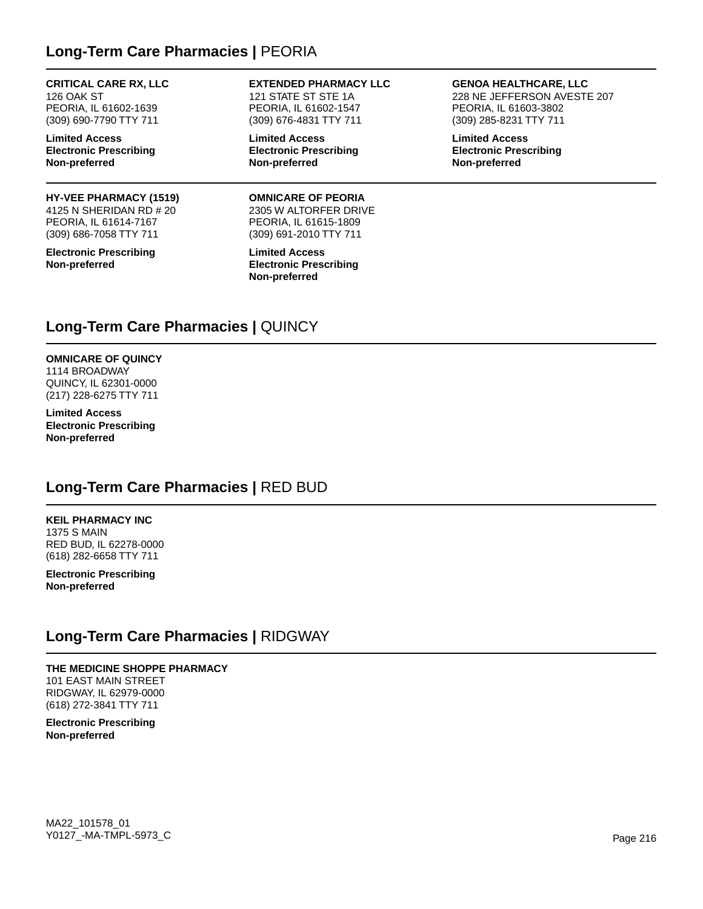## **Long-Term Care Pharmacies |** PEORIA

#### **CRITICAL CARE RX, LLC**

126 OAK ST PEORIA, IL 61602-1639 (309) 690-7790 TTY 711

**Limited Access Electronic Prescribing Non-preferred**

#### **HY-VEE PHARMACY (1519)**

4125 N SHERIDAN RD # 20 PEORIA, IL 61614-7167 (309) 686-7058 TTY 711

**Electronic Prescribing Non-preferred**

**EXTENDED PHARMACY LLC** 121 STATE ST STE 1A PEORIA, IL 61602-1547 (309) 676-4831 TTY 711

**Limited Access Electronic Prescribing Non-preferred**

**OMNICARE OF PEORIA** 2305 W ALTORFER DRIVE PEORIA, IL 61615-1809 (309) 691-2010 TTY 711

**Limited Access Electronic Prescribing Non-preferred**

**GENOA HEALTHCARE, LLC**

228 NE JEFFERSON AVESTE 207 PEORIA, IL 61603-3802 (309) 285-8231 TTY 711

**Limited Access Electronic Prescribing Non-preferred**

## **Long-Term Care Pharmacies |** QUINCY

**OMNICARE OF QUINCY** 1114 BROADWAY QUINCY, IL 62301-0000 (217) 228-6275 TTY 711

**Limited Access Electronic Prescribing Non-preferred**

## **Long-Term Care Pharmacies |** RED BUD

**KEIL PHARMACY INC** 1375 S MAIN RED BUD, IL 62278-0000 (618) 282-6658 TTY 711

**Electronic Prescribing Non-preferred**

### **Long-Term Care Pharmacies |** RIDGWAY

**THE MEDICINE SHOPPE PHARMACY** 101 EAST MAIN STREET RIDGWAY, IL 62979-0000 (618) 272-3841 TTY 711

**Electronic Prescribing Non-preferred**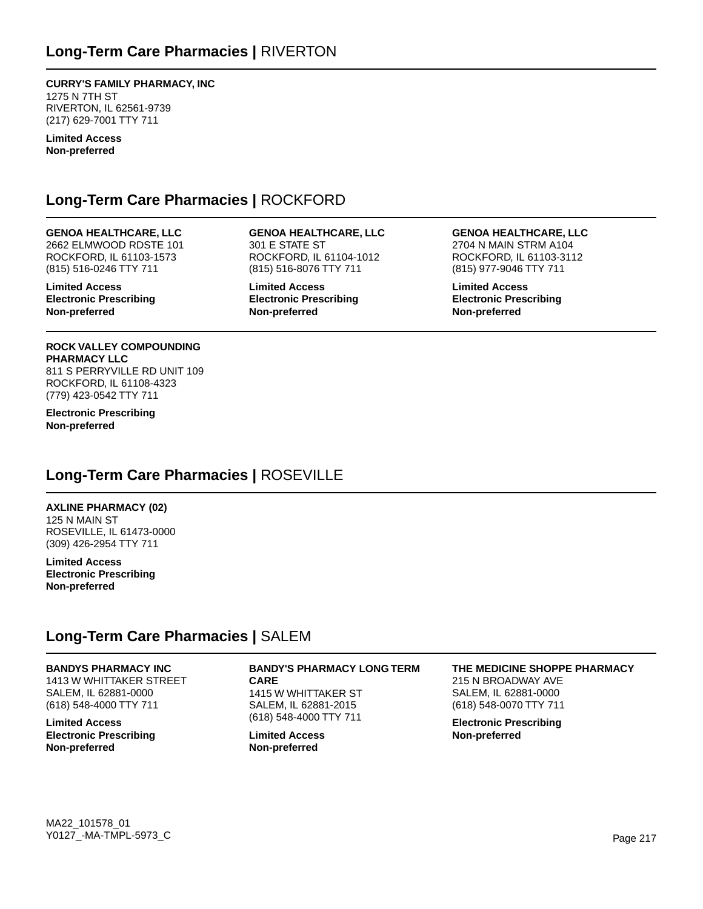## **Long-Term Care Pharmacies |** RIVERTON

**CURRY'S FAMILY PHARMACY, INC** 1275 N 7TH ST RIVERTON, IL 62561-9739 (217) 629-7001 TTY 711

**Limited Access Non-preferred**

### **Long-Term Care Pharmacies |** ROCKFORD

### **GENOA HEALTHCARE, LLC**

2662 ELMWOOD RDSTE 101 ROCKFORD, IL 61103-1573 (815) 516-0246 TTY 711

**Limited Access Electronic Prescribing Non-preferred**

### **GENOA HEALTHCARE, LLC** 301 E STATE ST ROCKFORD, IL 61104-1012 (815) 516-8076 TTY 711

**Limited Access Electronic Prescribing Non-preferred**

### **GENOA HEALTHCARE, LLC**

2704 N MAIN STRM A104 ROCKFORD, IL 61103-3112 (815) 977-9046 TTY 711

**Limited Access Electronic Prescribing Non-preferred**

#### **ROCK VALLEY COMPOUNDING PHARMACY LLC**

811 S PERRYVILLE RD UNIT 109 ROCKFORD, IL 61108-4323 (779) 423-0542 TTY 711

**Electronic Prescribing Non-preferred**

### **Long-Term Care Pharmacies |** ROSEVILLE

### **AXLINE PHARMACY (02)**

125 N MAIN ST ROSEVILLE, IL 61473-0000 (309) 426-2954 TTY 711

**Limited Access Electronic Prescribing Non-preferred**

### **Long-Term Care Pharmacies |** SALEM

**BANDYS PHARMACY INC** 1413 W WHITTAKER STREET SALEM, IL 62881-0000 (618) 548-4000 TTY 711

**Limited Access Electronic Prescribing Non-preferred**

### **BANDY'S PHARMACY LONG TERM**

**CARE** 1415 W WHITTAKER ST SALEM, IL 62881-2015 (618) 548-4000 TTY 711

**Limited Access Non-preferred**

### **THE MEDICINE SHOPPE PHARMACY**

215 N BROADWAY AVE SALEM, IL 62881-0000 (618) 548-0070 TTY 711

**Electronic Prescribing Non-preferred**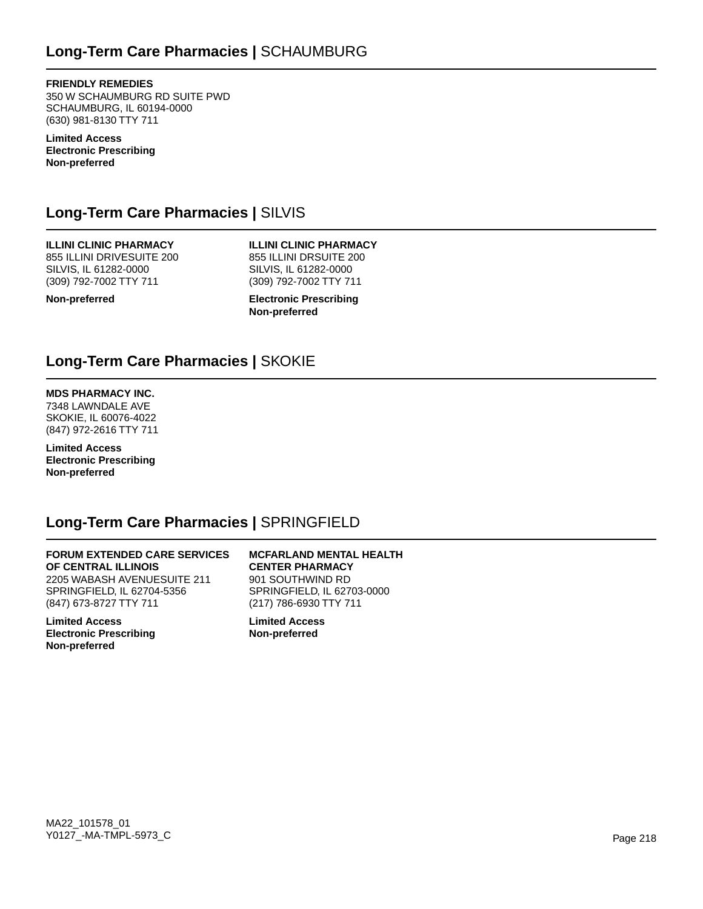**FRIENDLY REMEDIES** 350 W SCHAUMBURG RD SUITE PWD SCHAUMBURG, IL 60194-0000 (630) 981-8130 TTY 711

**Limited Access Electronic Prescribing Non-preferred**

# **Long-Term Care Pharmacies |** SILVIS

**ILLINI CLINIC PHARMACY** 855 ILLINI DRIVESUITE 200 SILVIS, IL 61282-0000 (309) 792-7002 TTY 711

**Non-preferred**

**ILLINI CLINIC PHARMACY** 855 ILLINI DRSUITE 200 SILVIS, IL 61282-0000 (309) 792-7002 TTY 711

**Electronic Prescribing Non-preferred**

## **Long-Term Care Pharmacies |** SKOKIE

### **MDS PHARMACY INC.**

7348 LAWNDALE AVE SKOKIE, IL 60076-4022 (847) 972-2616 TTY 711

**Limited Access Electronic Prescribing Non-preferred**

### **Long-Term Care Pharmacies |** SPRINGFIELD

### **FORUM EXTENDED CARE SERVICES OF CENTRAL ILLINOIS** 2205 WABASH AVENUESUITE 211 SPRINGFIELD, IL 62704-5356 (847) 673-8727 TTY 711

**Limited Access Electronic Prescribing Non-preferred**

**MCFARLAND MENTAL HEALTH CENTER PHARMACY** 901 SOUTHWIND RD SPRINGFIELD, IL 62703-0000 (217) 786-6930 TTY 711

**Limited Access Non-preferred**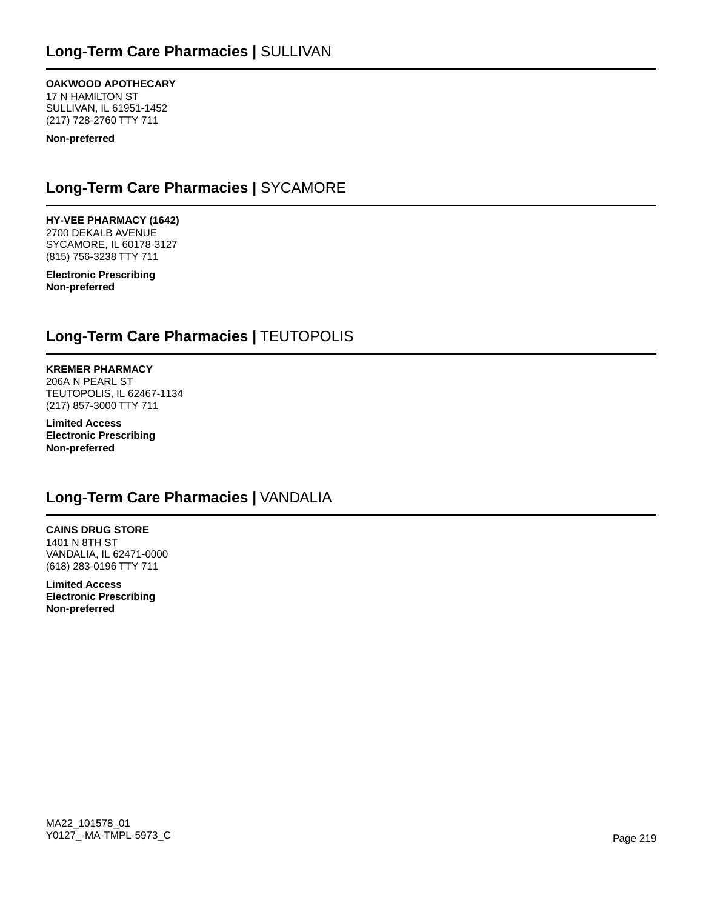### **OAKWOOD APOTHECARY**

17 N HAMILTON ST SULLIVAN, IL 61951-1452 (217) 728-2760 TTY 711

**Non-preferred**

# **Long-Term Care Pharmacies |** SYCAMORE

**HY-VEE PHARMACY (1642)**

2700 DEKALB AVENUE SYCAMORE, IL 60178-3127 (815) 756-3238 TTY 711

**Electronic Prescribing Non-preferred**

# **Long-Term Care Pharmacies |** TEUTOPOLIS

**KREMER PHARMACY** 206A N PEARL ST TEUTOPOLIS, IL 62467-1134 (217) 857-3000 TTY 711

**Limited Access Electronic Prescribing Non-preferred**

# **Long-Term Care Pharmacies |** VANDALIA

**CAINS DRUG STORE** 1401 N 8TH ST VANDALIA, IL 62471-0000 (618) 283-0196 TTY 711

**Limited Access Electronic Prescribing Non-preferred**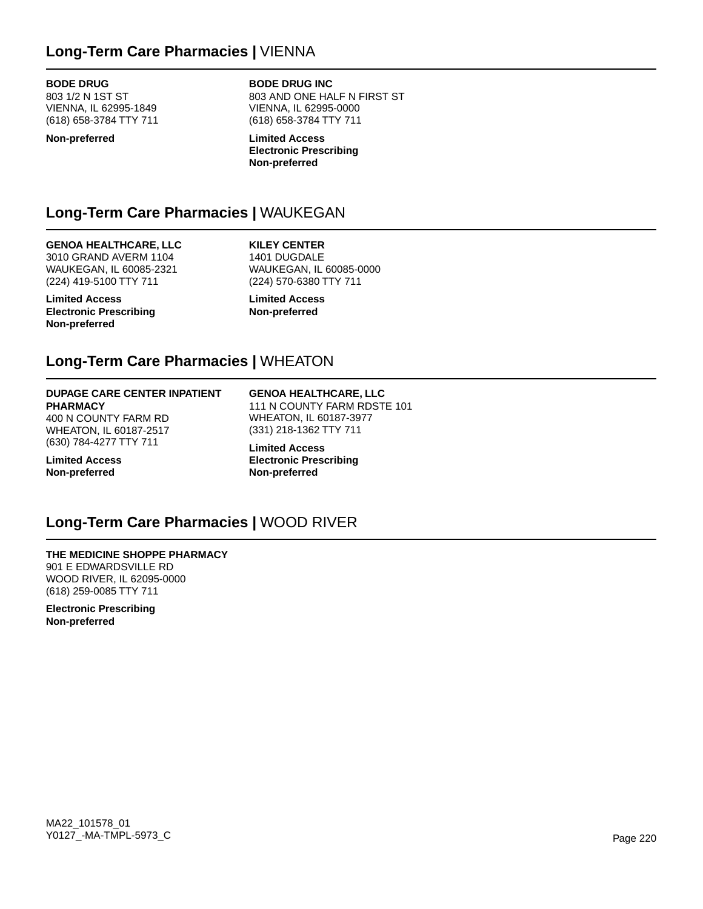## **Long-Term Care Pharmacies |** VIENNA

### **BODE DRUG**

803 1/2 N 1ST ST VIENNA, IL 62995-1849 (618) 658-3784 TTY 711

#### **Non-preferred**

**BODE DRUG INC** 803 AND ONE HALF N FIRST ST VIENNA, IL 62995-0000 (618) 658-3784 TTY 711

**Limited Access Electronic Prescribing Non-preferred**

# **Long-Term Care Pharmacies |** WAUKEGAN

### **GENOA HEALTHCARE, LLC**

3010 GRAND AVERM 1104 WAUKEGAN, IL 60085-2321 (224) 419-5100 TTY 711

**Limited Access Electronic Prescribing Non-preferred**

**KILEY CENTER** 1401 DUGDALE WAUKEGAN, IL 60085-0000 (224) 570-6380 TTY 711

**Limited Access Non-preferred**

## **Long-Term Care Pharmacies |** WHEATON

#### **DUPAGE CARE CENTER INPATIENT PHARMACY**

400 N COUNTY FARM RD WHEATON, IL 60187-2517 (630) 784-4277 TTY 711

**Limited Access Non-preferred**

#### **GENOA HEALTHCARE, LLC** 111 N COUNTY FARM RDSTE 101 WHEATON, IL 60187-3977 (331) 218-1362 TTY 711

**Limited Access Electronic Prescribing Non-preferred**

### **Long-Term Care Pharmacies |** WOOD RIVER

### **THE MEDICINE SHOPPE PHARMACY** 901 E EDWARDSVILLE RD WOOD RIVER, IL 62095-0000 (618) 259-0085 TTY 711

**Electronic Prescribing Non-preferred**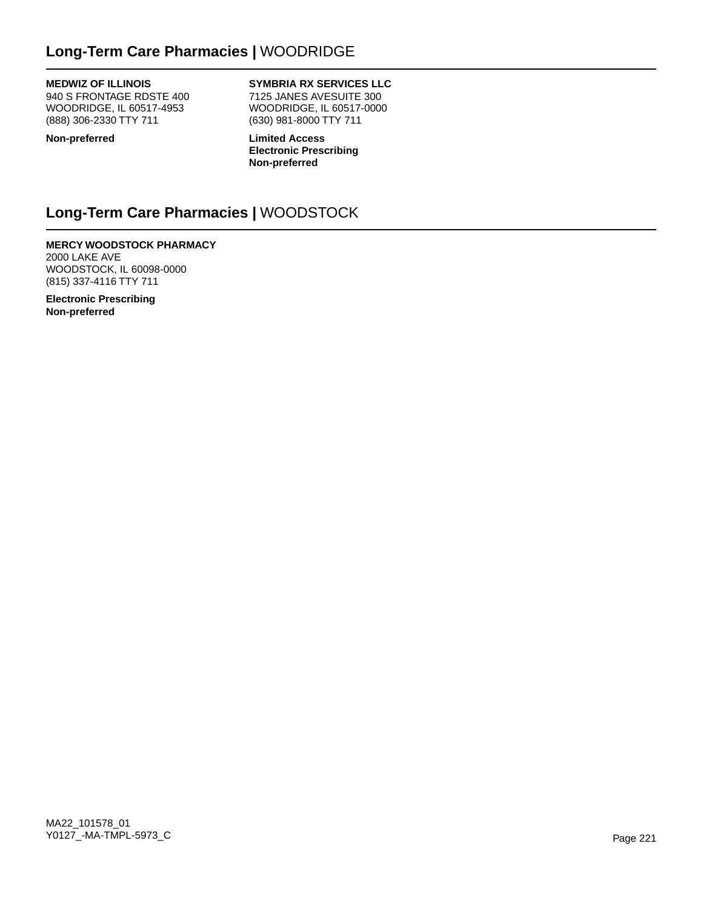# **Long-Term Care Pharmacies |** WOODRIDGE

### **MEDWIZ OF ILLINOIS**

940 S FRONTAGE RDSTE 400 WOODRIDGE, IL 60517-4953 (888) 306-2330 TTY 711

### **SYMBRIA RX SERVICES LLC**

7125 JANES AVESUITE 300 WOODRIDGE, IL 60517-0000 (630) 981-8000 TTY 711

**Non-preferred**

**Limited Access Electronic Prescribing Non-preferred**

# **Long-Term Care Pharmacies |** WOODSTOCK

**MERCY WOODSTOCK PHARMACY** 2000 LAKE AVE WOODSTOCK, IL 60098-0000 (815) 337-4116 TTY 711

**Electronic Prescribing Non-preferred**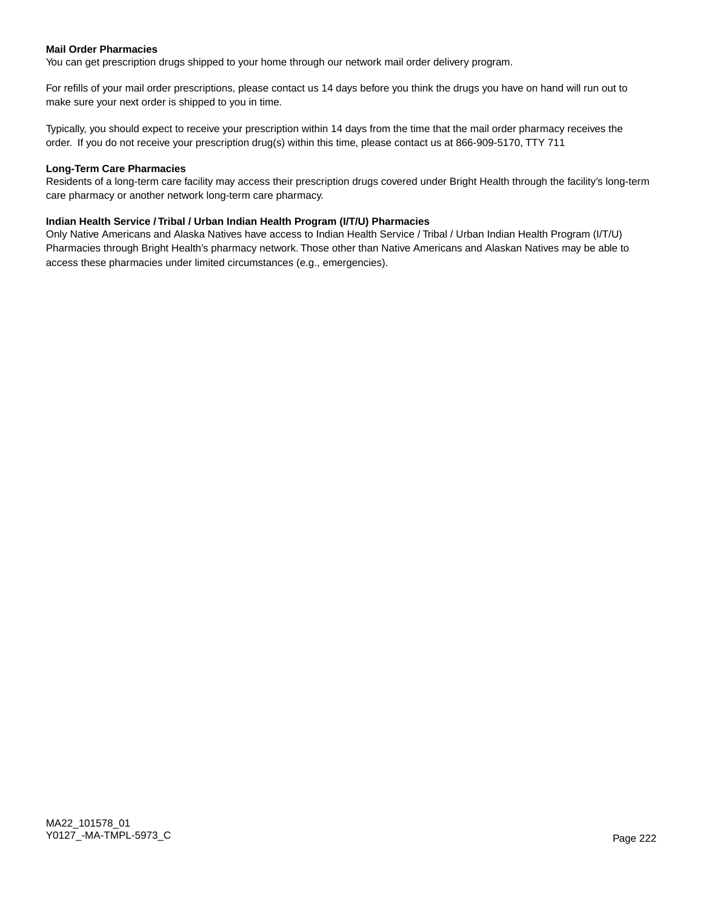### **Mail Order Pharmacies**

You can get prescription drugs shipped to your home through our network mail order delivery program.

For refills of your mail order prescriptions, please contact us 14 days before you think the drugs you have on hand will run out to make sure your next order is shipped to you in time.

Typically, you should expect to receive your prescription within 14 days from the time that the mail order pharmacy receives the order. If you do not receive your prescription drug(s) within this time, please contact us at 866-909-5170, TTY 711

#### **Long-Term Care Pharmacies**

Residents of a long-term care facility may access their prescription drugs covered under Bright Health through the facility's long-term care pharmacy or another network long-term care pharmacy.

### **Indian Health Service / Tribal / Urban Indian Health Program (I/T/U) Pharmacies**

Only Native Americans and Alaska Natives have access to Indian Health Service / Tribal / Urban Indian Health Program (I/T/U) Pharmacies through Bright Health's pharmacy network. Those other than Native Americans and Alaskan Natives may be able to access these pharmacies under limited circumstances (e.g., emergencies).